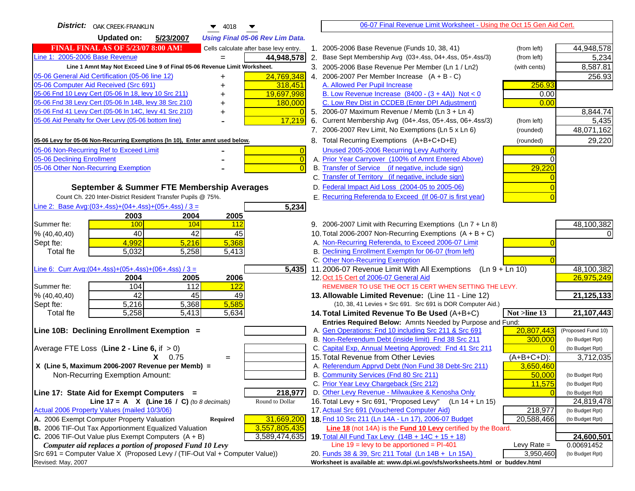| District:   OAK CREEK-FRANKLIN<br>4018<br>▼                                                                                     | 06-07 Final Revenue Limit Worksheet - Using the Oct 15 Gen Aid Cert.                                                     |                          |
|---------------------------------------------------------------------------------------------------------------------------------|--------------------------------------------------------------------------------------------------------------------------|--------------------------|
| 5/23/2007<br>Updated on:<br><b>Using Final 05-06 Rev Lim Data.</b>                                                              |                                                                                                                          |                          |
| <b>FINAL FINAL AS OF 5/23/07 8:00 AM!</b><br>Cells calculate after base levy entry.                                             | 1. 2005-2006 Base Revenue (Funds 10, 38, 41)<br>(from left)                                                              | 44,948,578               |
| Line 1: 2005-2006 Base Revenue<br>44,948,578                                                                                    | 2. Base Sept Membership Avg (03+.4ss, 04+.4ss, 05+.4ss/3)<br>(from left)                                                 | 5,234                    |
| Line 1 Amnt May Not Exceed Line 9 of Final 05-06 Revenue Limit Worksheet.                                                       | 3. 2005-2006 Base Revenue Per Member (Ln 1 / Ln2)<br>(with cents)                                                        | 8,587.81                 |
| 24,769,348<br>05-06 General Aid Certification (05-06 line 12)<br>+                                                              | 4. 2006-2007 Per Member Increase $(A + B - C)$                                                                           | 256.93                   |
| 05-06 Computer Aid Received (Src 691)<br>318,451                                                                                | A. Allowed Per Pupil Increase<br>256.93                                                                                  |                          |
| 05-06 Fnd 10 Levy Cert (05-06 In 18, levy 10 Src 211)<br>19,697,998                                                             | B. Low Revenue Increase $(8400 - (3 + 4A))$ Not < 0<br>0.00                                                              |                          |
| 05-06 Fnd 38 Levy Cert (05-06 In 14B, levy 38 Src 210)<br>180,000                                                               | C. Low Rev Dist in CCDEB (Enter DPI Adjustment)<br>0.00                                                                  |                          |
| 05-06 Fnd 41 Levy Cert (05-06 In 14C, levy 41 Src 210)                                                                          | 5. 2006-07 Maximum Revenue / Memb (Ln 3 + Ln 4)                                                                          | 8,844.74                 |
| 05-06 Aid Penalty for Over Levy (05-06 bottom line)<br>17,219                                                                   | 6. Current Membership Avg (04+.4ss, 05+.4ss, 06+.4ss/3)<br>(from left)                                                   | 5,435                    |
|                                                                                                                                 | 7. 2006-2007 Rev Limit, No Exemptions (Ln 5 x Ln 6)<br>(rounded)                                                         | 48,071,162               |
| 05-06 Levy for 05-06 Non-Recurring Exemptions (In 10), Enter amnt used below.                                                   | 8. Total Recurring Exemptions (A+B+C+D+E)<br>(rounded)                                                                   | 29,220                   |
| 05-06 Non-Recurring Ref to Exceed Limit<br>$\overline{0}$                                                                       | Unused 2005-2006 Recurring Levy Authority                                                                                |                          |
| 05-06 Declining Enrollment<br>$\overline{0}$                                                                                    | A. Prior Year Carryover (100% of Amnt Entered Above)                                                                     |                          |
| 05-06 Other Non-Recurring Exemption<br>$\overline{0}$                                                                           | B. Transfer of Service (if negative, include sign)<br>29,220                                                             |                          |
|                                                                                                                                 | C. Transfer of Territory (if negative, include sign)                                                                     |                          |
| September & Summer FTE Membership Averages                                                                                      | D. Federal Impact Aid Loss (2004-05 to 2005-06)                                                                          |                          |
| Count Ch. 220 Inter-District Resident Transfer Pupils @ 75%.                                                                    | E. Recurring Referenda to Exceed (If 06-07 is first year)                                                                |                          |
| Line 2: Base Avg: $(03+.4ss)+(04+.4ss)+(05+.4ss) / 3 =$<br>5,234                                                                |                                                                                                                          |                          |
| 2003<br>2004<br>2005                                                                                                            |                                                                                                                          |                          |
| 100<br>104<br>112<br>Summer fte:                                                                                                | 9. 2006-2007 Limit with Recurring Exemptions (Ln 7 + Ln 8)                                                               | 48,100,382               |
| 42<br>40<br>45<br>% (40, 40, 40)                                                                                                | 10. Total 2006-2007 Non-Recurring Exemptions $(A + B + C)$                                                               |                          |
| 4,992<br>5,368<br>5,216<br>Sept fte:                                                                                            | A. Non-Recurring Referenda, to Exceed 2006-07 Limit                                                                      |                          |
| 5,032<br>5,258<br>5,413<br><b>Total fte</b>                                                                                     | B. Declining Enrollment Exemptn for 06-07 (from left)                                                                    |                          |
|                                                                                                                                 | C. Other Non-Recurring Exemption                                                                                         |                          |
| 5,435<br>Line 6: Curr Avg: $(04+.4ss)+(05+.4ss)+(06+.4ss)/3 =$                                                                  | 11.2006-07 Revenue Limit With All Exemptions (Ln 9 + Ln 10)                                                              | 48,100,382               |
| 2004<br>2005<br>2006                                                                                                            | 12. Oct 15 Cert of 2006-07 General Aid<br>REMEMBER TO USE THE OCT 15 CERT WHEN SETTING THE LEVY.                         | 26,975,249               |
| 104<br>112<br>122<br>Summer fte:<br>$\overline{42}$<br>45<br>49<br>% (40, 40, 40)                                               | 13. Allowable Limited Revenue: (Line 11 - Line 12)                                                                       | 21,125,133               |
| 5,585<br>Sept fte:<br>5,216<br>5,368                                                                                            | (10, 38, 41 Levies + Src 691. Src 691 is DOR Computer Aid.)                                                              |                          |
| 5,258<br>5,413<br>5,634<br><b>Total fte</b>                                                                                     | Not >line 13<br>14. Total Limited Revenue To Be Used (A+B+C)                                                             | 21, 107, 443             |
|                                                                                                                                 | Entries Required Below: Amnts Needed by Purpose and Fund:                                                                |                          |
| Line 10B: Declining Enrollment Exemption =                                                                                      | 20,807,443<br>A. Gen Operations: Fnd 10 including Src 211 & Src 691                                                      | (Proposed Fund 10)       |
|                                                                                                                                 | B. Non-Referendum Debt (inside limit) Fnd 38 Src 211<br>300,000                                                          | (to Budget Rpt)          |
| Average FTE Loss (Line $2 -$ Line 6, if $> 0$ )                                                                                 | C. Capital Exp, Annual Meeting Approved: Fnd 41 Src 211                                                                  | (to Budget Rpt)          |
| $X = 0.75$<br>$=$                                                                                                               | 15. Total Revenue from Other Levies<br>$(A+B+C+D)$ :                                                                     | 3,712,035                |
| X (Line 5, Maximum 2006-2007 Revenue per Memb) =                                                                                | A. Referendum Apprvd Debt (Non Fund 38 Debt-Src 211)<br>3,650,460                                                        |                          |
| Non-Recurring Exemption Amount:                                                                                                 | B. Community Services (Fnd 80 Src 211)<br>50,000                                                                         | (to Budget Rpt)          |
|                                                                                                                                 | C. Prior Year Levy Chargeback (Src 212)<br>11,575                                                                        | (to Budget Rpt)          |
| 218,977<br>Line 17: State Aid for Exempt Computers =                                                                            | D. Other Levy Revenue - Milwaukee & Kenosha Only                                                                         | (to Budget Rpt)          |
| Line 17 = A $X$ (Line 16 / C) (to 8 decimals)<br>Round to Dollar                                                                | 16. Total Levy + Src 691, "Proposed Levy" (Ln 14 + Ln 15)                                                                | 24,819,478               |
| Actual 2006 Property Values (mailed 10/3/06)                                                                                    | 17. Actual Src 691 (Vouchered Computer Aid)<br>218,977                                                                   | (to Budget Rpt)          |
| 31,669,200<br>A. 2006 Exempt Computer Property Valuation<br><b>Required</b>                                                     | 18. Fnd 10 Src 211 (Ln 14A - Ln 17), 2006-07 Budget<br>20,588,466                                                        | (to Budget Rpt)          |
| B. 2006 TIF-Out Tax Apportionment Equalized Valuation<br>3,557,805,435<br>C. 2006 TIF-Out Value plus Exempt Computers $(A + B)$ | Line 18 (not 14A) is the Fund 10 Levy certified by the Board.                                                            |                          |
| 3,589,474,635<br>Computer aid replaces a portion of proposed Fund 10 Levy                                                       | 19. Total All Fund Tax Levy (14B + 14C + 15 + 18)<br>Line $19 = \text{levy}$ to be apportioned = PI-401<br>Levy Rate $=$ | 24,600,501<br>0.00691452 |
| Src 691 = Computer Value X (Proposed Levy / (TIF-Out Val + Computer Value))                                                     | 3,950,460<br>20. Funds 38 & 39, Src 211 Total (Ln 14B + Ln 15A)                                                          | (to Budget Rpt)          |
| Revised: May, 2007                                                                                                              | Worksheet is available at: www.dpi.wi.gov/sfs/worksheets.html or buddev.html                                             |                          |
|                                                                                                                                 |                                                                                                                          |                          |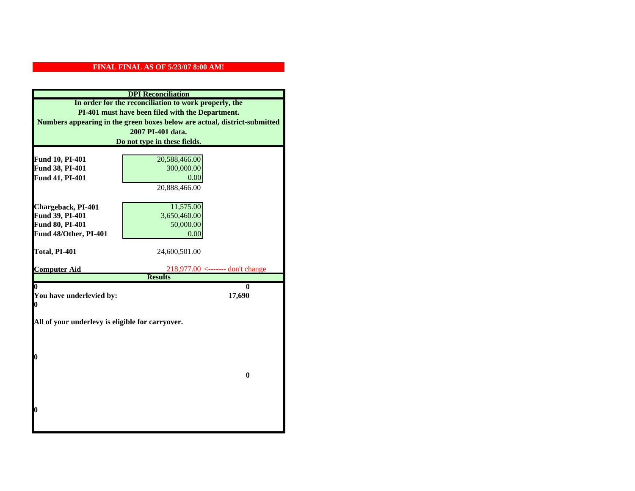| <b>DPI</b> Reconciliation                                                 |                                                        |  |  |
|---------------------------------------------------------------------------|--------------------------------------------------------|--|--|
|                                                                           | In order for the reconciliation to work properly, the  |  |  |
|                                                                           | PI-401 must have been filed with the Department.       |  |  |
| Numbers appearing in the green boxes below are actual, district-submitted |                                                        |  |  |
| 2007 PI-401 data.                                                         |                                                        |  |  |
| Do not type in these fields.                                              |                                                        |  |  |
|                                                                           |                                                        |  |  |
| Fund 10, PI-401                                                           | 20,588,466.00                                          |  |  |
| Fund 38, PI-401                                                           | 300,000.00                                             |  |  |
| Fund 41, PI-401                                                           | 0.00                                                   |  |  |
|                                                                           | 20,888,466.00                                          |  |  |
|                                                                           |                                                        |  |  |
| Chargeback, PI-401                                                        | 11,575.00                                              |  |  |
| Fund 39, PI-401                                                           | 3,650,460.00                                           |  |  |
| <b>Fund 80, PI-401</b>                                                    | 50,000.00                                              |  |  |
| Fund 48/Other, PI-401                                                     | 0.00                                                   |  |  |
| Total, PI-401                                                             | 24,600,501.00                                          |  |  |
|                                                                           |                                                        |  |  |
|                                                                           |                                                        |  |  |
| <b>Computer Aid</b>                                                       | $218,977.00 \leftarrow \leftarrow \text{don't change}$ |  |  |
|                                                                           | <b>Results</b>                                         |  |  |
| 0                                                                         | 0                                                      |  |  |
| You have underlevied by:                                                  | 17,690                                                 |  |  |
| 0                                                                         |                                                        |  |  |
|                                                                           |                                                        |  |  |
| All of your underlevy is eligible for carryover.                          |                                                        |  |  |
|                                                                           |                                                        |  |  |
|                                                                           |                                                        |  |  |
| 0                                                                         |                                                        |  |  |
|                                                                           |                                                        |  |  |
|                                                                           | $\mathbf{0}$                                           |  |  |
|                                                                           |                                                        |  |  |
|                                                                           |                                                        |  |  |
|                                                                           |                                                        |  |  |
| 0                                                                         |                                                        |  |  |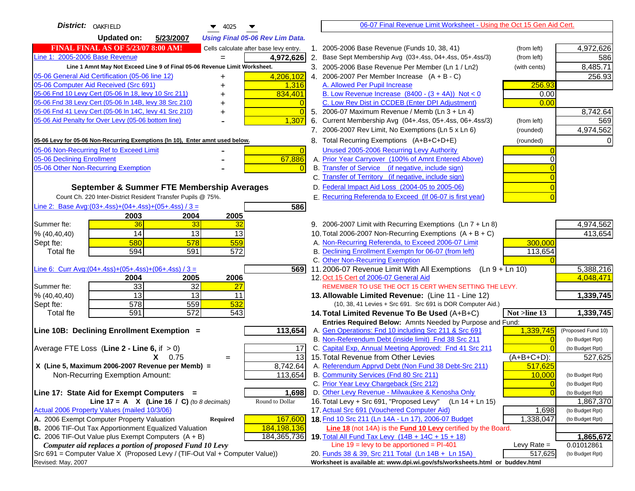| District:   OAKFIELD<br>$\blacktriangledown$ 4025                                   |                | 06-07 Final Revenue Limit Worksheet - Using the Oct 15 Gen Aid Cert.                                               |                |                    |
|-------------------------------------------------------------------------------------|----------------|--------------------------------------------------------------------------------------------------------------------|----------------|--------------------|
| <b>Updated on:</b><br>5/23/2007<br><b>Using Final 05-06 Rev Lim Data.</b>           |                |                                                                                                                    |                |                    |
| <b>FINAL FINAL AS OF 5/23/07 8:00 AM!</b><br>Cells calculate after base levy entry. |                | 1. 2005-2006 Base Revenue (Funds 10, 38, 41)                                                                       | (from left)    | 4,972,626          |
| Line 1: 2005-2006 Base Revenue<br>4,972,626                                         |                | 2. Base Sept Membership Avg (03+.4ss, 04+.4ss, 05+.4ss/3)                                                          | (from left)    | 586                |
| Line 1 Amnt May Not Exceed Line 9 of Final 05-06 Revenue Limit Worksheet.           |                | 3. 2005-2006 Base Revenue Per Member (Ln 1 / Ln2)                                                                  | (with cents)   | 8,485.71           |
| 4,206,102<br>05-06 General Aid Certification (05-06 line 12)                        |                | 4. 2006-2007 Per Member Increase $(A + B - C)$                                                                     |                | 256.93             |
| 05-06 Computer Aid Received (Src 691)<br>1,316                                      |                | A. Allowed Per Pupil Increase                                                                                      | 256.93         |                    |
| 05-06 Fnd 10 Levy Cert (05-06 In 18, levy 10 Src 211)<br>834,401                    |                | B. Low Revenue Increase $(8400 - (3 + 4A))$ Not < 0                                                                | 0.00           |                    |
| 05-06 Fnd 38 Levy Cert (05-06 In 14B, levy 38 Src 210)                              |                | C. Low Rev Dist in CCDEB (Enter DPI Adjustment)                                                                    | 0.00           |                    |
| 05-06 Fnd 41 Levy Cert (05-06 In 14C, levy 41 Src 210)<br>٠                         | $\Omega$       | 5. 2006-07 Maximum Revenue / Memb (Ln 3 + Ln 4)                                                                    |                | 8,742.64           |
| 05-06 Aid Penalty for Over Levy (05-06 bottom line)<br>1,307                        | 6.             | Current Membership Avg (04+.4ss, 05+.4ss, 06+.4ss/3)                                                               | (from left)    | 569                |
|                                                                                     |                | 7. 2006-2007 Rev Limit, No Exemptions (Ln 5 x Ln 6)                                                                | (rounded)      | 4,974,562          |
| 05-06 Levy for 05-06 Non-Recurring Exemptions (In 10), Enter amnt used below.       |                | 8. Total Recurring Exemptions (A+B+C+D+E)                                                                          | (rounded)      | 0                  |
| 05-06 Non-Recurring Ref to Exceed Limit                                             | $\overline{0}$ | Unused 2005-2006 Recurring Levy Authority                                                                          |                |                    |
| 67,886<br>05-06 Declining Enrollment                                                |                | A. Prior Year Carryover (100% of Amnt Entered Above)                                                               | $\Omega$       |                    |
| 05-06 Other Non-Recurring Exemption                                                 | $\Omega$       | B. Transfer of Service (if negative, include sign)                                                                 |                |                    |
|                                                                                     |                | C. Transfer of Territory (if negative, include sign)                                                               |                |                    |
| September & Summer FTE Membership Averages                                          |                | D. Federal Impact Aid Loss (2004-05 to 2005-06)                                                                    |                |                    |
| Count Ch. 220 Inter-District Resident Transfer Pupils @ 75%.                        |                | E. Recurring Referenda to Exceed (If 06-07 is first year)                                                          |                |                    |
| Line 2: Base Avg: (03+.4ss) + (04+.4ss) + (05+.4ss) / 3 =<br>586                    |                |                                                                                                                    |                |                    |
| 2003<br>2004<br>2005                                                                |                |                                                                                                                    |                |                    |
| 36<br>33<br>Summer fte:<br>32                                                       |                | 9. 2006-2007 Limit with Recurring Exemptions (Ln 7 + Ln 8)                                                         |                | 4,974,562          |
| 14<br>13<br>13<br>% (40, 40, 40)                                                    |                | 10. Total 2006-2007 Non-Recurring Exemptions $(A + B + C)$                                                         |                | 413,654            |
| 580<br>578<br>559<br>Sept fte:                                                      |                | A. Non-Recurring Referenda, to Exceed 2006-07 Limit                                                                | 300,000        |                    |
| 594<br>591<br>572<br>Total fte                                                      |                | B. Declining Enrollment Exemptn for 06-07 (from left)                                                              | 113,654        |                    |
|                                                                                     |                | C. Other Non-Recurring Exemption                                                                                   |                |                    |
| Line 6: Curr Avg: $(04+.4ss)+(05+.4ss)+(06+.4ss)/3 =$                               | 5691           | 11.2006-07 Revenue Limit With All Exemptions<br>(Ln 9 + Ln 10)                                                     |                | 5,388,216          |
| 2005<br>2006<br>2004                                                                |                | 12. Oct 15 Cert of 2006-07 General Aid                                                                             |                | 4,048,471          |
| 33<br>32<br>Summer fte:<br>27                                                       |                | REMEMBER TO USE THE OCT 15 CERT WHEN SETTING THE LEVY.                                                             |                |                    |
| $\overline{13}$<br>$\overline{13}$<br>% (40, 40, 40)<br>11                          |                | 13. Allowable Limited Revenue: (Line 11 - Line 12)                                                                 |                | 1,339,745          |
| 559<br>532<br>578<br>Sept fte:                                                      |                | (10, 38, 41 Levies + Src 691. Src 691 is DOR Computer Aid.)                                                        |                |                    |
| 591<br>$\overline{572}$<br>543<br>Total fte                                         |                | 14. Total Limited Revenue To Be Used (A+B+C)                                                                       | Not >line 13   | 1,339,745          |
| 113,654<br>Line 10B: Declining Enrollment Exemption =                               |                | Entries Required Below: Amnts Needed by Purpose and Fund:<br>A. Gen Operations: Fnd 10 including Src 211 & Src 691 | 1,339,745      | (Proposed Fund 10) |
|                                                                                     |                | B. Non-Referendum Debt (inside limit) Fnd 38 Src 211                                                               | $\Omega$       | (to Budget Rpt)    |
| Average FTE Loss (Line $2 -$ Line 6, if $> 0$ )<br>17                               |                | C. Capital Exp, Annual Meeting Approved: Fnd 41 Src 211                                                            |                | (to Budget Rpt)    |
| $X = 0.75$<br>$=$                                                                   | 13             | 15. Total Revenue from Other Levies                                                                                | $(A+B+C+D)$ :  | 527,625            |
| 8,742.64<br>X (Line 5, Maximum 2006-2007 Revenue per Memb) =                        |                | A. Referendum Apprvd Debt (Non Fund 38 Debt-Src 211)                                                               | 517,625        |                    |
| 113,654<br>Non-Recurring Exemption Amount:                                          |                | B. Community Services (Fnd 80 Src 211)                                                                             | 10.000         | (to Budget Rpt)    |
|                                                                                     |                | C. Prior Year Levy Chargeback (Src 212)                                                                            | $\overline{0}$ | (to Budget Rpt)    |
| Line 17: State Aid for Exempt Computers =<br>1,698                                  |                | D. Other Levy Revenue - Milwaukee & Kenosha Only                                                                   | $\Omega$       | (to Budget Rpt)    |
| Line 17 = A $X$ (Line 16 / C) (to 8 decimals)<br>Round to Dollar                    |                | 16. Total Levy + Src 691, "Proposed Levy"<br>(Ln 14 + Ln 15)                                                       |                | 1,867,370          |
| Actual 2006 Property Values (mailed 10/3/06)                                        |                | 17. Actual Src 691 (Vouchered Computer Aid)                                                                        | 1,698          | (to Budget Rpt)    |
| A. 2006 Exempt Computer Property Valuation<br>167,600<br>Required                   |                | 18. Fnd 10 Src 211 (Ln 14A - Ln 17), 2006-07 Budget                                                                | 1,338,047      | (to Budget Rpt)    |
| B. 2006 TIF-Out Tax Apportionment Equalized Valuation<br>184,198,136                |                | Line 18 (not 14A) is the Fund 10 Levy certified by the Board.                                                      |                |                    |
| C. 2006 TIF-Out Value plus Exempt Computers $(A + B)$<br>184,365,736                |                | 19. Total All Fund Tax Levy (14B + 14C + 15 + 18)                                                                  |                | 1,865,672          |
| Computer aid replaces a portion of proposed Fund 10 Levy                            |                | Line $19$ = levy to be apportioned = PI-401                                                                        | Levy Rate $=$  | 0.01012861         |
| Src 691 = Computer Value X (Proposed Levy / (TIF-Out Val + Computer Value))         |                | 20. Funds 38 & 39, Src 211 Total (Ln 14B + Ln 15A)                                                                 | 517,625        | (to Budget Rpt)    |
| Revised: May, 2007                                                                  |                | Worksheet is available at: www.dpi.wi.gov/sfs/worksheets.html or buddev.html                                       |                |                    |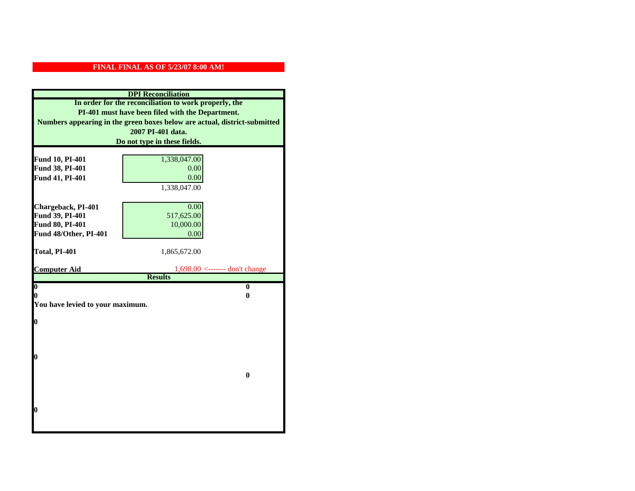| <b>DPI</b> Reconciliation                                                                                                                                                                                   |                                     |  |                              |              |  |
|-------------------------------------------------------------------------------------------------------------------------------------------------------------------------------------------------------------|-------------------------------------|--|------------------------------|--------------|--|
| In order for the reconciliation to work properly, the<br>PI-401 must have been filed with the Department.<br>Numbers appearing in the green boxes below are actual, district-submitted<br>2007 PI-401 data. |                                     |  |                              |              |  |
|                                                                                                                                                                                                             |                                     |  | Do not type in these fields. |              |  |
|                                                                                                                                                                                                             |                                     |  |                              |              |  |
|                                                                                                                                                                                                             |                                     |  | Fund 10, PI-401              | 1,338,047.00 |  |
| Fund 38, PI-401                                                                                                                                                                                             | 0.00                                |  |                              |              |  |
| Fund 41, PI-401                                                                                                                                                                                             | 0.00                                |  |                              |              |  |
|                                                                                                                                                                                                             | 1,338,047.00                        |  |                              |              |  |
| Chargeback, PI-401                                                                                                                                                                                          | 0.00                                |  |                              |              |  |
| Fund 39, PI-401                                                                                                                                                                                             | 517,625.00                          |  |                              |              |  |
| Fund 80, PI-401                                                                                                                                                                                             | 10,000.00                           |  |                              |              |  |
| Fund 48/Other, PI-401                                                                                                                                                                                       | 0.00                                |  |                              |              |  |
|                                                                                                                                                                                                             |                                     |  |                              |              |  |
| Total, PI-401                                                                                                                                                                                               | 1,865,672.00                        |  |                              |              |  |
|                                                                                                                                                                                                             |                                     |  |                              |              |  |
| <b>Computer Aid</b>                                                                                                                                                                                         | $1,698.00 \le$ ------- don't change |  |                              |              |  |
| $\boldsymbol{0}$                                                                                                                                                                                            | <b>Results</b><br>$\bf{0}$          |  |                              |              |  |
| 0                                                                                                                                                                                                           | 0                                   |  |                              |              |  |
| You have levied to your maximum.                                                                                                                                                                            |                                     |  |                              |              |  |
|                                                                                                                                                                                                             |                                     |  |                              |              |  |
| $\bf{0}$                                                                                                                                                                                                    |                                     |  |                              |              |  |
|                                                                                                                                                                                                             |                                     |  |                              |              |  |
|                                                                                                                                                                                                             |                                     |  |                              |              |  |
|                                                                                                                                                                                                             |                                     |  |                              |              |  |
| 0                                                                                                                                                                                                           |                                     |  |                              |              |  |
|                                                                                                                                                                                                             | $\bf{0}$                            |  |                              |              |  |
|                                                                                                                                                                                                             |                                     |  |                              |              |  |
|                                                                                                                                                                                                             |                                     |  |                              |              |  |
|                                                                                                                                                                                                             |                                     |  |                              |              |  |
| 0                                                                                                                                                                                                           |                                     |  |                              |              |  |
|                                                                                                                                                                                                             |                                     |  |                              |              |  |
|                                                                                                                                                                                                             |                                     |  |                              |              |  |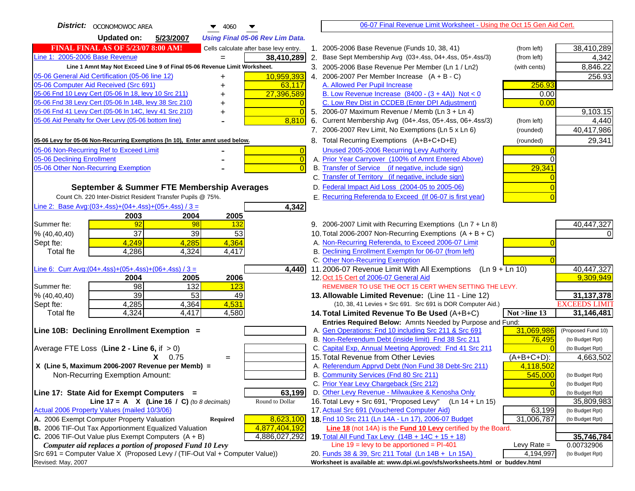| District:   OCONOMOWOC AREA<br>4060                                                 | 06-07 Final Revenue Limit Worksheet - Using the Oct 15 Gen Aid Cert.                                                                            |                              |
|-------------------------------------------------------------------------------------|-------------------------------------------------------------------------------------------------------------------------------------------------|------------------------------|
| <b>Updated on:</b><br>5/23/2007<br><b>Using Final 05-06 Rev Lim Data.</b>           |                                                                                                                                                 |                              |
| <b>FINAL FINAL AS OF 5/23/07 8:00 AM!</b><br>Cells calculate after base levy entry. | 1. 2005-2006 Base Revenue (Funds 10, 38, 41)<br>(from left)                                                                                     | 38,410,289                   |
| Line 1: 2005-2006 Base Revenue<br>38,410,289<br>$=$                                 | 2. Base Sept Membership Avg (03+.4ss, 04+.4ss, 05+.4ss/3)<br>(from left)                                                                        | 4,342                        |
| Line 1 Amnt May Not Exceed Line 9 of Final 05-06 Revenue Limit Worksheet.           | 3. 2005-2006 Base Revenue Per Member (Ln 1 / Ln2)<br>(with cents)                                                                               | 8,846.22                     |
| 10,959,393<br>05-06 General Aid Certification (05-06 line 12)                       | 4. 2006-2007 Per Member Increase $(A + B - C)$                                                                                                  | 256.93                       |
| 05-06 Computer Aid Received (Src 691)<br>63,117                                     | A. Allowed Per Pupil Increase<br>256.93                                                                                                         |                              |
| 05-06 Fnd 10 Levy Cert (05-06 ln 18, levy 10 Src 211)<br>27,396,589                 | B. Low Revenue Increase $(8400 - (3 + 4A))$ Not < 0<br>0.00                                                                                     |                              |
| 05-06 Fnd 38 Levy Cert (05-06 In 14B, levy 38 Src 210)                              | C. Low Rev Dist in CCDEB (Enter DPI Adjustment)<br>0.00                                                                                         |                              |
| 05-06 Fnd 41 Levy Cert (05-06 In 14C, levy 41 Src 210)<br>$\Omega$<br>+             | 5. 2006-07 Maximum Revenue / Memb (Ln 3 + Ln 4)                                                                                                 | 9,103.15                     |
| 05-06 Aid Penalty for Over Levy (05-06 bottom line)<br>8,810                        | 6. Current Membership Avg (04+.4ss, 05+.4ss, 06+.4ss/3)<br>(from left)                                                                          | 4,440                        |
|                                                                                     | 7. 2006-2007 Rev Limit, No Exemptions (Ln 5 x Ln 6)<br>(rounded)                                                                                | 40,417,986                   |
| 05-06 Levy for 05-06 Non-Recurring Exemptions (In 10), Enter amnt used below.       | 8. Total Recurring Exemptions (A+B+C+D+E)<br>(rounded)                                                                                          | 29,341                       |
| 05-06 Non-Recurring Ref to Exceed Limit<br>$\overline{0}$                           | Unused 2005-2006 Recurring Levy Authority                                                                                                       |                              |
| 05-06 Declining Enrollment<br>$\overline{0}$                                        | A. Prior Year Carryover (100% of Amnt Entered Above)                                                                                            |                              |
| 05-06 Other Non-Recurring Exemption<br>$\Omega$                                     | B. Transfer of Service (if negative, include sign)<br>29,341                                                                                    |                              |
|                                                                                     | C. Transfer of Territory (if negative, include sign)                                                                                            |                              |
| September & Summer FTE Membership Averages                                          | D. Federal Impact Aid Loss (2004-05 to 2005-06)                                                                                                 |                              |
| Count Ch. 220 Inter-District Resident Transfer Pupils @ 75%.                        | E. Recurring Referenda to Exceed (If 06-07 is first year)                                                                                       |                              |
| Line 2: Base Avg: $(03+.4ss)+(04+.4ss)+(05+.4ss)/3 =$<br>4,342                      |                                                                                                                                                 |                              |
| 2003<br>2004<br>2005                                                                |                                                                                                                                                 |                              |
| 92<br>98<br>132<br>Summer fte:                                                      | 9. 2006-2007 Limit with Recurring Exemptions (Ln 7 + Ln 8)                                                                                      | 40,447,327                   |
| 37<br>39<br>53<br>% (40, 40, 40)                                                    | 10. Total 2006-2007 Non-Recurring Exemptions $(A + B + C)$                                                                                      |                              |
| 4,249<br>4,364<br>4,285<br>Sept fte:<br><b>Total fte</b><br>4,286<br>4,324<br>4,417 | A. Non-Recurring Referenda, to Exceed 2006-07 Limit<br>B. Declining Enrollment Exemptn for 06-07 (from left)                                    |                              |
|                                                                                     | C. Other Non-Recurring Exemption                                                                                                                |                              |
| Line 6: Curr Avg: $(04+.4ss)+(05+.4ss)+(06+.4ss)/3 =$<br>4,440                      | 11.2006-07 Revenue Limit With All Exemptions<br>$(Ln 9 + Ln 10)$                                                                                | 40,447,327                   |
| 2006<br>2004<br>2005                                                                | 12. Oct 15 Cert of 2006-07 General Aid                                                                                                          | 9,309,949                    |
| 98<br>132<br>123<br>Summer fte:                                                     | REMEMBER TO USE THE OCT 15 CERT WHEN SETTING THE LEVY.                                                                                          |                              |
| 39<br>53<br>% (40, 40, 40)<br>49                                                    | 13. Allowable Limited Revenue: (Line 11 - Line 12)                                                                                              | 31, 137, 378                 |
| 4,285<br>4,364<br>4,531<br>Sept fte:                                                | (10, 38, 41 Levies + Src 691. Src 691 is DOR Computer Aid.)                                                                                     | <b>EXCEEDS LIMIT</b>         |
| 4,324<br>4,417<br>4,580<br><b>Total fte</b>                                         | Not >line 13<br>14. Total Limited Revenue To Be Used (A+B+C)                                                                                    | 31,146,481                   |
|                                                                                     | Entries Required Below: Amnts Needed by Purpose and Fund:                                                                                       |                              |
| Line 10B: Declining Enrollment Exemption =                                          | 31,069,986<br>A. Gen Operations: Fnd 10 including Src 211 & Src 691                                                                             | (Proposed Fund 10)           |
|                                                                                     | B. Non-Referendum Debt (inside limit) Fnd 38 Src 211<br>76,495<br>C. Capital Exp, Annual Meeting Approved: Fnd 41 Src 211                       | (to Budget Rpt)              |
| Average FTE Loss (Line $2 -$ Line 6, if $> 0$ )<br>$X = 0.75$<br>$=$                | 15. Total Revenue from Other Levies<br>$(A+B+C+D)$ :                                                                                            | (to Budget Rpt)<br>4,663,502 |
| X (Line 5, Maximum 2006-2007 Revenue per Memb) =                                    | A. Referendum Apprvd Debt (Non Fund 38 Debt-Src 211)<br>4,118,502                                                                               |                              |
| Non-Recurring Exemption Amount:                                                     | B. Community Services (Fnd 80 Src 211)<br>545,000                                                                                               | (to Budget Rpt)              |
|                                                                                     | C. Prior Year Levy Chargeback (Src 212)<br>$\overline{0}$                                                                                       | (to Budget Rpt)              |
| 63,199<br>Line 17: State Aid for Exempt Computers =                                 | D. Other Levy Revenue - Milwaukee & Kenosha Only<br>$\Omega$                                                                                    | (to Budget Rpt)              |
| Line 17 = A $X$ (Line 16 / C) (to 8 decimals)<br>Round to Dollar                    | 16. Total Levy + Src 691, "Proposed Levy"<br>(Ln 14 + Ln 15)                                                                                    | 35,809,983                   |
| Actual 2006 Property Values (mailed 10/3/06)                                        | 17. Actual Src 691 (Vouchered Computer Aid)<br>63,199                                                                                           | (to Budget Rpt)              |
| A. 2006 Exempt Computer Property Valuation<br>8,623,100<br>Required                 | 18. Fnd 10 Src 211 (Ln 14A - Ln 17), 2006-07 Budget<br>31,006,787                                                                               | (to Budget Rpt)              |
| B. 2006 TIF-Out Tax Apportionment Equalized Valuation<br>4,877,404,192              | Line 18 (not 14A) is the Fund 10 Levy certified by the Board.                                                                                   |                              |
| C. 2006 TIF-Out Value plus Exempt Computers $(A + B)$<br>4,886,027,292              | 19. Total All Fund Tax Levy $(14B + 14C + 15 + 18)$                                                                                             | 35,746,784                   |
| Computer aid replaces a portion of proposed Fund 10 Levy                            | Line $19 = \text{levy}$ to be apportioned = PI-401<br>Levy Rate $=$                                                                             | 0.00732906                   |
| Src 691 = Computer Value X (Proposed Levy / (TIF-Out Val + Computer Value))         | 20. Funds 38 & 39, Src 211 Total (Ln 14B + Ln 15A)<br>4,194,997<br>Worksheet is available at: www.dpi.wi.gov/sfs/worksheets.html or buddev.html | (to Budget Rpt)              |
| Revised: May, 2007                                                                  |                                                                                                                                                 |                              |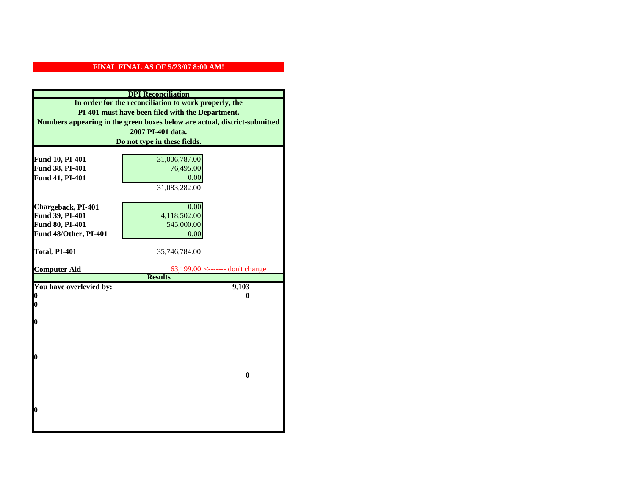| <b>DPI</b> Reconciliation                                                 |                                                       |  |
|---------------------------------------------------------------------------|-------------------------------------------------------|--|
|                                                                           | In order for the reconciliation to work properly, the |  |
|                                                                           | PI-401 must have been filed with the Department.      |  |
| Numbers appearing in the green boxes below are actual, district-submitted |                                                       |  |
| 2007 PI-401 data.                                                         |                                                       |  |
| Do not type in these fields.                                              |                                                       |  |
|                                                                           |                                                       |  |
| Fund 10, PI-401                                                           | 31,006,787.00                                         |  |
| Fund 38, PI-401                                                           | 76,495.00                                             |  |
| Fund 41, PI-401                                                           | 0.00                                                  |  |
|                                                                           | 31,083,282.00                                         |  |
|                                                                           |                                                       |  |
| Chargeback, PI-401                                                        | 0.00                                                  |  |
| Fund 39, PI-401                                                           | 4,118,502.00                                          |  |
| Fund 80, PI-401                                                           | 545,000.00                                            |  |
| Fund 48/Other, PI-401                                                     | 0.00                                                  |  |
|                                                                           |                                                       |  |
| Total, PI-401                                                             | 35,746,784.00                                         |  |
|                                                                           |                                                       |  |
| <b>Computer Aid</b>                                                       | 63,199.00 <------- don't change<br><b>Results</b>     |  |
|                                                                           |                                                       |  |
|                                                                           |                                                       |  |
| You have overlevied by:                                                   | 9,103                                                 |  |
| N                                                                         | 0                                                     |  |
| 0                                                                         |                                                       |  |
| 0                                                                         |                                                       |  |
|                                                                           |                                                       |  |
|                                                                           |                                                       |  |
|                                                                           |                                                       |  |
| O                                                                         |                                                       |  |
|                                                                           |                                                       |  |
|                                                                           | $\bf{0}$                                              |  |
|                                                                           |                                                       |  |
|                                                                           |                                                       |  |
|                                                                           |                                                       |  |
| 0                                                                         |                                                       |  |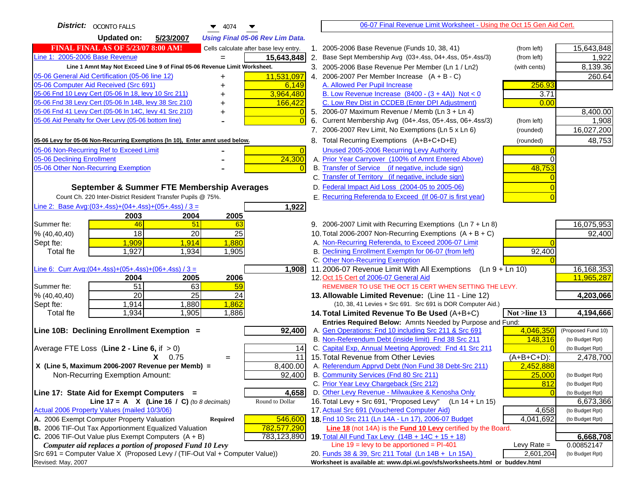| District:   OCONTO FALLS<br>4074<br>▼                                               |    | 06-07 Final Revenue Limit Worksheet - Using the Oct 15 Gen Aid Cert.                                               |                  |                    |
|-------------------------------------------------------------------------------------|----|--------------------------------------------------------------------------------------------------------------------|------------------|--------------------|
| <b>Updated on:</b><br>5/23/2007<br><b>Using Final 05-06 Rev Lim Data.</b>           |    |                                                                                                                    |                  |                    |
| <b>FINAL FINAL AS OF 5/23/07 8:00 AM!</b><br>Cells calculate after base levy entry. |    | 1. 2005-2006 Base Revenue (Funds 10, 38, 41)                                                                       | (from left)      | 15,643,848         |
| Line 1: 2005-2006 Base Revenue<br>15,643,848                                        |    | 2. Base Sept Membership Avg (03+.4ss, 04+.4ss, 05+.4ss/3)                                                          | (from left)      | 1,922              |
| Line 1 Amnt May Not Exceed Line 9 of Final 05-06 Revenue Limit Worksheet.           |    | 3. 2005-2006 Base Revenue Per Member (Ln 1 / Ln2)                                                                  | (with cents)     | 8,139.36           |
| 05-06 General Aid Certification (05-06 line 12)<br>11,531,097<br>+                  |    | 4. 2006-2007 Per Member Increase $(A + B - C)$                                                                     |                  | 260.64             |
| 05-06 Computer Aid Received (Src 691)<br>6,149                                      |    | A. Allowed Per Pupil Increase                                                                                      | 256.93           |                    |
| 3,964,480<br>05-06 Fnd 10 Levy Cert (05-06 ln 18, levy 10 Src 211)                  |    | B. Low Revenue Increase $(8400 - (3 + 4A))$ Not < 0                                                                | 3.71             |                    |
| 05-06 Fnd 38 Levy Cert (05-06 In 14B, levy 38 Src 210)<br>166,422                   |    | C. Low Rev Dist in CCDEB (Enter DPI Adjustment)                                                                    | 0.00             |                    |
| 05-06 Fnd 41 Levy Cert (05-06 In 14C, levy 41 Src 210)                              |    | 5. 2006-07 Maximum Revenue / Memb (Ln 3 + Ln 4)                                                                    |                  | 8,400.00           |
| 05-06 Aid Penalty for Over Levy (05-06 bottom line)<br>$\Omega$                     | 6. | Current Membership Avg (04+.4ss, 05+.4ss, 06+.4ss/3)                                                               | (from left)      | 1,908              |
|                                                                                     |    | 7. 2006-2007 Rev Limit, No Exemptions (Ln 5 x Ln 6)                                                                | (rounded)        | 16,027,200         |
| 05-06 Levy for 05-06 Non-Recurring Exemptions (In 10), Enter amnt used below.       |    | 8. Total Recurring Exemptions (A+B+C+D+E)                                                                          | (rounded)        | 48,753             |
| 05-06 Non-Recurring Ref to Exceed Limit<br>$\overline{0}$                           |    | Unused 2005-2006 Recurring Levy Authority                                                                          |                  |                    |
| 24,300<br>05-06 Declining Enrollment                                                |    | A. Prior Year Carryover (100% of Amnt Entered Above)                                                               | 0                |                    |
| 05-06 Other Non-Recurring Exemption                                                 |    | B. Transfer of Service (if negative, include sign)                                                                 | 48,753           |                    |
|                                                                                     |    | C. Transfer of Territory (if negative, include sign)                                                               |                  |                    |
| September & Summer FTE Membership Averages                                          |    | D. Federal Impact Aid Loss (2004-05 to 2005-06)                                                                    |                  |                    |
| Count Ch. 220 Inter-District Resident Transfer Pupils @ 75%.                        |    | E. Recurring Referenda to Exceed (If 06-07 is first year)                                                          |                  |                    |
| Line 2: Base Avg:(03+.4ss)+(04+.4ss)+(05+.4ss) / 3 =<br>1,922                       |    |                                                                                                                    |                  |                    |
| 2003<br>2004<br>2005                                                                |    |                                                                                                                    |                  |                    |
| 46<br>51<br>Summer fte:<br>63                                                       |    | 9. 2006-2007 Limit with Recurring Exemptions (Ln 7 + Ln 8)                                                         |                  | 16,075,953         |
| 18<br>20<br>25<br>% (40, 40, 40)                                                    |    | 10. Total 2006-2007 Non-Recurring Exemptions $(A + B + C)$                                                         |                  | 92,400             |
| 1,909<br>1,914<br>1,880<br>Sept fte:                                                |    | A. Non-Recurring Referenda, to Exceed 2006-07 Limit                                                                |                  |                    |
| 1,927<br>1,934<br>1,905<br><b>Total fte</b>                                         |    | B. Declining Enrollment Exemptn for 06-07 (from left)                                                              | 92,400           |                    |
|                                                                                     |    | C. Other Non-Recurring Exemption                                                                                   |                  |                    |
| Line 6: Curr Avg: $(04+.4ss)+(05+.4ss)+(06+.4ss)/3 =$<br>1,908                      |    | 11.2006-07 Revenue Limit With All Exemptions                                                                       | $(Ln 9 + Ln 10)$ | 16,168,353         |
| 2005<br>2006<br>2004                                                                |    | 12. Oct 15 Cert of 2006-07 General Aid                                                                             |                  | 11,965,287         |
| 51<br>63<br>59<br>Summer fte:                                                       |    | REMEMBER TO USE THE OCT 15 CERT WHEN SETTING THE LEVY.                                                             |                  |                    |
| $\overline{25}$<br>20<br>24<br>% (40, 40, 40)                                       |    | 13. Allowable Limited Revenue: (Line 11 - Line 12)                                                                 |                  | 4,203,066          |
| 1,914<br>1,880<br>1,862<br>Sept fte:                                                |    | (10, 38, 41 Levies + Src 691. Src 691 is DOR Computer Aid.)                                                        |                  |                    |
| 1,905<br>1,934<br>1,886<br><b>Total fte</b>                                         |    | 14. Total Limited Revenue To Be Used (A+B+C)                                                                       | Not >line 13     | 4,194,666          |
| Line 10B: Declining Enrollment Exemption =<br>92,400                                |    | Entries Required Below: Amnts Needed by Purpose and Fund:<br>A. Gen Operations: Fnd 10 including Src 211 & Src 691 | 4,046,350        | (Proposed Fund 10) |
|                                                                                     |    | B. Non-Referendum Debt (inside limit) Fnd 38 Src 211                                                               | 148,316          | (to Budget Rpt)    |
| Average FTE Loss (Line $2 -$ Line 6, if $> 0$ )<br>14                               |    | C. Capital Exp, Annual Meeting Approved: Fnd 41 Src 211                                                            |                  | (to Budget Rpt)    |
| 11<br>$X = 0.75$<br>$=$                                                             |    | 15. Total Revenue from Other Levies                                                                                | $(A+B+C+D)$ :    | 2,478,700          |
| X (Line 5, Maximum 2006-2007 Revenue per Memb) =<br>8,400.00                        |    | A. Referendum Apprvd Debt (Non Fund 38 Debt-Src 211)                                                               | 2,452,888        |                    |
| 92,400<br>Non-Recurring Exemption Amount:                                           |    | B. Community Services (Fnd 80 Src 211)                                                                             | 25,000           | (to Budget Rpt)    |
|                                                                                     |    | C. Prior Year Levy Chargeback (Src 212)                                                                            | 812              | (to Budget Rpt)    |
| 4,658<br>Line 17: State Aid for Exempt Computers =                                  |    | D. Other Levy Revenue - Milwaukee & Kenosha Only                                                                   |                  | (to Budget Rpt)    |
| Line 17 = A $X$ (Line 16 / C) (to 8 decimals)<br>Round to Dollar                    |    | 16. Total Levy + Src 691, "Proposed Levy"<br>$(Ln 14 + Ln 15)$                                                     |                  | 6,673,366          |
| Actual 2006 Property Values (mailed 10/3/06)                                        |    | 17. Actual Src 691 (Vouchered Computer Aid)                                                                        | 4,658            | (to Budget Rpt)    |
| A. 2006 Exempt Computer Property Valuation<br>546,600<br><b>Required</b>            |    | 18. Fnd 10 Src 211 (Ln 14A - Ln 17), 2006-07 Budget                                                                | 4,041,692        | (to Budget Rpt)    |
| B. 2006 TIF-Out Tax Apportionment Equalized Valuation<br>782,577,290                |    | Line 18 (not 14A) is the <b>Fund 10 Levy</b> certified by the Board.                                               |                  |                    |
| C. 2006 TIF-Out Value plus Exempt Computers $(A + B)$<br>783,123,890                |    | 19. Total All Fund Tax Levy (14B + 14C + 15 + 18)                                                                  |                  | 6,668,708          |
| Computer aid replaces a portion of proposed Fund 10 Levy                            |    | Line $19 = \text{levy}$ to be apportioned = PI-401                                                                 | Levy Rate $=$    | 0.00852147         |
| Src 691 = Computer Value X (Proposed Levy / (TIF-Out Val + Computer Value))         |    | 20. Funds 38 & 39, Src 211 Total (Ln 14B + Ln 15A)                                                                 | 2,601,204        | (to Budget Rpt)    |
| Revised: May, 2007                                                                  |    | Worksheet is available at: www.dpi.wi.gov/sfs/worksheets.html or buddev.html                                       |                  |                    |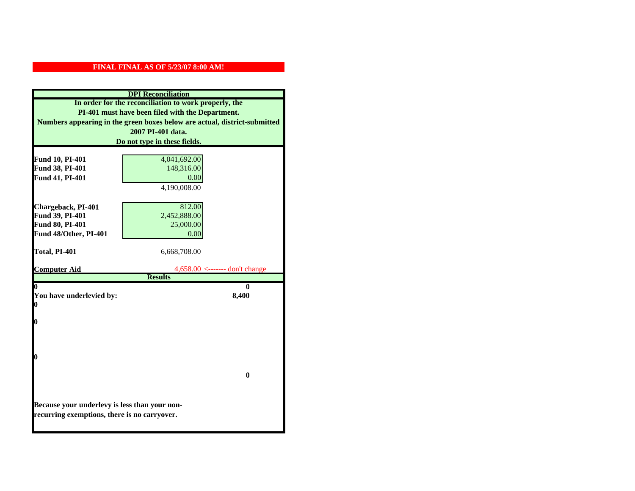| <b>DPI</b> Reconciliation                                                                     |                                                       |  |
|-----------------------------------------------------------------------------------------------|-------------------------------------------------------|--|
|                                                                                               | In order for the reconciliation to work properly, the |  |
| PI-401 must have been filed with the Department.                                              |                                                       |  |
| Numbers appearing in the green boxes below are actual, district-submitted                     |                                                       |  |
| 2007 PI-401 data.                                                                             |                                                       |  |
| Do not type in these fields.                                                                  |                                                       |  |
|                                                                                               |                                                       |  |
| Fund 10, PI-401                                                                               | 4,041,692.00                                          |  |
| Fund 38, PI-401                                                                               | 148,316.00                                            |  |
| Fund 41, PI-401                                                                               | 0.00                                                  |  |
|                                                                                               | 4,190,008.00                                          |  |
|                                                                                               |                                                       |  |
| Chargeback, PI-401                                                                            | 812.00                                                |  |
| Fund 39, PI-401                                                                               | 2,452,888.00                                          |  |
| Fund 80, PI-401                                                                               | 25,000.00                                             |  |
| Fund 48/Other, PI-401                                                                         | 0.00                                                  |  |
|                                                                                               |                                                       |  |
| Total, PI-401                                                                                 | 6,668,708.00                                          |  |
| <b>Computer Aid</b>                                                                           |                                                       |  |
|                                                                                               |                                                       |  |
|                                                                                               | $4,658.00 \le$ ------- don't change<br><b>Results</b> |  |
| $\boldsymbol{0}$                                                                              | 0                                                     |  |
| You have underlevied by:                                                                      | 8,400                                                 |  |
| 0                                                                                             |                                                       |  |
|                                                                                               |                                                       |  |
| 0                                                                                             |                                                       |  |
|                                                                                               |                                                       |  |
|                                                                                               |                                                       |  |
|                                                                                               |                                                       |  |
| 0                                                                                             |                                                       |  |
|                                                                                               | $\mathbf{0}$                                          |  |
|                                                                                               |                                                       |  |
|                                                                                               |                                                       |  |
|                                                                                               |                                                       |  |
| Because your underlevy is less than your non-<br>recurring exemptions, there is no carryover. |                                                       |  |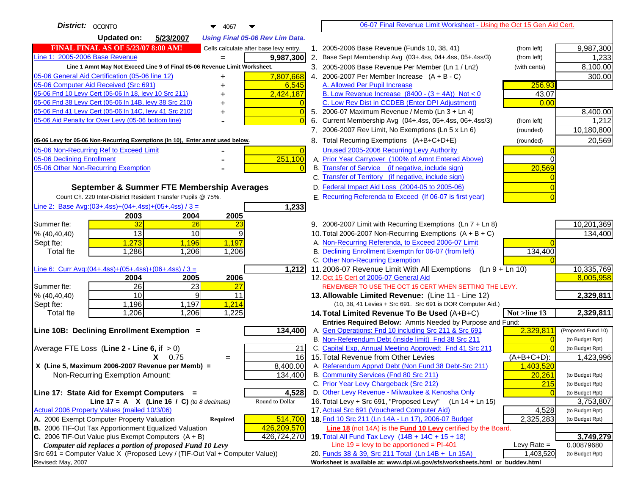| District:   OCONTO<br>$\blacktriangledown$ 4067                                     | 06-07 Final Revenue Limit Worksheet - Using the Oct 15 Gen Aid Cert.                                               |                                 |
|-------------------------------------------------------------------------------------|--------------------------------------------------------------------------------------------------------------------|---------------------------------|
| <b>Updated on:</b><br>5/23/2007<br><b>Using Final 05-06 Rev Lim Data.</b>           |                                                                                                                    |                                 |
| <b>FINAL FINAL AS OF 5/23/07 8:00 AM!</b><br>Cells calculate after base levy entry. | 1. 2005-2006 Base Revenue (Funds 10, 38, 41)                                                                       | 9,987,300<br>(from left)        |
| Line 1: 2005-2006 Base Revenue<br>9,987,300                                         | 2. Base Sept Membership Avg (03+.4ss, 04+.4ss, 05+.4ss/3)                                                          | 1,233<br>(from left)            |
| Line 1 Amnt May Not Exceed Line 9 of Final 05-06 Revenue Limit Worksheet.           | 3. 2005-2006 Base Revenue Per Member (Ln 1 / Ln2)                                                                  | 8,100.00<br>(with cents)        |
| 7,807,668<br>05-06 General Aid Certification (05-06 line 12)                        | 4. 2006-2007 Per Member Increase $(A + B - C)$                                                                     | 300.00                          |
| 05-06 Computer Aid Received (Src 691)<br>6,545                                      | A. Allowed Per Pupil Increase                                                                                      | 256.93                          |
| 05-06 Fnd 10 Levy Cert (05-06 In 18, levy 10 Src 211)<br>2,424,187                  | B. Low Revenue Increase $(8400 - (3 + 4A))$ Not < 0                                                                | 43.07                           |
| 05-06 Fnd 38 Levy Cert (05-06 In 14B, levy 38 Src 210)                              | C. Low Rev Dist in CCDEB (Enter DPI Adjustment)                                                                    | 0.00                            |
| 05-06 Fnd 41 Levy Cert (05-06 In 14C, levy 41 Src 210)<br>$\overline{0}$<br>+       | 5. 2006-07 Maximum Revenue / Memb (Ln 3 + Ln 4)                                                                    | 8,400.00                        |
| 05-06 Aid Penalty for Over Levy (05-06 bottom line)<br>$\Omega$                     | Current Membership Avg (04+.4ss, 05+.4ss, 06+.4ss/3)<br>6.                                                         | (from left)<br>1,212            |
|                                                                                     | 7. 2006-2007 Rev Limit, No Exemptions (Ln 5 x Ln 6)                                                                | 10,180,800<br>(rounded)         |
| 05-06 Levy for 05-06 Non-Recurring Exemptions (In 10), Enter amnt used below.       | 8. Total Recurring Exemptions (A+B+C+D+E)                                                                          | 20,569<br>(rounded)             |
| 05-06 Non-Recurring Ref to Exceed Limit<br>$\overline{0}$                           | Unused 2005-2006 Recurring Levy Authority                                                                          |                                 |
| 251,100<br>05-06 Declining Enrollment                                               | A. Prior Year Carryover (100% of Amnt Entered Above)                                                               | ∩                               |
| 05-06 Other Non-Recurring Exemption                                                 | B. Transfer of Service (if negative, include sign)                                                                 | 20,569                          |
|                                                                                     | C. Transfer of Territory (if negative, include sign)                                                               |                                 |
| September & Summer FTE Membership Averages                                          | D. Federal Impact Aid Loss (2004-05 to 2005-06)                                                                    |                                 |
| Count Ch. 220 Inter-District Resident Transfer Pupils @ 75%.                        | E. Recurring Referenda to Exceed (If 06-07 is first year)                                                          |                                 |
| Line 2: Base Avg: (03+.4ss) + (04+.4ss) + (05+.4ss) / 3 =<br>1,233                  |                                                                                                                    |                                 |
| 2003<br>2004<br>2005                                                                |                                                                                                                    |                                 |
| 32<br>Summer fte:<br>26<br>23                                                       | 9. 2006-2007 Limit with Recurring Exemptions (Ln 7 + Ln 8)                                                         | 10,201,369                      |
| 13<br>10<br>9<br>% (40, 40, 40)                                                     | 10. Total 2006-2007 Non-Recurring Exemptions $(A + B + C)$                                                         | 134,400                         |
| 1,273<br>1,196<br>1,197<br>Sept fte:                                                | A. Non-Recurring Referenda, to Exceed 2006-07 Limit                                                                |                                 |
| Total fte<br>1,286<br>1,206<br>1,206                                                | B. Declining Enrollment Exemptn for 06-07 (from left)                                                              | 134,400                         |
|                                                                                     | C. Other Non-Recurring Exemption                                                                                   |                                 |
| Line 6: Curr Avg: $(04+.4ss)+(05+.4ss)+(06+.4ss)/3 =$<br>1,212                      | 11.2006-07 Revenue Limit With All Exemptions<br>$(Ln 9 + Ln 10)$                                                   | 10,335,769                      |
| 2006<br>2005<br>2004                                                                | 12. Oct 15 Cert of 2006-07 General Aid                                                                             | 8,005,958                       |
| 26<br>Summer fte:<br>23<br>27                                                       | REMEMBER TO USE THE OCT 15 CERT WHEN SETTING THE LEVY.                                                             |                                 |
| 10<br>9<br>11<br>% (40, 40, 40)                                                     | 13. Allowable Limited Revenue: (Line 11 - Line 12)                                                                 | 2,329,811                       |
| 1,197<br>1,196<br>1,214<br>Sept fte:                                                | (10, 38, 41 Levies + Src 691. Src 691 is DOR Computer Aid.)                                                        |                                 |
| 1,206<br>1,225<br>Total fte<br>1,206                                                | 14. Total Limited Revenue To Be Used (A+B+C)                                                                       | 2,329,811<br>Not >line 13       |
| 134,400<br>Line 10B: Declining Enrollment Exemption =                               | Entries Required Below: Amnts Needed by Purpose and Fund:<br>A. Gen Operations: Fnd 10 including Src 211 & Src 691 | 2,329,811<br>(Proposed Fund 10) |
|                                                                                     | B. Non-Referendum Debt (inside limit) Fnd 38 Src 211                                                               | (to Budget Rpt)<br>$\Omega$     |
| Average FTE Loss (Line $2 -$ Line 6, if $> 0$ )<br>21                               | C. Capital Exp, Annual Meeting Approved: Fnd 41 Src 211                                                            | (to Budget Rpt)                 |
| 16<br>$X = 0.75$<br>$=$                                                             | 15. Total Revenue from Other Levies                                                                                | $(A+B+C+D)$ :<br>1,423,996      |
| X (Line 5, Maximum 2006-2007 Revenue per Memb) =<br>8,400.00                        | A. Referendum Apprvd Debt (Non Fund 38 Debt-Src 211)                                                               | 1,403,520                       |
| 134,400<br>Non-Recurring Exemption Amount:                                          | B. Community Services (Fnd 80 Src 211)                                                                             | 20,261<br>(to Budget Rpt)       |
|                                                                                     | C. Prior Year Levy Chargeback (Src 212)                                                                            | 215<br>(to Budget Rpt)          |
| 4,528<br>Line 17: State Aid for Exempt Computers =                                  | D. Other Levy Revenue - Milwaukee & Kenosha Only                                                                   | (to Budget Rpt)                 |
| Line 17 = A $X$ (Line 16 / C) (to 8 decimals)<br>Round to Dollar                    | 16. Total Levy + Src 691, "Proposed Levy"<br>$(Ln 14 + Ln 15)$                                                     | 3,753,807                       |
| Actual 2006 Property Values (mailed 10/3/06)                                        | 17. Actual Src 691 (Vouchered Computer Aid)                                                                        | 4,528<br>(to Budget Rpt)        |
| A. 2006 Exempt Computer Property Valuation<br>514,700<br>Required                   | 18. Fnd 10 Src 211 (Ln 14A - Ln 17), 2006-07 Budget                                                                | 2,325,283<br>(to Budget Rpt)    |
| B. 2006 TIF-Out Tax Apportionment Equalized Valuation<br>426,209,570                | Line 18 (not 14A) is the Fund 10 Levy certified by the Board.                                                      |                                 |
| C. 2006 TIF-Out Value plus Exempt Computers $(A + B)$<br>426,724,270                | 19. Total All Fund Tax Levy (14B + 14C + 15 + 18)                                                                  | 3,749,279                       |
| Computer aid replaces a portion of proposed Fund 10 Levy                            | Line $19$ = levy to be apportioned = PI-401                                                                        | Levy Rate $=$<br>0.00879680     |
| Src 691 = Computer Value X (Proposed Levy / (TIF-Out Val + Computer Value))         | 20. Funds 38 & 39, Src 211 Total (Ln 14B + Ln 15A)                                                                 | 1,403,520<br>(to Budget Rpt)    |
| Revised: May, 2007                                                                  | Worksheet is available at: www.dpi.wi.gov/sfs/worksheets.html or buddev.html                                       |                                 |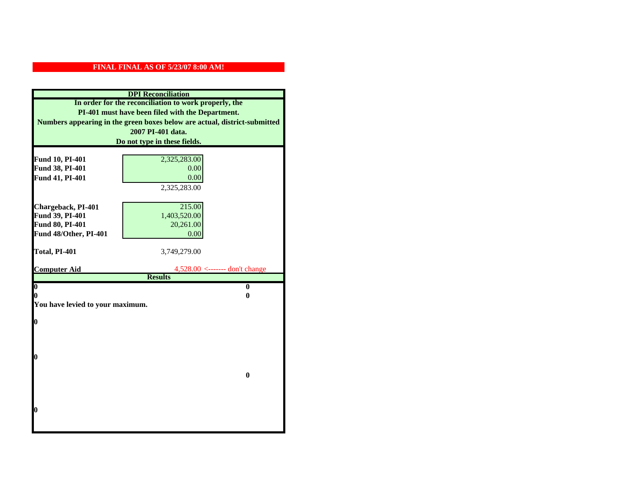| <b>DPI</b> Reconciliation                                                                                                                                                                                   |                                                                                   |  |                              |              |  |
|-------------------------------------------------------------------------------------------------------------------------------------------------------------------------------------------------------------|-----------------------------------------------------------------------------------|--|------------------------------|--------------|--|
| In order for the reconciliation to work properly, the<br>PI-401 must have been filed with the Department.<br>Numbers appearing in the green boxes below are actual, district-submitted<br>2007 PI-401 data. |                                                                                   |  |                              |              |  |
|                                                                                                                                                                                                             |                                                                                   |  | Do not type in these fields. |              |  |
|                                                                                                                                                                                                             |                                                                                   |  |                              |              |  |
|                                                                                                                                                                                                             |                                                                                   |  | Fund 10, PI-401              | 2,325,283.00 |  |
| Fund 38, PI-401                                                                                                                                                                                             | 0.00                                                                              |  |                              |              |  |
| Fund 41, PI-401                                                                                                                                                                                             | 0.00                                                                              |  |                              |              |  |
|                                                                                                                                                                                                             | 2,325,283.00                                                                      |  |                              |              |  |
| Chargeback, PI-401                                                                                                                                                                                          | 215.00                                                                            |  |                              |              |  |
| Fund 39, PI-401                                                                                                                                                                                             | 1,403,520.00                                                                      |  |                              |              |  |
| <b>Fund 80, PI-401</b>                                                                                                                                                                                      | 20,261.00                                                                         |  |                              |              |  |
| Fund 48/Other, PI-401                                                                                                                                                                                       | 0.00                                                                              |  |                              |              |  |
|                                                                                                                                                                                                             |                                                                                   |  |                              |              |  |
| Total, PI-401                                                                                                                                                                                               | 3,749,279.00                                                                      |  |                              |              |  |
|                                                                                                                                                                                                             |                                                                                   |  |                              |              |  |
| <b>Computer Aid</b>                                                                                                                                                                                         | $4,528.00 \leftarrow \leftarrow \leftarrow \text{don't change}$<br><b>Results</b> |  |                              |              |  |
| $\boldsymbol{0}$                                                                                                                                                                                            | $\mathbf{0}$                                                                      |  |                              |              |  |
| 0                                                                                                                                                                                                           | 0                                                                                 |  |                              |              |  |
| You have levied to your maximum.                                                                                                                                                                            |                                                                                   |  |                              |              |  |
|                                                                                                                                                                                                             |                                                                                   |  |                              |              |  |
| 0                                                                                                                                                                                                           |                                                                                   |  |                              |              |  |
|                                                                                                                                                                                                             |                                                                                   |  |                              |              |  |
|                                                                                                                                                                                                             |                                                                                   |  |                              |              |  |
|                                                                                                                                                                                                             |                                                                                   |  |                              |              |  |
| 0                                                                                                                                                                                                           |                                                                                   |  |                              |              |  |
|                                                                                                                                                                                                             | $\bf{0}$                                                                          |  |                              |              |  |
|                                                                                                                                                                                                             |                                                                                   |  |                              |              |  |
|                                                                                                                                                                                                             |                                                                                   |  |                              |              |  |
|                                                                                                                                                                                                             |                                                                                   |  |                              |              |  |
| 0                                                                                                                                                                                                           |                                                                                   |  |                              |              |  |
|                                                                                                                                                                                                             |                                                                                   |  |                              |              |  |
|                                                                                                                                                                                                             |                                                                                   |  |                              |              |  |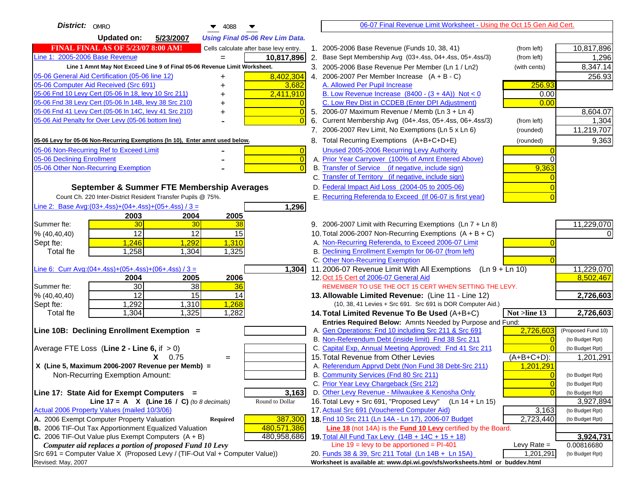| District: OMRO<br>$\blacktriangledown$ 4088                                         |                                                                                                                   | 06-07 Final Revenue Limit Worksheet - Using the Oct 15 Gen Aid Cert.                      |                    |
|-------------------------------------------------------------------------------------|-------------------------------------------------------------------------------------------------------------------|-------------------------------------------------------------------------------------------|--------------------|
| <b>Updated on:</b><br>5/23/2007<br><b>Using Final 05-06 Rev Lim Data.</b>           |                                                                                                                   |                                                                                           |                    |
| <b>FINAL FINAL AS OF 5/23/07 8:00 AM!</b><br>Cells calculate after base levy entry. | 1. 2005-2006 Base Revenue (Funds 10, 38, 41)                                                                      | (from left)                                                                               | 10,817,896         |
| Line 1: 2005-2006 Base Revenue<br>10,817,896<br>$=$                                 | 2. Base Sept Membership Avg (03+.4ss, 04+.4ss, 05+.4ss/3)                                                         | (from left)                                                                               | 1,296              |
| Line 1 Amnt May Not Exceed Line 9 of Final 05-06 Revenue Limit Worksheet.           | 3. 2005-2006 Base Revenue Per Member (Ln 1 / Ln2)                                                                 | (with cents)                                                                              | 8,347.14           |
| 8,402,304<br>05-06 General Aid Certification (05-06 line 12)                        | 4. 2006-2007 Per Member Increase $(A + B - C)$                                                                    |                                                                                           | 256.93             |
| 05-06 Computer Aid Received (Src 691)<br>3,682                                      | A. Allowed Per Pupil Increase                                                                                     | 256.93                                                                                    |                    |
| 05-06 Fnd 10 Levy Cert (05-06 In 18, levy 10 Src 211)<br>2,411,910                  | B. Low Revenue Increase $(8400 - (3 + 4A))$ Not < 0                                                               | 0.00                                                                                      |                    |
| 05-06 Fnd 38 Levy Cert (05-06 In 14B, levy 38 Src 210)                              | C. Low Rev Dist in CCDEB (Enter DPI Adjustment)                                                                   | 0.00                                                                                      |                    |
| 05-06 Fnd 41 Levy Cert (05-06 In 14C, levy 41 Src 210)<br>$\overline{0}$<br>+       | 5. 2006-07 Maximum Revenue / Memb (Ln 3 + Ln 4)                                                                   |                                                                                           | 8,604.07           |
| 05-06 Aid Penalty for Over Levy (05-06 bottom line)<br>$\Omega$                     | Current Membership Avg (04+.4ss, 05+.4ss, 06+.4ss/3)                                                              | (from left)                                                                               | 1,304              |
|                                                                                     | 7. 2006-2007 Rev Limit, No Exemptions (Ln 5 x Ln 6)                                                               | (rounded)                                                                                 | 11,219,707         |
| 05-06 Levy for 05-06 Non-Recurring Exemptions (In 10), Enter amnt used below.       | 8. Total Recurring Exemptions (A+B+C+D+E)                                                                         | (rounded)                                                                                 | 9,363              |
| 05-06 Non-Recurring Ref to Exceed Limit<br>$\overline{0}$                           | Unused 2005-2006 Recurring Levy Authority                                                                         |                                                                                           |                    |
| 05-06 Declining Enrollment<br>$\overline{0}$                                        | A. Prior Year Carryover (100% of Amnt Entered Above)                                                              | $\Omega$                                                                                  |                    |
| 05-06 Other Non-Recurring Exemption<br>$\Omega$                                     | B. Transfer of Service (if negative, include sign)                                                                | 9,363                                                                                     |                    |
|                                                                                     | C. Transfer of Territory (if negative, include sign)                                                              |                                                                                           |                    |
| September & Summer FTE Membership Averages                                          | D. Federal Impact Aid Loss (2004-05 to 2005-06)                                                                   |                                                                                           |                    |
| Count Ch. 220 Inter-District Resident Transfer Pupils @ 75%.                        | E. Recurring Referenda to Exceed (If 06-07 is first year)                                                         |                                                                                           |                    |
| Line 2: Base Avg: (03+.4ss) + (04+.4ss) + (05+.4ss) / 3 =<br>1,296                  |                                                                                                                   |                                                                                           |                    |
| 2003<br>2004<br>2005                                                                |                                                                                                                   |                                                                                           |                    |
| 30<br>Summer fte:<br>30<br>38                                                       | 9. 2006-2007 Limit with Recurring Exemptions (Ln 7 + Ln 8)                                                        |                                                                                           | 11,229,070         |
| 12<br>12<br>15<br>% (40, 40, 40)                                                    | 10. Total 2006-2007 Non-Recurring Exemptions $(A + B + C)$                                                        |                                                                                           | ΩI                 |
| 1,246<br>1,292<br>1,310<br>Sept fte:                                                | A. Non-Recurring Referenda, to Exceed 2006-07 Limit                                                               |                                                                                           |                    |
| 1,258<br>1,325<br>Total fte<br>1,304                                                | B. Declining Enrollment Exemptn for 06-07 (from left)                                                             |                                                                                           |                    |
|                                                                                     | C. Other Non-Recurring Exemption                                                                                  |                                                                                           |                    |
| Line 6: Curr Avg: $(04+.4ss)+(05+.4ss)+(06+.4ss)$ / 3 =<br>1,304                    | 11.2006-07 Revenue Limit With All Exemptions $(Ln 9 + Ln 10)$                                                     |                                                                                           | 11,229,070         |
| 2006<br>2004<br>2005                                                                | 12. Oct 15 Cert of 2006-07 General Aid                                                                            |                                                                                           | 8,502,467          |
| 30<br>38<br>Summer fte:<br>36<br>12<br>15<br>14                                     | REMEMBER TO USE THE OCT 15 CERT WHEN SETTING THE LEVY.                                                            |                                                                                           |                    |
| % (40, 40, 40)<br>1,292<br>1,310<br>1,268<br>Sept fte:                              | 13. Allowable Limited Revenue: (Line 11 - Line 12)<br>(10, 38, 41 Levies + Src 691. Src 691 is DOR Computer Aid.) |                                                                                           | 2,726,603          |
| 1,304<br>1,325<br>1,282<br><b>Total fte</b>                                         | 14. Total Limited Revenue To Be Used (A+B+C)                                                                      | Not >line 13                                                                              | 2,726,603          |
|                                                                                     | Entries Required Below: Amnts Needed by Purpose and Fund:                                                         |                                                                                           |                    |
| Line 10B: Declining Enrollment Exemption =                                          | A. Gen Operations: Fnd 10 including Src 211 & Src 691                                                             | 2,726,603                                                                                 | (Proposed Fund 10) |
|                                                                                     | B. Non-Referendum Debt (inside limit) Fnd 38 Src 211                                                              | $\Omega$                                                                                  | (to Budget Rpt)    |
| Average FTE Loss (Line $2 -$ Line 6, if $> 0$ )                                     | C. Capital Exp, Annual Meeting Approved: Fnd 41 Src 211                                                           |                                                                                           | (to Budget Rpt)    |
| $X = 0.75$<br>$=$                                                                   | 15. Total Revenue from Other Levies                                                                               | $(A+B+C+D)$ :                                                                             | 1,201,291          |
| X (Line 5, Maximum 2006-2007 Revenue per Memb) =                                    | A. Referendum Apprvd Debt (Non Fund 38 Debt-Src 211)                                                              | 1,201,291                                                                                 |                    |
| Non-Recurring Exemption Amount:                                                     | B. Community Services (Fnd 80 Src 211)                                                                            | $\overline{0}$                                                                            | (to Budget Rpt)    |
|                                                                                     | C. Prior Year Levy Chargeback (Src 212)                                                                           | $\overline{0}$                                                                            | (to Budget Rpt)    |
| 3,163<br>Line 17: State Aid for Exempt Computers =                                  | D. Other Levy Revenue - Milwaukee & Kenosha Only                                                                  | $\Omega$                                                                                  | (to Budget Rpt)    |
| Round to Dollar<br>Line 17 = A $X$ (Line 16 / C) (to 8 decimals)                    | 16. Total Levy + Src 691, "Proposed Levy"                                                                         | (Ln 14 + Ln 15)                                                                           | 3,927,894          |
| Actual 2006 Property Values (mailed 10/3/06)                                        | 17. Actual Src 691 (Vouchered Computer Aid)                                                                       | 3,163                                                                                     | (to Budget Rpt)    |
| A. 2006 Exempt Computer Property Valuation<br>387,300<br>Required                   | 18. Fnd 10 Src 211 (Ln 14A - Ln 17), 2006-07 Budget                                                               | 2,723,440                                                                                 | (to Budget Rpt)    |
| B. 2006 TIF-Out Tax Apportionment Equalized Valuation<br>480,571,386                | <b>Line 18</b> (not 14A) is the <b>Fund 10 Levy</b> certified by the Board.                                       |                                                                                           |                    |
| C. 2006 TIF-Out Value plus Exempt Computers $(A + B)$<br>480,958,686                | 19. Total All Fund Tax Levy $(14B + 14C + 15 + 18)$                                                               |                                                                                           | 3,924,731          |
| Computer aid replaces a portion of proposed Fund 10 Levy                            | Line $19 = \text{levy}$ to be apportioned = PI-401                                                                | Levy Rate $=$                                                                             | 0.00816680         |
| Src 691 = Computer Value X (Proposed Levy / (TIF-Out Val + Computer Value))         | 20. Funds 38 & 39, Src 211 Total (Ln 14B + Ln 15A)                                                                | 1,201,291<br>Worksheet is available at: www.dpi.wi.gov/sfs/worksheets.html or buddev.html | (to Budget Rpt)    |
| Revised: May, 2007                                                                  |                                                                                                                   |                                                                                           |                    |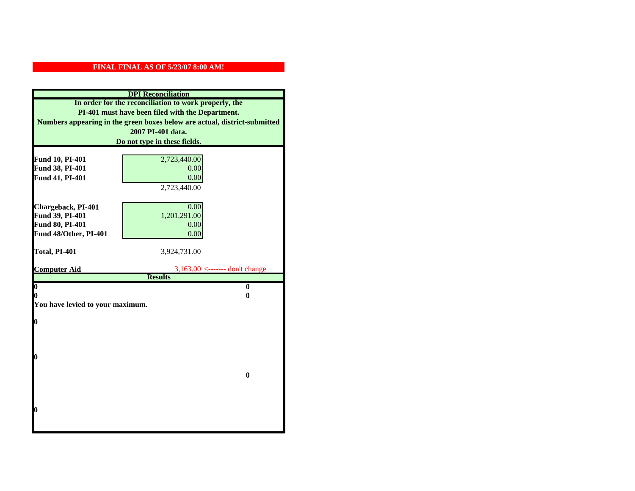| <b>DPI</b> Reconciliation                                                                                                                          |                                                       |  |                              |  |
|----------------------------------------------------------------------------------------------------------------------------------------------------|-------------------------------------------------------|--|------------------------------|--|
|                                                                                                                                                    | In order for the reconciliation to work properly, the |  |                              |  |
| PI-401 must have been filed with the Department.<br>Numbers appearing in the green boxes below are actual, district-submitted<br>2007 PI-401 data. |                                                       |  |                              |  |
|                                                                                                                                                    |                                                       |  | Do not type in these fields. |  |
|                                                                                                                                                    |                                                       |  |                              |  |
| Fund 10, PI-401                                                                                                                                    | 2,723,440.00                                          |  |                              |  |
| Fund 38, PI-401                                                                                                                                    | 0.00                                                  |  |                              |  |
| Fund 41, PI-401                                                                                                                                    | 0.00                                                  |  |                              |  |
|                                                                                                                                                    | 2,723,440.00                                          |  |                              |  |
|                                                                                                                                                    |                                                       |  |                              |  |
| Chargeback, PI-401                                                                                                                                 | 0.00                                                  |  |                              |  |
| Fund 39, PI-401                                                                                                                                    | 1,201,291.00                                          |  |                              |  |
| Fund 80, PI-401                                                                                                                                    | 0.00                                                  |  |                              |  |
| Fund 48/Other, PI-401                                                                                                                              | 0.00                                                  |  |                              |  |
| Total, PI-401                                                                                                                                      | 3,924,731.00                                          |  |                              |  |
|                                                                                                                                                    |                                                       |  |                              |  |
| <b>Computer Aid</b>                                                                                                                                | $3,163.00 \le$ ------- don't change                   |  |                              |  |
|                                                                                                                                                    | <b>Results</b>                                        |  |                              |  |
| $\boldsymbol{0}$                                                                                                                                   | $\mathbf{0}$                                          |  |                              |  |
| 0<br>0<br>You have levied to your maximum.                                                                                                         |                                                       |  |                              |  |
|                                                                                                                                                    |                                                       |  |                              |  |
| $\bf{0}$                                                                                                                                           |                                                       |  |                              |  |
|                                                                                                                                                    |                                                       |  |                              |  |
|                                                                                                                                                    |                                                       |  |                              |  |
|                                                                                                                                                    |                                                       |  |                              |  |
|                                                                                                                                                    |                                                       |  |                              |  |
| 0                                                                                                                                                  |                                                       |  |                              |  |
|                                                                                                                                                    |                                                       |  |                              |  |
|                                                                                                                                                    | $\bf{0}$                                              |  |                              |  |
|                                                                                                                                                    |                                                       |  |                              |  |
|                                                                                                                                                    |                                                       |  |                              |  |
|                                                                                                                                                    |                                                       |  |                              |  |
| 0                                                                                                                                                  |                                                       |  |                              |  |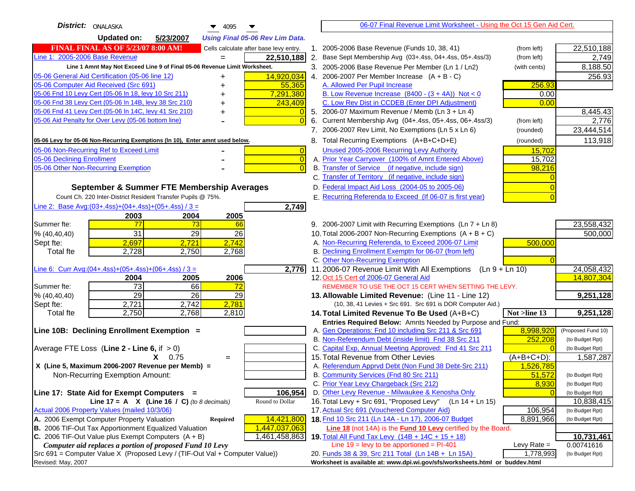| District:   ONALASKA<br>$\blacktriangledown$ 4095<br>▼                              |                                                                                                                    | 06-07 Final Revenue Limit Worksheet - Using the Oct 15 Gen Aid Cert. |               |                                       |
|-------------------------------------------------------------------------------------|--------------------------------------------------------------------------------------------------------------------|----------------------------------------------------------------------|---------------|---------------------------------------|
| <b>Updated on:</b><br>5/23/2007<br><b>Using Final 05-06 Rev Lim Data.</b>           |                                                                                                                    |                                                                      |               |                                       |
| <b>FINAL FINAL AS OF 5/23/07 8:00 AM!</b><br>Cells calculate after base levy entry. | 2005-2006 Base Revenue (Funds 10, 38, 41)                                                                          |                                                                      | (from left)   | 22,510,188                            |
| Line 1: 2005-2006 Base Revenue<br>22,510,188                                        | 2. Base Sept Membership Avg (03+.4ss, 04+.4ss, 05+.4ss/3)                                                          |                                                                      | (from left)   | 2,749                                 |
| Line 1 Amnt May Not Exceed Line 9 of Final 05-06 Revenue Limit Worksheet.           | 3. 2005-2006 Base Revenue Per Member (Ln 1 / Ln2)                                                                  |                                                                      | (with cents)  | 8,188.50                              |
| 05-06 General Aid Certification (05-06 line 12)<br>14,920,034<br>+                  | 4. 2006-2007 Per Member Increase $(A + B - C)$                                                                     |                                                                      |               | 256.93                                |
| 05-06 Computer Aid Received (Src 691)<br>55,365<br>+                                | A. Allowed Per Pupil Increase                                                                                      |                                                                      | 256.93        |                                       |
| 05-06 Fnd 10 Levy Cert (05-06 In 18, levy 10 Src 211)<br>7,291,380                  | B. Low Revenue Increase $(8400 - (3 + 4A))$ Not < 0                                                                |                                                                      | 0.00          |                                       |
| 05-06 Fnd 38 Levy Cert (05-06 In 14B, levy 38 Src 210)<br>243,409<br>+              | C. Low Rev Dist in CCDEB (Enter DPI Adjustment)                                                                    |                                                                      | 0.00          |                                       |
| 05-06 Fnd 41 Levy Cert (05-06 In 14C, levy 41 Src 210)<br>$\overline{0}$<br>+       | 5. 2006-07 Maximum Revenue / Memb (Ln 3 + Ln 4)                                                                    |                                                                      |               | 8,445.43                              |
| 05-06 Aid Penalty for Over Levy (05-06 bottom line)<br>$\Omega$                     | 6. Current Membership Avg (04+.4ss, 05+.4ss, 06+.4ss/3)                                                            |                                                                      | (from left)   | 2,776                                 |
|                                                                                     | 7. 2006-2007 Rev Limit, No Exemptions (Ln 5 x Ln 6)                                                                |                                                                      | (rounded)     | 23,444,514                            |
| 05-06 Levy for 05-06 Non-Recurring Exemptions (In 10), Enter amnt used below.       | 8. Total Recurring Exemptions (A+B+C+D+E)                                                                          |                                                                      | (rounded)     | 113,918                               |
| 05-06 Non-Recurring Ref to Exceed Limit<br>$\overline{0}$                           | Unused 2005-2006 Recurring Levy Authority                                                                          |                                                                      | 15,702        |                                       |
| 05-06 Declining Enrollment<br>$\overline{0}$                                        | A. Prior Year Carryover (100% of Amnt Entered Above)                                                               |                                                                      | 15,702        |                                       |
| 05-06 Other Non-Recurring Exemption<br>$\Omega$                                     | B. Transfer of Service (if negative, include sign)                                                                 |                                                                      | 98,216        |                                       |
|                                                                                     | C. Transfer of Territory (if negative, include sign)                                                               |                                                                      |               |                                       |
| September & Summer FTE Membership Averages                                          | D. Federal Impact Aid Loss (2004-05 to 2005-06)                                                                    |                                                                      |               |                                       |
| Count Ch. 220 Inter-District Resident Transfer Pupils @ 75%.                        | E. Recurring Referenda to Exceed (If 06-07 is first year)                                                          |                                                                      |               |                                       |
| Line 2: Base Avg: (03+.4ss) + (04+.4ss) + (05+.4ss) / 3 =<br>2,749                  |                                                                                                                    |                                                                      |               |                                       |
| 2003<br>2004<br>2005                                                                |                                                                                                                    |                                                                      |               |                                       |
| 77<br>73<br>Summer fte:<br>66                                                       | 9. 2006-2007 Limit with Recurring Exemptions (Ln 7 + Ln 8)                                                         |                                                                      |               | 23,558,432                            |
| 31<br>29<br>26<br>% (40, 40, 40)                                                    | 10. Total 2006-2007 Non-Recurring Exemptions $(A + B + C)$                                                         |                                                                      |               | 500,000                               |
| 2,742<br>2,697<br>2,721<br>Sept fte:                                                | A. Non-Recurring Referenda, to Exceed 2006-07 Limit                                                                |                                                                      | 500,000       |                                       |
| <b>Total fte</b><br>2,728<br>2,750<br>2,768                                         | B. Declining Enrollment Exemptn for 06-07 (from left)                                                              |                                                                      |               |                                       |
|                                                                                     | C. Other Non-Recurring Exemption                                                                                   |                                                                      |               |                                       |
| Line 6: Curr Avg: $(04+.4ss)+(05+.4ss)+(06+.4ss)/3 =$<br>2,776                      | 11.2006-07 Revenue Limit With All Exemptions (Ln $9 + \overline{\text{Ln }10}$ )                                   |                                                                      |               | 24,058,432                            |
| 2006<br>2004<br>2005                                                                | 12. Oct 15 Cert of 2006-07 General Aid                                                                             |                                                                      |               | 14,807,304                            |
| 73<br>Summer fte:<br>66<br>72                                                       | REMEMBER TO USE THE OCT 15 CERT WHEN SETTING THE LEVY.                                                             |                                                                      |               |                                       |
| 29<br>29<br>26<br>% (40, 40, 40)                                                    | 13. Allowable Limited Revenue: (Line 11 - Line 12)                                                                 |                                                                      |               | 9,251,128                             |
| 2,781<br>2,721<br>2,742<br>Sept fte:                                                |                                                                                                                    | (10, 38, 41 Levies + Src 691. Src 691 is DOR Computer Aid.)          |               |                                       |
| 2,750<br>2,768<br>2,810<br><b>Total fte</b>                                         | 14. Total Limited Revenue To Be Used (A+B+C)                                                                       |                                                                      | Not >line 13  | 9,251,128                             |
|                                                                                     | Entries Required Below: Amnts Needed by Purpose and Fund:<br>A. Gen Operations: Fnd 10 including Src 211 & Src 691 |                                                                      |               |                                       |
| Line 10B: Declining Enrollment Exemption =                                          | B. Non-Referendum Debt (inside limit) Fnd 38 Src 211                                                               |                                                                      | 8,998,920     | (Proposed Fund 10)<br>(to Budget Rpt) |
| Average FTE Loss (Line $2 -$ Line 6, if $> 0$ )                                     | C. Capital Exp, Annual Meeting Approved: Fnd 41 Src 211                                                            |                                                                      | 252,208       | (to Budget Rpt)                       |
| $X = 0.75$<br>$=$                                                                   | 15. Total Revenue from Other Levies                                                                                |                                                                      | $(A+B+C+D)$ : | 1,587,287                             |
| X (Line 5, Maximum 2006-2007 Revenue per Memb) =                                    | A. Referendum Apprvd Debt (Non Fund 38 Debt-Src 211)                                                               |                                                                      | 1,526,785     |                                       |
| Non-Recurring Exemption Amount:                                                     | B. Community Services (Fnd 80 Src 211)                                                                             |                                                                      | 51,572        | (to Budget Rpt)                       |
|                                                                                     | C. Prior Year Levy Chargeback (Src 212)                                                                            |                                                                      | 8,930         | (to Budget Rpt)                       |
| 106,954<br>Line 17: State Aid for Exempt Computers =                                | D. Other Levy Revenue - Milwaukee & Kenosha Only                                                                   |                                                                      |               | (to Budget Rpt)                       |
| Round to Dollar<br>Line 17 = A $X$ (Line 16 / C) (to 8 decimals)                    | 16. Total Levy + Src 691, "Proposed Levy" (Ln 14 + Ln 15)                                                          |                                                                      |               | 10,838,415                            |
| Actual 2006 Property Values (mailed 10/3/06)                                        | 17. Actual Src 691 (Vouchered Computer Aid)                                                                        |                                                                      | 106,954       | (to Budget Rpt)                       |
| A. 2006 Exempt Computer Property Valuation<br>14,421,800<br>Required                | 18. Fnd 10 Src 211 (Ln 14A - Ln 17), 2006-07 Budget                                                                |                                                                      | 8,891,966     | (to Budget Rpt)                       |
| B. 2006 TIF-Out Tax Apportionment Equalized Valuation<br>1,447,037,063              |                                                                                                                    | Line 18 (not 14A) is the Fund 10 Levy certified by the Board.        |               |                                       |
| C. 2006 TIF-Out Value plus Exempt Computers $(A + B)$<br>1,461,458,863              | 19. Total All Fund Tax Levy $(14B + 14C + 15 + 18)$                                                                |                                                                      |               | 10,731,461                            |
| Computer aid replaces a portion of proposed Fund 10 Levy                            | Line $19 = \text{levy}$ to be apportioned = PI-401                                                                 |                                                                      | Levy Rate $=$ | 0.00741616                            |
| $Src691$ = Computer Value X (Proposed Levy / (TIF-Out Val + Computer Value))        | 20. Funds 38 & 39, Src 211 Total (Ln 14B + Ln 15A)                                                                 |                                                                      | 1,778,993     | (to Budget Rpt)                       |
| Revised: May, 2007                                                                  | Worksheet is available at: www.dpi.wi.gov/sfs/worksheets.html or buddev.html                                       |                                                                      |               |                                       |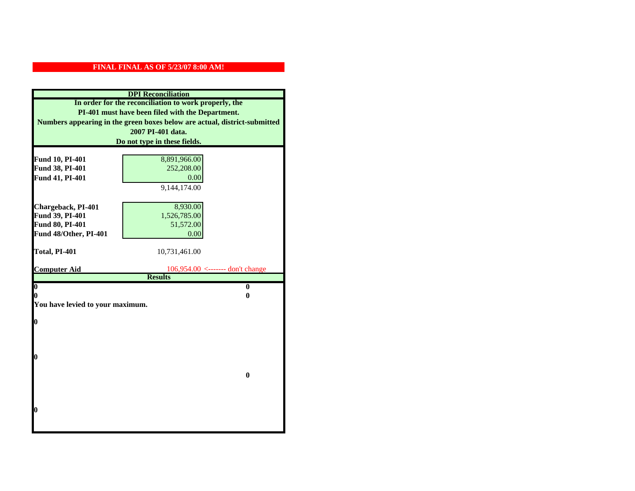|                                  | <b>DPI</b> Reconciliation                                                 |
|----------------------------------|---------------------------------------------------------------------------|
|                                  | In order for the reconciliation to work properly, the                     |
|                                  | PI-401 must have been filed with the Department.                          |
|                                  | Numbers appearing in the green boxes below are actual, district-submitted |
|                                  | 2007 PI-401 data.                                                         |
|                                  | Do not type in these fields.                                              |
|                                  |                                                                           |
| Fund 10, PI-401                  | 8,891,966.00                                                              |
| Fund 38, PI-401                  | 252,208.00                                                                |
| Fund 41, PI-401                  | 0.00                                                                      |
|                                  | 9,144,174.00                                                              |
|                                  |                                                                           |
| Chargeback, PI-401               | 8,930.00                                                                  |
| Fund 39, PI-401                  | 1,526,785.00                                                              |
| Fund 80, PI-401                  | 51,572.00                                                                 |
| Fund 48/Other, PI-401            | 0.00                                                                      |
|                                  |                                                                           |
| Total, PI-401                    | 10,731,461.00                                                             |
| <b>Computer Aid</b>              | $106,954.00$ <------- don't change                                        |
|                                  | <b>Results</b>                                                            |
| $\overline{\mathbf{0}}$          | $\bf{0}$                                                                  |
| 0                                | 0                                                                         |
| You have levied to your maximum. |                                                                           |
|                                  |                                                                           |
| $\bf{0}$                         |                                                                           |
|                                  |                                                                           |
|                                  |                                                                           |
| l0                               |                                                                           |
|                                  |                                                                           |
|                                  | $\bf{0}$                                                                  |
|                                  |                                                                           |
|                                  |                                                                           |
|                                  |                                                                           |
| $\boldsymbol{0}$                 |                                                                           |
|                                  |                                                                           |
|                                  |                                                                           |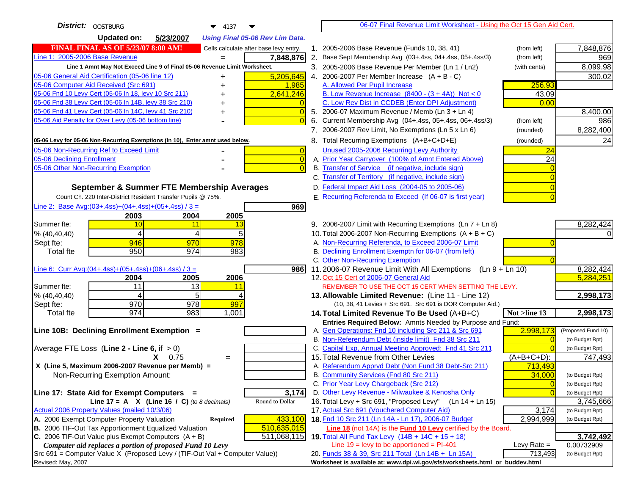| District: OOSTBURG<br>$\blacktriangledown$ 4137                                               | 06-07 Final Revenue Limit Worksheet - Using the Oct 15 Gen Aid Cert.                                                       |                              |
|-----------------------------------------------------------------------------------------------|----------------------------------------------------------------------------------------------------------------------------|------------------------------|
| <b>Updated on:</b><br>5/23/2007<br><b>Using Final 05-06 Rev Lim Data.</b>                     |                                                                                                                            |                              |
| <b>FINAL FINAL AS OF 5/23/07 8:00 AM!</b><br>Cells calculate after base levy entry.           | 1. 2005-2006 Base Revenue (Funds 10, 38, 41)<br>(from left)                                                                | 7,848,876                    |
| Line 1: 2005-2006 Base Revenue<br>7,848,876<br>$=$                                            | 2. Base Sept Membership Avg (03+.4ss, 04+.4ss, 05+.4ss/3)<br>(from left)                                                   | 969                          |
| Line 1 Amnt May Not Exceed Line 9 of Final 05-06 Revenue Limit Worksheet.                     | 3. 2005-2006 Base Revenue Per Member (Ln 1 / Ln2)<br>(with cents)                                                          | 8,099.98                     |
| 5,205,645<br>05-06 General Aid Certification (05-06 line 12)<br>+                             | 4. 2006-2007 Per Member Increase $(A + B - C)$                                                                             | 300.02                       |
| 05-06 Computer Aid Received (Src 691)<br>1,985                                                | A. Allowed Per Pupil Increase<br>256.93                                                                                    |                              |
| 05-06 Fnd 10 Levy Cert (05-06 In 18, levy 10 Src 211)<br>2,641,246                            | B. Low Revenue Increase $(8400 - (3 + 4A))$ Not < 0<br>43.09                                                               |                              |
| 05-06 Fnd 38 Levy Cert (05-06 In 14B, levy 38 Src 210)                                        | C. Low Rev Dist in CCDEB (Enter DPI Adjustment)<br>0.00                                                                    |                              |
| 05-06 Fnd 41 Levy Cert (05-06 In 14C, levy 41 Src 210)<br>0<br>+                              | 5. 2006-07 Maximum Revenue / Memb (Ln 3 + Ln 4)                                                                            | 8,400.00                     |
| 05-06 Aid Penalty for Over Levy (05-06 bottom line)                                           | 6. Current Membership Avg (04+.4ss, 05+.4ss, 06+.4ss/3)<br>(from left)                                                     | 986                          |
|                                                                                               | 7. 2006-2007 Rev Limit, No Exemptions (Ln 5 x Ln 6)<br>(rounded)                                                           | 8,282,400                    |
| 05-06 Levy for 05-06 Non-Recurring Exemptions (In 10), Enter amnt used below.                 | 8. Total Recurring Exemptions (A+B+C+D+E)<br>(rounded)                                                                     | 24                           |
| 05-06 Non-Recurring Ref to Exceed Limit<br>$\overline{0}$                                     | Unused 2005-2006 Recurring Levy Authority<br>24                                                                            |                              |
| 05-06 Declining Enrollment<br>$\overline{0}$                                                  | $\overline{24}$<br>A. Prior Year Carryover (100% of Amnt Entered Above)                                                    |                              |
| 05-06 Other Non-Recurring Exemption<br>$\sqrt{ }$                                             | B. Transfer of Service (if negative, include sign)                                                                         |                              |
|                                                                                               | C. Transfer of Territory (if negative, include sign)                                                                       |                              |
| September & Summer FTE Membership Averages                                                    | D. Federal Impact Aid Loss (2004-05 to 2005-06)                                                                            |                              |
| Count Ch. 220 Inter-District Resident Transfer Pupils @ 75%.                                  | E. Recurring Referenda to Exceed (If 06-07 is first year)                                                                  |                              |
| Line 2: Base Avg: $(03+.4ss)+(04+.4ss)+(05+.4ss)/3 =$<br>969                                  |                                                                                                                            |                              |
| 2003<br>2004<br>2005                                                                          |                                                                                                                            |                              |
| Summer fte:<br>10<br>11<br>13                                                                 | 9. 2006-2007 Limit with Recurring Exemptions (Ln 7 + Ln 8)                                                                 | 8,282,424                    |
| 5<br>4<br>4<br>% (40, 40, 40)                                                                 | 10. Total 2006-2007 Non-Recurring Exemptions $(A + B + C)$                                                                 |                              |
| 946<br>970<br>978<br>Sept fte:                                                                | A. Non-Recurring Referenda, to Exceed 2006-07 Limit                                                                        |                              |
| 950<br>974<br>983<br><b>Total fte</b>                                                         | B. Declining Enrollment Exemptn for 06-07 (from left)                                                                      |                              |
|                                                                                               | C. Other Non-Recurring Exemption                                                                                           |                              |
| Line 6: Curr Avg: $(04+.4ss)+(05+.4ss)+(06+.4ss)/3 =$<br>986<br>2006<br>2004<br>2005          | 11.2006-07 Revenue Limit With All Exemptions (Ln $9 + \overline{\text{Ln }10}$ )<br>12. Oct 15 Cert of 2006-07 General Aid | 8,282,424<br>5,284,251       |
| 11<br>13<br>Summer fte:<br>11                                                                 | REMEMBER TO USE THE OCT 15 CERT WHEN SETTING THE LEVY.                                                                     |                              |
| % (40, 40, 40)<br>5<br>4                                                                      | 13. Allowable Limited Revenue: (Line 11 - Line 12)                                                                         | 2,998,173                    |
| $\overline{978}$<br>970<br>997<br>Sept fte:                                                   | (10, 38, 41 Levies + Src 691. Src 691 is DOR Computer Aid.)                                                                |                              |
| 974<br>983<br>1,001<br><b>Total fte</b>                                                       | 14. Total Limited Revenue To Be Used (A+B+C)<br>Not >line 13                                                               | 2,998,173                    |
|                                                                                               | Entries Required Below: Amnts Needed by Purpose and Fund:                                                                  |                              |
| Line 10B: Declining Enrollment Exemption =                                                    | A. Gen Operations: Fnd 10 including Src 211 & Src 691<br>2,998,173                                                         | (Proposed Fund 10)           |
|                                                                                               | B. Non-Referendum Debt (inside limit) Fnd 38 Src 211                                                                       | (to Budget Rpt)              |
| Average FTE Loss (Line $2 -$ Line 6, if $> 0$ )                                               | C. Capital Exp, Annual Meeting Approved: Fnd 41 Src 211                                                                    | (to Budget Rpt)              |
| $X = 0.75$<br>$=$                                                                             | 15. Total Revenue from Other Levies<br>(A+B+C+D):                                                                          | 747,493                      |
| X (Line 5, Maximum 2006-2007 Revenue per Memb) =                                              | A. Referendum Apprvd Debt (Non Fund 38 Debt-Src 211)<br>713,493                                                            |                              |
| Non-Recurring Exemption Amount:                                                               | B. Community Services (Fnd 80 Src 211)<br>34,000                                                                           | (to Budget Rpt)              |
|                                                                                               | C. Prior Year Levy Chargeback (Src 212)<br>$\overline{0}$                                                                  | (to Budget Rpt)              |
| 3,174<br>Line 17: State Aid for Exempt Computers =<br>Round to Dollar                         | D. Other Levy Revenue - Milwaukee & Kenosha Only<br>16. Total Levy + Src 691, "Proposed Levy"<br>$(Ln 14 + Ln 15)$         | (to Budget Rpt)              |
| Line 17 = A $X$ (Line 16 / C) (to 8 decimals)<br>Actual 2006 Property Values (mailed 10/3/06) | 17. Actual Src 691 (Vouchered Computer Aid)<br>3,174                                                                       | 3,745,666<br>(to Budget Rpt) |
| A. 2006 Exempt Computer Property Valuation<br>433,100<br>Required                             | 18. Fnd 10 Src 211 (Ln 14A - Ln 17), 2006-07 Budget<br>2,994,999                                                           | (to Budget Rpt)              |
| B. 2006 TIF-Out Tax Apportionment Equalized Valuation<br>510,635,015                          | Line 18 (not 14A) is the <b>Fund 10 Levy</b> certified by the Board.                                                       |                              |
| C. 2006 TIF-Out Value plus Exempt Computers $(A + B)$<br>511,068,115                          | 19. Total All Fund Tax Levy $(14B + 14C + 15 + 18)$                                                                        | 3,742,492                    |
| Computer aid replaces a portion of proposed Fund 10 Levy                                      | Line $19 = \text{levy}$ to be apportioned = PI-401<br>Levy Rate $=$                                                        | 0.00732909                   |
| Src 691 = Computer Value X (Proposed Levy / (TIF-Out Val + Computer Value))                   | 20. Funds 38 & 39, Src 211 Total (Ln 14B + Ln 15A)<br>713,493                                                              | (to Budget Rpt)              |
| Revised: May, 2007                                                                            | Worksheet is available at: www.dpi.wi.gov/sfs/worksheets.html or buddev.html                                               |                              |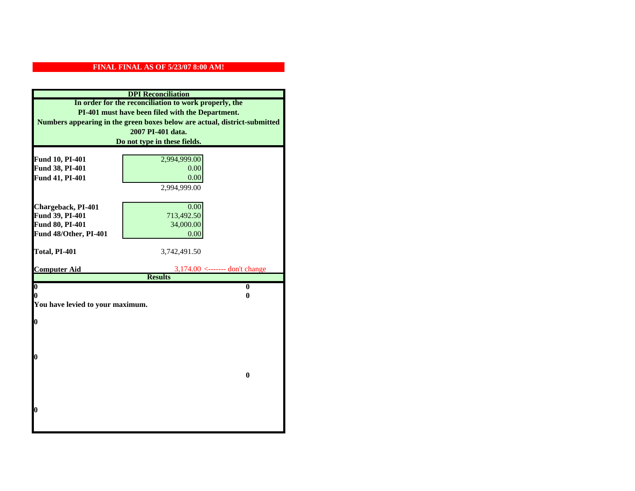|                                  | <b>DPI</b> Reconciliation                                                 |
|----------------------------------|---------------------------------------------------------------------------|
|                                  | In order for the reconciliation to work properly, the                     |
|                                  | PI-401 must have been filed with the Department.                          |
|                                  | Numbers appearing in the green boxes below are actual, district-submitted |
|                                  | 2007 PI-401 data.                                                         |
|                                  | Do not type in these fields.                                              |
|                                  |                                                                           |
| Fund 10, PI-401                  | 2,994,999.00                                                              |
| Fund 38, PI-401                  | 0.00<br>0.00                                                              |
| Fund 41, PI-401                  | 2,994,999.00                                                              |
|                                  |                                                                           |
| Chargeback, PI-401               | 0.00                                                                      |
| Fund 39, PI-401                  | 713,492.50                                                                |
| Fund 80, PI-401                  | 34,000.00                                                                 |
| Fund 48/Other, PI-401            | 0.00                                                                      |
|                                  |                                                                           |
| Total, PI-401                    | 3,742,491.50                                                              |
|                                  |                                                                           |
| <b>Computer Aid</b>              | $3,174.00 \leftarrow \text{---}$ don't change<br><b>Results</b>           |
| $\boldsymbol{0}$                 | $\bf{0}$                                                                  |
| 0                                | 0                                                                         |
| You have levied to your maximum. |                                                                           |
|                                  |                                                                           |
| 0                                |                                                                           |
|                                  |                                                                           |
|                                  |                                                                           |
|                                  |                                                                           |
| 0                                |                                                                           |
|                                  | $\bf{0}$                                                                  |
|                                  |                                                                           |
|                                  |                                                                           |
|                                  |                                                                           |
| 0                                |                                                                           |
|                                  |                                                                           |
|                                  |                                                                           |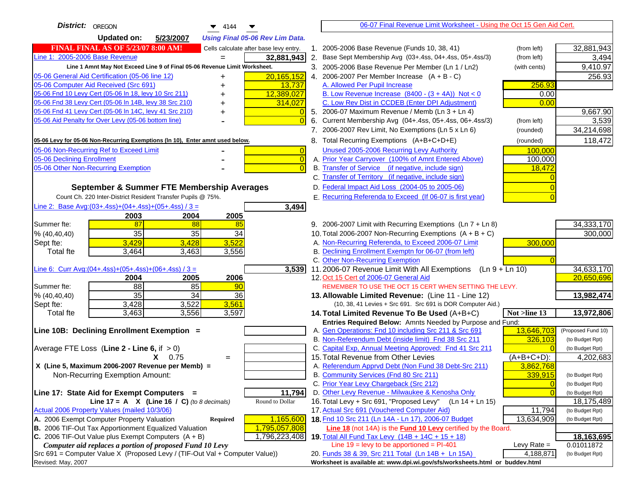| District:<br>OREGON<br>$\blacktriangledown$ 4144<br>▼                                                   | 06-07 Final Revenue Limit Worksheet - Using the Oct 15 Gen Aid Cert.                                         |                          |
|---------------------------------------------------------------------------------------------------------|--------------------------------------------------------------------------------------------------------------|--------------------------|
| <b>Updated on:</b><br>5/23/2007<br><b>Using Final 05-06 Rev Lim Data.</b>                               |                                                                                                              |                          |
| <b>FINAL FINAL AS OF 5/23/07 8:00 AM!</b><br>Cells calculate after base levy entry.                     | 2005-2006 Base Revenue (Funds 10, 38, 41)<br>$1_{-}$<br>(from left)                                          | 32,881,943               |
| Line 1: 2005-2006 Base Revenue<br>32,881,943                                                            | 2.<br>Base Sept Membership Avg (03+.4ss, 04+.4ss, 05+.4ss/3)<br>(from left)                                  | 3,494                    |
| Line 1 Amnt May Not Exceed Line 9 of Final 05-06 Revenue Limit Worksheet.                               | 3. 2005-2006 Base Revenue Per Member (Ln 1 / Ln2)<br>(with cents)                                            | 9,410.97                 |
| 20,165,152<br>05-06 General Aid Certification (05-06 line 12)<br>+                                      | 4. 2006-2007 Per Member Increase $(A + B - C)$                                                               | 256.93                   |
| 05-06 Computer Aid Received (Src 691)<br>13,737                                                         | A. Allowed Per Pupil Increase<br>256.93                                                                      |                          |
| 05-06 Fnd 10 Levy Cert (05-06 In 18, levy 10 Src 211)<br>12,389,027                                     | B. Low Revenue Increase $(8400 - (3 + 4A))$ Not < 0<br>0.00                                                  |                          |
| 05-06 Fnd 38 Levy Cert (05-06 In 14B, levy 38 Src 210)<br>314,027                                       | C. Low Rev Dist in CCDEB (Enter DPI Adjustment)<br>0.00                                                      |                          |
| 05-06 Fnd 41 Levy Cert (05-06 In 14C, levy 41 Src 210)<br>+                                             | 5. 2006-07 Maximum Revenue / Memb (Ln 3 + Ln 4)                                                              | 9,667.90                 |
| 05-06 Aid Penalty for Over Levy (05-06 bottom line)<br>$\Omega$                                         | 6. Current Membership Avg (04+.4ss, 05+.4ss, 06+.4ss/3)<br>(from left)                                       | 3,539                    |
|                                                                                                         | 7. 2006-2007 Rev Limit, No Exemptions (Ln 5 x Ln 6)<br>(rounded)                                             | 34,214,698               |
| 05-06 Levy for 05-06 Non-Recurring Exemptions (In 10), Enter amnt used below.                           | 8. Total Recurring Exemptions (A+B+C+D+E)<br>(rounded)                                                       | 118,472                  |
| 05-06 Non-Recurring Ref to Exceed Limit<br>$\overline{0}$                                               | Unused 2005-2006 Recurring Levy Authority<br>100,000                                                         |                          |
| 05-06 Declining Enrollment<br>$\overline{0}$                                                            | A. Prior Year Carryover (100% of Amnt Entered Above)<br>100,000                                              |                          |
| 05-06 Other Non-Recurring Exemption<br>$\overline{0}$                                                   | B. Transfer of Service (if negative, include sign)<br>18,472                                                 |                          |
|                                                                                                         | C. Transfer of Territory (if negative, include sign)                                                         |                          |
| September & Summer FTE Membership Averages                                                              | D. Federal Impact Aid Loss (2004-05 to 2005-06)                                                              |                          |
| Count Ch. 220 Inter-District Resident Transfer Pupils @ 75%.                                            | E. Recurring Referenda to Exceed (If 06-07 is first year)                                                    |                          |
| Line 2: Base Avg: (03+.4ss) + (04+.4ss) + (05+.4ss) / 3 =<br>3,494                                      |                                                                                                              |                          |
| 2003<br>2004<br>2005                                                                                    |                                                                                                              |                          |
| Summer fte:<br>87<br>88<br>85                                                                           | 9. 2006-2007 Limit with Recurring Exemptions (Ln 7 + Ln 8)                                                   | 34,333,170               |
| 35<br>35<br>34<br>% (40, 40, 40)                                                                        | 10. Total 2006-2007 Non-Recurring Exemptions $(A + B + C)$                                                   | 300,000                  |
| 3,522<br>3,429<br>3,428<br>Sept fte:                                                                    | A. Non-Recurring Referenda, to Exceed 2006-07 Limit<br>300,000                                               |                          |
| 3,464<br>3,463<br>3,556<br><b>Total fte</b>                                                             | B. Declining Enrollment Exemptn for 06-07 (from left)                                                        |                          |
|                                                                                                         | C. Other Non-Recurring Exemption<br>11.2006-07 Revenue Limit With All Exemptions<br>$(Ln 9 + Ln 10)$         |                          |
| 3,539<br>Line 6: Curr Avg: $(04+.4ss)+(05+.4ss)+(06+.4ss)/3 =$<br>2006<br>2004<br>2005                  | 12. Oct 15 Cert of 2006-07 General Aid                                                                       | 34,633,170<br>20,650,696 |
| $\overline{88}$<br>85<br>Summer fte:<br>90                                                              | REMEMBER TO USE THE OCT 15 CERT WHEN SETTING THE LEVY.                                                       |                          |
| 35<br>$\overline{34}$<br>36<br>% (40, 40, 40)                                                           | 13. Allowable Limited Revenue: (Line 11 - Line 12)                                                           | 13,982,474               |
| 3,561<br>Sept fte:<br>3,428<br>3,522                                                                    | (10, 38, 41 Levies + Src 691. Src 691 is DOR Computer Aid.)                                                  |                          |
| 3,597<br>3,463<br>3,556<br>Total fte                                                                    | Not >line 13<br>14. Total Limited Revenue To Be Used $(A+B+C)$                                               | 13,972,806               |
|                                                                                                         | Entries Required Below: Amnts Needed by Purpose and Fund:                                                    |                          |
| Line 10B: Declining Enrollment Exemption =                                                              | 13,646,703<br>A. Gen Operations: Fnd 10 including Src 211 & Src 691                                          | (Proposed Fund 10)       |
|                                                                                                         | B. Non-Referendum Debt (inside limit) Fnd 38 Src 211<br>326,103                                              | (to Budget Rpt)          |
| Average FTE Loss (Line $2 -$ Line 6, if $> 0$ )                                                         | C. Capital Exp, Annual Meeting Approved: Fnd 41 Src 211                                                      | (to Budget Rpt)          |
| $X = 0.75$<br>$=$                                                                                       | 15. Total Revenue from Other Levies<br>$(A+B+C+D)$ :                                                         | 4,202,683                |
| X (Line 5, Maximum 2006-2007 Revenue per Memb) =                                                        | A. Referendum Apprvd Debt (Non Fund 38 Debt-Src 211)<br>3,862,768                                            |                          |
| Non-Recurring Exemption Amount:                                                                         | B. Community Services (Fnd 80 Src 211)<br>339,915                                                            | (to Budget Rpt)          |
|                                                                                                         | C. Prior Year Levy Chargeback (Src 212)<br>$\overline{0}$                                                    | (to Budget Rpt)          |
| 11,794<br>Line 17: State Aid for Exempt Computers =                                                     | D. Other Levy Revenue - Milwaukee & Kenosha Only                                                             | (to Budget Rpt)          |
| Round to Dollar<br>Line 17 = A $X$ (Line 16 / C) (to 8 decimals)                                        | 16. Total Levy + Src 691, "Proposed Levy" (Ln 14 + Ln 15)                                                    | 18,175,489               |
| Actual 2006 Property Values (mailed 10/3/06)<br>A. 2006 Exempt Computer Property Valuation<br>1,165,600 | 17. Actual Src 691 (Vouchered Computer Aid)<br>11,794<br>18. Fnd 10 Src 211 (Ln 14A - Ln 17), 2006-07 Budget | (to Budget Rpt)          |
| Required<br>B. 2006 TIF-Out Tax Apportionment Equalized Valuation<br>1,795,057,808                      | 13,634,909<br>Line 18 (not 14A) is the <b>Fund 10 Levy</b> certified by the Board.                           | (to Budget Rpt)          |
| C. 2006 TIF-Out Value plus Exempt Computers $(A + B)$<br>1,796,223,408                                  | 19. Total All Fund Tax Levy (14B + 14C + 15 + 18)                                                            | 18,163,695               |
| Computer aid replaces a portion of proposed Fund 10 Levy                                                | Line $19$ = levy to be apportioned = PI-401<br>Levy Rate $=$                                                 | 0.01011872               |
| Src 691 = Computer Value X (Proposed Levy / (TIF-Out Val + Computer Value))                             | 20. Funds 38 & 39, Src 211 Total (Ln 14B + Ln 15A)<br>4,188,871                                              | (to Budget Rpt)          |
| Revised: May, 2007                                                                                      | Worksheet is available at: www.dpi.wi.gov/sfs/worksheets.html or buddev.html                                 |                          |
|                                                                                                         |                                                                                                              |                          |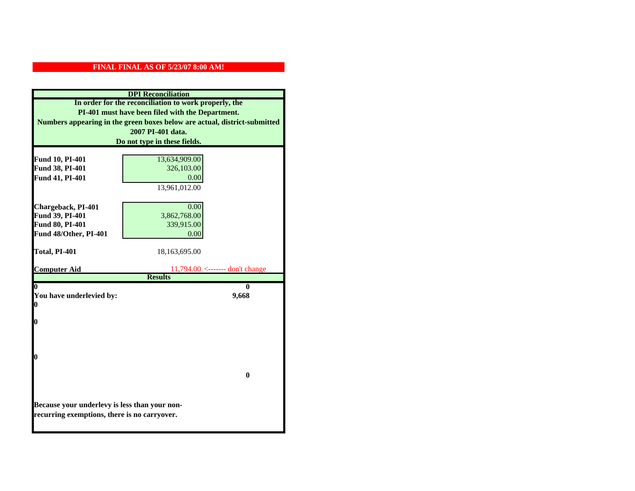|                                               | <b>DPI</b> Reconciliation                                                 |
|-----------------------------------------------|---------------------------------------------------------------------------|
|                                               | In order for the reconciliation to work properly, the                     |
|                                               | PI-401 must have been filed with the Department.                          |
|                                               | Numbers appearing in the green boxes below are actual, district-submitted |
|                                               | 2007 PI-401 data.                                                         |
|                                               | Do not type in these fields.                                              |
|                                               |                                                                           |
| Fund 10, PI-401                               | 13,634,909.00                                                             |
| Fund 38, PI-401                               | 326,103.00<br>0.00                                                        |
| Fund 41, PI-401                               | 13,961,012.00                                                             |
|                                               |                                                                           |
| Chargeback, PI-401                            | 0.00                                                                      |
| Fund 39, PI-401                               | 3,862,768.00                                                              |
| Fund 80, PI-401                               | 339,915.00                                                                |
| Fund 48/Other, PI-401                         | 0.00                                                                      |
|                                               |                                                                           |
| Total, PI-401                                 | 18,163,695.00                                                             |
|                                               |                                                                           |
| <b>Computer Aid</b>                           | $11.794.00$ <------- don't change<br><b>Results</b>                       |
| 0                                             | 0                                                                         |
| You have underlevied by:                      | 9,668                                                                     |
| 0                                             |                                                                           |
|                                               |                                                                           |
| 0                                             |                                                                           |
|                                               |                                                                           |
|                                               |                                                                           |
| 0                                             |                                                                           |
|                                               |                                                                           |
|                                               | $\mathbf{0}$                                                              |
|                                               |                                                                           |
|                                               |                                                                           |
| Because your underlevy is less than your non- |                                                                           |
| recurring exemptions, there is no carryover.  |                                                                           |
|                                               |                                                                           |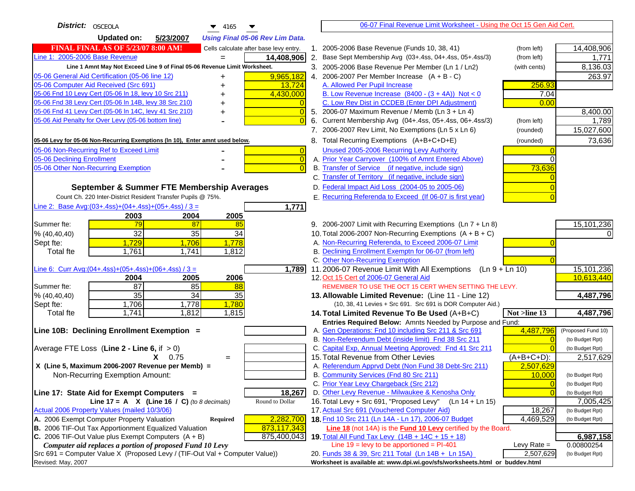| District:   OSCEOLA<br>$\blacktriangledown$ 4165                                    | 06-07 Final Revenue Limit Worksheet - Using the Oct 15 Gen Aid Cert.                                            |                    |
|-------------------------------------------------------------------------------------|-----------------------------------------------------------------------------------------------------------------|--------------------|
| <b>Updated on:</b><br>5/23/2007<br><b>Using Final 05-06 Rev Lim Data.</b>           |                                                                                                                 |                    |
| <b>FINAL FINAL AS OF 5/23/07 8:00 AM!</b><br>Cells calculate after base levy entry. | 1. 2005-2006 Base Revenue (Funds 10, 38, 41)<br>(from left)                                                     | 14,408,906         |
| Line 1: 2005-2006 Base Revenue<br>14,408,906                                        | 2. Base Sept Membership Avg (03+.4ss, 04+.4ss, 05+.4ss/3)<br>(from left)                                        | 1.771              |
| Line 1 Amnt May Not Exceed Line 9 of Final 05-06 Revenue Limit Worksheet.           | 3. 2005-2006 Base Revenue Per Member (Ln 1 / Ln2)<br>(with cents)                                               | 8,136.03           |
| 9,965,182<br>05-06 General Aid Certification (05-06 line 12)                        | 4. 2006-2007 Per Member Increase $(A + B - C)$                                                                  | 263.97             |
| 05-06 Computer Aid Received (Src 691)<br>13,724                                     | 256.93<br>A. Allowed Per Pupil Increase                                                                         |                    |
| 05-06 Fnd 10 Levy Cert (05-06 In 18, levy 10 Src 211)<br>4,430,000                  | B. Low Revenue Increase $(8400 - (3 + 4A))$ Not < 0<br>7.04                                                     |                    |
| 05-06 Fnd 38 Levy Cert (05-06 In 14B, levy 38 Src 210)                              | C. Low Rev Dist in CCDEB (Enter DPI Adjustment)<br>0.00                                                         |                    |
| 05-06 Fnd 41 Levy Cert (05-06 In 14C, levy 41 Src 210)<br>$\overline{0}$<br>+       | 5. 2006-07 Maximum Revenue / Memb (Ln $3 + \text{Ln } 4$ )                                                      | 8,400.00           |
| 05-06 Aid Penalty for Over Levy (05-06 bottom line)<br>$\Omega$                     | Current Membership Avg (04+.4ss, 05+.4ss, 06+.4ss/3)<br>6.<br>(from left)                                       | 1,789              |
|                                                                                     | 7. 2006-2007 Rev Limit, No Exemptions (Ln 5 x Ln 6)<br>(rounded)                                                | 15,027,600         |
| 05-06 Levy for 05-06 Non-Recurring Exemptions (In 10), Enter amnt used below.       | 8. Total Recurring Exemptions (A+B+C+D+E)<br>(rounded)                                                          | 73,636             |
| 05-06 Non-Recurring Ref to Exceed Limit<br>$\overline{0}$                           | Unused 2005-2006 Recurring Levy Authority                                                                       |                    |
| $\overline{0}$<br>05-06 Declining Enrollment                                        | A. Prior Year Carryover (100% of Amnt Entered Above)<br>$\Omega$                                                |                    |
| 05-06 Other Non-Recurring Exemption<br>$\Omega$                                     | B. Transfer of Service (if negative, include sign)<br>73,636                                                    |                    |
|                                                                                     | C. Transfer of Territory (if negative, include sign)                                                            |                    |
| September & Summer FTE Membership Averages                                          | D. Federal Impact Aid Loss (2004-05 to 2005-06)                                                                 |                    |
| Count Ch. 220 Inter-District Resident Transfer Pupils @ 75%.                        | E. Recurring Referenda to Exceed (If 06-07 is first year)                                                       |                    |
| Line 2: Base Avg: (03+.4ss) + (04+.4ss) + (05+.4ss) / 3 =<br>1,771                  |                                                                                                                 |                    |
| 2003<br>2004<br>2005                                                                |                                                                                                                 |                    |
| 79<br>Summer fte:<br>87<br>85                                                       | 9. 2006-2007 Limit with Recurring Exemptions (Ln 7 + Ln 8)                                                      | 15,101,236         |
| $\overline{32}$<br>35<br>34<br>% (40, 40, 40)                                       | 10. Total 2006-2007 Non-Recurring Exemptions $(A + B + C)$                                                      |                    |
| 1,729<br>1,706<br>1,778<br>Sept fte:<br><b>Total fte</b><br>1,761<br>1,741<br>1,812 | A. Non-Recurring Referenda, to Exceed 2006-07 Limit<br>B. Declining Enrollment Exemptn for 06-07 (from left)    |                    |
|                                                                                     | C. Other Non-Recurring Exemption                                                                                |                    |
| Line 6: Curr Avg: $(04+.4ss)+(05+.4ss)+(06+.4ss)/3 =$<br>1,789                      | 11.2006-07 Revenue Limit With All Exemptions<br>(Ln 9 + Ln 10)                                                  | 15,101,236         |
| 2006<br>2005<br>2004                                                                | 12. Oct 15 Cert of 2006-07 General Aid                                                                          | 10,613,440         |
| $\overline{87}$<br>Summer fte:<br>85<br>88                                          | REMEMBER TO USE THE OCT 15 CERT WHEN SETTING THE LEVY.                                                          |                    |
| 35<br>$\overline{34}$<br>35<br>% (40, 40, 40)                                       | 13. Allowable Limited Revenue: (Line 11 - Line 12)                                                              | 4,487,796          |
| 1,706<br>1,778<br>1,780<br>Sept fte:                                                | (10, 38, 41 Levies + Src 691. Src 691 is DOR Computer Aid.)                                                     |                    |
| 1,741<br>1,812<br>Total fte<br>1,815                                                | 14. Total Limited Revenue To Be Used (A+B+C)<br>Not >line 13                                                    | 4,487,796          |
|                                                                                     | Entries Required Below: Amnts Needed by Purpose and Fund:                                                       |                    |
| Line 10B: Declining Enrollment Exemption =                                          | A. Gen Operations: Fnd 10 including Src 211 & Src 691<br>4,487,796                                              | (Proposed Fund 10) |
|                                                                                     | B. Non-Referendum Debt (inside limit) Fnd 38 Src 211<br>$\Omega$                                                | (to Budget Rpt)    |
| Average FTE Loss (Line $2 -$ Line 6, if $> 0$ )                                     | C. Capital Exp, Annual Meeting Approved: Fnd 41 Src 211<br>15. Total Revenue from Other Levies<br>$(A+B+C+D)$ : | (to Budget Rpt)    |
| $X = 0.75$<br>$=$<br>X (Line 5, Maximum 2006-2007 Revenue per Memb) =               | A. Referendum Apprvd Debt (Non Fund 38 Debt-Src 211)<br>2,507,629                                               | 2,517,629          |
| Non-Recurring Exemption Amount:                                                     | B. Community Services (Fnd 80 Src 211)<br>10.000                                                                | (to Budget Rpt)    |
|                                                                                     | C. Prior Year Levy Chargeback (Src 212)<br>$\overline{0}$                                                       | (to Budget Rpt)    |
| 18,267<br>Line 17: State Aid for Exempt Computers =                                 | D. Other Levy Revenue - Milwaukee & Kenosha Only<br>$\Omega$                                                    | (to Budget Rpt)    |
| Line 17 = A $X$ (Line 16 / C) (to 8 decimals)<br>Round to Dollar                    | 16. Total Levy + Src 691, "Proposed Levy"<br>$(Ln 14 + Ln 15)$                                                  | 7,005,425          |
| Actual 2006 Property Values (mailed 10/3/06)                                        | 17. Actual Src 691 (Vouchered Computer Aid)<br>18,267                                                           | (to Budget Rpt)    |
| 2,282,700<br>A. 2006 Exempt Computer Property Valuation<br>Required                 | 18. Fnd 10 Src 211 (Ln 14A - Ln 17), 2006-07 Budget<br>4,469,529                                                | (to Budget Rpt)    |
| B. 2006 TIF-Out Tax Apportionment Equalized Valuation<br>873,117,343                | Line 18 (not 14A) is the Fund 10 Levy certified by the Board.                                                   |                    |
| C. 2006 TIF-Out Value plus Exempt Computers $(A + B)$<br>875,400,043                | 19. Total All Fund Tax Levy (14B + 14C + 15 + 18)                                                               | 6,987,158          |
| Computer aid replaces a portion of proposed Fund 10 Levy                            | Line $19$ = levy to be apportioned = PI-401<br>Levy Rate $=$                                                    | 0.00800254         |
| Src 691 = Computer Value X (Proposed Levy / (TIF-Out Val + Computer Value))         | 20. Funds 38 & 39, Src 211 Total (Ln 14B + Ln 15A)<br>2,507,629                                                 | (to Budget Rpt)    |
| Revised: May, 2007                                                                  | Worksheet is available at: www.dpi.wi.gov/sfs/worksheets.html or buddev.html                                    |                    |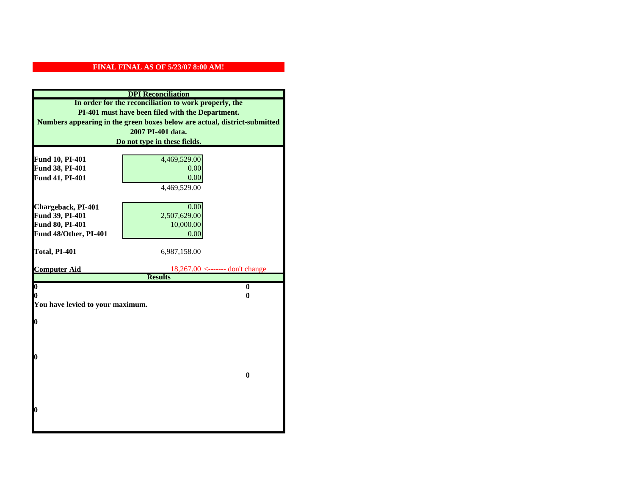|                                    | <b>DPI</b> Reconciliation                                                 |
|------------------------------------|---------------------------------------------------------------------------|
|                                    | In order for the reconciliation to work properly, the                     |
|                                    | PI-401 must have been filed with the Department.                          |
|                                    | Numbers appearing in the green boxes below are actual, district-submitted |
|                                    | 2007 PI-401 data.                                                         |
|                                    | Do not type in these fields.                                              |
|                                    |                                                                           |
| Fund 10, PI-401<br>Fund 38, PI-401 | 4,469,529.00                                                              |
| Fund 41, PI-401                    | 0.00<br>0.00                                                              |
|                                    | 4,469,529.00                                                              |
|                                    |                                                                           |
| Chargeback, PI-401                 | 0.00                                                                      |
| Fund 39, PI-401                    | 2,507,629.00                                                              |
| Fund 80, PI-401                    | 10,000.00                                                                 |
| Fund 48/Other, PI-401              | 0.00                                                                      |
|                                    |                                                                           |
| Total, PI-401                      | 6,987,158.00                                                              |
|                                    |                                                                           |
| <b>Computer Aid</b>                | $18,267.00$ <------- don't change<br><b>Results</b>                       |
| $\overline{\mathbf{0}}$            | $\bf{0}$                                                                  |
| 0                                  | 0                                                                         |
| You have levied to your maximum.   |                                                                           |
|                                    |                                                                           |
| $\bf{0}$                           |                                                                           |
|                                    |                                                                           |
|                                    |                                                                           |
| l0                                 |                                                                           |
|                                    |                                                                           |
|                                    | $\bf{0}$                                                                  |
|                                    |                                                                           |
|                                    |                                                                           |
|                                    |                                                                           |
| $\boldsymbol{0}$                   |                                                                           |
|                                    |                                                                           |
|                                    |                                                                           |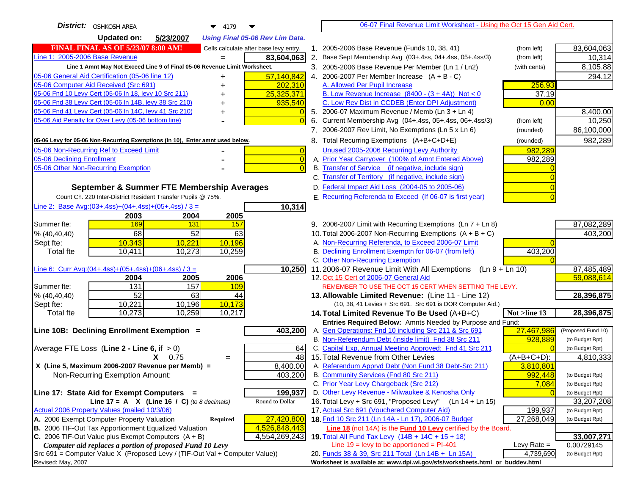| District:   OSHKOSH AREA<br>$\blacktriangledown$ 4179                               |    | 06-07 Final Revenue Limit Worksheet - Using the Oct 15 Gen Aid Cert.                                      |               |                    |
|-------------------------------------------------------------------------------------|----|-----------------------------------------------------------------------------------------------------------|---------------|--------------------|
| <b>Updated on:</b><br>5/23/2007<br><b>Using Final 05-06 Rev Lim Data.</b>           |    |                                                                                                           |               |                    |
| <b>FINAL FINAL AS OF 5/23/07 8:00 AM!</b><br>Cells calculate after base levy entry. |    | 1. 2005-2006 Base Revenue (Funds 10, 38, 41)                                                              | (from left)   | 83,604,063         |
| Line 1: 2005-2006 Base Revenue<br>83,604,063                                        | 2. | Base Sept Membership Avg (03+.4ss, 04+.4ss, 05+.4ss/3)                                                    | (from left)   | 10,314             |
| Line 1 Amnt May Not Exceed Line 9 of Final 05-06 Revenue Limit Worksheet.           |    | 3. 2005-2006 Base Revenue Per Member (Ln 1 / Ln2)                                                         | (with cents)  | 8,105.88           |
| 57,140,842<br>05-06 General Aid Certification (05-06 line 12)<br>+                  |    | 4. 2006-2007 Per Member Increase $(A + B - C)$                                                            |               | 294.12             |
| 05-06 Computer Aid Received (Src 691)<br>202,310                                    |    | A. Allowed Per Pupil Increase                                                                             | 256.93        |                    |
| 25,325,371<br>05-06 Fnd 10 Levy Cert (05-06 ln 18, levy 10 Src 211)                 |    | B. Low Revenue Increase $(8400 - (3 + 4A))$ Not < 0                                                       | 37.19         |                    |
| 05-06 Fnd 38 Levy Cert (05-06 In 14B, levy 38 Src 210)<br>935,540                   |    | C. Low Rev Dist in CCDEB (Enter DPI Adjustment)                                                           | 0.00          |                    |
| 05-06 Fnd 41 Levy Cert (05-06 In 14C, levy 41 Src 210)                              |    | 5. 2006-07 Maximum Revenue / Memb (Ln 3 + Ln 4)                                                           |               | 8,400.00           |
| 05-06 Aid Penalty for Over Levy (05-06 bottom line)<br>$\Omega$                     | 6. | Current Membership Avg (04+.4ss, 05+.4ss, 06+.4ss/3)                                                      | (from left)   | 10,250             |
|                                                                                     |    | 7. 2006-2007 Rev Limit, No Exemptions (Ln 5 x Ln 6)                                                       | (rounded)     | 86,100,000         |
| 05-06 Levy for 05-06 Non-Recurring Exemptions (In 10), Enter amnt used below.       |    | 8. Total Recurring Exemptions (A+B+C+D+E)                                                                 | (rounded)     | 982,289            |
| 05-06 Non-Recurring Ref to Exceed Limit<br>$\vert 0 \vert$                          |    | Unused 2005-2006 Recurring Levy Authority                                                                 | 982,289       |                    |
| 05-06 Declining Enrollment<br>$\overline{0}$                                        |    | A. Prior Year Carryover (100% of Amnt Entered Above)                                                      | 982,289       |                    |
| 05-06 Other Non-Recurring Exemption<br>$\Omega$                                     |    | B. Transfer of Service (if negative, include sign)                                                        |               |                    |
|                                                                                     |    | C. Transfer of Territory (if negative, include sign)                                                      |               |                    |
| September & Summer FTE Membership Averages                                          |    | D. Federal Impact Aid Loss (2004-05 to 2005-06)                                                           |               |                    |
| Count Ch. 220 Inter-District Resident Transfer Pupils @ 75%.                        |    | E. Recurring Referenda to Exceed (If 06-07 is first year)                                                 |               |                    |
| Line 2: Base Avg:(03+.4ss)+(04+.4ss)+(05+.4ss) / 3 =<br>10,314                      |    |                                                                                                           |               |                    |
| 2003<br>2004<br>2005                                                                |    |                                                                                                           |               |                    |
| 169<br>131<br>157<br>Summer fte:                                                    |    | 9. 2006-2007 Limit with Recurring Exemptions (Ln 7 + Ln 8)                                                |               | 87,082,289         |
| 52<br>68<br>63<br>% (40, 40, 40)                                                    |    | 10. Total 2006-2007 Non-Recurring Exemptions $(A + B + C)$                                                |               | 403,200            |
| $\overline{10,221}$<br>10,196<br>10,343<br>Sept fte:                                |    | A. Non-Recurring Referenda, to Exceed 2006-07 Limit                                                       |               |                    |
| 10,411<br>10,273<br>10,259<br><b>Total fte</b>                                      |    | B. Declining Enrollment Exemptn for 06-07 (from left)                                                     | 403,200       |                    |
|                                                                                     |    | C. Other Non-Recurring Exemption                                                                          |               |                    |
| Line 6: Curr Avg: $(04+.4ss)+(05+.4ss)+(06+.4ss)/3=$<br>10,250                      |    | 11.2006-07 Revenue Limit With All Exemptions (Ln $9 + \overline{\text{Ln }10}$ )                          |               | 87,485,489         |
| 2005<br>2006<br>2004                                                                |    | 12. Oct 15 Cert of 2006-07 General Aid                                                                    |               | 59,088,614         |
| 131<br>157<br>109<br>Summer fte:                                                    |    | REMEMBER TO USE THE OCT 15 CERT WHEN SETTING THE LEVY.                                                    |               |                    |
| $\overline{52}$<br>63<br>% (40, 40, 40)<br>44                                       |    | 13. Allowable Limited Revenue: (Line 11 - Line 12)                                                        |               | 28,396,875         |
| 10,173<br>10,221<br>10,196<br>Sept fte:<br>10,273                                   |    | (10, 38, 41 Levies + Src 691. Src 691 is DOR Computer Aid.)                                               |               |                    |
| 10,259<br>10,217<br><b>Total fte</b>                                                |    | 14. Total Limited Revenue To Be Used (A+B+C)<br>Entries Required Below: Amnts Needed by Purpose and Fund: | Not >line 13  | 28,396,875         |
| Line 10B: Declining Enrollment Exemption =<br>403,200                               |    | A. Gen Operations: Fnd 10 including Src 211 & Src 691                                                     | 27,467,986    | (Proposed Fund 10) |
|                                                                                     |    | B. Non-Referendum Debt (inside limit) Fnd 38 Src 211                                                      | 928,889       | (to Budget Rpt)    |
| Average FTE Loss (Line $2 -$ Line 6, if $> 0$ )<br>64                               |    | C. Capital Exp, Annual Meeting Approved: Fnd 41 Src 211                                                   |               | (to Budget Rpt)    |
| 48<br>$X = 0.75$<br>$\qquad \qquad =$                                               |    | 15. Total Revenue from Other Levies                                                                       | $(A+B+C+D)$ : | 4,810,333          |
| X (Line 5, Maximum 2006-2007 Revenue per Memb) =<br>8,400.00                        |    | A. Referendum Apprvd Debt (Non Fund 38 Debt-Src 211)                                                      | 3,810,801     |                    |
| 403,200<br>Non-Recurring Exemption Amount:                                          |    | B. Community Services (Fnd 80 Src 211)                                                                    | 992,448       | (to Budget Rpt)    |
|                                                                                     |    | C. Prior Year Levy Chargeback (Src 212)                                                                   | 7,084         | (to Budget Rpt)    |
| 199,937<br>Line 17: State Aid for Exempt Computers =                                |    | D. Other Levy Revenue - Milwaukee & Kenosha Only                                                          |               | (to Budget Rpt)    |
| Round to Dollar<br>Line 17 = A $X$ (Line 16 / C) (to 8 decimals)                    |    | 16. Total Levy + Src 691, "Proposed Levy"<br>(Ln 14 + Ln 15)                                              |               | 33,207,208         |
| Actual 2006 Property Values (mailed 10/3/06)                                        |    | 17. Actual Src 691 (Vouchered Computer Aid)                                                               | 199,937       | (to Budget Rpt)    |
| A. 2006 Exempt Computer Property Valuation<br>27,420,800<br><b>Required</b>         |    | 18. Fnd 10 Src 211 (Ln 14A - Ln 17), 2006-07 Budget                                                       | 27,268,049    | (to Budget Rpt)    |
| B. 2006 TIF-Out Tax Apportionment Equalized Valuation<br>4,526,848,443              |    | Line 18 (not 14A) is the <b>Fund 10 Levy</b> certified by the Board.                                      |               |                    |
| C. 2006 TIF-Out Value plus Exempt Computers $(A + B)$<br>4,554,269,243              |    | 19. Total All Fund Tax Levy (14B + 14C + 15 + 18)                                                         |               | 33,007,271         |
| Computer aid replaces a portion of proposed Fund 10 Levy                            |    | Line $19 = \text{levy}$ to be apportioned = PI-401                                                        | Levy Rate $=$ | 0.00729145         |
| Src 691 = Computer Value X (Proposed Levy / (TIF-Out Val + Computer Value))         |    | 20. Funds 38 & 39, Src 211 Total (Ln 14B + Ln 15A)                                                        | 4,739,690     | (to Budget Rpt)    |
| Revised: May, 2007                                                                  |    | Worksheet is available at: www.dpi.wi.gov/sfs/worksheets.html or buddev.html                              |               |                    |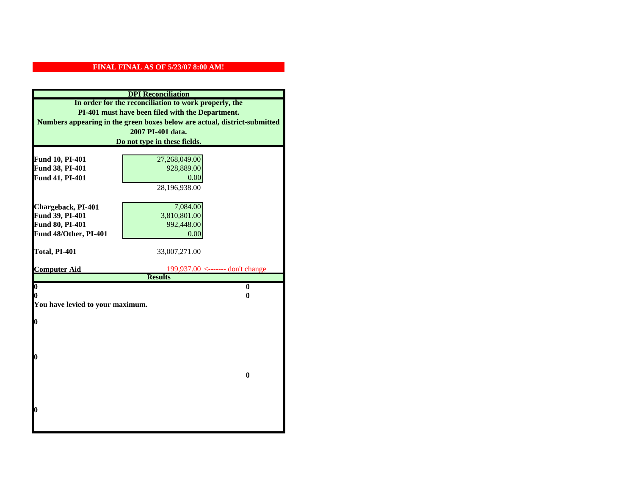|                                  | <b>DPI</b> Reconciliation                                                 |
|----------------------------------|---------------------------------------------------------------------------|
|                                  | In order for the reconciliation to work properly, the                     |
|                                  | PI-401 must have been filed with the Department.                          |
|                                  | Numbers appearing in the green boxes below are actual, district-submitted |
|                                  | 2007 PI-401 data.                                                         |
|                                  | Do not type in these fields.                                              |
|                                  |                                                                           |
| Fund 10, PI-401                  | 27,268,049.00                                                             |
| Fund 38, PI-401                  | 928,889.00                                                                |
| Fund 41, PI-401                  | 0.00                                                                      |
|                                  | 28,196,938.00                                                             |
|                                  |                                                                           |
| Chargeback, PI-401               | 7,084.00                                                                  |
| Fund 39, PI-401                  | 3,810,801.00                                                              |
| Fund 80, PI-401                  | 992,448.00                                                                |
| Fund 48/Other, PI-401            | 0.00                                                                      |
|                                  |                                                                           |
| Total, PI-401                    | 33,007,271.00                                                             |
| <b>Computer Aid</b>              | 199,937.00 <------- don't change                                          |
|                                  | <b>Results</b>                                                            |
| $\overline{\mathbf{0}}$          | $\bf{0}$                                                                  |
| 0                                | 0                                                                         |
| You have levied to your maximum. |                                                                           |
|                                  |                                                                           |
| $\bf{0}$                         |                                                                           |
|                                  |                                                                           |
|                                  |                                                                           |
| l0                               |                                                                           |
|                                  |                                                                           |
|                                  | $\bf{0}$                                                                  |
|                                  |                                                                           |
|                                  |                                                                           |
|                                  |                                                                           |
| $\boldsymbol{0}$                 |                                                                           |
|                                  |                                                                           |
|                                  |                                                                           |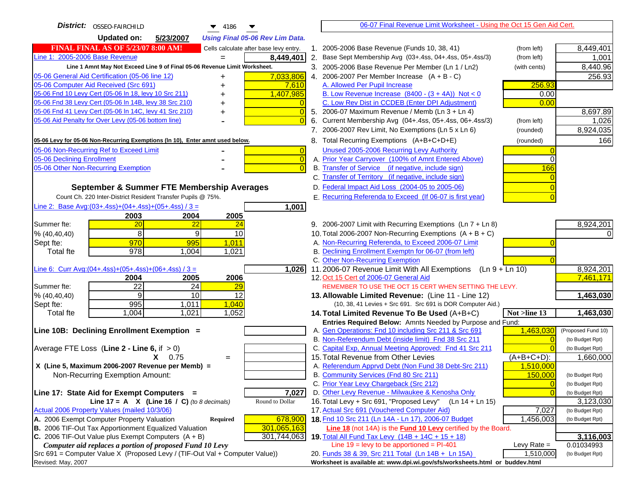| District:   OSSEO-FAIRCHILD<br>$\blacktriangledown$ 4186                                                                                | 06-07 Final Revenue Limit Worksheet - Using the Oct 15 Gen Aid Cert.                                                            |                    |
|-----------------------------------------------------------------------------------------------------------------------------------------|---------------------------------------------------------------------------------------------------------------------------------|--------------------|
| <b>Updated on:</b><br>5/23/2007<br><b>Using Final 05-06 Rev Lim Data.</b>                                                               |                                                                                                                                 |                    |
| <b>FINAL FINAL AS OF 5/23/07 8:00 AM!</b><br>Cells calculate after base levy entry.                                                     | 1. 2005-2006 Base Revenue (Funds 10, 38, 41)<br>(from left)                                                                     | 8,449,401          |
| Line 1: 2005-2006 Base Revenue<br>8,449,401                                                                                             | 2. Base Sept Membership Avg (03+.4ss, 04+.4ss, 05+.4ss/3)<br>(from left)                                                        | 1,001              |
| Line 1 Amnt May Not Exceed Line 9 of Final 05-06 Revenue Limit Worksheet.                                                               | 3. 2005-2006 Base Revenue Per Member (Ln 1 / Ln2)<br>(with cents)                                                               | 8,440.96           |
| 7,033,806<br>05-06 General Aid Certification (05-06 line 12)<br>+                                                                       | 4. 2006-2007 Per Member Increase $(A + B - C)$                                                                                  | 256.93             |
| 05-06 Computer Aid Received (Src 691)<br>7,610                                                                                          | 256.93<br>A. Allowed Per Pupil Increase                                                                                         |                    |
| 05-06 Fnd 10 Levy Cert (05-06 In 18, levy 10 Src 211)<br>1,407,985                                                                      | B. Low Revenue Increase $(8400 - (3 + 4A))$ Not < 0<br>0.00                                                                     |                    |
| 05-06 Fnd 38 Levy Cert (05-06 In 14B, levy 38 Src 210)                                                                                  | C. Low Rev Dist in CCDEB (Enter DPI Adjustment)<br>0.00                                                                         |                    |
| 05-06 Fnd 41 Levy Cert (05-06 In 14C, levy 41 Src 210)<br>$\Omega$<br>+                                                                 | 5. 2006-07 Maximum Revenue / Memb (Ln 3 + Ln 4)                                                                                 | 8,697.89           |
| 05-06 Aid Penalty for Over Levy (05-06 bottom line)                                                                                     | 6. Current Membership Avg (04+.4ss, 05+.4ss, 06+.4ss/3)<br>(from left)                                                          | 1,026              |
|                                                                                                                                         | 7. 2006-2007 Rev Limit, No Exemptions (Ln 5 x Ln 6)<br>(rounded)                                                                | 8,924,035          |
| 05-06 Levy for 05-06 Non-Recurring Exemptions (In 10), Enter amnt used below.                                                           | 8. Total Recurring Exemptions (A+B+C+D+E)<br>(rounded)                                                                          | 166                |
| 05-06 Non-Recurring Ref to Exceed Limit<br>$\overline{0}$                                                                               | Unused 2005-2006 Recurring Levy Authority                                                                                       |                    |
| 05-06 Declining Enrollment<br>$\overline{0}$                                                                                            | A. Prior Year Carryover (100% of Amnt Entered Above)<br>$\Omega$                                                                |                    |
| 05-06 Other Non-Recurring Exemption<br>$\Omega$                                                                                         | B. Transfer of Service (if negative, include sign)<br>166                                                                       |                    |
|                                                                                                                                         | C. Transfer of Territory (if negative, include sign)                                                                            |                    |
| September & Summer FTE Membership Averages                                                                                              | D. Federal Impact Aid Loss (2004-05 to 2005-06)                                                                                 |                    |
| Count Ch. 220 Inter-District Resident Transfer Pupils @ 75%.                                                                            | E. Recurring Referenda to Exceed (If 06-07 is first year)                                                                       |                    |
| Line 2: Base Avg: (03+.4ss) + (04+.4ss) + (05+.4ss) / 3 =<br>1,001                                                                      |                                                                                                                                 |                    |
| 2004<br>2003<br>2005                                                                                                                    |                                                                                                                                 |                    |
| Summer fte:<br>20<br><u> 22</u><br>24                                                                                                   | 9. 2006-2007 Limit with Recurring Exemptions (Ln 7 + Ln 8)                                                                      | 8,924,201          |
| 8<br>9<br>10<br>% (40, 40, 40)                                                                                                          | 10. Total 2006-2007 Non-Recurring Exemptions $(A + B + C)$                                                                      |                    |
| 970<br>995<br>1,011<br>Sept fte:                                                                                                        | A. Non-Recurring Referenda, to Exceed 2006-07 Limit                                                                             |                    |
| 978<br>1,004<br>1,021<br><b>Total fte</b>                                                                                               | B. Declining Enrollment Exemptn for 06-07 (from left)                                                                           |                    |
|                                                                                                                                         | C. Other Non-Recurring Exemption                                                                                                |                    |
| Line 6: Curr Avg: $(04+.4ss)+(05+.4ss)+(06+.4ss)/3 =$<br>1,026                                                                          | 11.2006-07 Revenue Limit With All Exemptions (Ln $9 + \overline{\text{Ln }10}$ )                                                | 8,924,201          |
| 2004<br>2005<br>2006                                                                                                                    | 12. Oct 15 Cert of 2006-07 General Aid                                                                                          | 7,461,171          |
| $\overline{22}$<br>24<br>Summer fte:<br>29                                                                                              | REMEMBER TO USE THE OCT 15 CERT WHEN SETTING THE LEVY.                                                                          |                    |
| $\overline{12}$<br>9<br>10<br>% (40, 40, 40)                                                                                            | 13. Allowable Limited Revenue: (Line 11 - Line 12)                                                                              | 1,463,030          |
| 995<br>1,011<br>1,040<br>Sept fte:<br>1,004<br>1,052<br><b>Total</b> fte<br>1,021                                                       | (10, 38, 41 Levies + Src 691. Src 691 is DOR Computer Aid.)<br>Not >line 13<br>14. Total Limited Revenue To Be Used (A+B+C)     | 1,463,030          |
|                                                                                                                                         | Entries Required Below: Amnts Needed by Purpose and Fund:                                                                       |                    |
| Line 10B: Declining Enrollment Exemption =                                                                                              | A. Gen Operations: Fnd 10 including Src 211 & Src 691<br>1,463,030                                                              | (Proposed Fund 10) |
|                                                                                                                                         | B. Non-Referendum Debt (inside limit) Fnd 38 Src 211<br>$\Omega$                                                                | (to Budget Rpt)    |
| Average FTE Loss (Line $2 -$ Line 6, if $> 0$ )                                                                                         | C. Capital Exp, Annual Meeting Approved: Fnd 41 Src 211                                                                         | (to Budget Rpt)    |
| $X = 0.75$<br>$=$                                                                                                                       | 15. Total Revenue from Other Levies<br>$(A+B+C+D)$ :                                                                            | 1,660,000          |
| X (Line 5, Maximum 2006-2007 Revenue per Memb) =                                                                                        | A. Referendum Apprvd Debt (Non Fund 38 Debt-Src 211)<br>1,510,000                                                               |                    |
| Non-Recurring Exemption Amount:                                                                                                         | B. Community Services (Fnd 80 Src 211)<br>150,000                                                                               | (to Budget Rpt)    |
|                                                                                                                                         | C. Prior Year Levy Chargeback (Src 212)<br>$\overline{0}$                                                                       | (to Budget Rpt)    |
| 7,027<br>Line 17: State Aid for Exempt Computers =                                                                                      | D. Other Levy Revenue - Milwaukee & Kenosha Only<br>$\Omega$                                                                    | (to Budget Rpt)    |
| Line 17 = A $X$ (Line 16 / C) (to 8 decimals)<br>Round to Dollar                                                                        | 16. Total Levy + Src 691, "Proposed Levy"<br>(Ln 14 + Ln 15)                                                                    | 3,123,030          |
| Actual 2006 Property Values (mailed 10/3/06)                                                                                            | 17. Actual Src 691 (Vouchered Computer Aid)<br>7,027                                                                            | (to Budget Rpt)    |
| A. 2006 Exempt Computer Property Valuation<br>Required<br>678,900                                                                       | 18. Fnd 10 Src 211 (Ln 14A - Ln 17), 2006-07 Budget<br>1,456,003                                                                | (to Budget Rpt)    |
| <b>B.</b> 2006 TIF-Out Tax Apportionment Equalized Valuation<br>301,065,163                                                             | Line 18 (not 14A) is the Fund 10 Levy certified by the Board.                                                                   |                    |
| C. 2006 TIF-Out Value plus Exempt Computers $(A + B)$<br>301,744,063                                                                    | 19. Total All Fund Tax Levy (14B + 14C + 15 + 18)                                                                               | 3,116,003          |
| Computer aid replaces a portion of proposed Fund 10 Levy<br>Src 691 = Computer Value X (Proposed Levy / (TIF-Out Val + Computer Value)) | Line $19$ = levy to be apportioned = PI-401<br>Levy Rate $=$<br>20. Funds 38 & 39, Src 211 Total (Ln 14B + Ln 15A)<br>1,510,000 | 0.01034993         |
| Revised: May, 2007                                                                                                                      | Worksheet is available at: www.dpi.wi.gov/sfs/worksheets.html or buddev.html                                                    | (to Budget Rpt)    |
|                                                                                                                                         |                                                                                                                                 |                    |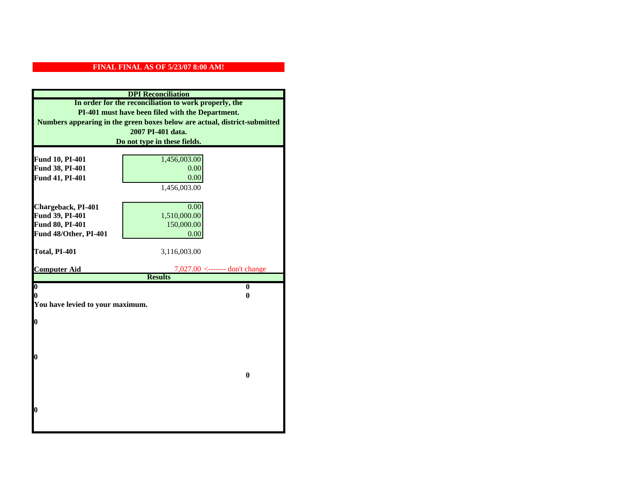|                                  | <b>DPI</b> Reconciliation                                                 |
|----------------------------------|---------------------------------------------------------------------------|
|                                  | In order for the reconciliation to work properly, the                     |
|                                  | PI-401 must have been filed with the Department.                          |
|                                  | Numbers appearing in the green boxes below are actual, district-submitted |
|                                  | 2007 PI-401 data.                                                         |
|                                  | Do not type in these fields.                                              |
|                                  |                                                                           |
| Fund 10, PI-401                  | 1,456,003.00                                                              |
| Fund 38, PI-401                  | 0.00                                                                      |
| Fund 41, PI-401                  | 0.00                                                                      |
|                                  | 1,456,003.00                                                              |
|                                  |                                                                           |
| Chargeback, PI-401               | 0.00                                                                      |
| Fund 39, PI-401                  | 1,510,000.00                                                              |
| Fund 80, PI-401                  | 150,000.00                                                                |
| Fund 48/Other, PI-401            | 0.00                                                                      |
| Total, PI-401                    | 3,116,003.00                                                              |
|                                  |                                                                           |
|                                  |                                                                           |
| <b>Computer Aid</b>              | $7,027.00$ <------- don't change                                          |
|                                  | <b>Results</b>                                                            |
| $\overline{\mathbf{0}}$          | $\mathbf{0}$                                                              |
| 0                                | 0                                                                         |
| You have levied to your maximum. |                                                                           |
|                                  |                                                                           |
| $\bf{0}$                         |                                                                           |
|                                  |                                                                           |
|                                  |                                                                           |
| 0                                |                                                                           |
|                                  |                                                                           |
|                                  | $\bf{0}$                                                                  |
|                                  |                                                                           |
|                                  |                                                                           |
|                                  |                                                                           |
| 0                                |                                                                           |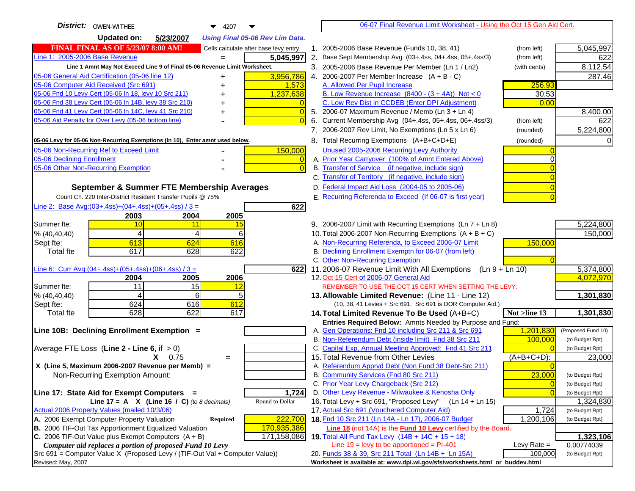| District:   OWEN-WITHEE<br>$\blacktriangledown$ 4207                                                             | 06-07 Final Revenue Limit Worksheet - Using the Oct 15 Gen Aid Cert.                                        |                                    |
|------------------------------------------------------------------------------------------------------------------|-------------------------------------------------------------------------------------------------------------|------------------------------------|
| <b>Updated on:</b><br>5/23/2007<br><b>Using Final 05-06 Rev Lim Data.</b>                                        |                                                                                                             |                                    |
| <b>FINAL FINAL AS OF 5/23/07 8:00 AM!</b><br>Cells calculate after base levy entry.                              | 1. 2005-2006 Base Revenue (Funds 10, 38, 41)<br>(from left)                                                 | 5,045,997                          |
| Line 1: 2005-2006 Base Revenue<br>5,045,997                                                                      | 2. Base Sept Membership Avg (03+.4ss, 04+.4ss, 05+.4ss/3)<br>(from left)                                    | 622                                |
| Line 1 Amnt May Not Exceed Line 9 of Final 05-06 Revenue Limit Worksheet.                                        | 3. 2005-2006 Base Revenue Per Member (Ln 1 / Ln2)<br>(with cents)                                           | 8,112.54                           |
| 3,956,786<br>05-06 General Aid Certification (05-06 line 12)<br>+                                                | 4. 2006-2007 Per Member Increase $(A + B - C)$                                                              | 287.46                             |
| 05-06 Computer Aid Received (Src 691)<br>1,573<br>+                                                              | A. Allowed Per Pupil Increase<br>256.93                                                                     |                                    |
| 05-06 Fnd 10 Levy Cert (05-06 In 18, levy 10 Src 211)<br>1,237,638                                               | B. Low Revenue Increase $(8400 - (3 + 4A))$ Not < 0<br>30.53                                                |                                    |
| 05-06 Fnd 38 Levy Cert (05-06 In 14B, levy 38 Src 210)                                                           | C. Low Rev Dist in CCDEB (Enter DPI Adjustment)<br>0.00                                                     |                                    |
| 05-06 Fnd 41 Levy Cert (05-06 In 14C, levy 41 Src 210)<br>+                                                      | 5. 2006-07 Maximum Revenue / Memb (Ln 3 + Ln 4)                                                             | 8,400.00                           |
| 05-06 Aid Penalty for Over Levy (05-06 bottom line)                                                              | 6. Current Membership Avg (04+.4ss, 05+.4ss, 06+.4ss/3)<br>(from left)                                      | 622                                |
|                                                                                                                  | 7. 2006-2007 Rev Limit, No Exemptions (Ln 5 x Ln 6)<br>(rounded)                                            | 5,224,800                          |
| 05-06 Levy for 05-06 Non-Recurring Exemptions (In 10), Enter amnt used below.                                    | 8. Total Recurring Exemptions (A+B+C+D+E)<br>(rounded)                                                      |                                    |
| 05-06 Non-Recurring Ref to Exceed Limit<br>150,000                                                               | Unused 2005-2006 Recurring Levy Authority                                                                   |                                    |
| 05-06 Declining Enrollment<br>0                                                                                  | A. Prior Year Carryover (100% of Amnt Entered Above)                                                        |                                    |
| 05-06 Other Non-Recurring Exemption                                                                              | B. Transfer of Service (if negative, include sign)                                                          |                                    |
|                                                                                                                  | C. Transfer of Territory (if negative, include sign)                                                        |                                    |
| September & Summer FTE Membership Averages                                                                       | D. Federal Impact Aid Loss (2004-05 to 2005-06)                                                             |                                    |
| Count Ch. 220 Inter-District Resident Transfer Pupils @ 75%.                                                     | E. Recurring Referenda to Exceed (If 06-07 is first year)                                                   |                                    |
| Line 2: Base Avg: $(03+.4ss)+(04+.4ss)+(05+.4ss)/3 =$<br>622                                                     |                                                                                                             |                                    |
| 2003<br>2004<br>2005                                                                                             |                                                                                                             |                                    |
| Summer fte:<br>10<br>11<br>15                                                                                    | 9. 2006-2007 Limit with Recurring Exemptions (Ln 7 + Ln 8)                                                  | 5,224,800                          |
| 4<br>4<br>6<br>% (40, 40, 40)                                                                                    | 10. Total 2006-2007 Non-Recurring Exemptions $(A + B + C)$                                                  | 150,000                            |
| 613<br>624<br>616<br>Sept fte:                                                                                   | A. Non-Recurring Referenda, to Exceed 2006-07 Limit<br>150,000                                              |                                    |
| 617<br>628<br>622<br><b>Total fte</b>                                                                            | B. Declining Enrollment Exemptn for 06-07 (from left)                                                       |                                    |
|                                                                                                                  | C. Other Non-Recurring Exemption                                                                            |                                    |
| Line 6: Curr Avg: $(04+.4ss)+(05+.4ss)+(06+.4ss)/3 =$<br>622                                                     | 11.2006-07 Revenue Limit With All Exemptions (Ln $9 + \overline{\text{Ln }10}$ )                            | 5,374,800<br>4,072,970             |
| 2006<br>2004<br>2005<br>Summer fte:<br>11<br>15<br><u> 12</u>                                                    | 12. Oct 15 Cert of 2006-07 General Aid<br>REMEMBER TO USE THE OCT 15 CERT WHEN SETTING THE LEVY.            |                                    |
| 6<br>% (40, 40, 40)<br>4<br>5                                                                                    | 13. Allowable Limited Revenue: (Line 11 - Line 12)                                                          | 1,301,830                          |
| 624<br>612<br>616<br>Sept fte:                                                                                   | (10, 38, 41 Levies + Src 691. Src 691 is DOR Computer Aid.)                                                 |                                    |
| 628<br>622<br><b>Total fte</b><br>617                                                                            | 14. Total Limited Revenue To Be Used (A+B+C)<br>Not >line 13                                                | 1,301,830                          |
|                                                                                                                  | Entries Required Below: Amnts Needed by Purpose and Fund:                                                   |                                    |
| Line 10B: Declining Enrollment Exemption =                                                                       | 1,201,830<br>A. Gen Operations: Fnd 10 including Src 211 & Src 691                                          | (Proposed Fund 10)                 |
|                                                                                                                  | B. Non-Referendum Debt (inside limit) Fnd 38 Src 211<br>100,000                                             | (to Budget Rpt)                    |
| Average FTE Loss (Line $2 -$ Line 6, if $> 0$ )                                                                  | C. Capital Exp, Annual Meeting Approved: Fnd 41 Src 211                                                     | (to Budget Rpt)                    |
| $X = 0.75$<br>$=$                                                                                                | 15. Total Revenue from Other Levies<br>(A+B+C+D):                                                           | 23,000                             |
| X (Line 5, Maximum 2006-2007 Revenue per Memb) =                                                                 | A. Referendum Apprvd Debt (Non Fund 38 Debt-Src 211)                                                        |                                    |
| Non-Recurring Exemption Amount:                                                                                  | B. Community Services (Fnd 80 Src 211)<br>23,000                                                            | (to Budget Rpt)                    |
|                                                                                                                  | C. Prior Year Levy Chargeback (Src 212)<br>$\overline{0}$                                                   | (to Budget Rpt)                    |
| 1,724<br>Line 17: State Aid for Exempt Computers =                                                               | D. Other Levy Revenue - Milwaukee & Kenosha Only                                                            | (to Budget Rpt)                    |
| Line 17 = A $X$ (Line 16 / C) (to 8 decimals)<br>Round to Dollar<br>Actual 2006 Property Values (mailed 10/3/06) | 16. Total Levy + Src 691, "Proposed Levy"<br>(Ln 14 + Ln 15)<br>17. Actual Src 691 (Vouchered Computer Aid) | 1,324,830                          |
| A. 2006 Exempt Computer Property Valuation<br>222,700                                                            | $\overline{1,724}$<br>18. Fnd 10 Src 211 (Ln 14A - Ln 17), 2006-07 Budget<br>1,200,106                      | (to Budget Rpt)<br>(to Budget Rpt) |
| Required<br>B. 2006 TIF-Out Tax Apportionment Equalized Valuation<br>170,935,386                                 | <b>Line 18</b> (not 14A) is the <b>Fund 10 Levy</b> certified by the Board.                                 |                                    |
| C. 2006 TIF-Out Value plus Exempt Computers $(A + B)$<br>171,158,086                                             | 19. Total All Fund Tax Levy (14B + 14C + 15 + 18)                                                           | 1,323,106                          |
| Computer aid replaces a portion of proposed Fund 10 Levy                                                         | Line $19 = \text{levy}$ to be apportioned = PI-401<br>Levy Rate $=$                                         | 0.00774039                         |
| Src 691 = Computer Value X (Proposed Levy / (TIF-Out Val + Computer Value))                                      | 100,000<br>20. Funds 38 & 39, Src 211 Total (Ln 14B + Ln 15A)                                               | (to Budget Rpt)                    |
| Revised: May, 2007                                                                                               | Worksheet is available at: www.dpi.wi.gov/sfs/worksheets.html or buddev.html                                |                                    |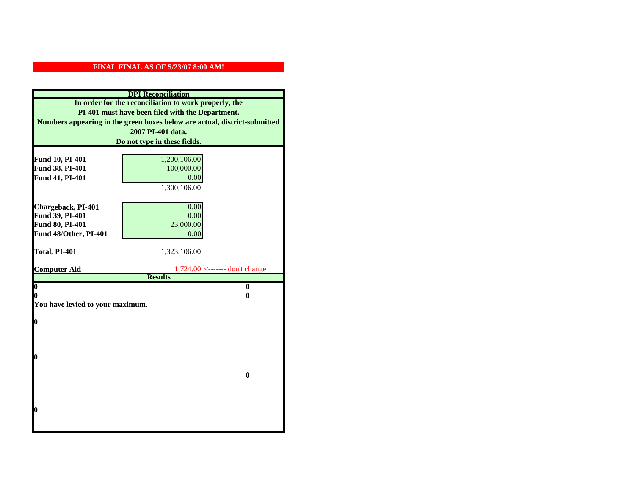|                                  | <b>DPI</b> Reconciliation                                                 |
|----------------------------------|---------------------------------------------------------------------------|
|                                  | In order for the reconciliation to work properly, the                     |
|                                  | PI-401 must have been filed with the Department.                          |
|                                  | Numbers appearing in the green boxes below are actual, district-submitted |
|                                  | 2007 PI-401 data.                                                         |
|                                  | Do not type in these fields.                                              |
|                                  |                                                                           |
| Fund 10, PI-401                  | 1,200,106.00                                                              |
| Fund 38, PI-401                  | 100,000.00                                                                |
| Fund 41, PI-401                  | 0.00                                                                      |
|                                  | 1,300,106.00                                                              |
|                                  |                                                                           |
| Chargeback, PI-401               | 0.00                                                                      |
| Fund 39, PI-401                  | 0.00                                                                      |
| Fund 80, PI-401                  | 23,000.00                                                                 |
| Fund 48/Other, PI-401            | 0.00                                                                      |
| Total, PI-401                    | 1,323,106.00                                                              |
|                                  |                                                                           |
| <b>Computer Aid</b>              | $1,724.00$ <------- don't change                                          |
|                                  | <b>Results</b>                                                            |
| $\overline{\mathbf{0}}$          | $\bf{0}$                                                                  |
| 0                                | 0                                                                         |
| You have levied to your maximum. |                                                                           |
| $\bf{0}$                         |                                                                           |
|                                  |                                                                           |
|                                  |                                                                           |
|                                  |                                                                           |
| l0                               |                                                                           |
|                                  |                                                                           |
|                                  | $\mathbf{0}$                                                              |
|                                  |                                                                           |
|                                  |                                                                           |
|                                  |                                                                           |
| l0                               |                                                                           |
|                                  |                                                                           |
|                                  |                                                                           |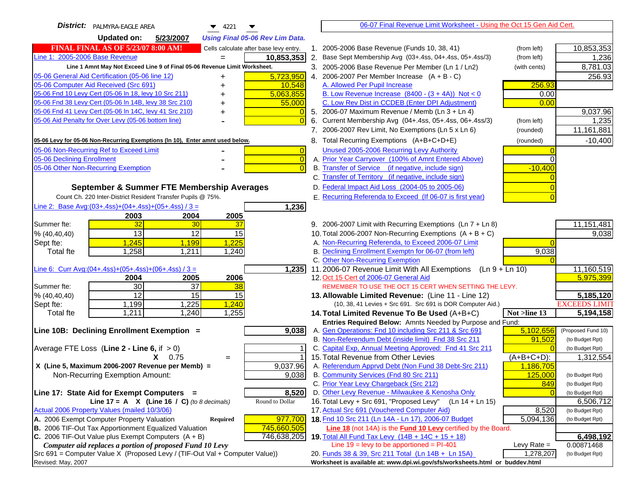| District:   PALMYRA-EAGLE AREA<br>▼<br>$\bullet$ 4221                         |                | 06-07 Final Revenue Limit Worksheet - Using the Oct 15 Gen Aid Cert.                                          |               |                                       |
|-------------------------------------------------------------------------------|----------------|---------------------------------------------------------------------------------------------------------------|---------------|---------------------------------------|
| 5/23/2007<br>Updated on:<br><b>Using Final 05-06 Rev Lim Data.</b>            |                |                                                                                                               |               |                                       |
| FINAL FINAL AS OF 5/23/07 8:00 AM!<br>Cells calculate after base levy entry.  |                | 1. 2005-2006 Base Revenue (Funds 10, 38, 41)                                                                  | (from left)   | 10,853,353                            |
| Line 1: 2005-2006 Base Revenue<br>10,853,353                                  |                | 2. Base Sept Membership Avg (03+.4ss, 04+.4ss, 05+.4ss/3)                                                     | (from left)   | 1,236                                 |
| Line 1 Amnt May Not Exceed Line 9 of Final 05-06 Revenue Limit Worksheet.     |                | 3. 2005-2006 Base Revenue Per Member (Ln 1 / Ln2)                                                             | (with cents)  | 8,781.03                              |
| 5,723,950<br>05-06 General Aid Certification (05-06 line 12)<br>+             |                | 4. 2006-2007 Per Member Increase $(A + B - C)$                                                                |               | 256.93                                |
| 05-06 Computer Aid Received (Src 691)<br>10,548                               |                | A. Allowed Per Pupil Increase                                                                                 | 256.93        |                                       |
| 05-06 Fnd 10 Levy Cert (05-06 In 18, levy 10 Src 211)<br>5,063,855            |                | B. Low Revenue Increase $(8400 - (3 + 4A))$ Not < 0                                                           | 0.00          |                                       |
| 05-06 Fnd 38 Levy Cert (05-06 In 14B, levy 38 Src 210)<br>55,000              |                | C. Low Rev Dist in CCDEB (Enter DPI Adjustment)                                                               | 0.00          |                                       |
| 05-06 Fnd 41 Levy Cert (05-06 In 14C, levy 41 Src 210)<br>+                   |                | 5. 2006-07 Maximum Revenue / Memb (Ln $3 + \text{Ln } 4$ )                                                    |               | 9,037.96                              |
| 05-06 Aid Penalty for Over Levy (05-06 bottom line)                           | $\overline{0}$ | 6. Current Membership Avg (04+.4ss, 05+.4ss, 06+.4ss/3)                                                       | (from left)   | 1,235                                 |
|                                                                               |                | 7. 2006-2007 Rev Limit, No Exemptions (Ln 5 x Ln 6)                                                           | (rounded)     | 11,161,881                            |
| 05-06 Levy for 05-06 Non-Recurring Exemptions (In 10), Enter amnt used below. |                | 8. Total Recurring Exemptions (A+B+C+D+E)                                                                     | (rounded)     | $-10,400$                             |
| 05-06 Non-Recurring Ref to Exceed Limit                                       | $\overline{0}$ | Unused 2005-2006 Recurring Levy Authority                                                                     |               |                                       |
| 05-06 Declining Enrollment                                                    | $\overline{0}$ | A. Prior Year Carryover (100% of Amnt Entered Above)                                                          | $\Omega$      |                                       |
| 05-06 Other Non-Recurring Exemption                                           | $\overline{0}$ | B. Transfer of Service (if negative, include sign)                                                            | $-10,400$     |                                       |
|                                                                               |                | C. Transfer of Territory (if negative, include sign)                                                          |               |                                       |
| September & Summer FTE Membership Averages                                    |                | D. Federal Impact Aid Loss (2004-05 to 2005-06)                                                               |               |                                       |
| Count Ch. 220 Inter-District Resident Transfer Pupils @ 75%.                  |                | E. Recurring Referenda to Exceed (If 06-07 is first year)                                                     |               |                                       |
| Line 2: Base Avg: $(03+.4ss)+(04+.4ss)+(05+.4ss)/3 =$<br>1,236                |                |                                                                                                               |               |                                       |
| 2003<br>2004<br>2005                                                          |                |                                                                                                               |               |                                       |
| 32<br>37<br>30<br>Summer fte:                                                 |                | 9. 2006-2007 Limit with Recurring Exemptions (Ln 7 + Ln 8)                                                    |               | 11, 151, 481                          |
| 13<br>12<br>15<br>% (40, 40, 40)                                              |                | 10. Total 2006-2007 Non-Recurring Exemptions (A + B + C)                                                      |               | 9,038                                 |
| 1,245<br>1,225<br>Sept fte:<br>1,199                                          |                | A. Non-Recurring Referenda, to Exceed 2006-07 Limit                                                           |               |                                       |
| 1,258<br>1,240<br><b>Total fte</b><br>1,211                                   |                | B. Declining Enrollment Exemptn for 06-07 (from left)                                                         | 9,038         |                                       |
|                                                                               |                | C. Other Non-Recurring Exemption                                                                              |               |                                       |
| Line 6: Curr Avg: $(04+.4ss)+(05+.4ss)+(06+.4ss)/3 =$<br>$\overline{1,235}$   |                | 11.2006-07 Revenue Limit With All Exemptions (Ln 9 + Ln 10)                                                   |               | 11,160,519                            |
| 2005<br>2006<br>2004                                                          |                | 12. Oct 15 Cert of 2006-07 General Aid                                                                        |               | 5,975,399                             |
| 30<br>$\overline{37}$<br>38<br>Summer fte:                                    |                | REMEMBER TO USE THE OCT 15 CERT WHEN SETTING THE LEVY.                                                        |               |                                       |
| 12<br>15<br>% (40, 40, 40)<br>15                                              |                | 13. Allowable Limited Revenue: (Line 11 - Line 12)                                                            |               | 5,185,120                             |
| 1,240<br>1,199<br>1,225<br>Sept fte:                                          |                | (10, 38, 41 Levies + Src 691. Src 691 is DOR Computer Aid.)                                                   |               | <b>EXCEEDS LIMIT</b>                  |
| 1,240<br>1,255<br>1,211<br><b>Total fte</b>                                   |                | 14. Total Limited Revenue To Be Used (A+B+C)                                                                  | Not >line 13  | 5,194,158                             |
|                                                                               |                | Entries Required Below: Amnts Needed by Purpose and Fund:                                                     | 5,102,656     |                                       |
| Line 10B: Declining Enrollment Exemption =<br>9,038                           |                | A. Gen Operations: Fnd 10 including Src 211 & Src 691<br>B. Non-Referendum Debt (inside limit) Fnd 38 Src 211 | 91,502        | (Proposed Fund 10)<br>(to Budget Rpt) |
| Average FTE Loss (Line $2 -$ Line 6, if $> 0$ )                               |                | C. Capital Exp, Annual Meeting Approved: Fnd 41 Src 211                                                       |               | (to Budget Rpt)                       |
| $X = 0.75$<br>$=$                                                             |                | 15. Total Revenue from Other Levies                                                                           | $(A+B+C+D)$ : | 1,312,554                             |
| 9,037.96<br>X (Line 5, Maximum 2006-2007 Revenue per Memb) =                  |                | A. Referendum Apprvd Debt (Non Fund 38 Debt-Src 211)                                                          | 1,186,705     |                                       |
| 9,038<br>Non-Recurring Exemption Amount:                                      |                | B. Community Services (Fnd 80 Src 211)                                                                        | 125,000       | (to Budget Rpt)                       |
|                                                                               |                | C. Prior Year Levy Chargeback (Src 212)                                                                       | 849           | (to Budget Rpt)                       |
| Line 17: State Aid for Exempt Computers =<br>8,520                            |                | D. Other Levy Revenue - Milwaukee & Kenosha Only                                                              |               | (to Budget Rpt)                       |
| Line 17 = A $X$ (Line 16 / C) (to 8 decimals)<br>Round to Dollar              |                | 16. Total Levy + Src 691, "Proposed Levy"<br>$(Ln 14 + Ln 15)$                                                |               | 6,506,712                             |
| Actual 2006 Property Values (mailed 10/3/06)                                  |                | 17. Actual Src 691 (Vouchered Computer Aid)                                                                   | 8,520         | (to Budget Rpt)                       |
| A. 2006 Exempt Computer Property Valuation<br>977,700<br><b>Required</b>      |                | 18. Fnd 10 Src 211 (Ln 14A - Ln 17), 2006-07 Budget                                                           | 5,094,136     | (to Budget Rpt)                       |
| B. 2006 TIF-Out Tax Apportionment Equalized Valuation<br>745,660,505          |                | Line 18 (not 14A) is the Fund 10 Levy certified by the Board.                                                 |               |                                       |
| 746,638,205<br>C. 2006 TIF-Out Value plus Exempt Computers $(A + B)$          |                | 19. Total All Fund Tax Levy (14B + 14C + 15 + 18)                                                             |               | 6,498,192                             |
| Computer aid replaces a portion of proposed Fund 10 Levy                      |                | Line $19 = \text{levy}$ to be apportioned = PI-401                                                            | Levy Rate $=$ | 0.00871468                            |
| $Src 691$ = Computer Value X (Proposed Levy / (TIF-Out Val + Computer Value)) |                | 20. Funds 38 & 39, Src 211 Total (Ln 14B + Ln 15A)                                                            | 1,278,207     | (to Budget Rpt)                       |
| Revised: May, 2007                                                            |                | Worksheet is available at: www.dpi.wi.gov/sfs/worksheets.html or buddev.html                                  |               |                                       |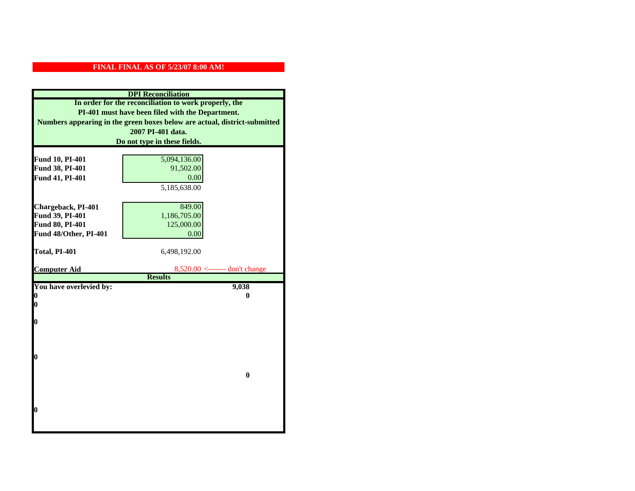|                         | <b>DPI</b> Reconciliation                                                 |
|-------------------------|---------------------------------------------------------------------------|
|                         | In order for the reconciliation to work properly, the                     |
|                         | PI-401 must have been filed with the Department.                          |
|                         | Numbers appearing in the green boxes below are actual, district-submitted |
|                         | 2007 PI-401 data.                                                         |
|                         | Do not type in these fields.                                              |
|                         |                                                                           |
| Fund 10, PI-401         | 5,094,136.00                                                              |
| Fund 38, PI-401         | 91,502.00                                                                 |
| Fund 41, PI-401         | 0.00                                                                      |
|                         | 5,185,638.00                                                              |
|                         |                                                                           |
| Chargeback, PI-401      | 849.00                                                                    |
| Fund 39, PI-401         | 1,186,705.00                                                              |
| Fund 80, PI-401         | 125,000.00                                                                |
| Fund 48/Other, PI-401   | 0.00                                                                      |
|                         |                                                                           |
| Total, PI-401           | 6,498,192.00                                                              |
| <b>Computer Aid</b>     | $8,520.00 \leftarrow \text{---}$ don't change                             |
|                         | <b>Results</b>                                                            |
| You have overlevied by: | 9,038                                                                     |
| N                       | 0                                                                         |
| 0                       |                                                                           |
|                         |                                                                           |
| 0                       |                                                                           |
|                         |                                                                           |
|                         |                                                                           |
| 0                       |                                                                           |
|                         |                                                                           |
|                         | $\bf{0}$                                                                  |
|                         |                                                                           |
|                         |                                                                           |
|                         |                                                                           |
| 0                       |                                                                           |
|                         |                                                                           |
|                         |                                                                           |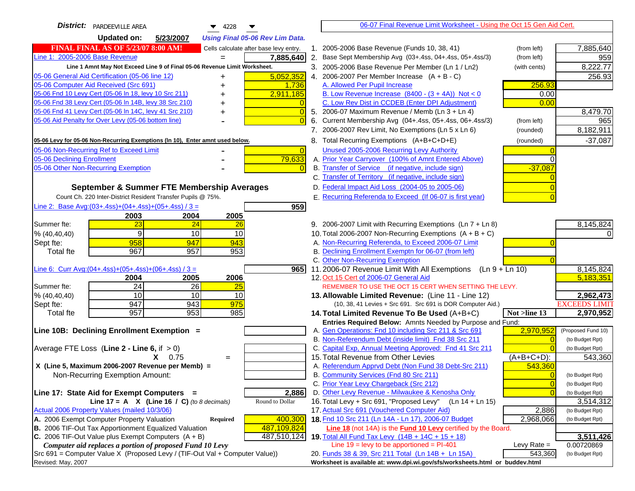| District:   PARDEEVILLE AREA<br>$\blacktriangledown$ 4228                                                                         | 06-07 Final Revenue Limit Worksheet - Using the Oct 15 Gen Aid Cert.                                                              |                      |
|-----------------------------------------------------------------------------------------------------------------------------------|-----------------------------------------------------------------------------------------------------------------------------------|----------------------|
| <b>Updated on:</b><br>5/23/2007<br><b>Using Final 05-06 Rev Lim Data.</b>                                                         |                                                                                                                                   |                      |
| <b>FINAL FINAL AS OF 5/23/07 8:00 AM!</b><br>Cells calculate after base levy entry.                                               | 1. 2005-2006 Base Revenue (Funds 10, 38, 41)<br>(from left)                                                                       | 7,885,640            |
| Line 1: 2005-2006 Base Revenue<br>7,885,640<br>$=$                                                                                | 2. Base Sept Membership Avg (03+.4ss, 04+.4ss, 05+.4ss/3)<br>(from left)                                                          | 959                  |
| Line 1 Amnt May Not Exceed Line 9 of Final 05-06 Revenue Limit Worksheet.                                                         | 3. 2005-2006 Base Revenue Per Member (Ln 1 / Ln2)<br>(with cents)                                                                 | 8,222.77             |
| 5,052,352<br>05-06 General Aid Certification (05-06 line 12)                                                                      | 4. 2006-2007 Per Member Increase $(A + B - C)$                                                                                    | 256.93               |
| 05-06 Computer Aid Received (Src 691)<br>1,736                                                                                    | A. Allowed Per Pupil Increase<br>256.93                                                                                           |                      |
| 05-06 Fnd 10 Levy Cert (05-06 In 18, levy 10 Src 211)<br>2,911,185                                                                | B. Low Revenue Increase $(8400 - (3 + 4A))$ Not < 0<br>0.00                                                                       |                      |
| 05-06 Fnd 38 Levy Cert (05-06 In 14B, levy 38 Src 210)                                                                            | C. Low Rev Dist in CCDEB (Enter DPI Adjustment)<br>0.00                                                                           |                      |
| 05-06 Fnd 41 Levy Cert (05-06 In 14C, levy 41 Src 210)<br>$\overline{0}$<br>+                                                     | 5. 2006-07 Maximum Revenue / Memb (Ln 3 + Ln 4)                                                                                   | 8,479.70             |
| 05-06 Aid Penalty for Over Levy (05-06 bottom line)<br>$\Omega$                                                                   | Current Membership Avg (04+.4ss, 05+.4ss, 06+.4ss/3)<br>6.<br>(from left)                                                         | 965                  |
|                                                                                                                                   | 7. 2006-2007 Rev Limit, No Exemptions (Ln 5 x Ln 6)<br>(rounded)                                                                  | 8,182,911            |
| 05-06 Levy for 05-06 Non-Recurring Exemptions (In 10), Enter amnt used below.                                                     | 8. Total Recurring Exemptions (A+B+C+D+E)<br>(rounded)                                                                            | $-37,087$            |
| 05-06 Non-Recurring Ref to Exceed Limit<br>$\overline{0}$                                                                         | Unused 2005-2006 Recurring Levy Authority                                                                                         |                      |
| 79,633<br>05-06 Declining Enrollment                                                                                              | A. Prior Year Carryover (100% of Amnt Entered Above)                                                                              |                      |
| 05-06 Other Non-Recurring Exemption                                                                                               | B. Transfer of Service (if negative, include sign)<br>$-37,087$                                                                   |                      |
|                                                                                                                                   | C. Transfer of Territory (if negative, include sign)                                                                              |                      |
| September & Summer FTE Membership Averages                                                                                        | D. Federal Impact Aid Loss (2004-05 to 2005-06)                                                                                   |                      |
| Count Ch. 220 Inter-District Resident Transfer Pupils @ 75%.                                                                      | E. Recurring Referenda to Exceed (If 06-07 is first year)                                                                         |                      |
| Line 2: Base Avg: (03+.4ss) + (04+.4ss) + (05+.4ss) / 3 =<br>959                                                                  |                                                                                                                                   |                      |
| 2003<br>2004<br>2005                                                                                                              |                                                                                                                                   |                      |
| 23<br>24<br>Summer fte:<br>26                                                                                                     | 9. 2006-2007 Limit with Recurring Exemptions (Ln 7 + Ln 8)                                                                        | 8,145,824            |
| 9<br>10<br>10<br>% (40, 40, 40)                                                                                                   | 10. Total 2006-2007 Non-Recurring Exemptions $(A + B + C)$                                                                        |                      |
| 958<br>947<br>943<br>Sept fte:                                                                                                    | A. Non-Recurring Referenda, to Exceed 2006-07 Limit                                                                               |                      |
| 967<br>957<br>953<br>Total fte                                                                                                    | B. Declining Enrollment Exemptn for 06-07 (from left)                                                                             |                      |
|                                                                                                                                   | C. Other Non-Recurring Exemption                                                                                                  |                      |
| Line 6: Curr Avg: $(04+.4ss)+(05+.4ss)+(06+.4ss)$ / 3 =<br>9651                                                                   | 11.2006-07 Revenue Limit With All Exemptions $(Ln 9 + Ln 10)$                                                                     | 8,145,824            |
| 2006<br>2004<br>2005                                                                                                              | 12. Oct 15 Cert of 2006-07 General Aid                                                                                            | 5,183,351            |
| 24<br>26<br>Summer fte:<br>25<br>10<br>% (40, 40, 40)<br>10<br>10                                                                 | REMEMBER TO USE THE OCT 15 CERT WHEN SETTING THE LEVY.<br>13. Allowable Limited Revenue: (Line 11 - Line 12)                      | 2,962,473            |
| 947<br>943<br>975<br>Sept fte:                                                                                                    | (10, 38, 41 Levies + Src 691. Src 691 is DOR Computer Aid.)                                                                       | <b>EXCEEDS LIMIT</b> |
| 957<br>953<br>985<br><b>Total fte</b>                                                                                             | Not >line 13<br>14. Total Limited Revenue To Be Used (A+B+C)                                                                      | 2,970,952            |
|                                                                                                                                   | Entries Required Below: Amnts Needed by Purpose and Fund:                                                                         |                      |
| Line 10B: Declining Enrollment Exemption =                                                                                        | 2,970,952<br>A. Gen Operations: Fnd 10 including Src 211 & Src 691                                                                | (Proposed Fund 10)   |
|                                                                                                                                   | B. Non-Referendum Debt (inside limit) Fnd 38 Src 211<br>$\Omega$                                                                  | (to Budget Rpt)      |
| Average FTE Loss (Line $2 -$ Line 6, if $> 0$ )                                                                                   | C. Capital Exp, Annual Meeting Approved: Fnd 41 Src 211                                                                           | (to Budget Rpt)      |
| $X = 0.75$<br>$=$                                                                                                                 | 15. Total Revenue from Other Levies<br>$(A+B+C+D)$ :                                                                              | 543,360              |
| X (Line 5, Maximum 2006-2007 Revenue per Memb) =                                                                                  | A. Referendum Apprvd Debt (Non Fund 38 Debt-Src 211)<br>543,360                                                                   |                      |
| Non-Recurring Exemption Amount:                                                                                                   | B. Community Services (Fnd 80 Src 211)<br>$\Omega$                                                                                | (to Budget Rpt)      |
|                                                                                                                                   | C. Prior Year Levy Chargeback (Src 212)<br>$\overline{0}$                                                                         | (to Budget Rpt)      |
| 2,886<br>Line 17: State Aid for Exempt Computers =                                                                                | D. Other Levy Revenue - Milwaukee & Kenosha Only<br>$\Omega$                                                                      | (to Budget Rpt)      |
| Round to Dollar<br>Line 17 = A $X$ (Line 16 / C) (to 8 decimals)                                                                  | 16. Total Levy + Src 691, "Proposed Levy"<br>(Ln 14 + Ln 15)                                                                      | 3,514,312            |
| Actual 2006 Property Values (mailed 10/3/06)                                                                                      | 17. Actual Src 691 (Vouchered Computer Aid)<br>2,886                                                                              | (to Budget Rpt)      |
| A. 2006 Exempt Computer Property Valuation<br>400,300<br>Required<br><b>B.</b> 2006 TIF-Out Tax Apportionment Equalized Valuation | 18. Fnd 10 Src 211 (Ln 14A - Ln 17), 2006-07 Budget<br>2,968,066<br>Line 18 (not 14A) is the Fund 10 Levy certified by the Board. | (to Budget Rpt)      |
| 487,109,824<br>C. 2006 TIF-Out Value plus Exempt Computers $(A + B)$<br>487,510,124                                               | 19. Total All Fund Tax Levy $(14B + 14C + 15 + 18)$                                                                               | 3,511,426            |
| Computer aid replaces a portion of proposed Fund 10 Levy                                                                          | Line $19 = \text{levy}$ to be apportioned = PI-401<br>Levy Rate $=$                                                               | 0.00720869           |
| Src 691 = Computer Value X (Proposed Levy / (TIF-Out Val + Computer Value))                                                       | 20. Funds 38 & 39, Src 211 Total (Ln 14B + Ln 15A)<br>543,360                                                                     | (to Budget Rpt)      |
| Revised: May, 2007                                                                                                                | Worksheet is available at: www.dpi.wi.gov/sfs/worksheets.html or buddev.html                                                      |                      |
|                                                                                                                                   |                                                                                                                                   |                      |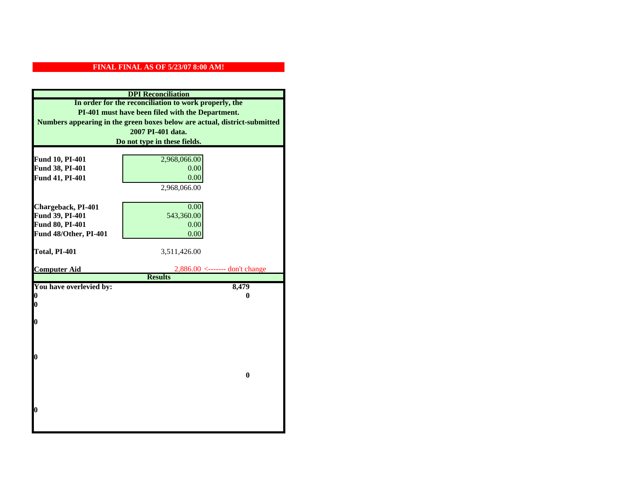|                         | <b>DPI</b> Reconciliation                                                 |
|-------------------------|---------------------------------------------------------------------------|
|                         | In order for the reconciliation to work properly, the                     |
|                         | PI-401 must have been filed with the Department.                          |
|                         | Numbers appearing in the green boxes below are actual, district-submitted |
|                         | 2007 PI-401 data.                                                         |
|                         | Do not type in these fields.                                              |
|                         |                                                                           |
| Fund 10, PI-401         | 2,968,066.00                                                              |
| Fund 38, PI-401         | 0.00                                                                      |
| Fund 41, PI-401         | 0.00                                                                      |
|                         | 2,968,066.00                                                              |
|                         |                                                                           |
| Chargeback, PI-401      | 0.00                                                                      |
| Fund 39, PI-401         | 543,360.00                                                                |
| Fund 80, PI-401         | 0.00                                                                      |
| Fund 48/Other, PI-401   | 0.00                                                                      |
| Total, PI-401           |                                                                           |
|                         | 3,511,426.00                                                              |
| <b>Computer Aid</b>     | $2,886.00 \le$ ------- don't change                                       |
|                         | <b>Results</b>                                                            |
| You have overlevied by: | 8,479                                                                     |
| 0                       | 0                                                                         |
| 0                       |                                                                           |
|                         |                                                                           |
| $\boldsymbol{0}$        |                                                                           |
|                         |                                                                           |
|                         |                                                                           |
| $\bf{0}$                |                                                                           |
|                         |                                                                           |
|                         | $\bf{0}$                                                                  |
|                         |                                                                           |
|                         |                                                                           |
|                         |                                                                           |
| 0                       |                                                                           |
|                         |                                                                           |
|                         |                                                                           |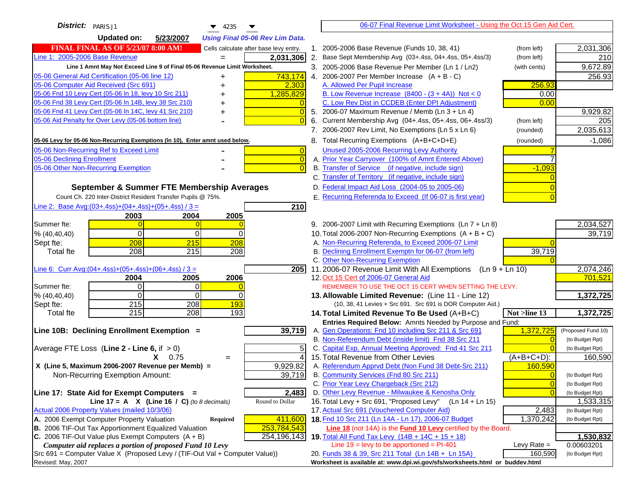| District: PARIS J1<br>$\blacktriangledown$ 4235                                     |                     | 06-07 Final Revenue Limit Worksheet - Using the Oct 15 Gen Aid Cert.                                            |                |                            |
|-------------------------------------------------------------------------------------|---------------------|-----------------------------------------------------------------------------------------------------------------|----------------|----------------------------|
| <b>Updated on:</b><br>5/23/2007<br><b>Using Final 05-06 Rev Lim Data.</b>           |                     |                                                                                                                 |                |                            |
| <b>FINAL FINAL AS OF 5/23/07 8:00 AM!</b><br>Cells calculate after base levy entry. |                     | 1. 2005-2006 Base Revenue (Funds 10, 38, 41)                                                                    | (from left)    | 2,031,306                  |
| Line 1: 2005-2006 Base Revenue<br>2,031,306                                         |                     | 2. Base Sept Membership Avg (03+.4ss, 04+.4ss, 05+.4ss/3)                                                       | (from left)    | 210                        |
| Line 1 Amnt May Not Exceed Line 9 of Final 05-06 Revenue Limit Worksheet.           |                     | 3. 2005-2006 Base Revenue Per Member (Ln 1 / Ln2)                                                               | (with cents)   | 9,672.89                   |
| 743,174<br>05-06 General Aid Certification (05-06 line 12)<br>+                     |                     | 4. 2006-2007 Per Member Increase $(A + B - C)$                                                                  |                | 256.93                     |
| 05-06 Computer Aid Received (Src 691)<br>2,303                                      |                     | A. Allowed Per Pupil Increase                                                                                   | 256.93         |                            |
| 05-06 Fnd 10 Levy Cert (05-06 In 18, levy 10 Src 211)<br>1,285,829                  |                     | B. Low Revenue Increase $(8400 - (3 + 4A))$ Not < 0                                                             | 0.00           |                            |
| 05-06 Fnd 38 Levy Cert (05-06 In 14B, levy 38 Src 210)                              |                     | C. Low Rev Dist in CCDEB (Enter DPI Adjustment)                                                                 | 0.00           |                            |
| 05-06 Fnd 41 Levy Cert (05-06 In 14C, levy 41 Src 210)<br>+                         |                     | 5. 2006-07 Maximum Revenue / Memb (Ln 3 + Ln 4)                                                                 |                | 9,929.82                   |
| 05-06 Aid Penalty for Over Levy (05-06 bottom line)                                 |                     | 6. Current Membership Avg (04+.4ss, 05+.4ss, 06+.4ss/3)                                                         | (from left)    | 205                        |
|                                                                                     |                     | 7. 2006-2007 Rev Limit, No Exemptions (Ln 5 x Ln 6)                                                             | (rounded)      | 2,035,613                  |
| 05-06 Levy for 05-06 Non-Recurring Exemptions (In 10), Enter amnt used below.       |                     | 8. Total Recurring Exemptions (A+B+C+D+E)                                                                       | (rounded)      | $-1,086$                   |
| 05-06 Non-Recurring Ref to Exceed Limit                                             | $\overline{0}$      | Unused 2005-2006 Recurring Levy Authority                                                                       |                |                            |
| 05-06 Declining Enrollment                                                          | $\overline{0}$      | A. Prior Year Carryover (100% of Amnt Entered Above)                                                            |                |                            |
| 05-06 Other Non-Recurring Exemption                                                 |                     | B. Transfer of Service (if negative, include sign)                                                              | $-1,093$       |                            |
|                                                                                     |                     | C. Transfer of Territory (if negative, include sign)                                                            |                |                            |
| September & Summer FTE Membership Averages                                          |                     | D. Federal Impact Aid Loss (2004-05 to 2005-06)                                                                 |                |                            |
| Count Ch. 220 Inter-District Resident Transfer Pupils @ 75%.                        |                     | E. Recurring Referenda to Exceed (If 06-07 is first year)                                                       |                |                            |
| Line 2: Base Avg: $(03+.4ss)+(04+.4ss)+(05+.4ss)/3 =$<br>210                        |                     |                                                                                                                 |                |                            |
| 2004<br>2005<br>2003                                                                |                     |                                                                                                                 |                |                            |
| Summer fte:                                                                         |                     | 9. 2006-2007 Limit with Recurring Exemptions (Ln 7 + Ln 8)                                                      |                | 2,034,527                  |
| $\Omega$<br>% (40, 40, 40)<br>0<br>0                                                |                     | 10. Total 2006-2007 Non-Recurring Exemptions $(A + B + C)$                                                      |                | 39,719                     |
| 208<br>215<br>208<br>Sept fte:<br>215<br>208<br>208                                 |                     | A. Non-Recurring Referenda, to Exceed 2006-07 Limit<br>B. Declining Enrollment Exemptn for 06-07 (from left)    | 39,719         |                            |
| <b>Total fte</b>                                                                    |                     | C. Other Non-Recurring Exemption                                                                                |                |                            |
| Line 6: Curr Avg: $(04+.4ss)+(05+.4ss)+(06+.4ss)/3 =$                               | 205I                | 11.2006-07 Revenue Limit With All Exemptions (Ln 9 + Ln 10)                                                     |                | 2,074,246                  |
| 2004<br>2005<br>2006                                                                |                     | 12. Oct 15 Cert of 2006-07 General Aid                                                                          |                | 701,521                    |
| Summer fte:<br>$\Omega$<br>$\Omega$                                                 |                     | REMEMBER TO USE THE OCT 15 CERT WHEN SETTING THE LEVY.                                                          |                |                            |
| $\Omega$<br>$\Omega$<br>% (40, 40, 40)<br>0                                         |                     | 13. Allowable Limited Revenue: (Line 11 - Line 12)                                                              |                | 1,372,725                  |
| 215<br>193<br>208<br>Sept fte:                                                      |                     | (10, 38, 41 Levies + Src 691. Src 691 is DOR Computer Aid.)                                                     |                |                            |
| 215<br>208<br>193<br><b>Total fte</b>                                               |                     | 14. Total Limited Revenue To Be Used (A+B+C)                                                                    | Not >line 13   | 1,372,725                  |
|                                                                                     |                     | Entries Required Below: Amnts Needed by Purpose and Fund:                                                       |                |                            |
| 39,719<br>Line 10B: Declining Enrollment Exemption =                                |                     | A. Gen Operations: Fnd 10 including Src 211 & Src 691                                                           | 1,372,725      | (Proposed Fund 10)         |
|                                                                                     |                     | B. Non-Referendum Debt (inside limit) Fnd 38 Src 211<br>C. Capital Exp, Annual Meeting Approved: Fnd 41 Src 211 | $\sqrt{ }$     | (to Budget Rpt)            |
| Average FTE Loss (Line $2 -$ Line 6, if $> 0$ )<br>$X = 0.75$<br>$=$                | 5<br>$\overline{4}$ | 15. Total Revenue from Other Levies                                                                             | (A+B+C+D):     | (to Budget Rpt)<br>160,590 |
| X (Line 5, Maximum 2006-2007 Revenue per Memb) =<br>9,929.82                        |                     | A. Referendum Apprvd Debt (Non Fund 38 Debt-Src 211)                                                            | 160,590        |                            |
| Non-Recurring Exemption Amount:<br>39,719                                           |                     | B. Community Services (Fnd 80 Src 211)                                                                          |                | (to Budget Rpt)            |
|                                                                                     |                     | C. Prior Year Levy Chargeback (Src 212)                                                                         | $\overline{0}$ | (to Budget Rpt)            |
| 2,483<br>Line 17: State Aid for Exempt Computers =                                  |                     | D. Other Levy Revenue - Milwaukee & Kenosha Only                                                                | $\sqrt{ }$     | (to Budget Rpt)            |
| Line 17 = A $X$ (Line 16 / C) (to 8 decimals)<br>Round to Dollar                    |                     | 16. Total Levy + Src 691, "Proposed Levy"<br>$(Ln 14 + Ln 15)$                                                  |                | 1,533,315                  |
| Actual 2006 Property Values (mailed 10/3/06)                                        |                     | 17. Actual Src 691 (Vouchered Computer Aid)                                                                     | 2,483          | (to Budget Rpt)            |
| A. 2006 Exempt Computer Property Valuation<br>Required<br>411,600                   |                     | 18. Fnd 10 Src 211 (Ln 14A - Ln 17), 2006-07 Budget                                                             | 1,370,242      | (to Budget Rpt)            |
| B. 2006 TIF-Out Tax Apportionment Equalized Valuation<br>253,784,543                |                     | Line 18 (not 14A) is the Fund 10 Levy certified by the Board.                                                   |                |                            |
| C. 2006 TIF-Out Value plus Exempt Computers $(A + B)$<br>254,196,143                |                     | 19. Total All Fund Tax Levy (14B + 14C + 15 + 18)                                                               |                | 1,530,832                  |
| Computer aid replaces a portion of proposed Fund 10 Levy                            |                     | Line $19 = \text{levy}$ to be apportioned = PI-401                                                              | Levy Rate $=$  | 0.00603201                 |
| Src 691 = Computer Value X (Proposed Levy / (TIF-Out Val + Computer Value))         |                     | 20. Funds 38 & 39, Src 211 Total (Ln 14B + Ln 15A)                                                              | 160,590        | (to Budget Rpt)            |
| Revised: May, 2007                                                                  |                     | Worksheet is available at: www.dpi.wi.gov/sfs/worksheets.html or buddev.html                                    |                |                            |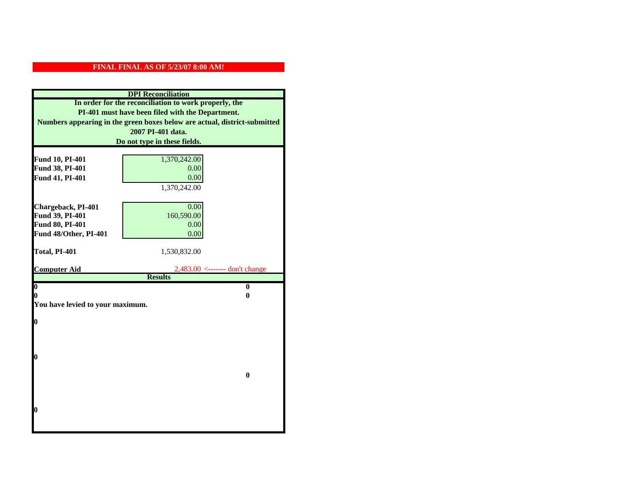|                                          | <b>DPI</b> Reconciliation                                                 |
|------------------------------------------|---------------------------------------------------------------------------|
|                                          | In order for the reconciliation to work properly, the                     |
|                                          | PI-401 must have been filed with the Department.                          |
|                                          | Numbers appearing in the green boxes below are actual, district-submitted |
|                                          | 2007 PI-401 data.                                                         |
|                                          | Do not type in these fields.                                              |
|                                          |                                                                           |
| Fund 10, PI-401                          | 1,370,242.00                                                              |
| Fund 38, PI-401                          | 0.00                                                                      |
| Fund 41, PI-401                          | 0.00                                                                      |
|                                          | 1,370,242.00                                                              |
|                                          |                                                                           |
| Chargeback, PI-401                       | 0.00                                                                      |
| Fund 39, PI-401                          | 160,590.00                                                                |
| Fund 80, PI-401<br>Fund 48/Other, PI-401 | 0.00                                                                      |
|                                          | 0.00                                                                      |
| Total, PI-401                            | 1,530,832.00                                                              |
|                                          |                                                                           |
| <b>Computer Aid</b>                      | $2,483.00$ <------- don't change                                          |
|                                          | <b>Results</b>                                                            |
| $\overline{\mathbf{0}}$                  | $\mathbf{0}$                                                              |
| 0                                        | 0                                                                         |
| You have levied to your maximum.         |                                                                           |
| $\bf{0}$                                 |                                                                           |
|                                          |                                                                           |
|                                          |                                                                           |
|                                          |                                                                           |
| l0                                       |                                                                           |
|                                          |                                                                           |
|                                          | $\bf{0}$                                                                  |
|                                          |                                                                           |
|                                          |                                                                           |
|                                          |                                                                           |
|                                          |                                                                           |
| l0                                       |                                                                           |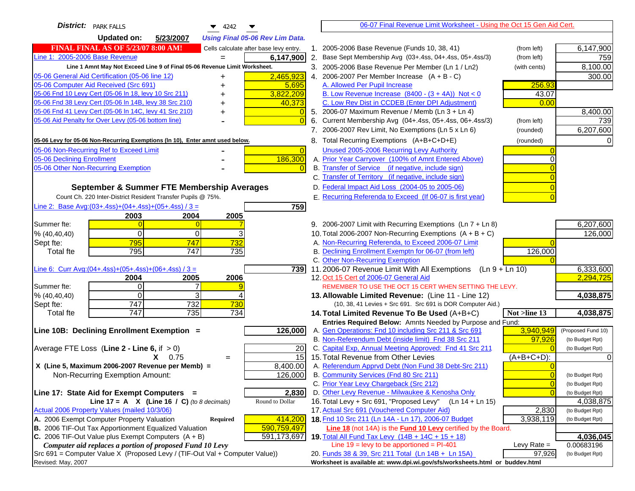| <b>District:</b> PARK FALLS<br>4242<br>▼                                                                               |                | 06-07 Final Revenue Limit Worksheet - Using the Oct 15 Gen Aid Cert.                            |                |                              |
|------------------------------------------------------------------------------------------------------------------------|----------------|-------------------------------------------------------------------------------------------------|----------------|------------------------------|
| <b>Updated on:</b><br>5/23/2007<br><b>Using Final 05-06 Rev Lim Data.</b>                                              |                |                                                                                                 |                |                              |
| <b>FINAL FINAL AS OF 5/23/07 8:00 AM!</b><br>Cells calculate after base levy entry.                                    |                | 1. 2005-2006 Base Revenue (Funds 10, 38, 41)                                                    | (from left)    | 6,147,900                    |
| Line 1: 2005-2006 Base Revenue<br>6,147,900                                                                            |                | 2. Base Sept Membership Avg (03+.4ss, 04+.4ss, 05+.4ss/3)                                       | (from left)    | 759                          |
| Line 1 Amnt May Not Exceed Line 9 of Final 05-06 Revenue Limit Worksheet.                                              |                | 3. 2005-2006 Base Revenue Per Member (Ln 1 / Ln2)                                               | (with cents)   | 8,100.00                     |
| 05-06 General Aid Certification (05-06 line 12)<br>2,465,923<br>+                                                      |                | 4. 2006-2007 Per Member Increase $(A + B - C)$                                                  |                | 300.00                       |
| 05-06 Computer Aid Received (Src 691)<br>5,695                                                                         |                | A. Allowed Per Pupil Increase                                                                   | 256.93         |                              |
| 05-06 Fnd 10 Levy Cert (05-06 In 18, levy 10 Src 211)<br>3,822,209                                                     |                | B. Low Revenue Increase $(8400 - (3 + 4A))$ Not < 0                                             | 43.07          |                              |
| 05-06 Fnd 38 Levy Cert (05-06 In 14B, levy 38 Src 210)<br>40,373                                                       |                | C. Low Rev Dist in CCDEB (Enter DPI Adjustment)                                                 | 0.00           |                              |
| 05-06 Fnd 41 Levy Cert (05-06 In 14C, levy 41 Src 210)                                                                 |                | 5. 2006-07 Maximum Revenue / Memb (Ln $3 + \text{Ln } 4$ )                                      |                | 8,400.00                     |
| 05-06 Aid Penalty for Over Levy (05-06 bottom line)                                                                    |                | 6. Current Membership Avg (04+.4ss, 05+.4ss, 06+.4ss/3)                                         | (from left)    | 739                          |
|                                                                                                                        |                | 7. 2006-2007 Rev Limit, No Exemptions (Ln 5 x Ln 6)                                             | (rounded)      | 6,207,600                    |
| 05-06 Levy for 05-06 Non-Recurring Exemptions (In 10), Enter amnt used below.                                          |                | 8. Total Recurring Exemptions (A+B+C+D+E)                                                       | (rounded)      |                              |
| 05-06 Non-Recurring Ref to Exceed Limit                                                                                | $\overline{0}$ | Unused 2005-2006 Recurring Levy Authority                                                       |                |                              |
| 186,300<br>05-06 Declining Enrollment                                                                                  |                | A. Prior Year Carryover (100% of Amnt Entered Above)                                            |                |                              |
| 05-06 Other Non-Recurring Exemption                                                                                    |                | B. Transfer of Service (if negative, include sign)                                              |                |                              |
|                                                                                                                        |                | C. Transfer of Territory (if negative, include sign)                                            |                |                              |
| September & Summer FTE Membership Averages                                                                             |                | D. Federal Impact Aid Loss (2004-05 to 2005-06)                                                 |                |                              |
| Count Ch. 220 Inter-District Resident Transfer Pupils @ 75%.                                                           |                | E. Recurring Referenda to Exceed (If 06-07 is first year)                                       |                |                              |
| Line 2: Base Avg:(03+.4ss)+(04+.4ss)+(05+.4ss) / 3 =<br>759                                                            |                |                                                                                                 |                |                              |
| 2003<br>2004<br>2005                                                                                                   |                |                                                                                                 |                |                              |
| Summer fte:                                                                                                            |                | 9. 2006-2007 Limit with Recurring Exemptions (Ln 7 + Ln 8)                                      |                | 6,207,600                    |
| 0<br>3<br>% (40, 40, 40)<br>0                                                                                          |                | 10. Total 2006-2007 Non-Recurring Exemptions (A + B + C)                                        |                | 126,000                      |
| 795<br>732<br>747<br>Sept fte:                                                                                         |                | A. Non-Recurring Referenda, to Exceed 2006-07 Limit                                             |                |                              |
| 795<br>747<br>735<br><b>Total fte</b>                                                                                  |                | B. Declining Enrollment Exemptn for 06-07 (from left)                                           | 126,000        |                              |
| <u>Line 6: Curr Avg: (04+.4ss)+ (05+.4ss)+ (06+.4ss) / 3 =</u><br>739I                                                 |                | C. Other Non-Recurring Exemption<br>11.2006-07 Revenue Limit With All Exemptions (Ln 9 + Ln 10) |                | 6,333,600                    |
| 2005<br>2006<br>2004                                                                                                   |                | 12. Oct 15 Cert of 2006-07 General Aid                                                          |                | 2,294,725                    |
| Οl<br>Summer fte:                                                                                                      |                | REMEMBER TO USE THE OCT 15 CERT WHEN SETTING THE LEVY.                                          |                |                              |
| $\Omega$<br>3<br>% (40, 40, 40)                                                                                        |                | 13. Allowable Limited Revenue: (Line 11 - Line 12)                                              |                | 4,038,875                    |
| 732<br>747<br>730<br>Sept fte:                                                                                         |                | (10, 38, 41 Levies + Src 691. Src 691 is DOR Computer Aid.)                                     |                |                              |
| 747<br>735<br>734<br><b>Total fte</b>                                                                                  |                | 14. Total Limited Revenue To Be Used (A+B+C)                                                    | Not >line 13   | 4,038,875                    |
|                                                                                                                        |                | Entries Required Below: Amnts Needed by Purpose and Fund:                                       |                |                              |
| Line 10B: Declining Enrollment Exemption =<br>126,000                                                                  |                | A. Gen Operations: Fnd 10 including Src 211 & Src 691                                           | 3,940,949      | (Proposed Fund 10)           |
|                                                                                                                        |                | B. Non-Referendum Debt (inside limit) Fnd 38 Src 211                                            | 97,926         | (to Budget Rpt)              |
| Average FTE Loss (Line $2 -$ Line 6, if $> 0$ )<br>20                                                                  |                | C. Capital Exp, Annual Meeting Approved: Fnd 41 Src 211                                         |                | (to Budget Rpt)              |
| 15<br>$X = 0.75$<br>$=$                                                                                                |                | 15. Total Revenue from Other Levies                                                             | $(A+B+C+D)$ :  |                              |
| X (Line 5, Maximum 2006-2007 Revenue per Memb) =<br>8,400.00                                                           |                | A. Referendum Apprvd Debt (Non Fund 38 Debt-Src 211)                                            |                |                              |
| 126,000<br>Non-Recurring Exemption Amount:                                                                             |                | B. Community Services (Fnd 80 Src 211)                                                          |                | (to Budget Rpt)              |
|                                                                                                                        |                | C. Prior Year Levy Chargeback (Src 212)<br>D. Other Levy Revenue - Milwaukee & Kenosha Only     | $\overline{0}$ | (to Budget Rpt)              |
| 2,830<br>Line 17: State Aid for Exempt Computers =<br>Line 17 = A $X$ (Line 16 / C) (to 8 decimals)<br>Round to Dollar |                | 16. Total Levy + Src 691, "Proposed Levy"<br>$(Ln 14 + Ln 15)$                                  |                | (to Budget Rpt)<br>4,038,875 |
| Actual 2006 Property Values (mailed 10/3/06)                                                                           |                | 17. Actual Src 691 (Vouchered Computer Aid)                                                     | 2,830          | (to Budget Rpt)              |
| A. 2006 Exempt Computer Property Valuation<br>414,200<br><b>Required</b>                                               |                | 18. Fnd 10 Src 211 (Ln 14A - Ln 17), 2006-07 Budget                                             | 3,938,119      | (to Budget Rpt)              |
| B. 2006 TIF-Out Tax Apportionment Equalized Valuation<br>590,759,497                                                   |                | Line 18 (not 14A) is the <b>Fund 10 Levy</b> certified by the Board.                            |                |                              |
| C. 2006 TIF-Out Value plus Exempt Computers $(A + B)$<br>591,173,697                                                   |                | 19. Total All Fund Tax Levy (14B + 14C + 15 + 18)                                               |                | 4,036,045                    |
| Computer aid replaces a portion of proposed Fund 10 Levy                                                               |                | Line $19 = \text{levy}$ to be apportioned = PI-401                                              | Levy Rate $=$  | 0.00683196                   |
| Src 691 = Computer Value X (Proposed Levy / (TIF-Out Val + Computer Value))                                            |                | 20. Funds 38 & 39, Src 211 Total (Ln 14B + Ln 15A)                                              | 97,926         | (to Budget Rpt)              |
| Revised: May, 2007                                                                                                     |                | Worksheet is available at: www.dpi.wi.gov/sfs/worksheets.html or buddev.html                    |                |                              |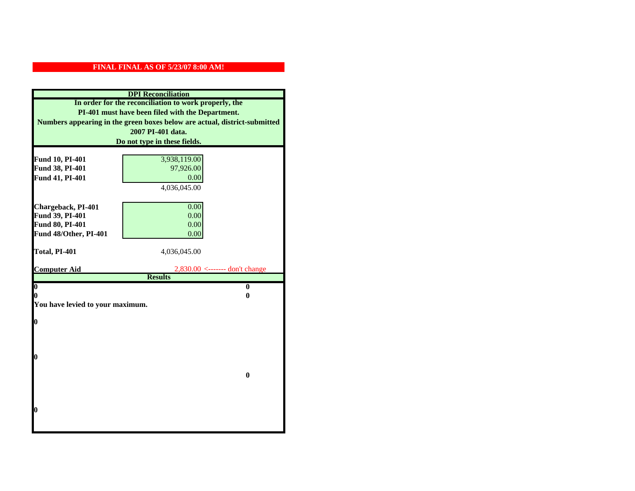|                                    | <b>DPI</b> Reconciliation                                                 |
|------------------------------------|---------------------------------------------------------------------------|
|                                    | In order for the reconciliation to work properly, the                     |
|                                    | PI-401 must have been filed with the Department.                          |
|                                    | Numbers appearing in the green boxes below are actual, district-submitted |
|                                    | 2007 PI-401 data.                                                         |
|                                    | Do not type in these fields.                                              |
|                                    |                                                                           |
| Fund 10, PI-401                    | 3,938,119.00                                                              |
| Fund 38, PI-401                    | 97,926.00                                                                 |
| Fund 41, PI-401                    | 0.00                                                                      |
|                                    | 4,036,045.00                                                              |
|                                    |                                                                           |
| Chargeback, PI-401                 | 0.00<br>0.00                                                              |
| Fund 39, PI-401<br>Fund 80, PI-401 |                                                                           |
| Fund 48/Other, PI-401              | 0.00<br>0.00                                                              |
|                                    |                                                                           |
| Total, PI-401                      | 4,036,045.00                                                              |
|                                    |                                                                           |
|                                    |                                                                           |
| <b>Computer Aid</b>                | $2,830.00 \leftarrow \text{---}$ don't change                             |
|                                    | <b>Results</b>                                                            |
| $\boldsymbol{0}$                   | $\mathbf{0}$                                                              |
| 0                                  | 0                                                                         |
| You have levied to your maximum.   |                                                                           |
|                                    |                                                                           |
| $\bf{0}$                           |                                                                           |
|                                    |                                                                           |
|                                    |                                                                           |
| 0                                  |                                                                           |
|                                    |                                                                           |
|                                    | $\bf{0}$                                                                  |
|                                    |                                                                           |
|                                    |                                                                           |
|                                    |                                                                           |
| 0                                  |                                                                           |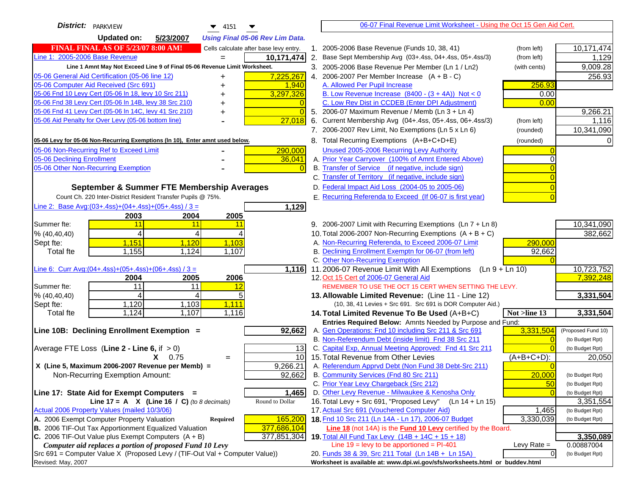| District:   PARKVIEW<br>$\blacktriangledown$ 4151                                   |          | 06-07 Final Revenue Limit Worksheet - Using the Oct 15 Gen Aid Cert.                                          |                |                                    |
|-------------------------------------------------------------------------------------|----------|---------------------------------------------------------------------------------------------------------------|----------------|------------------------------------|
| <b>Updated on:</b><br>5/23/2007<br><b>Using Final 05-06 Rev Lim Data.</b>           |          |                                                                                                               |                |                                    |
| <b>FINAL FINAL AS OF 5/23/07 8:00 AM!</b><br>Cells calculate after base levy entry. |          | 1. 2005-2006 Base Revenue (Funds 10, 38, 41)                                                                  | (from left)    | 10,171,474                         |
| Line 1: 2005-2006 Base Revenue<br>10,171,474                                        |          | 2. Base Sept Membership Avg (03+.4ss, 04+.4ss, 05+.4ss/3)                                                     | (from left)    | 1,129                              |
| Line 1 Amnt May Not Exceed Line 9 of Final 05-06 Revenue Limit Worksheet.           |          | 3. 2005-2006 Base Revenue Per Member (Ln 1 / Ln2)                                                             | (with cents)   | 9,009.28                           |
| 05-06 General Aid Certification (05-06 line 12)<br>7,225,267<br>+                   |          | 4. 2006-2007 Per Member Increase $(A + B - C)$                                                                |                | 256.93                             |
| 05-06 Computer Aid Received (Src 691)<br>1,940                                      |          | A. Allowed Per Pupil Increase                                                                                 | 256.93         |                                    |
| 3,297,326<br>05-06 Fnd 10 Levy Cert (05-06 ln 18, levy 10 Src 211)                  |          | B. Low Revenue Increase $(8400 - (3 + 4A))$ Not < 0                                                           | 0.00           |                                    |
| 05-06 Fnd 38 Levy Cert (05-06 In 14B, levy 38 Src 210)                              |          | C. Low Rev Dist in CCDEB (Enter DPI Adjustment)                                                               | 0.00           |                                    |
| 05-06 Fnd 41 Levy Cert (05-06 In 14C, levy 41 Src 210)                              | $\Omega$ | 5. 2006-07 Maximum Revenue / Memb (Ln 3 + Ln 4)                                                               |                | 9,266.21                           |
| 05-06 Aid Penalty for Over Levy (05-06 bottom line)<br>27,018                       | 6.       | Current Membership Avg (04+.4ss, 05+.4ss, 06+.4ss/3)                                                          | (from left)    | 1,116                              |
|                                                                                     |          | 7. 2006-2007 Rev Limit, No Exemptions (Ln 5 x Ln 6)                                                           | (rounded)      | 10,341,090                         |
| 05-06 Levy for 05-06 Non-Recurring Exemptions (In 10), Enter amnt used below.       |          | 8. Total Recurring Exemptions (A+B+C+D+E)                                                                     | (rounded)      |                                    |
| 05-06 Non-Recurring Ref to Exceed Limit<br>290,000                                  |          | Unused 2005-2006 Recurring Levy Authority                                                                     |                |                                    |
| 05-06 Declining Enrollment<br>36,041                                                |          | A. Prior Year Carryover (100% of Amnt Entered Above)                                                          |                |                                    |
| 05-06 Other Non-Recurring Exemption<br>$\Omega$                                     |          | B. Transfer of Service (if negative, include sign)                                                            |                |                                    |
|                                                                                     |          | C. Transfer of Territory (if negative, include sign)                                                          |                |                                    |
| September & Summer FTE Membership Averages                                          |          | D. Federal Impact Aid Loss (2004-05 to 2005-06)                                                               |                |                                    |
| Count Ch. 220 Inter-District Resident Transfer Pupils @ 75%.                        |          | E. Recurring Referenda to Exceed (If 06-07 is first year)                                                     |                |                                    |
| Line 2: Base Avg:(03+.4ss)+(04+.4ss)+(05+.4ss) / 3 =<br>1,129                       |          |                                                                                                               |                |                                    |
| 2003<br>2004<br>2005                                                                |          |                                                                                                               |                |                                    |
| 11<br>Summer fte:<br>11<br>11                                                       |          | 9. 2006-2007 Limit with Recurring Exemptions (Ln 7 + Ln 8)                                                    |                | 10,341,090                         |
| 4<br>% (40, 40, 40)<br>4                                                            |          | 10. Total 2006-2007 Non-Recurring Exemptions $(A + B + C)$                                                    |                | 382,662                            |
| 1,151<br>1,120<br>1,103<br>Sept fte:                                                |          | A. Non-Recurring Referenda, to Exceed 2006-07 Limit                                                           | 290,000        |                                    |
| 1,155<br>1,124<br>1,107<br><b>Total fte</b>                                         |          | B. Declining Enrollment Exemptn for 06-07 (from left)                                                         | 92,662         |                                    |
|                                                                                     |          | C. Other Non-Recurring Exemption                                                                              |                |                                    |
| Line 6: Curr Avg: $(04+.4ss)+(05+.4ss)+(06+.4ss)/3=$<br>1,116                       |          | 11.2006-07 Revenue Limit With All Exemptions<br>$(Ln 9 + Ln 10)$                                              |                | 10,723,752                         |
| 2005<br>2006<br>2004                                                                |          | 12. Oct 15 Cert of 2006-07 General Aid                                                                        |                | 7,392,248                          |
| 11<br>11<br>12<br>Summer fte:                                                       |          | REMEMBER TO USE THE OCT 15 CERT WHEN SETTING THE LEVY.                                                        |                |                                    |
| 5<br>% (40, 40, 40)<br>4<br>4                                                       |          | 13. Allowable Limited Revenue: (Line 11 - Line 12)                                                            |                | 3,331,504                          |
| 1,120<br>1,103<br>1,111<br>Sept fte:                                                |          | (10, 38, 41 Levies + Src 691. Src 691 is DOR Computer Aid.)                                                   |                |                                    |
| 1,124<br>1,107<br>1,116<br><b>Total fte</b>                                         |          | 14. Total Limited Revenue To Be Used (A+B+C)                                                                  | Not >line 13   | 3,331,504                          |
|                                                                                     |          | Entries Required Below: Amnts Needed by Purpose and Fund:                                                     |                |                                    |
| Line 10B: Declining Enrollment Exemption =<br>92,662                                |          | A. Gen Operations: Fnd 10 including Src 211 & Src 691<br>B. Non-Referendum Debt (inside limit) Fnd 38 Src 211 | 3,331,504      | (Proposed Fund 10)                 |
| Average FTE Loss (Line $2 -$ Line 6, if $> 0$ )                                     |          | C. Capital Exp, Annual Meeting Approved: Fnd 41 Src 211                                                       | $\Omega$       | (to Budget Rpt)<br>(to Budget Rpt) |
| 13<br>10 <sup>1</sup><br>$X = 0.75$                                                 |          | 15. Total Revenue from Other Levies                                                                           | $(A+B+C+D)$ :  | 20,050                             |
| $=$<br>9,266.21<br>X (Line 5, Maximum 2006-2007 Revenue per Memb) =                 |          | A. Referendum Apprvd Debt (Non Fund 38 Debt-Src 211)                                                          |                |                                    |
| 92,662<br>Non-Recurring Exemption Amount:                                           |          | B. Community Services (Fnd 80 Src 211)                                                                        | 20,000         | (to Budget Rpt)                    |
|                                                                                     |          | C. Prior Year Levy Chargeback (Src 212)                                                                       | 50             | (to Budget Rpt)                    |
| Line 17: State Aid for Exempt Computers =<br>1,465                                  |          | D. Other Levy Revenue - Milwaukee & Kenosha Only                                                              | $\Omega$       | (to Budget Rpt)                    |
| Round to Dollar<br>Line 17 = A $X$ (Line 16 / C) (to 8 decimals)                    |          | 16. Total Levy + Src 691, "Proposed Levy"<br>$(Ln 14 + Ln 15)$                                                |                | 3,351,554                          |
| Actual 2006 Property Values (mailed 10/3/06)                                        |          | 17. Actual Src 691 (Vouchered Computer Aid)                                                                   | 1,465          | (to Budget Rpt)                    |
| A. 2006 Exempt Computer Property Valuation<br>165,200<br><b>Required</b>            |          | 18. Fnd 10 Src 211 (Ln 14A - Ln 17), 2006-07 Budget                                                           | 3,330,039      | (to Budget Rpt)                    |
| B. 2006 TIF-Out Tax Apportionment Equalized Valuation<br>377,686,104                |          | Line 18 (not 14A) is the <b>Fund 10 Levy</b> certified by the Board.                                          |                |                                    |
| C. 2006 TIF-Out Value plus Exempt Computers $(A + B)$<br>377,851,304                |          | 19. Total All Fund Tax Levy (14B + 14C + 15 + 18)                                                             |                | 3,350,089                          |
| Computer aid replaces a portion of proposed Fund 10 Levy                            |          | Line $19 = \text{levy}$ to be apportioned = PI-401                                                            | Levy Rate $=$  | 0.00887004                         |
| Src 691 = Computer Value X (Proposed Levy / (TIF-Out Val + Computer Value))         |          | 20. Funds 38 & 39, Src 211 Total (Ln 14B + Ln 15A)                                                            | $\overline{0}$ | (to Budget Rpt)                    |
| Revised: May, 2007                                                                  |          | Worksheet is available at: www.dpi.wi.gov/sfs/worksheets.html or buddev.html                                  |                |                                    |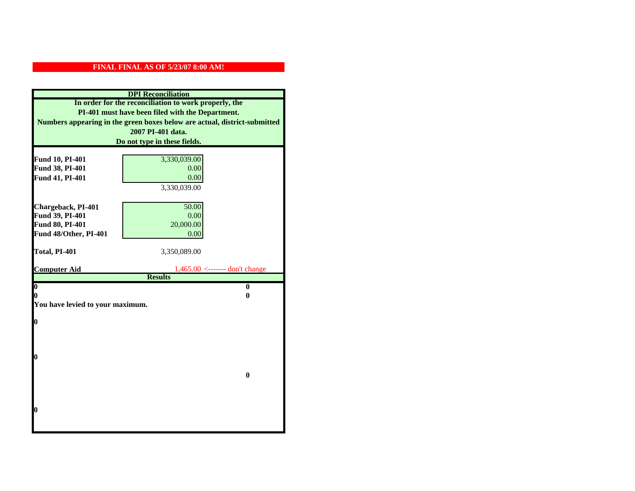|                                  | <b>DPI</b> Reconciliation                                                 |
|----------------------------------|---------------------------------------------------------------------------|
|                                  | In order for the reconciliation to work properly, the                     |
|                                  | PI-401 must have been filed with the Department.                          |
|                                  | Numbers appearing in the green boxes below are actual, district-submitted |
|                                  | 2007 PI-401 data.                                                         |
|                                  | Do not type in these fields.                                              |
|                                  |                                                                           |
| Fund 10, PI-401                  | 3,330,039.00                                                              |
| Fund 38, PI-401                  | 0.00                                                                      |
| Fund 41, PI-401                  | 0.00                                                                      |
|                                  | 3,330,039.00                                                              |
|                                  |                                                                           |
| Chargeback, PI-401               | 50.00                                                                     |
| Fund 39, PI-401                  | 0.00                                                                      |
| Fund 80, PI-401                  | 20,000.00                                                                 |
| Fund 48/Other, PI-401            | 0.00                                                                      |
| Total, PI-401                    | 3,350,089.00                                                              |
|                                  |                                                                           |
|                                  |                                                                           |
| <b>Computer Aid</b>              | $1,465.00$ <------- don't change                                          |
|                                  | <b>Results</b>                                                            |
| $\overline{\mathbf{0}}$          | $\mathbf{0}$                                                              |
| 0                                | 0                                                                         |
| You have levied to your maximum. |                                                                           |
|                                  |                                                                           |
| $\bf{0}$                         |                                                                           |
|                                  |                                                                           |
|                                  |                                                                           |
| 0                                |                                                                           |
|                                  |                                                                           |
|                                  | $\bf{0}$                                                                  |
|                                  |                                                                           |
|                                  |                                                                           |
|                                  |                                                                           |
| 0                                |                                                                           |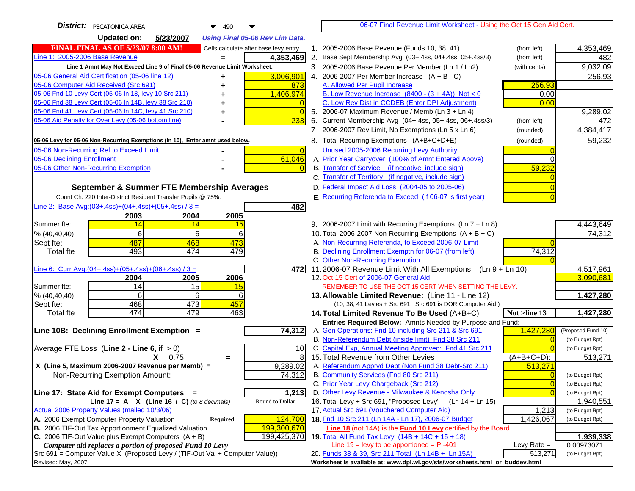| <b>District:</b> PECATONICA AREA<br>$\blacktriangledown$ 490                                |                | 06-07 Final Revenue Limit Worksheet - Using the Oct 15 Gen Aid Cert.                                                              |                                   |         |
|---------------------------------------------------------------------------------------------|----------------|-----------------------------------------------------------------------------------------------------------------------------------|-----------------------------------|---------|
| <b>Updated on:</b><br>5/23/2007<br><b>Using Final 05-06 Rev Lim Data.</b>                   |                |                                                                                                                                   |                                   |         |
| <b>FINAL FINAL AS OF 5/23/07 8:00 AM!</b><br>Cells calculate after base levy entry.         |                | 1. 2005-2006 Base Revenue (Funds 10, 38, 41)<br>(from left)                                                                       | 4,353,469                         |         |
| Line 1: 2005-2006 Base Revenue<br>$\overline{4,}353,469$<br>$=$                             |                | 2. Base Sept Membership Avg (03+.4ss, 04+.4ss, 05+.4ss/3)<br>(from left)                                                          |                                   | 482     |
| Line 1 Amnt May Not Exceed Line 9 of Final 05-06 Revenue Limit Worksheet.                   |                | 3. 2005-2006 Base Revenue Per Member (Ln 1 / Ln2)<br>(with cents)                                                                 | 9,032.09                          |         |
| 3,006,901<br>05-06 General Aid Certification (05-06 line 12)                                |                | 4. 2006-2007 Per Member Increase $(A + B - C)$                                                                                    |                                   | 256.93  |
| 05-06 Computer Aid Received (Src 691)                                                       | 873            | A. Allowed Per Pupil Increase                                                                                                     | 256.93                            |         |
| 05-06 Fnd 10 Levy Cert (05-06 ln 18, levy 10 Src 211)<br>1,406,974                          |                | B. Low Revenue Increase $(8400 - (3 + 4A))$ Not < 0                                                                               | 0.00                              |         |
| 05-06 Fnd 38 Levy Cert (05-06 In 14B, levy 38 Src 210)                                      |                | C. Low Rev Dist in CCDEB (Enter DPI Adjustment)                                                                                   | 0.00                              |         |
| 05-06 Fnd 41 Levy Cert (05-06 In 14C, levy 41 Src 210)<br>+                                 | $\Omega$       | 5. 2006-07 Maximum Revenue / Memb (Ln 3 + Ln 4)                                                                                   | 9,289.02                          |         |
| 05-06 Aid Penalty for Over Levy (05-06 bottom line)                                         | 233            | Current Membership Avg (04+.4ss, 05+.4ss, 06+.4ss/3)<br>(from left)<br>6.                                                         |                                   | 472     |
|                                                                                             |                | 7. 2006-2007 Rev Limit, No Exemptions (Ln 5 x Ln 6)<br>(rounded)                                                                  | 4,384,417                         |         |
| 05-06 Levy for 05-06 Non-Recurring Exemptions (In 10), Enter amnt used below.               |                | 8. Total Recurring Exemptions (A+B+C+D+E)<br>(rounded)                                                                            |                                   | 59,232  |
| 05-06 Non-Recurring Ref to Exceed Limit                                                     | $\overline{0}$ | Unused 2005-2006 Recurring Levy Authority                                                                                         |                                   |         |
| 05-06 Declining Enrollment<br>61,046                                                        |                | A. Prior Year Carryover (100% of Amnt Entered Above)                                                                              |                                   |         |
| 05-06 Other Non-Recurring Exemption                                                         |                | B. Transfer of Service (if negative, include sign)                                                                                | 59,232                            |         |
|                                                                                             |                | C. Transfer of Territory (if negative, include sign)                                                                              |                                   |         |
| September & Summer FTE Membership Averages                                                  |                | D. Federal Impact Aid Loss (2004-05 to 2005-06)                                                                                   |                                   |         |
| Count Ch. 220 Inter-District Resident Transfer Pupils @ 75%.                                |                | E. Recurring Referenda to Exceed (If 06-07 is first year)                                                                         |                                   |         |
| Line 2: Base Avg: $(03+.4ss)+(04+.4ss)+(05+.4ss)/3 =$                                       | 482            |                                                                                                                                   |                                   |         |
| 2003<br>2004<br>2005                                                                        |                |                                                                                                                                   |                                   |         |
| 14<br>Summer fte:<br>14<br><u>15</u>                                                        |                | 9. 2006-2007 Limit with Recurring Exemptions (Ln 7 + Ln 8)                                                                        | 4,443,649                         |         |
| 6<br>6<br>$6 \mid$<br>% (40, 40, 40)                                                        |                | 10. Total 2006-2007 Non-Recurring Exemptions $(A + B + C)$                                                                        |                                   | 74,312  |
| 487<br>468<br>473<br>Sept fte:                                                              |                | A. Non-Recurring Referenda, to Exceed 2006-07 Limit                                                                               |                                   |         |
| 493<br>479<br><b>Total fte</b><br>474                                                       |                | B. Declining Enrollment Exemptn for 06-07 (from left)                                                                             | 74,312                            |         |
|                                                                                             |                | C. Other Non-Recurring Exemption                                                                                                  |                                   |         |
| Line 6: Curr Avg: $(04+.4ss)+(05+.4ss)+(06+.4ss)/3 =$                                       | 4721           | 11.2006-07 Revenue Limit With All Exemptions (Ln $9 + \overline{\text{Ln }10}$ )                                                  | 4,517,961                         |         |
| 2006<br>2004<br>2005<br>14<br>15<br>Summer fte:<br>15                                       |                | 12. Oct 15 Cert of 2006-07 General Aid<br>REMEMBER TO USE THE OCT 15 CERT WHEN SETTING THE LEVY.                                  | 3,090,681                         |         |
| % (40, 40, 40)<br>6<br>6<br>61                                                              |                | 13. Allowable Limited Revenue: (Line 11 - Line 12)                                                                                | 1,427,280                         |         |
| 473<br>468<br>457<br>Sept fte:                                                              |                | (10, 38, 41 Levies + Src 691. Src 691 is DOR Computer Aid.)                                                                       |                                   |         |
| 474<br>479<br>463<br><b>Total fte</b>                                                       |                | Not >line 13<br>14. Total Limited Revenue To Be Used (A+B+C)                                                                      | 1,427,280                         |         |
|                                                                                             |                | Entries Required Below: Amnts Needed by Purpose and Fund:                                                                         |                                   |         |
| 74,312<br>Line 10B: Declining Enrollment Exemption =                                        |                | 1,427,280<br>A. Gen Operations: Fnd 10 including Src 211 & Src 691                                                                | (Proposed Fund 10)                |         |
|                                                                                             |                | B. Non-Referendum Debt (inside limit) Fnd 38 Src 211                                                                              | (to Budget Rpt)<br>$\Omega$       |         |
| Average FTE Loss (Line $2 -$ Line 6, if $> 0$ )                                             | 10             | C. Capital Exp, Annual Meeting Approved: Fnd 41 Src 211                                                                           | (to Budget Rpt)                   |         |
| $X = 0.75$<br>$=$                                                                           | 8              | 15. Total Revenue from Other Levies<br>$(A+B+C+D)$ :                                                                              |                                   | 513,271 |
| X (Line 5, Maximum 2006-2007 Revenue per Memb) =<br>9,289.02                                |                | A. Referendum Apprvd Debt (Non Fund 38 Debt-Src 211)                                                                              | 513,271                           |         |
| 74,312<br>Non-Recurring Exemption Amount:                                                   |                | B. Community Services (Fnd 80 Src 211)                                                                                            | $\Omega$<br>(to Budget Rpt)       |         |
|                                                                                             |                | C. Prior Year Levy Chargeback (Src 212)                                                                                           | $\overline{0}$<br>(to Budget Rpt) |         |
| Line 17: State Aid for Exempt Computers =                                                   | 1,213          | D. Other Levy Revenue - Milwaukee & Kenosha Only                                                                                  | $\Omega$<br>(to Budget Rpt)       |         |
| Round to Dollar<br>Line 17 = A $X$ (Line 16 / C) (to 8 decimals)                            |                | 16. Total Levy + Src 691, "Proposed Levy"<br>(Ln 14 + Ln 15)                                                                      | 1,940,551                         |         |
| Actual 2006 Property Values (mailed 10/3/06)<br>A. 2006 Exempt Computer Property Valuation  |                | 17. Actual Src 691 (Vouchered Computer Aid)                                                                                       | 1,213<br>(to Budget Rpt)          |         |
| 124,700<br>Required<br>B. 2006 TIF-Out Tax Apportionment Equalized Valuation<br>199,300,670 |                | 18. Fnd 10 Src 211 (Ln 14A - Ln 17), 2006-07 Budget<br>1,426,067<br>Line 18 (not 14A) is the Fund 10 Levy certified by the Board. | (to Budget Rpt)                   |         |
| C. 2006 TIF-Out Value plus Exempt Computers $(A + B)$<br>199,425,370                        |                | 19. Total All Fund Tax Levy $(14B + 14C + 15 + 18)$                                                                               | 1,939,338                         |         |
| Computer aid replaces a portion of proposed Fund 10 Levy                                    |                | Line $19 = \text{levy}$ to be apportioned = PI-401<br>Levy Rate $=$                                                               | 0.00973071                        |         |
| Src 691 = Computer Value X (Proposed Levy / (TIF-Out Val + Computer Value))                 |                | 20. Funds 38 & 39, Src 211 Total (Ln 14B + Ln 15A)                                                                                | 513,271<br>(to Budget Rpt)        |         |
| Revised: May, 2007                                                                          |                | Worksheet is available at: www.dpi.wi.gov/sfs/worksheets.html or buddev.html                                                      |                                   |         |
|                                                                                             |                |                                                                                                                                   |                                   |         |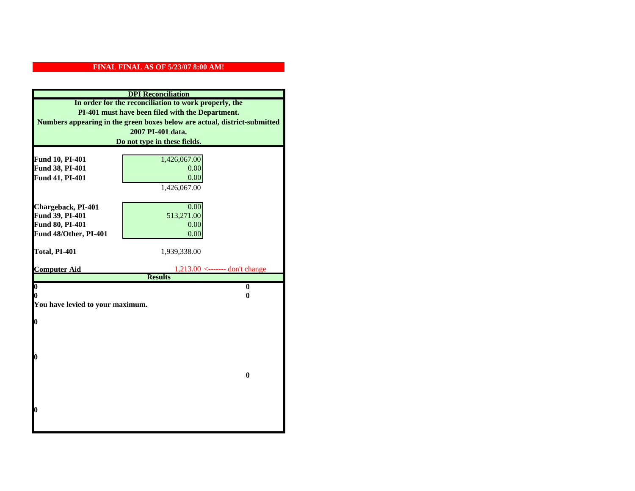| <b>DPI</b> Reconciliation                                                 |                                                       |  |  |
|---------------------------------------------------------------------------|-------------------------------------------------------|--|--|
|                                                                           | In order for the reconciliation to work properly, the |  |  |
| PI-401 must have been filed with the Department.                          |                                                       |  |  |
| Numbers appearing in the green boxes below are actual, district-submitted |                                                       |  |  |
| 2007 PI-401 data.                                                         |                                                       |  |  |
| Do not type in these fields.                                              |                                                       |  |  |
|                                                                           |                                                       |  |  |
| Fund 10, PI-401<br>Fund 38, PI-401                                        | 1,426,067.00                                          |  |  |
| Fund 41, PI-401                                                           | 0.00<br>0.00                                          |  |  |
|                                                                           | 1,426,067.00                                          |  |  |
|                                                                           |                                                       |  |  |
| Chargeback, PI-401                                                        | 0.00                                                  |  |  |
| Fund 39, PI-401                                                           | 513,271.00                                            |  |  |
| Fund 80, PI-401                                                           | 0.00                                                  |  |  |
| Fund 48/Other, PI-401                                                     | 0.00                                                  |  |  |
|                                                                           |                                                       |  |  |
| Total, PI-401                                                             | 1,939,338.00                                          |  |  |
|                                                                           |                                                       |  |  |
| <b>Computer Aid</b>                                                       | $1,213.00$ <------- don't change<br><b>Results</b>    |  |  |
| $\boldsymbol{0}$                                                          | $\bf{0}$                                              |  |  |
| 0                                                                         | 0                                                     |  |  |
| You have levied to your maximum.                                          |                                                       |  |  |
|                                                                           |                                                       |  |  |
| 0                                                                         |                                                       |  |  |
|                                                                           |                                                       |  |  |
|                                                                           |                                                       |  |  |
| 0                                                                         |                                                       |  |  |
|                                                                           |                                                       |  |  |
|                                                                           | $\bf{0}$                                              |  |  |
|                                                                           |                                                       |  |  |
|                                                                           |                                                       |  |  |
|                                                                           |                                                       |  |  |
| 0                                                                         |                                                       |  |  |
|                                                                           |                                                       |  |  |
|                                                                           |                                                       |  |  |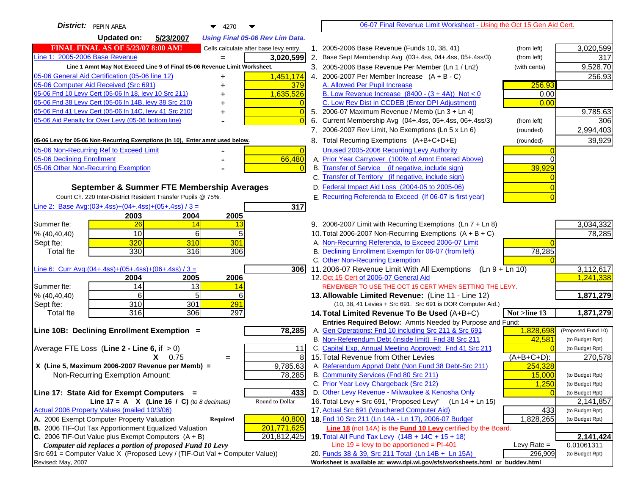| District: PEPIN AREA<br>$\blacktriangledown$ 4270                                   |    | 06-07 Final Revenue Limit Worksheet - Using the Oct 15 Gen Aid Cert.                                      |               |                    |
|-------------------------------------------------------------------------------------|----|-----------------------------------------------------------------------------------------------------------|---------------|--------------------|
| <b>Updated on:</b><br>5/23/2007<br><b>Using Final 05-06 Rev Lim Data.</b>           |    |                                                                                                           |               |                    |
| <b>FINAL FINAL AS OF 5/23/07 8:00 AM!</b><br>Cells calculate after base levy entry. |    | 1. 2005-2006 Base Revenue (Funds 10, 38, 41)                                                              | (from left)   | 3,020,599          |
| Line 1: 2005-2006 Base Revenue<br>3,020,599                                         |    | 2. Base Sept Membership Avg (03+.4ss, 04+.4ss, 05+.4ss/3)                                                 | (from left)   | 317                |
| Line 1 Amnt May Not Exceed Line 9 of Final 05-06 Revenue Limit Worksheet.           |    | 3. 2005-2006 Base Revenue Per Member (Ln 1 / Ln2)                                                         | (with cents)  | 9,528.70           |
| 1,451,174<br>05-06 General Aid Certification (05-06 line 12)                        |    | 4. 2006-2007 Per Member Increase $(A + B - C)$                                                            |               | 256.93             |
| 05-06 Computer Aid Received (Src 691)<br>379                                        |    | A. Allowed Per Pupil Increase                                                                             | 256.93        |                    |
| 05-06 Fnd 10 Levy Cert (05-06 In 18, levy 10 Src 211)<br>1,635,526                  |    | B. Low Revenue Increase $(8400 - (3 + 4A))$ Not < 0                                                       | 0.00          |                    |
| 05-06 Fnd 38 Levy Cert (05-06 In 14B, levy 38 Src 210)                              |    | C. Low Rev Dist in CCDEB (Enter DPI Adjustment)                                                           | 0.00          |                    |
| 05-06 Fnd 41 Levy Cert (05-06 In 14C, levy 41 Src 210)<br>$\overline{0}$<br>+       |    | 5. 2006-07 Maximum Revenue / Memb (Ln $3 + \text{Ln } 4$ )                                                |               | 9,785.63           |
| 05-06 Aid Penalty for Over Levy (05-06 bottom line)<br>$\Omega$                     | 6. | Current Membership Avg (04+.4ss, 05+.4ss, 06+.4ss/3)                                                      | (from left)   | 306                |
|                                                                                     |    | 7. 2006-2007 Rev Limit, No Exemptions (Ln 5 x Ln 6)                                                       | (rounded)     | 2,994,403          |
| 05-06 Levy for 05-06 Non-Recurring Exemptions (In 10), Enter amnt used below.       |    | 8. Total Recurring Exemptions (A+B+C+D+E)                                                                 | (rounded)     | 39,929             |
| 05-06 Non-Recurring Ref to Exceed Limit<br>$\overline{0}$                           |    | Unused 2005-2006 Recurring Levy Authority                                                                 |               |                    |
| 66,480<br>05-06 Declining Enrollment                                                |    | A. Prior Year Carryover (100% of Amnt Entered Above)                                                      | ∩             |                    |
| 05-06 Other Non-Recurring Exemption                                                 |    | B. Transfer of Service (if negative, include sign)                                                        | 39,929        |                    |
|                                                                                     |    | C. Transfer of Territory (if negative, include sign)                                                      |               |                    |
| September & Summer FTE Membership Averages                                          |    | D. Federal Impact Aid Loss (2004-05 to 2005-06)                                                           |               |                    |
| Count Ch. 220 Inter-District Resident Transfer Pupils @ 75%.                        |    | E. Recurring Referenda to Exceed (If 06-07 is first year)                                                 |               |                    |
| Line 2: Base Avg: (03+.4ss) + (04+.4ss) + (05+.4ss) / 3 =<br>317                    |    |                                                                                                           |               |                    |
| 2003<br>2004<br>2005                                                                |    |                                                                                                           |               |                    |
| 26<br>Summer fte:<br>14<br>13                                                       |    | 9. 2006-2007 Limit with Recurring Exemptions (Ln 7 + Ln 8)                                                |               | 3,034,332          |
| 10<br>5<br>6<br>% (40, 40, 40)                                                      |    | 10. Total 2006-2007 Non-Recurring Exemptions $(A + B + C)$                                                |               | 78,285             |
| 320<br>310<br>301<br>Sept fte:                                                      |    | A. Non-Recurring Referenda, to Exceed 2006-07 Limit                                                       |               |                    |
| 330<br>316<br>Total fte<br>306                                                      |    | B. Declining Enrollment Exemptn for 06-07 (from left)                                                     | 78,285        |                    |
|                                                                                     |    | C. Other Non-Recurring Exemption                                                                          |               |                    |
| Line 6: Curr Avg: $(04+.4ss)+(05+.4ss)+(06+.4ss)/3 =$<br>306                        |    | 11.2006-07 Revenue Limit With All Exemptions $(Ln 9 + Ln 10)$                                             |               | 3,112,617          |
| 2006<br>2005<br>2004                                                                |    | 12. Oct 15 Cert of 2006-07 General Aid                                                                    |               | 1,241,338          |
| 14<br>Summer fte:<br>13<br>14                                                       |    | REMEMBER TO USE THE OCT 15 CERT WHEN SETTING THE LEVY.                                                    |               |                    |
| 5<br>6<br>6<br>% (40, 40, 40)                                                       |    | 13. Allowable Limited Revenue: (Line 11 - Line 12)                                                        |               | 1,871,279          |
| 310<br>301<br>291<br>Sept fte:<br>316<br>306                                        |    | (10, 38, 41 Levies + Src 691. Src 691 is DOR Computer Aid.)                                               |               |                    |
| 297<br><b>Total fte</b>                                                             |    | 14. Total Limited Revenue To Be Used (A+B+C)<br>Entries Required Below: Amnts Needed by Purpose and Fund: | Not >line 13  | 1,871,279          |
| 78,285<br>Line 10B: Declining Enrollment Exemption =                                |    | A. Gen Operations: Fnd 10 including Src 211 & Src 691                                                     | 1,828,698     | (Proposed Fund 10) |
|                                                                                     |    | B. Non-Referendum Debt (inside limit) Fnd 38 Src 211                                                      | 42,581        | (to Budget Rpt)    |
| 11<br>Average FTE Loss (Line $2 -$ Line 6, if $> 0$ )                               |    | C. Capital Exp, Annual Meeting Approved: Fnd 41 Src 211                                                   |               | (to Budget Rpt)    |
| 8<br>$X = 0.75$<br>$=$                                                              |    | 15. Total Revenue from Other Levies                                                                       | $(A+B+C+D)$ : | 270,578            |
| 9,785.63<br>X (Line 5, Maximum 2006-2007 Revenue per Memb) =                        |    | A. Referendum Apprvd Debt (Non Fund 38 Debt-Src 211)                                                      | 254,328       |                    |
| 78,285<br>Non-Recurring Exemption Amount:                                           |    | B. Community Services (Fnd 80 Src 211)                                                                    | 15,000        | (to Budget Rpt)    |
|                                                                                     |    | C. Prior Year Levy Chargeback (Src 212)                                                                   | 1,250         | (to Budget Rpt)    |
| Line 17: State Aid for Exempt Computers =<br>433                                    |    | D. Other Levy Revenue - Milwaukee & Kenosha Only                                                          |               | (to Budget Rpt)    |
| Line 17 = A $X$ (Line 16 / C) (to 8 decimals)<br>Round to Dollar                    |    | 16. Total Levy + Src 691, "Proposed Levy"<br>$(Ln 14 + Ln 15)$                                            |               | 2,141,857          |
| Actual 2006 Property Values (mailed 10/3/06)                                        |    | 17. Actual Src 691 (Vouchered Computer Aid)                                                               | 433           | (to Budget Rpt)    |
| A. 2006 Exempt Computer Property Valuation<br>40,800<br>Required                    |    | 18. Fnd 10 Src 211 (Ln 14A - Ln 17), 2006-07 Budget                                                       | 1,828,265     | (to Budget Rpt)    |
| B. 2006 TIF-Out Tax Apportionment Equalized Valuation<br>201,771,625                |    | Line 18 (not 14A) is the <b>Fund 10 Levy</b> certified by the Board.                                      |               |                    |
| C. 2006 TIF-Out Value plus Exempt Computers $(A + B)$<br>201,812,425                |    | 19. Total All Fund Tax Levy (14B + 14C + 15 + 18)                                                         |               | 2,141,424          |
| Computer aid replaces a portion of proposed Fund 10 Levy                            |    | Line $19$ = levy to be apportioned = PI-401                                                               | Levy Rate $=$ | 0.01061311         |
| Src 691 = Computer Value X (Proposed Levy / (TIF-Out Val + Computer Value))         |    | 20. Funds 38 & 39, Src 211 Total (Ln 14B + Ln 15A)                                                        | 296,909       | (to Budget Rpt)    |
| Revised: May, 2007                                                                  |    | Worksheet is available at: www.dpi.wi.gov/sfs/worksheets.html or buddev.html                              |               |                    |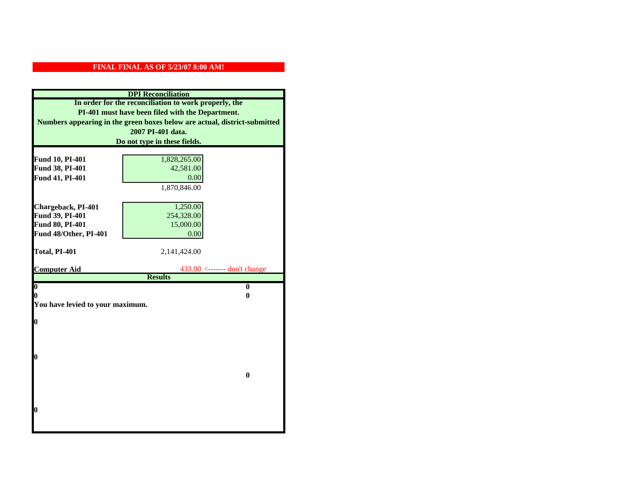| <b>DPI</b> Reconciliation                                                 |                                                       |  |  |
|---------------------------------------------------------------------------|-------------------------------------------------------|--|--|
|                                                                           | In order for the reconciliation to work properly, the |  |  |
| PI-401 must have been filed with the Department.                          |                                                       |  |  |
| Numbers appearing in the green boxes below are actual, district-submitted |                                                       |  |  |
|                                                                           | 2007 PI-401 data.                                     |  |  |
| Do not type in these fields.                                              |                                                       |  |  |
|                                                                           |                                                       |  |  |
| Fund 10, PI-401                                                           | 1,828,265.00                                          |  |  |
| Fund 38, PI-401                                                           | 42,581.00                                             |  |  |
| Fund 41, PI-401                                                           | 0.00                                                  |  |  |
|                                                                           | 1,870,846.00                                          |  |  |
|                                                                           |                                                       |  |  |
| Chargeback, PI-401                                                        | 1,250.00                                              |  |  |
| Fund 39, PI-401                                                           | 254,328.00                                            |  |  |
| Fund 80, PI-401                                                           | 15,000.00                                             |  |  |
| Fund 48/Other, PI-401                                                     | 0.00                                                  |  |  |
| Total, PI-401                                                             | 2,141,424.00                                          |  |  |
|                                                                           |                                                       |  |  |
|                                                                           |                                                       |  |  |
| <b>Computer Aid</b>                                                       | $433.00$ <------- don't change                        |  |  |
|                                                                           | <b>Results</b>                                        |  |  |
| $\boldsymbol{0}$                                                          | $\mathbf{0}$                                          |  |  |
| 0                                                                         | 0                                                     |  |  |
| You have levied to your maximum.                                          |                                                       |  |  |
|                                                                           |                                                       |  |  |
| $\bf{0}$                                                                  |                                                       |  |  |
|                                                                           |                                                       |  |  |
|                                                                           |                                                       |  |  |
| 0                                                                         |                                                       |  |  |
|                                                                           |                                                       |  |  |
|                                                                           | $\bf{0}$                                              |  |  |
|                                                                           |                                                       |  |  |
|                                                                           |                                                       |  |  |
|                                                                           |                                                       |  |  |
| 0                                                                         |                                                       |  |  |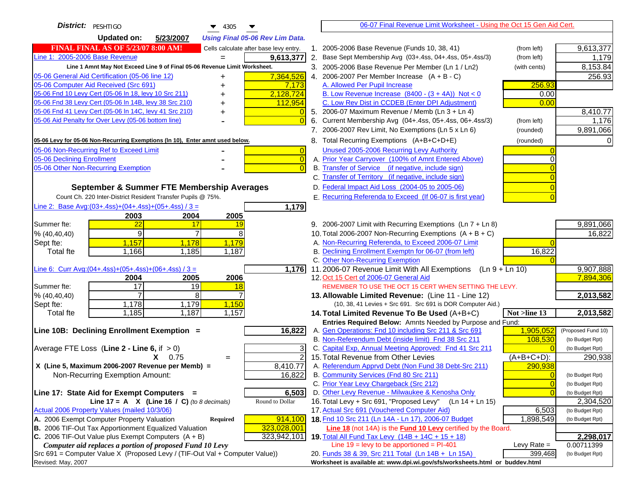| District:   PESHTIGO<br>$\blacktriangledown$ 4305                                                                                            |    | 06-07 Final Revenue Limit Worksheet - Using the Oct 15 Gen Aid Cert.                                                 |                |                    |
|----------------------------------------------------------------------------------------------------------------------------------------------|----|----------------------------------------------------------------------------------------------------------------------|----------------|--------------------|
| <b>Updated on:</b><br>5/23/2007<br><b>Using Final 05-06 Rev Lim Data.</b>                                                                    |    |                                                                                                                      |                |                    |
| <b>FINAL FINAL AS OF 5/23/07 8:00 AM!</b><br>Cells calculate after base levy entry.                                                          |    | 1. 2005-2006 Base Revenue (Funds 10, 38, 41)                                                                         | (from left)    | 9,613,377          |
| Line 1: 2005-2006 Base Revenue<br>9,613,377<br>$=$                                                                                           |    | 2. Base Sept Membership Avg (03+.4ss, 04+.4ss, 05+.4ss/3)                                                            | (from left)    | 1,179              |
| Line 1 Amnt May Not Exceed Line 9 of Final 05-06 Revenue Limit Worksheet.                                                                    |    | 3. 2005-2006 Base Revenue Per Member (Ln 1 / Ln2)                                                                    | (with cents)   | 8,153.84           |
| 7,364,526<br>05-06 General Aid Certification (05-06 line 12)                                                                                 |    | 4. 2006-2007 Per Member Increase $(A + B - C)$                                                                       |                | 256.93             |
| 05-06 Computer Aid Received (Src 691)<br>7,173                                                                                               |    | A. Allowed Per Pupil Increase                                                                                        | 256.93         |                    |
| 05-06 Fnd 10 Levy Cert (05-06 In 18, levy 10 Src 211)<br>2,128,724                                                                           |    | B. Low Revenue Increase $(8400 - (3 + 4A))$ Not < 0                                                                  | 0.00           |                    |
| 05-06 Fnd 38 Levy Cert (05-06 In 14B, levy 38 Src 210)<br>112,954                                                                            |    | C. Low Rev Dist in CCDEB (Enter DPI Adjustment)                                                                      | 0.00           |                    |
| 05-06 Fnd 41 Levy Cert (05-06 In 14C, levy 41 Src 210)<br>$\overline{0}$<br>+                                                                |    | 5. 2006-07 Maximum Revenue / Memb (Ln 3 + Ln 4)                                                                      |                | 8,410.77           |
| 05-06 Aid Penalty for Over Levy (05-06 bottom line)<br>$\Omega$                                                                              | 6. | Current Membership Avg (04+.4ss, 05+.4ss, 06+.4ss/3)                                                                 | (from left)    | 1,176              |
|                                                                                                                                              |    | 7. 2006-2007 Rev Limit, No Exemptions (Ln 5 x Ln 6)                                                                  | (rounded)      | 9,891,066          |
| 05-06 Levy for 05-06 Non-Recurring Exemptions (In 10), Enter amnt used below.                                                                |    | 8. Total Recurring Exemptions (A+B+C+D+E)                                                                            | (rounded)      |                    |
| 05-06 Non-Recurring Ref to Exceed Limit<br>$\overline{0}$                                                                                    |    | Unused 2005-2006 Recurring Levy Authority                                                                            |                |                    |
| 05-06 Declining Enrollment<br>$\overline{0}$                                                                                                 |    | A. Prior Year Carryover (100% of Amnt Entered Above)                                                                 | ∩              |                    |
| 05-06 Other Non-Recurring Exemption<br>$\Omega$                                                                                              |    | B. Transfer of Service (if negative, include sign)                                                                   |                |                    |
|                                                                                                                                              |    | C. Transfer of Territory (if negative, include sign)                                                                 |                |                    |
| September & Summer FTE Membership Averages                                                                                                   |    | D. Federal Impact Aid Loss (2004-05 to 2005-06)                                                                      |                |                    |
| Count Ch. 220 Inter-District Resident Transfer Pupils @ 75%.                                                                                 |    | E. Recurring Referenda to Exceed (If 06-07 is first year)                                                            |                |                    |
| Line 2: Base Avg: (03+.4ss) + (04+.4ss) + (05+.4ss) / 3 =<br>1,179                                                                           |    |                                                                                                                      |                |                    |
| 2003<br>2004<br>2005                                                                                                                         |    |                                                                                                                      |                |                    |
| 22<br>Summer fte:<br>17<br>19                                                                                                                |    | 9. 2006-2007 Limit with Recurring Exemptions (Ln 7 + Ln 8)                                                           |                | 9,891,066          |
| 9<br>8<br>$\overline{7}$<br>% (40, 40, 40)                                                                                                   |    | 10. Total 2006-2007 Non-Recurring Exemptions $(A + B + C)$                                                           |                | 16,822             |
| 1,157<br>1,178<br>1,179<br>Sept fte:                                                                                                         |    | A. Non-Recurring Referenda, to Exceed 2006-07 Limit                                                                  |                |                    |
| 1,166<br>1,185<br>1,187<br>Total fte                                                                                                         |    | B. Declining Enrollment Exemptn for 06-07 (from left)                                                                | 16,822         |                    |
|                                                                                                                                              |    | C. Other Non-Recurring Exemption                                                                                     |                |                    |
| Line 6: Curr Avg: $(04+.4ss)+(05+.4ss)+(06+.4ss)$ / 3 =<br>1,176                                                                             |    | 11.2006-07 Revenue Limit With All Exemptions $(Ln 9 + Ln 10)$                                                        |                | 9,907,888          |
| 2006<br>2004<br>2005<br>$\overline{17}$<br>19<br>Summer fte:                                                                                 |    | 12. Oct 15 Cert of 2006-07 General Aid<br>REMEMBER TO USE THE OCT 15 CERT WHEN SETTING THE LEVY.                     |                | 7,894,306          |
| 18<br>8<br>% (40, 40, 40)                                                                                                                    |    | 13. Allowable Limited Revenue: (Line 11 - Line 12)                                                                   |                | 2,013,582          |
| 1,178<br>1,179<br>1,150<br>Sept fte:                                                                                                         |    | (10, 38, 41 Levies + Src 691. Src 691 is DOR Computer Aid.)                                                          |                |                    |
| 1,185<br>1,187<br>1,157<br><b>Total fte</b>                                                                                                  |    | 14. Total Limited Revenue To Be Used (A+B+C)                                                                         | Not >line 13   | 2,013,582          |
|                                                                                                                                              |    | Entries Required Below: Amnts Needed by Purpose and Fund:                                                            |                |                    |
| Line 10B: Declining Enrollment Exemption =<br>16,822                                                                                         |    | A. Gen Operations: Fnd 10 including Src 211 & Src 691                                                                | 1,905,052      | (Proposed Fund 10) |
|                                                                                                                                              |    | B. Non-Referendum Debt (inside limit) Fnd 38 Src 211                                                                 | 108,530        | (to Budget Rpt)    |
| Average FTE Loss (Line $2 -$ Line 6, if $> 0$ )<br>3                                                                                         |    | C. Capital Exp, Annual Meeting Approved: Fnd 41 Src 211                                                              |                | (to Budget Rpt)    |
| $\overline{2}$<br>$X = 0.75$<br>$=$                                                                                                          |    | 15. Total Revenue from Other Levies                                                                                  | $(A+B+C+D)$ :  | 290,938            |
| X (Line 5, Maximum 2006-2007 Revenue per Memb) =<br>8,410.77                                                                                 |    | A. Referendum Apprvd Debt (Non Fund 38 Debt-Src 211)                                                                 | 290,938        |                    |
| 16,822<br>Non-Recurring Exemption Amount:                                                                                                    |    | B. Community Services (Fnd 80 Src 211)                                                                               | $\Omega$       | (to Budget Rpt)    |
|                                                                                                                                              |    | C. Prior Year Levy Chargeback (Src 212)                                                                              | $\overline{0}$ | (to Budget Rpt)    |
| Line 17: State Aid for Exempt Computers =<br>6,503                                                                                           |    | D. Other Levy Revenue - Milwaukee & Kenosha Only                                                                     | $\Omega$       | (to Budget Rpt)    |
| Round to Dollar<br>Line 17 = A $X$ (Line 16 / C) (to 8 decimals)                                                                             |    | 16. Total Levy + Src 691, "Proposed Levy"<br>(Ln 14 + Ln 15)                                                         |                | 2,304,520          |
| Actual 2006 Property Values (mailed 10/3/06)                                                                                                 |    | 17. Actual Src 691 (Vouchered Computer Aid)                                                                          | 6,503          | (to Budget Rpt)    |
| A. 2006 Exempt Computer Property Valuation<br>914,100<br>Required                                                                            |    | 18. Fnd 10 Src 211 (Ln 14A - Ln 17), 2006-07 Budget                                                                  | 1,898,549      | (to Budget Rpt)    |
| B. 2006 TIF-Out Tax Apportionment Equalized Valuation<br>323,028,001<br>C. 2006 TIF-Out Value plus Exempt Computers $(A + B)$<br>323,942,101 |    | Line 18 (not 14A) is the Fund 10 Levy certified by the Board.<br>19. Total All Fund Tax Levy $(14B + 14C + 15 + 18)$ |                | 2,298,017          |
| Computer aid replaces a portion of proposed Fund 10 Levy                                                                                     |    | Line $19 = \text{levy}$ to be apportioned = PI-401                                                                   | Levy Rate $=$  | 0.00711399         |
| Src 691 = Computer Value X (Proposed Levy / (TIF-Out Val + Computer Value))                                                                  |    | 20. Funds 38 & 39, Src 211 Total (Ln 14B + Ln 15A)                                                                   | 399,468        | (to Budget Rpt)    |
| Revised: May, 2007                                                                                                                           |    | Worksheet is available at: www.dpi.wi.gov/sfs/worksheets.html or buddev.html                                         |                |                    |
|                                                                                                                                              |    |                                                                                                                      |                |                    |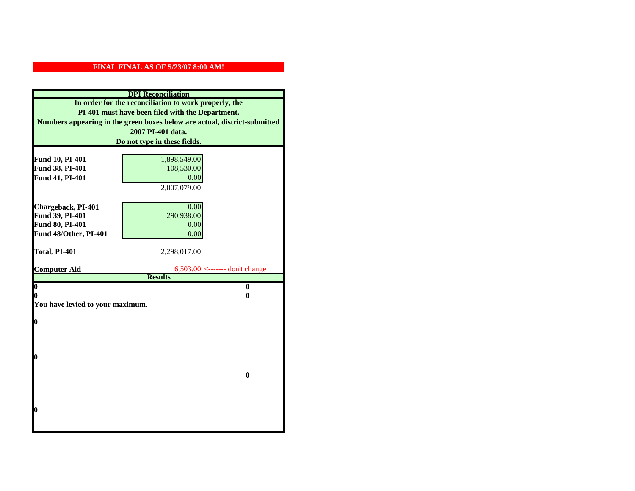|                                                                           | <b>DPI</b> Reconciliation                             |  |
|---------------------------------------------------------------------------|-------------------------------------------------------|--|
|                                                                           | In order for the reconciliation to work properly, the |  |
| PI-401 must have been filed with the Department.                          |                                                       |  |
| Numbers appearing in the green boxes below are actual, district-submitted |                                                       |  |
| 2007 PI-401 data.                                                         |                                                       |  |
| Do not type in these fields.                                              |                                                       |  |
|                                                                           |                                                       |  |
| Fund 10, PI-401                                                           | 1,898,549.00                                          |  |
| Fund 38, PI-401                                                           | 108,530.00                                            |  |
| Fund 41, PI-401                                                           | 0.00                                                  |  |
|                                                                           | 2,007,079.00                                          |  |
|                                                                           |                                                       |  |
| Chargeback, PI-401                                                        | 0.00                                                  |  |
| Fund 39, PI-401                                                           | 290,938.00                                            |  |
| Fund 80, PI-401                                                           | 0.00                                                  |  |
| Fund 48/Other, PI-401                                                     | 0.00                                                  |  |
| Total, PI-401                                                             |                                                       |  |
|                                                                           |                                                       |  |
|                                                                           | 2,298,017.00                                          |  |
| <b>Computer Aid</b>                                                       | $6,503.00 \le$ ------- don't change                   |  |
|                                                                           | <b>Results</b>                                        |  |
| $\overline{\mathbf{0}}$                                                   | $\bf{0}$                                              |  |
| 0                                                                         | 0                                                     |  |
| You have levied to your maximum.                                          |                                                       |  |
|                                                                           |                                                       |  |
| $\bf{0}$                                                                  |                                                       |  |
|                                                                           |                                                       |  |
|                                                                           |                                                       |  |
| 0                                                                         |                                                       |  |
|                                                                           |                                                       |  |
|                                                                           | $\bf{0}$                                              |  |
|                                                                           |                                                       |  |
|                                                                           |                                                       |  |
|                                                                           |                                                       |  |
| 0                                                                         |                                                       |  |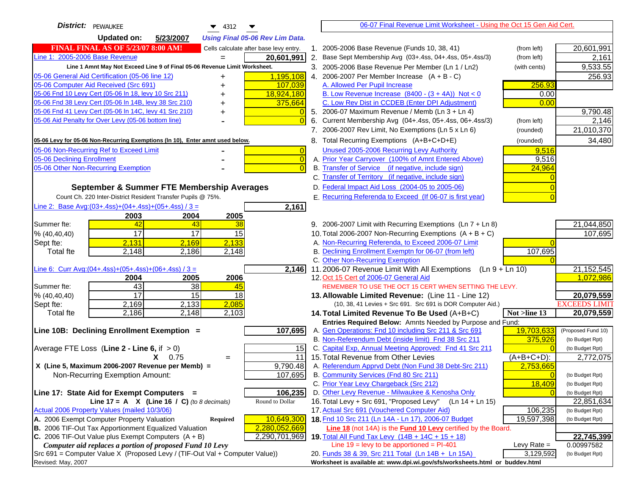| District: PEWAUKEE<br>$\blacktriangledown$ 4312                                                                                  |    | 06-07 Final Revenue Limit Worksheet - Using the Oct 15 Gen Aid Cert.                                                 |               |                           |
|----------------------------------------------------------------------------------------------------------------------------------|----|----------------------------------------------------------------------------------------------------------------------|---------------|---------------------------|
| <b>Updated on:</b><br>5/23/2007<br><b>Using Final 05-06 Rev Lim Data.</b>                                                        |    |                                                                                                                      |               |                           |
| <b>FINAL FINAL AS OF 5/23/07 8:00 AM!</b><br>Cells calculate after base levy entry.                                              |    | 1. 2005-2006 Base Revenue (Funds 10, 38, 41)                                                                         | (from left)   | 20,601,991                |
| Line 1: 2005-2006 Base Revenue<br>20,601,991                                                                                     | 2. | Base Sept Membership Avg (03+.4ss, 04+.4ss, 05+.4ss/3)                                                               | (from left)   | 2,161                     |
| Line 1 Amnt May Not Exceed Line 9 of Final 05-06 Revenue Limit Worksheet.                                                        |    | 3. 2005-2006 Base Revenue Per Member (Ln 1 / Ln2)                                                                    | (with cents)  | 9,533.55                  |
| 1,195,108<br>05-06 General Aid Certification (05-06 line 12)<br>+                                                                |    | 4. 2006-2007 Per Member Increase $(A + B - C)$                                                                       |               | 256.93                    |
| 05-06 Computer Aid Received (Src 691)<br>107,039                                                                                 |    | A. Allowed Per Pupil Increase                                                                                        | 256.93        |                           |
| 05-06 Fnd 10 Levy Cert (05-06 In 18, levy 10 Src 211)<br>18,924,180<br>+                                                         |    | B. Low Revenue Increase $(8400 - (3 + 4A))$ Not < 0                                                                  | 0.00          |                           |
| 05-06 Fnd 38 Levy Cert (05-06 In 14B, levy 38 Src 210)<br>375,664<br>+                                                           |    | C. Low Rev Dist in CCDEB (Enter DPI Adjustment)                                                                      | 0.00          |                           |
| 05-06 Fnd 41 Levy Cert (05-06 In 14C, levy 41 Src 210)<br>$\Omega$                                                               |    | 5. 2006-07 Maximum Revenue / Memb (Ln 3 + Ln 4)                                                                      |               | 9,790.48                  |
| 05-06 Aid Penalty for Over Levy (05-06 bottom line)<br>$\Omega$                                                                  |    | 6. Current Membership Avg (04+.4ss, 05+.4ss, 06+.4ss/3)                                                              | (from left)   | 2,146                     |
|                                                                                                                                  |    | 7. 2006-2007 Rev Limit, No Exemptions (Ln 5 x Ln 6)                                                                  | (rounded)     | 21,010,370                |
| 05-06 Levy for 05-06 Non-Recurring Exemptions (In 10), Enter amnt used below.                                                    |    | 8. Total Recurring Exemptions (A+B+C+D+E)                                                                            | (rounded)     | 34,480                    |
| 05-06 Non-Recurring Ref to Exceed Limit<br>$\overline{0}$                                                                        |    | Unused 2005-2006 Recurring Levy Authority                                                                            | 9,516         |                           |
| 05-06 Declining Enrollment<br>$\overline{0}$                                                                                     |    | A. Prior Year Carryover (100% of Amnt Entered Above)                                                                 | 9,516         |                           |
| 05-06 Other Non-Recurring Exemption<br>$\overline{0}$                                                                            |    | B. Transfer of Service (if negative, include sign)                                                                   | 24,964        |                           |
|                                                                                                                                  |    | C. Transfer of Territory (if negative, include sign)                                                                 |               |                           |
| September & Summer FTE Membership Averages                                                                                       |    | D. Federal Impact Aid Loss (2004-05 to 2005-06)                                                                      |               |                           |
| Count Ch. 220 Inter-District Resident Transfer Pupils @ 75%.                                                                     |    | E. Recurring Referenda to Exceed (If 06-07 is first year)                                                            |               |                           |
| Line 2: Base Avg:(03+.4ss)+(04+.4ss)+(05+.4ss) / 3 =<br>2,161                                                                    |    |                                                                                                                      |               |                           |
| 2003<br>2004<br>2005                                                                                                             |    |                                                                                                                      |               |                           |
| 42<br>Summer fte:<br>43<br>38                                                                                                    |    | 9. 2006-2007 Limit with Recurring Exemptions (Ln 7 + Ln 8)                                                           |               | 21,044,850                |
| $\overline{17}$<br>$\overline{17}$<br>15<br>% (40, 40, 40)                                                                       |    | 10. Total 2006-2007 Non-Recurring Exemptions $(A + B + C)$                                                           |               | 107,695                   |
| 2,131<br>2,133<br>2,169<br>Sept fte:                                                                                             |    | A. Non-Recurring Referenda, to Exceed 2006-07 Limit                                                                  |               |                           |
| 2,148<br>2,148<br><b>Total fte</b><br>2,186                                                                                      |    | B. Declining Enrollment Exemptn for 06-07 (from left)                                                                | 107,695       |                           |
|                                                                                                                                  |    | C. Other Non-Recurring Exemption                                                                                     |               |                           |
| Line 6: Curr Avg: $(04+.4ss)+(05+.4ss)+(06+.4ss)/3 =$<br>2,146<br>2006<br>2004<br>2005                                           |    | 11.2006-07 Revenue Limit With All Exemptions<br>$(Ln 9 + Ln 10)$<br>12. Oct 15 Cert of 2006-07 General Aid           |               | 21, 152, 545<br>1,072,986 |
| 43<br>$\overline{38}$<br>Summer fte:<br>45                                                                                       |    | REMEMBER TO USE THE OCT 15 CERT WHEN SETTING THE LEVY.                                                               |               |                           |
| 17<br>% (40, 40, 40)<br>15<br>18                                                                                                 |    | 13. Allowable Limited Revenue: (Line 11 - Line 12)                                                                   |               | 20,079,559                |
| 2,169<br>2,085<br>Sept fte:<br>2,133                                                                                             |    | (10, 38, 41 Levies + Src 691. Src 691 is DOR Computer Aid.)                                                          |               | <b>EXCEEDS LIMIT</b>      |
| 2,186<br>2,148<br>2,103<br>Total fte                                                                                             |    | 14. Total Limited Revenue To Be Used $(A+B+C)$                                                                       | Not >line 13  | 20,079,559                |
|                                                                                                                                  |    | Entries Required Below: Amnts Needed by Purpose and Fund:                                                            |               |                           |
| Line 10B: Declining Enrollment Exemption =<br>107,695                                                                            |    | A. Gen Operations: Fnd 10 including Src 211 & Src 691                                                                | 19,703,633    | (Proposed Fund 10)        |
|                                                                                                                                  |    | B. Non-Referendum Debt (inside limit) Fnd 38 Src 211                                                                 | 375,926       | (to Budget Rpt)           |
| Average FTE Loss (Line $2 -$ Line 6, if $> 0$ )<br>15                                                                            |    | C. Capital Exp, Annual Meeting Approved: Fnd 41 Src 211                                                              |               | (to Budget Rpt)           |
| 11<br>$X = 0.75$<br>$=$                                                                                                          |    | 15. Total Revenue from Other Levies                                                                                  | $(A+B+C+D)$ : | 2,772,075                 |
| X (Line 5, Maximum 2006-2007 Revenue per Memb) =<br>9,790.48                                                                     |    | A. Referendum Apprvd Debt (Non Fund 38 Debt-Src 211)                                                                 | 2,753,665     |                           |
| 107,695<br>Non-Recurring Exemption Amount:                                                                                       |    | B. Community Services (Fnd 80 Src 211)                                                                               |               | (to Budget Rpt)           |
|                                                                                                                                  |    | C. Prior Year Levy Chargeback (Src 212)                                                                              | 18,409        | (to Budget Rpt)           |
| 106,235<br>Line 17: State Aid for Exempt Computers =                                                                             |    | D. Other Levy Revenue - Milwaukee & Kenosha Only                                                                     |               | (to Budget Rpt)           |
| Round to Dollar<br>Line 17 = A $X$ (Line 16 / C) (to 8 decimals)                                                                 |    | 16. Total Levy + Src 691, "Proposed Levy" (Ln 14 + Ln 15)                                                            |               | 22,851,634                |
| Actual 2006 Property Values (mailed 10/3/06)<br>10,649,300                                                                       |    | 17. Actual Src 691 (Vouchered Computer Aid)                                                                          | 106,235       | (to Budget Rpt)           |
| A. 2006 Exempt Computer Property Valuation<br>Required<br>B. 2006 TIF-Out Tax Apportionment Equalized Valuation<br>2,280,052,669 |    | 18. Fnd 10 Src 211 (Ln 14A - Ln 17), 2006-07 Budget<br>Line 18 (not 14A) is the Fund 10 Levy certified by the Board. | 19,597,398    | (to Budget Rpt)           |
| C. 2006 TIF-Out Value plus Exempt Computers $(A + B)$<br>2,290,701,969                                                           |    | 19. Total All Fund Tax Levy (14B + 14C + 15 + 18)                                                                    |               | 22,745,399                |
| Computer aid replaces a portion of proposed Fund 10 Levy                                                                         |    | Line $19 = \text{levy}$ to be apportioned = PI-401                                                                   | Levy Rate $=$ | 0.00997582                |
| Src 691 = Computer Value X (Proposed Levy / (TIF-Out Val + Computer Value))                                                      |    | 20. Funds 38 & 39, Src 211 Total (Ln 14B + Ln 15A)                                                                   | 3,129,592     | (to Budget Rpt)           |
| Revised: May, 2007                                                                                                               |    | Worksheet is available at: www.dpi.wi.gov/sfs/worksheets.html or buddev.html                                         |               |                           |
|                                                                                                                                  |    |                                                                                                                      |               |                           |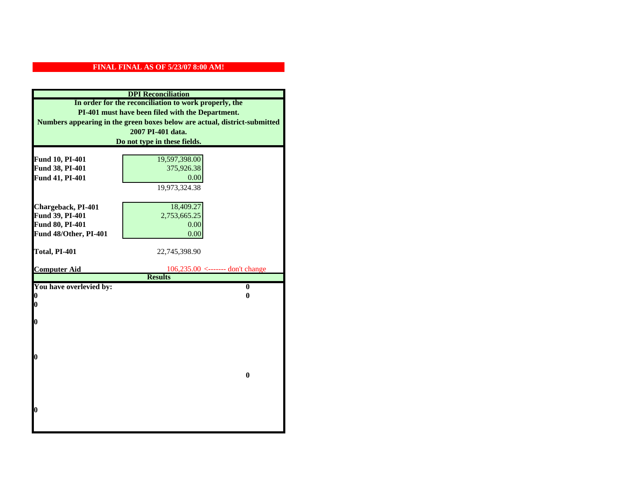|                              | <b>DPI</b> Reconciliation                                                 |  |  |
|------------------------------|---------------------------------------------------------------------------|--|--|
|                              | In order for the reconciliation to work properly, the                     |  |  |
|                              | PI-401 must have been filed with the Department.                          |  |  |
|                              | Numbers appearing in the green boxes below are actual, district-submitted |  |  |
| 2007 PI-401 data.            |                                                                           |  |  |
| Do not type in these fields. |                                                                           |  |  |
|                              |                                                                           |  |  |
| Fund 10, PI-401              | 19,597,398.00                                                             |  |  |
| Fund 38, PI-401              | 375,926.38                                                                |  |  |
| Fund 41, PI-401              | 0.00                                                                      |  |  |
|                              | 19,973,324.38                                                             |  |  |
|                              |                                                                           |  |  |
| Chargeback, PI-401           | 18,409.27                                                                 |  |  |
| Fund 39, PI-401              | 2,753,665.25                                                              |  |  |
| Fund 80, PI-401              | 0.00                                                                      |  |  |
| Fund 48/Other, PI-401        | 0.00                                                                      |  |  |
|                              |                                                                           |  |  |
| Total, PI-401                | 22,745,398.90                                                             |  |  |
| <b>Computer Aid</b>          | $106,235.00$ <------- don't change                                        |  |  |
|                              | <b>Results</b>                                                            |  |  |
| You have overlevied by:      | $\bf{0}$                                                                  |  |  |
| 0                            | 0                                                                         |  |  |
| 0                            |                                                                           |  |  |
|                              |                                                                           |  |  |
| 0                            |                                                                           |  |  |
|                              |                                                                           |  |  |
|                              |                                                                           |  |  |
|                              |                                                                           |  |  |
| 0                            |                                                                           |  |  |
|                              | $\bf{0}$                                                                  |  |  |
|                              |                                                                           |  |  |
|                              |                                                                           |  |  |
|                              |                                                                           |  |  |
| 0                            |                                                                           |  |  |
|                              |                                                                           |  |  |
|                              |                                                                           |  |  |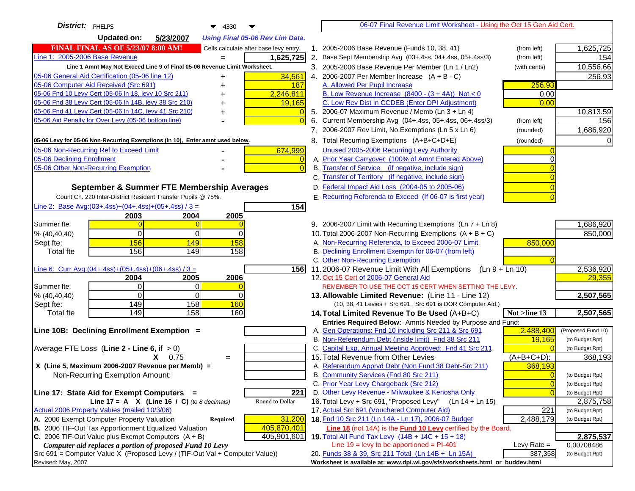| District:   PHELPS<br>$\blacktriangledown$ 4330                                     | 06-07 Final Revenue Limit Worksheet - Using the Oct 15 Gen Aid Cert.                                                    |                                       |
|-------------------------------------------------------------------------------------|-------------------------------------------------------------------------------------------------------------------------|---------------------------------------|
| <b>Updated on:</b><br>5/23/2007<br><b>Using Final 05-06 Rev Lim Data.</b>           |                                                                                                                         |                                       |
| <b>FINAL FINAL AS OF 5/23/07 8:00 AM!</b><br>Cells calculate after base levy entry. | 1. 2005-2006 Base Revenue (Funds 10, 38, 41)<br>(from left)                                                             | 1,625,725                             |
| Line 1: 2005-2006 Base Revenue<br>1,625,725                                         | 2. Base Sept Membership Avg (03+.4ss, 04+.4ss, 05+.4ss/3)<br>(from left)                                                | 154                                   |
| Line 1 Amnt May Not Exceed Line 9 of Final 05-06 Revenue Limit Worksheet.           | 3. 2005-2006 Base Revenue Per Member (Ln 1 / Ln2)<br>(with cents)                                                       | 10,556.66                             |
| 34,561<br>05-06 General Aid Certification (05-06 line 12)                           | 4. 2006-2007 Per Member Increase $(A + B - C)$                                                                          | 256.93                                |
| 05-06 Computer Aid Received (Src 691)<br>187                                        | 256.93<br>A. Allowed Per Pupil Increase                                                                                 |                                       |
| 05-06 Fnd 10 Levy Cert (05-06 In 18, levy 10 Src 211)<br>2,246,811                  | B. Low Revenue Increase $(8400 - (3 + 4A))$ Not < 0<br>0.00                                                             |                                       |
| 05-06 Fnd 38 Levy Cert (05-06 In 14B, levy 38 Src 210)<br>19,165                    | C. Low Rev Dist in CCDEB (Enter DPI Adjustment)<br>0.00                                                                 |                                       |
| 05-06 Fnd 41 Levy Cert (05-06 In 14C, levy 41 Src 210)<br>٠                         | 5. 2006-07 Maximum Revenue / Memb (Ln 3 + Ln 4)                                                                         | 10,813.59                             |
| 05-06 Aid Penalty for Over Levy (05-06 bottom line)                                 | Current Membership Avg (04+.4ss, 05+.4ss, 06+.4ss/3)<br>6.<br>(from left)                                               | 156                                   |
|                                                                                     | 7. 2006-2007 Rev Limit, No Exemptions (Ln 5 x Ln 6)<br>(rounded)                                                        | 1,686,920                             |
| 05-06 Levy for 05-06 Non-Recurring Exemptions (In 10), Enter amnt used below.       | 8. Total Recurring Exemptions (A+B+C+D+E)<br>(rounded)                                                                  | 0                                     |
| 05-06 Non-Recurring Ref to Exceed Limit<br>674,999                                  | Unused 2005-2006 Recurring Levy Authority                                                                               |                                       |
| 05-06 Declining Enrollment<br>$\overline{0}$                                        | A. Prior Year Carryover (100% of Amnt Entered Above)<br>∩                                                               |                                       |
| 05-06 Other Non-Recurring Exemption<br>$\Omega$                                     | B. Transfer of Service (if negative, include sign)                                                                      |                                       |
|                                                                                     | C. Transfer of Territory (if negative, include sign)                                                                    |                                       |
| September & Summer FTE Membership Averages                                          | D. Federal Impact Aid Loss (2004-05 to 2005-06)                                                                         |                                       |
| Count Ch. 220 Inter-District Resident Transfer Pupils @ 75%.                        | E. Recurring Referenda to Exceed (If 06-07 is first year)                                                               |                                       |
| Line 2: Base Avg: (03+.4ss) + (04+.4ss) + (05+.4ss) / 3 =<br>154                    |                                                                                                                         |                                       |
| 2003<br>2004<br>2005                                                                |                                                                                                                         |                                       |
| Summer fte:<br>$\overline{0}$                                                       | 9. 2006-2007 Limit with Recurring Exemptions (Ln 7 + Ln 8)                                                              | 1,686,920                             |
| $\Omega$<br>0<br>$\overline{0}$<br>% (40, 40, 40)                                   | 10. Total 2006-2007 Non-Recurring Exemptions $(A + B + C)$                                                              | 850,000                               |
| 156<br>149<br>158<br>Sept fte:                                                      | A. Non-Recurring Referenda, to Exceed 2006-07 Limit<br>850,000                                                          |                                       |
| 156<br>149<br>Total fte<br>158                                                      | B. Declining Enrollment Exemptn for 06-07 (from left)                                                                   |                                       |
|                                                                                     | C. Other Non-Recurring Exemption                                                                                        |                                       |
| Line 6: Curr Avg: $(04+.4ss)+(05+.4ss)+(06+.4ss)/3 =$<br>$\overline{1}$ 56          | 11.2006-07 Revenue Limit With All Exemptions $(Ln 9 + Ln 10)$                                                           | 2,536,920                             |
| 2006<br>2005<br>2004                                                                | 12. Oct 15 Cert of 2006-07 General Aid                                                                                  | 29,355                                |
| Summer fte:<br>0I<br>0                                                              | REMEMBER TO USE THE OCT 15 CERT WHEN SETTING THE LEVY.                                                                  |                                       |
| $\Omega$<br>0<br>% (40, 40, 40)<br>$\Omega$                                         | 13. Allowable Limited Revenue: (Line 11 - Line 12)                                                                      | 2,507,565                             |
| 158<br>160<br>149<br>Sept fte:                                                      | (10, 38, 41 Levies + Src 691. Src 691 is DOR Computer Aid.)                                                             |                                       |
| 158<br>149<br><b>Total fte</b><br>160                                               | 14. Total Limited Revenue To Be Used (A+B+C)<br>Not >line 13                                                            | 2,507,565                             |
| Line 10B: Declining Enrollment Exemption =                                          | Entries Required Below: Amnts Needed by Purpose and Fund:<br>2,488,400                                                  |                                       |
|                                                                                     | A. Gen Operations: Fnd 10 including Src 211 & Src 691<br>B. Non-Referendum Debt (inside limit) Fnd 38 Src 211<br>19,165 | (Proposed Fund 10)<br>(to Budget Rpt) |
| Average FTE Loss (Line $2 -$ Line 6, if $> 0$ )                                     | C. Capital Exp, Annual Meeting Approved: Fnd 41 Src 211                                                                 | (to Budget Rpt)                       |
| $X = 0.75$<br>$=$                                                                   | 15. Total Revenue from Other Levies<br>$(A+B+C+D)$ :                                                                    | 368,193                               |
| X (Line 5, Maximum 2006-2007 Revenue per Memb) =                                    | A. Referendum Apprvd Debt (Non Fund 38 Debt-Src 211)<br>368,193                                                         |                                       |
| Non-Recurring Exemption Amount:                                                     | B. Community Services (Fnd 80 Src 211)<br>$\overline{0}$                                                                | (to Budget Rpt)                       |
|                                                                                     | C. Prior Year Levy Chargeback (Src 212)<br>$\overline{0}$                                                               | (to Budget Rpt)                       |
| Line 17: State Aid for Exempt Computers =<br>221                                    | D. Other Levy Revenue - Milwaukee & Kenosha Only<br>$\Omega$                                                            | (to Budget Rpt)                       |
| Line 17 = A $X$ (Line 16 / C) (to 8 decimals)<br>Round to Dollar                    | 16. Total Levy + Src 691, "Proposed Levy"<br>(Ln 14 + Ln 15)                                                            | 2,875,758                             |
| Actual 2006 Property Values (mailed 10/3/06)                                        | 17. Actual Src 691 (Vouchered Computer Aid)<br>221                                                                      | (to Budget Rpt)                       |
| A. 2006 Exempt Computer Property Valuation<br>31,200<br>Required                    | 18. Fnd 10 Src 211 (Ln 14A - Ln 17), 2006-07 Budget<br>2,488,179                                                        | (to Budget Rpt)                       |
| B. 2006 TIF-Out Tax Apportionment Equalized Valuation<br>405,870,401                | Line 18 (not 14A) is the <b>Fund 10 Levy</b> certified by the Board.                                                    |                                       |
| C. 2006 TIF-Out Value plus Exempt Computers $(A + B)$<br>405,901,601                | 19. Total All Fund Tax Levy (14B + 14C + 15 + 18)                                                                       | 2,875,537                             |
| Computer aid replaces a portion of proposed Fund 10 Levy                            | Line $19$ = levy to be apportioned = PI-401<br>Levy Rate $=$                                                            | 0.00708486                            |
| Src 691 = Computer Value X (Proposed Levy / (TIF-Out Val + Computer Value))         | 20. Funds 38 & 39, Src 211 Total (Ln 14B + Ln 15A)<br>387,358                                                           | (to Budget Rpt)                       |
| Revised: May, 2007                                                                  | Worksheet is available at: www.dpi.wi.gov/sfs/worksheets.html or buddev.html                                            |                                       |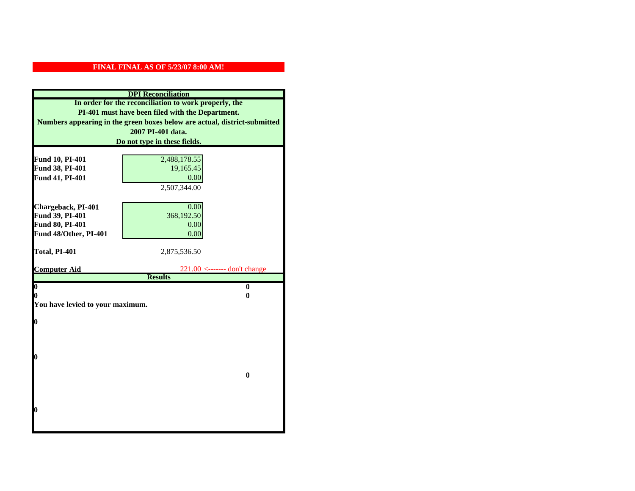| <b>DPI</b> Reconciliation                                                 |                                |  |
|---------------------------------------------------------------------------|--------------------------------|--|
| In order for the reconciliation to work properly, the                     |                                |  |
| PI-401 must have been filed with the Department.                          |                                |  |
| Numbers appearing in the green boxes below are actual, district-submitted |                                |  |
| 2007 PI-401 data.                                                         |                                |  |
| Do not type in these fields.                                              |                                |  |
|                                                                           |                                |  |
| Fund 10, PI-401                                                           | 2,488,178.55                   |  |
| Fund 38, PI-401                                                           | 19,165.45                      |  |
| Fund 41, PI-401                                                           | 0.00                           |  |
|                                                                           | 2,507,344.00                   |  |
|                                                                           |                                |  |
| Chargeback, PI-401                                                        | 0.00                           |  |
| Fund 39, PI-401                                                           | 368,192.50                     |  |
| Fund 80, PI-401<br>Fund 48/Other, PI-401                                  | 0.00                           |  |
|                                                                           | 0.00                           |  |
|                                                                           |                                |  |
|                                                                           |                                |  |
| Total, PI-401                                                             | 2,875,536.50                   |  |
| <b>Computer Aid</b>                                                       | $221.00$ <------- don't change |  |
|                                                                           | <b>Results</b>                 |  |
| $\overline{\mathbf{0}}$                                                   | $\bf{0}$                       |  |
| 0                                                                         | 0                              |  |
| You have levied to your maximum.                                          |                                |  |
|                                                                           |                                |  |
| 0                                                                         |                                |  |
|                                                                           |                                |  |
|                                                                           |                                |  |
| 0                                                                         |                                |  |
|                                                                           |                                |  |
|                                                                           | $\bf{0}$                       |  |
|                                                                           |                                |  |
|                                                                           |                                |  |
|                                                                           |                                |  |
| 0                                                                         |                                |  |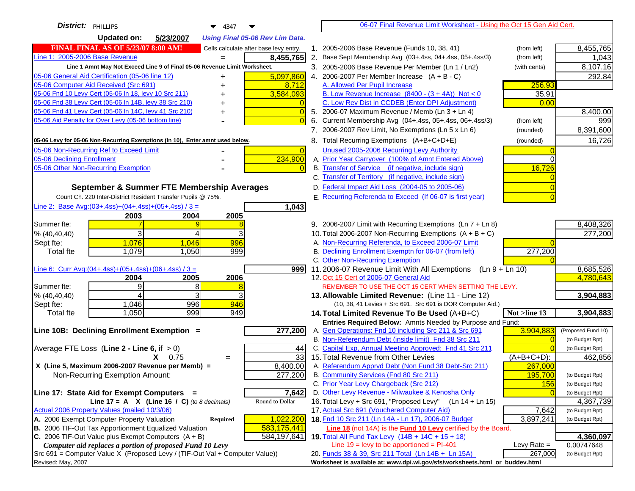| District:   PHILLIPS<br>$\blacktriangledown$ 4347                                              |                                           | 06-07 Final Revenue Limit Worksheet - Using the Oct 15 Gen Aid Cert.             |               |                              |
|------------------------------------------------------------------------------------------------|-------------------------------------------|----------------------------------------------------------------------------------|---------------|------------------------------|
| <b>Updated on:</b><br>5/23/2007<br><b>Using Final 05-06 Rev Lim Data.</b>                      |                                           |                                                                                  |               |                              |
| <b>FINAL FINAL AS OF 5/23/07 8:00 AM!</b><br>Cells calculate after base levy entry.            |                                           | 1. 2005-2006 Base Revenue (Funds 10, 38, 41)                                     | (from left)   | 8,455,765                    |
| Line 1: 2005-2006 Base Revenue<br>8,455,765                                                    |                                           | 2. Base Sept Membership Avg (03+.4ss, 04+.4ss, 05+.4ss/3)                        | (from left)   | 1,043                        |
| Line 1 Amnt May Not Exceed Line 9 of Final 05-06 Revenue Limit Worksheet.                      |                                           | 3. 2005-2006 Base Revenue Per Member (Ln 1 / Ln2)                                | (with cents)  | 8,107.16                     |
| 05-06 General Aid Certification (05-06 line 12)<br>5,097,860<br>+                              |                                           | 4. 2006-2007 Per Member Increase $(A + B - C)$                                   |               | 292.84                       |
| 05-06 Computer Aid Received (Src 691)<br>8,712                                                 | A. Allowed Per Pupil Increase             |                                                                                  | 256.93        |                              |
| 3,584,093<br>05-06 Fnd 10 Levy Cert (05-06 ln 18, levy 10 Src 211)                             |                                           | B. Low Revenue Increase $(8400 - (3 + 4A))$ Not < 0                              | 35.91         |                              |
| 05-06 Fnd 38 Levy Cert (05-06 In 14B, levy 38 Src 210)                                         |                                           | C. Low Rev Dist in CCDEB (Enter DPI Adjustment)                                  | 0.00          |                              |
| 05-06 Fnd 41 Levy Cert (05-06 In 14C, levy 41 Src 210)<br>$\bigcap$                            |                                           | 5. 2006-07 Maximum Revenue / Memb (Ln $3 + \text{Ln } 4$ )                       |               | 8,400.00                     |
| 05-06 Aid Penalty for Over Levy (05-06 bottom line)                                            | 6.                                        | Current Membership Avg (04+.4ss, 05+.4ss, 06+.4ss/3)                             | (from left)   | 999                          |
|                                                                                                |                                           | 7. 2006-2007 Rev Limit, No Exemptions (Ln 5 x Ln 6)                              | (rounded)     | 8,391,600                    |
| 05-06 Levy for 05-06 Non-Recurring Exemptions (In 10), Enter amnt used below.                  |                                           | 8. Total Recurring Exemptions (A+B+C+D+E)                                        | (rounded)     | 16,726                       |
| 05-06 Non-Recurring Ref to Exceed Limit<br>$\overline{0}$                                      |                                           | Unused 2005-2006 Recurring Levy Authority                                        |               |                              |
| 234,900<br>05-06 Declining Enrollment                                                          |                                           | A. Prior Year Carryover (100% of Amnt Entered Above)                             | $\Omega$      |                              |
| 05-06 Other Non-Recurring Exemption                                                            |                                           | B. Transfer of Service (if negative, include sign)                               | 16,726        |                              |
|                                                                                                |                                           | C. Transfer of Territory (if negative, include sign)                             |               |                              |
| September & Summer FTE Membership Averages                                                     |                                           | D. Federal Impact Aid Loss (2004-05 to 2005-06)                                  |               |                              |
| Count Ch. 220 Inter-District Resident Transfer Pupils @ 75%.                                   |                                           | E. Recurring Referenda to Exceed (If 06-07 is first year)                        |               |                              |
| Line 2: Base Avg:(03+.4ss)+(04+.4ss)+(05+.4ss) / 3 =<br>1,043                                  |                                           |                                                                                  |               |                              |
| 2003<br>2004<br>2005                                                                           |                                           |                                                                                  |               |                              |
| Summer fte:                                                                                    |                                           | 9. 2006-2007 Limit with Recurring Exemptions (Ln 7 + Ln 8)                       |               | 8,408,326                    |
| 3<br>3<br>% (40, 40, 40)<br>4                                                                  |                                           | 10. Total 2006-2007 Non-Recurring Exemptions $(A + B + C)$                       |               | 277,200                      |
| 1,076<br>1,046<br>996<br>Sept fte:                                                             |                                           | A. Non-Recurring Referenda, to Exceed 2006-07 Limit                              |               |                              |
| 1,079<br>1,050<br>999<br><b>Total fte</b>                                                      |                                           | B. Declining Enrollment Exemptn for 06-07 (from left)                            | 277,200       |                              |
|                                                                                                | C. Other Non-Recurring Exemption          |                                                                                  |               |                              |
| <u>Line 6: Curr Avg: (04+.4ss)+ (05+.4ss)+ (06+.4ss) / 3 =</u><br>9991<br>2005<br>2006<br>2004 | 12. Oct 15 Cert of 2006-07 General Aid    | 11.2006-07 Revenue Limit With All Exemptions (Ln $9 + \overline{\text{Ln }10}$ ) |               | 8,685,526<br>4,780,643       |
| 9<br>8<br>Summer fte:                                                                          |                                           | REMEMBER TO USE THE OCT 15 CERT WHEN SETTING THE LEVY.                           |               |                              |
| 3<br>3<br>% (40, 40, 40)<br>4                                                                  |                                           | 13. Allowable Limited Revenue: (Line 11 - Line 12)                               |               | 3,904,883                    |
| 1,046<br>996<br>946<br>Sept fte:                                                               |                                           | (10, 38, 41 Levies + Src 691. Src 691 is DOR Computer Aid.)                      |               |                              |
| 999<br>949<br>1,050<br><b>Total fte</b>                                                        |                                           | 14. Total Limited Revenue To Be Used (A+B+C)                                     | Not >line 13  | 3,904,883                    |
|                                                                                                |                                           | Entries Required Below: Amnts Needed by Purpose and Fund:                        |               |                              |
| Line 10B: Declining Enrollment Exemption =<br>277,200                                          |                                           | A. Gen Operations: Fnd 10 including Src 211 & Src 691                            | 3,904,883     | (Proposed Fund 10)           |
|                                                                                                |                                           | B. Non-Referendum Debt (inside limit) Fnd 38 Src 211                             | $\Omega$      | (to Budget Rpt)              |
| Average FTE Loss (Line $2 -$ Line 6, if $> 0$ )<br>44                                          |                                           | C. Capital Exp, Annual Meeting Approved: Fnd 41 Src 211                          |               | (to Budget Rpt)              |
| $\overline{33}$<br>$X = 0.75$<br>$=$                                                           | 15. Total Revenue from Other Levies       |                                                                                  | $(A+B+C+D)$ : | 462,856                      |
| X (Line 5, Maximum 2006-2007 Revenue per Memb) =<br>8,400.00                                   |                                           | A. Referendum Apprvd Debt (Non Fund 38 Debt-Src 211)                             | 267,000       |                              |
| 277,200<br>Non-Recurring Exemption Amount:                                                     | B. Community Services (Fnd 80 Src 211)    |                                                                                  | 195,700       | (to Budget Rpt)              |
|                                                                                                | C. Prior Year Levy Chargeback (Src 212)   | D. Other Levy Revenue - Milwaukee & Kenosha Only                                 | 156           | (to Budget Rpt)              |
| 7,642<br>Line 17: State Aid for Exempt Computers =<br>Round to Dollar                          | 16. Total Levy + Src 691, "Proposed Levy" | $(Ln 14 + Ln 15)$                                                                |               | (to Budget Rpt)              |
| Line 17 = A $X$ (Line 16 / C) (to 8 decimals)<br>Actual 2006 Property Values (mailed 10/3/06)  |                                           | 17. Actual Src 691 (Vouchered Computer Aid)                                      | 7,642         | 4,367,739<br>(to Budget Rpt) |
| A. 2006 Exempt Computer Property Valuation<br>1,022,200<br>Required                            |                                           | 18. Fnd 10 Src 211 (Ln 14A - Ln 17), 2006-07 Budget                              | 3,897,241     | (to Budget Rpt)              |
| B. 2006 TIF-Out Tax Apportionment Equalized Valuation<br>583,175,441                           |                                           | Line 18 (not 14A) is the Fund 10 Levy certified by the Board.                    |               |                              |
| C. 2006 TIF-Out Value plus Exempt Computers $(A + B)$<br>584,197,641                           |                                           | 19. Total All Fund Tax Levy (14B + 14C + 15 + 18)                                |               | 4,360,097                    |
| Computer aid replaces a portion of proposed Fund 10 Levy                                       |                                           | Line $19 = \text{levy}$ to be apportioned = PI-401                               | Levy Rate $=$ | 0.00747648                   |
| Src 691 = Computer Value X (Proposed Levy / (TIF-Out Val + Computer Value))                    |                                           | 20. Funds 38 & 39, Src 211 Total (Ln 14B + Ln 15A)                               | 267,000       | (to Budget Rpt)              |
| Revised: May, 2007                                                                             |                                           | Worksheet is available at: www.dpi.wi.gov/sfs/worksheets.html or buddev.html     |               |                              |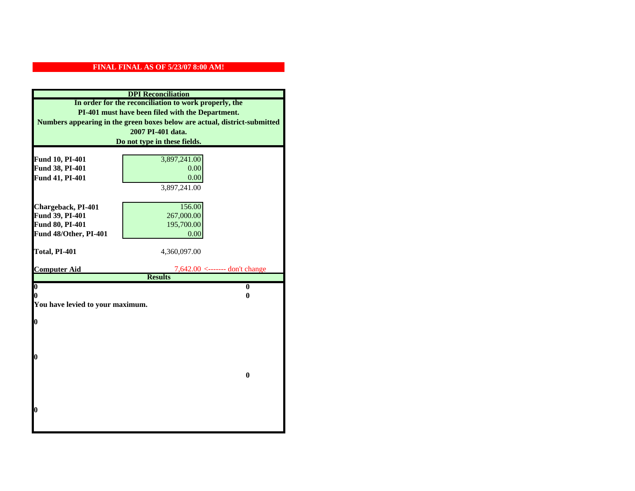| <b>DPI</b> Reconciliation                                                 |                                                       |  |  |
|---------------------------------------------------------------------------|-------------------------------------------------------|--|--|
|                                                                           | In order for the reconciliation to work properly, the |  |  |
|                                                                           | PI-401 must have been filed with the Department.      |  |  |
| Numbers appearing in the green boxes below are actual, district-submitted |                                                       |  |  |
| 2007 PI-401 data.                                                         |                                                       |  |  |
| Do not type in these fields.                                              |                                                       |  |  |
|                                                                           |                                                       |  |  |
| Fund 10, PI-401                                                           | 3,897,241.00                                          |  |  |
| Fund 38, PI-401                                                           | 0.00                                                  |  |  |
| Fund 41, PI-401                                                           | 0.00                                                  |  |  |
|                                                                           | 3,897,241.00                                          |  |  |
|                                                                           |                                                       |  |  |
| Chargeback, PI-401                                                        | 156.00                                                |  |  |
| Fund 39, PI-401                                                           | 267,000.00                                            |  |  |
| Fund 80, PI-401                                                           | 195,700.00                                            |  |  |
| Fund 48/Other, PI-401                                                     | 0.00                                                  |  |  |
| Total, PI-401                                                             | 4,360,097.00                                          |  |  |
|                                                                           |                                                       |  |  |
| <b>Computer Aid</b>                                                       | $7,642.00 \leftarrow \text{---}$ don't change         |  |  |
|                                                                           | <b>Results</b>                                        |  |  |
| $\overline{\mathbf{0}}$                                                   | $\bf{0}$                                              |  |  |
| 0                                                                         | 0                                                     |  |  |
| You have levied to your maximum.                                          |                                                       |  |  |
| $\bf{0}$                                                                  |                                                       |  |  |
|                                                                           |                                                       |  |  |
|                                                                           |                                                       |  |  |
|                                                                           |                                                       |  |  |
|                                                                           |                                                       |  |  |
| l0                                                                        |                                                       |  |  |
|                                                                           |                                                       |  |  |
|                                                                           | $\bf{0}$                                              |  |  |
|                                                                           |                                                       |  |  |
|                                                                           |                                                       |  |  |
|                                                                           |                                                       |  |  |
| $\boldsymbol{0}$                                                          |                                                       |  |  |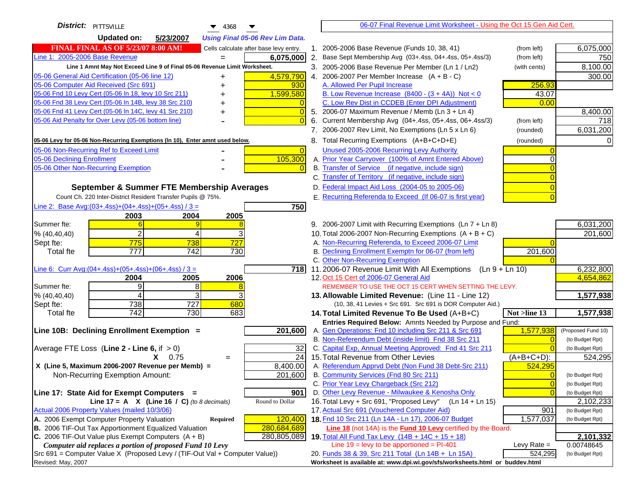| District:   PITTSVILLE<br>4368                                                                                                            |                | 06-07 Final Revenue Limit Worksheet - Using the Oct 15 Gen Aid Cert.                                                               |                        |
|-------------------------------------------------------------------------------------------------------------------------------------------|----------------|------------------------------------------------------------------------------------------------------------------------------------|------------------------|
| <b>Updated on:</b><br>5/23/2007<br><b>Using Final 05-06 Rev Lim Data.</b>                                                                 |                |                                                                                                                                    |                        |
| <b>FINAL FINAL AS OF 5/23/07 8:00 AM!</b><br>Cells calculate after base levy entry.                                                       |                | 1. 2005-2006 Base Revenue (Funds 10, 38, 41)<br>(from left)                                                                        | 6,075,000              |
| Line 1: 2005-2006 Base Revenue<br>6,075,000<br>$=$                                                                                        |                | 2. Base Sept Membership Avg (03+.4ss, 04+.4ss, 05+.4ss/3)<br>(from left)                                                           | 750                    |
| Line 1 Amnt May Not Exceed Line 9 of Final 05-06 Revenue Limit Worksheet.                                                                 |                | 3. 2005-2006 Base Revenue Per Member (Ln 1 / Ln2)<br>(with cents)                                                                  | 8,100.00               |
| 4,579,790<br>05-06 General Aid Certification (05-06 line 12)<br>+                                                                         |                | 4. 2006-2007 Per Member Increase $(A + B - C)$                                                                                     | 300.00                 |
| 05-06 Computer Aid Received (Src 691)<br>930                                                                                              |                | A. Allowed Per Pupil Increase<br>256.93                                                                                            |                        |
| 05-06 Fnd 10 Levy Cert (05-06 In 18, levy 10 Src 211)<br>1,599,580                                                                        |                | B. Low Revenue Increase $(8400 - (3 + 4A))$ Not < 0<br>43.07                                                                       |                        |
| 05-06 Fnd 38 Levy Cert (05-06 In 14B, levy 38 Src 210)                                                                                    |                | C. Low Rev Dist in CCDEB (Enter DPI Adjustment)<br>0.00                                                                            |                        |
| 05-06 Fnd 41 Levy Cert (05-06 In 14C, levy 41 Src 210)<br>+                                                                               | 0              | 5. 2006-07 Maximum Revenue / Memb (Ln 3 + Ln 4)                                                                                    | 8,400.00               |
| 05-06 Aid Penalty for Over Levy (05-06 bottom line)                                                                                       |                | 6. Current Membership Avg (04+.4ss, 05+.4ss, 06+.4ss/3)<br>(from left)                                                             | 718                    |
|                                                                                                                                           |                | 7. 2006-2007 Rev Limit, No Exemptions (Ln 5 x Ln 6)<br>(rounded)                                                                   | 6,031,200              |
| 05-06 Levy for 05-06 Non-Recurring Exemptions (In 10), Enter amnt used below.                                                             |                | 8. Total Recurring Exemptions (A+B+C+D+E)<br>(rounded)                                                                             |                        |
| 05-06 Non-Recurring Ref to Exceed Limit                                                                                                   | $\overline{0}$ | Unused 2005-2006 Recurring Levy Authority                                                                                          |                        |
| 105,300<br>05-06 Declining Enrollment                                                                                                     |                | A. Prior Year Carryover (100% of Amnt Entered Above)                                                                               |                        |
| 05-06 Other Non-Recurring Exemption                                                                                                       |                | B. Transfer of Service (if negative, include sign)                                                                                 |                        |
|                                                                                                                                           |                | C. Transfer of Territory (if negative, include sign)                                                                               |                        |
| September & Summer FTE Membership Averages                                                                                                |                | D. Federal Impact Aid Loss (2004-05 to 2005-06)                                                                                    |                        |
| Count Ch. 220 Inter-District Resident Transfer Pupils @ 75%.                                                                              |                | E. Recurring Referenda to Exceed (If 06-07 is first year)                                                                          |                        |
| Line 2: Base Avg: $(03+.4ss)+(04+.4ss)+(05+.4ss)/3 =$                                                                                     | 750            |                                                                                                                                    |                        |
| 2003<br>2004<br>2005                                                                                                                      |                |                                                                                                                                    |                        |
| Summer fte:                                                                                                                               |                | 9. 2006-2007 Limit with Recurring Exemptions (Ln 7 + Ln 8)                                                                         | 6,031,200              |
| $\overline{2}$<br>% (40, 40, 40)<br>4                                                                                                     |                | 10. Total 2006-2007 Non-Recurring Exemptions $(A + B + C)$                                                                         | 201,600                |
| 727<br>775<br>738<br>Sept fte:                                                                                                            |                | A. Non-Recurring Referenda, to Exceed 2006-07 Limit                                                                                |                        |
| $\overline{777}$<br><b>Total fte</b><br>742<br>730                                                                                        |                | B. Declining Enrollment Exemptn for 06-07 (from left)<br>201,600                                                                   |                        |
|                                                                                                                                           |                | C. Other Non-Recurring Exemption                                                                                                   |                        |
| Line 6: Curr Avg: $(04+.4ss)+(05+.4ss)+(06+.4ss)/3=$                                                                                      | 718I           | 11.2006-07 Revenue Limit With All Exemptions (Ln 9 + Ln 10)                                                                        | 6,232,800<br>4,654,862 |
| 2006<br>2004<br>2005<br>9<br>8<br>Summer fte:                                                                                             |                | 12. Oct 15 Cert of 2006-07 General Aid<br>REMEMBER TO USE THE OCT 15 CERT WHEN SETTING THE LEVY.                                   |                        |
| 3<br>% (40, 40, 40)<br>4                                                                                                                  |                | 13. Allowable Limited Revenue: (Line 11 - Line 12)                                                                                 | 1,577,938              |
| 738<br>727<br>680<br>Sept fte:                                                                                                            |                | (10, 38, 41 Levies + Src 691. Src 691 is DOR Computer Aid.)                                                                        |                        |
| 742<br>730<br>683<br><b>Total fte</b>                                                                                                     |                | 14. Total Limited Revenue To Be Used (A+B+C)<br>Not >line 13                                                                       | 1,577,938              |
|                                                                                                                                           |                | Entries Required Below: Amnts Needed by Purpose and Fund:                                                                          |                        |
| Line 10B: Declining Enrollment Exemption =<br>201,600                                                                                     |                | A. Gen Operations: Fnd 10 including Src 211 & Src 691<br>1,577,938                                                                 | (Proposed Fund 10)     |
|                                                                                                                                           |                | B. Non-Referendum Debt (inside limit) Fnd 38 Src 211                                                                               | (to Budget Rpt)        |
| Average FTE Loss (Line $2 -$ Line 6, if $> 0$ )                                                                                           | 32             | C. Capital Exp, Annual Meeting Approved: Fnd 41 Src 211                                                                            | (to Budget Rpt)        |
| $X = 0.75$<br>$=$                                                                                                                         | 24             | 15. Total Revenue from Other Levies<br>(A+B+C+D):                                                                                  | 524,295                |
| X (Line 5, Maximum 2006-2007 Revenue per Memb) =<br>8,400.00                                                                              |                | A. Referendum Apprvd Debt (Non Fund 38 Debt-Src 211)<br>524,295                                                                    |                        |
| 201,600<br>Non-Recurring Exemption Amount:                                                                                                |                | B. Community Services (Fnd 80 Src 211)                                                                                             | (to Budget Rpt)        |
|                                                                                                                                           |                | C. Prior Year Levy Chargeback (Src 212)<br>$\overline{0}$                                                                          | (to Budget Rpt)        |
| Line 17: State Aid for Exempt Computers =                                                                                                 | 901            | D. Other Levy Revenue - Milwaukee & Kenosha Only                                                                                   | (to Budget Rpt)        |
| Round to Dollar<br>Line 17 = A $X$ (Line 16 / C) (to 8 decimals)                                                                          |                | 16. Total Levy + Src 691, "Proposed Levy"<br>(Ln 14 + Ln 15)                                                                       | 2,102,233              |
| Actual 2006 Property Values (mailed 10/3/06)                                                                                              |                | 17. Actual Src 691 (Vouchered Computer Aid)<br>901                                                                                 | (to Budget Rpt)        |
| A. 2006 Exempt Computer Property Valuation<br>120,400<br>Required<br>B. 2006 TIF-Out Tax Apportionment Equalized Valuation<br>280,684,689 |                | 18. Fnd 10 Src 211 (Ln 14A - Ln 17), 2006-07 Budget<br>1,577,037                                                                   | (to Budget Rpt)        |
| C. 2006 TIF-Out Value plus Exempt Computers $(A + B)$<br>280,805,089                                                                      |                | <b>Line 18</b> (not 14A) is the <b>Fund 10 Levy</b> certified by the Board.<br>19. Total All Fund Tax Levy $(14B + 14C + 15 + 18)$ | 2,101,332              |
| Computer aid replaces a portion of proposed Fund 10 Levy                                                                                  |                | Line $19 = \text{levy}$ to be apportioned = PI-401<br>Levy Rate $=$                                                                | 0.00748645             |
| Src 691 = Computer Value X (Proposed Levy / (TIF-Out Val + Computer Value))                                                               |                | 20. Funds 38 & 39, Src 211 Total (Ln 14B + Ln 15A)<br>524,295                                                                      | (to Budget Rpt)        |
| Revised: May, 2007                                                                                                                        |                | Worksheet is available at: www.dpi.wi.gov/sfs/worksheets.html or buddev.html                                                       |                        |
|                                                                                                                                           |                |                                                                                                                                    |                        |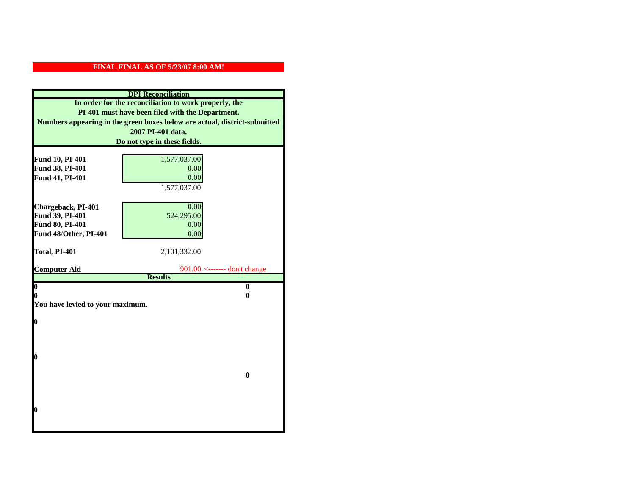|                                  | <b>DPI</b> Reconciliation                                                 |
|----------------------------------|---------------------------------------------------------------------------|
|                                  | In order for the reconciliation to work properly, the                     |
|                                  | PI-401 must have been filed with the Department.                          |
|                                  | Numbers appearing in the green boxes below are actual, district-submitted |
|                                  | 2007 PI-401 data.                                                         |
|                                  | Do not type in these fields.                                              |
|                                  |                                                                           |
| Fund 10, PI-401                  | 1,577,037.00                                                              |
| Fund 38, PI-401                  | 0.00                                                                      |
| Fund 41, PI-401                  | 0.00                                                                      |
|                                  | 1,577,037.00                                                              |
|                                  |                                                                           |
| Chargeback, PI-401               | 0.00                                                                      |
| Fund 39, PI-401                  | 524,295.00                                                                |
| Fund 80, PI-401                  | 0.00                                                                      |
| Fund 48/Other, PI-401            | 0.00                                                                      |
| Total, PI-401                    | 2,101,332.00                                                              |
|                                  |                                                                           |
| <b>Computer Aid</b>              | $901.00$ <------- don't change                                            |
|                                  | <b>Results</b>                                                            |
| $\boldsymbol{0}$                 | $\mathbf{0}$                                                              |
| 0                                | 0                                                                         |
| You have levied to your maximum. |                                                                           |
| $\bf{0}$                         |                                                                           |
|                                  |                                                                           |
|                                  |                                                                           |
|                                  |                                                                           |
|                                  |                                                                           |
| 0                                |                                                                           |
|                                  |                                                                           |
|                                  | $\bf{0}$                                                                  |
|                                  |                                                                           |
|                                  |                                                                           |
|                                  |                                                                           |
| 0                                |                                                                           |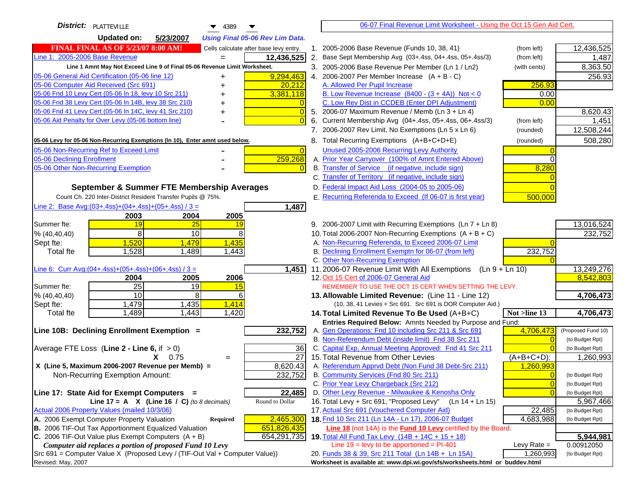| <b>District:</b> PLATTEVILLE<br>▼<br>4389                                           |                | 06-07 Final Revenue Limit Worksheet - Using the Oct 15 Gen Aid Cert.                                                       |                                                   |
|-------------------------------------------------------------------------------------|----------------|----------------------------------------------------------------------------------------------------------------------------|---------------------------------------------------|
| <b>Updated on:</b><br>5/23/2007<br><b>Using Final 05-06 Rev Lim Data.</b>           |                |                                                                                                                            |                                                   |
| <b>FINAL FINAL AS OF 5/23/07 8:00 AM!</b><br>Cells calculate after base levy entry. |                | 1. 2005-2006 Base Revenue (Funds 10, 38, 41)<br>(from left)                                                                | 12,436,525                                        |
| Line 1: 2005-2006 Base Revenue<br>12,436,525                                        |                | 2. Base Sept Membership Avg (03+.4ss, 04+.4ss, 05+.4ss/3)<br>(from left)                                                   | 1,487                                             |
| Line 1 Amnt May Not Exceed Line 9 of Final 05-06 Revenue Limit Worksheet.           |                | 3. 2005-2006 Base Revenue Per Member (Ln 1 / Ln2)<br>(with cents)                                                          | 8,363.50                                          |
| 05-06 General Aid Certification (05-06 line 12)<br>9,294,463<br>+                   |                | 4. 2006-2007 Per Member Increase $(A + B - C)$                                                                             | 256.93                                            |
| 05-06 Computer Aid Received (Src 691)<br>20,212                                     |                | 256.93<br>A. Allowed Per Pupil Increase                                                                                    |                                                   |
| 3,381,118<br>05-06 Fnd 10 Levy Cert (05-06 In 18, levy 10 Src 211)                  |                | B. Low Revenue Increase $(8400 - (3 + 4A))$ Not < 0                                                                        | 0.00                                              |
| 05-06 Fnd 38 Levy Cert (05-06 In 14B, levy 38 Src 210)                              |                | C. Low Rev Dist in CCDEB (Enter DPI Adjustment)<br>0.00                                                                    |                                                   |
| 05-06 Fnd 41 Levy Cert (05-06 In 14C, levy 41 Src 210)                              | $\overline{0}$ | 5. 2006-07 Maximum Revenue / Memb (Ln 3 + Ln 4)                                                                            | 8,620.43                                          |
| 05-06 Aid Penalty for Over Levy (05-06 bottom line)                                 | $\Omega$       | Current Membership Avg (04+.4ss, 05+.4ss, 06+.4ss/3)<br>6.<br>(from left)                                                  | 1,451                                             |
|                                                                                     |                | 7. 2006-2007 Rev Limit, No Exemptions (Ln 5 x Ln 6)<br>(rounded)                                                           | 12,508,244                                        |
| 05-06 Levy for 05-06 Non-Recurring Exemptions (In 10), Enter amnt used below.       |                | 8. Total Recurring Exemptions (A+B+C+D+E)<br>(rounded)                                                                     | 508,280                                           |
| 05-06 Non-Recurring Ref to Exceed Limit                                             | $\overline{0}$ | Unused 2005-2006 Recurring Levy Authority                                                                                  |                                                   |
| 259,268<br>05-06 Declining Enrollment                                               |                | A. Prior Year Carryover (100% of Amnt Entered Above)                                                                       | 0                                                 |
| 05-06 Other Non-Recurring Exemption                                                 | $\Omega$       | B. Transfer of Service (if negative, include sign)<br>8,280                                                                |                                                   |
|                                                                                     |                | C. Transfer of Territory (if negative, include sign)                                                                       |                                                   |
| September & Summer FTE Membership Averages                                          |                | D. Federal Impact Aid Loss (2004-05 to 2005-06)                                                                            |                                                   |
| Count Ch. 220 Inter-District Resident Transfer Pupils @ 75%.                        |                | E. Recurring Referenda to Exceed (If 06-07 is first year)<br>500,000                                                       |                                                   |
| Line 2: Base Avg:(03+.4ss)+(04+.4ss)+(05+.4ss) / 3 =<br>1,487                       |                |                                                                                                                            |                                                   |
| 2003<br>2004<br>2005                                                                |                |                                                                                                                            |                                                   |
| 25<br>Summer fte:<br>19<br>19                                                       |                | 9. 2006-2007 Limit with Recurring Exemptions (Ln 7 + Ln 8)                                                                 | 13,016,524                                        |
| 8<br>10<br>8<br>% (40, 40, 40)                                                      |                | 10. Total 2006-2007 Non-Recurring Exemptions $(A + B + C)$                                                                 | 232,752                                           |
| 1,520<br>1,479<br>1,435<br>Sept fte:                                                |                | A. Non-Recurring Referenda, to Exceed 2006-07 Limit                                                                        |                                                   |
| 1,528<br>1,489<br>1,443<br><b>Total fte</b>                                         |                | B. Declining Enrollment Exemptn for 06-07 (from left)<br>232,752                                                           |                                                   |
|                                                                                     |                | C. Other Non-Recurring Exemption                                                                                           |                                                   |
| Line 6: Curr Avg: $(04+.4ss)+(05+.4ss)+(06+.4ss)/3 =$<br>1,451                      |                | 11.2006-07 Revenue Limit With All Exemptions<br>$(Ln 9 + Ln 10)$                                                           | 13,249,276                                        |
| 2005<br>2006<br>2004                                                                |                | 12. Oct 15 Cert of 2006-07 General Aid                                                                                     | 8,542,803                                         |
| 25<br>$\overline{19}$<br>Summer fte:<br>15                                          |                | REMEMBER TO USE THE OCT 15 CERT WHEN SETTING THE LEVY.                                                                     |                                                   |
| 10<br>8<br>% (40, 40, 40)<br>6                                                      |                | 13. Allowable Limited Revenue: (Line 11 - Line 12)                                                                         | 4,706,473                                         |
| 1,479<br>1,435<br>1,414<br>Sept fte:                                                |                | (10, 38, 41 Levies + Src 691. Src 691 is DOR Computer Aid.)                                                                |                                                   |
| 1,489<br>1,443<br>1,420<br><b>Total fte</b>                                         |                | 14. Total Limited Revenue To Be Used (A+B+C)<br>Not >line 13                                                               | 4,706,473                                         |
| 232,752<br>Line 10B: Declining Enrollment Exemption =                               |                | Entries Required Below: Amnts Needed by Purpose and Fund:                                                                  |                                                   |
|                                                                                     |                | A. Gen Operations: Fnd 10 including Src 211 & Src 691<br>4,706,473<br>B. Non-Referendum Debt (inside limit) Fnd 38 Src 211 | (Proposed Fund 10)<br>$\Omega$<br>(to Budget Rpt) |
| Average FTE Loss (Line $2 -$ Line 6, if $> 0$ )                                     | 36             | C. Capital Exp, Annual Meeting Approved: Fnd 41 Src 211                                                                    | (to Budget Rpt)                                   |
| $X = 0.75$<br>$=$                                                                   | 27             | 15. Total Revenue from Other Levies<br>$(A+B+C+D)$ :                                                                       | 1,260,993                                         |
| X (Line 5, Maximum 2006-2007 Revenue per Memb) =<br>8,620.43                        |                | A. Referendum Apprvd Debt (Non Fund 38 Debt-Src 211)<br>1,260,993                                                          |                                                   |
| 232,752<br>Non-Recurring Exemption Amount:                                          |                | B. Community Services (Fnd 80 Src 211)                                                                                     | $\Omega$<br>(to Budget Rpt)                       |
|                                                                                     |                | C. Prior Year Levy Chargeback (Src 212)                                                                                    | $\overline{0}$<br>(to Budget Rpt)                 |
| 22,485<br>Line 17: State Aid for Exempt Computers =                                 |                | D. Other Levy Revenue - Milwaukee & Kenosha Only                                                                           | $\Omega$<br>(to Budget Rpt)                       |
| Line 17 = A $X$ (Line 16 / C) (to 8 decimals)<br>Round to Dollar                    |                | 16. Total Levy + Src 691, "Proposed Levy"<br>$(Ln 14 + Ln 15)$                                                             | 5,967,466                                         |
| Actual 2006 Property Values (mailed 10/3/06)                                        |                | 17. Actual Src 691 (Vouchered Computer Aid)<br>22,485                                                                      | (to Budget Rpt)                                   |
| A. 2006 Exempt Computer Property Valuation<br>2,465,300<br><b>Required</b>          |                | 18. Fnd 10 Src 211 (Ln 14A - Ln 17), 2006-07 Budget<br>4,683,988                                                           | (to Budget Rpt)                                   |
| B. 2006 TIF-Out Tax Apportionment Equalized Valuation<br>651,826,435                |                | Line 18 (not 14A) is the <b>Fund 10 Levy</b> certified by the Board.                                                       |                                                   |
| C. 2006 TIF-Out Value plus Exempt Computers $(A + B)$<br>654,291,735                |                | 19. Total All Fund Tax Levy (14B + 14C + 15 + 18)                                                                          | 5,944,981                                         |
| Computer aid replaces a portion of proposed Fund 10 Levy                            |                | Line $19 = \text{levy}$ to be apportioned = PI-401<br>Levy Rate $=$                                                        | 0.00912050                                        |
| Src 691 = Computer Value X (Proposed Levy / (TIF-Out Val + Computer Value))         |                | 20. Funds 38 & 39, Src 211 Total (Ln 14B + Ln 15A)<br>1,260,993                                                            | (to Budget Rpt)                                   |
| Revised: May, 2007                                                                  |                | Worksheet is available at: www.dpi.wi.gov/sfs/worksheets.html or buddev.html                                               |                                                   |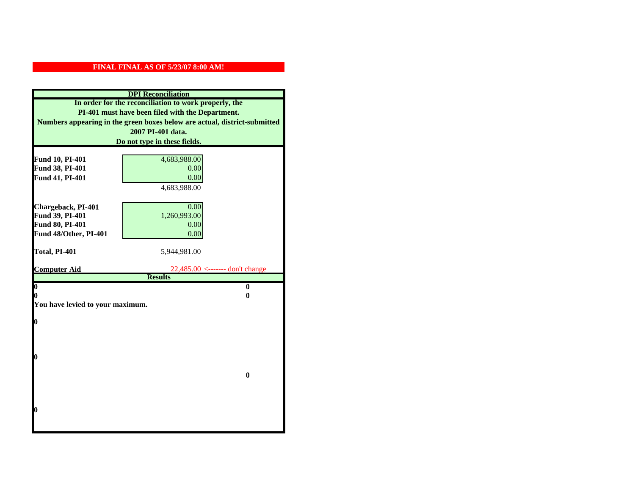|                                    | <b>DPI</b> Reconciliation                                                 |
|------------------------------------|---------------------------------------------------------------------------|
|                                    | In order for the reconciliation to work properly, the                     |
|                                    | PI-401 must have been filed with the Department.                          |
|                                    | Numbers appearing in the green boxes below are actual, district-submitted |
|                                    | 2007 PI-401 data.                                                         |
|                                    | Do not type in these fields.                                              |
|                                    |                                                                           |
| Fund 10, PI-401<br>Fund 38, PI-401 | 4,683,988.00<br>0.00                                                      |
| Fund 41, PI-401                    | 0.00                                                                      |
|                                    | 4,683,988.00                                                              |
|                                    |                                                                           |
| Chargeback, PI-401                 | 0.00                                                                      |
| Fund 39, PI-401                    | 1,260,993.00                                                              |
| Fund 80, PI-401                    | 0.00                                                                      |
| Fund 48/Other, PI-401              | 0.00                                                                      |
|                                    |                                                                           |
| Total, PI-401                      | 5,944,981.00                                                              |
|                                    |                                                                           |
| <b>Computer Aid</b>                | $22,485.00$ <------- don't change<br><b>Results</b>                       |
| $\overline{\mathbf{0}}$            | $\bf{0}$                                                                  |
| 0                                  | 0                                                                         |
| You have levied to your maximum.   |                                                                           |
|                                    |                                                                           |
| $\bf{0}$                           |                                                                           |
|                                    |                                                                           |
|                                    |                                                                           |
| l0                                 |                                                                           |
|                                    |                                                                           |
|                                    | $\mathbf{0}$                                                              |
|                                    |                                                                           |
|                                    |                                                                           |
|                                    |                                                                           |
| $\boldsymbol{0}$                   |                                                                           |
|                                    |                                                                           |
|                                    |                                                                           |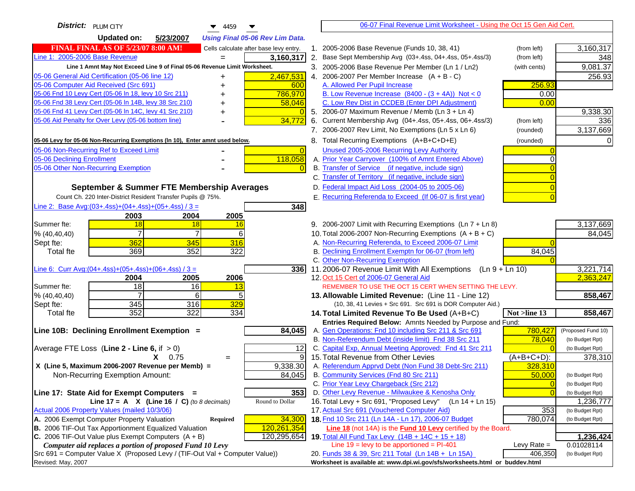| District:   PLUM CITY<br>4459                                                       |                | 06-07 Final Revenue Limit Worksheet - Using the Oct 15 Gen Aid Cert.                                                      |                            |
|-------------------------------------------------------------------------------------|----------------|---------------------------------------------------------------------------------------------------------------------------|----------------------------|
| <b>Updated on:</b><br>5/23/2007<br><b>Using Final 05-06 Rev Lim Data.</b>           |                |                                                                                                                           |                            |
| <b>FINAL FINAL AS OF 5/23/07 8:00 AM!</b><br>Cells calculate after base levy entry. |                | 1. 2005-2006 Base Revenue (Funds 10, 38, 41)<br>(from left)                                                               | 3,160,317                  |
| Line 1: 2005-2006 Base Revenue<br>3,160,317<br>$=$                                  |                | 2. Base Sept Membership Avg (03+.4ss, 04+.4ss, 05+.4ss/3)<br>(from left)                                                  | 348                        |
| Line 1 Amnt May Not Exceed Line 9 of Final 05-06 Revenue Limit Worksheet.           |                | 3. 2005-2006 Base Revenue Per Member (Ln 1 / Ln2)<br>(with cents)                                                         | 9,081.37                   |
| 05-06 General Aid Certification (05-06 line 12)<br>2,467,531<br>+                   |                | 4. 2006-2007 Per Member Increase $(A + B - C)$                                                                            | 256.93                     |
| 05-06 Computer Aid Received (Src 691)                                               | 600            | 256.93<br>A. Allowed Per Pupil Increase                                                                                   |                            |
| 05-06 Fnd 10 Levy Cert (05-06 In 18, levy 10 Src 211)<br>786,970                    |                | B. Low Revenue Increase $(8400 - (3 + 4A))$ Not < 0<br>0.00                                                               |                            |
| 05-06 Fnd 38 Levy Cert (05-06 In 14B, levy 38 Src 210)<br>58,046                    |                | C. Low Rev Dist in CCDEB (Enter DPI Adjustment)<br>0.00                                                                   |                            |
| 05-06 Fnd 41 Levy Cert (05-06 In 14C, levy 41 Src 210)                              |                | 5. 2006-07 Maximum Revenue / Memb (Ln $3 + \text{Ln } 4$ )                                                                | 9,338.30                   |
| 34,772<br>05-06 Aid Penalty for Over Levy (05-06 bottom line)                       |                | 6. Current Membership Avg (04+.4ss, 05+.4ss, 06+.4ss/3)<br>(from left)                                                    | 336                        |
|                                                                                     |                | 7. 2006-2007 Rev Limit, No Exemptions (Ln 5 x Ln 6)<br>(rounded)                                                          | 3,137,669                  |
| 05-06 Levy for 05-06 Non-Recurring Exemptions (In 10), Enter amnt used below.       |                | 8. Total Recurring Exemptions (A+B+C+D+E)<br>(rounded)                                                                    | $\Omega$                   |
| 05-06 Non-Recurring Ref to Exceed Limit                                             | $\overline{0}$ | Unused 2005-2006 Recurring Levy Authority                                                                                 |                            |
| 118,058<br>05-06 Declining Enrollment                                               |                | A. Prior Year Carryover (100% of Amnt Entered Above)                                                                      |                            |
| 05-06 Other Non-Recurring Exemption                                                 |                | B. Transfer of Service (if negative, include sign)                                                                        |                            |
|                                                                                     |                | C. Transfer of Territory (if negative, include sign)                                                                      |                            |
| September & Summer FTE Membership Averages                                          |                | D. Federal Impact Aid Loss (2004-05 to 2005-06)                                                                           |                            |
| Count Ch. 220 Inter-District Resident Transfer Pupils @ 75%.                        |                | E. Recurring Referenda to Exceed (If 06-07 is first year)                                                                 |                            |
| Line 2: Base Avg:(03+.4ss)+(04+.4ss)+(05+.4ss) / 3 =                                | 348            |                                                                                                                           |                            |
| 2003<br>2004<br>2005                                                                |                |                                                                                                                           |                            |
| Summer fte:<br>18<br>18<br>16<br>$\overline{7}$                                     |                | 9. 2006-2007 Limit with Recurring Exemptions (Ln 7 + Ln 8)                                                                | 3,137,669                  |
| $\overline{7}$<br>6<br>% (40, 40, 40)                                               |                | 10. Total 2006-2007 Non-Recurring Exemptions (A + B + C)                                                                  | 84,045                     |
| 362<br>345<br>316<br>Sept fte:<br>369<br>352<br>322<br><b>Total fte</b>             |                | A. Non-Recurring Referenda, to Exceed 2006-07 Limit<br>B. Declining Enrollment Exemptn for 06-07 (from left)<br>84,045    |                            |
|                                                                                     |                | C. Other Non-Recurring Exemption                                                                                          |                            |
| <u>Line 6: Curr Avg: (04+.4ss)+ (05+.4ss)+ (06+.4ss) / 3 =</u>                      | 336I           | 11.2006-07 Revenue Limit With All Exemptions (Ln 9 + Ln 10)                                                               | 3,221,714                  |
| 2005<br>2006<br>2004                                                                |                | 12. Oct 15 Cert of 2006-07 General Aid                                                                                    | 2,363,247                  |
| 18<br>16<br>Summer fte:<br>13                                                       |                | REMEMBER TO USE THE OCT 15 CERT WHEN SETTING THE LEVY.                                                                    |                            |
| $\overline{7}$<br>6<br>% (40, 40, 40)<br>5                                          |                | 13. Allowable Limited Revenue: (Line 11 - Line 12)                                                                        | 858,467                    |
| 329<br>345<br>316<br>Sept fte:                                                      |                | (10, 38, 41 Levies + Src 691. Src 691 is DOR Computer Aid.)                                                               |                            |
| 352<br>322<br>334<br><b>Total fte</b>                                               |                | Not >line 13<br>14. Total Limited Revenue To Be Used (A+B+C)                                                              | 858,467                    |
|                                                                                     |                | Entries Required Below: Amnts Needed by Purpose and Fund:                                                                 |                            |
| Line 10B: Declining Enrollment Exemption =<br>84,045                                |                | A. Gen Operations: Fnd 10 including Src 211 & Src 691<br>780,427                                                          | (Proposed Fund 10)         |
|                                                                                     |                | B. Non-Referendum Debt (inside limit) Fnd 38 Src 211<br>78,040<br>C. Capital Exp, Annual Meeting Approved: Fnd 41 Src 211 | (to Budget Rpt)            |
| Average FTE Loss (Line $2 -$ Line 6, if $> 0$ )<br>$X = 0.75$                       | 12<br>9        | 15. Total Revenue from Other Levies<br>(A+B+C+D):                                                                         | (to Budget Rpt)<br>378,310 |
| $=$<br>X (Line 5, Maximum 2006-2007 Revenue per Memb) =<br>9,338.30                 |                | A. Referendum Apprvd Debt (Non Fund 38 Debt-Src 211)<br>328,310                                                           |                            |
| 84,045<br>Non-Recurring Exemption Amount:                                           |                | B. Community Services (Fnd 80 Src 211)<br>50,000                                                                          | (to Budget Rpt)            |
|                                                                                     |                | C. Prior Year Levy Chargeback (Src 212)<br>$\overline{0}$                                                                 | (to Budget Rpt)            |
| Line 17: State Aid for Exempt Computers =                                           | 353            | D. Other Levy Revenue - Milwaukee & Kenosha Only                                                                          | (to Budget Rpt)            |
| Line 17 = A $X$ (Line 16 / C) (to 8 decimals)<br>Round to Dollar                    |                | 16. Total Levy + Src 691, "Proposed Levy"<br>(Ln 14 + Ln 15)                                                              | 1,236,777                  |
| Actual 2006 Property Values (mailed 10/3/06)                                        |                | 17. Actual Src 691 (Vouchered Computer Aid)<br>353                                                                        | (to Budget Rpt)            |
| A. 2006 Exempt Computer Property Valuation<br>34,300<br><b>Required</b>             |                | 18. Fnd 10 Src 211 (Ln 14A - Ln 17), 2006-07 Budget<br>780,074                                                            | (to Budget Rpt)            |
| B. 2006 TIF-Out Tax Apportionment Equalized Valuation<br>120,261,354                |                | Line 18 (not 14A) is the <b>Fund 10 Levy</b> certified by the Board.                                                      |                            |
| C. 2006 TIF-Out Value plus Exempt Computers $(A + B)$<br>120,295,654                |                | 19. Total All Fund Tax Levy (14B + 14C + 15 + 18)                                                                         | 1,236,424                  |
| Computer aid replaces a portion of proposed Fund 10 Levy                            |                | Line $19 = \text{levy}$ to be apportioned = PI-401<br>Levy Rate $=$                                                       | 0.01028114                 |
| Src 691 = Computer Value X (Proposed Levy / (TIF-Out Val + Computer Value))         |                | 20. Funds 38 & 39, Src 211 Total (Ln 14B + Ln 15A)<br>406,350                                                             | (to Budget Rpt)            |
| Revised: May, 2007                                                                  |                | Worksheet is available at: www.dpi.wi.gov/sfs/worksheets.html or buddev.html                                              |                            |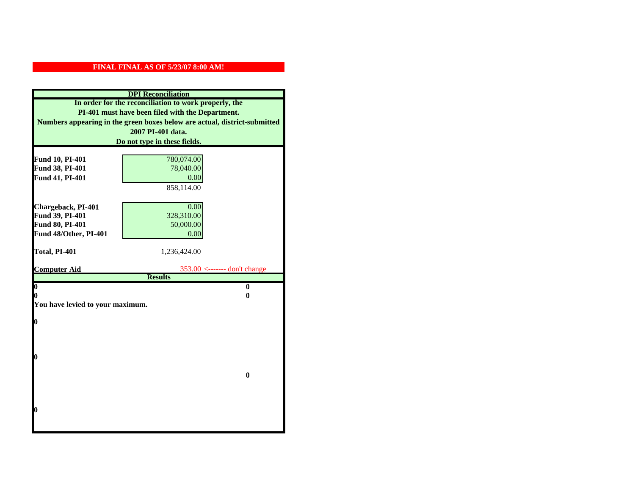|                                          | <b>DPI</b> Reconciliation                                                 |
|------------------------------------------|---------------------------------------------------------------------------|
|                                          | In order for the reconciliation to work properly, the                     |
|                                          | PI-401 must have been filed with the Department.                          |
|                                          | Numbers appearing in the green boxes below are actual, district-submitted |
|                                          | 2007 PI-401 data.                                                         |
|                                          | Do not type in these fields.                                              |
|                                          |                                                                           |
| Fund 10, PI-401                          | 780,074.00                                                                |
| Fund 38, PI-401                          | 78,040.00                                                                 |
| Fund 41, PI-401                          | 0.00                                                                      |
|                                          | 858,114.00                                                                |
|                                          |                                                                           |
| Chargeback, PI-401                       | 0.00                                                                      |
| Fund 39, PI-401                          | 328,310.00                                                                |
| Fund 80, PI-401<br>Fund 48/Other, PI-401 | 50,000.00                                                                 |
|                                          | 0.00                                                                      |
| Total, PI-401                            | 1,236,424.00                                                              |
|                                          |                                                                           |
| <b>Computer Aid</b>                      | $353.00$ <------- don't change                                            |
|                                          | <b>Results</b>                                                            |
| $\boldsymbol{0}$<br>0                    | $\bf{0}$<br>0                                                             |
| You have levied to your maximum.         |                                                                           |
|                                          |                                                                           |
| $\bf{0}$                                 |                                                                           |
|                                          |                                                                           |
|                                          |                                                                           |
|                                          |                                                                           |
| 0                                        |                                                                           |
|                                          |                                                                           |
|                                          | $\bf{0}$                                                                  |
|                                          |                                                                           |
|                                          |                                                                           |
| 0                                        |                                                                           |
|                                          |                                                                           |
|                                          |                                                                           |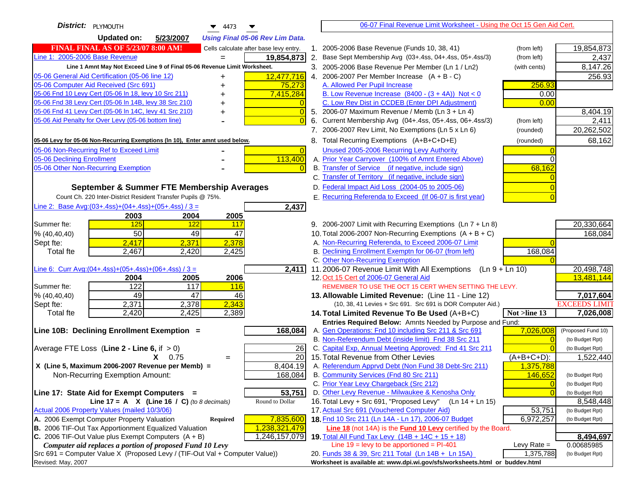| District:   PLYMOUTH<br>$\blacktriangledown$ 4473                                                                                       |    | 06-07 Final Revenue Limit Worksheet - Using the Oct 15 Gen Aid Cert.                                                               |                            |                                       |
|-----------------------------------------------------------------------------------------------------------------------------------------|----|------------------------------------------------------------------------------------------------------------------------------------|----------------------------|---------------------------------------|
| <b>Updated on:</b><br>5/23/2007<br><b>Using Final 05-06 Rev Lim Data.</b>                                                               |    |                                                                                                                                    |                            |                                       |
| <b>FINAL FINAL AS OF 5/23/07 8:00 AM!</b><br>Cells calculate after base levy entry.                                                     |    | 1. 2005-2006 Base Revenue (Funds 10, 38, 41)                                                                                       | (from left)                | 19,854,873                            |
| Line 1: 2005-2006 Base Revenue<br>19,854,873                                                                                            | 2. | Base Sept Membership Avg (03+.4ss, 04+.4ss, 05+.4ss/3)                                                                             | (from left)                | 2,437                                 |
| Line 1 Amnt May Not Exceed Line 9 of Final 05-06 Revenue Limit Worksheet.                                                               |    | 3. 2005-2006 Base Revenue Per Member (Ln 1 / Ln2)                                                                                  | (with cents)               | 8,147.26                              |
| 12,477,716<br>05-06 General Aid Certification (05-06 line 12)<br>+                                                                      |    | 4. 2006-2007 Per Member Increase $(A + B - C)$                                                                                     |                            | 256.93                                |
| 05-06 Computer Aid Received (Src 691)<br>75,273                                                                                         |    | A. Allowed Per Pupil Increase                                                                                                      | 256.93                     |                                       |
| 05-06 Fnd 10 Levy Cert (05-06 In 18, levy 10 Src 211)<br>7,415,284                                                                      |    | B. Low Revenue Increase $(8400 - (3 + 4A))$ Not < 0                                                                                | 0.00                       |                                       |
| 05-06 Fnd 38 Levy Cert (05-06 In 14B, levy 38 Src 210)                                                                                  |    | C. Low Rev Dist in CCDEB (Enter DPI Adjustment)                                                                                    | 0.00                       |                                       |
| 05-06 Fnd 41 Levy Cert (05-06 In 14C, levy 41 Src 210)<br>$\overline{0}$                                                                |    | 5. 2006-07 Maximum Revenue / Memb (Ln 3 + Ln 4)                                                                                    |                            | 8,404.19                              |
| 05-06 Aid Penalty for Over Levy (05-06 bottom line)<br>$\Omega$                                                                         | 6. | Current Membership Avg (04+.4ss, 05+.4ss, 06+.4ss/3)                                                                               | (from left)                | 2,411                                 |
|                                                                                                                                         |    | 7. 2006-2007 Rev Limit, No Exemptions (Ln 5 x Ln 6)                                                                                | (rounded)                  | 20,262,502                            |
| 05-06 Levy for 05-06 Non-Recurring Exemptions (In 10), Enter amnt used below.                                                           |    | 8. Total Recurring Exemptions (A+B+C+D+E)                                                                                          | (rounded)                  | 68,162                                |
| 05-06 Non-Recurring Ref to Exceed Limit<br>$\Omega$                                                                                     |    | Unused 2005-2006 Recurring Levy Authority                                                                                          |                            |                                       |
| 05-06 Declining Enrollment<br>113,400                                                                                                   |    | A. Prior Year Carryover (100% of Amnt Entered Above)                                                                               |                            |                                       |
| 05-06 Other Non-Recurring Exemption<br>$\Omega$                                                                                         |    | B. Transfer of Service (if negative, include sign)                                                                                 | 68,162                     |                                       |
|                                                                                                                                         |    | C. Transfer of Territory (if negative, include sign)                                                                               |                            |                                       |
| September & Summer FTE Membership Averages                                                                                              |    | D. Federal Impact Aid Loss (2004-05 to 2005-06)                                                                                    |                            |                                       |
| Count Ch. 220 Inter-District Resident Transfer Pupils @ 75%.                                                                            |    | E. Recurring Referenda to Exceed (If 06-07 is first year)                                                                          |                            |                                       |
| Line 2: Base Avg: $(03+.4ss)+(04+.4ss)+(05+.4ss)/3 =$<br>2,437                                                                          |    |                                                                                                                                    |                            |                                       |
| 2003<br>2004<br>2005                                                                                                                    |    |                                                                                                                                    |                            |                                       |
| 125<br>122<br>Summer fte:<br>117<br>50<br>49<br>47                                                                                      |    | 9. 2006-2007 Limit with Recurring Exemptions (Ln 7 + Ln 8)<br>10. Total 2006-2007 Non-Recurring Exemptions $(A + B + C)$           |                            | 20,330,664<br>168,084                 |
| % (40, 40, 40)<br>2,378<br>2,417<br>2,371<br>Sept fte:                                                                                  |    | A. Non-Recurring Referenda, to Exceed 2006-07 Limit                                                                                |                            |                                       |
| 2,467<br>2,420<br>2,425<br><b>Total fte</b>                                                                                             |    | B. Declining Enrollment Exemptn for 06-07 (from left)                                                                              | 168,084                    |                                       |
|                                                                                                                                         |    | C. Other Non-Recurring Exemption                                                                                                   |                            |                                       |
| Line 6: Curr Avg: $(04+.4ss)+(05+.4ss)+(06+.4ss)/3 =$<br>2,411                                                                          |    | 11.2006-07 Revenue Limit With All Exemptions<br>(Ln 9 + Ln 10)                                                                     |                            | 20,498,748                            |
| 2006<br>2004<br>2005                                                                                                                    |    | 12. Oct 15 Cert of 2006-07 General Aid                                                                                             |                            | 13,481,144                            |
| 122<br>117<br>116<br>Summer fte:                                                                                                        |    | REMEMBER TO USE THE OCT 15 CERT WHEN SETTING THE LEVY.                                                                             |                            |                                       |
| 49<br>47<br>% (40, 40, 40)<br>46                                                                                                        |    | 13. Allowable Limited Revenue: (Line 11 - Line 12)                                                                                 |                            | 7,017,604                             |
| 2,343<br>2,371<br>2,378<br>Sept fte:                                                                                                    |    | (10, 38, 41 Levies + Src 691. Src 691 is DOR Computer Aid.)                                                                        |                            | <b>EXCEEDS LIMIT</b>                  |
| 2,420<br>Total fte<br>2,425<br>2,389                                                                                                    |    | 14. Total Limited Revenue To Be Used (A+B+C)                                                                                       | Not >line 13               | 7,026,008                             |
|                                                                                                                                         |    | Entries Required Below: Amnts Needed by Purpose and Fund:                                                                          |                            |                                       |
| Line 10B: Declining Enrollment Exemption =<br>168,084                                                                                   |    | A. Gen Operations: Fnd 10 including Src 211 & Src 691<br>B. Non-Referendum Debt (inside limit) Fnd 38 Src 211                      | 7,026,008                  | (Proposed Fund 10)<br>(to Budget Rpt) |
| Average FTE Loss (Line $2 -$ Line 6, if $> 0$ )<br>26                                                                                   |    | C. Capital Exp, Annual Meeting Approved: Fnd 41 Src 211                                                                            |                            | (to Budget Rpt)                       |
| <b>20</b><br>$X = 0.75$<br>$=$                                                                                                          |    | 15. Total Revenue from Other Levies                                                                                                | $(A+B+C+D)$ :              | 1,522,440                             |
| X (Line 5, Maximum 2006-2007 Revenue per Memb) =<br>8,404.19                                                                            |    | A. Referendum Apprvd Debt (Non Fund 38 Debt-Src 211)                                                                               | 1,375,788                  |                                       |
| 168,084<br>Non-Recurring Exemption Amount:                                                                                              |    | B. Community Services (Fnd 80 Src 211)                                                                                             | 146,652                    | (to Budget Rpt)                       |
|                                                                                                                                         |    | C. Prior Year Levy Chargeback (Src 212)                                                                                            | $\overline{0}$             | (to Budget Rpt)                       |
| 53,751<br>Line 17: State Aid for Exempt Computers =                                                                                     |    | D. Other Levy Revenue - Milwaukee & Kenosha Only                                                                                   |                            | (to Budget Rpt)                       |
| Round to Dollar<br>Line 17 = A $X$ (Line 16 / C) (to 8 decimals)                                                                        |    | 16. Total Levy + Src 691, "Proposed Levy" (Ln 14 + Ln 15)                                                                          |                            | 8,548,448                             |
| Actual 2006 Property Values (mailed 10/3/06)                                                                                            |    | 17. Actual Src 691 (Vouchered Computer Aid)                                                                                        | 53,751                     | (to Budget Rpt)                       |
| A. 2006 Exempt Computer Property Valuation<br>7,835,600<br>Required                                                                     |    | 18. Fnd 10 Src 211 (Ln 14A - Ln 17), 2006-07 Budget                                                                                | 6,972,257                  | (to Budget Rpt)                       |
| B. 2006 TIF-Out Tax Apportionment Equalized Valuation<br>1,238,321,479                                                                  |    | Line 18 (not 14A) is the Fund 10 Levy certified by the Board.                                                                      |                            |                                       |
| C. 2006 TIF-Out Value plus Exempt Computers $(A + B)$<br>1,246,157,079                                                                  |    | 19. Total All Fund Tax Levy (14B + 14C + 15 + 18)                                                                                  |                            | 8,494,697                             |
| Computer aid replaces a portion of proposed Fund 10 Levy<br>Src 691 = Computer Value X (Proposed Levy / (TIF-Out Val + Computer Value)) |    | Line $19 = \text{levy}$ to be apportioned = PI-401                                                                                 | Levy Rate $=$<br>1,375,788 | 0.00685985                            |
| Revised: May, 2007                                                                                                                      |    | 20. Funds 38 & 39, Src 211 Total (Ln 14B + Ln 15A)<br>Worksheet is available at: www.dpi.wi.gov/sfs/worksheets.html or buddev.html |                            | (to Budget Rpt)                       |
|                                                                                                                                         |    |                                                                                                                                    |                            |                                       |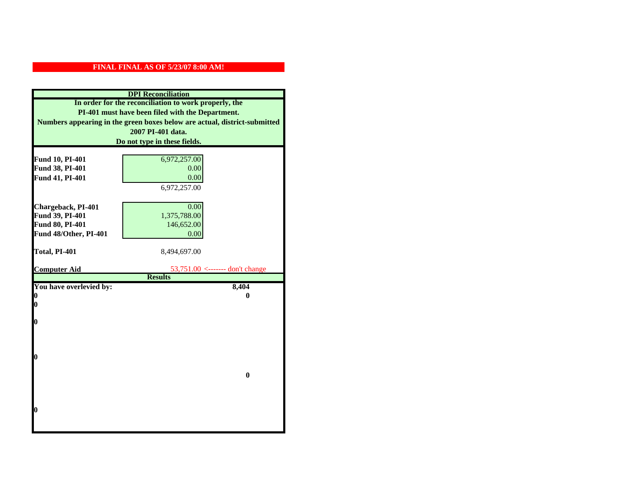|                         | <b>DPI</b> Reconciliation                                                 |
|-------------------------|---------------------------------------------------------------------------|
|                         | In order for the reconciliation to work properly, the                     |
|                         | PI-401 must have been filed with the Department.                          |
|                         | Numbers appearing in the green boxes below are actual, district-submitted |
|                         | 2007 PI-401 data.                                                         |
|                         | Do not type in these fields.                                              |
|                         |                                                                           |
| Fund 10, PI-401         | 6,972,257.00                                                              |
| Fund 38, PI-401         | 0.00                                                                      |
| Fund 41, PI-401         | 0.00                                                                      |
|                         | 6,972,257.00                                                              |
|                         |                                                                           |
| Chargeback, PI-401      | 0.00                                                                      |
| Fund 39, PI-401         | 1,375,788.00                                                              |
| Fund 80, PI-401         | 146,652.00                                                                |
| Fund 48/Other, PI-401   | 0.00                                                                      |
|                         |                                                                           |
| Total, PI-401           | 8,494,697.00                                                              |
|                         |                                                                           |
| <b>Computer Aid</b>     | 53,751.00 <------- don't change                                           |
|                         | <b>Results</b>                                                            |
| You have overlevied by: | 8,404                                                                     |
| 0<br>0                  | 0                                                                         |
|                         |                                                                           |
| $\boldsymbol{0}$        |                                                                           |
|                         |                                                                           |
|                         |                                                                           |
|                         |                                                                           |
| 0                       |                                                                           |
|                         |                                                                           |
|                         | $\bf{0}$                                                                  |
|                         |                                                                           |
|                         |                                                                           |
|                         |                                                                           |
| 0                       |                                                                           |
|                         |                                                                           |
|                         |                                                                           |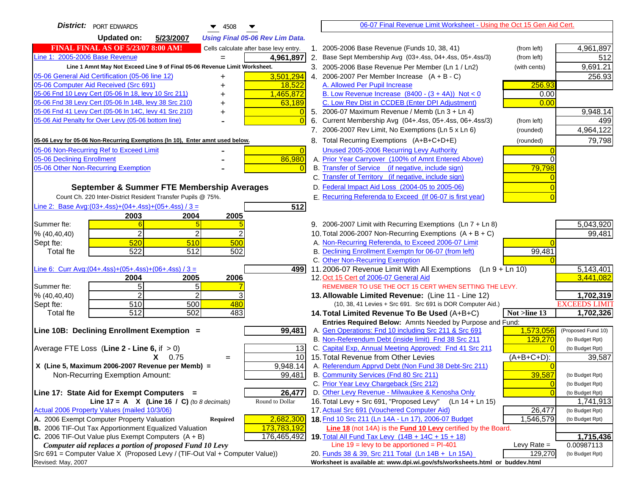| <b>District:</b> PORT EDWARDS<br>4508                                                                                            |                | 06-07 Final Revenue Limit Worksheet - Using the Oct 15 Gen Aid Cert.                                                     |                |                         |
|----------------------------------------------------------------------------------------------------------------------------------|----------------|--------------------------------------------------------------------------------------------------------------------------|----------------|-------------------------|
| <b>Updated on:</b><br>5/23/2007<br><b>Using Final 05-06 Rev Lim Data.</b>                                                        |                |                                                                                                                          |                |                         |
| <b>FINAL FINAL AS OF 5/23/07 8:00 AM!</b><br>Cells calculate after base levy entry.                                              |                | 1. 2005-2006 Base Revenue (Funds 10, 38, 41)                                                                             | (from left)    | 4,961,897               |
| Line 1: 2005-2006 Base Revenue<br>4,961,897<br>$=$                                                                               |                | 2. Base Sept Membership Avg (03+.4ss, 04+.4ss, 05+.4ss/3)                                                                | (from left)    | 512                     |
| Line 1 Amnt May Not Exceed Line 9 of Final 05-06 Revenue Limit Worksheet.                                                        |                | 3. 2005-2006 Base Revenue Per Member (Ln 1 / Ln2)                                                                        | (with cents)   | 9,691.21                |
| 3,501,294<br>05-06 General Aid Certification (05-06 line 12)<br>+                                                                |                | 4. 2006-2007 Per Member Increase $(A + B - C)$                                                                           |                | 256.93                  |
| 05-06 Computer Aid Received (Src 691)<br>18,522                                                                                  |                | A. Allowed Per Pupil Increase                                                                                            | 256.93         |                         |
| 05-06 Fnd 10 Levy Cert (05-06 In 18, levy 10 Src 211)<br>1,465,872                                                               |                | B. Low Revenue Increase $(8400 - (3 + 4A))$ Not < 0                                                                      | 0.00           |                         |
| 05-06 Fnd 38 Levy Cert (05-06 In 14B, levy 38 Src 210)<br>63,189                                                                 |                | C. Low Rev Dist in CCDEB (Enter DPI Adjustment)                                                                          | 0.00           |                         |
| 05-06 Fnd 41 Levy Cert (05-06 In 14C, levy 41 Src 210)<br>+                                                                      |                | 5. 2006-07 Maximum Revenue / Memb (Ln 3 + Ln 4)                                                                          |                | 9,948.14                |
| 05-06 Aid Penalty for Over Levy (05-06 bottom line)                                                                              |                | 6. Current Membership Avg (04+.4ss, 05+.4ss, 06+.4ss/3)                                                                  | (from left)    | 499                     |
|                                                                                                                                  |                | 7. 2006-2007 Rev Limit, No Exemptions (Ln 5 x Ln 6)                                                                      | (rounded)      | 4,964,122               |
| 05-06 Levy for 05-06 Non-Recurring Exemptions (In 10), Enter amnt used below.                                                    |                | 8. Total Recurring Exemptions (A+B+C+D+E)                                                                                | (rounded)      | 79,798                  |
| 05-06 Non-Recurring Ref to Exceed Limit                                                                                          | $\overline{0}$ | Unused 2005-2006 Recurring Levy Authority                                                                                |                |                         |
| 86,980<br>05-06 Declining Enrollment                                                                                             |                | A. Prior Year Carryover (100% of Amnt Entered Above)                                                                     |                |                         |
| 05-06 Other Non-Recurring Exemption                                                                                              |                | B. Transfer of Service (if negative, include sign)                                                                       | 79,798         |                         |
|                                                                                                                                  |                | C. Transfer of Territory (if negative, include sign)                                                                     |                |                         |
| September & Summer FTE Membership Averages                                                                                       |                | D. Federal Impact Aid Loss (2004-05 to 2005-06)                                                                          |                |                         |
| Count Ch. 220 Inter-District Resident Transfer Pupils @ 75%.                                                                     |                | E. Recurring Referenda to Exceed (If 06-07 is first year)                                                                |                |                         |
| Line 2: Base Avg: $(03+.4ss)+(04+.4ss)+(05+.4ss)/3 =$<br>512                                                                     |                |                                                                                                                          |                |                         |
| 2003<br>2004<br>2005<br>Summer fte:                                                                                              |                |                                                                                                                          |                |                         |
| $\overline{2}$<br>2<br>% (40, 40, 40)                                                                                            |                | 9. 2006-2007 Limit with Recurring Exemptions (Ln 7 + Ln 8)<br>10. Total 2006-2007 Non-Recurring Exemptions $(A + B + C)$ |                | 5,043,920<br>99,481     |
| 520<br>510<br>500<br>Sept fte:                                                                                                   |                | A. Non-Recurring Referenda, to Exceed 2006-07 Limit                                                                      |                |                         |
| 522<br>502<br><b>Total fte</b><br>512                                                                                            |                | B. Declining Enrollment Exemptn for 06-07 (from left)                                                                    | 99,481         |                         |
|                                                                                                                                  |                | C. Other Non-Recurring Exemption                                                                                         |                |                         |
| Line 6: Curr Avg: $(04+.4ss)+(05+.4ss)+(06+.4ss)/3 =$                                                                            | 4991           | 11.2006-07 Revenue Limit With All Exemptions (Ln 9 + Ln 10)                                                              |                | 5,143,401               |
| 2006<br>2004<br>2005                                                                                                             |                | 12. Oct 15 Cert of 2006-07 General Aid                                                                                   |                | 3,441,082               |
| 5<br>5<br>Summer fte:                                                                                                            |                | REMEMBER TO USE THE OCT 15 CERT WHEN SETTING THE LEVY.                                                                   |                |                         |
| $\overline{a}$<br>2<br>% (40, 40, 40)                                                                                            |                | 13. Allowable Limited Revenue: (Line 11 - Line 12)                                                                       |                | 1,702,319               |
| 510<br>500<br>480<br>Sept fte:                                                                                                   |                | (10, 38, 41 Levies + Src 691. Src 691 is DOR Computer Aid.)                                                              |                | <b>EXCEEDS LIMIT</b>    |
| 512<br>502<br>483<br><b>Total fte</b>                                                                                            |                | 14. Total Limited Revenue To Be Used (A+B+C)                                                                             | Not >line 13   | 1,702,326               |
| 99,481<br>Line 10B: Declining Enrollment Exemption =                                                                             |                | Entries Required Below: Amnts Needed by Purpose and Fund:<br>A. Gen Operations: Fnd 10 including Src 211 & Src 691       | 1,573,056      | (Proposed Fund 10)      |
|                                                                                                                                  |                | B. Non-Referendum Debt (inside limit) Fnd 38 Src 211                                                                     | 129,270        | (to Budget Rpt)         |
| Average FTE Loss (Line $2 -$ Line 6, if $> 0$ )                                                                                  | 13             | C. Capital Exp, Annual Meeting Approved: Fnd 41 Src 211                                                                  |                | (to Budget Rpt)         |
| $X = 0.75$<br>$=$                                                                                                                | 10             | 15. Total Revenue from Other Levies                                                                                      | (A+B+C+D):     | 39,587                  |
| X (Line 5, Maximum 2006-2007 Revenue per Memb) =<br>9,948.14                                                                     |                | A. Referendum Apprvd Debt (Non Fund 38 Debt-Src 211)                                                                     |                |                         |
| 99,481<br>Non-Recurring Exemption Amount:                                                                                        |                | B. Community Services (Fnd 80 Src 211)                                                                                   | 39,587         | (to Budget Rpt)         |
|                                                                                                                                  |                | C. Prior Year Levy Chargeback (Src 212)                                                                                  | $\overline{0}$ | (to Budget Rpt)         |
| Line 17: State Aid for Exempt Computers =<br>26,477                                                                              |                | D. Other Levy Revenue - Milwaukee & Kenosha Only                                                                         |                | (to Budget Rpt)         |
| Round to Dollar<br>Line 17 = A $X$ (Line 16 / C) (to 8 decimals)                                                                 |                | 16. Total Levy + Src 691, "Proposed Levy"<br>$(Ln 14 + Ln 15)$                                                           |                | 1,741,913               |
| Actual 2006 Property Values (mailed 10/3/06)                                                                                     |                | 17. Actual Src 691 (Vouchered Computer Aid)                                                                              | 26,477         | (to Budget Rpt)         |
| A. 2006 Exempt Computer Property Valuation<br>2,682,300<br>Required                                                              |                | 18. Fnd 10 Src 211 (Ln 14A - Ln 17), 2006-07 Budget                                                                      | 1,546,579      | (to Budget Rpt)         |
| B. 2006 TIF-Out Tax Apportionment Equalized Valuation<br>173,783,192                                                             |                | <b>Line 18</b> (not 14A) is the <b>Fund 10 Levy</b> certified by the Board.                                              |                |                         |
| C. 2006 TIF-Out Value plus Exempt Computers $(A + B)$<br>176,465,492<br>Computer aid replaces a portion of proposed Fund 10 Levy |                | 19. Total All Fund Tax Levy $(14B + 14C + 15 + 18)$<br>Line $19 = \text{levy}$ to be apportioned = PI-401                | Levy Rate $=$  | 1,715,436<br>0.00987113 |
| Src 691 = Computer Value X (Proposed Levy / (TIF-Out Val + Computer Value))                                                      |                | 20. Funds 38 & 39, Src 211 Total (Ln 14B + Ln 15A)                                                                       | 129,270        | (to Budget Rpt)         |
| Revised: May, 2007                                                                                                               |                | Worksheet is available at: www.dpi.wi.gov/sfs/worksheets.html or buddev.html                                             |                |                         |
|                                                                                                                                  |                |                                                                                                                          |                |                         |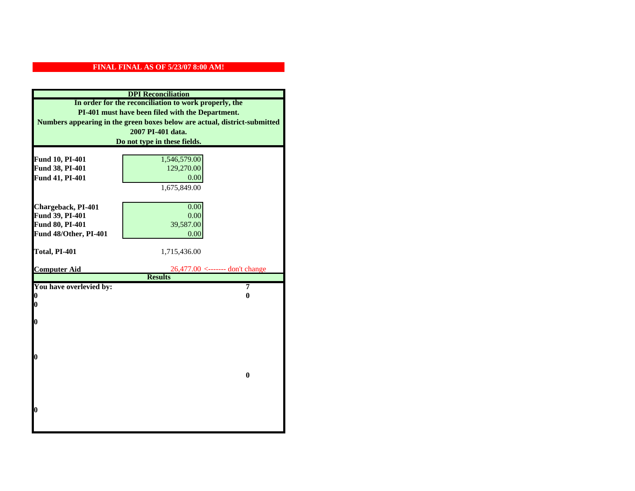|                                       | <b>DPI</b> Reconciliation                                                 |
|---------------------------------------|---------------------------------------------------------------------------|
|                                       | In order for the reconciliation to work properly, the                     |
|                                       | PI-401 must have been filed with the Department.                          |
|                                       | Numbers appearing in the green boxes below are actual, district-submitted |
|                                       | 2007 PI-401 data.                                                         |
|                                       | Do not type in these fields.                                              |
|                                       |                                                                           |
| Fund 10, PI-401                       | 1,546,579.00                                                              |
| Fund 38, PI-401                       | 129,270.00                                                                |
| Fund 41, PI-401                       | 0.00                                                                      |
|                                       | 1,675,849.00                                                              |
|                                       |                                                                           |
| Chargeback, PI-401<br>Fund 39, PI-401 | 0.00<br>0.00                                                              |
| Fund 80, PI-401                       | 39,587.00                                                                 |
| Fund 48/Other, PI-401                 | 0.00                                                                      |
|                                       |                                                                           |
| Total, PI-401                         | 1,715,436.00                                                              |
|                                       |                                                                           |
| <b>Computer Aid</b>                   | 26,477.00 <------- don't change                                           |
|                                       | <b>Results</b>                                                            |
| You have overlevied by:               | 7<br>0                                                                    |
| N<br>0                                |                                                                           |
|                                       |                                                                           |
| O                                     |                                                                           |
|                                       |                                                                           |
|                                       |                                                                           |
|                                       |                                                                           |
| $\boldsymbol{0}$                      |                                                                           |
|                                       |                                                                           |
|                                       | $\mathbf{0}$                                                              |
|                                       |                                                                           |
|                                       |                                                                           |
|                                       |                                                                           |
|                                       |                                                                           |
| 0                                     |                                                                           |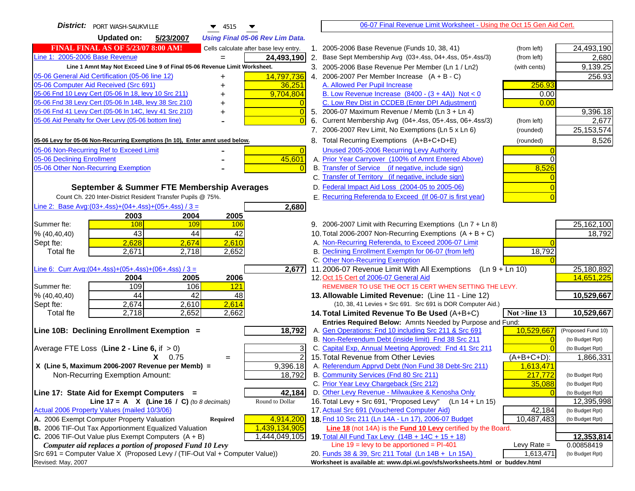| District:   PORT WASH-SAUKVILLE<br>$\blacktriangledown$ 4515                                                     | 06-07 Final Revenue Limit Worksheet - Using the Oct 15 Gen Aid Cert.                                     |                                    |
|------------------------------------------------------------------------------------------------------------------|----------------------------------------------------------------------------------------------------------|------------------------------------|
| <b>Updated on:</b><br>5/23/2007<br><b>Using Final 05-06 Rev Lim Data.</b>                                        |                                                                                                          |                                    |
| <b>FINAL FINAL AS OF 5/23/07 8:00 AM!</b><br>Cells calculate after base levy entry.                              | 1. 2005-2006 Base Revenue (Funds 10, 38, 41)<br>(from left)                                              | 24,493,190                         |
| Line 1: 2005-2006 Base Revenue<br>24,493,190                                                                     | 2. Base Sept Membership Avg (03+.4ss, 04+.4ss, 05+.4ss/3)<br>(from left)                                 | 2,680                              |
| Line 1 Amnt May Not Exceed Line 9 of Final 05-06 Revenue Limit Worksheet.                                        | 3. 2005-2006 Base Revenue Per Member (Ln 1 / Ln2)<br>(with cents)                                        | 9,139.25                           |
| 14,797,736<br>05-06 General Aid Certification (05-06 line 12)                                                    | 4. 2006-2007 Per Member Increase $(A + B - C)$                                                           | 256.93                             |
| 05-06 Computer Aid Received (Src 691)<br>36,251                                                                  | 256.93<br>A. Allowed Per Pupil Increase                                                                  |                                    |
| 05-06 Fnd 10 Levy Cert (05-06 In 18, levy 10 Src 211)<br>9,704,804                                               | B. Low Revenue Increase $(8400 - (3 + 4A))$ Not < 0<br>0.00                                              |                                    |
| 05-06 Fnd 38 Levy Cert (05-06 In 14B, levy 38 Src 210)                                                           | C. Low Rev Dist in CCDEB (Enter DPI Adjustment)<br>0.00                                                  |                                    |
| 05-06 Fnd 41 Levy Cert (05-06 In 14C, levy 41 Src 210)<br>$\overline{0}$<br>+                                    | 5. 2006-07 Maximum Revenue / Memb (Ln $3 + \text{Ln } 4$ )                                               | 9,396.18                           |
| 05-06 Aid Penalty for Over Levy (05-06 bottom line)                                                              | Current Membership Avg (04+.4ss, 05+.4ss, 06+.4ss/3)<br>6.<br>(from left)                                | 2,677                              |
|                                                                                                                  | 7. 2006-2007 Rev Limit, No Exemptions (Ln 5 x Ln 6)<br>(rounded)                                         | 25, 153, 574                       |
| 05-06 Levy for 05-06 Non-Recurring Exemptions (In 10), Enter amnt used below.                                    | 8. Total Recurring Exemptions (A+B+C+D+E)<br>(rounded)                                                   | 8,526                              |
| 05-06 Non-Recurring Ref to Exceed Limit<br>$\overline{0}$                                                        | Unused 2005-2006 Recurring Levy Authority                                                                |                                    |
| 45,601<br>05-06 Declining Enrollment                                                                             | A. Prior Year Carryover (100% of Amnt Entered Above)                                                     |                                    |
| 05-06 Other Non-Recurring Exemption<br>$\Omega$                                                                  | B. Transfer of Service (if negative, include sign)<br>8,526                                              |                                    |
|                                                                                                                  | C. Transfer of Territory (if negative, include sign)                                                     |                                    |
| September & Summer FTE Membership Averages                                                                       | D. Federal Impact Aid Loss (2004-05 to 2005-06)                                                          |                                    |
| Count Ch. 220 Inter-District Resident Transfer Pupils @ 75%.                                                     | E. Recurring Referenda to Exceed (If 06-07 is first year)                                                |                                    |
| Line 2: Base Avg: (03+.4ss) + (04+.4ss) + (05+.4ss) / 3 =<br>2,680                                               |                                                                                                          |                                    |
| 2003<br>2004<br>2005                                                                                             |                                                                                                          |                                    |
| Summer fte:<br>108<br><b>109</b><br><b>106</b>                                                                   | 9. 2006-2007 Limit with Recurring Exemptions (Ln 7 + Ln 8)                                               | 25, 162, 100                       |
| 43<br>42<br>44<br>% (40, 40, 40)                                                                                 | 10. Total 2006-2007 Non-Recurring Exemptions $(A + B + C)$                                               | 18,792                             |
| 2,610<br>2,628<br>2,674<br>Sept fte:                                                                             | A. Non-Recurring Referenda, to Exceed 2006-07 Limit                                                      |                                    |
| <b>Total fte</b><br>2,671<br>2,718<br>2,652                                                                      | B. Declining Enrollment Exemptn for 06-07 (from left)<br>18,792                                          |                                    |
|                                                                                                                  | C. Other Non-Recurring Exemption                                                                         |                                    |
| Line 6: Curr Avg: $(04+.4ss)+(05+.4ss)+(06+.4ss)/3 =$<br>2,677                                                   | 11.2006-07 Revenue Limit With All Exemptions $(Ln 9 + Ln 10)$                                            | 25,180,892<br>14,651,225           |
| 2005<br>2006<br>2004<br>109<br>Summer fte:<br>106<br>121                                                         | 12. Oct 15 Cert of 2006-07 General Aid<br>REMEMBER TO USE THE OCT 15 CERT WHEN SETTING THE LEVY.         |                                    |
| 44<br>48<br>% (40, 40, 40)<br>42                                                                                 | 13. Allowable Limited Revenue: (Line 11 - Line 12)                                                       | 10,529,667                         |
| 2,674<br>2,610<br>2,614<br>Sept fte:                                                                             | (10, 38, 41 Levies + Src 691. Src 691 is DOR Computer Aid.)                                              |                                    |
| 2,718<br>2,652<br>2,662<br><b>Total fte</b>                                                                      | 14. Total Limited Revenue To Be Used (A+B+C)<br>Not >line 13                                             | 10,529,667                         |
|                                                                                                                  | Entries Required Below: Amnts Needed by Purpose and Fund:                                                |                                    |
| 18,792<br>Line 10B: Declining Enrollment Exemption =                                                             | 10,529,667<br>A. Gen Operations: Fnd 10 including Src 211 & Src 691                                      | (Proposed Fund 10)                 |
|                                                                                                                  | B. Non-Referendum Debt (inside limit) Fnd 38 Src 211                                                     | (to Budget Rpt)                    |
| Average FTE Loss (Line $2 -$ Line 6, if $> 0$ )<br>3                                                             | C. Capital Exp, Annual Meeting Approved: Fnd 41 Src 211                                                  | (to Budget Rpt)                    |
| $\overline{2}$<br>$X = 0.75$<br>$=$                                                                              | 15. Total Revenue from Other Levies<br>$(A+B+C+D)$ :                                                     | 1,866,331                          |
| X (Line 5, Maximum 2006-2007 Revenue per Memb) =<br>9,396.18                                                     | A. Referendum Apprvd Debt (Non Fund 38 Debt-Src 211)<br>1,613,471                                        |                                    |
| 18,792<br>Non-Recurring Exemption Amount:                                                                        | B. Community Services (Fnd 80 Src 211)<br>217,772                                                        | (to Budget Rpt)                    |
|                                                                                                                  | C. Prior Year Levy Chargeback (Src 212)<br>35,088                                                        | (to Budget Rpt)                    |
| 42,184<br>Line 17: State Aid for Exempt Computers =                                                              | D. Other Levy Revenue - Milwaukee & Kenosha Only                                                         | (to Budget Rpt)                    |
| Line 17 = A $X$ (Line 16 / C) (to 8 decimals)<br>Round to Dollar<br>Actual 2006 Property Values (mailed 10/3/06) | 16. Total Levy + Src 691, "Proposed Levy" (Ln 14 + Ln 15)<br>17. Actual Src 691 (Vouchered Computer Aid) | 12,395,998                         |
| 4,914,200<br>A. 2006 Exempt Computer Property Valuation                                                          | 42,184<br>18. Fnd 10 Src 211 (Ln 14A - Ln 17), 2006-07 Budget                                            | (to Budget Rpt)<br>(to Budget Rpt) |
| Required<br>B. 2006 TIF-Out Tax Apportionment Equalized Valuation<br>1,439,134,905                               | 10,487,483<br>Line 18 (not 14A) is the Fund 10 Levy certified by the Board.                              |                                    |
| C. 2006 TIF-Out Value plus Exempt Computers $(A + B)$<br>1,444,049,105                                           | 19. Total All Fund Tax Levy (14B + 14C + 15 + 18)                                                        | 12,353,814                         |
| Computer aid replaces a portion of proposed Fund 10 Levy                                                         | Line $19 = \text{levy}$ to be apportioned = PI-401<br>Levy Rate $=$                                      | 0.00858419                         |
| Src 691 = Computer Value X (Proposed Levy / (TIF-Out Val + Computer Value))                                      | 20. Funds 38 & 39, Src 211 Total (Ln 14B + Ln 15A)<br>1,613,471                                          | (to Budget Rpt)                    |
| Revised: May, 2007                                                                                               | Worksheet is available at: www.dpi.wi.gov/sfs/worksheets.html or buddev.html                             |                                    |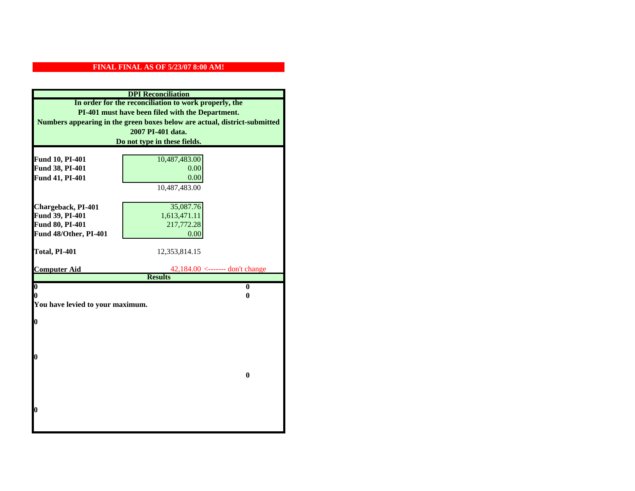| <b>DPI</b> Reconciliation                       |                                                                           |  |  |  |
|-------------------------------------------------|---------------------------------------------------------------------------|--|--|--|
|                                                 | In order for the reconciliation to work properly, the                     |  |  |  |
|                                                 | PI-401 must have been filed with the Department.                          |  |  |  |
|                                                 | Numbers appearing in the green boxes below are actual, district-submitted |  |  |  |
|                                                 | 2007 PI-401 data.                                                         |  |  |  |
|                                                 | Do not type in these fields.                                              |  |  |  |
|                                                 |                                                                           |  |  |  |
| Fund 10, PI-401                                 | 10,487,483.00                                                             |  |  |  |
| Fund 38, PI-401                                 | 0.00                                                                      |  |  |  |
| Fund 41, PI-401                                 | 0.00                                                                      |  |  |  |
|                                                 | 10,487,483.00                                                             |  |  |  |
|                                                 |                                                                           |  |  |  |
| Chargeback, PI-401                              | 35,087.76                                                                 |  |  |  |
| Fund 39, PI-401                                 | 1,613,471.11                                                              |  |  |  |
| <b>Fund 80, PI-401</b><br>Fund 48/Other, PI-401 | 217,772.28                                                                |  |  |  |
|                                                 | 0.00                                                                      |  |  |  |
| Total, PI-401                                   | 12,353,814.15                                                             |  |  |  |
|                                                 |                                                                           |  |  |  |
|                                                 |                                                                           |  |  |  |
| <b>Computer Aid</b>                             | $42,184.00$ <------- don't change                                         |  |  |  |
|                                                 | <b>Results</b>                                                            |  |  |  |
| $\boldsymbol{0}$                                | $\bf{0}$                                                                  |  |  |  |
| 0                                               | 0                                                                         |  |  |  |
| You have levied to your maximum.                |                                                                           |  |  |  |
|                                                 |                                                                           |  |  |  |
| $\bf{0}$                                        |                                                                           |  |  |  |
|                                                 |                                                                           |  |  |  |
|                                                 |                                                                           |  |  |  |
| 0                                               |                                                                           |  |  |  |
|                                                 |                                                                           |  |  |  |
|                                                 | $\bf{0}$                                                                  |  |  |  |
|                                                 |                                                                           |  |  |  |
|                                                 |                                                                           |  |  |  |
|                                                 |                                                                           |  |  |  |
| 0                                               |                                                                           |  |  |  |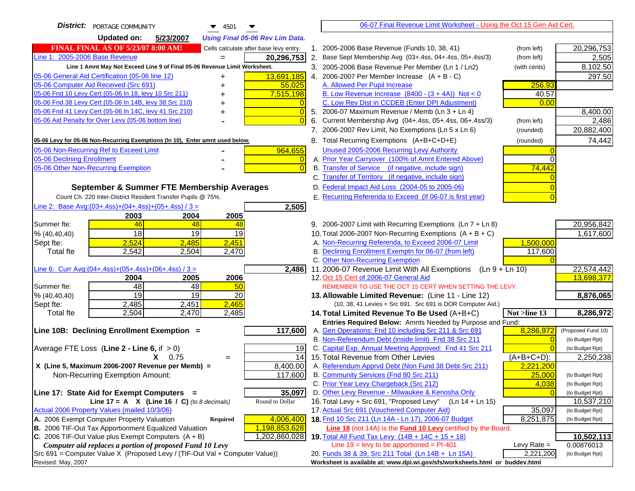| <b>District:</b> PORTAGE COMMUNITY<br>$\blacktriangledown$ 4501                                                                                         | 06-07 Final Revenue Limit Worksheet - Using the Oct 15 Gen Aid Cert.                                               |                          |
|---------------------------------------------------------------------------------------------------------------------------------------------------------|--------------------------------------------------------------------------------------------------------------------|--------------------------|
| <b>Updated on:</b><br>5/23/2007<br><b>Using Final 05-06 Rev Lim Data.</b>                                                                               |                                                                                                                    |                          |
| <b>FINAL FINAL AS OF 5/23/07 8:00 AM!</b><br>Cells calculate after base levy entry.                                                                     | 2005-2006 Base Revenue (Funds 10, 38, 41)<br>(from left)<br>$1_{-}$                                                | 20,296,753               |
| Line 1: 2005-2006 Base Revenue<br>20,296,753                                                                                                            | 2. Base Sept Membership Avg (03+.4ss, 04+.4ss, 05+.4ss/3)<br>(from left)                                           | 2,505                    |
| Line 1 Amnt May Not Exceed Line 9 of Final 05-06 Revenue Limit Worksheet.                                                                               | 3. 2005-2006 Base Revenue Per Member (Ln 1 / Ln2)<br>(with cents)                                                  | 8,102.50                 |
| 13,691,185<br>05-06 General Aid Certification (05-06 line 12)                                                                                           | 4. 2006-2007 Per Member Increase $(A + B - C)$                                                                     | 297.50                   |
| 05-06 Computer Aid Received (Src 691)<br>55,025                                                                                                         | 256.93<br>A. Allowed Per Pupil Increase                                                                            |                          |
| 05-06 Fnd 10 Levy Cert (05-06 In 18, levy 10 Src 211)<br>7,515,198                                                                                      | B. Low Revenue Increase $(8400 - (3 + 4A))$ Not < 0<br>40.57                                                       |                          |
| 05-06 Fnd 38 Levy Cert (05-06 In 14B, levy 38 Src 210)                                                                                                  | C. Low Rev Dist in CCDEB (Enter DPI Adjustment)<br>0.00                                                            |                          |
| 05-06 Fnd 41 Levy Cert (05-06 In 14C, levy 41 Src 210)<br>$\overline{0}$<br>+                                                                           | 5. 2006-07 Maximum Revenue / Memb (Ln $3 + \text{Ln } 4$ )                                                         | 8,400.00                 |
| 05-06 Aid Penalty for Over Levy (05-06 bottom line)                                                                                                     | Current Membership Avg (04+.4ss, 05+.4ss, 06+.4ss/3)<br>6.<br>(from left)                                          | 2,486                    |
|                                                                                                                                                         | 7. 2006-2007 Rev Limit, No Exemptions (Ln 5 x Ln 6)<br>(rounded)                                                   | 20,882,400               |
| 05-06 Levy for 05-06 Non-Recurring Exemptions (In 10), Enter amnt used below.                                                                           | 8. Total Recurring Exemptions (A+B+C+D+E)<br>(rounded)                                                             | 74,442                   |
| 05-06 Non-Recurring Ref to Exceed Limit<br>964,655                                                                                                      | Unused 2005-2006 Recurring Levy Authority                                                                          |                          |
| 05-06 Declining Enrollment<br>$\overline{0}$                                                                                                            | A. Prior Year Carryover (100% of Amnt Entered Above)                                                               |                          |
| 05-06 Other Non-Recurring Exemption<br>$\overline{0}$                                                                                                   | B. Transfer of Service (if negative, include sign)<br>74,442                                                       |                          |
|                                                                                                                                                         | C. Transfer of Territory (if negative, include sign)                                                               |                          |
| September & Summer FTE Membership Averages                                                                                                              | D. Federal Impact Aid Loss (2004-05 to 2005-06)                                                                    |                          |
| Count Ch. 220 Inter-District Resident Transfer Pupils @ 75%.                                                                                            | E. Recurring Referenda to Exceed (If 06-07 is first year)                                                          |                          |
| Line 2: Base Avg: (03+.4ss) + (04+.4ss) + (05+.4ss) / 3 =<br>2,505                                                                                      |                                                                                                                    |                          |
| 2003<br>2004<br>2005                                                                                                                                    |                                                                                                                    |                          |
| Summer fte:<br>46<br>48<br>48                                                                                                                           | 9. 2006-2007 Limit with Recurring Exemptions (Ln 7 + Ln 8)                                                         | 20,956,842               |
| 18<br>19<br>19<br>% (40, 40, 40)                                                                                                                        | 10. Total 2006-2007 Non-Recurring Exemptions $(A + B + C)$                                                         | 1,617,600                |
| 2,524<br>2,451<br>2,485<br>Sept fte:                                                                                                                    | A. Non-Recurring Referenda, to Exceed 2006-07 Limit<br>1,500,000                                                   |                          |
| <b>Total fte</b><br>2,542<br>2,504<br>2,470                                                                                                             | B. Declining Enrollment Exemptn for 06-07 (from left)<br>117,600                                                   |                          |
|                                                                                                                                                         | C. Other Non-Recurring Exemption                                                                                   |                          |
| Line 6: Curr Avg: $(04+.4ss)+(05+.4ss)+(06+.4ss)/3 =$<br>2,486                                                                                          | 11.2006-07 Revenue Limit With All Exemptions $(Ln 9 + Ln 10)$                                                      | 22,574,442               |
| 2006<br>2005<br>2004                                                                                                                                    | 12. Oct 15 Cert of 2006-07 General Aid                                                                             | 13,698,377               |
| 48<br>Summer fte:<br>48<br>50<br>19<br>$\overline{19}$<br>20<br>% (40, 40, 40)                                                                          | REMEMBER TO USE THE OCT 15 CERT WHEN SETTING THE LEVY.<br>13. Allowable Limited Revenue: (Line 11 - Line 12)       | 8,876,065                |
| 2,465<br>2,485<br>2,451<br>Sept fte:                                                                                                                    | (10, 38, 41 Levies + Src 691. Src 691 is DOR Computer Aid.)                                                        |                          |
| 2,504<br>2,470<br>2,485<br><b>Total fte</b>                                                                                                             | 14. Total Limited Revenue To Be Used (A+B+C)<br>Not >line 13                                                       | 8,286,972                |
|                                                                                                                                                         | Entries Required Below: Amnts Needed by Purpose and Fund:                                                          |                          |
| 117,600<br>Line 10B: Declining Enrollment Exemption =                                                                                                   | 8,286,972<br>A. Gen Operations: Fnd 10 including Src 211 & Src 691                                                 | (Proposed Fund 10)       |
|                                                                                                                                                         | B. Non-Referendum Debt (inside limit) Fnd 38 Src 211                                                               | (to Budget Rpt)          |
| Average FTE Loss (Line $2 -$ Line 6, if $> 0$ )<br>19                                                                                                   | C. Capital Exp, Annual Meeting Approved: Fnd 41 Src 211                                                            | (to Budget Rpt)          |
| 14<br>$X = 0.75$<br>$=$                                                                                                                                 | 15. Total Revenue from Other Levies<br>$(A+B+C+D)$ :                                                               | 2,250,238                |
| X (Line 5, Maximum 2006-2007 Revenue per Memb) =<br>8,400.00                                                                                            | A. Referendum Apprvd Debt (Non Fund 38 Debt-Src 211)<br>2,221,200                                                  |                          |
| 117,600<br>Non-Recurring Exemption Amount:                                                                                                              | B. Community Services (Fnd 80 Src 211)<br>25.000                                                                   | (to Budget Rpt)          |
|                                                                                                                                                         | C. Prior Year Levy Chargeback (Src 212)<br>4,038                                                                   | (to Budget Rpt)          |
| 35,097<br>Line 17: State Aid for Exempt Computers =                                                                                                     | D. Other Levy Revenue - Milwaukee & Kenosha Only                                                                   | (to Budget Rpt)          |
| Line 17 = A $X$ (Line 16 / C) (to 8 decimals)<br>Round to Dollar                                                                                        | 16. Total Levy + Src 691, "Proposed Levy" (Ln 14 + Ln 15)                                                          | 10,537,210               |
| Actual 2006 Property Values (mailed 10/3/06)                                                                                                            | 17. Actual Src 691 (Vouchered Computer Aid)<br>35,097                                                              | (to Budget Rpt)          |
| 4,006,400<br>A. 2006 Exempt Computer Property Valuation<br>Required                                                                                     | 18. Fnd 10 Src 211 (Ln 14A - Ln 17), 2006-07 Budget<br>8,251,875                                                   | (to Budget Rpt)          |
| <b>B.</b> 2006 TIF-Out Tax Apportionment Equalized Valuation<br>1,198,853,628<br>C. 2006 TIF-Out Value plus Exempt Computers $(A + B)$<br>1,202,860,028 | Line 18 (not 14A) is the Fund 10 Levy certified by the Board.<br>19. Total All Fund Tax Levy (14B + 14C + 15 + 18) |                          |
| Computer aid replaces a portion of proposed Fund 10 Levy                                                                                                | Line $19 = \text{levy}$ to be apportioned = PI-401<br>Levy Rate $=$                                                | 10,502,113<br>0.00876013 |
| Src 691 = Computer Value X (Proposed Levy / (TIF-Out Val + Computer Value))                                                                             | 20. Funds 38 & 39, Src 211 Total (Ln 14B + Ln 15A)<br>2,221,200                                                    | (to Budget Rpt)          |
| Revised: May, 2007                                                                                                                                      | Worksheet is available at: www.dpi.wi.gov/sfs/worksheets.html or buddev.html                                       |                          |
|                                                                                                                                                         |                                                                                                                    |                          |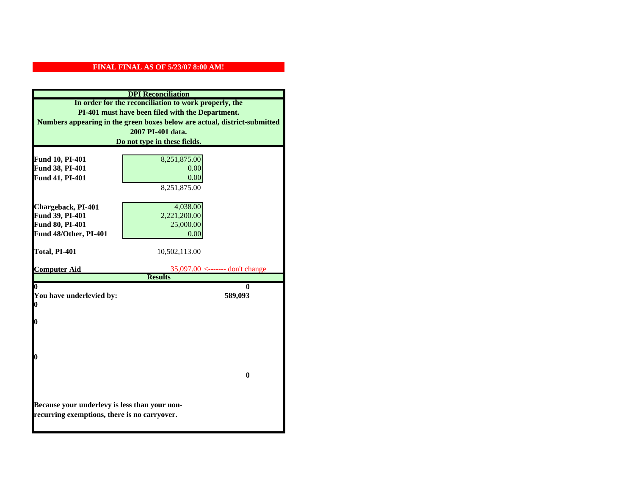|                                               | <b>DPI</b> Reconciliation                                                 |
|-----------------------------------------------|---------------------------------------------------------------------------|
|                                               | In order for the reconciliation to work properly, the                     |
|                                               | PI-401 must have been filed with the Department.                          |
|                                               | Numbers appearing in the green boxes below are actual, district-submitted |
|                                               | 2007 PI-401 data.                                                         |
|                                               | Do not type in these fields.                                              |
|                                               |                                                                           |
| Fund 10, PI-401                               | 8,251,875.00                                                              |
| Fund 38, PI-401                               | 0.00                                                                      |
| Fund 41, PI-401                               | 0.00                                                                      |
|                                               | 8,251,875.00                                                              |
|                                               |                                                                           |
| Chargeback, PI-401                            | 4,038.00                                                                  |
| Fund 39, PI-401                               | 2,221,200.00                                                              |
| Fund 80, PI-401                               | 25,000.00                                                                 |
| Fund 48/Other, PI-401                         | 0.00                                                                      |
|                                               |                                                                           |
| Total, PI-401                                 | 10,502,113.00                                                             |
| <b>Computer Aid</b>                           | $35,097.00 \le$ ------- don't change                                      |
|                                               | <b>Results</b>                                                            |
| 0                                             | 0                                                                         |
| You have underlevied by:                      | 589,093                                                                   |
| 0                                             |                                                                           |
|                                               |                                                                           |
| 0                                             |                                                                           |
|                                               |                                                                           |
|                                               |                                                                           |
| 0                                             |                                                                           |
|                                               |                                                                           |
|                                               | $\mathbf{0}$                                                              |
|                                               |                                                                           |
|                                               |                                                                           |
| Because your underlevy is less than your non- |                                                                           |
| recurring exemptions, there is no carryover.  |                                                                           |
|                                               |                                                                           |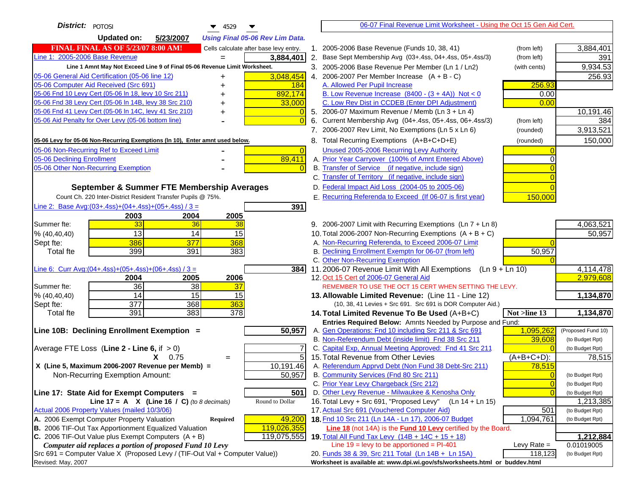| District: POTOSI<br>4529                                                                                         |                         | 06-07 Final Revenue Limit Worksheet - Using the Oct 15 Gen Aid Cert.                                                      |                                   |
|------------------------------------------------------------------------------------------------------------------|-------------------------|---------------------------------------------------------------------------------------------------------------------------|-----------------------------------|
| <b>Updated on:</b><br>5/23/2007<br><b>Using Final 05-06 Rev Lim Data.</b>                                        |                         |                                                                                                                           |                                   |
| <b>FINAL FINAL AS OF 5/23/07 8:00 AM!</b><br>Cells calculate after base levy entry.                              |                         | 1. 2005-2006 Base Revenue (Funds 10, 38, 41)<br>(from left)                                                               | 3,884,401                         |
| Line 1: 2005-2006 Base Revenue<br>3,884,401                                                                      |                         | 2. Base Sept Membership Avg (03+.4ss, 04+.4ss, 05+.4ss/3)                                                                 | 391<br>(from left)                |
| Line 1 Amnt May Not Exceed Line 9 of Final 05-06 Revenue Limit Worksheet.                                        |                         | 3. 2005-2006 Base Revenue Per Member (Ln 1 / Ln2)<br>(with cents)                                                         | 9,934.53                          |
| 05-06 General Aid Certification (05-06 line 12)<br>+                                                             | 3,048,454               | 4. 2006-2007 Per Member Increase $(A + B - C)$                                                                            | 256.93                            |
| 05-06 Computer Aid Received (Src 691)                                                                            | 184                     | A. Allowed Per Pupil Increase                                                                                             | 256.93                            |
| 05-06 Fnd 10 Levy Cert (05-06 In 18, levy 10 Src 211)                                                            | 892,174                 | B. Low Revenue Increase $(8400 - (3 + 4A))$ Not < 0                                                                       | 0.00                              |
| 05-06 Fnd 38 Levy Cert (05-06 In 14B, levy 38 Src 210)                                                           | 33,000                  | C. Low Rev Dist in CCDEB (Enter DPI Adjustment)                                                                           | 0.00                              |
| 05-06 Fnd 41 Levy Cert (05-06 In 14C, levy 41 Src 210)                                                           |                         | 5. 2006-07 Maximum Revenue / Memb (Ln 3 + Ln 4)                                                                           | 10,191.46                         |
| 05-06 Aid Penalty for Over Levy (05-06 bottom line)                                                              | $\Omega$                | Current Membership Avg (04+.4ss, 05+.4ss, 06+.4ss/3)<br>6.                                                                | 384<br>(from left)                |
|                                                                                                                  |                         | 7. 2006-2007 Rev Limit, No Exemptions (Ln 5 x Ln 6)                                                                       | 3,913,521<br>(rounded)            |
| 05-06 Levy for 05-06 Non-Recurring Exemptions (In 10), Enter amnt used below.                                    |                         | 8. Total Recurring Exemptions (A+B+C+D+E)<br>(rounded)                                                                    | 150,000                           |
| 05-06 Non-Recurring Ref to Exceed Limit                                                                          | $\overline{0}$          | Unused 2005-2006 Recurring Levy Authority                                                                                 |                                   |
| 05-06 Declining Enrollment                                                                                       | 89,411                  | A. Prior Year Carryover (100% of Amnt Entered Above)                                                                      | ∩                                 |
| 05-06 Other Non-Recurring Exemption                                                                              |                         | B. Transfer of Service (if negative, include sign)                                                                        |                                   |
|                                                                                                                  |                         | C. Transfer of Territory (if negative, include sign)                                                                      |                                   |
| September & Summer FTE Membership Averages                                                                       |                         | D. Federal Impact Aid Loss (2004-05 to 2005-06)                                                                           |                                   |
| Count Ch. 220 Inter-District Resident Transfer Pupils @ 75%.                                                     |                         | E. Recurring Referenda to Exceed (If 06-07 is first year)                                                                 | 150,000                           |
| Line 2: Base Avg: (03+.4ss) + (04+.4ss) + (05+.4ss) / 3 =                                                        | 391                     |                                                                                                                           |                                   |
| 2003<br>2004<br>2005                                                                                             |                         |                                                                                                                           |                                   |
| 33<br>Summer fte:<br>36<br>38                                                                                    |                         | 9. 2006-2007 Limit with Recurring Exemptions (Ln 7 + Ln 8)                                                                | 4,063,521                         |
| 13<br>14<br>15<br>% (40, 40, 40)                                                                                 |                         | 10. Total 2006-2007 Non-Recurring Exemptions $(A + B + C)$                                                                | 50,957                            |
| 386<br>377<br>368<br>Sept fte:                                                                                   |                         | A. Non-Recurring Referenda, to Exceed 2006-07 Limit                                                                       |                                   |
| 399<br>391<br>383<br><b>Total fte</b>                                                                            |                         | B. Declining Enrollment Exemptn for 06-07 (from left)                                                                     | 50,957                            |
|                                                                                                                  |                         | C. Other Non-Recurring Exemption                                                                                          |                                   |
| Line 6: Curr Avg: $(04+.4ss)+(05+.4ss)+(06+.4ss)/3 =$                                                            | <b>384</b>              | 11.2006-07 Revenue Limit With All Exemptions<br>$(Ln 9 + Ln 10)$                                                          | 4,114,478                         |
| 2004<br>2005<br>2006                                                                                             |                         | 12. Oct 15 Cert of 2006-07 General Aid                                                                                    | 2,979,608                         |
| $\overline{36}$<br>$\overline{38}$<br>37<br>Summer fte:                                                          |                         | REMEMBER TO USE THE OCT 15 CERT WHEN SETTING THE LEVY.                                                                    |                                   |
| 14<br>15<br>15<br>% (40, 40, 40)                                                                                 |                         | 13. Allowable Limited Revenue: (Line 11 - Line 12)                                                                        | 1,134,870                         |
| 377<br>368<br>363<br>Sept fte:                                                                                   |                         | (10, 38, 41 Levies + Src 691. Src 691 is DOR Computer Aid.)                                                               |                                   |
| 391<br>383<br>378<br><b>Total fte</b>                                                                            |                         | Not $>$ line 13<br>14. Total Limited Revenue To Be Used $(A+B+C)$                                                         | 1,134,870                         |
|                                                                                                                  |                         | Entries Required Below: Amnts Needed by Purpose and Fund:                                                                 |                                   |
| Line 10B: Declining Enrollment Exemption =                                                                       | 50,957                  | A. Gen Operations: Fnd 10 including Src 211 & Src 691                                                                     | 1,095,262<br>(Proposed Fund 10)   |
|                                                                                                                  |                         | B. Non-Referendum Debt (inside limit) Fnd 38 Src 211                                                                      | 39,608<br>(to Budget Rpt)         |
| Average FTE Loss (Line $2 -$ Line 6, if $> 0$ )                                                                  | 7                       | C. Capital Exp, Annual Meeting Approved: Fnd 41 Src 211                                                                   | (to Budget Rpt)                   |
| $X = 0.75$<br>$=$                                                                                                | 5                       | 15. Total Revenue from Other Levies                                                                                       | $(A+B+C+D)$ :<br>78,515           |
| X (Line 5, Maximum 2006-2007 Revenue per Memb) =                                                                 | $10, 191.\overline{46}$ | A. Referendum Apprvd Debt (Non Fund 38 Debt-Src 211)                                                                      | 78,515                            |
| Non-Recurring Exemption Amount:                                                                                  | 50,957                  | B. Community Services (Fnd 80 Src 211)                                                                                    | (to Budget Rpt)<br>$\Omega$       |
|                                                                                                                  |                         | C. Prior Year Levy Chargeback (Src 212)                                                                                   | $\overline{0}$<br>(to Budget Rpt) |
| Line 17: State Aid for Exempt Computers =                                                                        | 501                     | D. Other Levy Revenue - Milwaukee & Kenosha Only                                                                          | (to Budget Rpt)                   |
| Round to Dollar<br>Line 17 = A $X$ (Line 16 / C) (to 8 decimals)<br>Actual 2006 Property Values (mailed 10/3/06) |                         | 16. Total Levy + Src 691, "Proposed Levy"<br>(Ln 14 + Ln 15)                                                              | 1,213,385                         |
| A. 2006 Exempt Computer Property Valuation                                                                       |                         | 17. Actual Src 691 (Vouchered Computer Aid)                                                                               | 501<br>(to Budget Rpt)            |
| <b>Required</b><br>B. 2006 TIF-Out Tax Apportionment Equalized Valuation<br>119,026,355                          | 49,200                  | 18. Fnd 10 Src 211 (Ln 14A - Ln 17), 2006-07 Budget                                                                       | 1,094,761<br>(to Budget Rpt)      |
| C. 2006 TIF-Out Value plus Exempt Computers $(A + B)$<br>119,075,555                                             |                         | Line 18 (not 14A) is the <b>Fund 10 Levy</b> certified by the Board.<br>19. Total All Fund Tax Levy (14B + 14C + 15 + 18) | 1,212,884                         |
| Computer aid replaces a portion of proposed Fund 10 Levy                                                         |                         | Line $19 = \text{levy}$ to be apportioned = PI-401                                                                        | Levy Rate $=$<br>0.01019005       |
| Src 691 = Computer Value X (Proposed Levy / (TIF-Out Val + Computer Value))                                      |                         | 20. Funds 38 & 39, Src 211 Total (Ln 14B + Ln 15A)                                                                        | 118,123<br>(to Budget Rpt)        |
| Revised: May, 2007                                                                                               |                         | Worksheet is available at: www.dpi.wi.gov/sfs/worksheets.html or buddev.html                                              |                                   |
|                                                                                                                  |                         |                                                                                                                           |                                   |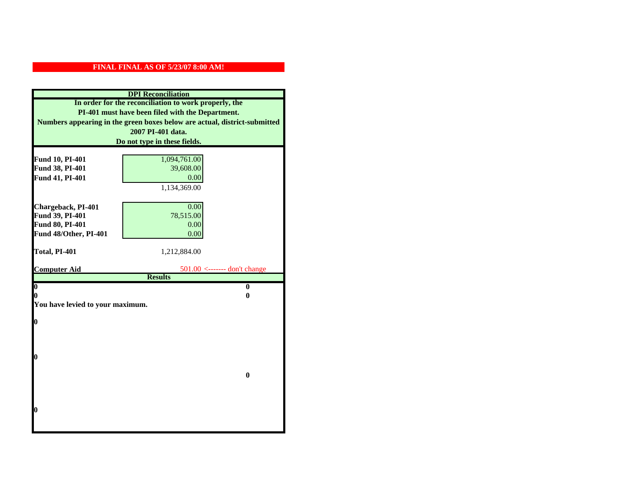|                                    | <b>DPI</b> Reconciliation                                                 |
|------------------------------------|---------------------------------------------------------------------------|
|                                    | In order for the reconciliation to work properly, the                     |
|                                    | PI-401 must have been filed with the Department.                          |
|                                    | Numbers appearing in the green boxes below are actual, district-submitted |
|                                    | 2007 PI-401 data.                                                         |
|                                    | Do not type in these fields.                                              |
|                                    |                                                                           |
| Fund 10, PI-401<br>Fund 38, PI-401 | 1,094,761.00<br>39,608.00                                                 |
| Fund 41, PI-401                    | 0.00                                                                      |
|                                    | 1,134,369.00                                                              |
|                                    |                                                                           |
| Chargeback, PI-401                 | 0.00                                                                      |
| Fund 39, PI-401                    | 78,515.00                                                                 |
| Fund 80, PI-401                    | 0.00                                                                      |
| Fund 48/Other, PI-401              | 0.00                                                                      |
|                                    |                                                                           |
| Total, PI-401                      | 1,212,884.00                                                              |
|                                    |                                                                           |
| <b>Computer Aid</b>                | $501.00$ <------- don't change<br><b>Results</b>                          |
| $\boldsymbol{0}$                   | $\bf{0}$                                                                  |
| 0                                  | 0                                                                         |
| You have levied to your maximum.   |                                                                           |
|                                    |                                                                           |
| $\bf{0}$                           |                                                                           |
|                                    |                                                                           |
|                                    |                                                                           |
| 0                                  |                                                                           |
|                                    |                                                                           |
|                                    | $\bf{0}$                                                                  |
|                                    |                                                                           |
|                                    |                                                                           |
|                                    |                                                                           |
| 0                                  |                                                                           |
|                                    |                                                                           |
|                                    |                                                                           |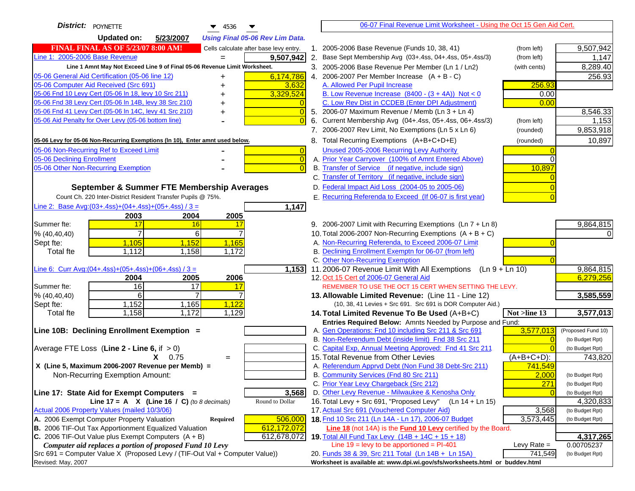| District:   POYNETTE<br>$\blacktriangledown$ 4536                                                                                       | 06-07 Final Revenue Limit Worksheet - Using the Oct 15 Gen Aid Cert.                                                               |                               |
|-----------------------------------------------------------------------------------------------------------------------------------------|------------------------------------------------------------------------------------------------------------------------------------|-------------------------------|
| <b>Updated on:</b><br>5/23/2007<br><b>Using Final 05-06 Rev Lim Data.</b>                                                               |                                                                                                                                    |                               |
| <b>FINAL FINAL AS OF 5/23/07 8:00 AM!</b><br>Cells calculate after base levy entry.                                                     | 1. 2005-2006 Base Revenue (Funds 10, 38, 41)<br>(from left)                                                                        | 9,507,942                     |
| Line 1: 2005-2006 Base Revenue<br>9,507,942                                                                                             | 2. Base Sept Membership Avg (03+.4ss, 04+.4ss, 05+.4ss/3)<br>(from left)                                                           | 1,147                         |
| Line 1 Amnt May Not Exceed Line 9 of Final 05-06 Revenue Limit Worksheet.                                                               | 3. 2005-2006 Base Revenue Per Member (Ln 1 / Ln2)<br>(with cents)                                                                  | 8,289.40                      |
| 6,174,786<br>05-06 General Aid Certification (05-06 line 12)                                                                            | 4. 2006-2007 Per Member Increase $(A + B - C)$                                                                                     | 256.93                        |
| +<br>05-06 Computer Aid Received (Src 691)<br>3,632                                                                                     | A. Allowed Per Pupil Increase<br>256.93                                                                                            |                               |
| 05-06 Fnd 10 Levy Cert (05-06 In 18, levy 10 Src 211)<br>3,329,524                                                                      | B. Low Revenue Increase $(8400 - (3 + 4A))$ Not < 0<br>0.00                                                                        |                               |
| 05-06 Fnd 38 Levy Cert (05-06 In 14B, levy 38 Src 210)                                                                                  | C. Low Rev Dist in CCDEB (Enter DPI Adjustment)<br>0.00                                                                            |                               |
| 05-06 Fnd 41 Levy Cert (05-06 In 14C, levy 41 Src 210)<br>$\overline{0}$<br>+                                                           | 5. 2006-07 Maximum Revenue / Memb (Ln 3 + Ln 4)                                                                                    | 8,546.33                      |
| 05-06 Aid Penalty for Over Levy (05-06 bottom line)                                                                                     | Current Membership Avg (04+.4ss, 05+.4ss, 06+.4ss/3)<br>6.<br>(from left)                                                          | 1,153                         |
|                                                                                                                                         | 7. 2006-2007 Rev Limit, No Exemptions (Ln 5 x Ln 6)<br>(rounded)                                                                   | 9,853,918                     |
| 05-06 Levy for 05-06 Non-Recurring Exemptions (In 10), Enter amnt used below.                                                           | 8. Total Recurring Exemptions (A+B+C+D+E)<br>(rounded)                                                                             | 10,897                        |
| 05-06 Non-Recurring Ref to Exceed Limit<br>$\overline{0}$                                                                               | Unused 2005-2006 Recurring Levy Authority                                                                                          |                               |
| 05-06 Declining Enrollment<br>$\overline{0}$                                                                                            | A. Prior Year Carryover (100% of Amnt Entered Above)<br>$\Omega$                                                                   |                               |
| 05-06 Other Non-Recurring Exemption<br>$\Omega$                                                                                         | B. Transfer of Service (if negative, include sign)<br>10,897                                                                       |                               |
|                                                                                                                                         | C. Transfer of Territory (if negative, include sign)                                                                               |                               |
| September & Summer FTE Membership Averages                                                                                              | D. Federal Impact Aid Loss (2004-05 to 2005-06)                                                                                    |                               |
| Count Ch. 220 Inter-District Resident Transfer Pupils @ 75%.                                                                            | E. Recurring Referenda to Exceed (If 06-07 is first year)                                                                          |                               |
| Line 2: Base Avg: (03+.4ss) + (04+.4ss) + (05+.4ss) / 3 =<br>1,147                                                                      |                                                                                                                                    |                               |
| 2003<br>2004<br>2005                                                                                                                    |                                                                                                                                    |                               |
| Summer fte:<br>17<br>16<br>17                                                                                                           | 9. 2006-2007 Limit with Recurring Exemptions (Ln 7 + Ln 8)                                                                         | 9,864,815                     |
| 7<br>6<br>% (40, 40, 40)                                                                                                                | 10. Total 2006-2007 Non-Recurring Exemptions $(A + B + C)$                                                                         |                               |
| 1,105<br>1,152<br>1,165<br>Sept fte:                                                                                                    | A. Non-Recurring Referenda, to Exceed 2006-07 Limit                                                                                |                               |
| Total fte<br>1,112<br>1,158<br>1,172                                                                                                    | B. Declining Enrollment Exemptn for 06-07 (from left)                                                                              |                               |
|                                                                                                                                         | C. Other Non-Recurring Exemption                                                                                                   |                               |
| Line 6: Curr Avg: $(04+.4ss)+(05+.4ss)+(06+.4ss)/3 =$<br>1,153                                                                          | 11.2006-07 Revenue Limit With All Exemptions (Ln $9 + \overline{\text{Ln }10}$ )                                                   | 9,864,815                     |
| 2006<br>2004<br>2005                                                                                                                    | 12. Oct 15 Cert of 2006-07 General Aid                                                                                             | 6,279,256                     |
| 16<br>Summer fte:<br>17<br>17                                                                                                           | REMEMBER TO USE THE OCT 15 CERT WHEN SETTING THE LEVY.                                                                             |                               |
| 6<br>$\overline{7}$<br>% (40, 40, 40)                                                                                                   | 13. Allowable Limited Revenue: (Line 11 - Line 12)                                                                                 | 3,585,559                     |
| 1,152<br>1,165<br>1,122<br>Sept fte:<br>1,158<br>1,172<br>1,129<br><b>Total fte</b>                                                     | (10, 38, 41 Levies + Src 691. Src 691 is DOR Computer Aid.)                                                                        |                               |
|                                                                                                                                         | 14. Total Limited Revenue To Be Used (A+B+C)<br>Not >line 13<br>Entries Required Below: Amnts Needed by Purpose and Fund:          | 3,577,013                     |
| Line 10B: Declining Enrollment Exemption =                                                                                              | 3,577,013<br>A. Gen Operations: Fnd 10 including Src 211 & Src 691                                                                 | (Proposed Fund 10)            |
|                                                                                                                                         | B. Non-Referendum Debt (inside limit) Fnd 38 Src 211<br>$\Omega$                                                                   | (to Budget Rpt)               |
| Average FTE Loss (Line $2 -$ Line 6, if $> 0$ )                                                                                         | C. Capital Exp, Annual Meeting Approved: Fnd 41 Src 211                                                                            | (to Budget Rpt)               |
| $X = 0.75$<br>$=$                                                                                                                       | 15. Total Revenue from Other Levies<br>$(A+B+C+D)$ :                                                                               | 743,820                       |
| X (Line 5, Maximum 2006-2007 Revenue per Memb) =                                                                                        | A. Referendum Apprvd Debt (Non Fund 38 Debt-Src 211)<br>741,549                                                                    |                               |
| Non-Recurring Exemption Amount:                                                                                                         | B. Community Services (Fnd 80 Src 211)<br>2,000                                                                                    | (to Budget Rpt)               |
|                                                                                                                                         | C. Prior Year Levy Chargeback (Src 212)<br>271                                                                                     | (to Budget Rpt)               |
| 3,568<br>Line 17: State Aid for Exempt Computers =                                                                                      | D. Other Levy Revenue - Milwaukee & Kenosha Only                                                                                   | (to Budget Rpt)               |
| Line 17 = A $X$ (Line 16 / C) (to 8 decimals)<br>Round to Dollar                                                                        | 16. Total Levy + Src 691, "Proposed Levy"<br>(Ln 14 + Ln 15)                                                                       | 4,320,833                     |
| Actual 2006 Property Values (mailed 10/3/06)                                                                                            | 17. Actual Src 691 (Vouchered Computer Aid)<br>3,568                                                                               | (to Budget Rpt)               |
| A. 2006 Exempt Computer Property Valuation<br>506,000<br>Required                                                                       | 18. Fnd 10 Src 211 (Ln 14A - Ln 17), 2006-07 Budget<br>3,573,445                                                                   | (to Budget Rpt)               |
| B. 2006 TIF-Out Tax Apportionment Equalized Valuation<br>612,172,072                                                                    | <b>Line 18</b> (not 14A) is the <b>Fund 10 Levy</b> certified by the Board.                                                        |                               |
| C. 2006 TIF-Out Value plus Exempt Computers $(A + B)$<br>612,678,072                                                                    | 19. Total All Fund Tax Levy (14B + 14C + 15 + 18)                                                                                  | 4,317,265                     |
| Computer aid replaces a portion of proposed Fund 10 Levy<br>Src 691 = Computer Value X (Proposed Levy / (TIF-Out Val + Computer Value)) | Line $19 = \text{levy}$ to be apportioned = PI-401<br>Levy Rate $=$<br>741,549                                                     | 0.00705237<br>(to Budget Rpt) |
| Revised: May, 2007                                                                                                                      | 20. Funds 38 & 39, Src 211 Total (Ln 14B + Ln 15A)<br>Worksheet is available at: www.dpi.wi.gov/sfs/worksheets.html or buddev.html |                               |
|                                                                                                                                         |                                                                                                                                    |                               |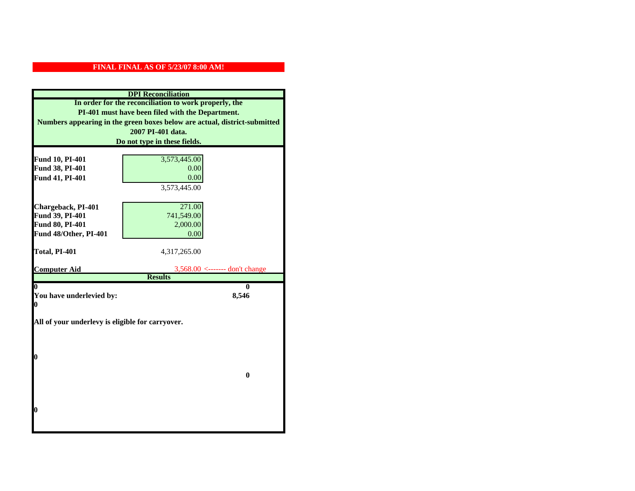|                                                  | <b>DPI</b> Reconciliation                                                 |
|--------------------------------------------------|---------------------------------------------------------------------------|
|                                                  | In order for the reconciliation to work properly, the                     |
|                                                  | PI-401 must have been filed with the Department.                          |
|                                                  | Numbers appearing in the green boxes below are actual, district-submitted |
|                                                  | 2007 PI-401 data.                                                         |
|                                                  | Do not type in these fields.                                              |
|                                                  |                                                                           |
| Fund 10, PI-401                                  | 3,573,445.00                                                              |
| Fund 38, PI-401                                  | 0.00                                                                      |
| Fund 41, PI-401                                  | 0.00                                                                      |
|                                                  | 3,573,445.00                                                              |
|                                                  |                                                                           |
| Chargeback, PI-401                               | 271.00                                                                    |
| Fund 39, PI-401                                  | 741,549.00                                                                |
| Fund 80, PI-401                                  | 2,000.00                                                                  |
| Fund 48/Other, PI-401                            | 0.00                                                                      |
|                                                  |                                                                           |
| Total, PI-401                                    | 4,317,265.00                                                              |
| <b>Computer Aid</b>                              | $3,568.00 \le$ ------- don't change                                       |
|                                                  | <b>Results</b>                                                            |
| 0                                                | 0                                                                         |
| You have underlevied by:                         | 8,546                                                                     |
| 0                                                |                                                                           |
|                                                  |                                                                           |
| All of your underlevy is eligible for carryover. |                                                                           |
|                                                  |                                                                           |
|                                                  |                                                                           |
| 0                                                |                                                                           |
|                                                  |                                                                           |
|                                                  | $\bf{0}$                                                                  |
|                                                  |                                                                           |
|                                                  |                                                                           |
|                                                  |                                                                           |
| 0                                                |                                                                           |
|                                                  |                                                                           |
|                                                  |                                                                           |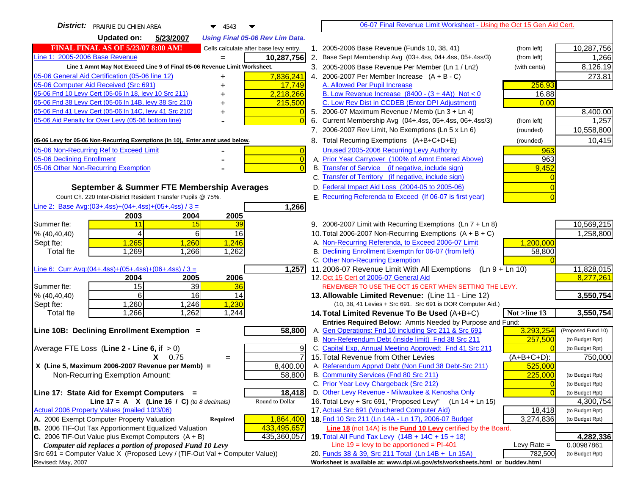| <b>District:</b>   PRAIRIE DU CHIEN AREA<br>▼<br>$\blacktriangledown$ 4543                                                                   |                | 06-07 Final Revenue Limit Worksheet - Using the Oct 15 Gen Aid Cert.                                               |                |                    |
|----------------------------------------------------------------------------------------------------------------------------------------------|----------------|--------------------------------------------------------------------------------------------------------------------|----------------|--------------------|
| <b>Updated on:</b><br>5/23/2007<br><b>Using Final 05-06 Rev Lim Data.</b>                                                                    |                |                                                                                                                    |                |                    |
| <b>FINAL FINAL AS OF 5/23/07 8:00 AM!</b><br>Cells calculate after base levy entry.                                                          |                | 1. 2005-2006 Base Revenue (Funds 10, 38, 41)                                                                       | (from left)    | 10,287,756         |
| Line 1: 2005-2006 Base Revenue<br>10,287,756                                                                                                 |                | 2. Base Sept Membership Avg (03+.4ss, 04+.4ss, 05+.4ss/3)                                                          | (from left)    | 1,266              |
| Line 1 Amnt May Not Exceed Line 9 of Final 05-06 Revenue Limit Worksheet.                                                                    |                | 3. 2005-2006 Base Revenue Per Member (Ln 1 / Ln2)                                                                  | (with cents)   | 8,126.19           |
| 05-06 General Aid Certification (05-06 line 12)<br>7,836,241<br>+                                                                            |                | 4. 2006-2007 Per Member Increase $(A + B - C)$                                                                     |                | 273.81             |
| 05-06 Computer Aid Received (Src 691)<br>17,749                                                                                              |                | A. Allowed Per Pupil Increase                                                                                      | 256.93         |                    |
| 05-06 Fnd 10 Levy Cert (05-06 In 18, levy 10 Src 211)<br>2,218,266                                                                           |                | B. Low Revenue Increase $(8400 - (3 + 4A))$ Not < 0                                                                | 16.88          |                    |
| 05-06 Fnd 38 Levy Cert (05-06 In 14B, levy 38 Src 210)<br>215,500                                                                            |                | C. Low Rev Dist in CCDEB (Enter DPI Adjustment)                                                                    | 0.00           |                    |
| 05-06 Fnd 41 Levy Cert (05-06 In 14C, levy 41 Src 210)                                                                                       |                | 5. 2006-07 Maximum Revenue / Memb (Ln 3 + Ln 4)                                                                    |                | 8,400.00           |
| 05-06 Aid Penalty for Over Levy (05-06 bottom line)                                                                                          |                | 6. Current Membership Avg (04+.4ss, 05+.4ss, 06+.4ss/3)                                                            | (from left)    | 1,257              |
|                                                                                                                                              |                | 7. 2006-2007 Rev Limit, No Exemptions (Ln 5 x Ln 6)                                                                | (rounded)      | 10,558,800         |
| 05-06 Levy for 05-06 Non-Recurring Exemptions (In 10), Enter amnt used below.                                                                |                | 8. Total Recurring Exemptions (A+B+C+D+E)                                                                          | (rounded)      | 10,415             |
| 05-06 Non-Recurring Ref to Exceed Limit                                                                                                      | $\overline{0}$ | Unused 2005-2006 Recurring Levy Authority                                                                          | 963            |                    |
| 05-06 Declining Enrollment                                                                                                                   | $\overline{0}$ | A. Prior Year Carryover (100% of Amnt Entered Above)                                                               | 963            |                    |
| 05-06 Other Non-Recurring Exemption                                                                                                          |                | B. Transfer of Service (if negative, include sign)                                                                 | 9,452          |                    |
|                                                                                                                                              |                | C. Transfer of Territory (if negative, include sign)                                                               |                |                    |
| September & Summer FTE Membership Averages                                                                                                   |                | D. Federal Impact Aid Loss (2004-05 to 2005-06)                                                                    |                |                    |
| Count Ch. 220 Inter-District Resident Transfer Pupils @ 75%.                                                                                 |                | E. Recurring Referenda to Exceed (If 06-07 is first year)                                                          |                |                    |
| Line 2: Base Avg: $(03+.4ss)+(04+.4ss)+(05+.4ss)/3 =$<br>1,266                                                                               |                |                                                                                                                    |                |                    |
| 2003<br>2004<br>2005                                                                                                                         |                |                                                                                                                    |                |                    |
| 11<br>39<br>Summer fte:<br>15                                                                                                                |                | 9. 2006-2007 Limit with Recurring Exemptions (Ln 7 + Ln 8)                                                         |                | 10,569,215         |
| 4<br>6<br>16<br>% (40, 40, 40)                                                                                                               |                | 10. Total 2006-2007 Non-Recurring Exemptions $(A + B + C)$                                                         |                | 1,258,800          |
| Sept fte:<br>1,265<br>1,260<br>1,246                                                                                                         |                | A. Non-Recurring Referenda, to Exceed 2006-07 Limit                                                                | 1,200,000      |                    |
| 1,269<br>1,262<br><b>Total fte</b><br>1,266                                                                                                  |                | B. Declining Enrollment Exemptn for 06-07 (from left)                                                              | 58,800         |                    |
|                                                                                                                                              |                | C. Other Non-Recurring Exemption                                                                                   |                |                    |
| Line 6: Curr Avg: $(04+.4ss)+(05+.4ss)+(06+.4ss)/3 =$<br>1,257                                                                               |                | 11.2006-07 Revenue Limit With All Exemptions<br>(Ln 9 + Ln 10)                                                     |                | 11,828,015         |
| 2005<br>2006<br>2004<br>15<br>39<br>Summer fte:                                                                                              |                | 12. Oct 15 Cert of 2006-07 General Aid<br>REMEMBER TO USE THE OCT 15 CERT WHEN SETTING THE LEVY.                   |                | 8,277,261          |
| 36<br>6<br>16<br>% (40, 40, 40)<br>14                                                                                                        |                | 13. Allowable Limited Revenue: (Line 11 - Line 12)                                                                 |                | 3,550,754          |
| 1,230<br>1,260<br>1,246<br>Sept fte:                                                                                                         |                | (10, 38, 41 Levies + Src 691. Src 691 is DOR Computer Aid.)                                                        |                |                    |
| 1,262<br>1,266<br>1,244<br><b>Total fte</b>                                                                                                  |                | 14. Total Limited Revenue To Be Used (A+B+C)                                                                       | Not >line 13   | 3,550,754          |
|                                                                                                                                              |                | Entries Required Below: Amnts Needed by Purpose and Fund:                                                          |                |                    |
| Line 10B: Declining Enrollment Exemption =<br>58,800                                                                                         |                | A. Gen Operations: Fnd 10 including Src 211 & Src 691                                                              | 3,293,254      | (Proposed Fund 10) |
|                                                                                                                                              |                | B. Non-Referendum Debt (inside limit) Fnd 38 Src 211                                                               | 257,500        | (to Budget Rpt)    |
| Average FTE Loss (Line $2 -$ Line 6, if $> 0$ )                                                                                              | 9              | C. Capital Exp, Annual Meeting Approved: Fnd 41 Src 211                                                            |                | (to Budget Rpt)    |
| $X = 0.75$<br>$=$                                                                                                                            |                | 15. Total Revenue from Other Levies                                                                                | $(A+B+C+D)$ :  | 750,000            |
| X (Line 5, Maximum 2006-2007 Revenue per Memb) =<br>8,400.00                                                                                 |                | A. Referendum Apprvd Debt (Non Fund 38 Debt-Src 211)                                                               | 525,000        |                    |
| 58,800<br>Non-Recurring Exemption Amount:                                                                                                    |                | B. Community Services (Fnd 80 Src 211)                                                                             | 225,000        | (to Budget Rpt)    |
|                                                                                                                                              |                | C. Prior Year Levy Chargeback (Src 212)                                                                            | $\overline{0}$ | (to Budget Rpt)    |
| 18,418<br>Line 17: State Aid for Exempt Computers =                                                                                          |                | D. Other Levy Revenue - Milwaukee & Kenosha Only                                                                   | $\Omega$       | (to Budget Rpt)    |
| Round to Dollar<br>Line 17 = A $X$ (Line 16 / C) (to 8 decimals)                                                                             |                | 16. Total Levy + Src 691, "Proposed Levy"<br>$(Ln 14 + Ln 15)$                                                     |                | 4,300,754          |
| Actual 2006 Property Values (mailed 10/3/06)                                                                                                 |                | 17. Actual Src 691 (Vouchered Computer Aid)                                                                        | 18,418         | (to Budget Rpt)    |
| A. 2006 Exempt Computer Property Valuation<br>1,864,400<br><b>Required</b>                                                                   |                | 18. Fnd 10 Src 211 (Ln 14A - Ln 17), 2006-07 Budget                                                                | 3,274,836      | (to Budget Rpt)    |
| B. 2006 TIF-Out Tax Apportionment Equalized Valuation<br>433,495,657<br>C. 2006 TIF-Out Value plus Exempt Computers $(A + B)$<br>435,360,057 |                | Line 18 (not 14A) is the Fund 10 Levy certified by the Board.<br>19. Total All Fund Tax Levy (14B + 14C + 15 + 18) |                | 4,282,336          |
| Computer aid replaces a portion of proposed Fund 10 Levy                                                                                     |                | Line $19 = \text{levy}$ to be apportioned = PI-401                                                                 | Levy Rate $=$  | 0.00987861         |
| Src 691 = Computer Value X (Proposed Levy / (TIF-Out Val + Computer Value))                                                                  |                | 20. Funds 38 & 39, Src 211 Total (Ln 14B + Ln 15A)                                                                 | 782,500        | (to Budget Rpt)    |
| Revised: May, 2007                                                                                                                           |                | Worksheet is available at: www.dpi.wi.gov/sfs/worksheets.html or buddev.html                                       |                |                    |
|                                                                                                                                              |                |                                                                                                                    |                |                    |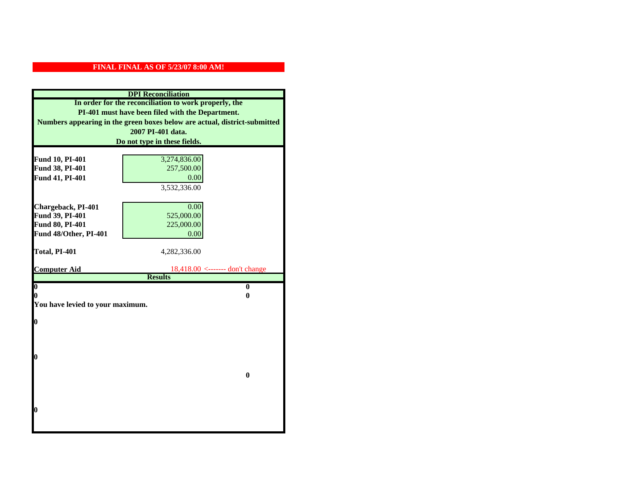|                                  | <b>DPI</b> Reconciliation                                                 |
|----------------------------------|---------------------------------------------------------------------------|
|                                  | In order for the reconciliation to work properly, the                     |
|                                  | PI-401 must have been filed with the Department.                          |
|                                  | Numbers appearing in the green boxes below are actual, district-submitted |
|                                  | 2007 PI-401 data.                                                         |
|                                  | Do not type in these fields.                                              |
|                                  |                                                                           |
| Fund 10, PI-401                  | 3,274,836.00                                                              |
| Fund 38, PI-401                  | 257,500.00                                                                |
| Fund 41, PI-401                  | 0.00                                                                      |
|                                  | 3,532,336.00                                                              |
|                                  |                                                                           |
| Chargeback, PI-401               | 0.00                                                                      |
| Fund 39, PI-401                  | 525,000.00                                                                |
| Fund 80, PI-401                  | 225,000.00                                                                |
| Fund 48/Other, PI-401            | 0.00                                                                      |
| Total, PI-401                    | 4,282,336.00                                                              |
|                                  |                                                                           |
| <b>Computer Aid</b>              | $18,418.00$ <------- don't change                                         |
|                                  | <b>Results</b>                                                            |
| $\overline{\mathbf{0}}$          | $\mathbf{0}$                                                              |
| 0                                | 0                                                                         |
| You have levied to your maximum. |                                                                           |
| $\bf{0}$                         |                                                                           |
|                                  |                                                                           |
|                                  |                                                                           |
|                                  |                                                                           |
|                                  |                                                                           |
| 0                                |                                                                           |
|                                  |                                                                           |
|                                  | $\bf{0}$                                                                  |
|                                  |                                                                           |
|                                  |                                                                           |
|                                  |                                                                           |
| 0                                |                                                                           |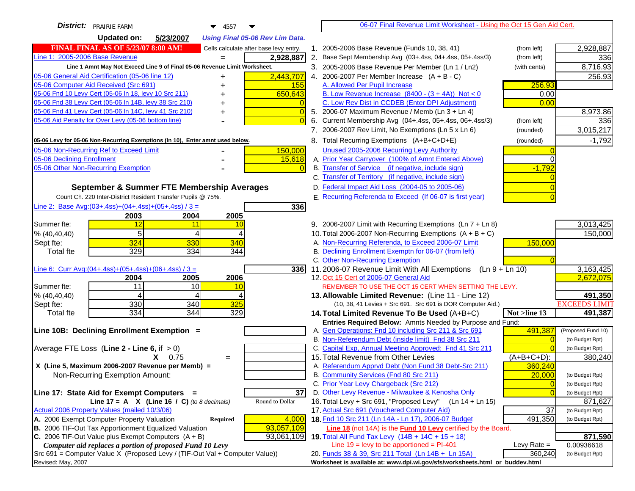| <b>District:</b> PRAIRIE FARM<br>$\blacktriangledown$ 4557                                                       | 06-07 Final Revenue Limit Worksheet - Using the Oct 15 Gen Aid Cert.                                        |                                    |
|------------------------------------------------------------------------------------------------------------------|-------------------------------------------------------------------------------------------------------------|------------------------------------|
| <b>Updated on:</b><br>5/23/2007<br><b>Using Final 05-06 Rev Lim Data.</b>                                        |                                                                                                             |                                    |
| <b>FINAL FINAL AS OF 5/23/07 8:00 AM!</b><br>Cells calculate after base levy entry.                              | 1. 2005-2006 Base Revenue (Funds 10, 38, 41)<br>(from left)                                                 | 2,928,887                          |
| Line 1: 2005-2006 Base Revenue<br>2,928,887                                                                      | 2. Base Sept Membership Avg (03+.4ss, 04+.4ss, 05+.4ss/3)<br>(from left)                                    | 336                                |
| Line 1 Amnt May Not Exceed Line 9 of Final 05-06 Revenue Limit Worksheet.                                        | 3. 2005-2006 Base Revenue Per Member (Ln 1 / Ln2)<br>(with cents)                                           | 8,716.93                           |
| 2,443,707<br>05-06 General Aid Certification (05-06 line 12)<br>+                                                | 4. 2006-2007 Per Member Increase $(A + B - C)$                                                              | 256.93                             |
| 05-06 Computer Aid Received (Src 691)<br>155<br>+                                                                | A. Allowed Per Pupil Increase<br>256.93                                                                     |                                    |
| 05-06 Fnd 10 Levy Cert (05-06 In 18, levy 10 Src 211)<br>650,643                                                 | B. Low Revenue Increase $(8400 - (3 + 4A))$ Not < 0<br>0.00                                                 |                                    |
| 05-06 Fnd 38 Levy Cert (05-06 In 14B, levy 38 Src 210)                                                           | C. Low Rev Dist in CCDEB (Enter DPI Adjustment)<br>0.00                                                     |                                    |
| 05-06 Fnd 41 Levy Cert (05-06 In 14C, levy 41 Src 210)<br>+                                                      | 5. 2006-07 Maximum Revenue / Memb (Ln 3 + Ln 4)                                                             | 8,973.86                           |
| 05-06 Aid Penalty for Over Levy (05-06 bottom line)                                                              | 6. Current Membership Avg (04+.4ss, 05+.4ss, 06+.4ss/3)<br>(from left)                                      | 336                                |
|                                                                                                                  | 7. 2006-2007 Rev Limit, No Exemptions (Ln 5 x Ln 6)<br>(rounded)                                            | 3,015,217                          |
| 05-06 Levy for 05-06 Non-Recurring Exemptions (In 10), Enter amnt used below.                                    | 8. Total Recurring Exemptions (A+B+C+D+E)<br>(rounded)                                                      | $-1,792$                           |
| 05-06 Non-Recurring Ref to Exceed Limit<br>150,000                                                               | Unused 2005-2006 Recurring Levy Authority                                                                   |                                    |
| 05-06 Declining Enrollment<br>15,618                                                                             | A. Prior Year Carryover (100% of Amnt Entered Above)                                                        |                                    |
| 05-06 Other Non-Recurring Exemption                                                                              | B. Transfer of Service (if negative, include sign)<br>$-1,792$                                              |                                    |
|                                                                                                                  | C. Transfer of Territory (if negative, include sign)                                                        |                                    |
| September & Summer FTE Membership Averages                                                                       | D. Federal Impact Aid Loss (2004-05 to 2005-06)                                                             |                                    |
| Count Ch. 220 Inter-District Resident Transfer Pupils @ 75%.                                                     | E. Recurring Referenda to Exceed (If 06-07 is first year)                                                   |                                    |
| Line 2: Base Avg: $(03+.4ss)+(04+.4ss)+(05+.4ss)/3 =$<br>336                                                     |                                                                                                             |                                    |
| 2003<br>2004<br>2005                                                                                             |                                                                                                             |                                    |
| Summer fte:<br>12<br>11<br>10                                                                                    | 9. 2006-2007 Limit with Recurring Exemptions (Ln 7 + Ln 8)                                                  | 3,013,425                          |
| 5<br>4<br>% (40, 40, 40)                                                                                         | 10. Total 2006-2007 Non-Recurring Exemptions $(A + B + C)$                                                  | 150,000                            |
| 324<br>330<br>340<br>Sept fte:                                                                                   | A. Non-Recurring Referenda, to Exceed 2006-07 Limit<br>150,000                                              |                                    |
| 329<br>334<br>344<br><b>Total fte</b>                                                                            | B. Declining Enrollment Exemptn for 06-07 (from left)                                                       |                                    |
|                                                                                                                  | C. Other Non-Recurring Exemption                                                                            |                                    |
| Line 6: Curr Avg: $(04+.4ss)+(05+.4ss)+(06+.4ss)/3 =$<br>336                                                     | 11.2006-07 Revenue Limit With All Exemptions (Ln $9 + \overline{\text{Ln }10}$ )                            | 3,163,425                          |
| 2006<br>2004<br>2005<br>Summer fte:<br>11<br>10<br>10                                                            | 12. Oct 15 Cert of 2006-07 General Aid<br>REMEMBER TO USE THE OCT 15 CERT WHEN SETTING THE LEVY.            | 2,672,075                          |
| % (40, 40, 40)<br>4<br>4                                                                                         | 13. Allowable Limited Revenue: (Line 11 - Line 12)                                                          | 491,350                            |
| 330<br>340<br>325<br>Sept fte:                                                                                   | (10, 38, 41 Levies + Src 691. Src 691 is DOR Computer Aid.)                                                 | <b>EXCEEDS LIMIT</b>               |
| 334<br>344<br>329<br><b>Total fte</b>                                                                            | 14. Total Limited Revenue To Be Used (A+B+C)<br>Not >line 13                                                | 491,387                            |
|                                                                                                                  | Entries Required Below: Amnts Needed by Purpose and Fund:                                                   |                                    |
| Line 10B: Declining Enrollment Exemption =                                                                       | 491,387<br>A. Gen Operations: Fnd 10 including Src 211 & Src 691                                            | (Proposed Fund 10)                 |
|                                                                                                                  | B. Non-Referendum Debt (inside limit) Fnd 38 Src 211                                                        | (to Budget Rpt)                    |
| Average FTE Loss (Line $2 -$ Line 6, if $> 0$ )                                                                  | C. Capital Exp, Annual Meeting Approved: Fnd 41 Src 211                                                     | (to Budget Rpt)                    |
| $X = 0.75$<br>$=$                                                                                                | 15. Total Revenue from Other Levies<br>$(A+B+C+D)$ :                                                        | 380,240                            |
| X (Line 5, Maximum 2006-2007 Revenue per Memb) =                                                                 | A. Referendum Apprvd Debt (Non Fund 38 Debt-Src 211)<br>360,240                                             |                                    |
| Non-Recurring Exemption Amount:                                                                                  | B. Community Services (Fnd 80 Src 211)<br>20,000                                                            | (to Budget Rpt)                    |
|                                                                                                                  | C. Prior Year Levy Chargeback (Src 212)<br>$\overline{0}$                                                   | (to Budget Rpt)                    |
| 37<br>Line 17: State Aid for Exempt Computers =                                                                  | D. Other Levy Revenue - Milwaukee & Kenosha Only                                                            | (to Budget Rpt)                    |
| Line 17 = A $X$ (Line 16 / C) (to 8 decimals)<br>Round to Dollar<br>Actual 2006 Property Values (mailed 10/3/06) | 16. Total Levy + Src 691, "Proposed Levy"<br>(Ln 14 + Ln 15)<br>17. Actual Src 691 (Vouchered Computer Aid) | 871,627                            |
| A. 2006 Exempt Computer Property Valuation<br>4,000<br>Required                                                  | 37<br>18. Fnd 10 Src 211 (Ln 14A - Ln 17), 2006-07 Budget<br>491,350                                        | (to Budget Rpt)<br>(to Budget Rpt) |
| B. 2006 TIF-Out Tax Apportionment Equalized Valuation<br>93,057,109                                              | <b>Line 18</b> (not 14A) is the <b>Fund 10 Levy</b> certified by the Board.                                 |                                    |
| C. 2006 TIF-Out Value plus Exempt Computers $(A + B)$<br>93,061,109                                              | 19. Total All Fund Tax Levy (14B + 14C + 15 + 18)                                                           | 871,590                            |
| Computer aid replaces a portion of proposed Fund 10 Levy                                                         | Line $19 = \text{levy}$ to be apportioned = PI-401<br>Levy Rate $=$                                         | 0.00936618                         |
| Src 691 = Computer Value X (Proposed Levy / (TIF-Out Val + Computer Value))                                      | 20. Funds 38 & 39, Src 211 Total (Ln 14B + Ln 15A)<br>360,240                                               | (to Budget Rpt)                    |
| Revised: May, 2007                                                                                               | Worksheet is available at: www.dpi.wi.gov/sfs/worksheets.html or buddev.html                                |                                    |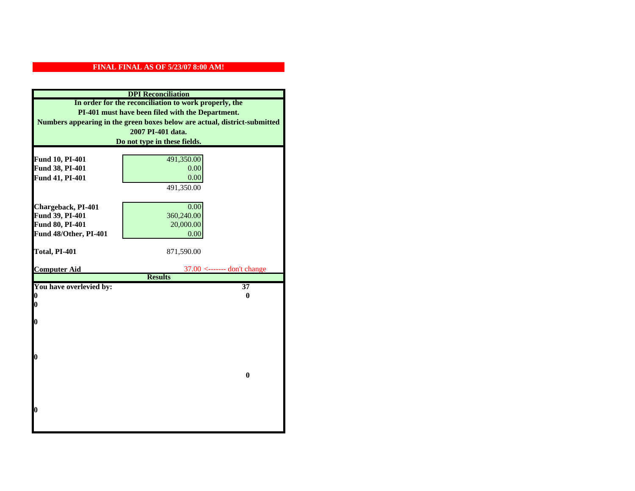|                         | <b>DPI</b> Reconciliation                                                 |
|-------------------------|---------------------------------------------------------------------------|
|                         | In order for the reconciliation to work properly, the                     |
|                         | PI-401 must have been filed with the Department.                          |
|                         | Numbers appearing in the green boxes below are actual, district-submitted |
|                         | 2007 PI-401 data.                                                         |
|                         | Do not type in these fields.                                              |
|                         |                                                                           |
| Fund 10, PI-401         | 491,350.00                                                                |
| Fund 38, PI-401         | 0.00                                                                      |
| Fund 41, PI-401         | 0.00                                                                      |
|                         | 491,350.00                                                                |
|                         |                                                                           |
| Chargeback, PI-401      | 0.00                                                                      |
| Fund 39, PI-401         | 360,240.00                                                                |
| Fund 80, PI-401         | 20,000.00                                                                 |
| Fund 48/Other, PI-401   | 0.00                                                                      |
|                         |                                                                           |
| Total, PI-401           | 871,590.00                                                                |
| <b>Computer Aid</b>     | $37.00$ <------- don't change                                             |
|                         | <b>Results</b>                                                            |
| You have overlevied by: | $\overline{37}$                                                           |
| 0                       | 0                                                                         |
| 0                       |                                                                           |
|                         |                                                                           |
| $\boldsymbol{0}$        |                                                                           |
|                         |                                                                           |
|                         |                                                                           |
| $\bf{0}$                |                                                                           |
|                         |                                                                           |
|                         | $\bf{0}$                                                                  |
|                         |                                                                           |
|                         |                                                                           |
|                         |                                                                           |
| 0                       |                                                                           |
|                         |                                                                           |
|                         |                                                                           |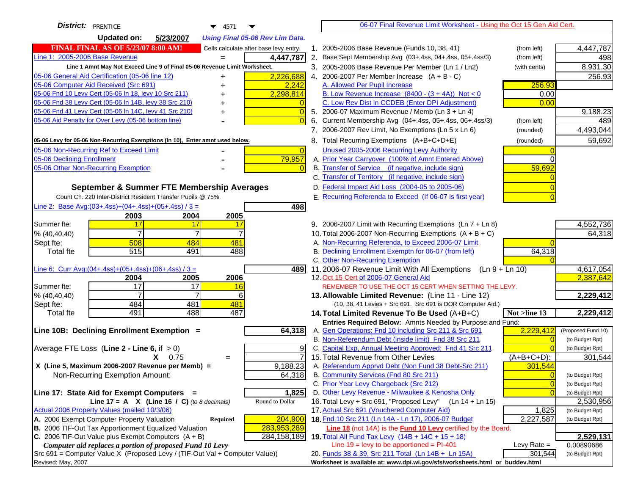| District:   PRENTICE<br>$\blacktriangledown$ 4571                                   | 06-07 Final Revenue Limit Worksheet - Using the Oct 15 Gen Aid Cert.                                                        |                                    |
|-------------------------------------------------------------------------------------|-----------------------------------------------------------------------------------------------------------------------------|------------------------------------|
| Updated on:<br>5/23/2007<br><b>Using Final 05-06 Rev Lim Data.</b>                  |                                                                                                                             |                                    |
| <b>FINAL FINAL AS OF 5/23/07 8:00 AM!</b><br>Cells calculate after base levy entry. | 1. 2005-2006 Base Revenue (Funds 10, 38, 41)<br>(from left)                                                                 | 4,447,787                          |
| Line 1: 2005-2006 Base Revenue<br>4,447,787                                         | 2. Base Sept Membership Avg (03+.4ss, 04+.4ss, 05+.4ss/3)<br>(from left)                                                    | 498                                |
| Line 1 Amnt May Not Exceed Line 9 of Final 05-06 Revenue Limit Worksheet.           | 3. 2005-2006 Base Revenue Per Member (Ln 1 / Ln2)<br>(with cents)                                                           | 8,931.30                           |
| 05-06 General Aid Certification (05-06 line 12)<br>2,226,688                        | 4. 2006-2007 Per Member Increase $(A + B - C)$                                                                              | 256.93                             |
| 05-06 Computer Aid Received (Src 691)<br>2,242                                      | 256.93<br>A. Allowed Per Pupil Increase                                                                                     |                                    |
| 2,298,814<br>05-06 Fnd 10 Levy Cert (05-06 ln 18, levy 10 Src 211)                  | B. Low Revenue Increase $(8400 - (3 + 4A))$ Not < 0<br>0.00                                                                 |                                    |
| 05-06 Fnd 38 Levy Cert (05-06 In 14B, levy 38 Src 210)                              | C. Low Rev Dist in CCDEB (Enter DPI Adjustment)<br>0.00                                                                     |                                    |
| 05-06 Fnd 41 Levy Cert (05-06 In 14C, levy 41 Src 210)<br>$\bigcap$                 | 5. 2006-07 Maximum Revenue / Memb (Ln $3 + \text{Ln } 4$ )                                                                  | 9,188.23                           |
| 05-06 Aid Penalty for Over Levy (05-06 bottom line)                                 | Current Membership Avg (04+.4ss, 05+.4ss, 06+.4ss/3)<br>6.<br>(from left)                                                   | 489                                |
|                                                                                     | 7. 2006-2007 Rev Limit, No Exemptions (Ln 5 x Ln 6)<br>(rounded)                                                            | 4,493,044                          |
| 05-06 Levy for 05-06 Non-Recurring Exemptions (In 10), Enter amnt used below.       | 8. Total Recurring Exemptions (A+B+C+D+E)<br>(rounded)                                                                      | 59,692                             |
| 05-06 Non-Recurring Ref to Exceed Limit<br>$\overline{0}$                           | Unused 2005-2006 Recurring Levy Authority                                                                                   |                                    |
| 79,957<br>05-06 Declining Enrollment                                                | A. Prior Year Carryover (100% of Amnt Entered Above)<br>$\Omega$                                                            |                                    |
| 05-06 Other Non-Recurring Exemption                                                 | B. Transfer of Service (if negative, include sign)<br>59,692                                                                |                                    |
|                                                                                     | C. Transfer of Territory (if negative, include sign)                                                                        |                                    |
| September & Summer FTE Membership Averages                                          | D. Federal Impact Aid Loss (2004-05 to 2005-06)                                                                             |                                    |
| Count Ch. 220 Inter-District Resident Transfer Pupils @ 75%.                        | E. Recurring Referenda to Exceed (If 06-07 is first year)                                                                   |                                    |
| Line 2: Base Avg:(03+.4ss)+(04+.4ss)+(05+.4ss) / 3 =<br>498                         |                                                                                                                             |                                    |
| 2003<br>2004<br>2005                                                                |                                                                                                                             |                                    |
| Summer fte:<br>17<br>17<br>17                                                       | 9. 2006-2007 Limit with Recurring Exemptions (Ln 7 + Ln 8)                                                                  | 4,552,736                          |
| $\overline{7}$<br>$\overline{7}$<br>$\overline{7}$<br>% (40, 40, 40)                | 10. Total 2006-2007 Non-Recurring Exemptions $(A + B + C)$                                                                  | 64,318                             |
| 508<br>484<br>481<br>Sept fte:                                                      | A. Non-Recurring Referenda, to Exceed 2006-07 Limit                                                                         |                                    |
| 515<br>491<br>488<br><b>Total fte</b>                                               | B. Declining Enrollment Exemptn for 06-07 (from left)<br>64,318                                                             |                                    |
|                                                                                     | C. Other Non-Recurring Exemption                                                                                            |                                    |
| Line 6: Curr Avg: $(04+.4ss)+(05+.4ss)+(06+.4ss)/3 =$<br>4891                       | 11.2006-07 Revenue Limit With All Exemptions (Ln $9 + \overline{\text{Ln }10}$ )                                            | 4,617,054                          |
| 2005<br>2006<br>2004                                                                | 12. Oct 15 Cert of 2006-07 General Aid                                                                                      | 2,387,642                          |
| 17<br>$\overline{17}$<br>Summer fte:<br>16                                          | REMEMBER TO USE THE OCT 15 CERT WHEN SETTING THE LEVY.                                                                      |                                    |
| 7<br>% (40, 40, 40)<br>6                                                            | 13. Allowable Limited Revenue: (Line 11 - Line 12)                                                                          | 2,229,412                          |
| 481<br>484<br>481<br>Sept fte:                                                      | (10, 38, 41 Levies + Src 691. Src 691 is DOR Computer Aid.)                                                                 |                                    |
| 491<br>488<br>487<br><b>Total fte</b>                                               | 14. Total Limited Revenue To Be Used (A+B+C)<br>Not >line 13                                                                | 2,229,412                          |
|                                                                                     | Entries Required Below: Amnts Needed by Purpose and Fund:                                                                   |                                    |
| Line 10B: Declining Enrollment Exemption =<br>64,318                                | 2,229,412<br>A. Gen Operations: Fnd 10 including Src 211 & Src 691                                                          | (Proposed Fund 10)                 |
|                                                                                     | B. Non-Referendum Debt (inside limit) Fnd 38 Src 211<br>$\Omega$<br>C. Capital Exp, Annual Meeting Approved: Fnd 41 Src 211 | (to Budget Rpt)                    |
| Average FTE Loss (Line $2 -$ Line 6, if $> 0$ )<br>9<br>7                           | 15. Total Revenue from Other Levies                                                                                         | (to Budget Rpt)                    |
| $X = 0.75$<br>$=$<br>X (Line 5, Maximum 2006-2007 Revenue per Memb) =<br>9,188.23   | $(A+B+C+D)$ :<br>A. Referendum Apprvd Debt (Non Fund 38 Debt-Src 211)<br>301,544                                            | 301,544                            |
| 64,318<br>Non-Recurring Exemption Amount:                                           | B. Community Services (Fnd 80 Src 211)<br>$\Omega$                                                                          |                                    |
|                                                                                     | C. Prior Year Levy Chargeback (Src 212)<br>$\overline{0}$                                                                   | (to Budget Rpt)<br>(to Budget Rpt) |
| Line 17: State Aid for Exempt Computers =<br>1,825                                  | D. Other Levy Revenue - Milwaukee & Kenosha Only<br>$\Omega$                                                                | (to Budget Rpt)                    |
| Line 17 = A $X$ (Line 16 / C) (to 8 decimals)<br>Round to Dollar                    | 16. Total Levy + Src 691, "Proposed Levy"<br>$(Ln 14 + Ln 15)$                                                              | 2,530,956                          |
| Actual 2006 Property Values (mailed 10/3/06)                                        | 17. Actual Src 691 (Vouchered Computer Aid)<br>1,825                                                                        | (to Budget Rpt)                    |
| A. 2006 Exempt Computer Property Valuation<br>204,900<br><b>Required</b>            | 18. Fnd 10 Src 211 (Ln 14A - Ln 17), 2006-07 Budget<br>2,227,587                                                            | (to Budget Rpt)                    |
| B. 2006 TIF-Out Tax Apportionment Equalized Valuation<br>283,953,289                | Line 18 (not 14A) is the Fund 10 Levy certified by the Board.                                                               |                                    |
| C. 2006 TIF-Out Value plus Exempt Computers $(A + B)$<br>284,158,189                | 19. Total All Fund Tax Levy (14B + 14C + 15 + 18)                                                                           | 2,529,131                          |
| Computer aid replaces a portion of proposed Fund 10 Levy                            | Line $19 = \text{levy}$ to be apportioned = PI-401<br>Levy Rate $=$                                                         | 0.00890686                         |
| Src 691 = Computer Value X (Proposed Levy / (TIF-Out Val + Computer Value))         | 20. Funds 38 & 39, Src 211 Total (Ln 14B + Ln 15A)<br>301,544                                                               | (to Budget Rpt)                    |
| Revised: May, 2007                                                                  | Worksheet is available at: www.dpi.wi.gov/sfs/worksheets.html or buddev.html                                                |                                    |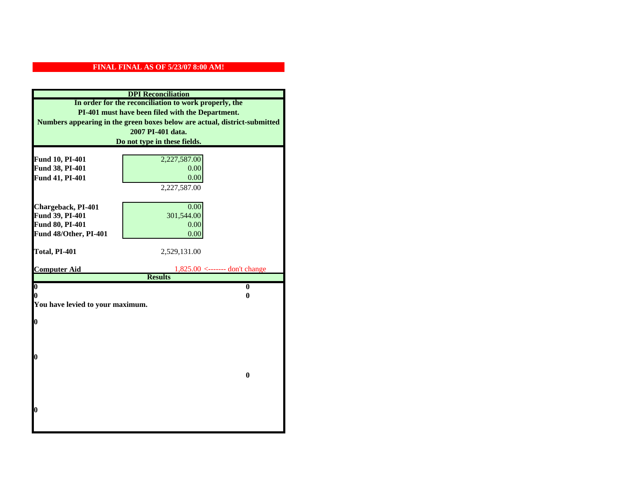|                                  | <b>DPI</b> Reconciliation                                                 |
|----------------------------------|---------------------------------------------------------------------------|
|                                  | In order for the reconciliation to work properly, the                     |
|                                  | PI-401 must have been filed with the Department.                          |
|                                  | Numbers appearing in the green boxes below are actual, district-submitted |
|                                  | 2007 PI-401 data.                                                         |
|                                  | Do not type in these fields.                                              |
|                                  |                                                                           |
| Fund 10, PI-401                  | 2,227,587.00                                                              |
| Fund 38, PI-401                  | 0.00                                                                      |
| Fund 41, PI-401                  | 0.00                                                                      |
|                                  | 2,227,587.00                                                              |
|                                  |                                                                           |
| Chargeback, PI-401               | 0.00                                                                      |
| Fund 39, PI-401                  | 301,544.00                                                                |
| Fund 80, PI-401                  | 0.00                                                                      |
| Fund 48/Other, PI-401            | 0.00                                                                      |
| Total, PI-401                    | 2,529,131.00                                                              |
|                                  |                                                                           |
|                                  |                                                                           |
| <b>Computer Aid</b>              | $1,825.00$ <------- don't change                                          |
|                                  | <b>Results</b>                                                            |
| $\boldsymbol{0}$                 | $\mathbf{0}$                                                              |
| 0                                | 0                                                                         |
| You have levied to your maximum. |                                                                           |
|                                  |                                                                           |
| $\bf{0}$                         |                                                                           |
|                                  |                                                                           |
|                                  |                                                                           |
| 0                                |                                                                           |
|                                  |                                                                           |
|                                  | $\bf{0}$                                                                  |
|                                  |                                                                           |
|                                  |                                                                           |
|                                  |                                                                           |
| 0                                |                                                                           |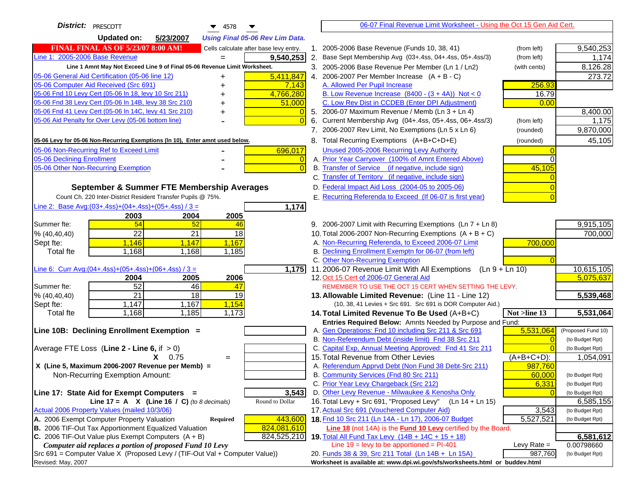| District:   PRESCOTT<br>$\blacktriangledown$ 4578                                   | 06-07 Final Revenue Limit Worksheet - Using the Oct 15 Gen Aid Cert.                                                           |                    |
|-------------------------------------------------------------------------------------|--------------------------------------------------------------------------------------------------------------------------------|--------------------|
| <b>Updated on:</b><br>5/23/2007<br><b>Using Final 05-06 Rev Lim Data.</b>           |                                                                                                                                |                    |
| <b>FINAL FINAL AS OF 5/23/07 8:00 AM!</b><br>Cells calculate after base levy entry. | 1. 2005-2006 Base Revenue (Funds 10, 38, 41)<br>(from left)                                                                    | 9,540,253          |
| Line 1: 2005-2006 Base Revenue<br>9,540,253                                         | 2. Base Sept Membership Avg (03+.4ss, 04+.4ss, 05+.4ss/3)<br>(from left)                                                       | 1,174              |
| Line 1 Amnt May Not Exceed Line 9 of Final 05-06 Revenue Limit Worksheet.           | 3. 2005-2006 Base Revenue Per Member (Ln 1 / Ln2)<br>(with cents)                                                              | 8,126.28           |
| 5,411,847<br>05-06 General Aid Certification (05-06 line 12)<br>+                   | 4. 2006-2007 Per Member Increase $(A + B - C)$                                                                                 | 273.72             |
| 05-06 Computer Aid Received (Src 691)<br>7,143                                      | 256.93<br>A. Allowed Per Pupil Increase                                                                                        |                    |
| 05-06 Fnd 10 Levy Cert (05-06 In 18, levy 10 Src 211)<br>4,766,280                  | B. Low Revenue Increase $(8400 - (3 + 4A))$ Not < 0<br>16.79                                                                   |                    |
| 05-06 Fnd 38 Levy Cert (05-06 In 14B, levy 38 Src 210)<br>51,000                    | C. Low Rev Dist in CCDEB (Enter DPI Adjustment)<br>0.00                                                                        |                    |
| 05-06 Fnd 41 Levy Cert (05-06 In 14C, levy 41 Src 210)                              | 5. 2006-07 Maximum Revenue / Memb (Ln 3 + Ln 4)                                                                                | 8,400.00           |
| 05-06 Aid Penalty for Over Levy (05-06 bottom line)<br>$\Omega$                     | Current Membership Avg (04+.4ss, 05+.4ss, 06+.4ss/3)<br>6.<br>(from left)                                                      | 1,175              |
|                                                                                     | 7. 2006-2007 Rev Limit, No Exemptions (Ln 5 x Ln 6)<br>(rounded)                                                               | 9,870,000          |
| 05-06 Levy for 05-06 Non-Recurring Exemptions (In 10), Enter amnt used below.       | 8. Total Recurring Exemptions (A+B+C+D+E)<br>(rounded)                                                                         | 45,105             |
| 05-06 Non-Recurring Ref to Exceed Limit<br>696,017                                  | Unused 2005-2006 Recurring Levy Authority                                                                                      |                    |
| 05-06 Declining Enrollment<br>-0                                                    | A. Prior Year Carryover (100% of Amnt Entered Above)<br>$\Omega$                                                               |                    |
| 05-06 Other Non-Recurring Exemption<br>$\overline{0}$                               | B. Transfer of Service (if negative, include sign)<br>45,105                                                                   |                    |
|                                                                                     | C. Transfer of Territory (if negative, include sign)                                                                           |                    |
| September & Summer FTE Membership Averages                                          | D. Federal Impact Aid Loss (2004-05 to 2005-06)                                                                                |                    |
| Count Ch. 220 Inter-District Resident Transfer Pupils @ 75%.                        | E. Recurring Referenda to Exceed (If 06-07 is first year)                                                                      |                    |
| Line 2: Base Avg: (03+.4ss) + (04+.4ss) + (05+.4ss) / 3 =<br>1,174                  |                                                                                                                                |                    |
| 2003<br>2004<br>2005                                                                |                                                                                                                                |                    |
| Summer fte:<br>54<br>52<br>46                                                       | 9. 2006-2007 Limit with Recurring Exemptions (Ln 7 + Ln 8)                                                                     | 9,915,105          |
| $\overline{22}$<br>$\overline{21}$<br>18<br>% (40, 40, 40)                          | 10. Total 2006-2007 Non-Recurring Exemptions $(A + B + C)$                                                                     | 700,000            |
| 1,146<br>1,147<br>1,167<br>Sept fte:                                                | A. Non-Recurring Referenda, to Exceed 2006-07 Limit<br>700,000                                                                 |                    |
| 1,168<br>1,168<br>1,185<br><b>Total fte</b>                                         | B. Declining Enrollment Exemptn for 06-07 (from left)                                                                          |                    |
|                                                                                     | C. Other Non-Recurring Exemption                                                                                               |                    |
| Line 6: Curr Avg: $(04+.4ss)+(05+.4ss)+(06+.4ss)/3 =$<br>$\overline{1,175}$         | 11.2006-07 Revenue Limit With All Exemptions<br>$(Ln 9 + Ln 10)$                                                               | 10,615,105         |
| 2006<br>2004<br>2005                                                                | 12. Oct 15 Cert of 2006-07 General Aid                                                                                         | 5,075,637          |
| 52<br>46<br>Summer fte:<br>47                                                       | REMEMBER TO USE THE OCT 15 CERT WHEN SETTING THE LEVY.                                                                         |                    |
| $\overline{21}$<br>$\overline{18}$<br>19<br>% (40, 40, 40)                          | 13. Allowable Limited Revenue: (Line 11 - Line 12)                                                                             | 5,539,468          |
| 1,147<br>1,167<br>1,154<br>Sept fte:<br>1,168<br>1,185<br><b>Total fte</b>          | (10, 38, 41 Levies + Src 691. Src 691 is DOR Computer Aid.)                                                                    | 5,531,064          |
| 1,173                                                                               | Not $>$ line 13<br>14. Total Limited Revenue To Be Used $(A+B+C)$<br>Entries Required Below: Amnts Needed by Purpose and Fund: |                    |
| Line 10B: Declining Enrollment Exemption =                                          | 5,531,064<br>A. Gen Operations: Fnd 10 including Src 211 & Src 691                                                             | (Proposed Fund 10) |
|                                                                                     | B. Non-Referendum Debt (inside limit) Fnd 38 Src 211<br>$\Omega$                                                               | (to Budget Rpt)    |
| Average FTE Loss (Line $2 -$ Line 6, if $> 0$ )                                     | C. Capital Exp, Annual Meeting Approved: Fnd 41 Src 211                                                                        | (to Budget Rpt)    |
| $X = 0.75$<br>$=$                                                                   | 15. Total Revenue from Other Levies<br>$(A+B+C+D)$ :                                                                           | 1,054,091          |
| X (Line 5, Maximum 2006-2007 Revenue per Memb) =                                    | A. Referendum Apprvd Debt (Non Fund 38 Debt-Src 211)<br>987,760                                                                |                    |
| Non-Recurring Exemption Amount:                                                     | B. Community Services (Fnd 80 Src 211)<br>60,000                                                                               | (to Budget Rpt)    |
|                                                                                     | C. Prior Year Levy Chargeback (Src 212)<br>6,331                                                                               | (to Budget Rpt)    |
| 3,543<br>Line 17: State Aid for Exempt Computers =                                  | D. Other Levy Revenue - Milwaukee & Kenosha Only                                                                               | (to Budget Rpt)    |
| Round to Dollar<br>Line 17 = A $X$ (Line 16 / C) (to 8 decimals)                    | 16. Total Levy + Src 691, "Proposed Levy"<br>(Ln 14 + Ln 15)                                                                   | 6,585,155          |
| Actual 2006 Property Values (mailed 10/3/06)                                        | 17. Actual Src 691 (Vouchered Computer Aid)<br>3,543                                                                           | (to Budget Rpt)    |
| A. 2006 Exempt Computer Property Valuation<br>443,600<br><b>Required</b>            | 18. Fnd 10 Src 211 (Ln 14A - Ln 17), 2006-07 Budget<br>5,527,521                                                               | (to Budget Rpt)    |
| B. 2006 TIF-Out Tax Apportionment Equalized Valuation<br>824,081,610                | Line 18 (not 14A) is the <b>Fund 10 Levy</b> certified by the Board.                                                           |                    |
| C. 2006 TIF-Out Value plus Exempt Computers $(A + B)$<br>824,525,210                | 19. Total All Fund Tax Levy (14B + 14C + 15 + 18)                                                                              | 6,581,612          |
| Computer aid replaces a portion of proposed Fund 10 Levy                            | Line $19 = \text{levy}$ to be apportioned = PI-401<br>Levy Rate $=$                                                            | 0.00798660         |
| Src 691 = Computer Value X (Proposed Levy / (TIF-Out Val + Computer Value))         | 987,760<br>20. Funds 38 & 39, Src 211 Total (Ln 14B + Ln 15A)                                                                  | (to Budget Rpt)    |
| Revised: May, 2007                                                                  | Worksheet is available at: www.dpi.wi.gov/sfs/worksheets.html or buddev.html                                                   |                    |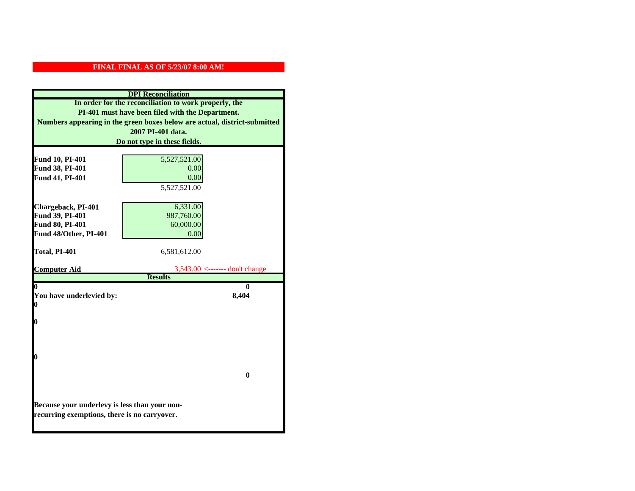| <b>DPI</b> Reconciliation                                                                                                     |                                  |  |
|-------------------------------------------------------------------------------------------------------------------------------|----------------------------------|--|
| In order for the reconciliation to work properly, the                                                                         |                                  |  |
| PI-401 must have been filed with the Department.<br>Numbers appearing in the green boxes below are actual, district-submitted |                                  |  |
|                                                                                                                               |                                  |  |
|                                                                                                                               | Do not type in these fields.     |  |
|                                                                                                                               |                                  |  |
| Fund 10, PI-401                                                                                                               | 5,527,521.00                     |  |
| Fund 38, PI-401                                                                                                               | 0.00                             |  |
| Fund 41, PI-401                                                                                                               | 0.00                             |  |
|                                                                                                                               | 5,527,521.00                     |  |
|                                                                                                                               |                                  |  |
| Chargeback, PI-401<br>Fund 39, PI-401                                                                                         | 6,331.00<br>987,760.00           |  |
| Fund 80, PI-401                                                                                                               | 60,000.00                        |  |
| Fund 48/Other, PI-401                                                                                                         | 0.00                             |  |
|                                                                                                                               |                                  |  |
| Total, PI-401                                                                                                                 | 6,581,612.00                     |  |
|                                                                                                                               |                                  |  |
| <b>Computer Aid</b>                                                                                                           | $3,543.00$ <------- don't change |  |
|                                                                                                                               | <b>Results</b>                   |  |
| 0<br>You have underlevied by:                                                                                                 | 0<br>8,404                       |  |
| $\bf{0}$                                                                                                                      |                                  |  |
|                                                                                                                               |                                  |  |
| 0                                                                                                                             |                                  |  |
|                                                                                                                               |                                  |  |
|                                                                                                                               |                                  |  |
|                                                                                                                               |                                  |  |
| 0                                                                                                                             |                                  |  |
|                                                                                                                               |                                  |  |
|                                                                                                                               | $\bf{0}$                         |  |
|                                                                                                                               |                                  |  |
|                                                                                                                               |                                  |  |
| Because your underlevy is less than your non-                                                                                 |                                  |  |
| recurring exemptions, there is no carryover.                                                                                  |                                  |  |
|                                                                                                                               |                                  |  |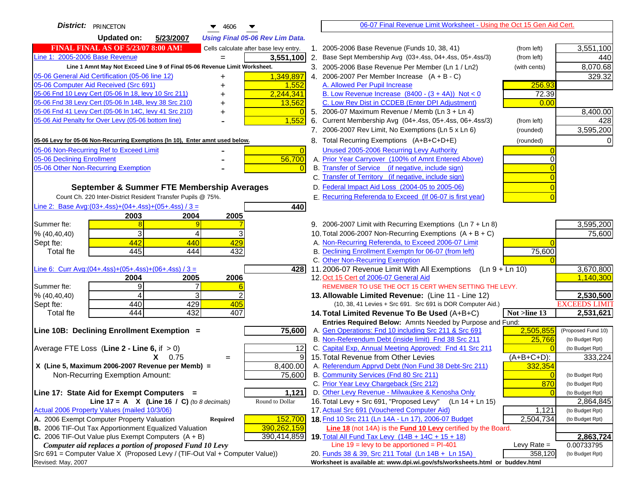| <b>District:</b> PRINCETON<br>4606                                                  |                | 06-07 Final Revenue Limit Worksheet - Using the Oct 15 Gen Aid Cert.                                            |               |                            |
|-------------------------------------------------------------------------------------|----------------|-----------------------------------------------------------------------------------------------------------------|---------------|----------------------------|
| <b>Updated on:</b><br>5/23/2007<br><b>Using Final 05-06 Rev Lim Data.</b>           |                |                                                                                                                 |               |                            |
| <b>FINAL FINAL AS OF 5/23/07 8:00 AM!</b><br>Cells calculate after base levy entry. |                | 1. 2005-2006 Base Revenue (Funds 10, 38, 41)                                                                    | (from left)   | 3,551,100                  |
| Line 1: 2005-2006 Base Revenue<br>3,551,100<br>$=$                                  |                | 2. Base Sept Membership Avg (03+.4ss, 04+.4ss, 05+.4ss/3)                                                       | (from left)   | 440                        |
| Line 1 Amnt May Not Exceed Line 9 of Final 05-06 Revenue Limit Worksheet.           |                | 3. 2005-2006 Base Revenue Per Member (Ln 1 / Ln2)                                                               | (with cents)  | 8,070.68                   |
| 1,349,897<br>05-06 General Aid Certification (05-06 line 12)<br>+                   |                | 4. 2006-2007 Per Member Increase $(A + B - C)$                                                                  |               | 329.32                     |
| 05-06 Computer Aid Received (Src 691)<br>1,552                                      |                | A. Allowed Per Pupil Increase                                                                                   | 256.93        |                            |
| 05-06 Fnd 10 Levy Cert (05-06 In 18, levy 10 Src 211)<br>2,244,341                  |                | B. Low Revenue Increase $(8400 - (3 + 4A))$ Not < 0                                                             | 72.39         |                            |
| 05-06 Fnd 38 Levy Cert (05-06 In 14B, levy 38 Src 210)<br>13,562                    |                | C. Low Rev Dist in CCDEB (Enter DPI Adjustment)                                                                 | 0.00          |                            |
| 05-06 Fnd 41 Levy Cert (05-06 In 14C, levy 41 Src 210)<br>+                         |                | 5. 2006-07 Maximum Revenue / Memb (Ln 3 + Ln 4)                                                                 |               | 8,400.00                   |
| 05-06 Aid Penalty for Over Levy (05-06 bottom line)<br>1,552                        |                | 6. Current Membership Avg (04+.4ss, 05+.4ss, 06+.4ss/3)                                                         | (from left)   | 428                        |
|                                                                                     |                | 7. 2006-2007 Rev Limit, No Exemptions (Ln 5 x Ln 6)                                                             | (rounded)     | 3,595,200                  |
| 05-06 Levy for 05-06 Non-Recurring Exemptions (In 10), Enter amnt used below.       |                | 8. Total Recurring Exemptions (A+B+C+D+E)                                                                       | (rounded)     |                            |
| 05-06 Non-Recurring Ref to Exceed Limit                                             | $\overline{0}$ | Unused 2005-2006 Recurring Levy Authority                                                                       |               |                            |
| 56,700<br>05-06 Declining Enrollment                                                |                | A. Prior Year Carryover (100% of Amnt Entered Above)                                                            |               |                            |
| 05-06 Other Non-Recurring Exemption                                                 |                | B. Transfer of Service (if negative, include sign)                                                              |               |                            |
|                                                                                     |                | C. Transfer of Territory (if negative, include sign)                                                            |               |                            |
| September & Summer FTE Membership Averages                                          |                | D. Federal Impact Aid Loss (2004-05 to 2005-06)                                                                 |               |                            |
| Count Ch. 220 Inter-District Resident Transfer Pupils @ 75%.                        |                | E. Recurring Referenda to Exceed (If 06-07 is first year)                                                       |               |                            |
| Line 2: Base Avg: $(03+.4ss)+(04+.4ss)+(05+.4ss)/3 =$<br>440                        |                |                                                                                                                 |               |                            |
| 2003<br>2004<br>2005                                                                |                |                                                                                                                 |               |                            |
| Summer fte:                                                                         |                | 9. 2006-2007 Limit with Recurring Exemptions (Ln 7 + Ln 8)                                                      |               | 3,595,200                  |
| 3<br>% (40, 40, 40)<br>4                                                            |                | 10. Total 2006-2007 Non-Recurring Exemptions $(A + B + C)$                                                      |               | 75,600                     |
| 442<br>440<br>429<br>Sept fte:<br>445<br>432<br>444<br><b>Total fte</b>             |                | A. Non-Recurring Referenda, to Exceed 2006-07 Limit<br>B. Declining Enrollment Exemptn for 06-07 (from left)    |               |                            |
|                                                                                     |                | C. Other Non-Recurring Exemption                                                                                | 75,600        |                            |
| Line 6: Curr Avg: $(04+.4ss)+(05+.4ss)+(06+.4ss)/3 =$                               | 4281           | 11.2006-07 Revenue Limit With All Exemptions (Ln 9 + Ln 10)                                                     |               | 3,670,800                  |
| 2005<br>2006<br>2004                                                                |                | 12. Oct 15 Cert of 2006-07 General Aid                                                                          |               | 1,140,300                  |
| 9<br>Summer fte:                                                                    |                | REMEMBER TO USE THE OCT 15 CERT WHEN SETTING THE LEVY.                                                          |               |                            |
| 3<br>% (40, 40, 40)<br>4                                                            |                | 13. Allowable Limited Revenue: (Line 11 - Line 12)                                                              |               | 2,530,500                  |
| 440<br>429<br>405<br>Sept fte:                                                      |                | (10, 38, 41 Levies + Src 691. Src 691 is DOR Computer Aid.)                                                     |               | <b>EXCEEDS LIMIT</b>       |
| 444<br>432<br>407<br><b>Total fte</b>                                               |                | 14. Total Limited Revenue To Be Used (A+B+C)                                                                    | Not >line 13  | 2,531,621                  |
|                                                                                     |                | Entries Required Below: Amnts Needed by Purpose and Fund:                                                       |               |                            |
| 75,600<br>Line 10B: Declining Enrollment Exemption =                                |                | A. Gen Operations: Fnd 10 including Src 211 & Src 691                                                           | 2,505,855     | (Proposed Fund 10)         |
|                                                                                     |                | B. Non-Referendum Debt (inside limit) Fnd 38 Src 211<br>C. Capital Exp, Annual Meeting Approved: Fnd 41 Src 211 | 25,766        | (to Budget Rpt)            |
| Average FTE Loss (Line $2 -$ Line 6, if $> 0$ )<br>$X = 0.75$                       | 12<br>9        | 15. Total Revenue from Other Levies                                                                             | (A+B+C+D):    | (to Budget Rpt)<br>333,224 |
| $=$<br>X (Line 5, Maximum 2006-2007 Revenue per Memb) =<br>8,400.00                 |                | A. Referendum Apprvd Debt (Non Fund 38 Debt-Src 211)                                                            | 332,354       |                            |
| 75,600<br>Non-Recurring Exemption Amount:                                           |                | B. Community Services (Fnd 80 Src 211)                                                                          |               | (to Budget Rpt)            |
|                                                                                     |                | C. Prior Year Levy Chargeback (Src 212)                                                                         | 870           | (to Budget Rpt)            |
| Line 17: State Aid for Exempt Computers =<br>1,121                                  |                | D. Other Levy Revenue - Milwaukee & Kenosha Only                                                                |               | (to Budget Rpt)            |
| Round to Dollar<br>Line 17 = A $X$ (Line 16 / C) (to 8 decimals)                    |                | 16. Total Levy + Src 691, "Proposed Levy"<br>(Ln 14 + Ln 15)                                                    |               | 2,864,845                  |
| Actual 2006 Property Values (mailed 10/3/06)                                        |                | 17. Actual Src 691 (Vouchered Computer Aid)                                                                     | 1,121         | (to Budget Rpt)            |
| A. 2006 Exempt Computer Property Valuation<br>152,700<br>Required                   |                | 18. Fnd 10 Src 211 (Ln 14A - Ln 17), 2006-07 Budget                                                             | 2,504,734     | (to Budget Rpt)            |
| B. 2006 TIF-Out Tax Apportionment Equalized Valuation<br>390,262,159                |                | <b>Line 18</b> (not 14A) is the <b>Fund 10 Levy</b> certified by the Board.                                     |               |                            |
| C. 2006 TIF-Out Value plus Exempt Computers $(A + B)$<br>390,414,859                |                | 19. Total All Fund Tax Levy $(14B + 14C + 15 + 18)$                                                             |               | 2,863,724                  |
| Computer aid replaces a portion of proposed Fund 10 Levy                            |                | Line $19 = \text{levy}$ to be apportioned = PI-401                                                              | Levy Rate $=$ | 0.00733795                 |
| Src 691 = Computer Value X (Proposed Levy / (TIF-Out Val + Computer Value))         |                | 20. Funds 38 & 39, Src 211 Total (Ln 14B + Ln 15A)                                                              | 358,120       | (to Budget Rpt)            |
| Revised: May, 2007                                                                  |                | Worksheet is available at: www.dpi.wi.gov/sfs/worksheets.html or buddev.html                                    |               |                            |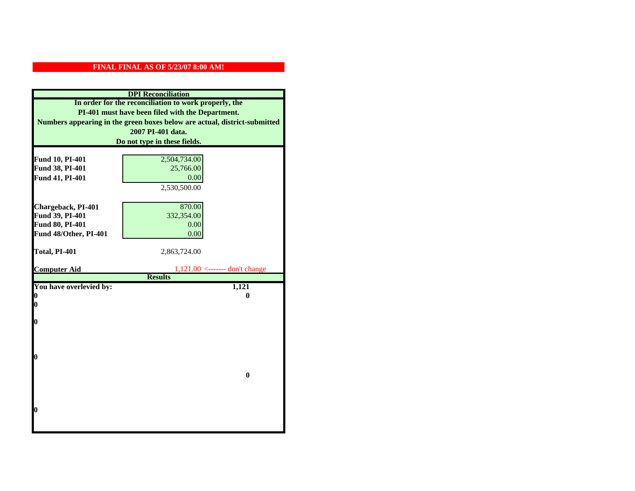| <b>DPI</b> Reconciliation                                                                                                                                                                                   |                                                    |                 |                              |
|-------------------------------------------------------------------------------------------------------------------------------------------------------------------------------------------------------------|----------------------------------------------------|-----------------|------------------------------|
| In order for the reconciliation to work properly, the<br>PI-401 must have been filed with the Department.<br>Numbers appearing in the green boxes below are actual, district-submitted<br>2007 PI-401 data. |                                                    |                 |                              |
|                                                                                                                                                                                                             |                                                    |                 | Do not type in these fields. |
|                                                                                                                                                                                                             |                                                    |                 |                              |
|                                                                                                                                                                                                             |                                                    | Fund 10, PI-401 | 2,504,734.00                 |
| Fund 38, PI-401                                                                                                                                                                                             | 25,766.00                                          |                 |                              |
| Fund 41, PI-401                                                                                                                                                                                             | 0.00                                               |                 |                              |
|                                                                                                                                                                                                             | 2,530,500.00                                       |                 |                              |
|                                                                                                                                                                                                             |                                                    |                 |                              |
| Chargeback, PI-401                                                                                                                                                                                          | 870.00                                             |                 |                              |
| Fund 39, PI-401                                                                                                                                                                                             | 332,354.00                                         |                 |                              |
| Fund 80, PI-401                                                                                                                                                                                             | 0.00                                               |                 |                              |
| Fund 48/Other, PI-401                                                                                                                                                                                       | 0.00                                               |                 |                              |
|                                                                                                                                                                                                             |                                                    |                 |                              |
| Total, PI-401                                                                                                                                                                                               | 2,863,724.00                                       |                 |                              |
|                                                                                                                                                                                                             |                                                    |                 |                              |
|                                                                                                                                                                                                             |                                                    |                 |                              |
| <b>Computer Aid</b>                                                                                                                                                                                         | $1,121.00$ <------- don't change<br><b>Results</b> |                 |                              |
| You have overlevied by:                                                                                                                                                                                     | 1,121                                              |                 |                              |
| 0                                                                                                                                                                                                           | 0                                                  |                 |                              |
| 0                                                                                                                                                                                                           |                                                    |                 |                              |
|                                                                                                                                                                                                             |                                                    |                 |                              |
| O                                                                                                                                                                                                           |                                                    |                 |                              |
|                                                                                                                                                                                                             |                                                    |                 |                              |
|                                                                                                                                                                                                             |                                                    |                 |                              |
|                                                                                                                                                                                                             |                                                    |                 |                              |
| $\boldsymbol{0}$                                                                                                                                                                                            |                                                    |                 |                              |
|                                                                                                                                                                                                             | $\bf{0}$                                           |                 |                              |
|                                                                                                                                                                                                             |                                                    |                 |                              |
|                                                                                                                                                                                                             |                                                    |                 |                              |
|                                                                                                                                                                                                             |                                                    |                 |                              |
| O                                                                                                                                                                                                           |                                                    |                 |                              |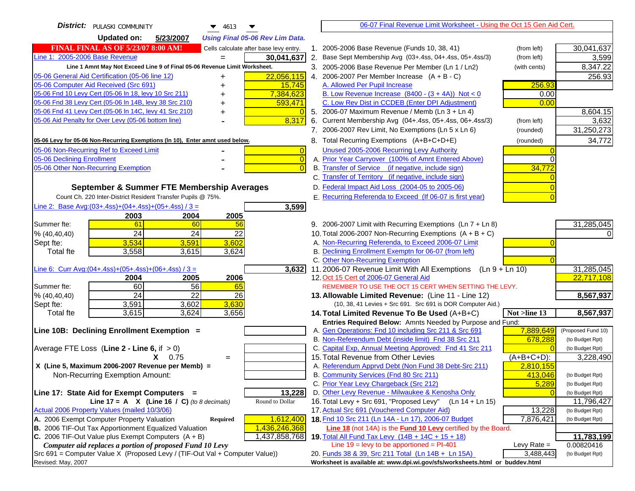| District:   PULASKI COMMUNITY<br>▼<br>$\blacktriangledown$ 4613                                                         | 06-07 Final Revenue Limit Worksheet - Using the Oct 15 Gen Aid Cert.                                 |                               |
|-------------------------------------------------------------------------------------------------------------------------|------------------------------------------------------------------------------------------------------|-------------------------------|
| <b>Updated on:</b><br>5/23/2007<br><b>Using Final 05-06 Rev Lim Data.</b>                                               |                                                                                                      |                               |
| <b>FINAL FINAL AS OF 5/23/07 8:00 AM!</b><br>Cells calculate after base levy entry.                                     | 1. 2005-2006 Base Revenue (Funds 10, 38, 41)<br>(from left)                                          | 30,041,637                    |
| Line 1: 2005-2006 Base Revenue<br>30,041,637                                                                            | 2. Base Sept Membership Avg (03+.4ss, 04+.4ss, 05+.4ss/3)<br>(from left)                             | 3,599                         |
| Line 1 Amnt May Not Exceed Line 9 of Final 05-06 Revenue Limit Worksheet.                                               | 3. 2005-2006 Base Revenue Per Member (Ln 1 / Ln2)<br>(with cents)                                    | 8,347.22                      |
| 22,056,115<br>05-06 General Aid Certification (05-06 line 12)<br>+                                                      | 4. 2006-2007 Per Member Increase $(A + B - C)$                                                       | 256.93                        |
| 05-06 Computer Aid Received (Src 691)<br>15,745                                                                         | 256.93<br>A. Allowed Per Pupil Increase                                                              |                               |
| 05-06 Fnd 10 Levy Cert (05-06 In 18, levy 10 Src 211)<br>7,384,623                                                      | B. Low Revenue Increase $(8400 - (3 + 4A))$ Not < 0<br>0.00                                          |                               |
| 05-06 Fnd 38 Levy Cert (05-06 In 14B, levy 38 Src 210)<br>593,471                                                       | C. Low Rev Dist in CCDEB (Enter DPI Adjustment)<br>0.00                                              |                               |
| 05-06 Fnd 41 Levy Cert (05-06 In 14C, levy 41 Src 210)<br>┿                                                             | 5. 2006-07 Maximum Revenue / Memb (Ln 3 + Ln 4)                                                      | 8,604.15                      |
| 05-06 Aid Penalty for Over Levy (05-06 bottom line)<br>8,317                                                            | 6. Current Membership Avg (04+.4ss, 05+.4ss, 06+.4ss/3)<br>(from left)                               | 3,632                         |
|                                                                                                                         | 7. 2006-2007 Rev Limit, No Exemptions (Ln 5 x Ln 6)<br>(rounded)                                     | 31,250,273                    |
| 05-06 Levy for 05-06 Non-Recurring Exemptions (In 10), Enter amnt used below.                                           | 8. Total Recurring Exemptions (A+B+C+D+E)<br>(rounded)                                               | 34,772                        |
| 05-06 Non-Recurring Ref to Exceed Limit<br>$\overline{0}$                                                               | Unused 2005-2006 Recurring Levy Authority                                                            |                               |
| 05-06 Declining Enrollment<br>$\overline{0}$                                                                            | A. Prior Year Carryover (100% of Amnt Entered Above)<br>0                                            |                               |
| 05-06 Other Non-Recurring Exemption                                                                                     | B. Transfer of Service (if negative, include sign)<br>34,772                                         |                               |
|                                                                                                                         | C. Transfer of Territory (if negative, include sign)                                                 |                               |
| September & Summer FTE Membership Averages                                                                              | D. Federal Impact Aid Loss (2004-05 to 2005-06)                                                      |                               |
| Count Ch. 220 Inter-District Resident Transfer Pupils @ 75%.                                                            | E. Recurring Referenda to Exceed (If 06-07 is first year)                                            |                               |
| Line 2: Base Avg: (03+.4ss) + (04+.4ss) + (05+.4ss) / 3 =<br>3,599                                                      |                                                                                                      |                               |
| 2003<br>2004<br>2005                                                                                                    |                                                                                                      |                               |
| 61<br>56<br>Summer fte:<br>60                                                                                           | 9. 2006-2007 Limit with Recurring Exemptions (Ln 7 + Ln 8)                                           | 31,285,045                    |
| 24<br>24<br>22<br>% (40, 40, 40)                                                                                        | 10. Total 2006-2007 Non-Recurring Exemptions $(A + B + C)$                                           |                               |
| 3,534<br>3,602<br>Sept fte:<br>3,591                                                                                    | A. Non-Recurring Referenda, to Exceed 2006-07 Limit                                                  |                               |
| 3,558<br>3,624<br><b>Total fte</b><br>3,615                                                                             | B. Declining Enrollment Exemptn for 06-07 (from left)                                                |                               |
|                                                                                                                         | C. Other Non-Recurring Exemption<br>11.2006-07 Revenue Limit With All Exemptions                     |                               |
| Line 6: Curr Avg: $(04+.4ss)+(05+.4ss)+(06+.4ss)/3 =$<br>$\overline{3,632}$<br>2005<br>2006<br>2004                     | (Ln 9 + Ln 10)<br>12. Oct 15 Cert of 2006-07 General Aid                                             | 31,285,045<br>22,717,108      |
| 60<br>56<br>Summer fte:<br>65                                                                                           | REMEMBER TO USE THE OCT 15 CERT WHEN SETTING THE LEVY.                                               |                               |
| 24<br>22<br>26<br>% (40, 40, 40)                                                                                        | 13. Allowable Limited Revenue: (Line 11 - Line 12)                                                   | 8,567,937                     |
| 3,630<br>Sept fte:<br>3,591<br>3,602                                                                                    | (10, 38, 41 Levies + Src 691. Src 691 is DOR Computer Aid.)                                          |                               |
| 3,624<br>3,656<br>3,615<br><b>Total fte</b>                                                                             | 14. Total Limited Revenue To Be Used (A+B+C)<br>Not >line 13                                         | 8,567,937                     |
|                                                                                                                         | Entries Required Below: Amnts Needed by Purpose and Fund:                                            |                               |
| Line 10B: Declining Enrollment Exemption =                                                                              | 7,889,649<br>A. Gen Operations: Fnd 10 including Src 211 & Src 691                                   | (Proposed Fund 10)            |
|                                                                                                                         | B. Non-Referendum Debt (inside limit) Fnd 38 Src 211<br>678,288                                      | (to Budget Rpt)               |
| Average FTE Loss (Line $2 -$ Line 6, if $> 0$ )                                                                         | C. Capital Exp, Annual Meeting Approved: Fnd 41 Src 211                                              | (to Budget Rpt)               |
| $X = 0.75$<br>$=$                                                                                                       | 15. Total Revenue from Other Levies<br>$(A+B+C+D)$ :                                                 | 3,228,490                     |
| X (Line 5, Maximum 2006-2007 Revenue per Memb) =                                                                        | A. Referendum Apprvd Debt (Non Fund 38 Debt-Src 211)<br>2,810,155                                    |                               |
| Non-Recurring Exemption Amount:                                                                                         | B. Community Services (Fnd 80 Src 211)<br>413.046                                                    | (to Budget Rpt)               |
|                                                                                                                         | C. Prior Year Levy Chargeback (Src 212)<br>5,289<br>D. Other Levy Revenue - Milwaukee & Kenosha Only | (to Budget Rpt)               |
| 13,228<br>Line 17: State Aid for Exempt Computers =<br>Round to Dollar<br>Line 17 = A $X$ (Line 16 / C) (to 8 decimals) | 16. Total Levy + Src 691, "Proposed Levy"<br>(Ln 14 + Ln 15)                                         | (to Budget Rpt)<br>11,796,427 |
| Actual 2006 Property Values (mailed 10/3/06)                                                                            | 17. Actual Src 691 (Vouchered Computer Aid)<br>13,228                                                | (to Budget Rpt)               |
| A. 2006 Exempt Computer Property Valuation<br>1,612,400<br><b>Required</b>                                              | 18. Fnd 10 Src 211 (Ln 14A - Ln 17), 2006-07 Budget<br>7,876,421                                     | (to Budget Rpt)               |
| B. 2006 TIF-Out Tax Apportionment Equalized Valuation<br>1,436,246,368                                                  | Line 18 (not 14A) is the <b>Fund 10 Levy</b> certified by the Board.                                 |                               |
| 1,437,858,768<br>C. 2006 TIF-Out Value plus Exempt Computers $(A + B)$                                                  | 19. Total All Fund Tax Levy (14B + 14C + 15 + 18)                                                    | 11,783,199                    |
| Computer aid replaces a portion of proposed Fund 10 Levy                                                                | Line $19 = \text{levy}$ to be apportioned = PI-401<br>Levy Rate $=$                                  | 0.00820416                    |
| $Src 691$ = Computer Value X (Proposed Levy / (TIF-Out Val + Computer Value))                                           | 20. Funds 38 & 39, Src 211 Total (Ln 14B + Ln 15A)<br>3,488,443                                      | (to Budget Rpt)               |
| Revised: May, 2007                                                                                                      | Worksheet is available at: www.dpi.wi.gov/sfs/worksheets.html or buddev.html                         |                               |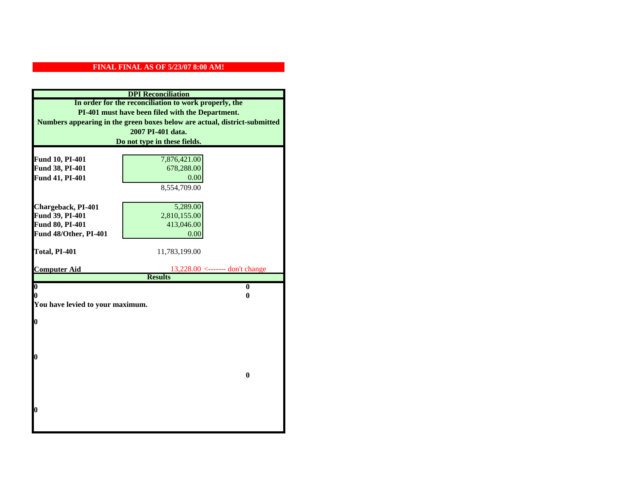| <b>DPI</b> Reconciliation                                                                                                                                                              |                                                             |  |  |                              |
|----------------------------------------------------------------------------------------------------------------------------------------------------------------------------------------|-------------------------------------------------------------|--|--|------------------------------|
| In order for the reconciliation to work properly, the<br>PI-401 must have been filed with the Department.<br>Numbers appearing in the green boxes below are actual, district-submitted |                                                             |  |  |                              |
|                                                                                                                                                                                        |                                                             |  |  | 2007 PI-401 data.            |
|                                                                                                                                                                                        |                                                             |  |  | Do not type in these fields. |
|                                                                                                                                                                                        |                                                             |  |  |                              |
| Fund 10, PI-401                                                                                                                                                                        | 7,876,421.00                                                |  |  |                              |
| Fund 38, PI-401                                                                                                                                                                        | 678,288.00                                                  |  |  |                              |
| Fund 41, PI-401                                                                                                                                                                        | 0.00                                                        |  |  |                              |
|                                                                                                                                                                                        | 8,554,709.00                                                |  |  |                              |
|                                                                                                                                                                                        |                                                             |  |  |                              |
| Chargeback, PI-401                                                                                                                                                                     | 5,289.00                                                    |  |  |                              |
| Fund 39, PI-401                                                                                                                                                                        | 2,810,155.00                                                |  |  |                              |
| Fund 80, PI-401                                                                                                                                                                        | 413,046.00                                                  |  |  |                              |
| Fund 48/Other, PI-401                                                                                                                                                                  | 0.00                                                        |  |  |                              |
|                                                                                                                                                                                        |                                                             |  |  |                              |
| Total, PI-401                                                                                                                                                                          | 11,783,199.00                                               |  |  |                              |
| <b>Computer Aid</b>                                                                                                                                                                    |                                                             |  |  |                              |
|                                                                                                                                                                                        | <u>13,228.00 &lt;------- don't change</u><br><b>Results</b> |  |  |                              |
| $\overline{\mathbf{0}}$                                                                                                                                                                | $\bf{0}$                                                    |  |  |                              |
| 0                                                                                                                                                                                      | 0                                                           |  |  |                              |
| You have levied to your maximum.                                                                                                                                                       |                                                             |  |  |                              |
|                                                                                                                                                                                        |                                                             |  |  |                              |
| 0                                                                                                                                                                                      |                                                             |  |  |                              |
|                                                                                                                                                                                        |                                                             |  |  |                              |
|                                                                                                                                                                                        |                                                             |  |  |                              |
|                                                                                                                                                                                        |                                                             |  |  |                              |
| 0                                                                                                                                                                                      |                                                             |  |  |                              |
|                                                                                                                                                                                        |                                                             |  |  |                              |
|                                                                                                                                                                                        | $\bf{0}$                                                    |  |  |                              |
|                                                                                                                                                                                        |                                                             |  |  |                              |
|                                                                                                                                                                                        |                                                             |  |  |                              |
| 0                                                                                                                                                                                      |                                                             |  |  |                              |
|                                                                                                                                                                                        |                                                             |  |  |                              |
|                                                                                                                                                                                        |                                                             |  |  |                              |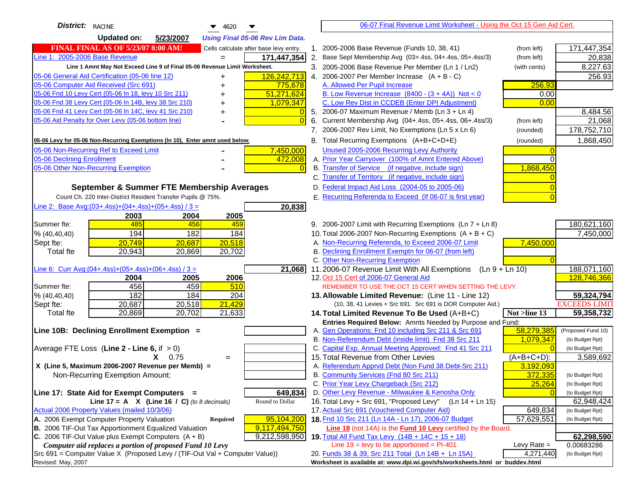| District: RACINE<br>▼<br>4620                                                       | 06-07 Final Revenue Limit Worksheet - Using the Oct 15 Gen Aid Cert.                                                      |                                    |
|-------------------------------------------------------------------------------------|---------------------------------------------------------------------------------------------------------------------------|------------------------------------|
| <b>Updated on:</b><br>5/23/2007<br><b>Using Final 05-06 Rev Lim Data.</b>           |                                                                                                                           |                                    |
| <b>FINAL FINAL AS OF 5/23/07 8:00 AM!</b><br>Cells calculate after base levy entry. | 2005-2006 Base Revenue (Funds 10, 38, 41)<br>1.<br>(from left)                                                            | 171,447,354                        |
| Line 1: 2005-2006 Base Revenue<br>171,447,354<br>$=$                                | 2.<br>Base Sept Membership Avg (03+.4ss, 04+.4ss, 05+.4ss/3)<br>(from left)                                               | 20,838                             |
| Line 1 Amnt May Not Exceed Line 9 of Final 05-06 Revenue Limit Worksheet.           | 3. 2005-2006 Base Revenue Per Member (Ln 1 / Ln2)<br>(with cents)                                                         | 8,227.63                           |
| 126,242,713<br>05-06 General Aid Certification (05-06 line 12)<br>+                 | 4. 2006-2007 Per Member Increase $(A + B - C)$                                                                            | 256.93                             |
| 05-06 Computer Aid Received (Src 691)<br>775,678<br>+                               | 256.93<br>A. Allowed Per Pupil Increase                                                                                   |                                    |
| 05-06 Fnd 10 Levy Cert (05-06 In 18, levy 10 Src 211)<br>51,271,624<br>+            | B. Low Revenue Increase $(8400 - (3 + 4A))$ Not < 0<br>0.00                                                               |                                    |
| 05-06 Fnd 38 Levy Cert (05-06 In 14B, levy 38 Src 210)<br>1,079,347<br>+            | C. Low Rev Dist in CCDEB (Enter DPI Adjustment)<br>0.00                                                                   |                                    |
| 05-06 Fnd 41 Levy Cert (05-06 In 14C, levy 41 Src 210)<br>+                         | 5. 2006-07 Maximum Revenue / Memb (Ln 3 + Ln 4)                                                                           | 8,484.56                           |
| 05-06 Aid Penalty for Over Levy (05-06 bottom line)<br>$\Omega$                     | Current Membership Avg (04+.4ss, 05+.4ss, 06+.4ss/3)<br>6.<br>(from left)                                                 | 21,068                             |
|                                                                                     | 7. 2006-2007 Rev Limit, No Exemptions (Ln 5 x Ln 6)<br>(rounded)                                                          | 178,752,710                        |
| 05-06 Levy for 05-06 Non-Recurring Exemptions (In 10), Enter amnt used below.       | 8. Total Recurring Exemptions (A+B+C+D+E)<br>(rounded)                                                                    | 1,868,450                          |
| 05-06 Non-Recurring Ref to Exceed Limit<br>7,450,000                                | Unused 2005-2006 Recurring Levy Authority                                                                                 |                                    |
| 05-06 Declining Enrollment<br>472,008                                               | A. Prior Year Carryover (100% of Amnt Entered Above)                                                                      |                                    |
| 05-06 Other Non-Recurring Exemption                                                 | B. Transfer of Service (if negative, include sign)<br>1,868,450                                                           |                                    |
|                                                                                     | C. Transfer of Territory (if negative, include sign)                                                                      |                                    |
| September & Summer FTE Membership Averages                                          | D. Federal Impact Aid Loss (2004-05 to 2005-06)                                                                           |                                    |
| Count Ch. 220 Inter-District Resident Transfer Pupils @ 75%.                        | E. Recurring Referenda to Exceed (If 06-07 is first year)                                                                 |                                    |
| Line 2: Base Avg: $(03+.4ss)+(04+.4ss)+(05+.4ss)/3 =$<br>20,838                     |                                                                                                                           |                                    |
| 2003<br>2004<br>2005                                                                |                                                                                                                           |                                    |
| 485<br>456<br>Summer fte:<br>459                                                    | 9. 2006-2007 Limit with Recurring Exemptions (Ln 7 + Ln 8)                                                                | 180,621,160                        |
| 194<br>182<br>% (40, 40, 40)<br>184                                                 | 10. Total 2006-2007 Non-Recurring Exemptions $(A + B + C)$                                                                | 7,450,000                          |
| 20,687<br>20,518<br>20,749<br>Sept fte:                                             | A. Non-Recurring Referenda, to Exceed 2006-07 Limit<br>7,450,000                                                          |                                    |
| <b>Total fte</b><br>20,943<br>20,702<br>20,869                                      | B. Declining Enrollment Exemptn for 06-07 (from left)                                                                     |                                    |
|                                                                                     | C. Other Non-Recurring Exemption                                                                                          |                                    |
| Line 6: Curr Avg: $(04+.4ss)+(05+.4ss)+(06+.4ss)/3 =$<br>21,068                     | 11.2006-07 Revenue Limit With All Exemptions $(Ln 9 + Ln 10)$                                                             | 188,071,160                        |
| 2005<br>2006<br>2004                                                                | 12. Oct 15 Cert of 2006-07 General Aid                                                                                    | 128,746,366                        |
| 456<br>459<br>Summer fte:<br>510                                                    | REMEMBER TO USE THE OCT 15 CERT WHEN SETTING THE LEVY.                                                                    |                                    |
| 182<br>% (40, 40, 40)<br>184<br>204                                                 | 13. Allowable Limited Revenue: (Line 11 - Line 12)                                                                        | 59,324,794<br><b>EXCEEDS LIMIT</b> |
| 21,429<br>20,518<br>Sept fte:<br>20,687<br>20,702                                   | (10, 38, 41 Levies + Src 691. Src 691 is DOR Computer Aid.)                                                               | 59,358,732                         |
| 20,869<br>21,633<br><b>Total fte</b>                                                | 14. Total Limited Revenue To Be Used (A+B+C)<br>Not >line 13<br>Entries Required Below: Amnts Needed by Purpose and Fund: |                                    |
| Line 10B: Declining Enrollment Exemption =                                          | 58,279,385<br>A. Gen Operations: Fnd 10 including Src 211 & Src 691                                                       | (Proposed Fund 10)                 |
|                                                                                     | B. Non-Referendum Debt (inside limit) Fnd 38 Src 211<br>1,079,347                                                         | (to Budget Rpt)                    |
| Average FTE Loss (Line $2 -$ Line 6, if $> 0$ )                                     | C. Capital Exp, Annual Meeting Approved: Fnd 41 Src 211                                                                   | (to Budget Rpt)                    |
| $X = 0.75$<br>$=$                                                                   | 15. Total Revenue from Other Levies<br>$(A+B+C+D)$ :                                                                      | 3,589,692                          |
| X (Line 5, Maximum 2006-2007 Revenue per Memb) =                                    | A. Referendum Apprvd Debt (Non Fund 38 Debt-Src 211)<br>3,192,093                                                         |                                    |
| Non-Recurring Exemption Amount:                                                     | B. Community Services (Fnd 80 Src 211)<br>372,335                                                                         | (to Budget Rpt)                    |
|                                                                                     | C. Prior Year Levy Chargeback (Src 212)<br>25,264                                                                         | (to Budget Rpt)                    |
| 649,834<br>Line 17: State Aid for Exempt Computers =                                | D. Other Levy Revenue - Milwaukee & Kenosha Only                                                                          | (to Budget Rpt)                    |
| Round to Dollar<br>Line 17 = A $X$ (Line 16 / C) (to 8 decimals)                    | 16. Total Levy + Src 691, "Proposed Levy"<br>(Ln 14 + Ln 15)                                                              | 62,948,424                         |
| Actual 2006 Property Values (mailed 10/3/06)                                        | 17. Actual Src 691 (Vouchered Computer Aid)<br>649,834                                                                    | (to Budget Rpt)                    |
| A. 2006 Exempt Computer Property Valuation<br>95,104,200<br><b>Required</b>         | 18. Fnd 10 Src 211 (Ln 14A - Ln 17), 2006-07 Budget<br>57,629,551                                                         | (to Budget Rpt)                    |
| B. 2006 TIF-Out Tax Apportionment Equalized Valuation<br>9,117,494,750              | Line 18 (not 14A) is the Fund 10 Levy certified by the Board.                                                             |                                    |
| C. 2006 TIF-Out Value plus Exempt Computers $(A + B)$<br>9,212,598,950              | 19. Total All Fund Tax Levy (14B + 14C + 15 + 18)                                                                         | 62,298,590                         |
| Computer aid replaces a portion of proposed Fund 10 Levy                            | Line $19$ = levy to be apportioned = PI-401<br>Levy Rate $=$                                                              | 0.00683286                         |
| $Src 691$ = Computer Value X (Proposed Levy / (TIF-Out Val + Computer Value))       | 20. Funds 38 & 39, Src 211 Total (Ln 14B + Ln 15A)<br>4,271,440                                                           | (to Budget Rpt)                    |
| Revised: May, 2007                                                                  | Worksheet is available at: www.dpi.wi.gov/sfs/worksheets.html or buddev.html                                              |                                    |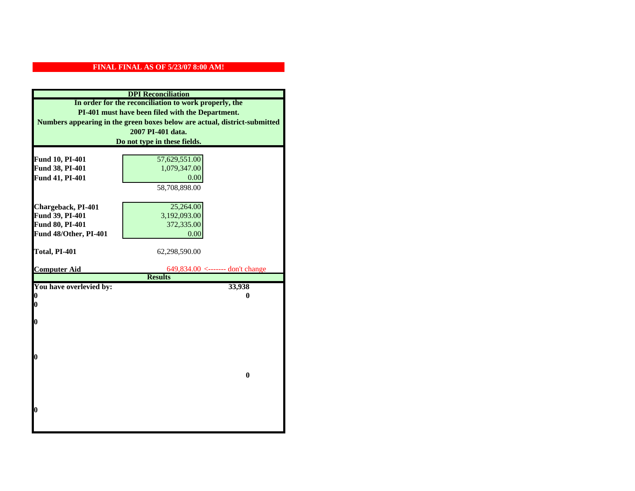| <b>DPI</b> Reconciliation                                                                                                                                                              |                                  |  |                              |
|----------------------------------------------------------------------------------------------------------------------------------------------------------------------------------------|----------------------------------|--|------------------------------|
| In order for the reconciliation to work properly, the<br>PI-401 must have been filed with the Department.<br>Numbers appearing in the green boxes below are actual, district-submitted |                                  |  |                              |
|                                                                                                                                                                                        |                                  |  | 2007 PI-401 data.            |
|                                                                                                                                                                                        |                                  |  | Do not type in these fields. |
|                                                                                                                                                                                        |                                  |  |                              |
| Fund 10, PI-401                                                                                                                                                                        | 57,629,551.00                    |  |                              |
| Fund 38, PI-401                                                                                                                                                                        | 1,079,347.00                     |  |                              |
| Fund 41, PI-401                                                                                                                                                                        | 0.00                             |  |                              |
|                                                                                                                                                                                        | 58,708,898.00                    |  |                              |
|                                                                                                                                                                                        |                                  |  |                              |
| Chargeback, PI-401                                                                                                                                                                     | 25,264.00                        |  |                              |
| Fund 39, PI-401                                                                                                                                                                        | 3,192,093.00                     |  |                              |
| Fund 80, PI-401                                                                                                                                                                        | 372,335.00                       |  |                              |
| Fund 48/Other, PI-401                                                                                                                                                                  | 0.00                             |  |                              |
|                                                                                                                                                                                        |                                  |  |                              |
| Total, PI-401                                                                                                                                                                          | 62,298,590.00                    |  |                              |
| <b>Computer Aid</b>                                                                                                                                                                    | 649,834.00 <------- don't change |  |                              |
|                                                                                                                                                                                        | <b>Results</b>                   |  |                              |
| You have overlevied by:                                                                                                                                                                | 33,938                           |  |                              |
| 0                                                                                                                                                                                      | 0                                |  |                              |
| 0                                                                                                                                                                                      |                                  |  |                              |
|                                                                                                                                                                                        |                                  |  |                              |
| $\boldsymbol{0}$                                                                                                                                                                       |                                  |  |                              |
|                                                                                                                                                                                        |                                  |  |                              |
|                                                                                                                                                                                        |                                  |  |                              |
| 0                                                                                                                                                                                      |                                  |  |                              |
|                                                                                                                                                                                        |                                  |  |                              |
|                                                                                                                                                                                        | $\bf{0}$                         |  |                              |
|                                                                                                                                                                                        |                                  |  |                              |
|                                                                                                                                                                                        |                                  |  |                              |
|                                                                                                                                                                                        |                                  |  |                              |
| 0                                                                                                                                                                                      |                                  |  |                              |
|                                                                                                                                                                                        |                                  |  |                              |
|                                                                                                                                                                                        |                                  |  |                              |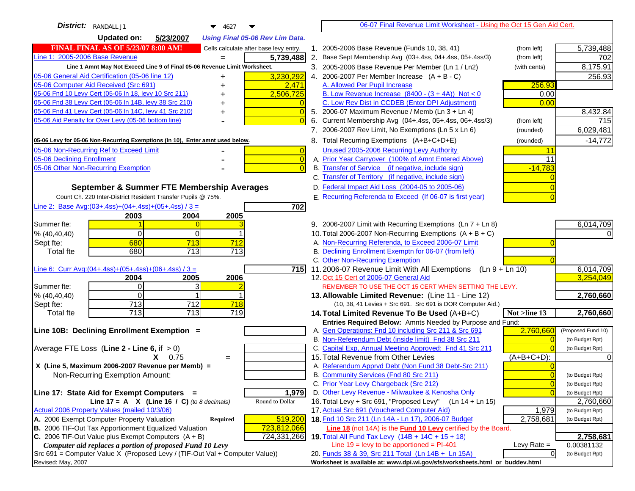| District: RANDALL J1<br>$\blacktriangledown$ 4627                                                                                         | 06-07 Final Revenue Limit Worksheet - Using the Oct 15 Gen Aid Cert.                                                                                        |           |
|-------------------------------------------------------------------------------------------------------------------------------------------|-------------------------------------------------------------------------------------------------------------------------------------------------------------|-----------|
| <b>Updated on:</b><br>5/23/2007<br><b>Using Final 05-06 Rev Lim Data.</b>                                                                 |                                                                                                                                                             |           |
| <b>FINAL FINAL AS OF 5/23/07 8:00 AM!</b><br>Cells calculate after base levy entry.                                                       | 1. 2005-2006 Base Revenue (Funds 10, 38, 41)<br>5,739,488<br>(from left)                                                                                    |           |
| Line 1: 2005-2006 Base Revenue<br>5,739,488                                                                                               | 2. Base Sept Membership Avg (03+.4ss, 04+.4ss, 05+.4ss/3)<br>(from left)                                                                                    | 702       |
| Line 1 Amnt May Not Exceed Line 9 of Final 05-06 Revenue Limit Worksheet.                                                                 | 8,175.91<br>3. 2005-2006 Base Revenue Per Member (Ln 1 / Ln2)<br>(with cents)                                                                               |           |
| 3,230,292<br>05-06 General Aid Certification (05-06 line 12)                                                                              | 4. 2006-2007 Per Member Increase $(A + B - C)$                                                                                                              | 256.93    |
| 05-06 Computer Aid Received (Src 691)<br>2,471                                                                                            | A. Allowed Per Pupil Increase<br>256.93                                                                                                                     |           |
| 05-06 Fnd 10 Levy Cert (05-06 In 18, levy 10 Src 211)<br>2,506,725                                                                        | B. Low Revenue Increase $(8400 - (3 + 4A))$ Not < 0<br>0.00                                                                                                 |           |
| 05-06 Fnd 38 Levy Cert (05-06 In 14B, levy 38 Src 210)                                                                                    | C. Low Rev Dist in CCDEB (Enter DPI Adjustment)<br>0.00                                                                                                     |           |
| 05-06 Fnd 41 Levy Cert (05-06 In 14C, levy 41 Src 210)<br>0<br>+                                                                          | 5. 2006-07 Maximum Revenue / Memb (Ln 3 + Ln 4)                                                                                                             | 8,432.84  |
| 05-06 Aid Penalty for Over Levy (05-06 bottom line)                                                                                       | 6. Current Membership Avg (04+.4ss, 05+.4ss, 06+.4ss/3)<br>(from left)                                                                                      | 715       |
|                                                                                                                                           | 6,029,481<br>7. 2006-2007 Rev Limit, No Exemptions (Ln 5 x Ln 6)<br>(rounded)                                                                               |           |
| 05-06 Levy for 05-06 Non-Recurring Exemptions (In 10), Enter amnt used below.                                                             | 8. Total Recurring Exemptions (A+B+C+D+E)<br>(rounded)                                                                                                      | $-14,772$ |
| 05-06 Non-Recurring Ref to Exceed Limit<br>$\overline{0}$                                                                                 | Unused 2005-2006 Recurring Levy Authority<br>11                                                                                                             |           |
| 05-06 Declining Enrollment<br>$\overline{0}$                                                                                              | A. Prior Year Carryover (100% of Amnt Entered Above)<br>11                                                                                                  |           |
| 05-06 Other Non-Recurring Exemption                                                                                                       | B. Transfer of Service (if negative, include sign)<br>$-14,783$                                                                                             |           |
|                                                                                                                                           | C. Transfer of Territory (if negative, include sign)                                                                                                        |           |
| September & Summer FTE Membership Averages                                                                                                | D. Federal Impact Aid Loss (2004-05 to 2005-06)                                                                                                             |           |
| Count Ch. 220 Inter-District Resident Transfer Pupils @ 75%.                                                                              | E. Recurring Referenda to Exceed (If 06-07 is first year)                                                                                                   |           |
| Line 2: Base Avg: (03+.4ss) + (04+.4ss) + (05+.4ss) / 3 =<br>702                                                                          |                                                                                                                                                             |           |
| 2003<br>2004<br>2005                                                                                                                      |                                                                                                                                                             |           |
| Summer fte:                                                                                                                               | 6,014,709<br>9. 2006-2007 Limit with Recurring Exemptions (Ln 7 + Ln 8)                                                                                     |           |
| $\Omega$<br>0<br>% (40, 40, 40)                                                                                                           | 10. Total 2006-2007 Non-Recurring Exemptions $(A + B + C)$                                                                                                  |           |
| 680<br>713<br>712<br>Sept fte:                                                                                                            | A. Non-Recurring Referenda, to Exceed 2006-07 Limit                                                                                                         |           |
| 680<br>$\overline{713}$<br>713<br>Total fte                                                                                               | B. Declining Enrollment Exemptn for 06-07 (from left)                                                                                                       |           |
|                                                                                                                                           | C. Other Non-Recurring Exemption                                                                                                                            |           |
| Line 6: Curr Avg: $(04+.4ss)+(05+.4ss)+(06+.4ss)/3 =$<br>715                                                                              | 11.2006-07 Revenue Limit With All Exemptions (Ln 9 + Ln 10)<br>6,014,709<br>3,254,049                                                                       |           |
| 2005<br>2006<br>2004<br>$\Omega$<br>3<br>Summer fte:                                                                                      | 12. Oct 15 Cert of 2006-07 General Aid<br>REMEMBER TO USE THE OCT 15 CERT WHEN SETTING THE LEVY.                                                            |           |
| % (40, 40, 40)<br>$\Omega$                                                                                                                | 2,760,660<br>13. Allowable Limited Revenue: (Line 11 - Line 12)                                                                                             |           |
| 713<br>712<br>718<br>Sept fte:                                                                                                            | (10, 38, 41 Levies + Src 691. Src 691 is DOR Computer Aid.)                                                                                                 |           |
| 713<br>713<br>719<br><b>Total fte</b>                                                                                                     | 2,760,660<br>14. Total Limited Revenue To Be Used (A+B+C)<br>Not >line 13                                                                                   |           |
|                                                                                                                                           | Entries Required Below: Amnts Needed by Purpose and Fund:                                                                                                   |           |
| Line 10B: Declining Enrollment Exemption =                                                                                                | A. Gen Operations: Fnd 10 including Src 211 & Src 691<br>2,760,660<br>(Proposed Fund 10)                                                                    |           |
|                                                                                                                                           | B. Non-Referendum Debt (inside limit) Fnd 38 Src 211<br>$\Omega$<br>(to Budget Rpt)                                                                         |           |
| Average FTE Loss (Line $2 -$ Line 6, if $> 0$ )                                                                                           | C. Capital Exp, Annual Meeting Approved: Fnd 41 Src 211<br>(to Budget Rpt)                                                                                  |           |
| $X = 0.75$<br>$=$                                                                                                                         | 15. Total Revenue from Other Levies<br>(A+B+C+D):                                                                                                           |           |
| X (Line 5, Maximum 2006-2007 Revenue per Memb) =                                                                                          | A. Referendum Apprvd Debt (Non Fund 38 Debt-Src 211)                                                                                                        |           |
| Non-Recurring Exemption Amount:                                                                                                           | B. Community Services (Fnd 80 Src 211)<br>$\overline{0}$<br>(to Budget Rpt)                                                                                 |           |
|                                                                                                                                           | C. Prior Year Levy Chargeback (Src 212)<br>$\overline{0}$<br>(to Budget Rpt)                                                                                |           |
| 1,979<br>Line 17: State Aid for Exempt Computers =                                                                                        | D. Other Levy Revenue - Milwaukee & Kenosha Only<br>$\overline{0}$<br>(to Budget Rpt)                                                                       |           |
| Round to Dollar<br>Line 17 = A $X$ (Line 16 / C) (to 8 decimals)                                                                          | 16. Total Levy + Src 691, "Proposed Levy"<br>(Ln 14 + Ln 15)<br>2,760,660                                                                                   |           |
| Actual 2006 Property Values (mailed 10/3/06)                                                                                              | 17. Actual Src 691 (Vouchered Computer Aid)<br>1,979<br>(to Budget Rpt)                                                                                     |           |
| A. 2006 Exempt Computer Property Valuation<br>519,200<br>Required<br>B. 2006 TIF-Out Tax Apportionment Equalized Valuation<br>723,812,066 | 18. Fnd 10 Src 211 (Ln 14A - Ln 17), 2006-07 Budget<br>2,758,681<br>(to Budget Rpt)<br>Line 18 (not 14A) is the <b>Fund 10 Levy</b> certified by the Board. |           |
| C. 2006 TIF-Out Value plus Exempt Computers $(A + B)$<br>724,331,266                                                                      | 2,758,681<br>19. Total All Fund Tax Levy (14B + 14C + 15 + 18)                                                                                              |           |
| Computer aid replaces a portion of proposed Fund 10 Levy                                                                                  | Line $19 = \text{levy}$ to be apportioned = PI-401<br>Levy Rate $=$<br>0.00381132                                                                           |           |
| $Src691$ = Computer Value X (Proposed Levy / (TIF-Out Val + Computer Value))                                                              | 20. Funds 38 & 39, Src 211 Total (Ln 14B + Ln 15A)<br>$\overline{0}$<br>(to Budget Rpt)                                                                     |           |
| Revised: May, 2007                                                                                                                        | Worksheet is available at: www.dpi.wi.gov/sfs/worksheets.html or buddev.html                                                                                |           |
|                                                                                                                                           |                                                                                                                                                             |           |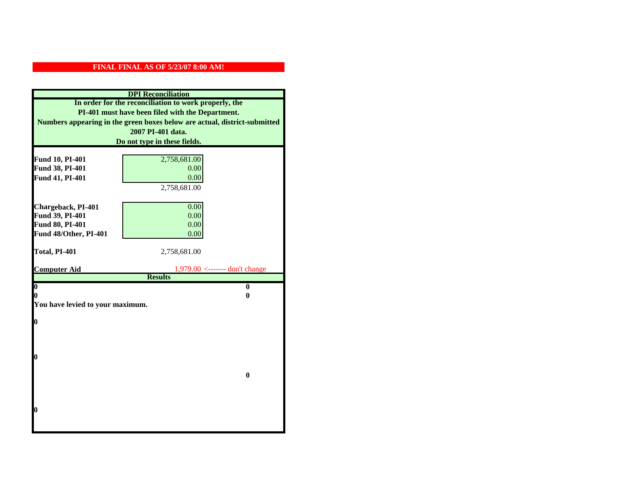| <b>DPI</b> Reconciliation                                                                                                     |                                  |  |  |
|-------------------------------------------------------------------------------------------------------------------------------|----------------------------------|--|--|
| In order for the reconciliation to work properly, the                                                                         |                                  |  |  |
| PI-401 must have been filed with the Department.<br>Numbers appearing in the green boxes below are actual, district-submitted |                                  |  |  |
|                                                                                                                               |                                  |  |  |
|                                                                                                                               | Do not type in these fields.     |  |  |
|                                                                                                                               |                                  |  |  |
| Fund 10, PI-401<br>Fund 38, PI-401                                                                                            | 2,758,681.00<br>0.00             |  |  |
| Fund 41, PI-401                                                                                                               | 0.00                             |  |  |
|                                                                                                                               | 2,758,681.00                     |  |  |
|                                                                                                                               |                                  |  |  |
| Chargeback, PI-401                                                                                                            | 0.00                             |  |  |
| Fund 39, PI-401                                                                                                               | 0.00                             |  |  |
| Fund 80, PI-401                                                                                                               | 0.00                             |  |  |
| Fund 48/Other, PI-401                                                                                                         | 0.00                             |  |  |
|                                                                                                                               |                                  |  |  |
| Total, PI-401                                                                                                                 | 2,758,681.00                     |  |  |
| <b>Computer Aid</b>                                                                                                           | $1,979.00$ <------- don't change |  |  |
|                                                                                                                               | <b>Results</b>                   |  |  |
|                                                                                                                               |                                  |  |  |
| $\boldsymbol{0}$                                                                                                              | $\bf{0}$                         |  |  |
| 0                                                                                                                             | 0                                |  |  |
| You have levied to your maximum.                                                                                              |                                  |  |  |
|                                                                                                                               |                                  |  |  |
| $\bf{0}$                                                                                                                      |                                  |  |  |
|                                                                                                                               |                                  |  |  |
|                                                                                                                               |                                  |  |  |
| l0                                                                                                                            |                                  |  |  |
|                                                                                                                               |                                  |  |  |
|                                                                                                                               | $\bf{0}$                         |  |  |
|                                                                                                                               |                                  |  |  |
|                                                                                                                               |                                  |  |  |
|                                                                                                                               |                                  |  |  |
| $\boldsymbol{0}$                                                                                                              |                                  |  |  |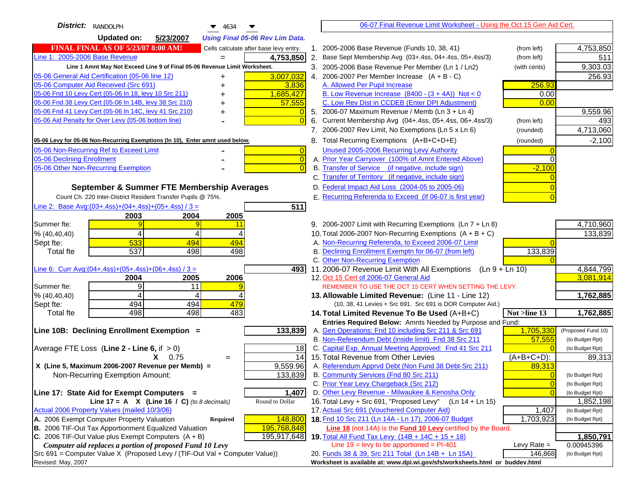| District: RANDOLPH<br>4634                                                                                 |                | 06-07 Final Revenue Limit Worksheet - Using the Oct 15 Gen Aid Cert.                           |                |                    |
|------------------------------------------------------------------------------------------------------------|----------------|------------------------------------------------------------------------------------------------|----------------|--------------------|
| <b>Updated on:</b><br>5/23/2007<br><b>Using Final 05-06 Rev Lim Data.</b>                                  |                |                                                                                                |                |                    |
| <b>FINAL FINAL AS OF 5/23/07 8:00 AM!</b><br>Cells calculate after base levy entry.                        |                | 1. 2005-2006 Base Revenue (Funds 10, 38, 41)                                                   | (from left)    | 4,753,850          |
| Line 1: 2005-2006 Base Revenue<br>4,753,850<br>$=$                                                         |                | 2. Base Sept Membership Avg (03+.4ss, 04+.4ss, 05+.4ss/3)                                      | (from left)    | 511                |
| Line 1 Amnt May Not Exceed Line 9 of Final 05-06 Revenue Limit Worksheet.                                  |                | 3. 2005-2006 Base Revenue Per Member (Ln 1 / Ln2)                                              | (with cents)   | 9,303.03           |
| 3,007,032<br>05-06 General Aid Certification (05-06 line 12)<br>+                                          |                | 4. 2006-2007 Per Member Increase $(A + B - C)$                                                 |                | 256.93             |
| 05-06 Computer Aid Received (Src 691)<br>3,836                                                             |                | A. Allowed Per Pupil Increase                                                                  | 256.93         |                    |
| 05-06 Fnd 10 Levy Cert (05-06 In 18, levy 10 Src 211)<br>1,685,427                                         |                | B. Low Revenue Increase $(8400 - (3 + 4A))$ Not < 0                                            | 0.00           |                    |
| 05-06 Fnd 38 Levy Cert (05-06 In 14B, levy 38 Src 210)<br>57,555                                           |                | C. Low Rev Dist in CCDEB (Enter DPI Adjustment)                                                | 0.00           |                    |
| 05-06 Fnd 41 Levy Cert (05-06 In 14C, levy 41 Src 210)<br>+                                                |                | 5. 2006-07 Maximum Revenue / Memb (Ln 3 + Ln 4)                                                |                | 9,559.96           |
| 05-06 Aid Penalty for Over Levy (05-06 bottom line)                                                        |                | 6. Current Membership Avg (04+.4ss, 05+.4ss, 06+.4ss/3)                                        | (from left)    | 493                |
|                                                                                                            |                | 7. 2006-2007 Rev Limit, No Exemptions (Ln 5 x Ln 6)                                            | (rounded)      | 4,713,060          |
| 05-06 Levy for 05-06 Non-Recurring Exemptions (In 10), Enter amnt used below.                              |                | 8. Total Recurring Exemptions (A+B+C+D+E)                                                      | (rounded)      | $-2,100$           |
| 05-06 Non-Recurring Ref to Exceed Limit                                                                    | $\overline{0}$ | Unused 2005-2006 Recurring Levy Authority                                                      |                |                    |
| 05-06 Declining Enrollment                                                                                 | $\overline{0}$ | A. Prior Year Carryover (100% of Amnt Entered Above)                                           |                |                    |
| 05-06 Other Non-Recurring Exemption                                                                        | $\sqrt{ }$     | B. Transfer of Service (if negative, include sign)                                             | $-2,100$       |                    |
|                                                                                                            |                | C. Transfer of Territory (if negative, include sign)                                           |                |                    |
| September & Summer FTE Membership Averages                                                                 |                | D. Federal Impact Aid Loss (2004-05 to 2005-06)                                                |                |                    |
| Count Ch. 220 Inter-District Resident Transfer Pupils @ 75%.                                               |                | E. Recurring Referenda to Exceed (If 06-07 is first year)                                      |                |                    |
| Line 2: Base Avg: $(03+.4ss)+(04+.4ss)+(05+.4ss)/3 =$<br>511                                               |                |                                                                                                |                |                    |
| 2003<br>2004<br>2005                                                                                       |                |                                                                                                |                |                    |
| Summer fte:<br>9<br>11                                                                                     |                | 9. 2006-2007 Limit with Recurring Exemptions (Ln 7 + Ln 8)                                     |                | 4,710,960          |
| 4<br>% (40, 40, 40)<br>4                                                                                   |                | 10. Total 2006-2007 Non-Recurring Exemptions $(A + B + C)$                                     |                | 133,839            |
| 533<br>494<br>494<br>Sept fte:                                                                             |                | A. Non-Recurring Referenda, to Exceed 2006-07 Limit                                            |                |                    |
| 537<br>498<br>498<br><b>Total fte</b>                                                                      |                | B. Declining Enrollment Exemptn for 06-07 (from left)<br>C. Other Non-Recurring Exemption      | 133,839        |                    |
| Line 6: Curr Avg: $(04+.4ss)+(05+.4ss)+(06+.4ss)/3 =$<br>4931                                              |                | 11.2006-07 Revenue Limit With All Exemptions (Ln 9 + Ln 10)                                    |                | 4,844,799          |
| 2006<br>2004<br>2005                                                                                       |                | 12. Oct 15 Cert of 2006-07 General Aid                                                         |                | 3,081,914          |
| 9<br>Summer fte:<br>11                                                                                     |                | REMEMBER TO USE THE OCT 15 CERT WHEN SETTING THE LEVY.                                         |                |                    |
| % (40, 40, 40)<br>4<br>4                                                                                   |                | 13. Allowable Limited Revenue: (Line 11 - Line 12)                                             |                | 1,762,885          |
| 494<br>494<br>479<br>Sept fte:                                                                             |                | (10, 38, 41 Levies + Src 691. Src 691 is DOR Computer Aid.)                                    |                |                    |
| 498<br>498<br>483<br><b>Total fte</b>                                                                      |                | 14. Total Limited Revenue To Be Used (A+B+C)                                                   | Not >line 13   | 1,762,885          |
|                                                                                                            |                | Entries Required Below: Amnts Needed by Purpose and Fund:                                      |                |                    |
| 133,839<br>Line 10B: Declining Enrollment Exemption =                                                      |                | A. Gen Operations: Fnd 10 including Src 211 & Src 691                                          | 1,705,330      | (Proposed Fund 10) |
|                                                                                                            |                | B. Non-Referendum Debt (inside limit) Fnd 38 Src 211                                           | 57,555         | (to Budget Rpt)    |
| Average FTE Loss (Line $2 -$ Line 6, if $> 0$ )<br>18                                                      |                | C. Capital Exp, Annual Meeting Approved: Fnd 41 Src 211                                        |                | (to Budget Rpt)    |
| 14<br>$X = 0.75$<br>$=$                                                                                    |                | 15. Total Revenue from Other Levies                                                            | $(A+B+C+D)$ :  | 89,313             |
| X (Line 5, Maximum 2006-2007 Revenue per Memb) =<br>9,559.96<br>133,839<br>Non-Recurring Exemption Amount: |                | A. Referendum Apprvd Debt (Non Fund 38 Debt-Src 211)<br>B. Community Services (Fnd 80 Src 211) | 89,313         | (to Budget Rpt)    |
|                                                                                                            |                | C. Prior Year Levy Chargeback (Src 212)                                                        | $\overline{0}$ | (to Budget Rpt)    |
| Line 17: State Aid for Exempt Computers =<br>1,407                                                         |                | D. Other Levy Revenue - Milwaukee & Kenosha Only                                               |                | (to Budget Rpt)    |
| Round to Dollar<br>Line 17 = A $X$ (Line 16 / C) (to 8 decimals)                                           |                | 16. Total Levy + Src 691, "Proposed Levy"<br>(Ln 14 + Ln 15)                                   |                | 1,852,198          |
| Actual 2006 Property Values (mailed 10/3/06)                                                               |                | 17. Actual Src 691 (Vouchered Computer Aid)                                                    | 1,407          | (to Budget Rpt)    |
| A. 2006 Exempt Computer Property Valuation<br>148,800<br>Required                                          |                | 18. Fnd 10 Src 211 (Ln 14A - Ln 17), 2006-07 Budget                                            | 1,703,923      | (to Budget Rpt)    |
| B. 2006 TIF-Out Tax Apportionment Equalized Valuation<br>195,768,848                                       |                | <b>Line 18</b> (not 14A) is the <b>Fund 10 Levy</b> certified by the Board.                    |                |                    |
| C. 2006 TIF-Out Value plus Exempt Computers $(A + B)$<br>195,917,648                                       |                | 19. Total All Fund Tax Levy $(14B + 14C + 15 + 18)$                                            |                | 1,850,791          |
| Computer aid replaces a portion of proposed Fund 10 Levy                                                   |                | Line $19 = \text{levy}$ to be apportioned = PI-401                                             | Levy Rate $=$  | 0.00945396         |
| Src 691 = Computer Value X (Proposed Levy / (TIF-Out Val + Computer Value))                                |                | 20. Funds 38 & 39, Src 211 Total (Ln 14B + Ln 15A)                                             | 146,868        | (to Budget Rpt)    |
| Revised: May, 2007                                                                                         |                | Worksheet is available at: www.dpi.wi.gov/sfs/worksheets.html or buddev.html                   |                |                    |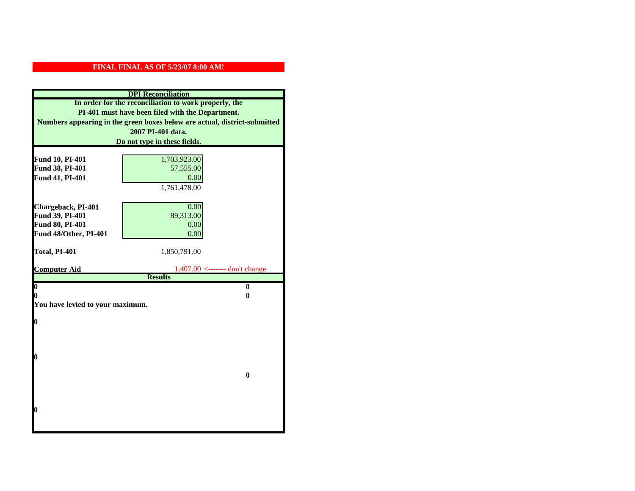| <b>DPI</b> Reconciliation                                                                                                                                                              |                                                    |  |  |                              |
|----------------------------------------------------------------------------------------------------------------------------------------------------------------------------------------|----------------------------------------------------|--|--|------------------------------|
| In order for the reconciliation to work properly, the<br>PI-401 must have been filed with the Department.<br>Numbers appearing in the green boxes below are actual, district-submitted |                                                    |  |  |                              |
|                                                                                                                                                                                        |                                                    |  |  | 2007 PI-401 data.            |
|                                                                                                                                                                                        |                                                    |  |  | Do not type in these fields. |
|                                                                                                                                                                                        |                                                    |  |  |                              |
| Fund 10, PI-401<br>Fund 38, PI-401                                                                                                                                                     | 1,703,923.00<br>57,555.00                          |  |  |                              |
| Fund 41, PI-401                                                                                                                                                                        | 0.00                                               |  |  |                              |
|                                                                                                                                                                                        | 1,761,478.00                                       |  |  |                              |
|                                                                                                                                                                                        |                                                    |  |  |                              |
| Chargeback, PI-401                                                                                                                                                                     | 0.00                                               |  |  |                              |
| Fund 39, PI-401                                                                                                                                                                        | 89,313.00                                          |  |  |                              |
| Fund 80, PI-401                                                                                                                                                                        | 0.00                                               |  |  |                              |
| Fund 48/Other, PI-401                                                                                                                                                                  | 0.00                                               |  |  |                              |
|                                                                                                                                                                                        |                                                    |  |  |                              |
| Total, PI-401                                                                                                                                                                          | 1,850,791.00                                       |  |  |                              |
|                                                                                                                                                                                        |                                                    |  |  |                              |
| <b>Computer Aid</b>                                                                                                                                                                    | $1,407.00$ <------- don't change<br><b>Results</b> |  |  |                              |
| $\boldsymbol{0}$                                                                                                                                                                       | $\bf{0}$                                           |  |  |                              |
| 0                                                                                                                                                                                      | 0                                                  |  |  |                              |
| You have levied to your maximum.                                                                                                                                                       |                                                    |  |  |                              |
|                                                                                                                                                                                        |                                                    |  |  |                              |
| 0                                                                                                                                                                                      |                                                    |  |  |                              |
|                                                                                                                                                                                        |                                                    |  |  |                              |
|                                                                                                                                                                                        |                                                    |  |  |                              |
| 0                                                                                                                                                                                      |                                                    |  |  |                              |
|                                                                                                                                                                                        |                                                    |  |  |                              |
|                                                                                                                                                                                        | $\bf{0}$                                           |  |  |                              |
|                                                                                                                                                                                        |                                                    |  |  |                              |
|                                                                                                                                                                                        |                                                    |  |  |                              |
|                                                                                                                                                                                        |                                                    |  |  |                              |
| 0                                                                                                                                                                                      |                                                    |  |  |                              |
|                                                                                                                                                                                        |                                                    |  |  |                              |
|                                                                                                                                                                                        |                                                    |  |  |                              |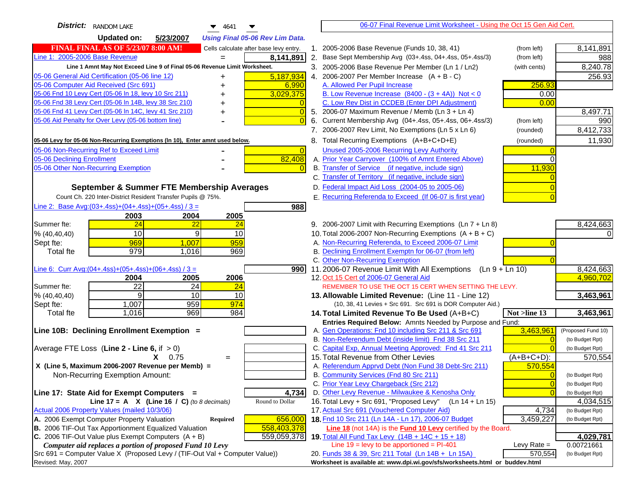| <b>District:</b> RANDOM LAKE<br>$\blacktriangledown$ 4641                                                                               | 06-07 Final Revenue Limit Worksheet - Using the Oct 15 Gen Aid Cert.                                                                 |                               |
|-----------------------------------------------------------------------------------------------------------------------------------------|--------------------------------------------------------------------------------------------------------------------------------------|-------------------------------|
| <b>Updated on:</b><br>5/23/2007<br><b>Using Final 05-06 Rev Lim Data.</b>                                                               |                                                                                                                                      |                               |
| <b>FINAL FINAL AS OF 5/23/07 8:00 AM!</b><br>Cells calculate after base levy entry.                                                     | 1. 2005-2006 Base Revenue (Funds 10, 38, 41)<br>(from left)                                                                          | 8,141,891                     |
| Line 1: 2005-2006 Base Revenue<br>8,141,891                                                                                             | 2. Base Sept Membership Avg (03+.4ss, 04+.4ss, 05+.4ss/3)<br>(from left)                                                             | 988                           |
| Line 1 Amnt May Not Exceed Line 9 of Final 05-06 Revenue Limit Worksheet.                                                               | 3. 2005-2006 Base Revenue Per Member (Ln 1 / Ln2)<br>(with cents)                                                                    | 8,240.78                      |
| 5,187,934<br>05-06 General Aid Certification (05-06 line 12)<br>+                                                                       | 4. 2006-2007 Per Member Increase $(A + B - C)$                                                                                       | 256.93                        |
| 05-06 Computer Aid Received (Src 691)<br>6,990<br>+                                                                                     | A. Allowed Per Pupil Increase<br>256.93                                                                                              |                               |
| 05-06 Fnd 10 Levy Cert (05-06 In 18, levy 10 Src 211)<br>3,029,375                                                                      | B. Low Revenue Increase $(8400 - (3 + 4A))$ Not < 0<br>0.00                                                                          |                               |
| 05-06 Fnd 38 Levy Cert (05-06 In 14B, levy 38 Src 210)                                                                                  | C. Low Rev Dist in CCDEB (Enter DPI Adjustment)<br>0.00                                                                              |                               |
| 05-06 Fnd 41 Levy Cert (05-06 In 14C, levy 41 Src 210)<br>+                                                                             | 5. 2006-07 Maximum Revenue / Memb (Ln 3 + Ln 4)                                                                                      | 8,497.71                      |
| 05-06 Aid Penalty for Over Levy (05-06 bottom line)                                                                                     | 6. Current Membership Avg (04+.4ss, 05+.4ss, 06+.4ss/3)<br>(from left)                                                               | 990                           |
|                                                                                                                                         | 7. 2006-2007 Rev Limit, No Exemptions (Ln 5 x Ln 6)<br>(rounded)                                                                     | 8,412,733                     |
| 05-06 Levy for 05-06 Non-Recurring Exemptions (In 10), Enter amnt used below.                                                           | 8. Total Recurring Exemptions (A+B+C+D+E)<br>(rounded)                                                                               | 11,930                        |
| 05-06 Non-Recurring Ref to Exceed Limit<br>$\overline{0}$                                                                               | Unused 2005-2006 Recurring Levy Authority                                                                                            |                               |
| 05-06 Declining Enrollment<br>82,408                                                                                                    | A. Prior Year Carryover (100% of Amnt Entered Above)                                                                                 |                               |
| 05-06 Other Non-Recurring Exemption                                                                                                     | B. Transfer of Service (if negative, include sign)<br>11,930                                                                         |                               |
|                                                                                                                                         | C. Transfer of Territory (if negative, include sign)                                                                                 |                               |
| September & Summer FTE Membership Averages                                                                                              | D. Federal Impact Aid Loss (2004-05 to 2005-06)                                                                                      |                               |
| Count Ch. 220 Inter-District Resident Transfer Pupils @ 75%.                                                                            | E. Recurring Referenda to Exceed (If 06-07 is first year)                                                                            |                               |
| Line 2: Base Avg: $(03+.4ss)+(04+.4ss)+(05+.4ss)/3 =$<br>988                                                                            |                                                                                                                                      |                               |
| 2003<br>2004<br>2005                                                                                                                    |                                                                                                                                      |                               |
| 24<br>Summer fte:<br>$\overline{22}$<br><u>24</u>                                                                                       | 9. 2006-2007 Limit with Recurring Exemptions (Ln 7 + Ln 8)                                                                           | 8,424,663                     |
| 10<br>9<br>10<br>% (40, 40, 40)                                                                                                         | 10. Total 2006-2007 Non-Recurring Exemptions $(A + B + C)$                                                                           |                               |
| 959<br>969<br>1,007<br>Sept fte:                                                                                                        | A. Non-Recurring Referenda, to Exceed 2006-07 Limit                                                                                  |                               |
| 979<br>969<br><b>Total fte</b><br>1,016                                                                                                 | B. Declining Enrollment Exemptn for 06-07 (from left)                                                                                |                               |
|                                                                                                                                         | C. Other Non-Recurring Exemption                                                                                                     |                               |
| Line 6: Curr Avg: $(04+.4ss)+(05+.4ss)+(06+.4ss)/3 =$<br>9901                                                                           | 11.2006-07 Revenue Limit With All Exemptions (Ln $9 + \overline{\text{Ln }10}$ )                                                     | 8,424,663                     |
| 2006<br>2004<br>2005                                                                                                                    | 12. Oct 15 Cert of 2006-07 General Aid                                                                                               | 4,960,702                     |
| 22<br>24<br>Summer fte:<br>24                                                                                                           | REMEMBER TO USE THE OCT 15 CERT WHEN SETTING THE LEVY.                                                                               |                               |
| 9<br>10<br>10<br>% (40, 40, 40)<br>959<br>974                                                                                           | 13. Allowable Limited Revenue: (Line 11 - Line 12)                                                                                   | 3,463,961                     |
| 1,007<br>Sept fte:<br>984<br><b>Total fte</b><br>1,016<br>969                                                                           | (10, 38, 41 Levies + Src 691. Src 691 is DOR Computer Aid.)<br>14. Total Limited Revenue To Be Used (A+B+C)<br>Not >line 13          | 3,463,961                     |
|                                                                                                                                         | Entries Required Below: Amnts Needed by Purpose and Fund:                                                                            |                               |
| Line 10B: Declining Enrollment Exemption =                                                                                              | 3,463,961<br>A. Gen Operations: Fnd 10 including Src 211 & Src 691                                                                   | (Proposed Fund 10)            |
|                                                                                                                                         | B. Non-Referendum Debt (inside limit) Fnd 38 Src 211<br>$\sqrt{ }$                                                                   | (to Budget Rpt)               |
| Average FTE Loss (Line $2 -$ Line 6, if $> 0$ )                                                                                         | C. Capital Exp, Annual Meeting Approved: Fnd 41 Src 211                                                                              | (to Budget Rpt)               |
| $X = 0.75$<br>$=$                                                                                                                       | 15. Total Revenue from Other Levies<br>(A+B+C+D):                                                                                    | 570,554                       |
| X (Line 5, Maximum 2006-2007 Revenue per Memb) =                                                                                        | A. Referendum Apprvd Debt (Non Fund 38 Debt-Src 211)<br>570,554                                                                      |                               |
| Non-Recurring Exemption Amount:                                                                                                         | B. Community Services (Fnd 80 Src 211)                                                                                               | (to Budget Rpt)               |
|                                                                                                                                         | C. Prior Year Levy Chargeback (Src 212)<br>$\overline{0}$                                                                            | (to Budget Rpt)               |
| 4,734<br>Line 17: State Aid for Exempt Computers =                                                                                      | D. Other Levy Revenue - Milwaukee & Kenosha Only                                                                                     | (to Budget Rpt)               |
| Line 17 = A $X$ (Line 16 / C) (to 8 decimals)<br>Round to Dollar                                                                        | 16. Total Levy + Src 691, "Proposed Levy"<br>(Ln 14 + Ln 15)                                                                         | 4,034,515                     |
| Actual 2006 Property Values (mailed 10/3/06)                                                                                            | 17. Actual Src 691 (Vouchered Computer Aid)<br>4,734                                                                                 | (to Budget Rpt)               |
| A. 2006 Exempt Computer Property Valuation<br>656,000<br>Required                                                                       | 18. Fnd 10 Src 211 (Ln 14A - Ln 17), 2006-07 Budget<br>3,459,227                                                                     | (to Budget Rpt)               |
| B. 2006 TIF-Out Tax Apportionment Equalized Valuation<br>558,403,378                                                                    | <b>Line 18</b> (not 14A) is the <b>Fund 10 Levy</b> certified by the Board.                                                          |                               |
| C. 2006 TIF-Out Value plus Exempt Computers $(A + B)$<br>559,059,378                                                                    | 19. Total All Fund Tax Levy (14B + 14C + 15 + 18)                                                                                    | 4,029,781                     |
| Computer aid replaces a portion of proposed Fund 10 Levy<br>Src 691 = Computer Value X (Proposed Levy / (TIF-Out Val + Computer Value)) | Line $19 = \text{levy}$ to be apportioned = PI-401<br>Levy Rate $=$<br>570,554<br>20. Funds 38 & 39, Src 211 Total (Ln 14B + Ln 15A) | 0.00721661<br>(to Budget Rpt) |
| Revised: May, 2007                                                                                                                      | Worksheet is available at: www.dpi.wi.gov/sfs/worksheets.html or buddev.html                                                         |                               |
|                                                                                                                                         |                                                                                                                                      |                               |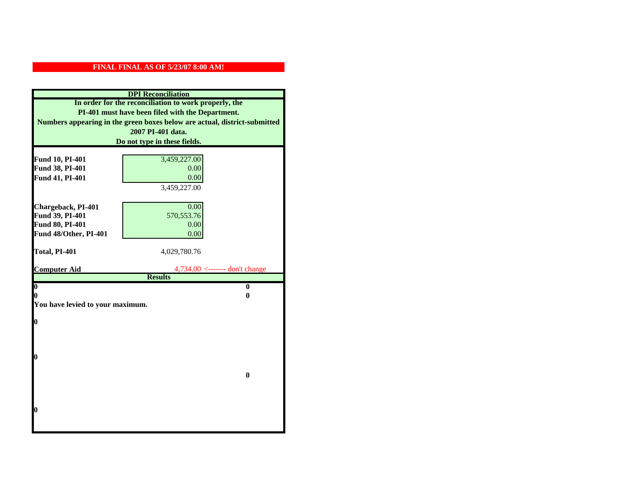| <b>DPI</b> Reconciliation                                                                                                                                                              |                                                                 |  |  |                              |
|----------------------------------------------------------------------------------------------------------------------------------------------------------------------------------------|-----------------------------------------------------------------|--|--|------------------------------|
| In order for the reconciliation to work properly, the<br>PI-401 must have been filed with the Department.<br>Numbers appearing in the green boxes below are actual, district-submitted |                                                                 |  |  |                              |
|                                                                                                                                                                                        |                                                                 |  |  | 2007 PI-401 data.            |
|                                                                                                                                                                                        |                                                                 |  |  | Do not type in these fields. |
|                                                                                                                                                                                        |                                                                 |  |  |                              |
| Fund 10, PI-401                                                                                                                                                                        | 3,459,227.00                                                    |  |  |                              |
| Fund 38, PI-401<br>Fund 41, PI-401                                                                                                                                                     | 0.00<br>0.00                                                    |  |  |                              |
|                                                                                                                                                                                        | 3,459,227.00                                                    |  |  |                              |
|                                                                                                                                                                                        |                                                                 |  |  |                              |
| Chargeback, PI-401                                                                                                                                                                     | 0.00                                                            |  |  |                              |
| Fund 39, PI-401                                                                                                                                                                        | 570, 553. 76                                                    |  |  |                              |
| Fund 80, PI-401                                                                                                                                                                        | 0.00                                                            |  |  |                              |
| Fund 48/Other, PI-401                                                                                                                                                                  | 0.00                                                            |  |  |                              |
|                                                                                                                                                                                        |                                                                 |  |  |                              |
| Total, PI-401                                                                                                                                                                          | 4,029,780.76                                                    |  |  |                              |
|                                                                                                                                                                                        |                                                                 |  |  |                              |
| <b>Computer Aid</b>                                                                                                                                                                    | $4,734.00 \leftarrow \text{---}$ don't change<br><b>Results</b> |  |  |                              |
| $\overline{\mathbf{0}}$                                                                                                                                                                | $\bf{0}$                                                        |  |  |                              |
| 0                                                                                                                                                                                      | 0                                                               |  |  |                              |
| You have levied to your maximum.                                                                                                                                                       |                                                                 |  |  |                              |
|                                                                                                                                                                                        |                                                                 |  |  |                              |
| $\bf{0}$                                                                                                                                                                               |                                                                 |  |  |                              |
|                                                                                                                                                                                        |                                                                 |  |  |                              |
|                                                                                                                                                                                        |                                                                 |  |  |                              |
|                                                                                                                                                                                        |                                                                 |  |  |                              |
| l0                                                                                                                                                                                     |                                                                 |  |  |                              |
|                                                                                                                                                                                        | $\bf{0}$                                                        |  |  |                              |
|                                                                                                                                                                                        |                                                                 |  |  |                              |
|                                                                                                                                                                                        |                                                                 |  |  |                              |
|                                                                                                                                                                                        |                                                                 |  |  |                              |
| $\boldsymbol{0}$                                                                                                                                                                       |                                                                 |  |  |                              |
|                                                                                                                                                                                        |                                                                 |  |  |                              |
|                                                                                                                                                                                        |                                                                 |  |  |                              |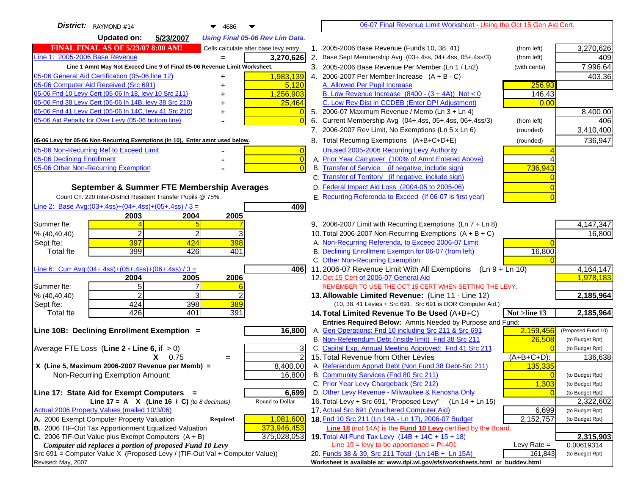| District: RAYMOND #14<br>▼<br>4686                                                   | 06-07 Final Revenue Limit Worksheet - Using the Oct 15 Gen Aid Cert.                                              |               |                    |
|--------------------------------------------------------------------------------------|-------------------------------------------------------------------------------------------------------------------|---------------|--------------------|
| <b>Updated on:</b><br>5/23/2007<br><b>Using Final 05-06 Rev Lim Data.</b>            |                                                                                                                   |               |                    |
| <b>FINAL FINAL AS OF 5/23/07 8:00 AM!</b><br>Cells calculate after base levy entry.  | 1. 2005-2006 Base Revenue (Funds 10, 38, 41)                                                                      | (from left)   | 3,270,626          |
| Line 1: 2005-2006 Base Revenue<br>3,270,626                                          | 2. Base Sept Membership Avg (03+.4ss, 04+.4ss, 05+.4ss/3)                                                         | (from left)   | 409                |
| Line 1 Amnt May Not Exceed Line 9 of Final 05-06 Revenue Limit Worksheet.            | 3. 2005-2006 Base Revenue Per Member (Ln 1 / Ln2)                                                                 | (with cents)  | 7,996.64           |
| 1,983,139<br>05-06 General Aid Certification (05-06 line 12)<br>+                    | 4. 2006-2007 Per Member Increase $(A + B - C)$                                                                    |               | 403.36             |
| 05-06 Computer Aid Received (Src 691)<br>5,120                                       | A. Allowed Per Pupil Increase                                                                                     | 256.93        |                    |
| 05-06 Fnd 10 Levy Cert (05-06 In 18, levy 10 Src 211)<br>1,256,903                   | B. Low Revenue Increase $(8400 - (3 + 4A))$ Not < 0                                                               | 146.43        |                    |
| 05-06 Fnd 38 Levy Cert (05-06 In 14B, levy 38 Src 210)<br>25,464<br>+                | C. Low Rev Dist in CCDEB (Enter DPI Adjustment)                                                                   | 0.00          |                    |
| 05-06 Fnd 41 Levy Cert (05-06 In 14C, levy 41 Src 210)<br>+                          | 5. 2006-07 Maximum Revenue / Memb (Ln 3 + Ln 4)                                                                   |               | 8,400.00           |
| 05-06 Aid Penalty for Over Levy (05-06 bottom line)                                  | 6. Current Membership Avg (04+.4ss, 05+.4ss, 06+.4ss/3)                                                           | (from left)   | 406                |
|                                                                                      | 7. 2006-2007 Rev Limit, No Exemptions (Ln 5 x Ln 6)                                                               | (rounded)     | 3,410,400          |
| 05-06 Levy for 05-06 Non-Recurring Exemptions (In 10), Enter amnt used below.        | 8. Total Recurring Exemptions (A+B+C+D+E)                                                                         | (rounded)     | 736,947            |
| 05-06 Non-Recurring Ref to Exceed Limit<br>$\overline{0}$                            | Unused 2005-2006 Recurring Levy Authority                                                                         |               |                    |
| 05-06 Declining Enrollment<br>$\overline{0}$                                         | A. Prior Year Carryover (100% of Amnt Entered Above)                                                              |               |                    |
| 05-06 Other Non-Recurring Exemption                                                  | B. Transfer of Service (if negative, include sign)                                                                | 736,943       |                    |
|                                                                                      | C. Transfer of Territory (if negative, include sign)                                                              |               |                    |
| September & Summer FTE Membership Averages                                           | D. Federal Impact Aid Loss (2004-05 to 2005-06)                                                                   |               |                    |
| Count Ch. 220 Inter-District Resident Transfer Pupils @ 75%.                         | E. Recurring Referenda to Exceed (If 06-07 is first year)                                                         |               |                    |
| Line 2: Base Avg: $(03+.4ss)+(04+.4ss)+(05+.4ss)/3 =$<br>409                         |                                                                                                                   |               |                    |
| 2004<br>2005<br>2003                                                                 |                                                                                                                   |               |                    |
| Summer fte:                                                                          | 9. 2006-2007 Limit with Recurring Exemptions (Ln 7 + Ln 8)                                                        |               | 4,147,347          |
| $\overline{2}$<br>% (40, 40, 40)                                                     | 10. Total 2006-2007 Non-Recurring Exemptions $(A + B + C)$<br>A. Non-Recurring Referenda, to Exceed 2006-07 Limit |               | 16,800             |
| 397<br>398<br>424<br>Sept fte:<br>399<br>401<br>426<br><b>Total fte</b>              | B. Declining Enrollment Exemptn for 06-07 (from left)                                                             | 16,800        |                    |
|                                                                                      | C. Other Non-Recurring Exemption                                                                                  |               |                    |
| Line 6: Curr Avg: $(04+.4ss)+(05+.4ss)+(06+.4ss)/3 =$<br>4061                        | 11.2006-07 Revenue Limit With All Exemptions (Ln 9 + Ln 10)                                                       |               | 4, 164, 147        |
| 2004<br>2005<br>2006                                                                 | 12. Oct 15 Cert of 2006-07 General Aid                                                                            |               | 1,978,183          |
| 5 <sub>l</sub><br>Summer fte:                                                        | REMEMBER TO USE THE OCT 15 CERT WHEN SETTING THE LEVY.                                                            |               |                    |
| $\overline{2}$<br>3<br>% (40, 40, 40)                                                | 13. Allowable Limited Revenue: (Line 11 - Line 12)                                                                |               | 2,185,964          |
| 424<br>398<br>389<br>Sept fte:                                                       | (10, 38, 41 Levies + Src 691. Src 691 is DOR Computer Aid.)                                                       |               |                    |
| 426<br>401<br><b>Total fte</b><br>391                                                | 14. Total Limited Revenue To Be Used (A+B+C)                                                                      | Not >line 13  | 2,185,964          |
|                                                                                      | Entries Required Below: Amnts Needed by Purpose and Fund:                                                         |               |                    |
| Line 10B: Declining Enrollment Exemption =<br>16,800                                 | A. Gen Operations: Fnd 10 including Src 211 & Src 691                                                             | 2,159,456     | (Proposed Fund 10) |
|                                                                                      | B. Non-Referendum Debt (inside limit) Fnd 38 Src 211                                                              | 26,508        | (to Budget Rpt)    |
| Average FTE Loss (Line $2 -$ Line 6, if $> 0$ )<br>3<br>$\overline{2}$<br>$X = 0.75$ | C. Capital Exp, Annual Meeting Approved: Fnd 41 Src 211<br>15. Total Revenue from Other Levies                    | $(A+B+C+D)$ : | (to Budget Rpt)    |
| $=$<br>X (Line 5, Maximum 2006-2007 Revenue per Memb) =<br>8,400.00                  | A. Referendum Apprvd Debt (Non Fund 38 Debt-Src 211)                                                              | 135,335       | 136,638            |
| Non-Recurring Exemption Amount:<br>16,800                                            | B. Community Services (Fnd 80 Src 211)                                                                            |               | (to Budget Rpt)    |
|                                                                                      | C. Prior Year Levy Chargeback (Src 212)                                                                           | 1,303         | (to Budget Rpt)    |
| Line 17: State Aid for Exempt Computers =<br>6,699                                   | D. Other Levy Revenue - Milwaukee & Kenosha Only                                                                  |               | (to Budget Rpt)    |
| Line $17 = A \times (Line 16 / C)$ (to 8 decimals)<br>Round to Dollar                | 16. Total Levy + Src 691, "Proposed Levy"<br>$(Ln 14 + Ln 15)$                                                    |               | 2,322,602          |
| Actual 2006 Property Values (mailed 10/3/06)                                         | 17. Actual Src 691 (Vouchered Computer Aid)                                                                       | 6,699         | (to Budget Rpt)    |
| A. 2006 Exempt Computer Property Valuation<br>Required<br>1,081,600                  | 18. Fnd 10 Src 211 (Ln 14A - Ln 17), 2006-07 Budget                                                               | 2,152,757     | (to Budget Rpt)    |
| B. 2006 TIF-Out Tax Apportionment Equalized Valuation<br>373,946,453                 | <b>Line 18</b> (not 14A) is the <b>Fund 10 Levy</b> certified by the Board.                                       |               |                    |
| C. 2006 TIF-Out Value plus Exempt Computers $(A + B)$<br>375,028,053                 | 19. Total All Fund Tax Levy (14B + 14C + 15 + 18)                                                                 |               | 2,315,903          |
| Computer aid replaces a portion of proposed Fund 10 Levy                             | Line $19 = \text{levy}$ to be apportioned = PI-401                                                                | Levy Rate $=$ | 0.00619314         |
| Src 691 = Computer Value X (Proposed Levy / (TIF-Out Val + Computer Value))          | 20. Funds 38 & 39, Src 211 Total (Ln 14B + Ln 15A)                                                                | 161,843       | (to Budget Rpt)    |
| Revised: May, 2007                                                                   | Worksheet is available at: www.dpi.wi.gov/sfs/worksheets.html or buddev.html                                      |               |                    |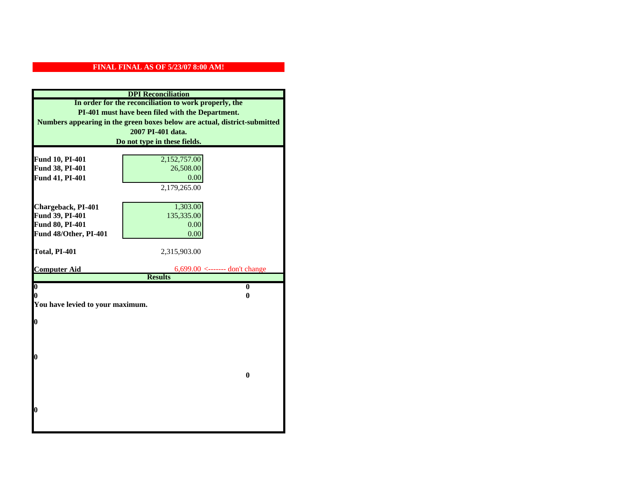| <b>DPI</b> Reconciliation                                                                                                                                                              |                                  |  |  |                              |
|----------------------------------------------------------------------------------------------------------------------------------------------------------------------------------------|----------------------------------|--|--|------------------------------|
| In order for the reconciliation to work properly, the<br>PI-401 must have been filed with the Department.<br>Numbers appearing in the green boxes below are actual, district-submitted |                                  |  |  |                              |
|                                                                                                                                                                                        |                                  |  |  | 2007 PI-401 data.            |
|                                                                                                                                                                                        |                                  |  |  | Do not type in these fields. |
|                                                                                                                                                                                        |                                  |  |  |                              |
| Fund 10, PI-401                                                                                                                                                                        | 2,152,757.00                     |  |  |                              |
| Fund 38, PI-401                                                                                                                                                                        | 26,508.00                        |  |  |                              |
| Fund 41, PI-401                                                                                                                                                                        | 0.00                             |  |  |                              |
|                                                                                                                                                                                        | 2,179,265.00                     |  |  |                              |
|                                                                                                                                                                                        |                                  |  |  |                              |
| Chargeback, PI-401                                                                                                                                                                     | 1,303.00                         |  |  |                              |
| Fund 39, PI-401                                                                                                                                                                        | 135,335.00                       |  |  |                              |
| Fund 80, PI-401                                                                                                                                                                        | 0.00                             |  |  |                              |
| Fund 48/Other, PI-401                                                                                                                                                                  | 0.00                             |  |  |                              |
| Total, PI-401                                                                                                                                                                          |                                  |  |  |                              |
|                                                                                                                                                                                        | 2,315,903.00                     |  |  |                              |
| <b>Computer Aid</b>                                                                                                                                                                    | $6,699.00$ <------- don't change |  |  |                              |
|                                                                                                                                                                                        | <b>Results</b>                   |  |  |                              |
| $\boldsymbol{0}$                                                                                                                                                                       | $\bf{0}$                         |  |  |                              |
| 0                                                                                                                                                                                      | 0                                |  |  |                              |
| You have levied to your maximum.                                                                                                                                                       |                                  |  |  |                              |
| 0                                                                                                                                                                                      |                                  |  |  |                              |
|                                                                                                                                                                                        |                                  |  |  |                              |
|                                                                                                                                                                                        |                                  |  |  |                              |
|                                                                                                                                                                                        |                                  |  |  |                              |
| 0                                                                                                                                                                                      |                                  |  |  |                              |
|                                                                                                                                                                                        |                                  |  |  |                              |
|                                                                                                                                                                                        | $\bf{0}$                         |  |  |                              |
|                                                                                                                                                                                        |                                  |  |  |                              |
|                                                                                                                                                                                        |                                  |  |  |                              |
|                                                                                                                                                                                        |                                  |  |  |                              |
| 0                                                                                                                                                                                      |                                  |  |  |                              |
|                                                                                                                                                                                        |                                  |  |  |                              |
|                                                                                                                                                                                        |                                  |  |  |                              |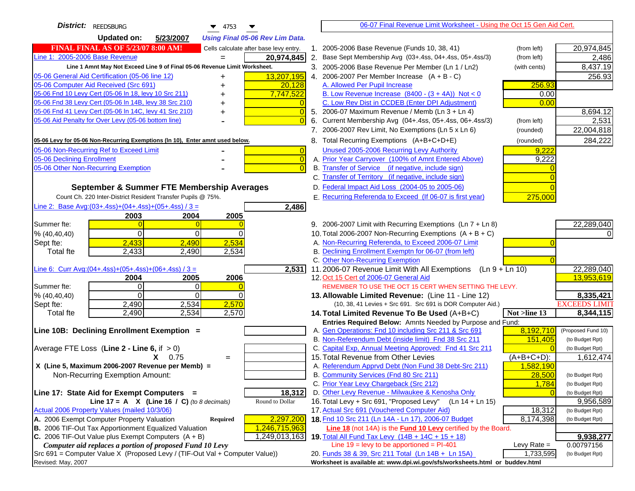| District: REEDSBURG<br>$\blacktriangledown$ 4753                                                                 | 06-07 Final Revenue Limit Worksheet - Using the Oct 15 Gen Aid Cert.                                               |                              |
|------------------------------------------------------------------------------------------------------------------|--------------------------------------------------------------------------------------------------------------------|------------------------------|
| <b>Updated on:</b><br>5/23/2007<br><b>Using Final 05-06 Rev Lim Data.</b>                                        |                                                                                                                    |                              |
| <b>FINAL FINAL AS OF 5/23/07 8:00 AM!</b><br>Cells calculate after base levy entry.                              | 1. 2005-2006 Base Revenue (Funds 10, 38, 41)<br>(from left)                                                        | 20,974,845                   |
| Line 1: 2005-2006 Base Revenue<br>20,974,845<br>$=$                                                              | 2. Base Sept Membership Avg (03+.4ss, 04+.4ss, 05+.4ss/3)<br>(from left)                                           | 2,486                        |
| Line 1 Amnt May Not Exceed Line 9 of Final 05-06 Revenue Limit Worksheet.                                        | 3. 2005-2006 Base Revenue Per Member (Ln 1 / Ln2)<br>(with cents)                                                  | 8,437.19                     |
| 13,207,195<br>05-06 General Aid Certification (05-06 line 12)                                                    | 4. 2006-2007 Per Member Increase $(A + B - C)$                                                                     | 256.93                       |
| 05-06 Computer Aid Received (Src 691)<br>20,128                                                                  | A. Allowed Per Pupil Increase<br>256.93                                                                            |                              |
| 05-06 Fnd 10 Levy Cert (05-06 ln 18, levy 10 Src 211)<br>7,747,522                                               | B. Low Revenue Increase $(8400 - (3 + 4A))$ Not < 0<br>0.00                                                        |                              |
| 05-06 Fnd 38 Levy Cert (05-06 In 14B, levy 38 Src 210)                                                           | C. Low Rev Dist in CCDEB (Enter DPI Adjustment)<br>0.00                                                            |                              |
| 05-06 Fnd 41 Levy Cert (05-06 In 14C, levy 41 Src 210)<br>$\overline{0}$<br>+                                    | 5. 2006-07 Maximum Revenue / Memb (Ln 3 + Ln 4)                                                                    | 8,694.12                     |
| 05-06 Aid Penalty for Over Levy (05-06 bottom line)<br>$\Omega$                                                  | Current Membership Avg (04+.4ss, 05+.4ss, 06+.4ss/3)<br>6.<br>(from left)                                          | 2,531                        |
|                                                                                                                  | 7. 2006-2007 Rev Limit, No Exemptions (Ln 5 x Ln 6)<br>(rounded)                                                   | 22,004,818                   |
| 05-06 Levy for 05-06 Non-Recurring Exemptions (In 10), Enter amnt used below.                                    | 8. Total Recurring Exemptions (A+B+C+D+E)<br>(rounded)                                                             | 284,222                      |
| 05-06 Non-Recurring Ref to Exceed Limit<br>$\overline{0}$                                                        | Unused 2005-2006 Recurring Levy Authority<br>9,222                                                                 |                              |
| 05-06 Declining Enrollment<br>$\overline{0}$                                                                     | A. Prior Year Carryover (100% of Amnt Entered Above)<br>9,222                                                      |                              |
| 05-06 Other Non-Recurring Exemption<br>$\Omega$                                                                  | B. Transfer of Service (if negative, include sign)                                                                 |                              |
|                                                                                                                  | C. Transfer of Territory (if negative, include sign)                                                               |                              |
| September & Summer FTE Membership Averages                                                                       | D. Federal Impact Aid Loss (2004-05 to 2005-06)                                                                    |                              |
| Count Ch. 220 Inter-District Resident Transfer Pupils @ 75%.                                                     | E. Recurring Referenda to Exceed (If 06-07 is first year)<br>275,000                                               |                              |
| Line 2: Base Avg: $(03+.4ss)+(04+.4ss)+(05+.4ss)/3 =$<br>2,486                                                   |                                                                                                                    |                              |
| 2003<br>2004<br>2005                                                                                             |                                                                                                                    |                              |
| Summer fte:                                                                                                      | 9. 2006-2007 Limit with Recurring Exemptions (Ln 7 + Ln 8)                                                         | 22,289,040                   |
| $\Omega$<br>$\Omega$<br>% (40, 40, 40)<br>$\Omega$                                                               | 10. Total 2006-2007 Non-Recurring Exemptions (A + B + C)                                                           |                              |
| 2,433<br>2,534<br>2,490<br>Sept fte:                                                                             | A. Non-Recurring Referenda, to Exceed 2006-07 Limit                                                                |                              |
| <b>Total fte</b><br>2,433<br>2,534<br>2,490                                                                      | B. Declining Enrollment Exemptn for 06-07 (from left)                                                              |                              |
| Line 6: Curr Avg: $(04+.4ss)+(05+.4ss)+(06+.4ss)/3 =$                                                            | C. Other Non-Recurring Exemption<br>$(Ln 9 + Ln 10)$                                                               |                              |
| 2,531<br>2005<br>2006<br>2004                                                                                    | 11.2006-07 Revenue Limit With All Exemptions<br>12. Oct 15 Cert of 2006-07 General Aid                             | 22,289,040<br>13,953,619     |
| $\Omega$<br>Summer fte:<br>$\Omega$                                                                              | REMEMBER TO USE THE OCT 15 CERT WHEN SETTING THE LEVY.                                                             |                              |
| % (40, 40, 40)<br>$\Omega$<br>0                                                                                  | 13. Allowable Limited Revenue: (Line 11 - Line 12)                                                                 | 8,335,421                    |
| 2,534<br>2,570<br>2,490<br>Sept fte:                                                                             | (10, 38, 41 Levies + Src 691. Src 691 is DOR Computer Aid.)                                                        | <b>EXCEEDS LIMIT</b>         |
| 2,490<br>2,534<br>2,570<br><b>Total fte</b>                                                                      | Not >line 13<br>14. Total Limited Revenue To Be Used (A+B+C)                                                       | 8,344,115                    |
|                                                                                                                  | Entries Required Below: Amnts Needed by Purpose and Fund:                                                          |                              |
| Line 10B: Declining Enrollment Exemption =                                                                       | 8,192,710<br>A. Gen Operations: Fnd 10 including Src 211 & Src 691                                                 | (Proposed Fund 10)           |
|                                                                                                                  | B. Non-Referendum Debt (inside limit) Fnd 38 Src 211<br>151,405                                                    | (to Budget Rpt)              |
| Average FTE Loss (Line $2 -$ Line 6, if $> 0$ )                                                                  | C. Capital Exp, Annual Meeting Approved: Fnd 41 Src 211                                                            | (to Budget Rpt)              |
| $X = 0.75$<br>$=$                                                                                                | 15. Total Revenue from Other Levies<br>$(A+B+C+D)$ :                                                               | 1,612,474                    |
| X (Line 5, Maximum 2006-2007 Revenue per Memb) =                                                                 | A. Referendum Apprvd Debt (Non Fund 38 Debt-Src 211)<br>1,582,190                                                  |                              |
| Non-Recurring Exemption Amount:                                                                                  | B. Community Services (Fnd 80 Src 211)<br>28,500                                                                   | (to Budget Rpt)              |
|                                                                                                                  | C. Prior Year Levy Chargeback (Src 212)<br>1,784                                                                   | (to Budget Rpt)              |
| 18,312<br>Line 17: State Aid for Exempt Computers =                                                              | D. Other Levy Revenue - Milwaukee & Kenosha Only<br>16. Total Levy + Src 691, "Proposed Levy"<br>$(Ln 14 + Ln 15)$ | (to Budget Rpt)              |
| Line 17 = A $X$ (Line 16 / C) (to 8 decimals)<br>Round to Dollar<br>Actual 2006 Property Values (mailed 10/3/06) | 17. Actual Src 691 (Vouchered Computer Aid)<br>18,312                                                              | 9,956,589<br>(to Budget Rpt) |
| A. 2006 Exempt Computer Property Valuation<br>2,297,200<br>Required                                              | 18. Fnd 10 Src 211 (Ln 14A - Ln 17), 2006-07 Budget<br>8,174,398                                                   | (to Budget Rpt)              |
| B. 2006 TIF-Out Tax Apportionment Equalized Valuation<br>1,246,715,963                                           | Line 18 (not 14A) is the Fund 10 Levy certified by the Board.                                                      |                              |
| C. 2006 TIF-Out Value plus Exempt Computers $(A + B)$<br>1,249,013,163                                           | 19. Total All Fund Tax Levy $(14B + 14C + 15 + 18)$                                                                | 9,938,277                    |
| Computer aid replaces a portion of proposed Fund 10 Levy                                                         | Line $19 = \text{levy}$ to be apportioned = PI-401<br>Levy Rate $=$                                                | 0.00797156                   |
| Src 691 = Computer Value X (Proposed Levy / (TIF-Out Val + Computer Value))                                      | 20. Funds 38 & 39, Src 211 Total (Ln 14B + Ln 15A)<br>1,733,595                                                    | (to Budget Rpt)              |
| Revised: May, 2007                                                                                               | Worksheet is available at: www.dpi.wi.gov/sfs/worksheets.html or buddev.html                                       |                              |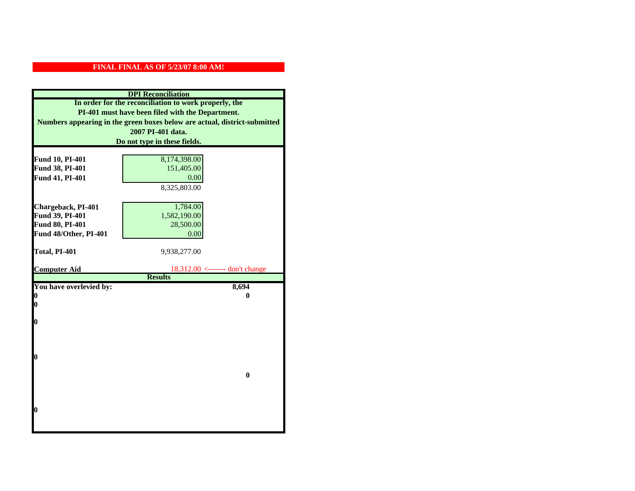| <b>DPI</b> Reconciliation                                                                                 |                                   |  |
|-----------------------------------------------------------------------------------------------------------|-----------------------------------|--|
| In order for the reconciliation to work properly, the<br>PI-401 must have been filed with the Department. |                                   |  |
|                                                                                                           |                                   |  |
|                                                                                                           | 2007 PI-401 data.                 |  |
|                                                                                                           | Do not type in these fields.      |  |
|                                                                                                           |                                   |  |
| Fund 10, PI-401                                                                                           | 8,174,398.00                      |  |
| Fund 38, PI-401                                                                                           | 151,405.00                        |  |
| Fund 41, PI-401                                                                                           | 0.00                              |  |
|                                                                                                           | 8,325,803.00                      |  |
|                                                                                                           |                                   |  |
| Chargeback, PI-401                                                                                        | 1,784.00                          |  |
| Fund 39, PI-401                                                                                           | 1,582,190.00                      |  |
| Fund 80, PI-401                                                                                           | 28,500.00                         |  |
| Fund 48/Other, PI-401                                                                                     | 0.00                              |  |
| Total, PI-401                                                                                             | 9,938,277.00                      |  |
|                                                                                                           |                                   |  |
| <b>Computer Aid</b>                                                                                       | $18,312.00$ <------- don't change |  |
|                                                                                                           | <b>Results</b>                    |  |
| You have overlevied by:                                                                                   | 8,694                             |  |
| $\bf{0}$                                                                                                  | 0                                 |  |
| 0                                                                                                         |                                   |  |
| O                                                                                                         |                                   |  |
|                                                                                                           |                                   |  |
|                                                                                                           |                                   |  |
|                                                                                                           |                                   |  |
| $\bf{0}$                                                                                                  |                                   |  |
|                                                                                                           |                                   |  |
|                                                                                                           | $\bf{0}$                          |  |
|                                                                                                           |                                   |  |
|                                                                                                           |                                   |  |
|                                                                                                           |                                   |  |
| $\boldsymbol{0}$                                                                                          |                                   |  |
|                                                                                                           |                                   |  |
|                                                                                                           |                                   |  |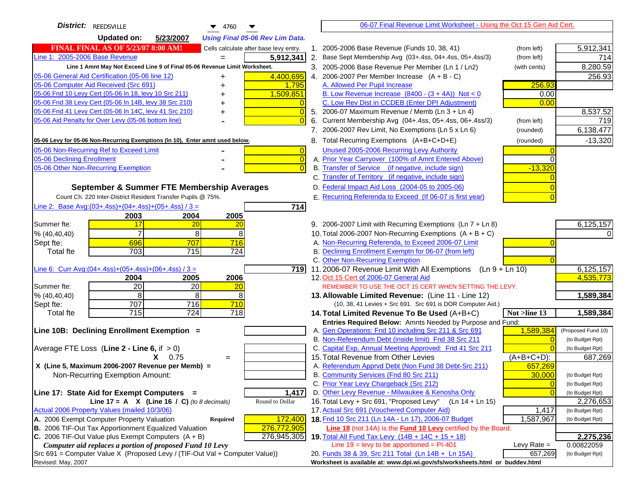| District: REEDSVILLE<br>$\blacktriangledown$ 4760                                             | 06-07 Final Revenue Limit Worksheet - Using the Oct 15 Gen Aid Cert.                                                       |                              |
|-----------------------------------------------------------------------------------------------|----------------------------------------------------------------------------------------------------------------------------|------------------------------|
| <b>Updated on:</b><br>5/23/2007<br><b>Using Final 05-06 Rev Lim Data.</b>                     |                                                                                                                            |                              |
| <b>FINAL FINAL AS OF 5/23/07 8:00 AM!</b><br>Cells calculate after base levy entry.           | 1. 2005-2006 Base Revenue (Funds 10, 38, 41)<br>(from left)                                                                | 5,912,341                    |
| Line 1: 2005-2006 Base Revenue<br>5,912,341                                                   | 2. Base Sept Membership Avg (03+.4ss, 04+.4ss, 05+.4ss/3)<br>(from left)                                                   | 714                          |
| Line 1 Amnt May Not Exceed Line 9 of Final 05-06 Revenue Limit Worksheet.                     | 3. 2005-2006 Base Revenue Per Member (Ln 1 / Ln2)<br>(with cents)                                                          | 8,280.59                     |
| 4,400,695<br>05-06 General Aid Certification (05-06 line 12)<br>+                             | 4. 2006-2007 Per Member Increase $(A + B - C)$                                                                             | 256.93                       |
| 05-06 Computer Aid Received (Src 691)<br>1,795<br>+                                           | A. Allowed Per Pupil Increase<br>256.93                                                                                    |                              |
| 05-06 Fnd 10 Levy Cert (05-06 In 18, levy 10 Src 211)<br>1,509,851                            | B. Low Revenue Increase $(8400 - (3 + 4A))$ Not < 0<br>0.00                                                                |                              |
| 05-06 Fnd 38 Levy Cert (05-06 In 14B, levy 38 Src 210)                                        | C. Low Rev Dist in CCDEB (Enter DPI Adjustment)<br>0.00                                                                    |                              |
| 05-06 Fnd 41 Levy Cert (05-06 In 14C, levy 41 Src 210)<br>+                                   | 5. 2006-07 Maximum Revenue / Memb (Ln 3 + Ln 4)                                                                            | 8,537.52                     |
| 05-06 Aid Penalty for Over Levy (05-06 bottom line)                                           | 6. Current Membership Avg (04+.4ss, 05+.4ss, 06+.4ss/3)<br>(from left)                                                     | 719                          |
|                                                                                               | 7. 2006-2007 Rev Limit, No Exemptions (Ln 5 x Ln 6)<br>(rounded)                                                           | 6,138,477                    |
| 05-06 Levy for 05-06 Non-Recurring Exemptions (In 10), Enter amnt used below.                 | 8. Total Recurring Exemptions (A+B+C+D+E)<br>(rounded)                                                                     | $-13,320$                    |
| 05-06 Non-Recurring Ref to Exceed Limit<br>$\overline{0}$                                     | Unused 2005-2006 Recurring Levy Authority                                                                                  |                              |
| 05-06 Declining Enrollment<br>$\overline{0}$                                                  | A. Prior Year Carryover (100% of Amnt Entered Above)                                                                       |                              |
| 05-06 Other Non-Recurring Exemption                                                           | B. Transfer of Service (if negative, include sign)<br>$-13,320$                                                            |                              |
|                                                                                               | C. Transfer of Territory (if negative, include sign)                                                                       |                              |
| September & Summer FTE Membership Averages                                                    | D. Federal Impact Aid Loss (2004-05 to 2005-06)                                                                            |                              |
| Count Ch. 220 Inter-District Resident Transfer Pupils @ 75%.                                  | E. Recurring Referenda to Exceed (If 06-07 is first year)                                                                  |                              |
| Line 2: Base Avg: $(03+.4ss)+(04+.4ss)+(05+.4ss)/3 =$<br>714                                  |                                                                                                                            |                              |
| 2003<br>2004<br>2005                                                                          |                                                                                                                            |                              |
| 17<br>Summer fte:<br>20<br>20                                                                 | 9. 2006-2007 Limit with Recurring Exemptions (Ln 7 + Ln 8)                                                                 | 6,125,157                    |
| $\overline{7}$<br>8<br>8<br>% (40, 40, 40)                                                    | 10. Total 2006-2007 Non-Recurring Exemptions $(A + B + C)$                                                                 |                              |
| 696<br>707<br>716<br>Sept fte:                                                                | A. Non-Recurring Referenda, to Exceed 2006-07 Limit                                                                        |                              |
| 703<br>715<br>724<br><b>Total fte</b>                                                         | B. Declining Enrollment Exemptn for 06-07 (from left)                                                                      |                              |
|                                                                                               | C. Other Non-Recurring Exemption                                                                                           |                              |
| Line 6: Curr Avg: $(04+.4ss)+(05+.4ss)+(06+.4ss)/3 =$<br>719  <br>2006                        | 11.2006-07 Revenue Limit With All Exemptions (Ln $9 + \overline{\text{Ln }10}$ )<br>12. Oct 15 Cert of 2006-07 General Aid | 6,125,157<br>4,535,773       |
| 2004<br>2005<br>20<br>Summer fte:<br>20<br>20                                                 | REMEMBER TO USE THE OCT 15 CERT WHEN SETTING THE LEVY.                                                                     |                              |
| 8<br>8<br>8<br>% (40, 40, 40)                                                                 | 13. Allowable Limited Revenue: (Line 11 - Line 12)                                                                         | 1,589,384                    |
| 707<br>716<br>710<br>Sept fte:                                                                | (10, 38, 41 Levies + Src 691. Src 691 is DOR Computer Aid.)                                                                |                              |
| $\overline{715}$<br>$\overline{724}$<br>$\overline{718}$<br><b>Total fte</b>                  | 14. Total Limited Revenue To Be Used (A+B+C)<br>Not >line 13                                                               | 1,589,384                    |
|                                                                                               | Entries Required Below: Amnts Needed by Purpose and Fund:                                                                  |                              |
| Line 10B: Declining Enrollment Exemption =                                                    | 1,589,384<br>A. Gen Operations: Fnd 10 including Src 211 & Src 691                                                         | (Proposed Fund 10)           |
|                                                                                               | B. Non-Referendum Debt (inside limit) Fnd 38 Src 211<br>$\sqrt{ }$                                                         | (to Budget Rpt)              |
| Average FTE Loss (Line $2 -$ Line 6, if $> 0$ )                                               | C. Capital Exp, Annual Meeting Approved: Fnd 41 Src 211                                                                    | (to Budget Rpt)              |
| $X = 0.75$<br>$=$                                                                             | 15. Total Revenue from Other Levies<br>(A+B+C+D):                                                                          | 687,269                      |
| X (Line 5, Maximum 2006-2007 Revenue per Memb) =                                              | A. Referendum Apprvd Debt (Non Fund 38 Debt-Src 211)<br>657,269                                                            |                              |
| Non-Recurring Exemption Amount:                                                               | B. Community Services (Fnd 80 Src 211)<br>30,000                                                                           | (to Budget Rpt)              |
|                                                                                               | C. Prior Year Levy Chargeback (Src 212)<br>$\overline{0}$<br>D. Other Levy Revenue - Milwaukee & Kenosha Only              | (to Budget Rpt)              |
| Line 17: State Aid for Exempt Computers =<br>1,417<br>Round to Dollar                         | 16. Total Levy + Src 691, "Proposed Levy"<br>(Ln 14 + Ln 15)                                                               | (to Budget Rpt)              |
| Line 17 = A $X$ (Line 16 / C) (to 8 decimals)<br>Actual 2006 Property Values (mailed 10/3/06) | 17. Actual Src 691 (Vouchered Computer Aid)<br>1,417                                                                       | 2,276,653<br>(to Budget Rpt) |
| A. 2006 Exempt Computer Property Valuation<br>Required<br>172,400                             | 18. Fnd 10 Src 211 (Ln 14A - Ln 17), 2006-07 Budget<br>1,587,967                                                           | (to Budget Rpt)              |
| B. 2006 TIF-Out Tax Apportionment Equalized Valuation<br>276,772,905                          | <b>Line 18</b> (not 14A) is the <b>Fund 10 Levy</b> certified by the Board.                                                |                              |
| C. 2006 TIF-Out Value plus Exempt Computers $(A + B)$<br>276,945,305                          | 19. Total All Fund Tax Levy (14B + 14C + 15 + 18)                                                                          | 2,275,236                    |
| Computer aid replaces a portion of proposed Fund 10 Levy                                      | Line $19 = \text{levy}$ to be apportioned = PI-401<br>Levy Rate $=$                                                        | 0.00822059                   |
| Src 691 = Computer Value X (Proposed Levy / (TIF-Out Val + Computer Value))                   | 20. Funds 38 & 39, Src 211 Total (Ln 14B + Ln 15A)<br>657,269                                                              | (to Budget Rpt)              |
| Revised: May, 2007                                                                            | Worksheet is available at: www.dpi.wi.gov/sfs/worksheets.html or buddev.html                                               |                              |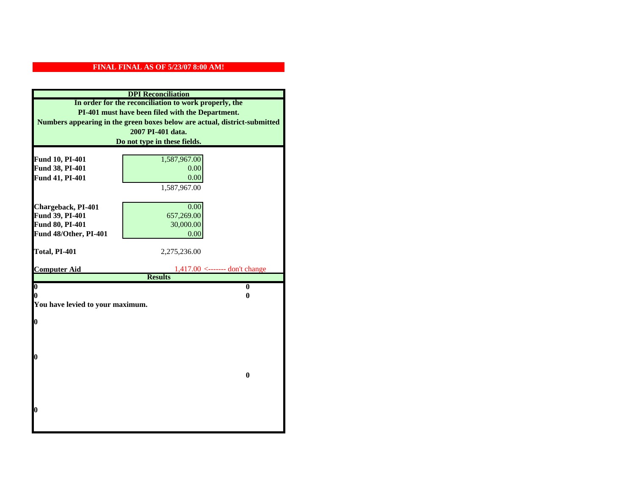| <b>DPI</b> Reconciliation                                                                                 |                                  |  |
|-----------------------------------------------------------------------------------------------------------|----------------------------------|--|
| In order for the reconciliation to work properly, the<br>PI-401 must have been filed with the Department. |                                  |  |
|                                                                                                           |                                  |  |
|                                                                                                           | 2007 PI-401 data.                |  |
|                                                                                                           | Do not type in these fields.     |  |
|                                                                                                           |                                  |  |
| Fund 10, PI-401                                                                                           | 1,587,967.00                     |  |
| Fund 38, PI-401                                                                                           | 0.00                             |  |
| Fund 41, PI-401                                                                                           | 0.00                             |  |
|                                                                                                           | 1,587,967.00                     |  |
| Chargeback, PI-401                                                                                        | 0.00                             |  |
| Fund 39, PI-401                                                                                           | 657,269.00                       |  |
| Fund 80, PI-401                                                                                           | 30,000.00                        |  |
| Fund 48/Other, PI-401                                                                                     | 0.00                             |  |
|                                                                                                           |                                  |  |
| Total, PI-401                                                                                             | 2,275,236.00                     |  |
|                                                                                                           |                                  |  |
| <b>Computer Aid</b>                                                                                       | $1,417.00$ <------- don't change |  |
| $\overline{\mathbf{0}}$                                                                                   | <b>Results</b><br>$\bf{0}$       |  |
| 0                                                                                                         | 0                                |  |
| You have levied to your maximum.                                                                          |                                  |  |
|                                                                                                           |                                  |  |
| 0                                                                                                         |                                  |  |
|                                                                                                           |                                  |  |
|                                                                                                           |                                  |  |
|                                                                                                           |                                  |  |
| 0                                                                                                         |                                  |  |
|                                                                                                           | $\bf{0}$                         |  |
|                                                                                                           |                                  |  |
|                                                                                                           |                                  |  |
|                                                                                                           |                                  |  |
| 0                                                                                                         |                                  |  |
|                                                                                                           |                                  |  |
|                                                                                                           |                                  |  |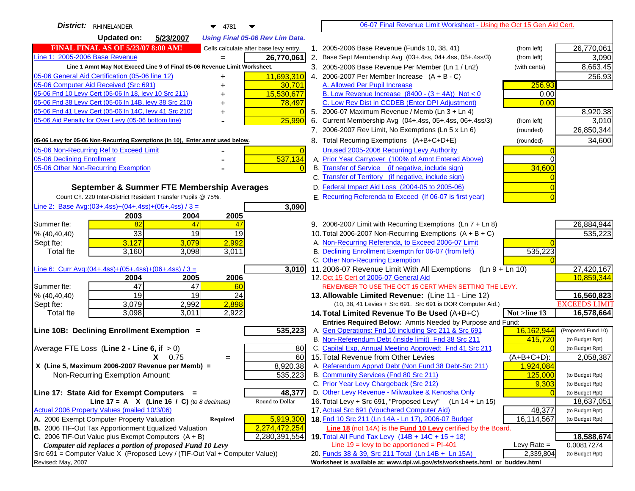| District: RHINELANDER<br>$\blacktriangledown$ 4781                                                                                      |                | 06-07 Final Revenue Limit Worksheet - Using the Oct 15 Gen Aid Cert.                                        |                            |                                    |
|-----------------------------------------------------------------------------------------------------------------------------------------|----------------|-------------------------------------------------------------------------------------------------------------|----------------------------|------------------------------------|
| <b>Updated on:</b><br>5/23/2007<br><b>Using Final 05-06 Rev Lim Data.</b>                                                               |                |                                                                                                             |                            |                                    |
| <b>FINAL FINAL AS OF 5/23/07 8:00 AM!</b><br>Cells calculate after base levy entry.                                                     |                | 1. 2005-2006 Base Revenue (Funds 10, 38, 41)                                                                | (from left)                | 26,770,061                         |
| Line 1: 2005-2006 Base Revenue<br>26,770,061                                                                                            |                | 2.<br>Base Sept Membership Avg (03+.4ss, 04+.4ss, 05+.4ss/3)                                                | (from left)                | 3,090                              |
| Line 1 Amnt May Not Exceed Line 9 of Final 05-06 Revenue Limit Worksheet.                                                               |                | 3. 2005-2006 Base Revenue Per Member (Ln 1 / Ln2)                                                           | (with cents)               | 8,663.45                           |
| 11,693,310<br>05-06 General Aid Certification (05-06 line 12)<br>+                                                                      |                | 4. 2006-2007 Per Member Increase $(A + B - C)$                                                              |                            | 256.93                             |
| 05-06 Computer Aid Received (Src 691)<br>30,701                                                                                         |                | A. Allowed Per Pupil Increase                                                                               | 256.93                     |                                    |
| 15,530,677<br>05-06 Fnd 10 Levy Cert (05-06 In 18, levy 10 Src 211)                                                                     |                | B. Low Revenue Increase $(8400 - (3 + 4A))$ Not < 0                                                         | 0.00                       |                                    |
| 05-06 Fnd 38 Levy Cert (05-06 In 14B, levy 38 Src 210)<br>78,497                                                                        |                | C. Low Rev Dist in CCDEB (Enter DPI Adjustment)                                                             | 0.00                       |                                    |
| 05-06 Fnd 41 Levy Cert (05-06 In 14C, levy 41 Src 210)                                                                                  |                | 5. 2006-07 Maximum Revenue / Memb (Ln 3 + Ln 4)                                                             |                            | 8,920.38                           |
| 05-06 Aid Penalty for Over Levy (05-06 bottom line)<br>25,990                                                                           |                | 6. Current Membership Avg (04+.4ss, 05+.4ss, 06+.4ss/3)                                                     | (from left)                | 3,010                              |
|                                                                                                                                         |                | 7. 2006-2007 Rev Limit, No Exemptions (Ln 5 x Ln 6)                                                         | (rounded)                  | 26,850,344                         |
| 05-06 Levy for 05-06 Non-Recurring Exemptions (In 10), Enter amnt used below.                                                           |                | 8. Total Recurring Exemptions (A+B+C+D+E)                                                                   | (rounded)                  | 34,600                             |
| 05-06 Non-Recurring Ref to Exceed Limit                                                                                                 | $\overline{0}$ | Unused 2005-2006 Recurring Levy Authority                                                                   |                            |                                    |
| 05-06 Declining Enrollment<br>537,134                                                                                                   |                | A. Prior Year Carryover (100% of Amnt Entered Above)                                                        |                            |                                    |
| 05-06 Other Non-Recurring Exemption                                                                                                     | $\Omega$       | B. Transfer of Service (if negative, include sign)                                                          | 34,600                     |                                    |
|                                                                                                                                         |                | C. Transfer of Territory (if negative, include sign)                                                        |                            |                                    |
| September & Summer FTE Membership Averages                                                                                              |                | D. Federal Impact Aid Loss (2004-05 to 2005-06)                                                             |                            |                                    |
| Count Ch. 220 Inter-District Resident Transfer Pupils @ 75%.                                                                            |                | E. Recurring Referenda to Exceed (If 06-07 is first year)                                                   |                            |                                    |
| Line 2: Base Avg:(03+.4ss)+(04+.4ss)+(05+.4ss) / 3 =<br>3,090                                                                           |                |                                                                                                             |                            |                                    |
| 2003<br>2004<br>2005                                                                                                                    |                |                                                                                                             |                            |                                    |
| 82<br>Summer fte:<br>47<br>47                                                                                                           |                | 9. 2006-2007 Limit with Recurring Exemptions (Ln 7 + Ln 8)                                                  |                            | 26,884,944                         |
| 33<br>19<br>19<br>% (40, 40, 40)                                                                                                        |                | 10. Total 2006-2007 Non-Recurring Exemptions $(A + B + C)$                                                  |                            | 535,223                            |
| 3,127<br>2,992<br>3,079<br>Sept fte:                                                                                                    |                | A. Non-Recurring Referenda, to Exceed 2006-07 Limit                                                         |                            |                                    |
| 3,160<br>3,011<br><b>Total fte</b><br>3,098                                                                                             |                | B. Declining Enrollment Exemptn for 06-07 (from left)                                                       | 535,223                    |                                    |
|                                                                                                                                         |                | C. Other Non-Recurring Exemption                                                                            |                            |                                    |
| Line 6: Curr Avg: $(04+.4ss)+(05+.4ss)+(06+.4ss)/3=$<br>3,010                                                                           |                | 11.2006-07 Revenue Limit With All Exemptions (Ln $9 + \overline{\text{Ln }10}$ )                            |                            | 27,420,167                         |
| 2005<br>2006<br>2004                                                                                                                    |                | 12. Oct 15 Cert of 2006-07 General Aid                                                                      |                            | 10,859,344                         |
| 47<br>$\overline{47}$<br>Summer fte:<br>60                                                                                              |                | REMEMBER TO USE THE OCT 15 CERT WHEN SETTING THE LEVY.                                                      |                            |                                    |
| 19<br>19<br>24<br>% (40, 40, 40)<br>2,898                                                                                               |                | 13. Allowable Limited Revenue: (Line 11 - Line 12)                                                          |                            | 16,560,823                         |
| 3,079<br>2,992<br>Sept fte:<br>3,098<br>3,011<br>2,922<br><b>Total fte</b>                                                              |                | (10, 38, 41 Levies + Src 691. Src 691 is DOR Computer Aid.)<br>14. Total Limited Revenue To Be Used (A+B+C) | Not >line 13               | <b>EXCEEDS LIMIT</b><br>16,578,664 |
|                                                                                                                                         |                | Entries Required Below: Amnts Needed by Purpose and Fund:                                                   |                            |                                    |
| Line 10B: Declining Enrollment Exemption =<br>535,223                                                                                   |                | A. Gen Operations: Fnd 10 including Src 211 & Src 691                                                       | 16,162,944                 | (Proposed Fund 10)                 |
|                                                                                                                                         |                | B. Non-Referendum Debt (inside limit) Fnd 38 Src 211                                                        | 415,720                    | (to Budget Rpt)                    |
| Average FTE Loss (Line $2 -$ Line 6, if $> 0$ )<br>80                                                                                   |                | C. Capital Exp, Annual Meeting Approved: Fnd 41 Src 211                                                     |                            | (to Budget Rpt)                    |
| 60I<br>$X = 0.75$<br>$\qquad \qquad =$                                                                                                  |                | 15. Total Revenue from Other Levies                                                                         | $(A+B+C+D)$ :              | 2,058,387                          |
| X (Line 5, Maximum 2006-2007 Revenue per Memb) =<br>8,920.38                                                                            |                | A. Referendum Apprvd Debt (Non Fund 38 Debt-Src 211)                                                        | 1,924,084                  |                                    |
| 535,223<br>Non-Recurring Exemption Amount:                                                                                              |                | B. Community Services (Fnd 80 Src 211)                                                                      | 125,000                    | (to Budget Rpt)                    |
|                                                                                                                                         |                | C. Prior Year Levy Chargeback (Src 212)                                                                     | 9,303                      | (to Budget Rpt)                    |
| 48,377<br>Line 17: State Aid for Exempt Computers =                                                                                     |                | D. Other Levy Revenue - Milwaukee & Kenosha Only                                                            |                            | (to Budget Rpt)                    |
| Round to Dollar<br>Line 17 = A $X$ (Line 16 / C) (to 8 decimals)                                                                        |                | 16. Total Levy + Src 691, "Proposed Levy" (Ln 14 + Ln 15)                                                   |                            | 18,637,051                         |
| Actual 2006 Property Values (mailed 10/3/06)                                                                                            |                | 17. Actual Src 691 (Vouchered Computer Aid)                                                                 | 48,377                     | (to Budget Rpt)                    |
| A. 2006 Exempt Computer Property Valuation<br>5,919,300<br><b>Required</b>                                                              |                | 18. Fnd 10 Src 211 (Ln 14A - Ln 17), 2006-07 Budget                                                         | 16,114,567                 | (to Budget Rpt)                    |
| B. 2006 TIF-Out Tax Apportionment Equalized Valuation<br>2,274,472,254                                                                  |                | Line 18 (not 14A) is the <b>Fund 10 Levy</b> certified by the Board.                                        |                            |                                    |
| C. 2006 TIF-Out Value plus Exempt Computers $(A + B)$<br>2,280,391,554                                                                  |                | 19. Total All Fund Tax Levy (14B + 14C + 15 + 18)                                                           |                            | 18,588,674                         |
| Computer aid replaces a portion of proposed Fund 10 Levy<br>Src 691 = Computer Value X (Proposed Levy / (TIF-Out Val + Computer Value)) |                | Line $19 = \text{levy}$ to be apportioned = PI-401<br>20. Funds 38 & 39, Src 211 Total (Ln 14B + Ln 15A)    | Levy Rate $=$<br>2,339,804 | 0.00817274<br>(to Budget Rpt)      |
| Revised: May, 2007                                                                                                                      |                | Worksheet is available at: www.dpi.wi.gov/sfs/worksheets.html or buddev.html                                |                            |                                    |
|                                                                                                                                         |                |                                                                                                             |                            |                                    |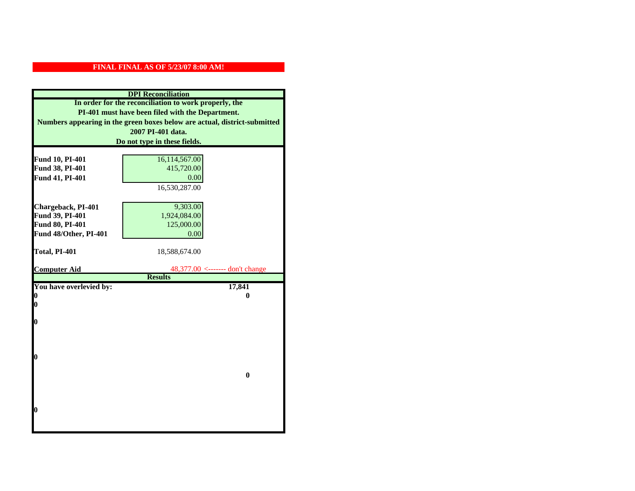| <b>DPI</b> Reconciliation                             |                                                                           |  |  |
|-------------------------------------------------------|---------------------------------------------------------------------------|--|--|
| In order for the reconciliation to work properly, the |                                                                           |  |  |
| PI-401 must have been filed with the Department.      |                                                                           |  |  |
|                                                       | Numbers appearing in the green boxes below are actual, district-submitted |  |  |
|                                                       | 2007 PI-401 data.                                                         |  |  |
|                                                       | Do not type in these fields.                                              |  |  |
|                                                       |                                                                           |  |  |
| Fund 10, PI-401                                       | 16,114,567.00                                                             |  |  |
| Fund 38, PI-401                                       | 415,720.00                                                                |  |  |
| Fund 41, PI-401                                       | 0.00                                                                      |  |  |
|                                                       | 16,530,287.00                                                             |  |  |
|                                                       |                                                                           |  |  |
| Chargeback, PI-401                                    | 9,303.00                                                                  |  |  |
| Fund 39, PI-401                                       | 1,924,084.00                                                              |  |  |
| <b>Fund 80, PI-401</b>                                | 125,000.00                                                                |  |  |
| Fund 48/Other, PI-401                                 | 0.00                                                                      |  |  |
|                                                       |                                                                           |  |  |
| Total, PI-401                                         | 18,588,674.00                                                             |  |  |
|                                                       |                                                                           |  |  |
| <b>Computer Aid</b>                                   | 48,377.00 <------- don't change<br><b>Results</b>                         |  |  |
| You have overlevied by:                               | 17,841                                                                    |  |  |
| 0                                                     | 0                                                                         |  |  |
| $\boldsymbol{0}$                                      |                                                                           |  |  |
|                                                       |                                                                           |  |  |
| O                                                     |                                                                           |  |  |
|                                                       |                                                                           |  |  |
|                                                       |                                                                           |  |  |
|                                                       |                                                                           |  |  |
| $\boldsymbol{0}$                                      |                                                                           |  |  |
|                                                       |                                                                           |  |  |
|                                                       | $\bf{0}$                                                                  |  |  |
|                                                       |                                                                           |  |  |
|                                                       |                                                                           |  |  |
|                                                       |                                                                           |  |  |
|                                                       |                                                                           |  |  |
| 0                                                     |                                                                           |  |  |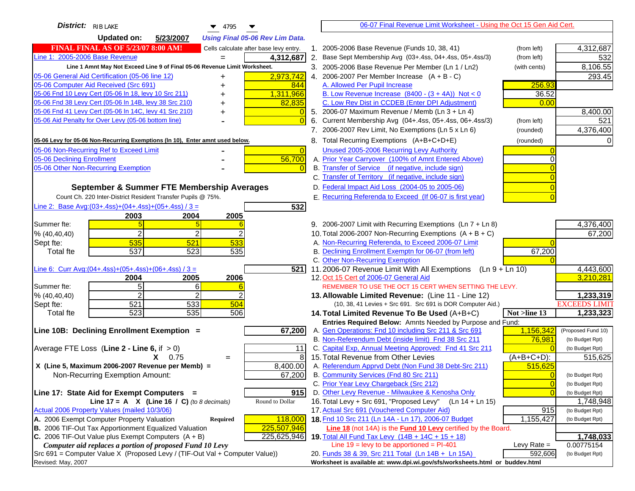| District: RIB LAKE<br>4795                                                          |                | 06-07 Final Revenue Limit Worksheet - Using the Oct 15 Gen Aid Cert.                                            |                       |                      |
|-------------------------------------------------------------------------------------|----------------|-----------------------------------------------------------------------------------------------------------------|-----------------------|----------------------|
| <b>Updated on:</b><br>5/23/2007<br><b>Using Final 05-06 Rev Lim Data.</b>           |                |                                                                                                                 |                       |                      |
| <b>FINAL FINAL AS OF 5/23/07 8:00 AM!</b><br>Cells calculate after base levy entry. |                | 1. 2005-2006 Base Revenue (Funds 10, 38, 41)                                                                    | (from left)           | 4,312,687            |
| Line 1: 2005-2006 Base Revenue<br>4,312,687<br>$=$                                  |                | 2. Base Sept Membership Avg (03+.4ss, 04+.4ss, 05+.4ss/3)                                                       | (from left)           | 532                  |
| Line 1 Amnt May Not Exceed Line 9 of Final 05-06 Revenue Limit Worksheet.           |                | 3. 2005-2006 Base Revenue Per Member (Ln 1 / Ln2)                                                               | (with cents)          | 8,106.55             |
| 05-06 General Aid Certification (05-06 line 12)<br>2,973,742<br>+                   |                | 4. 2006-2007 Per Member Increase $(A + B - C)$                                                                  |                       | 293.45               |
| 05-06 Computer Aid Received (Src 691)<br>844                                        |                | A. Allowed Per Pupil Increase                                                                                   | 256.93                |                      |
| 05-06 Fnd 10 Levy Cert (05-06 In 18, levy 10 Src 211)<br>1,311,966                  |                | B. Low Revenue Increase $(8400 - (3 + 4A))$ Not < 0                                                             | 36.52                 |                      |
| 05-06 Fnd 38 Levy Cert (05-06 In 14B, levy 38 Src 210)<br>82,835                    |                | C. Low Rev Dist in CCDEB (Enter DPI Adjustment)                                                                 | 0.00                  |                      |
| 05-06 Fnd 41 Levy Cert (05-06 In 14C, levy 41 Src 210)<br>+                         |                | 5. 2006-07 Maximum Revenue / Memb (Ln $3 + \text{Ln } 4$ )                                                      |                       | 8,400.00             |
| 05-06 Aid Penalty for Over Levy (05-06 bottom line)                                 |                | 6. Current Membership Avg (04+.4ss, 05+.4ss, 06+.4ss/3)                                                         | (from left)           | 521                  |
|                                                                                     |                | 7. 2006-2007 Rev Limit, No Exemptions (Ln 5 x Ln 6)                                                             | (rounded)             | 4,376,400            |
| 05-06 Levy for 05-06 Non-Recurring Exemptions (In 10), Enter amnt used below.       |                | 8. Total Recurring Exemptions (A+B+C+D+E)                                                                       | (rounded)             |                      |
| 05-06 Non-Recurring Ref to Exceed Limit                                             | $\overline{0}$ | Unused 2005-2006 Recurring Levy Authority                                                                       |                       |                      |
| 56,700<br>05-06 Declining Enrollment                                                |                | A. Prior Year Carryover (100% of Amnt Entered Above)                                                            |                       |                      |
| 05-06 Other Non-Recurring Exemption                                                 |                | B. Transfer of Service (if negative, include sign)                                                              |                       |                      |
|                                                                                     |                | C. Transfer of Territory (if negative, include sign)                                                            |                       |                      |
| September & Summer FTE Membership Averages                                          |                | D. Federal Impact Aid Loss (2004-05 to 2005-06)                                                                 |                       |                      |
| Count Ch. 220 Inter-District Resident Transfer Pupils @ 75%.                        |                | E. Recurring Referenda to Exceed (If 06-07 is first year)                                                       |                       |                      |
| Line 2: Base Avg:(03+.4ss)+(04+.4ss)+(05+.4ss) / 3 =                                | 532            |                                                                                                                 |                       |                      |
| 2003<br>2004<br>2005                                                                |                |                                                                                                                 |                       |                      |
| Summer fte:<br>5                                                                    |                | 9. 2006-2007 Limit with Recurring Exemptions (Ln 7 + Ln 8)                                                      |                       | 4,376,400            |
| $\overline{2}$<br>2<br>% (40, 40, 40)                                               |                | 10. Total 2006-2007 Non-Recurring Exemptions (A + B + C)                                                        |                       | 67,200               |
| 535<br>521<br>533<br>Sept fte:<br>537<br>523<br>535<br><b>Total fte</b>             |                | A. Non-Recurring Referenda, to Exceed 2006-07 Limit<br>B. Declining Enrollment Exemptn for 06-07 (from left)    | 67,200                |                      |
|                                                                                     |                | C. Other Non-Recurring Exemption                                                                                |                       |                      |
| <u>Line 6: Curr Avg: (04+.4ss)+ (05+.4ss)+ (06+.4ss) / 3 =</u>                      | 5211           | 11.2006-07 Revenue Limit With All Exemptions (Ln 9 + Ln 10)                                                     |                       | 4,443,600            |
| 2005<br>2006<br>2004                                                                |                | 12. Oct 15 Cert of 2006-07 General Aid                                                                          |                       | 3,210,281            |
| 5 <sup>1</sup><br>6<br>Summer fte:                                                  |                | REMEMBER TO USE THE OCT 15 CERT WHEN SETTING THE LEVY.                                                          |                       |                      |
| $\overline{2}$<br>2<br>% (40, 40, 40)                                               |                | 13. Allowable Limited Revenue: (Line 11 - Line 12)                                                              |                       | 1,233,319            |
| 521<br>533<br>504<br>Sept fte:                                                      |                | (10, 38, 41 Levies + Src 691. Src 691 is DOR Computer Aid.)                                                     |                       | <b>EXCEEDS LIMIT</b> |
| 523<br>535<br>506<br><b>Total fte</b>                                               |                | 14. Total Limited Revenue To Be Used (A+B+C)<br>Not >line 13                                                    |                       | 1,233,323            |
|                                                                                     |                | Entries Required Below: Amnts Needed by Purpose and Fund:                                                       |                       |                      |
| Line 10B: Declining Enrollment Exemption =<br>67,200                                |                | A. Gen Operations: Fnd 10 including Src 211 & Src 691                                                           | 1,156,342             | (Proposed Fund 10)   |
|                                                                                     |                | B. Non-Referendum Debt (inside limit) Fnd 38 Src 211<br>C. Capital Exp, Annual Meeting Approved: Fnd 41 Src 211 | 76,981                | (to Budget Rpt)      |
| Average FTE Loss (Line $2 -$ Line 6, if $> 0$ )                                     | 11<br>8        | 15. Total Revenue from Other Levies                                                                             |                       | (to Budget Rpt)      |
| $X = 0.75$<br>$=$<br>X (Line 5, Maximum 2006-2007 Revenue per Memb) =<br>8,400.00   |                | A. Referendum Apprvd Debt (Non Fund 38 Debt-Src 211)                                                            | (A+B+C+D):<br>515,625 | 515,625              |
| 67,200<br>Non-Recurring Exemption Amount:                                           |                | B. Community Services (Fnd 80 Src 211)                                                                          | $\Omega$              | (to Budget Rpt)      |
|                                                                                     |                | C. Prior Year Levy Chargeback (Src 212)                                                                         | $\overline{0}$        | (to Budget Rpt)      |
| Line 17: State Aid for Exempt Computers =                                           | 915            | D. Other Levy Revenue - Milwaukee & Kenosha Only                                                                |                       | (to Budget Rpt)      |
| Line 17 = A $X$ (Line 16 / C) (to 8 decimals)<br>Round to Dollar                    |                | 16. Total Levy + Src 691, "Proposed Levy"<br>(Ln 14 + Ln 15)                                                    |                       | 1,748,948            |
| Actual 2006 Property Values (mailed 10/3/06)                                        |                | 17. Actual Src 691 (Vouchered Computer Aid)                                                                     | 915                   | (to Budget Rpt)      |
| A. 2006 Exempt Computer Property Valuation<br>118,000<br><b>Required</b>            |                | 18. Fnd 10 Src 211 (Ln 14A - Ln 17), 2006-07 Budget                                                             | 1,155,427             | (to Budget Rpt)      |
| B. 2006 TIF-Out Tax Apportionment Equalized Valuation<br>225,507,946                |                | Line 18 (not 14A) is the <b>Fund 10 Levy</b> certified by the Board.                                            |                       |                      |
| C. 2006 TIF-Out Value plus Exempt Computers $(A + B)$<br>225,625,946                |                | 19. Total All Fund Tax Levy (14B + 14C + 15 + 18)                                                               |                       | 1,748,033            |
| Computer aid replaces a portion of proposed Fund 10 Levy                            |                | Line $19 = \text{levy}$ to be apportioned = PI-401                                                              | Levy Rate $=$         | 0.00775154           |
| Src 691 = Computer Value X (Proposed Levy / (TIF-Out Val + Computer Value))         |                | 20. Funds 38 & 39, Src 211 Total (Ln 14B + Ln 15A)                                                              | 592,606               | (to Budget Rpt)      |
| Revised: May, 2007                                                                  |                | Worksheet is available at: www.dpi.wi.gov/sfs/worksheets.html or buddev.html                                    |                       |                      |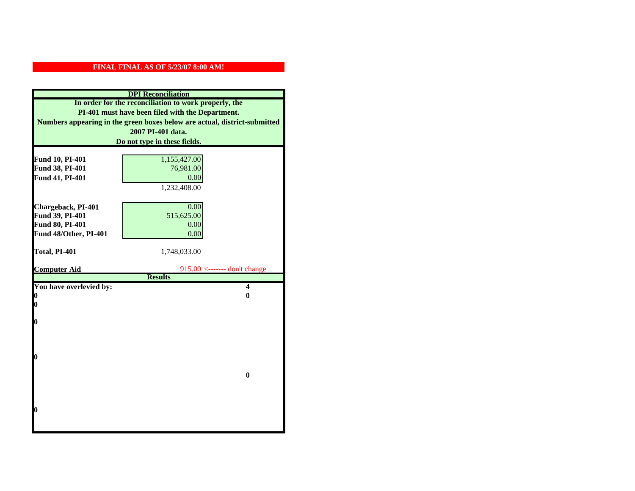| <b>DPI</b> Reconciliation                             |                                                                           |  |
|-------------------------------------------------------|---------------------------------------------------------------------------|--|
| In order for the reconciliation to work properly, the |                                                                           |  |
| PI-401 must have been filed with the Department.      |                                                                           |  |
|                                                       | Numbers appearing in the green boxes below are actual, district-submitted |  |
|                                                       | 2007 PI-401 data.                                                         |  |
|                                                       | Do not type in these fields.                                              |  |
|                                                       |                                                                           |  |
| Fund 10, PI-401                                       | 1,155,427.00                                                              |  |
| Fund 38, PI-401                                       | 76,981.00                                                                 |  |
| Fund 41, PI-401                                       | 0.00                                                                      |  |
|                                                       | 1,232,408.00                                                              |  |
|                                                       |                                                                           |  |
| Chargeback, PI-401                                    | 0.00                                                                      |  |
| Fund 39, PI-401                                       | 515,625.00                                                                |  |
| Fund 80, PI-401                                       | 0.00                                                                      |  |
| Fund 48/Other, PI-401                                 | 0.00                                                                      |  |
| Total, PI-401                                         | 1,748,033.00                                                              |  |
|                                                       |                                                                           |  |
| <b>Computer Aid</b>                                   | $915.00$ <------- don't change                                            |  |
|                                                       | <b>Results</b>                                                            |  |
| You have overlevied by:                               | $\overline{\mathbf{4}}$                                                   |  |
| 0                                                     | $\bf{0}$                                                                  |  |
| 0                                                     |                                                                           |  |
| O                                                     |                                                                           |  |
|                                                       |                                                                           |  |
|                                                       |                                                                           |  |
|                                                       |                                                                           |  |
| $\bf{0}$                                              |                                                                           |  |
|                                                       |                                                                           |  |
|                                                       | $\bf{0}$                                                                  |  |
|                                                       |                                                                           |  |
|                                                       |                                                                           |  |
| 0                                                     |                                                                           |  |
|                                                       |                                                                           |  |
|                                                       |                                                                           |  |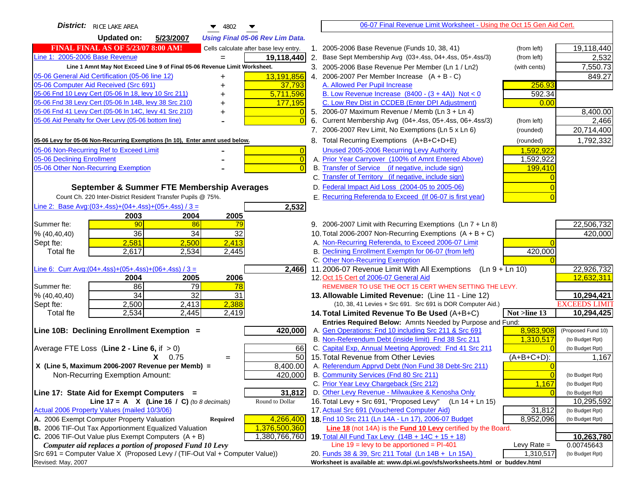| <b>District:</b> RICE LAKE AREA<br>4802<br>▼                                                                                                         |    | 06-07 Final Revenue Limit Worksheet - Using the Oct 15 Gen Aid Cert.                                                        |                |                      |
|------------------------------------------------------------------------------------------------------------------------------------------------------|----|-----------------------------------------------------------------------------------------------------------------------------|----------------|----------------------|
| <b>Updated on:</b><br>5/23/2007<br><b>Using Final 05-06 Rev Lim Data.</b>                                                                            |    |                                                                                                                             |                |                      |
| <b>FINAL FINAL AS OF 5/23/07 8:00 AM!</b><br>Cells calculate after base levy entry.                                                                  |    | 1. 2005-2006 Base Revenue (Funds 10, 38, 41)                                                                                | (from left)    | 19,118,440           |
| Line 1: 2005-2006 Base Revenue<br>19,118,440                                                                                                         |    | 2. Base Sept Membership Avg (03+.4ss, 04+.4ss, 05+.4ss/3)                                                                   | (from left)    | 2,532                |
| Line 1 Amnt May Not Exceed Line 9 of Final 05-06 Revenue Limit Worksheet.                                                                            |    | 3. 2005-2006 Base Revenue Per Member (Ln 1 / Ln2)                                                                           | (with cents)   | 7,550.73             |
| 05-06 General Aid Certification (05-06 line 12)<br>13,191,856<br>+                                                                                   |    | 4. 2006-2007 Per Member Increase $(A + B - C)$                                                                              |                | 849.27               |
| 05-06 Computer Aid Received (Src 691)<br>37,793                                                                                                      |    | A. Allowed Per Pupil Increase                                                                                               | 256.93         |                      |
| 05-06 Fnd 10 Levy Cert (05-06 In 18, levy 10 Src 211)<br>5,711,596                                                                                   |    | B. Low Revenue Increase $(8400 - (3 + 4A))$ Not < 0                                                                         | 592.34         |                      |
| 05-06 Fnd 38 Levy Cert (05-06 In 14B, levy 38 Src 210)<br>177,195                                                                                    |    | C. Low Rev Dist in CCDEB (Enter DPI Adjustment)                                                                             | 0.00           |                      |
| 05-06 Fnd 41 Levy Cert (05-06 In 14C, levy 41 Src 210)                                                                                               |    | 5. 2006-07 Maximum Revenue / Memb (Ln 3 + Ln 4)                                                                             |                | 8,400.00             |
| 05-06 Aid Penalty for Over Levy (05-06 bottom line)<br>$\Omega$                                                                                      | 6. | Current Membership Avg (04+.4ss, 05+.4ss, 06+.4ss/3)                                                                        | (from left)    | 2,466                |
|                                                                                                                                                      |    | 7. 2006-2007 Rev Limit, No Exemptions (Ln 5 x Ln 6)                                                                         | (rounded)      | 20,714,400           |
| 05-06 Levy for 05-06 Non-Recurring Exemptions (In 10), Enter amnt used below.                                                                        |    | 8. Total Recurring Exemptions (A+B+C+D+E)                                                                                   | (rounded)      | 1,792,332            |
| 05-06 Non-Recurring Ref to Exceed Limit<br>$\overline{0}$                                                                                            |    | Unused 2005-2006 Recurring Levy Authority                                                                                   | 1,592,922      |                      |
| 05-06 Declining Enrollment<br>$\overline{0}$                                                                                                         |    | A. Prior Year Carryover (100% of Amnt Entered Above)                                                                        | 1,592,922      |                      |
| 05-06 Other Non-Recurring Exemption<br>$\Omega$                                                                                                      |    | B. Transfer of Service (if negative, include sign)                                                                          | 199,410        |                      |
|                                                                                                                                                      |    | C. Transfer of Territory (if negative, include sign)                                                                        |                |                      |
| September & Summer FTE Membership Averages                                                                                                           |    | D. Federal Impact Aid Loss (2004-05 to 2005-06)                                                                             |                |                      |
| Count Ch. 220 Inter-District Resident Transfer Pupils @ 75%.                                                                                         |    | E. Recurring Referenda to Exceed (If 06-07 is first year)                                                                   |                |                      |
| Line 2: Base Avg:(03+.4ss)+(04+.4ss)+(05+.4ss) / 3 =<br>2,532                                                                                        |    |                                                                                                                             |                |                      |
| 2003<br>2004<br>2005                                                                                                                                 |    |                                                                                                                             |                |                      |
| 90<br>86<br>Summer fte:<br>79                                                                                                                        |    | 9. 2006-2007 Limit with Recurring Exemptions (Ln 7 + Ln 8)                                                                  |                | 22,506,732           |
| 36<br>34<br>32<br>% (40, 40, 40)                                                                                                                     |    | 10. Total 2006-2007 Non-Recurring Exemptions $(A + B + C)$                                                                  |                | 420,000              |
| 2,581<br>2,413<br>2,500<br>Sept fte:                                                                                                                 |    | A. Non-Recurring Referenda, to Exceed 2006-07 Limit                                                                         |                |                      |
| 2,617<br>2,534<br>2,445<br><b>Total fte</b>                                                                                                          |    | B. Declining Enrollment Exemptn for 06-07 (from left)                                                                       | 420,000        |                      |
|                                                                                                                                                      |    | C. Other Non-Recurring Exemption                                                                                            |                |                      |
| Line 6: Curr Avg: $(04+.4ss)+(05+.4ss)+(06+.4ss)/3=$<br>2,466                                                                                        |    | 11.2006-07 Revenue Limit With All Exemptions<br>$(Ln 9 + Ln 10)$                                                            |                | 22,926,732           |
| 2005<br>2006<br>2004<br>86<br>79<br>78<br>Summer fte:                                                                                                |    | 12. Oct 15 Cert of 2006-07 General Aid<br>REMEMBER TO USE THE OCT 15 CERT WHEN SETTING THE LEVY.                            |                | 12,632,311           |
| $\overline{34}$<br>$\overline{32}$<br>31<br>% (40, 40, 40)                                                                                           |    | 13. Allowable Limited Revenue: (Line 11 - Line 12)                                                                          |                | 10,294,421           |
| 2,388<br>2,500<br>2,413<br>Sept fte:                                                                                                                 |    | (10, 38, 41 Levies + Src 691. Src 691 is DOR Computer Aid.)                                                                 |                | <b>EXCEEDS LIMIT</b> |
| 2,534<br>2,445<br>2,419<br><b>Total fte</b>                                                                                                          |    | 14. Total Limited Revenue To Be Used (A+B+C)                                                                                | Not >line 13   | 10,294,425           |
|                                                                                                                                                      |    | Entries Required Below: Amnts Needed by Purpose and Fund:                                                                   |                |                      |
| Line 10B: Declining Enrollment Exemption =<br>420,000                                                                                                |    | A. Gen Operations: Fnd 10 including Src 211 & Src 691                                                                       | 8,983,908      | (Proposed Fund 10)   |
|                                                                                                                                                      |    | B. Non-Referendum Debt (inside limit) Fnd 38 Src 211                                                                        | 1,310,517      | (to Budget Rpt)      |
| Average FTE Loss (Line $2 -$ Line 6, if $> 0$ )<br>66                                                                                                |    | C. Capital Exp, Annual Meeting Approved: Fnd 41 Src 211                                                                     |                | (to Budget Rpt)      |
| 50<br>$X = 0.75$<br>$=$                                                                                                                              |    | 15. Total Revenue from Other Levies                                                                                         | $(A+B+C+D)$ :  | 1,167                |
| X (Line 5, Maximum 2006-2007 Revenue per Memb) =<br>8,400.00                                                                                         |    | A. Referendum Apprvd Debt (Non Fund 38 Debt-Src 211)                                                                        |                |                      |
| 420,000<br>Non-Recurring Exemption Amount:                                                                                                           |    | B. Community Services (Fnd 80 Src 211)                                                                                      | $\overline{0}$ | (to Budget Rpt)      |
|                                                                                                                                                      |    | C. Prior Year Levy Chargeback (Src 212)                                                                                     | 1,167          | (to Budget Rpt)      |
| 31,812<br>Line 17: State Aid for Exempt Computers =                                                                                                  |    | D. Other Levy Revenue - Milwaukee & Kenosha Only                                                                            |                | (to Budget Rpt)      |
| Round to Dollar<br>Line 17 = A $X$ (Line 16 / C) (to 8 decimals)                                                                                     |    | 16. Total Levy + Src 691, "Proposed Levy"<br>$(Ln 14 + Ln 15)$                                                              |                | 10,295,592           |
| Actual 2006 Property Values (mailed 10/3/06)                                                                                                         |    | 17. Actual Src 691 (Vouchered Computer Aid)                                                                                 | 31,812         | (to Budget Rpt)      |
| A. 2006 Exempt Computer Property Valuation<br>4,266,400<br><b>Required</b><br>B. 2006 TIF-Out Tax Apportionment Equalized Valuation<br>1,376,500,360 |    | 18. Fnd 10 Src 211 (Ln 14A - Ln 17), 2006-07 Budget<br>Line 18 (not 14A) is the <b>Fund 10 Levy</b> certified by the Board. | 8,952,096      | (to Budget Rpt)      |
| C. 2006 TIF-Out Value plus Exempt Computers $(A + B)$<br>,380,766,760                                                                                |    | 19. Total All Fund Tax Levy (14B + 14C + 15 + 18)                                                                           |                | 10,263,780           |
| Computer aid replaces a portion of proposed Fund 10 Levy                                                                                             |    | Line $19 = \text{levy}$ to be apportioned = PI-401                                                                          | Levy Rate $=$  | 0.00745643           |
| Src 691 = Computer Value X (Proposed Levy / (TIF-Out Val + Computer Value))                                                                          |    | 20. Funds 38 & 39, Src 211 Total (Ln 14B + Ln 15A)                                                                          | 1,310,517      | (to Budget Rpt)      |
| Revised: May, 2007                                                                                                                                   |    | Worksheet is available at: www.dpi.wi.gov/sfs/worksheets.html or buddev.html                                                |                |                      |
|                                                                                                                                                      |    |                                                                                                                             |                |                      |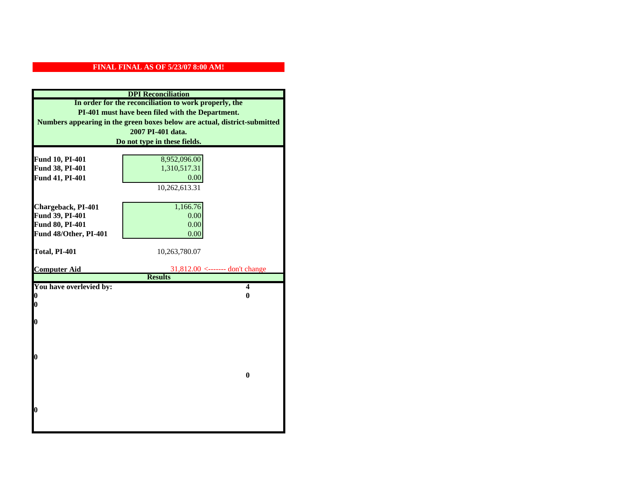| <b>DPI</b> Reconciliation                                                                                 |                                   |  |  |
|-----------------------------------------------------------------------------------------------------------|-----------------------------------|--|--|
| In order for the reconciliation to work properly, the<br>PI-401 must have been filed with the Department. |                                   |  |  |
| Numbers appearing in the green boxes below are actual, district-submitted                                 |                                   |  |  |
| 2007 PI-401 data.                                                                                         |                                   |  |  |
| Do not type in these fields.                                                                              |                                   |  |  |
| Fund 10, PI-401                                                                                           | 8,952,096.00                      |  |  |
| Fund 38, PI-401                                                                                           | 1,310,517.31                      |  |  |
| Fund 41, PI-401                                                                                           | 0.00                              |  |  |
|                                                                                                           | 10,262,613.31                     |  |  |
| Chargeback, PI-401                                                                                        | 1,166.76                          |  |  |
| Fund 39, PI-401                                                                                           | 0.00                              |  |  |
| Fund 80, PI-401<br>Fund 48/Other, PI-401                                                                  | 0.00<br>0.00                      |  |  |
|                                                                                                           |                                   |  |  |
| Total, PI-401                                                                                             | 10,263,780.07                     |  |  |
| <b>Computer Aid</b>                                                                                       | $31,812.00$ <------- don't change |  |  |
|                                                                                                           | <b>Results</b>                    |  |  |
|                                                                                                           |                                   |  |  |
| You have overlevied by:                                                                                   | $\overline{\mathbf{4}}$           |  |  |
| 0<br>0                                                                                                    | 0                                 |  |  |
|                                                                                                           |                                   |  |  |
| 0                                                                                                         |                                   |  |  |
|                                                                                                           |                                   |  |  |
|                                                                                                           |                                   |  |  |
| 0                                                                                                         |                                   |  |  |
|                                                                                                           | $\bf{0}$                          |  |  |
|                                                                                                           |                                   |  |  |
|                                                                                                           |                                   |  |  |
| O                                                                                                         |                                   |  |  |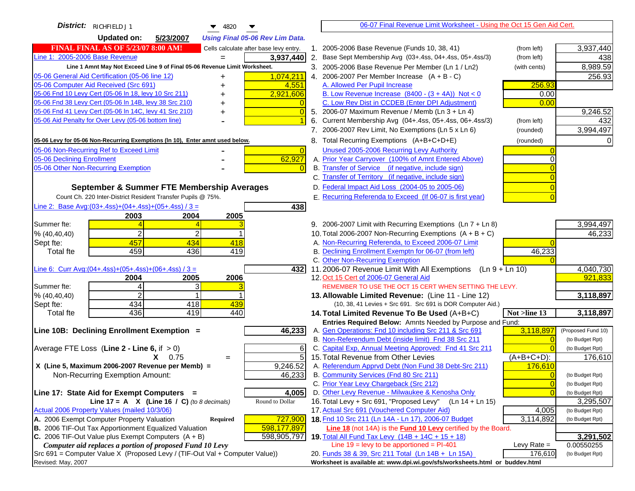| District: RICHFIELD J1<br>$\blacktriangledown$ 4820                                                              | 06-07 Final Revenue Limit Worksheet - Using the Oct 15 Gen Aid Cert.                                                       |                                    |
|------------------------------------------------------------------------------------------------------------------|----------------------------------------------------------------------------------------------------------------------------|------------------------------------|
| <b>Updated on:</b><br>5/23/2007<br><b>Using Final 05-06 Rev Lim Data.</b>                                        |                                                                                                                            |                                    |
| <b>FINAL FINAL AS OF 5/23/07 8:00 AM!</b><br>Cells calculate after base levy entry.                              | 1. 2005-2006 Base Revenue (Funds 10, 38, 41)<br>(from left)                                                                | 3,937,440                          |
| Line 1: 2005-2006 Base Revenue<br>3,937,440                                                                      | 2. Base Sept Membership Avg (03+.4ss, 04+.4ss, 05+.4ss/3)<br>(from left)                                                   | 438                                |
| Line 1 Amnt May Not Exceed Line 9 of Final 05-06 Revenue Limit Worksheet.                                        | 3. 2005-2006 Base Revenue Per Member (Ln 1 / Ln2)<br>(with cents)                                                          | 8,989.59                           |
| 1,074,211<br>05-06 General Aid Certification (05-06 line 12)<br>+                                                | 4. 2006-2007 Per Member Increase $(A + B - C)$                                                                             | 256.93                             |
| 05-06 Computer Aid Received (Src 691)<br>4,551<br>+                                                              | A. Allowed Per Pupil Increase<br>256.93                                                                                    |                                    |
| 05-06 Fnd 10 Levy Cert (05-06 In 18, levy 10 Src 211)<br>2,921,606                                               | B. Low Revenue Increase $(8400 - (3 + 4A))$ Not < 0<br>0.00                                                                |                                    |
| 05-06 Fnd 38 Levy Cert (05-06 In 14B, levy 38 Src 210)                                                           | C. Low Rev Dist in CCDEB (Enter DPI Adjustment)<br>0.00                                                                    |                                    |
| 05-06 Fnd 41 Levy Cert (05-06 In 14C, levy 41 Src 210)<br>+                                                      | 5. 2006-07 Maximum Revenue / Memb (Ln 3 + Ln 4)                                                                            | 9,246.52                           |
| 05-06 Aid Penalty for Over Levy (05-06 bottom line)                                                              | Current Membership Avg (04+.4ss, 05+.4ss, 06+.4ss/3)<br>6.<br>(from left)                                                  | 432                                |
|                                                                                                                  | 7. 2006-2007 Rev Limit, No Exemptions (Ln 5 x Ln 6)<br>(rounded)                                                           | 3,994,497                          |
| 05-06 Levy for 05-06 Non-Recurring Exemptions (In 10), Enter amnt used below.                                    | 8. Total Recurring Exemptions (A+B+C+D+E)<br>(rounded)                                                                     |                                    |
| 05-06 Non-Recurring Ref to Exceed Limit<br>$\overline{0}$                                                        | Unused 2005-2006 Recurring Levy Authority                                                                                  |                                    |
| 05-06 Declining Enrollment<br>62,927                                                                             | A. Prior Year Carryover (100% of Amnt Entered Above)                                                                       |                                    |
| 05-06 Other Non-Recurring Exemption                                                                              | B. Transfer of Service (if negative, include sign)                                                                         |                                    |
|                                                                                                                  | C. Transfer of Territory (if negative, include sign)                                                                       |                                    |
| September & Summer FTE Membership Averages                                                                       | D. Federal Impact Aid Loss (2004-05 to 2005-06)                                                                            |                                    |
| Count Ch. 220 Inter-District Resident Transfer Pupils @ 75%.                                                     | E. Recurring Referenda to Exceed (If 06-07 is first year)                                                                  |                                    |
| Line 2: Base Avg: $(03+.4ss)+(04+.4ss)+(05+.4ss)/3 =$<br>438                                                     |                                                                                                                            |                                    |
| 2003<br>2004<br>2005                                                                                             |                                                                                                                            |                                    |
| Summer fte:                                                                                                      | 9. 2006-2007 Limit with Recurring Exemptions (Ln 7 + Ln 8)                                                                 | 3,994,497                          |
| $\overline{2}$<br>% (40, 40, 40)                                                                                 | 10. Total 2006-2007 Non-Recurring Exemptions $(A + B + C)$                                                                 | 46,233                             |
| 457<br>434<br>418<br>Sept fte:                                                                                   | A. Non-Recurring Referenda, to Exceed 2006-07 Limit                                                                        |                                    |
| 459<br>436<br>419<br><b>Total fte</b>                                                                            | B. Declining Enrollment Exemptn for 06-07 (from left)<br>46,233                                                            |                                    |
|                                                                                                                  | C. Other Non-Recurring Exemption                                                                                           |                                    |
| Line 6: Curr Avg: $(04+.4ss)+(05+.4ss)+(06+.4ss)/3 =$<br>4321<br>2006                                            | 11.2006-07 Revenue Limit With All Exemptions (Ln $9 + \overline{\text{Ln }10}$ )<br>12. Oct 15 Cert of 2006-07 General Aid | 4,040,730<br>921,833               |
| 2005<br>2004<br>Summer fte:<br>3<br>4                                                                            | REMEMBER TO USE THE OCT 15 CERT WHEN SETTING THE LEVY.                                                                     |                                    |
| $\overline{2}$<br>% (40, 40, 40)                                                                                 | 13. Allowable Limited Revenue: (Line 11 - Line 12)                                                                         | 3,118,897                          |
| 434<br>418<br>439<br>Sept fte:                                                                                   | (10, 38, 41 Levies + Src 691. Src 691 is DOR Computer Aid.)                                                                |                                    |
| 436<br>440<br><b>Total fte</b><br>419                                                                            | 14. Total Limited Revenue To Be Used (A+B+C)<br>Not >line 13                                                               | 3,118,897                          |
|                                                                                                                  | Entries Required Below: Amnts Needed by Purpose and Fund:                                                                  |                                    |
| 46,233<br>Line 10B: Declining Enrollment Exemption =                                                             | 3,118,897<br>A. Gen Operations: Fnd 10 including Src 211 & Src 691                                                         | (Proposed Fund 10)                 |
|                                                                                                                  | B. Non-Referendum Debt (inside limit) Fnd 38 Src 211<br>$\sqrt{ }$                                                         | (to Budget Rpt)                    |
| Average FTE Loss (Line $2 -$ Line 6, if $> 0$ )<br>6                                                             | C. Capital Exp, Annual Meeting Approved: Fnd 41 Src 211                                                                    | (to Budget Rpt)                    |
| 5<br>$X = 0.75$<br>$=$                                                                                           | 15. Total Revenue from Other Levies<br>(A+B+C+D):                                                                          | 176,610                            |
| X (Line 5, Maximum 2006-2007 Revenue per Memb) =<br>9,246.52                                                     | A. Referendum Apprvd Debt (Non Fund 38 Debt-Src 211)<br>176,610                                                            |                                    |
| Non-Recurring Exemption Amount:<br>46,233                                                                        | B. Community Services (Fnd 80 Src 211)                                                                                     | (to Budget Rpt)                    |
|                                                                                                                  | C. Prior Year Levy Chargeback (Src 212)<br>$\overline{0}$                                                                  | (to Budget Rpt)                    |
| 4,005<br>Line 17: State Aid for Exempt Computers =                                                               | D. Other Levy Revenue - Milwaukee & Kenosha Only<br>16. Total Levy + Src 691, "Proposed Levy"                              | (to Budget Rpt)                    |
| Line 17 = A $X$ (Line 16 / C) (to 8 decimals)<br>Round to Dollar<br>Actual 2006 Property Values (mailed 10/3/06) | (Ln 14 + Ln 15)<br>17. Actual Src 691 (Vouchered Computer Aid)                                                             | 3,295,507                          |
| A. 2006 Exempt Computer Property Valuation<br>727,900<br>Required                                                | 4,005<br>18. Fnd 10 Src 211 (Ln 14A - Ln 17), 2006-07 Budget<br>3,114,892                                                  | (to Budget Rpt)<br>(to Budget Rpt) |
| B. 2006 TIF-Out Tax Apportionment Equalized Valuation<br>598,177,897                                             | <b>Line 18</b> (not 14A) is the <b>Fund 10 Levy</b> certified by the Board.                                                |                                    |
| C. 2006 TIF-Out Value plus Exempt Computers $(A + B)$<br>598,905,797                                             | 19. Total All Fund Tax Levy (14B + 14C + 15 + 18)                                                                          | 3,291,502                          |
| Computer aid replaces a portion of proposed Fund 10 Levy                                                         | Line $19 = \text{levy}$ to be apportioned = PI-401<br>Levy Rate $=$                                                        | 0.00550255                         |
| Src 691 = Computer Value X (Proposed Levy / (TIF-Out Val + Computer Value))                                      | 176,610<br>20. Funds 38 & 39, Src 211 Total (Ln 14B + Ln 15A)                                                              | (to Budget Rpt)                    |
| Revised: May, 2007                                                                                               | Worksheet is available at: www.dpi.wi.gov/sfs/worksheets.html or buddev.html                                               |                                    |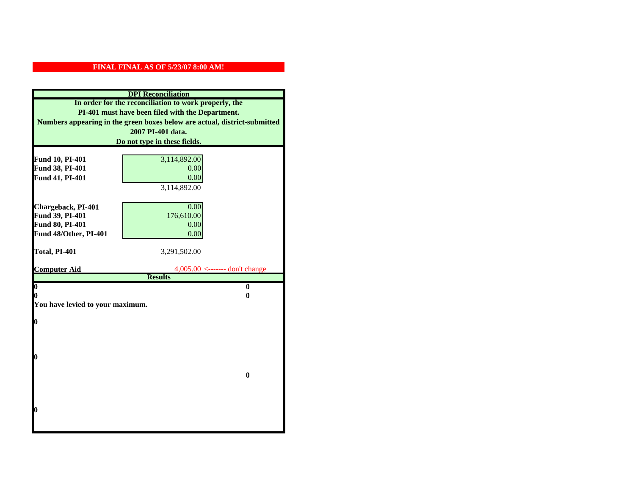| <b>DPI</b> Reconciliation                                                 |                                     |  |  |
|---------------------------------------------------------------------------|-------------------------------------|--|--|
| In order for the reconciliation to work properly, the                     |                                     |  |  |
| PI-401 must have been filed with the Department.                          |                                     |  |  |
| Numbers appearing in the green boxes below are actual, district-submitted |                                     |  |  |
| 2007 PI-401 data.                                                         |                                     |  |  |
| Do not type in these fields.                                              |                                     |  |  |
|                                                                           |                                     |  |  |
| Fund 10, PI-401<br>Fund 38, PI-401                                        | 3,114,892.00<br>0.00                |  |  |
| Fund 41, PI-401                                                           | 0.00                                |  |  |
|                                                                           | 3,114,892.00                        |  |  |
|                                                                           |                                     |  |  |
| Chargeback, PI-401                                                        | 0.00                                |  |  |
| Fund 39, PI-401                                                           | 176,610.00                          |  |  |
| Fund 80, PI-401                                                           | 0.00                                |  |  |
| Fund 48/Other, PI-401                                                     | 0.00                                |  |  |
|                                                                           |                                     |  |  |
| Total, PI-401                                                             | 3,291,502.00                        |  |  |
|                                                                           |                                     |  |  |
| <b>Computer Aid</b>                                                       | $4,005.00 \le$ ------- don't change |  |  |
| $\overline{\mathbf{0}}$                                                   | <b>Results</b><br>$\bf{0}$          |  |  |
| 0                                                                         | 0                                   |  |  |
| You have levied to your maximum.                                          |                                     |  |  |
|                                                                           |                                     |  |  |
| $\bf{0}$                                                                  |                                     |  |  |
|                                                                           |                                     |  |  |
|                                                                           |                                     |  |  |
|                                                                           |                                     |  |  |
| l0                                                                        |                                     |  |  |
|                                                                           | $\mathbf{0}$                        |  |  |
|                                                                           |                                     |  |  |
|                                                                           |                                     |  |  |
|                                                                           |                                     |  |  |
| $\boldsymbol{0}$                                                          |                                     |  |  |
|                                                                           |                                     |  |  |
|                                                                           |                                     |  |  |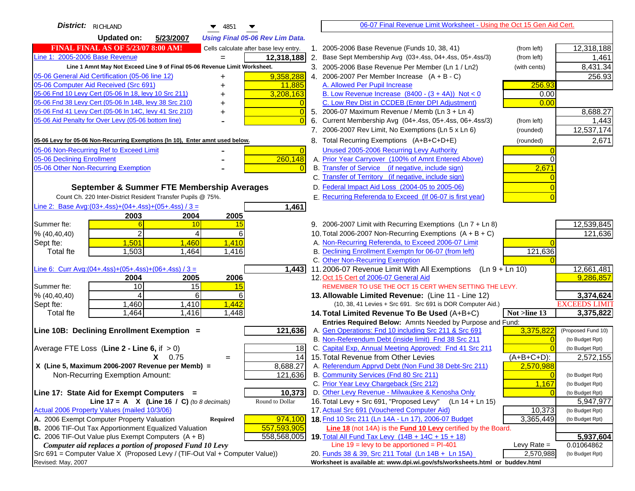| District: RICHLAND<br>$\blacktriangledown$ 4851                                                                                           | 06-07 Final Revenue Limit Worksheet - Using the Oct 15 Gen Aid Cert.                                                              |                      |
|-------------------------------------------------------------------------------------------------------------------------------------------|-----------------------------------------------------------------------------------------------------------------------------------|----------------------|
| <b>Updated on:</b><br>5/23/2007<br><b>Using Final 05-06 Rev Lim Data.</b>                                                                 |                                                                                                                                   |                      |
| <b>FINAL FINAL AS OF 5/23/07 8:00 AM!</b><br>Cells calculate after base levy entry.                                                       | 1. 2005-2006 Base Revenue (Funds 10, 38, 41)<br>(from left)                                                                       | 12,318,188           |
| Line 1: 2005-2006 Base Revenue<br>12,318,188<br>$=$                                                                                       | 2. Base Sept Membership Avg (03+.4ss, 04+.4ss, 05+.4ss/3)<br>(from left)                                                          | 1,461                |
| Line 1 Amnt May Not Exceed Line 9 of Final 05-06 Revenue Limit Worksheet.                                                                 | 3. 2005-2006 Base Revenue Per Member (Ln 1 / Ln2)<br>(with cents)                                                                 | 8,431.34             |
| 9,358,288<br>05-06 General Aid Certification (05-06 line 12)                                                                              | 4. 2006-2007 Per Member Increase $(A + B - C)$                                                                                    | 256.93               |
| 05-06 Computer Aid Received (Src 691)<br>11,885                                                                                           | A. Allowed Per Pupil Increase<br>256.93                                                                                           |                      |
| 05-06 Fnd 10 Levy Cert (05-06 ln 18, levy 10 Src 211)<br>3,208,163                                                                        | B. Low Revenue Increase $(8400 - (3 + 4A))$ Not < 0<br>0.00                                                                       |                      |
| 05-06 Fnd 38 Levy Cert (05-06 In 14B, levy 38 Src 210)                                                                                    | C. Low Rev Dist in CCDEB (Enter DPI Adjustment)<br>0.00                                                                           |                      |
| 05-06 Fnd 41 Levy Cert (05-06 In 14C, levy 41 Src 210)<br>$\overline{0}$<br>+                                                             | 5. 2006-07 Maximum Revenue / Memb (Ln 3 + Ln 4)                                                                                   | 8,688.27             |
| 05-06 Aid Penalty for Over Levy (05-06 bottom line)<br>$\Omega$                                                                           | Current Membership Avg (04+.4ss, 05+.4ss, 06+.4ss/3)<br>6.<br>(from left)                                                         | 1,443                |
|                                                                                                                                           | 7. 2006-2007 Rev Limit, No Exemptions (Ln 5 x Ln 6)<br>(rounded)                                                                  | 12,537,174           |
| 05-06 Levy for 05-06 Non-Recurring Exemptions (In 10), Enter amnt used below.                                                             | 8. Total Recurring Exemptions (A+B+C+D+E)<br>(rounded)                                                                            | 2,671                |
| 05-06 Non-Recurring Ref to Exceed Limit<br>$\overline{0}$                                                                                 | Unused 2005-2006 Recurring Levy Authority                                                                                         |                      |
| 260,148<br>05-06 Declining Enrollment                                                                                                     | A. Prior Year Carryover (100% of Amnt Entered Above)                                                                              |                      |
| 05-06 Other Non-Recurring Exemption                                                                                                       | B. Transfer of Service (if negative, include sign)<br>2,671                                                                       |                      |
|                                                                                                                                           | C. Transfer of Territory (if negative, include sign)                                                                              |                      |
| September & Summer FTE Membership Averages                                                                                                | D. Federal Impact Aid Loss (2004-05 to 2005-06)                                                                                   |                      |
| Count Ch. 220 Inter-District Resident Transfer Pupils @ 75%.                                                                              | E. Recurring Referenda to Exceed (If 06-07 is first year)                                                                         |                      |
| Line 2: Base Avg: $(03+.4ss)+(04+.4ss)+(05+.4ss)/3 =$<br>1,461                                                                            |                                                                                                                                   |                      |
| 2003<br>2004<br>2005                                                                                                                      |                                                                                                                                   |                      |
| Summer fte:<br>10<br>15                                                                                                                   | 9. 2006-2007 Limit with Recurring Exemptions (Ln 7 + Ln 8)                                                                        | 12,539,845           |
| $\overline{2}$<br>6<br>% (40, 40, 40)<br>4                                                                                                | 10. Total 2006-2007 Non-Recurring Exemptions $(A + B + C)$                                                                        | 121,636              |
| 1,501<br>1,460<br>1,410<br>Sept fte:                                                                                                      | A. Non-Recurring Referenda, to Exceed 2006-07 Limit                                                                               |                      |
| <b>Total fte</b><br>1,503<br>1,464<br>1,416                                                                                               | B. Declining Enrollment Exemptn for 06-07 (from left)<br>121,636                                                                  |                      |
|                                                                                                                                           | C. Other Non-Recurring Exemption                                                                                                  |                      |
| Line 6: Curr Avg: $(04+.4ss)+(05+.4ss)+(06+.4ss)/3 =$<br>1,443                                                                            | 11.2006-07 Revenue Limit With All Exemptions<br>$(Ln 9 + Ln 10)$                                                                  | 12,661,481           |
| 2006<br>2004<br>2005<br>10<br>15<br>Summer fte:<br>15                                                                                     | 12. Oct 15 Cert of 2006-07 General Aid<br>REMEMBER TO USE THE OCT 15 CERT WHEN SETTING THE LEVY.                                  | 9,286,857            |
| % (40, 40, 40)<br>6<br>6                                                                                                                  | 13. Allowable Limited Revenue: (Line 11 - Line 12)                                                                                | 3,374,624            |
| 1,460<br>1,410<br>1,442<br>Sept fte:                                                                                                      | (10, 38, 41 Levies + Src 691. Src 691 is DOR Computer Aid.)                                                                       | <b>EXCEEDS LIMIT</b> |
| 1,464<br>1,416<br>1,448<br><b>Total fte</b>                                                                                               | Not >line 13<br>14. Total Limited Revenue To Be Used (A+B+C)                                                                      | 3,375,822            |
|                                                                                                                                           | Entries Required Below: Amnts Needed by Purpose and Fund:                                                                         |                      |
| 121,636<br>Line 10B: Declining Enrollment Exemption =                                                                                     | A. Gen Operations: Fnd 10 including Src 211 & Src 691<br>3,375,822                                                                | (Proposed Fund 10)   |
|                                                                                                                                           | B. Non-Referendum Debt (inside limit) Fnd 38 Src 211<br>$\Omega$                                                                  | (to Budget Rpt)      |
| Average FTE Loss (Line $2 -$ Line 6, if $> 0$ )<br>18                                                                                     | C. Capital Exp, Annual Meeting Approved: Fnd 41 Src 211                                                                           | (to Budget Rpt)      |
| 14<br>$X = 0.75$<br>$=$                                                                                                                   | 15. Total Revenue from Other Levies<br>$(A+B+C+D)$ :                                                                              | 2,572,155            |
| X (Line 5, Maximum 2006-2007 Revenue per Memb) =<br>8,688.27                                                                              | A. Referendum Apprvd Debt (Non Fund 38 Debt-Src 211)<br>2,570,988                                                                 |                      |
| 121,636<br>Non-Recurring Exemption Amount:                                                                                                | B. Community Services (Fnd 80 Src 211)<br>$\overline{0}$                                                                          | (to Budget Rpt)      |
|                                                                                                                                           | C. Prior Year Levy Chargeback (Src 212)<br>1,167                                                                                  | (to Budget Rpt)      |
| 10,373<br>Line 17: State Aid for Exempt Computers =                                                                                       | D. Other Levy Revenue - Milwaukee & Kenosha Only                                                                                  | (to Budget Rpt)      |
| Line 17 = A $X$ (Line 16 / C) (to 8 decimals)<br>Round to Dollar                                                                          | 16. Total Levy + Src 691, "Proposed Levy"<br>$(Ln 14 + Ln 15)$                                                                    | 5,947,977            |
| Actual 2006 Property Values (mailed 10/3/06)                                                                                              | 17. Actual Src 691 (Vouchered Computer Aid)<br>10,373                                                                             | (to Budget Rpt)      |
| A. 2006 Exempt Computer Property Valuation<br>974,100<br>Required<br>B. 2006 TIF-Out Tax Apportionment Equalized Valuation<br>557,593,905 | 18. Fnd 10 Src 211 (Ln 14A - Ln 17), 2006-07 Budget<br>3,365,449<br>Line 18 (not 14A) is the Fund 10 Levy certified by the Board. | (to Budget Rpt)      |
| C. 2006 TIF-Out Value plus Exempt Computers $(A + B)$<br>558,568,005                                                                      | 19. Total All Fund Tax Levy $(14B + 14C + 15 + 18)$                                                                               | 5,937,604            |
| Computer aid replaces a portion of proposed Fund 10 Levy                                                                                  | Line $19 = \text{levy}$ to be apportioned = PI-401<br>Levy Rate $=$                                                               | 0.01064862           |
| Src 691 = Computer Value X (Proposed Levy / (TIF-Out Val + Computer Value))                                                               | 20. Funds 38 & 39, Src 211 Total (Ln 14B + Ln 15A)<br>2,570,988                                                                   | (to Budget Rpt)      |
| Revised: May, 2007                                                                                                                        | Worksheet is available at: www.dpi.wi.gov/sfs/worksheets.html or buddev.html                                                      |                      |
|                                                                                                                                           |                                                                                                                                   |                      |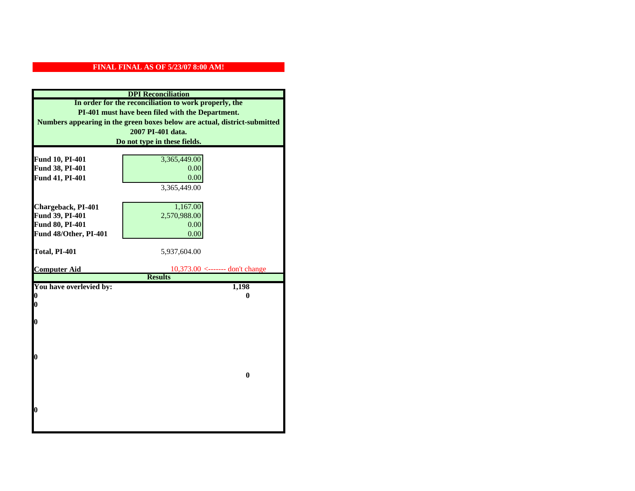| Fund 10, PI-401<br>Fund 38, PI-401<br>Fund 41, PI-401 | In order for the reconciliation to work properly, the<br>PI-401 must have been filed with the Department.<br>Numbers appearing in the green boxes below are actual, district-submitted<br>2007 PI-401 data.<br>Do not type in these fields.<br>3,365,449.00<br>0.00<br>0.00<br>3,365,449.00 |  |  |  |  |  |
|-------------------------------------------------------|---------------------------------------------------------------------------------------------------------------------------------------------------------------------------------------------------------------------------------------------------------------------------------------------|--|--|--|--|--|
|                                                       |                                                                                                                                                                                                                                                                                             |  |  |  |  |  |
|                                                       |                                                                                                                                                                                                                                                                                             |  |  |  |  |  |
|                                                       |                                                                                                                                                                                                                                                                                             |  |  |  |  |  |
|                                                       |                                                                                                                                                                                                                                                                                             |  |  |  |  |  |
|                                                       |                                                                                                                                                                                                                                                                                             |  |  |  |  |  |
|                                                       |                                                                                                                                                                                                                                                                                             |  |  |  |  |  |
|                                                       |                                                                                                                                                                                                                                                                                             |  |  |  |  |  |
|                                                       |                                                                                                                                                                                                                                                                                             |  |  |  |  |  |
|                                                       |                                                                                                                                                                                                                                                                                             |  |  |  |  |  |
|                                                       |                                                                                                                                                                                                                                                                                             |  |  |  |  |  |
|                                                       |                                                                                                                                                                                                                                                                                             |  |  |  |  |  |
| Chargeback, PI-401                                    | 1,167.00                                                                                                                                                                                                                                                                                    |  |  |  |  |  |
| Fund 39, PI-401                                       | 2,570,988.00                                                                                                                                                                                                                                                                                |  |  |  |  |  |
| Fund 80, PI-401                                       | 0.00                                                                                                                                                                                                                                                                                        |  |  |  |  |  |
| Fund 48/Other, PI-401                                 | 0.00                                                                                                                                                                                                                                                                                        |  |  |  |  |  |
|                                                       |                                                                                                                                                                                                                                                                                             |  |  |  |  |  |
| Total, PI-401                                         | 5,937,604.00                                                                                                                                                                                                                                                                                |  |  |  |  |  |
|                                                       |                                                                                                                                                                                                                                                                                             |  |  |  |  |  |
| <b>Computer Aid</b>                                   | $10,373.00$ <------- don't change                                                                                                                                                                                                                                                           |  |  |  |  |  |
|                                                       | <b>Results</b>                                                                                                                                                                                                                                                                              |  |  |  |  |  |
| You have overlevied by:<br>0                          | 1,198                                                                                                                                                                                                                                                                                       |  |  |  |  |  |
|                                                       |                                                                                                                                                                                                                                                                                             |  |  |  |  |  |
|                                                       | 0                                                                                                                                                                                                                                                                                           |  |  |  |  |  |
| 0                                                     |                                                                                                                                                                                                                                                                                             |  |  |  |  |  |
|                                                       |                                                                                                                                                                                                                                                                                             |  |  |  |  |  |
| $\boldsymbol{0}$                                      |                                                                                                                                                                                                                                                                                             |  |  |  |  |  |
|                                                       |                                                                                                                                                                                                                                                                                             |  |  |  |  |  |
|                                                       |                                                                                                                                                                                                                                                                                             |  |  |  |  |  |
| 0                                                     |                                                                                                                                                                                                                                                                                             |  |  |  |  |  |
|                                                       |                                                                                                                                                                                                                                                                                             |  |  |  |  |  |
|                                                       | $\bf{0}$                                                                                                                                                                                                                                                                                    |  |  |  |  |  |
|                                                       |                                                                                                                                                                                                                                                                                             |  |  |  |  |  |
|                                                       |                                                                                                                                                                                                                                                                                             |  |  |  |  |  |
|                                                       |                                                                                                                                                                                                                                                                                             |  |  |  |  |  |
| 0                                                     |                                                                                                                                                                                                                                                                                             |  |  |  |  |  |
|                                                       |                                                                                                                                                                                                                                                                                             |  |  |  |  |  |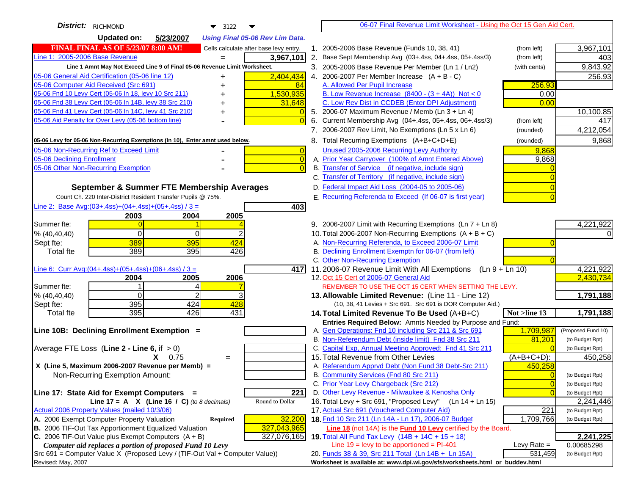| District: RICHMOND<br>$\blacktriangledown$ 3122                                                                  |    | 06-07 Final Revenue Limit Worksheet - Using the Oct 15 Gen Aid Cert.                                                       |                |                              |
|------------------------------------------------------------------------------------------------------------------|----|----------------------------------------------------------------------------------------------------------------------------|----------------|------------------------------|
| <b>Updated on:</b><br>5/23/2007<br><b>Using Final 05-06 Rev Lim Data.</b>                                        |    |                                                                                                                            |                |                              |
| <b>FINAL FINAL AS OF 5/23/07 8:00 AM!</b><br>Cells calculate after base levy entry.                              |    | 1. 2005-2006 Base Revenue (Funds 10, 38, 41)                                                                               | (from left)    | 3,967,101                    |
| Line 1: 2005-2006 Base Revenue<br>3,967,101                                                                      |    | 2. Base Sept Membership Avg (03+.4ss, 04+.4ss, 05+.4ss/3)                                                                  | (from left)    | 403                          |
| Line 1 Amnt May Not Exceed Line 9 of Final 05-06 Revenue Limit Worksheet.                                        |    | 3. 2005-2006 Base Revenue Per Member (Ln 1 / Ln2)                                                                          | (with cents)   | 9,843.92                     |
| 2,404,434<br>05-06 General Aid Certification (05-06 line 12)                                                     |    | 4. 2006-2007 Per Member Increase $(A + B - C)$                                                                             |                | 256.93                       |
| 05-06 Computer Aid Received (Src 691)<br>84                                                                      |    | A. Allowed Per Pupil Increase                                                                                              | 256.93         |                              |
| 05-06 Fnd 10 Levy Cert (05-06 In 18, levy 10 Src 211)<br>1,530,935                                               |    | B. Low Revenue Increase $(8400 - (3 + 4A))$ Not < 0                                                                        | 0.00           |                              |
| 05-06 Fnd 38 Levy Cert (05-06 In 14B, levy 38 Src 210)<br>31,648                                                 |    | C. Low Rev Dist in CCDEB (Enter DPI Adjustment)                                                                            | 0.00           |                              |
| 05-06 Fnd 41 Levy Cert (05-06 In 14C, levy 41 Src 210)<br>+                                                      |    | 5. 2006-07 Maximum Revenue / Memb (Ln 3 + Ln 4)                                                                            |                | 10,100.85                    |
| 05-06 Aid Penalty for Over Levy (05-06 bottom line)                                                              | 6. | Current Membership Avg (04+.4ss, 05+.4ss, 06+.4ss/3)                                                                       | (from left)    | 417                          |
|                                                                                                                  |    | 7. 2006-2007 Rev Limit, No Exemptions (Ln 5 x Ln 6)                                                                        | (rounded)      | 4,212,054                    |
| 05-06 Levy for 05-06 Non-Recurring Exemptions (In 10), Enter amnt used below.                                    |    | 8. Total Recurring Exemptions (A+B+C+D+E)                                                                                  | (rounded)      | 9,868                        |
| 05-06 Non-Recurring Ref to Exceed Limit<br>$\overline{0}$                                                        |    | Unused 2005-2006 Recurring Levy Authority                                                                                  | 9,868          |                              |
| $\overline{0}$<br>05-06 Declining Enrollment                                                                     |    | A. Prior Year Carryover (100% of Amnt Entered Above)                                                                       | 9,868          |                              |
| 05-06 Other Non-Recurring Exemption<br>$\Omega$                                                                  |    | B. Transfer of Service (if negative, include sign)                                                                         |                |                              |
|                                                                                                                  |    | C. Transfer of Territory (if negative, include sign)                                                                       |                |                              |
| September & Summer FTE Membership Averages                                                                       |    | D. Federal Impact Aid Loss (2004-05 to 2005-06)                                                                            |                |                              |
| Count Ch. 220 Inter-District Resident Transfer Pupils @ 75%.                                                     |    | E. Recurring Referenda to Exceed (If 06-07 is first year)                                                                  |                |                              |
| Line 2: Base Avg: (03+.4ss) + (04+.4ss) + (05+.4ss) / 3 =<br>403                                                 |    |                                                                                                                            |                |                              |
| 2003<br>2004<br>2005                                                                                             |    |                                                                                                                            |                |                              |
| Summer fte:                                                                                                      |    | 9. 2006-2007 Limit with Recurring Exemptions (Ln 7 + Ln 8)                                                                 |                | 4,221,922                    |
| $\Omega$<br>0<br>% (40, 40, 40)                                                                                  |    | 10. Total 2006-2007 Non-Recurring Exemptions $(A + B + C)$                                                                 |                |                              |
| 389<br>424<br>395<br>Sept fte:                                                                                   |    | A. Non-Recurring Referenda, to Exceed 2006-07 Limit                                                                        |                |                              |
| 389<br>395<br>Total fte<br>426                                                                                   |    | B. Declining Enrollment Exemptn for 06-07 (from left)                                                                      |                |                              |
| Line 6: Curr Avg: $(04+.4ss)+(05+.4ss)+(06+.4ss)/3 =$                                                            |    | C. Other Non-Recurring Exemption                                                                                           |                |                              |
| 417 I<br>2006<br>2005<br>2004                                                                                    |    | 11.2006-07 Revenue Limit With All Exemptions (Ln $9 + \overline{\text{Ln }10}$ )<br>12. Oct 15 Cert of 2006-07 General Aid |                | 4,221,922<br>2,430,734       |
| Summer fte:<br>4                                                                                                 |    | REMEMBER TO USE THE OCT 15 CERT WHEN SETTING THE LEVY.                                                                     |                |                              |
| $\Omega$<br>$\overline{2}$<br>% (40, 40, 40)                                                                     |    | 13. Allowable Limited Revenue: (Line 11 - Line 12)                                                                         |                | 1,791,188                    |
| 395<br>424<br>428<br>Sept fte:                                                                                   |    | (10, 38, 41 Levies + Src 691. Src 691 is DOR Computer Aid.)                                                                |                |                              |
| 431<br>395<br>426<br>Total fte                                                                                   |    | 14. Total Limited Revenue To Be Used (A+B+C)                                                                               | Not >line 13   | 1,791,188                    |
|                                                                                                                  |    | Entries Required Below: Amnts Needed by Purpose and Fund:                                                                  |                |                              |
| Line 10B: Declining Enrollment Exemption =                                                                       |    | A. Gen Operations: Fnd 10 including Src 211 & Src 691                                                                      | 1,709,987      | (Proposed Fund 10)           |
|                                                                                                                  |    | B. Non-Referendum Debt (inside limit) Fnd 38 Src 211                                                                       | 81,201         | (to Budget Rpt)              |
| Average FTE Loss (Line $2 -$ Line 6, if $> 0$ )                                                                  |    | C. Capital Exp, Annual Meeting Approved: Fnd 41 Src 211                                                                    |                | (to Budget Rpt)              |
| $X = 0.75$<br>$=$                                                                                                |    | 15. Total Revenue from Other Levies                                                                                        | $(A+B+C+D)$ :  | 450,258                      |
| X (Line 5, Maximum 2006-2007 Revenue per Memb) =                                                                 |    | A. Referendum Apprvd Debt (Non Fund 38 Debt-Src 211)                                                                       | 450,258        |                              |
| Non-Recurring Exemption Amount:                                                                                  |    | B. Community Services (Fnd 80 Src 211)                                                                                     | $\Omega$       | (to Budget Rpt)              |
|                                                                                                                  |    | C. Prior Year Levy Chargeback (Src 212)                                                                                    | $\overline{0}$ | (to Budget Rpt)              |
| Line 17: State Aid for Exempt Computers =<br>221                                                                 |    | D. Other Levy Revenue - Milwaukee & Kenosha Only                                                                           | $\Omega$       | (to Budget Rpt)              |
| Line 17 = A $X$ (Line 16 / C) (to 8 decimals)<br>Round to Dollar<br>Actual 2006 Property Values (mailed 10/3/06) |    | 16. Total Levy + Src 691, "Proposed Levy"<br>(Ln 14 + Ln 15)<br>17. Actual Src 691 (Vouchered Computer Aid)                | 221            | 2,241,446<br>(to Budget Rpt) |
| A. 2006 Exempt Computer Property Valuation<br>32,200<br><b>Required</b>                                          |    | 18. Fnd 10 Src 211 (Ln 14A - Ln 17), 2006-07 Budget                                                                        | 1,709,766      | (to Budget Rpt)              |
| B. 2006 TIF-Out Tax Apportionment Equalized Valuation<br>327,043,965                                             |    | Line 18 (not 14A) is the Fund 10 Levy certified by the Board.                                                              |                |                              |
| C. 2006 TIF-Out Value plus Exempt Computers $(A + B)$<br>327,076,165                                             |    | 19. Total All Fund Tax Levy (14B + 14C + 15 + 18)                                                                          |                | 2,241,225                    |
| Computer aid replaces a portion of proposed Fund 10 Levy                                                         |    | Line $19$ = levy to be apportioned = PI-401                                                                                | Levy Rate $=$  | 0.00685298                   |
| Src 691 = Computer Value X (Proposed Levy / (TIF-Out Val + Computer Value))                                      |    | 20. Funds 38 & 39, Src 211 Total (Ln 14B + Ln 15A)                                                                         | 531,459        | (to Budget Rpt)              |
| Revised: May, 2007                                                                                               |    | Worksheet is available at: www.dpi.wi.gov/sfs/worksheets.html or buddev.html                                               |                |                              |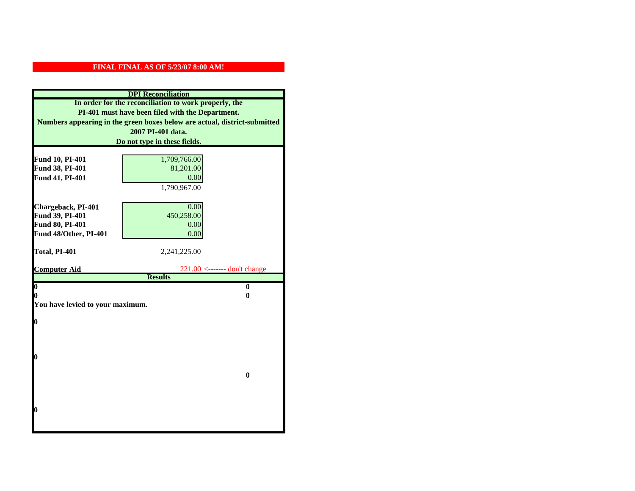| <b>DPI</b> Reconciliation                                                 |                                |  |  |
|---------------------------------------------------------------------------|--------------------------------|--|--|
| In order for the reconciliation to work properly, the                     |                                |  |  |
| PI-401 must have been filed with the Department.                          |                                |  |  |
| Numbers appearing in the green boxes below are actual, district-submitted |                                |  |  |
| 2007 PI-401 data.                                                         |                                |  |  |
| Do not type in these fields.                                              |                                |  |  |
|                                                                           |                                |  |  |
| Fund 10, PI-401                                                           | 1,709,766.00                   |  |  |
| Fund 38, PI-401                                                           | 81,201.00                      |  |  |
| Fund 41, PI-401                                                           | 0.00                           |  |  |
|                                                                           | 1,790,967.00                   |  |  |
|                                                                           |                                |  |  |
| Chargeback, PI-401                                                        | 0.00                           |  |  |
| Fund 39, PI-401                                                           | 450,258.00                     |  |  |
| Fund 80, PI-401                                                           | 0.00                           |  |  |
| Fund 48/Other, PI-401                                                     | 0.00                           |  |  |
|                                                                           |                                |  |  |
|                                                                           |                                |  |  |
| Total, PI-401                                                             | 2,241,225.00                   |  |  |
| <b>Computer Aid</b>                                                       | $221.00$ <------- don't change |  |  |
|                                                                           | <b>Results</b>                 |  |  |
| $\boldsymbol{0}$                                                          | $\mathbf{0}$                   |  |  |
| 0                                                                         | 0                              |  |  |
| You have levied to your maximum.                                          |                                |  |  |
|                                                                           |                                |  |  |
| $\bf{0}$                                                                  |                                |  |  |
|                                                                           |                                |  |  |
|                                                                           |                                |  |  |
| 0                                                                         |                                |  |  |
|                                                                           |                                |  |  |
|                                                                           | $\bf{0}$                       |  |  |
|                                                                           |                                |  |  |
|                                                                           |                                |  |  |
|                                                                           |                                |  |  |
| 0                                                                         |                                |  |  |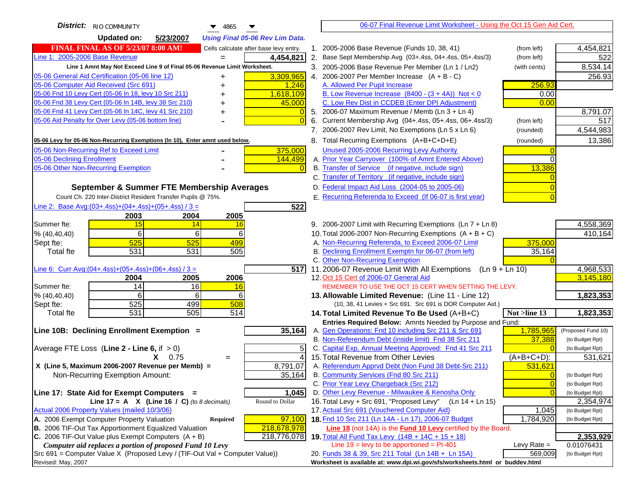| <b>District:</b> RIO COMMUNITY<br>$\blacktriangledown$ 4865                                                      |                | 06-07 Final Revenue Limit Worksheet - Using the Oct 15 Gen Aid Cert.                                                     |                                   |
|------------------------------------------------------------------------------------------------------------------|----------------|--------------------------------------------------------------------------------------------------------------------------|-----------------------------------|
| <b>Updated on:</b><br>5/23/2007<br><b>Using Final 05-06 Rev Lim Data.</b>                                        |                |                                                                                                                          |                                   |
| <b>FINAL FINAL AS OF 5/23/07 8:00 AM!</b><br>Cells calculate after base levy entry.                              |                | 1. 2005-2006 Base Revenue (Funds 10, 38, 41)<br>(from left)                                                              | 4,454,821                         |
| Line 1: 2005-2006 Base Revenue<br>4,454,821<br>$=$                                                               |                | 2. Base Sept Membership Avg (03+.4ss, 04+.4ss, 05+.4ss/3)<br>(from left)                                                 | 522                               |
| Line 1 Amnt May Not Exceed Line 9 of Final 05-06 Revenue Limit Worksheet.                                        |                | 3. 2005-2006 Base Revenue Per Member (Ln 1 / Ln2)<br>(with cents)                                                        | 8,534.14                          |
| 3,309,965<br>05-06 General Aid Certification (05-06 line 12)                                                     |                | 4. 2006-2007 Per Member Increase $(A + B - C)$                                                                           | 256.93                            |
| 05-06 Computer Aid Received (Src 691)<br>1,246                                                                   |                | A. Allowed Per Pupil Increase<br>256.93                                                                                  |                                   |
| 05-06 Fnd 10 Levy Cert (05-06 In 18, levy 10 Src 211)<br>1,618,109                                               |                | B. Low Revenue Increase $(8400 - (3 + 4A))$ Not < 0                                                                      | 0.00                              |
| 05-06 Fnd 38 Levy Cert (05-06 In 14B, levy 38 Src 210)<br>45,000                                                 |                | C. Low Rev Dist in CCDEB (Enter DPI Adjustment)                                                                          | 0.00                              |
| 05-06 Fnd 41 Levy Cert (05-06 In 14C, levy 41 Src 210)<br>+                                                      | $\overline{0}$ | 5. 2006-07 Maximum Revenue / Memb (Ln 3 + Ln 4)                                                                          | 8,791.07                          |
| 05-06 Aid Penalty for Over Levy (05-06 bottom line)                                                              | $\Omega$       | 6. Current Membership Avg (04+.4ss, 05+.4ss, 06+.4ss/3)<br>(from left)                                                   | 517                               |
|                                                                                                                  |                | 7. 2006-2007 Rev Limit, No Exemptions (Ln 5 x Ln 6)<br>(rounded)                                                         | 4,544,983                         |
| 05-06 Levy for 05-06 Non-Recurring Exemptions (In 10), Enter amnt used below.                                    |                | 8. Total Recurring Exemptions (A+B+C+D+E)<br>(rounded)                                                                   | 13,386                            |
| 05-06 Non-Recurring Ref to Exceed Limit<br>375,000                                                               |                | Unused 2005-2006 Recurring Levy Authority                                                                                |                                   |
| 05-06 Declining Enrollment<br>144,499                                                                            |                | A. Prior Year Carryover (100% of Amnt Entered Above)                                                                     | $\Omega$                          |
| 05-06 Other Non-Recurring Exemption                                                                              |                | B. Transfer of Service (if negative, include sign)<br>13,386                                                             |                                   |
|                                                                                                                  |                | C. Transfer of Territory (if negative, include sign)                                                                     |                                   |
| September & Summer FTE Membership Averages                                                                       |                | D. Federal Impact Aid Loss (2004-05 to 2005-06)                                                                          |                                   |
| Count Ch. 220 Inter-District Resident Transfer Pupils @ 75%.                                                     |                | E. Recurring Referenda to Exceed (If 06-07 is first year)                                                                |                                   |
| Line 2: Base Avg: (03+.4ss) + (04+.4ss) + (05+.4ss) / 3 =<br>522                                                 |                |                                                                                                                          |                                   |
| 2003<br>2004<br>2005                                                                                             |                |                                                                                                                          |                                   |
| 15<br>Summer fte:<br>14<br>16                                                                                    |                | 9. 2006-2007 Limit with Recurring Exemptions (Ln 7 + Ln 8)                                                               | 4,558,369                         |
| 6<br>6<br>6<br>% (40, 40, 40)                                                                                    |                | 10. Total 2006-2007 Non-Recurring Exemptions $(A + B + C)$                                                               | 410,164                           |
| 525<br>525<br>499<br>Sept fte:                                                                                   |                | A. Non-Recurring Referenda, to Exceed 2006-07 Limit<br>375,000                                                           |                                   |
| 531<br>531<br>505<br>Total fte                                                                                   |                | B. Declining Enrollment Exemptn for 06-07 (from left)<br>35,164                                                          |                                   |
|                                                                                                                  |                | C. Other Non-Recurring Exemption                                                                                         |                                   |
| Line 6: Curr Avg: $(04+.4ss)+(05+.4ss)+(06+.4ss)$ / 3 =                                                          |                | 517 11.2006-07 Revenue Limit With All Exemptions $( \text{Ln } 9 + \text{Ln } 10 )$                                      | 4,968,533<br>3,145,180            |
| 2006<br>2004<br>2005<br>14<br>16<br>Summer fte:<br>16                                                            |                | 12. Oct 15 Cert of 2006-07 General Aid<br>REMEMBER TO USE THE OCT 15 CERT WHEN SETTING THE LEVY.                         |                                   |
| % (40, 40, 40)<br>6<br>6<br>61                                                                                   |                | 13. Allowable Limited Revenue: (Line 11 - Line 12)                                                                       | 1,823,353                         |
| 525<br>499<br>508<br>Sept fte:                                                                                   |                | (10, 38, 41 Levies + Src 691. Src 691 is DOR Computer Aid.)                                                              |                                   |
| 531<br>505<br>514<br><b>Total fte</b>                                                                            |                | Not >line 13<br>14. Total Limited Revenue To Be Used (A+B+C)                                                             | 1,823,353                         |
|                                                                                                                  |                | Entries Required Below: Amnts Needed by Purpose and Fund:                                                                |                                   |
| Line 10B: Declining Enrollment Exemption =<br>35,164                                                             |                | 1,785,965<br>A. Gen Operations: Fnd 10 including Src 211 & Src 691                                                       | (Proposed Fund 10)                |
|                                                                                                                  |                | B. Non-Referendum Debt (inside limit) Fnd 38 Src 211<br>37,388                                                           | (to Budget Rpt)                   |
| Average FTE Loss (Line $2 -$ Line 6, if $> 0$ )                                                                  | 5              | C. Capital Exp, Annual Meeting Approved: Fnd 41 Src 211                                                                  | (to Budget Rpt)                   |
| $X = 0.75$<br>$=$                                                                                                | 4              | 15. Total Revenue from Other Levies<br>$(A+B+C+D)$ :                                                                     | 531,621                           |
| X (Line 5, Maximum 2006-2007 Revenue per Memb) =<br>8,791.07                                                     |                | A. Referendum Apprvd Debt (Non Fund 38 Debt-Src 211)<br>531,621                                                          |                                   |
| 35,164<br>Non-Recurring Exemption Amount:                                                                        |                | B. Community Services (Fnd 80 Src 211)                                                                                   | $\overline{0}$<br>(to Budget Rpt) |
|                                                                                                                  |                | C. Prior Year Levy Chargeback (Src 212)                                                                                  | $\overline{0}$<br>(to Budget Rpt) |
| Line 17: State Aid for Exempt Computers =<br>1,045                                                               |                | D. Other Levy Revenue - Milwaukee & Kenosha Only                                                                         | $\Omega$<br>(to Budget Rpt)       |
| Round to Dollar<br>Line 17 = A $X$ (Line 16 / C) (to 8 decimals)<br>Actual 2006 Property Values (mailed 10/3/06) |                | 16. Total Levy + Src 691, "Proposed Levy"<br>(Ln 14 + Ln 15)                                                             | 2,354,974                         |
| A. 2006 Exempt Computer Property Valuation<br>97,100                                                             |                | 17. Actual Src 691 (Vouchered Computer Aid)<br>1,045<br>18. Fnd 10 Src 211 (Ln 14A - Ln 17), 2006-07 Budget<br>1,784,920 | (to Budget Rpt)                   |
| Required<br><b>B.</b> 2006 TIF-Out Tax Apportionment Equalized Valuation<br>218,678,978                          |                | Line 18 (not 14A) is the Fund 10 Levy certified by the Board.                                                            | (to Budget Rpt)                   |
| C. 2006 TIF-Out Value plus Exempt Computers $(A + B)$<br>218,776,078                                             |                | 19. Total All Fund Tax Levy (14B + 14C + 15 + 18)                                                                        | 2,353,929                         |
| Computer aid replaces a portion of proposed Fund 10 Levy                                                         |                | Line $19 = \text{levy}$ to be apportioned = PI-401<br>Levy Rate $=$                                                      | 0.01076431                        |
| Src 691 = Computer Value X (Proposed Levy / (TIF-Out Val + Computer Value))                                      |                | 20. Funds 38 & 39, Src 211 Total (Ln 14B + Ln 15A)<br>569,009                                                            | (to Budget Rpt)                   |
| Revised: May, 2007                                                                                               |                | Worksheet is available at: www.dpi.wi.gov/sfs/worksheets.html or buddev.html                                             |                                   |
|                                                                                                                  |                |                                                                                                                          |                                   |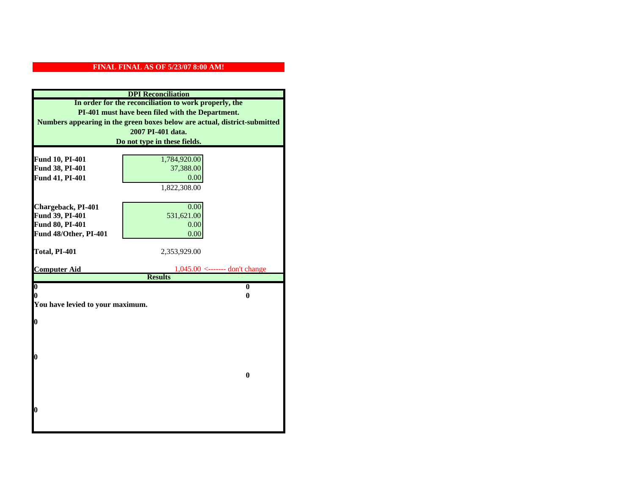| <b>DPI</b> Reconciliation                                                 |                                                    |  |  |
|---------------------------------------------------------------------------|----------------------------------------------------|--|--|
| In order for the reconciliation to work properly, the                     |                                                    |  |  |
| PI-401 must have been filed with the Department.                          |                                                    |  |  |
| Numbers appearing in the green boxes below are actual, district-submitted |                                                    |  |  |
| 2007 PI-401 data.                                                         |                                                    |  |  |
| Do not type in these fields.                                              |                                                    |  |  |
|                                                                           |                                                    |  |  |
| Fund 10, PI-401<br>Fund 38, PI-401                                        | 1,784,920.00<br>37,388.00                          |  |  |
| Fund 41, PI-401                                                           | 0.00                                               |  |  |
|                                                                           | 1,822,308.00                                       |  |  |
|                                                                           |                                                    |  |  |
| Chargeback, PI-401                                                        | 0.00                                               |  |  |
| Fund 39, PI-401                                                           | 531,621.00                                         |  |  |
| Fund 80, PI-401                                                           | 0.00                                               |  |  |
| Fund 48/Other, PI-401                                                     | 0.00                                               |  |  |
|                                                                           |                                                    |  |  |
| Total, PI-401                                                             | 2,353,929.00                                       |  |  |
|                                                                           |                                                    |  |  |
| <b>Computer Aid</b>                                                       | $1,045.00$ <------- don't change<br><b>Results</b> |  |  |
| $\boldsymbol{0}$                                                          | $\bf{0}$                                           |  |  |
| 0                                                                         | 0                                                  |  |  |
| You have levied to your maximum.                                          |                                                    |  |  |
|                                                                           |                                                    |  |  |
| 0                                                                         |                                                    |  |  |
|                                                                           |                                                    |  |  |
|                                                                           |                                                    |  |  |
| 0                                                                         |                                                    |  |  |
|                                                                           |                                                    |  |  |
|                                                                           | $\bf{0}$                                           |  |  |
|                                                                           |                                                    |  |  |
|                                                                           |                                                    |  |  |
|                                                                           |                                                    |  |  |
| 0                                                                         |                                                    |  |  |
|                                                                           |                                                    |  |  |
|                                                                           |                                                    |  |  |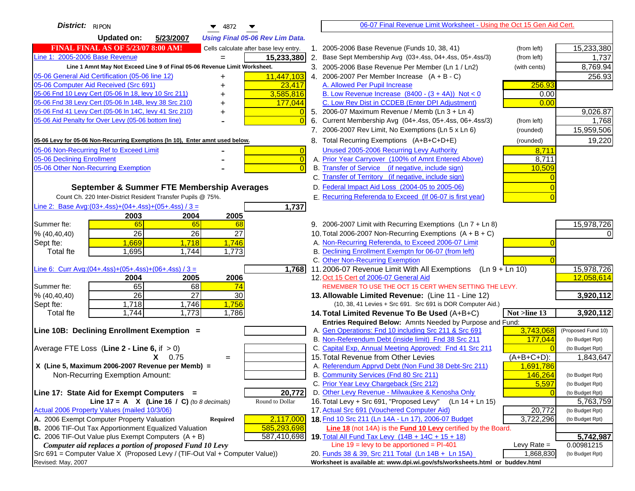| District: RIPON<br>$\blacktriangledown$ 4872                                                                                                       |    | 06-07 Final Revenue Limit Worksheet - Using the Oct 15 Gen Aid Cert.                                                        |                  |                          |
|----------------------------------------------------------------------------------------------------------------------------------------------------|----|-----------------------------------------------------------------------------------------------------------------------------|------------------|--------------------------|
| <b>Updated on:</b><br>5/23/2007<br><b>Using Final 05-06 Rev Lim Data.</b>                                                                          |    |                                                                                                                             |                  |                          |
| <b>FINAL FINAL AS OF 5/23/07 8:00 AM!</b><br>Cells calculate after base levy entry.                                                                |    | 1. 2005-2006 Base Revenue (Funds 10, 38, 41)                                                                                | (from left)      | 15,233,380               |
| Line 1: 2005-2006 Base Revenue<br>15,233,380                                                                                                       |    | 2. Base Sept Membership Avg (03+.4ss, 04+.4ss, 05+.4ss/3)                                                                   | (from left)      | 1,737                    |
| Line 1 Amnt May Not Exceed Line 9 of Final 05-06 Revenue Limit Worksheet.                                                                          |    | 3. 2005-2006 Base Revenue Per Member (Ln 1 / Ln2)                                                                           | (with cents)     | 8,769.94                 |
| 05-06 General Aid Certification (05-06 line 12)<br>11,447,103<br>+                                                                                 |    | 4. 2006-2007 Per Member Increase $(A + B - C)$                                                                              |                  | 256.93                   |
| 05-06 Computer Aid Received (Src 691)<br>23,417                                                                                                    |    | A. Allowed Per Pupil Increase                                                                                               | 256.93           |                          |
| 3,585,816<br>05-06 Fnd 10 Levy Cert (05-06 In 18, levy 10 Src 211)                                                                                 |    | B. Low Revenue Increase $(8400 - (3 + 4A))$ Not < 0                                                                         | 0.00             |                          |
| 05-06 Fnd 38 Levy Cert (05-06 In 14B, levy 38 Src 210)<br>177,044                                                                                  |    | C. Low Rev Dist in CCDEB (Enter DPI Adjustment)                                                                             | 0.00             |                          |
| 05-06 Fnd 41 Levy Cert (05-06 In 14C, levy 41 Src 210)                                                                                             |    | 5. 2006-07 Maximum Revenue / Memb (Ln 3 + Ln 4)                                                                             |                  | 9,026.87                 |
| 05-06 Aid Penalty for Over Levy (05-06 bottom line)<br>$\Omega$                                                                                    | 6. | Current Membership Avg (04+.4ss, 05+.4ss, 06+.4ss/3)                                                                        | (from left)      | 1,768                    |
|                                                                                                                                                    |    | 7. 2006-2007 Rev Limit, No Exemptions (Ln 5 x Ln 6)                                                                         | (rounded)        | 15,959,506               |
| 05-06 Levy for 05-06 Non-Recurring Exemptions (In 10), Enter amnt used below.                                                                      |    | 8. Total Recurring Exemptions (A+B+C+D+E)                                                                                   | (rounded)        | 19,220                   |
| 05-06 Non-Recurring Ref to Exceed Limit<br>$\overline{0}$                                                                                          |    | Unused 2005-2006 Recurring Levy Authority                                                                                   | 8,711            |                          |
| 05-06 Declining Enrollment<br>$\overline{0}$                                                                                                       |    | A. Prior Year Carryover (100% of Amnt Entered Above)                                                                        | 8,711            |                          |
| 05-06 Other Non-Recurring Exemption<br>$\Omega$                                                                                                    |    | B. Transfer of Service (if negative, include sign)                                                                          | 10,509           |                          |
|                                                                                                                                                    |    | C. Transfer of Territory (if negative, include sign)                                                                        |                  |                          |
| September & Summer FTE Membership Averages                                                                                                         |    | D. Federal Impact Aid Loss (2004-05 to 2005-06)                                                                             |                  |                          |
| Count Ch. 220 Inter-District Resident Transfer Pupils @ 75%.                                                                                       |    | E. Recurring Referenda to Exceed (If 06-07 is first year)                                                                   |                  |                          |
| Line 2: Base Avg:(03+.4ss)+(04+.4ss)+(05+.4ss) / 3 =<br>1,737                                                                                      |    |                                                                                                                             |                  |                          |
| 2003<br>2004<br>2005                                                                                                                               |    |                                                                                                                             |                  |                          |
| 65<br>65<br>Summer fte:<br>68                                                                                                                      |    | 9. 2006-2007 Limit with Recurring Exemptions (Ln 7 + Ln 8)                                                                  |                  | 15,978,726               |
| 26<br>26<br>27<br>% (40, 40, 40)                                                                                                                   |    | 10. Total 2006-2007 Non-Recurring Exemptions (A + B + C)                                                                    |                  |                          |
| 1,669<br>1,718<br>1,746<br>Sept fte:                                                                                                               |    | A. Non-Recurring Referenda, to Exceed 2006-07 Limit                                                                         |                  |                          |
| 1,695<br>1,773<br><b>Total fte</b><br>1,744                                                                                                        |    | B. Declining Enrollment Exemptn for 06-07 (from left)                                                                       |                  |                          |
|                                                                                                                                                    |    | C. Other Non-Recurring Exemption                                                                                            |                  |                          |
| Line 6: Curr Avg: $(04+.4ss)+(05+.4ss)+(06+.4ss)/3 =$<br>1,768                                                                                     |    | 11.2006-07 Revenue Limit With All Exemptions<br>12. Oct 15 Cert of 2006-07 General Aid                                      | $(Ln 9 + Ln 10)$ | 15,978,726<br>12,058,614 |
| 2005<br>2006<br>2004<br>65<br>68<br>74<br>Summer fte:                                                                                              |    | REMEMBER TO USE THE OCT 15 CERT WHEN SETTING THE LEVY.                                                                      |                  |                          |
| $\overline{26}$<br>27<br>30<br>% (40, 40, 40)                                                                                                      |    | 13. Allowable Limited Revenue: (Line 11 - Line 12)                                                                          |                  | 3,920,112                |
| 1,756<br>1,718<br>1,746<br>Sept fte:                                                                                                               |    | (10, 38, 41 Levies + Src 691. Src 691 is DOR Computer Aid.)                                                                 |                  |                          |
| 1,773<br>1,744<br>1,786<br><b>Total fte</b>                                                                                                        |    | 14. Total Limited Revenue To Be Used (A+B+C)                                                                                | Not >line 13     | 3,920,112                |
|                                                                                                                                                    |    | Entries Required Below: Amnts Needed by Purpose and Fund:                                                                   |                  |                          |
| Line 10B: Declining Enrollment Exemption =                                                                                                         |    | A. Gen Operations: Fnd 10 including Src 211 & Src 691                                                                       | 3,743,068        | (Proposed Fund 10)       |
|                                                                                                                                                    |    | B. Non-Referendum Debt (inside limit) Fnd 38 Src 211                                                                        | 177,044          | (to Budget Rpt)          |
| Average FTE Loss (Line $2 -$ Line 6, if $> 0$ )                                                                                                    |    | C. Capital Exp, Annual Meeting Approved: Fnd 41 Src 211                                                                     |                  | (to Budget Rpt)          |
| $X = 0.75$<br>$=$                                                                                                                                  |    | 15. Total Revenue from Other Levies                                                                                         | $(A+B+C+D)$ :    | 1,843,647                |
| X (Line 5, Maximum 2006-2007 Revenue per Memb) =                                                                                                   |    | A. Referendum Apprvd Debt (Non Fund 38 Debt-Src 211)                                                                        | 1,691,786        |                          |
| Non-Recurring Exemption Amount:                                                                                                                    |    | B. Community Services (Fnd 80 Src 211)                                                                                      | 146,264          | (to Budget Rpt)          |
|                                                                                                                                                    |    | C. Prior Year Levy Chargeback (Src 212)                                                                                     | 5,597            | (to Budget Rpt)          |
| 20,772<br>Line 17: State Aid for Exempt Computers =                                                                                                |    | D. Other Levy Revenue - Milwaukee & Kenosha Only                                                                            |                  | (to Budget Rpt)          |
| Round to Dollar<br>Line 17 = A $X$ (Line 16 / C) (to 8 decimals)                                                                                   |    | 16. Total Levy + Src 691, "Proposed Levy"<br>$(Ln 14 + Ln 15)$                                                              |                  | 5,763,759                |
| Actual 2006 Property Values (mailed 10/3/06)                                                                                                       |    | 17. Actual Src 691 (Vouchered Computer Aid)                                                                                 | 20,772           | (to Budget Rpt)          |
| A. 2006 Exempt Computer Property Valuation<br>2,117,000<br><b>Required</b><br>B. 2006 TIF-Out Tax Apportionment Equalized Valuation<br>585,293,698 |    | 18. Fnd 10 Src 211 (Ln 14A - Ln 17), 2006-07 Budget<br>Line 18 (not 14A) is the <b>Fund 10 Levy</b> certified by the Board. | 3,722,296        | (to Budget Rpt)          |
| C. 2006 TIF-Out Value plus Exempt Computers $(A + B)$<br>587,410,698                                                                               |    | 19. Total All Fund Tax Levy (14B + 14C + 15 + 18)                                                                           |                  | 5,742,987                |
| Computer aid replaces a portion of proposed Fund 10 Levy                                                                                           |    | Line $19 = \text{levy}$ to be apportioned = PI-401                                                                          | Levy Rate $=$    | 0.00981215               |
| Src 691 = Computer Value X (Proposed Levy / (TIF-Out Val + Computer Value))                                                                        |    | 20. Funds 38 & 39, Src 211 Total (Ln 14B + Ln 15A)                                                                          | 1,868,830        | (to Budget Rpt)          |
| Revised: May, 2007                                                                                                                                 |    | Worksheet is available at: www.dpi.wi.gov/sfs/worksheets.html or buddev.html                                                |                  |                          |
|                                                                                                                                                    |    |                                                                                                                             |                  |                          |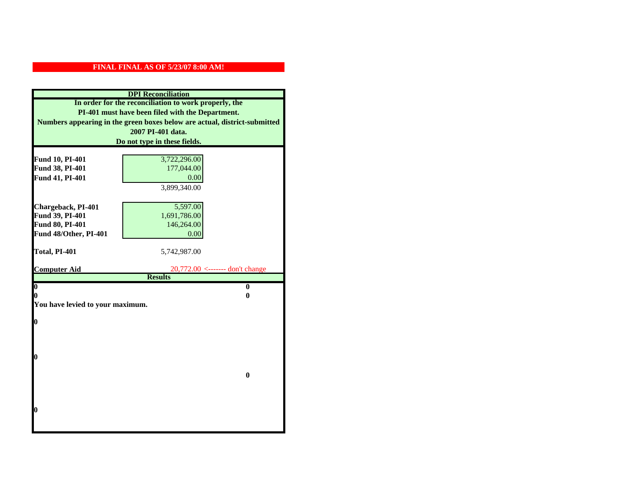| <b>DPI</b> Reconciliation                                                 |                                 |  |  |
|---------------------------------------------------------------------------|---------------------------------|--|--|
| In order for the reconciliation to work properly, the                     |                                 |  |  |
| PI-401 must have been filed with the Department.                          |                                 |  |  |
| Numbers appearing in the green boxes below are actual, district-submitted |                                 |  |  |
| 2007 PI-401 data.                                                         |                                 |  |  |
| Do not type in these fields.                                              |                                 |  |  |
|                                                                           |                                 |  |  |
| Fund 10, PI-401                                                           | 3,722,296.00                    |  |  |
| Fund 38, PI-401                                                           | 177,044.00                      |  |  |
| Fund 41, PI-401                                                           | 0.00                            |  |  |
|                                                                           | 3,899,340.00                    |  |  |
|                                                                           |                                 |  |  |
| Chargeback, PI-401                                                        | 5,597.00                        |  |  |
| Fund 39, PI-401                                                           | 1,691,786.00                    |  |  |
| Fund 80, PI-401                                                           | 146,264.00                      |  |  |
| Fund 48/Other, PI-401                                                     | 0.00                            |  |  |
|                                                                           |                                 |  |  |
| Total, PI-401                                                             | 5,742,987.00                    |  |  |
| <b>Computer Aid</b>                                                       | 20,772.00 <------- don't change |  |  |
|                                                                           | <b>Results</b>                  |  |  |
| $\overline{\mathbf{0}}$                                                   | $\bf{0}$                        |  |  |
| 0                                                                         | 0                               |  |  |
| You have levied to your maximum.                                          |                                 |  |  |
|                                                                           |                                 |  |  |
| $\bf{0}$                                                                  |                                 |  |  |
|                                                                           |                                 |  |  |
|                                                                           |                                 |  |  |
| l0                                                                        |                                 |  |  |
|                                                                           |                                 |  |  |
|                                                                           | $\bf{0}$                        |  |  |
|                                                                           |                                 |  |  |
|                                                                           |                                 |  |  |
|                                                                           |                                 |  |  |
| $\boldsymbol{0}$                                                          |                                 |  |  |
|                                                                           |                                 |  |  |
|                                                                           |                                 |  |  |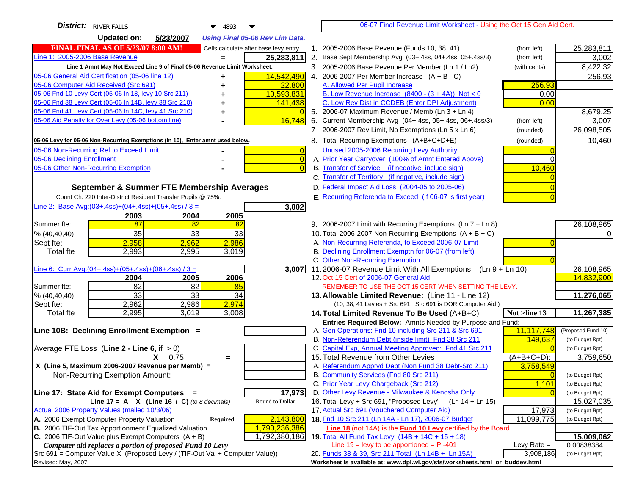| <b>District:</b> RIVER FALLS<br>$\blacktriangledown$ 4893                           | 06-07 Final Revenue Limit Worksheet - Using the Oct 15 Gen Aid Cert.                                 |                                    |
|-------------------------------------------------------------------------------------|------------------------------------------------------------------------------------------------------|------------------------------------|
| <b>Updated on:</b><br>5/23/2007<br><b>Using Final 05-06 Rev Lim Data.</b>           |                                                                                                      |                                    |
| <b>FINAL FINAL AS OF 5/23/07 8:00 AM!</b><br>Cells calculate after base levy entry. | 1. 2005-2006 Base Revenue (Funds 10, 38, 41)<br>(from left)                                          | 25,283,811                         |
| Line 1: 2005-2006 Base Revenue<br>25,283,811<br>$=$                                 | 2. Base Sept Membership Avg (03+.4ss, 04+.4ss, 05+.4ss/3)<br>(from left)                             | 3,002                              |
| Line 1 Amnt May Not Exceed Line 9 of Final 05-06 Revenue Limit Worksheet.           | 3. 2005-2006 Base Revenue Per Member (Ln 1 / Ln2)<br>(with cents)                                    | 8,422.32                           |
| 14,542,490<br>05-06 General Aid Certification (05-06 line 12)                       | 4. 2006-2007 Per Member Increase $(A + B - C)$                                                       | 256.93                             |
| 05-06 Computer Aid Received (Src 691)<br>22,800                                     | A. Allowed Per Pupil Increase<br>256.93                                                              |                                    |
| 05-06 Fnd 10 Levy Cert (05-06 ln 18, levy 10 Src 211)<br>10,593,831                 | B. Low Revenue Increase $(8400 - (3 + 4A))$ Not < 0<br>0.00                                          |                                    |
| 05-06 Fnd 38 Levy Cert (05-06 In 14B, levy 38 Src 210)<br>141,438                   | C. Low Rev Dist in CCDEB (Enter DPI Adjustment)<br>0.00                                              |                                    |
| 05-06 Fnd 41 Levy Cert (05-06 In 14C, levy 41 Src 210)<br>$\Omega$<br>+             | 5. 2006-07 Maximum Revenue / Memb (Ln 3 + Ln 4)                                                      | 8,679.25                           |
| 05-06 Aid Penalty for Over Levy (05-06 bottom line)<br>16,748                       | 6. Current Membership Avg (04+.4ss, 05+.4ss, 06+.4ss/3)<br>(from left)                               | 3,007                              |
|                                                                                     | 7. 2006-2007 Rev Limit, No Exemptions (Ln 5 x Ln 6)<br>(rounded)                                     | 26,098,505                         |
| 05-06 Levy for 05-06 Non-Recurring Exemptions (In 10), Enter amnt used below.       | 8. Total Recurring Exemptions (A+B+C+D+E)<br>(rounded)                                               | 10,460                             |
| 05-06 Non-Recurring Ref to Exceed Limit<br>$\overline{0}$                           | Unused 2005-2006 Recurring Levy Authority                                                            |                                    |
| 05-06 Declining Enrollment<br>$\overline{0}$                                        | A. Prior Year Carryover (100% of Amnt Entered Above)                                                 |                                    |
| 05-06 Other Non-Recurring Exemption<br>$\Omega$                                     | B. Transfer of Service (if negative, include sign)<br>10,460                                         |                                    |
|                                                                                     | C. Transfer of Territory (if negative, include sign)                                                 |                                    |
| September & Summer FTE Membership Averages                                          | D. Federal Impact Aid Loss (2004-05 to 2005-06)                                                      |                                    |
| Count Ch. 220 Inter-District Resident Transfer Pupils @ 75%.                        | E. Recurring Referenda to Exceed (If 06-07 is first year)                                            |                                    |
| Line 2: Base Avg: $(03+.4ss)+(04+.4ss)+(05+.4ss)/3 =$<br>3,002                      |                                                                                                      |                                    |
| 2003<br>2004<br>2005                                                                |                                                                                                      |                                    |
| 87<br>Summer fte:<br>82<br>82                                                       | 9. 2006-2007 Limit with Recurring Exemptions (Ln 7 + Ln 8)                                           | 26,108,965                         |
| 35<br>33<br>33<br>% (40, 40, 40)                                                    | 10. Total 2006-2007 Non-Recurring Exemptions $(A + B + C)$                                           |                                    |
| 2,958<br>2,986<br>2,962<br>Sept fte:                                                | A. Non-Recurring Referenda, to Exceed 2006-07 Limit                                                  |                                    |
| 2,993<br>3,019<br>Total fte<br>2,995                                                | B. Declining Enrollment Exemptn for 06-07 (from left)                                                |                                    |
| Line 6: Curr Avg: $(04+.4ss)+(05+.4ss)+(06+.4ss)/3 =$                               | C. Other Non-Recurring Exemption<br>$(Ln 9 + Ln 10)$                                                 |                                    |
| 3,007<br>2006<br>2004<br>2005                                                       | 11.2006-07 Revenue Limit With All Exemptions<br>12. Oct 15 Cert of 2006-07 General Aid               | 26,108,965<br>14,832,900           |
| $\overline{82}$<br>82<br>Summer fte:<br>85                                          | REMEMBER TO USE THE OCT 15 CERT WHEN SETTING THE LEVY.                                               |                                    |
| 33<br>33<br>34<br>% (40, 40, 40)                                                    | 13. Allowable Limited Revenue: (Line 11 - Line 12)                                                   | 11,276,065                         |
| 2,974<br>2,962<br>2,986<br>Sept fte:                                                | (10, 38, 41 Levies + Src 691. Src 691 is DOR Computer Aid.)                                          |                                    |
| 2,995<br>3,019<br>3,008<br><b>Total fte</b>                                         | Not >line 13<br>14. Total Limited Revenue To Be Used (A+B+C)                                         | 11,267,385                         |
|                                                                                     | Entries Required Below: Amnts Needed by Purpose and Fund:                                            |                                    |
| Line 10B: Declining Enrollment Exemption =                                          | A. Gen Operations: Fnd 10 including Src 211 & Src 691<br>11,117,748                                  | (Proposed Fund 10)                 |
|                                                                                     | B. Non-Referendum Debt (inside limit) Fnd 38 Src 211<br>149,637                                      | (to Budget Rpt)                    |
| Average FTE Loss (Line $2 -$ Line 6, if $> 0$ )                                     | C. Capital Exp, Annual Meeting Approved: Fnd 41 Src 211                                              | (to Budget Rpt)                    |
| $X = 0.75$<br>$=$                                                                   | 15. Total Revenue from Other Levies<br>$(A+B+C+D)$ :                                                 | 3,759,650                          |
| X (Line 5, Maximum 2006-2007 Revenue per Memb) =                                    | A. Referendum Apprvd Debt (Non Fund 38 Debt-Src 211)<br>3,758,549                                    |                                    |
| Non-Recurring Exemption Amount:                                                     | B. Community Services (Fnd 80 Src 211)<br>$\overline{0}$                                             | (to Budget Rpt)                    |
| 17,973<br>Line 17: State Aid for Exempt Computers =                                 | C. Prior Year Levy Chargeback (Src 212)<br>1,101<br>D. Other Levy Revenue - Milwaukee & Kenosha Only | (to Budget Rpt)<br>(to Budget Rpt) |
| Line 17 = A $X$ (Line 16 / C) (to 8 decimals)<br>Round to Dollar                    | 16. Total Levy + Src 691, "Proposed Levy"<br>(Ln 14 + Ln 15)                                         | 15,027,035                         |
| Actual 2006 Property Values (mailed 10/3/06)                                        | 17. Actual Src 691 (Vouchered Computer Aid)<br>17,973                                                | (to Budget Rpt)                    |
| A. 2006 Exempt Computer Property Valuation<br>2,143,800<br>Required                 | 18. Fnd 10 Src 211 (Ln 14A - Ln 17), 2006-07 Budget<br>11,099,775                                    | (to Budget Rpt)                    |
| B. 2006 TIF-Out Tax Apportionment Equalized Valuation<br>1,790,236,386              | Line 18 (not 14A) is the Fund 10 Levy certified by the Board.                                        |                                    |
| C. 2006 TIF-Out Value plus Exempt Computers $(A + B)$<br>1,792,380,186              | 19. Total All Fund Tax Levy $(14B + 14C + 15 + 18)$                                                  | 15,009,062                         |
| Computer aid replaces a portion of proposed Fund 10 Levy                            | Line $19$ = levy to be apportioned = PI-401<br>Levy Rate $=$                                         | 0.00838384                         |
| Src 691 = Computer Value X (Proposed Levy / (TIF-Out Val + Computer Value))         | 3,908,186<br>20. Funds 38 & 39, Src 211 Total (Ln 14B + Ln 15A)                                      | (to Budget Rpt)                    |
| Revised: May, 2007                                                                  | Worksheet is available at: www.dpi.wi.gov/sfs/worksheets.html or buddev.html                         |                                    |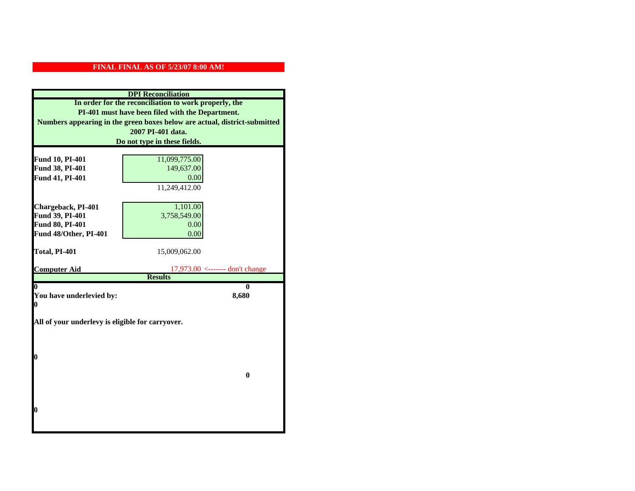|                                                  | <b>DPI</b> Reconciliation                                                 |
|--------------------------------------------------|---------------------------------------------------------------------------|
|                                                  | In order for the reconciliation to work properly, the                     |
|                                                  | PI-401 must have been filed with the Department.                          |
|                                                  | Numbers appearing in the green boxes below are actual, district-submitted |
|                                                  | 2007 PI-401 data.                                                         |
|                                                  | Do not type in these fields.                                              |
|                                                  |                                                                           |
| Fund 10, PI-401                                  | 11,099,775.00                                                             |
| Fund 38, PI-401                                  | 149,637.00                                                                |
| Fund 41, PI-401                                  | 0.00                                                                      |
|                                                  | 11,249,412.00                                                             |
|                                                  |                                                                           |
| Chargeback, PI-401                               | 1,101.00                                                                  |
| Fund 39, PI-401                                  | 3,758,549.00                                                              |
| Fund 80, PI-401                                  | 0.00                                                                      |
| Fund 48/Other, PI-401                            | 0.00                                                                      |
| Total, PI-401                                    | 15,009,062.00                                                             |
|                                                  |                                                                           |
| <b>Computer Aid</b>                              | $17,973.00$ <------- don't change                                         |
|                                                  | <b>Results</b>                                                            |
| 0                                                | 0                                                                         |
| You have underlevied by:<br>0                    | 8,680                                                                     |
|                                                  |                                                                           |
| All of your underlevy is eligible for carryover. |                                                                           |
|                                                  |                                                                           |
|                                                  |                                                                           |
|                                                  |                                                                           |
| 0                                                |                                                                           |
|                                                  | $\bf{0}$                                                                  |
|                                                  |                                                                           |
|                                                  |                                                                           |
|                                                  |                                                                           |
|                                                  |                                                                           |
| 0                                                |                                                                           |
|                                                  |                                                                           |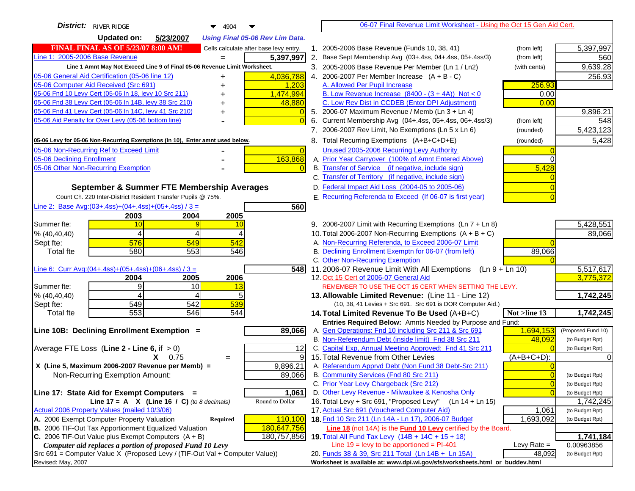| <b>District:</b> RIVER RIDGE<br>4904                                                | 06-07 Final Revenue Limit Worksheet - Using the Oct 15 Gen Aid Cert.                                                               |                |                                    |
|-------------------------------------------------------------------------------------|------------------------------------------------------------------------------------------------------------------------------------|----------------|------------------------------------|
| <b>Updated on:</b><br>5/23/2007<br><b>Using Final 05-06 Rev Lim Data.</b>           |                                                                                                                                    |                |                                    |
| <b>FINAL FINAL AS OF 5/23/07 8:00 AM!</b><br>Cells calculate after base levy entry. | 1. 2005-2006 Base Revenue (Funds 10, 38, 41)                                                                                       | (from left)    | 5,397,997                          |
| Line 1: 2005-2006 Base Revenue<br>5,397,997<br>$=$                                  | 2. Base Sept Membership Avg (03+.4ss, 04+.4ss, 05+.4ss/3)                                                                          | (from left)    | 560                                |
| Line 1 Amnt May Not Exceed Line 9 of Final 05-06 Revenue Limit Worksheet.           | 3. 2005-2006 Base Revenue Per Member (Ln 1 / Ln2)                                                                                  | (with cents)   | 9,639.28                           |
| 4,036,788<br>05-06 General Aid Certification (05-06 line 12)<br>+                   | 4. 2006-2007 Per Member Increase $(A + B - C)$                                                                                     |                | 256.93                             |
| 05-06 Computer Aid Received (Src 691)<br>1,203                                      | A. Allowed Per Pupil Increase                                                                                                      | 256.93         |                                    |
| 05-06 Fnd 10 Levy Cert (05-06 In 18, levy 10 Src 211)<br>1,474,994                  | B. Low Revenue Increase $(8400 - (3 + 4A))$ Not < 0                                                                                | 0.00           |                                    |
| 05-06 Fnd 38 Levy Cert (05-06 In 14B, levy 38 Src 210)<br>48,880                    | C. Low Rev Dist in CCDEB (Enter DPI Adjustment)                                                                                    | 0.00           |                                    |
| 05-06 Fnd 41 Levy Cert (05-06 In 14C, levy 41 Src 210)<br>+                         | 5. 2006-07 Maximum Revenue / Memb (Ln 3 + Ln 4)                                                                                    |                | 9,896.21                           |
| 05-06 Aid Penalty for Over Levy (05-06 bottom line)                                 | 6. Current Membership Avg (04+.4ss, 05+.4ss, 06+.4ss/3)                                                                            | (from left)    | 548                                |
|                                                                                     | 7. 2006-2007 Rev Limit, No Exemptions (Ln 5 x Ln 6)                                                                                | (rounded)      | 5,423,123                          |
| 05-06 Levy for 05-06 Non-Recurring Exemptions (In 10), Enter amnt used below.       | 8. Total Recurring Exemptions (A+B+C+D+E)                                                                                          | (rounded)      | 5,428                              |
| 05-06 Non-Recurring Ref to Exceed Limit<br>$\overline{0}$                           | Unused 2005-2006 Recurring Levy Authority                                                                                          |                |                                    |
| 163,868<br>05-06 Declining Enrollment                                               | A. Prior Year Carryover (100% of Amnt Entered Above)                                                                               |                |                                    |
| 05-06 Other Non-Recurring Exemption                                                 | B. Transfer of Service (if negative, include sign)                                                                                 | 5,428          |                                    |
|                                                                                     | C. Transfer of Territory (if negative, include sign)                                                                               |                |                                    |
| September & Summer FTE Membership Averages                                          | D. Federal Impact Aid Loss (2004-05 to 2005-06)                                                                                    |                |                                    |
| Count Ch. 220 Inter-District Resident Transfer Pupils @ 75%.                        | E. Recurring Referenda to Exceed (If 06-07 is first year)                                                                          |                |                                    |
| Line 2: Base Avg: $(03+.4ss)+(04+.4ss)+(05+.4ss)/3 =$<br>560                        |                                                                                                                                    |                |                                    |
| 2003<br>2004<br>2005                                                                |                                                                                                                                    |                |                                    |
| Summer fte:<br>10<br>10<br>$\boldsymbol{\Delta}$                                    | 9. 2006-2007 Limit with Recurring Exemptions (Ln 7 + Ln 8)                                                                         |                | 5,428,551                          |
| 4<br>% (40, 40, 40)<br>576<br>549<br>542<br>Sept fte:                               | 10. Total 2006-2007 Non-Recurring Exemptions $(A + B + C)$<br>A. Non-Recurring Referenda, to Exceed 2006-07 Limit                  |                | 89,066                             |
| 580<br>553<br><b>Total fte</b><br>546                                               | B. Declining Enrollment Exemptn for 06-07 (from left)                                                                              | 89,066         |                                    |
|                                                                                     | C. Other Non-Recurring Exemption                                                                                                   |                |                                    |
| Line 6: Curr Avg: $(04+.4ss)+(05+.4ss)+(06+.4ss)/3 =$<br>548                        | 11.2006-07 Revenue Limit With All Exemptions (Ln 9 + Ln 10)                                                                        |                | 5,517,617                          |
| 2006<br>2004<br>2005                                                                | 12. Oct 15 Cert of 2006-07 General Aid                                                                                             |                | 3,775,372                          |
| 9<br>Summer fte:<br>10<br>13                                                        | REMEMBER TO USE THE OCT 15 CERT WHEN SETTING THE LEVY.                                                                             |                |                                    |
| % (40, 40, 40)<br>5<br>4<br>4                                                       | 13. Allowable Limited Revenue: (Line 11 - Line 12)                                                                                 |                | 1,742,245                          |
| 549<br>542<br>539<br>Sept fte:                                                      | (10, 38, 41 Levies + Src 691. Src 691 is DOR Computer Aid.)                                                                        |                |                                    |
| 553<br>546<br>544<br><b>Total fte</b>                                               | 14. Total Limited Revenue To Be Used (A+B+C)                                                                                       | Not >line 13   | 1,742,245                          |
|                                                                                     | Entries Required Below: Amnts Needed by Purpose and Fund:                                                                          |                |                                    |
| 89,066<br>Line 10B: Declining Enrollment Exemption =                                | A. Gen Operations: Fnd 10 including Src 211 & Src 691<br>B. Non-Referendum Debt (inside limit) Fnd 38 Src 211                      | 1,694,153      | (Proposed Fund 10)                 |
| Average FTE Loss (Line $2 -$ Line 6, if $> 0$ )<br>12                               | C. Capital Exp, Annual Meeting Approved: Fnd 41 Src 211                                                                            | 48,092         | (to Budget Rpt)<br>(to Budget Rpt) |
| 9<br>$X = 0.75$<br>$=$                                                              | 15. Total Revenue from Other Levies                                                                                                | (A+B+C+D):     |                                    |
| X (Line 5, Maximum 2006-2007 Revenue per Memb) =<br>9,896.21                        | A. Referendum Apprvd Debt (Non Fund 38 Debt-Src 211)                                                                               |                |                                    |
| 89,066<br>Non-Recurring Exemption Amount:                                           | B. Community Services (Fnd 80 Src 211)                                                                                             |                | (to Budget Rpt)                    |
|                                                                                     | C. Prior Year Levy Chargeback (Src 212)                                                                                            | $\overline{0}$ | (to Budget Rpt)                    |
| Line 17: State Aid for Exempt Computers =<br>1,061                                  | D. Other Levy Revenue - Milwaukee & Kenosha Only                                                                                   |                | (to Budget Rpt)                    |
| Round to Dollar<br>Line 17 = A $X$ (Line 16 / C) (to 8 decimals)                    | 16. Total Levy + Src 691, "Proposed Levy"<br>(Ln 14 + Ln 15)                                                                       |                | 1,742,245                          |
| Actual 2006 Property Values (mailed 10/3/06)                                        | 17. Actual Src 691 (Vouchered Computer Aid)                                                                                        | 1,061          | (to Budget Rpt)                    |
| A. 2006 Exempt Computer Property Valuation<br>110,100<br>Required                   | 18. Fnd 10 Src 211 (Ln 14A - Ln 17), 2006-07 Budget                                                                                | 1,693,092      | (to Budget Rpt)                    |
| B. 2006 TIF-Out Tax Apportionment Equalized Valuation<br>180,647,756                | <b>Line 18</b> (not 14A) is the <b>Fund 10 Levy</b> certified by the Board.                                                        |                |                                    |
| C. 2006 TIF-Out Value plus Exempt Computers $(A + B)$<br>180,757,856                | 19. Total All Fund Tax Levy $(14B + 14C + 15 + 18)$                                                                                |                | 1,741,184                          |
| Computer aid replaces a portion of proposed Fund 10 Levy                            | Line $19 = \text{levy}$ to be apportioned = PI-401                                                                                 | Levy Rate $=$  | 0.00963856                         |
| Src 691 = Computer Value X (Proposed Levy / (TIF-Out Val + Computer Value))         | 20. Funds 38 & 39, Src 211 Total (Ln 14B + Ln 15A)<br>Worksheet is available at: www.dpi.wi.gov/sfs/worksheets.html or buddev.html | 48,092         | (to Budget Rpt)                    |
| Revised: May, 2007                                                                  |                                                                                                                                    |                |                                    |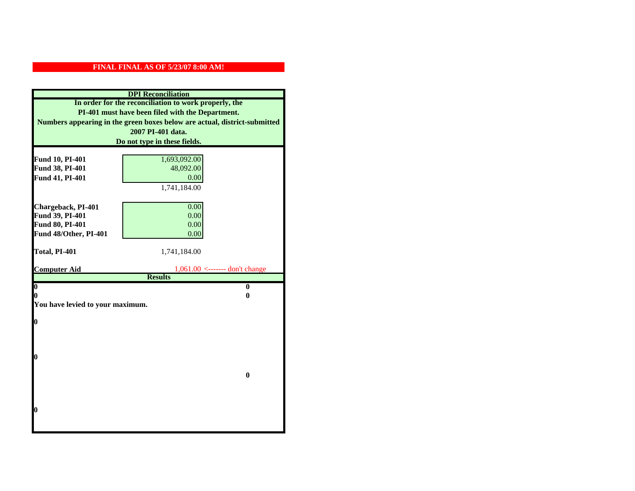|                                    | <b>DPI</b> Reconciliation                                                 |
|------------------------------------|---------------------------------------------------------------------------|
|                                    | In order for the reconciliation to work properly, the                     |
|                                    | PI-401 must have been filed with the Department.                          |
|                                    | Numbers appearing in the green boxes below are actual, district-submitted |
|                                    | 2007 PI-401 data.                                                         |
|                                    | Do not type in these fields.                                              |
|                                    |                                                                           |
| Fund 10, PI-401<br>Fund 38, PI-401 | 1,693,092.00<br>48,092.00                                                 |
| Fund 41, PI-401                    | 0.00                                                                      |
|                                    | 1,741,184.00                                                              |
|                                    |                                                                           |
| Chargeback, PI-401                 | 0.00                                                                      |
| Fund 39, PI-401                    | 0.00                                                                      |
| Fund 80, PI-401                    | 0.00                                                                      |
| Fund 48/Other, PI-401              | 0.00                                                                      |
|                                    |                                                                           |
| Total, PI-401                      | 1,741,184.00                                                              |
| <b>Computer Aid</b>                | $1,061.00$ <------- don't change                                          |
|                                    | <b>Results</b>                                                            |
| $\overline{\mathbf{0}}$            | $\mathbf{0}$                                                              |
| 0                                  | 0                                                                         |
| You have levied to your maximum.   |                                                                           |
|                                    |                                                                           |
| $\bf{0}$                           |                                                                           |
|                                    |                                                                           |
|                                    |                                                                           |
| l0                                 |                                                                           |
|                                    |                                                                           |
|                                    | $\bf{0}$                                                                  |
|                                    |                                                                           |
|                                    |                                                                           |
| l0                                 |                                                                           |
|                                    |                                                                           |
|                                    |                                                                           |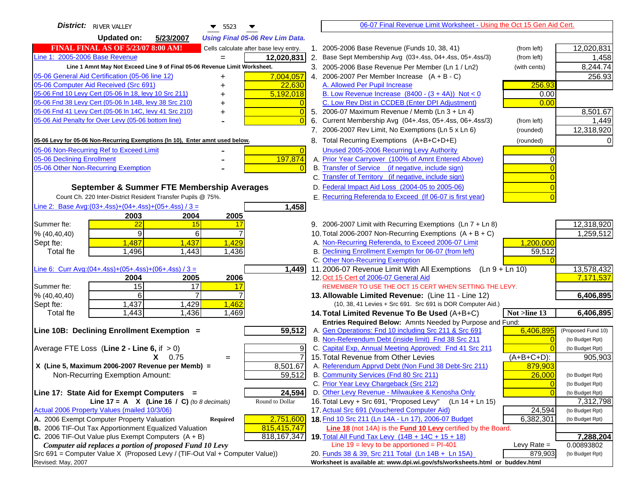| <b>Updated on:</b><br>5/23/2007<br><b>Using Final 05-06 Rev Lim Data.</b><br><b>FINAL FINAL AS OF 5/23/07 8:00 AM!</b><br>2005-2006 Base Revenue (Funds 10, 38, 41)<br>12,020,831<br>Cells calculate after base levy entry.<br>(from left)<br>$\mathbf{1}$ .<br>Line 1: 2005-2006 Base Revenue<br>12,020,831<br>2. Base Sept Membership Avg (03+.4ss, 04+.4ss, 05+.4ss/3)<br>1,458<br>(from left)<br>Line 1 Amnt May Not Exceed Line 9 of Final 05-06 Revenue Limit Worksheet.<br>8,244.74<br>3. 2005-2006 Base Revenue Per Member (Ln 1 / Ln2)<br>(with cents)<br>7,004,057<br>4. 2006-2007 Per Member Increase $(A + B - C)$<br>256.93<br>05-06 General Aid Certification (05-06 line 12)<br>+<br>05-06 Computer Aid Received (Src 691)<br>256.93<br>22,630<br>A. Allowed Per Pupil Increase<br>+<br>05-06 Fnd 10 Levy Cert (05-06 In 18, levy 10 Src 211)<br>5,192,018<br>B. Low Revenue Increase $(8400 - (3 + 4A))$ Not < 0<br>0.00<br>05-06 Fnd 38 Levy Cert (05-06 In 14B, levy 38 Src 210)<br>C. Low Rev Dist in CCDEB (Enter DPI Adjustment)<br>0.00<br>05-06 Fnd 41 Levy Cert (05-06 In 14C, levy 41 Src 210)<br>8,501.67<br>$\overline{0}$<br>5. 2006-07 Maximum Revenue / Memb (Ln $3 + \text{Ln } 4$ )<br>+<br>05-06 Aid Penalty for Over Levy (05-06 bottom line)<br>Current Membership Avg (04+.4ss, 05+.4ss, 06+.4ss/3)<br>6.<br>(from left)<br>1,449<br>$\Omega$<br>7. 2006-2007 Rev Limit, No Exemptions (Ln 5 x Ln 6)<br>12,318,920<br>(rounded)<br>8. Total Recurring Exemptions (A+B+C+D+E)<br>05-06 Levy for 05-06 Non-Recurring Exemptions (In 10), Enter amnt used below.<br>(rounded)<br>05-06 Non-Recurring Ref to Exceed Limit<br>Unused 2005-2006 Recurring Levy Authority<br>$\overline{0}$<br>05-06 Declining Enrollment<br>197,874<br>A. Prior Year Carryover (100% of Amnt Entered Above)<br>B. Transfer of Service (if negative, include sign)<br>C. Transfer of Territory (if negative, include sign)<br>D. Federal Impact Aid Loss (2004-05 to 2005-06)<br>September & Summer FTE Membership Averages<br>E. Recurring Referenda to Exceed (If 06-07 is first year)<br>Count Ch. 220 Inter-District Resident Transfer Pupils @ 75%.<br>Line 2: Base Avg: (03+.4ss) + (04+.4ss) + (05+.4ss) / 3 =<br>1,458<br>2003<br>2004<br>2005<br>15<br>9. 2006-2007 Limit with Recurring Exemptions (Ln 7 + Ln 8)<br>12,318,920<br>$\overline{22}$<br>17<br>1,259,512<br>$\overline{9}$<br>6<br>$\overline{7}$<br>10. Total 2006-2007 Non-Recurring Exemptions $(A + B + C)$<br>% (40, 40, 40)<br>A. Non-Recurring Referenda, to Exceed 2006-07 Limit<br>1,487<br>1,437<br>1,429<br>1,200,000<br>Sept fte:<br>B. Declining Enrollment Exemptn for 06-07 (from left)<br>Total fte<br>1,496<br>1,443<br>1,436<br>59,512<br>C. Other Non-Recurring Exemption<br>13,578,432<br>11.2006-07 Revenue Limit With All Exemptions (Ln $9 + \overline{\text{Ln }10}$ )<br>1,449<br>2006<br>12. Oct 15 Cert of 2006-07 General Aid<br>7,171,537<br>2005<br>2004<br>15<br>17<br>17<br>REMEMBER TO USE THE OCT 15 CERT WHEN SETTING THE LEVY.<br>6<br>7<br>6,406,895<br>% (40, 40, 40)<br>13. Allowable Limited Revenue: (Line 11 - Line 12)<br>1,437<br>1,429<br>1,462<br>Sept fte:<br>(10, 38, 41 Levies + Src 691. Src 691 is DOR Computer Aid.)<br>1,436<br>6,406,895<br>Total fte<br>1,443<br>1,469<br>14. Total Limited Revenue To Be Used (A+B+C)<br>Not >line 13<br>Entries Required Below: Amnts Needed by Purpose and Fund:<br>59,512<br>A. Gen Operations: Fnd 10 including Src 211 & Src 691<br>6,406,895<br>Line 10B: Declining Enrollment Exemption =<br>(Proposed Fund 10)<br>B. Non-Referendum Debt (inside limit) Fnd 38 Src 211<br>(to Budget Rpt)<br>C. Capital Exp, Annual Meeting Approved: Fnd 41 Src 211<br>Average FTE Loss (Line $2 -$ Line 6, if $> 0$ )<br>9<br>(to Budget Rpt)<br>15. Total Revenue from Other Levies<br>$(A+B+C+D)$ :<br>905,903<br>$X = 0.75$<br>$=$<br>A. Referendum Apprvd Debt (Non Fund 38 Debt-Src 211)<br>X (Line 5, Maximum 2006-2007 Revenue per Memb) =<br>8,501.67<br>879,903<br>59,512<br>B. Community Services (Fnd 80 Src 211)<br>Non-Recurring Exemption Amount:<br>26,000<br>(to Budget Rpt)<br>C. Prior Year Levy Chargeback (Src 212)<br>$\overline{0}$<br>(to Budget Rpt)<br>D. Other Levy Revenue - Milwaukee & Kenosha Only<br>24,594<br>Line 17: State Aid for Exempt Computers =<br>(to Budget Rpt)<br>16. Total Levy + Src 691, "Proposed Levy" (Ln 14 + Ln 15)<br>Round to Dollar<br>Line 17 = A $X$ (Line 16 / C) (to 8 decimals)<br>7,312,798<br>Actual 2006 Property Values (mailed 10/3/06)<br>17. Actual Src 691 (Vouchered Computer Aid)<br>24,594<br>(to Budget Rpt)<br>18. Fnd 10 Src 211 (Ln 14A - Ln 17), 2006-07 Budget<br>A. 2006 Exempt Computer Property Valuation<br>2,751,600<br>6,382,301<br>Required<br>(to Budget Rpt)<br>B. 2006 TIF-Out Tax Apportionment Equalized Valuation<br>815,415,747<br>Line 18 (not 14A) is the Fund 10 Levy certified by the Board.<br>C. 2006 TIF-Out Value plus Exempt Computers $(A + B)$<br>818, 167, 347<br>19. Total All Fund Tax Levy (14B + 14C + 15 + 18)<br>7,288,204<br>Line $19 = \text{levy}$ to be apportioned = PI-401<br>Computer aid replaces a portion of proposed Fund 10 Levy<br>Levy Rate $=$<br>0.00893802<br>20. Funds 38 & 39, Src 211 Total (Ln 14B + Ln 15A)<br>879,903<br>(to Budget Rpt)<br>Worksheet is available at: www.dpi.wi.gov/sfs/worksheets.html or buddev.html | <b>District:</b> RIVER VALLEY<br>$\blacktriangledown$ 5523<br>▼             | 06-07 Final Revenue Limit Worksheet - Using the Oct 15 Gen Aid Cert. |  |
|-----------------------------------------------------------------------------------------------------------------------------------------------------------------------------------------------------------------------------------------------------------------------------------------------------------------------------------------------------------------------------------------------------------------------------------------------------------------------------------------------------------------------------------------------------------------------------------------------------------------------------------------------------------------------------------------------------------------------------------------------------------------------------------------------------------------------------------------------------------------------------------------------------------------------------------------------------------------------------------------------------------------------------------------------------------------------------------------------------------------------------------------------------------------------------------------------------------------------------------------------------------------------------------------------------------------------------------------------------------------------------------------------------------------------------------------------------------------------------------------------------------------------------------------------------------------------------------------------------------------------------------------------------------------------------------------------------------------------------------------------------------------------------------------------------------------------------------------------------------------------------------------------------------------------------------------------------------------------------------------------------------------------------------------------------------------------------------------------------------------------------------------------------------------------------------------------------------------------------------------------------------------------------------------------------------------------------------------------------------------------------------------------------------------------------------------------------------------------------------------------------------------------------------------------------------------------------------------------------------------------------------------------------------------------------------------------------------------------------------------------------------------------------------------------------------------------------------------------------------------------------------------------------------------------------------------------------------------------------------------------------------------------------------------------------------------------------------------------------------------------------------------------------------------------------------------------------------------------------------------------------------------------------------------------------------------------------------------------------------------------------------------------------------------------------------------------------------------------------------------------------------------------------------------------------------------------------------------------------------------------------------------------------------------------------------------------------------------------------------------------------------------------------------------------------------------------------------------------------------------------------------------------------------------------------------------------------------------------------------------------------------------------------------------------------------------------------------------------------------------------------------------------------------------------------------------------------------------------------------------------------------------------------------------------------------------------------------------------------------------------------------------------------------------------------------------------------------------------------------------------------------------------------------------------------------------------------------------------------------------------------------------------------------------------------------------------------------------------------------------------------------------------------------------------------------------------------------------------------------------------------------------------------------------------------------------------------------------------------------------------------------------------------------------------------------------------------------------------------------------------------------------------------------------------------------------------------------------------------------------------------------------------------------------------------------------------------------------------------------------------------------------------------------------------------------|-----------------------------------------------------------------------------|----------------------------------------------------------------------|--|
|                                                                                                                                                                                                                                                                                                                                                                                                                                                                                                                                                                                                                                                                                                                                                                                                                                                                                                                                                                                                                                                                                                                                                                                                                                                                                                                                                                                                                                                                                                                                                                                                                                                                                                                                                                                                                                                                                                                                                                                                                                                                                                                                                                                                                                                                                                                                                                                                                                                                                                                                                                                                                                                                                                                                                                                                                                                                                                                                                                                                                                                                                                                                                                                                                                                                                                                                                                                                                                                                                                                                                                                                                                                                                                                                                                                                                                                                                                                                                                                                                                                                                                                                                                                                                                                                                                                                                                                                                                                                                                                                                                                                                                                                                                                                                                                                                                                                                                                                                                                                                                                                                                                                                                                                                                                                                                                                                                                                                                   |                                                                             |                                                                      |  |
|                                                                                                                                                                                                                                                                                                                                                                                                                                                                                                                                                                                                                                                                                                                                                                                                                                                                                                                                                                                                                                                                                                                                                                                                                                                                                                                                                                                                                                                                                                                                                                                                                                                                                                                                                                                                                                                                                                                                                                                                                                                                                                                                                                                                                                                                                                                                                                                                                                                                                                                                                                                                                                                                                                                                                                                                                                                                                                                                                                                                                                                                                                                                                                                                                                                                                                                                                                                                                                                                                                                                                                                                                                                                                                                                                                                                                                                                                                                                                                                                                                                                                                                                                                                                                                                                                                                                                                                                                                                                                                                                                                                                                                                                                                                                                                                                                                                                                                                                                                                                                                                                                                                                                                                                                                                                                                                                                                                                                                   |                                                                             |                                                                      |  |
|                                                                                                                                                                                                                                                                                                                                                                                                                                                                                                                                                                                                                                                                                                                                                                                                                                                                                                                                                                                                                                                                                                                                                                                                                                                                                                                                                                                                                                                                                                                                                                                                                                                                                                                                                                                                                                                                                                                                                                                                                                                                                                                                                                                                                                                                                                                                                                                                                                                                                                                                                                                                                                                                                                                                                                                                                                                                                                                                                                                                                                                                                                                                                                                                                                                                                                                                                                                                                                                                                                                                                                                                                                                                                                                                                                                                                                                                                                                                                                                                                                                                                                                                                                                                                                                                                                                                                                                                                                                                                                                                                                                                                                                                                                                                                                                                                                                                                                                                                                                                                                                                                                                                                                                                                                                                                                                                                                                                                                   |                                                                             |                                                                      |  |
|                                                                                                                                                                                                                                                                                                                                                                                                                                                                                                                                                                                                                                                                                                                                                                                                                                                                                                                                                                                                                                                                                                                                                                                                                                                                                                                                                                                                                                                                                                                                                                                                                                                                                                                                                                                                                                                                                                                                                                                                                                                                                                                                                                                                                                                                                                                                                                                                                                                                                                                                                                                                                                                                                                                                                                                                                                                                                                                                                                                                                                                                                                                                                                                                                                                                                                                                                                                                                                                                                                                                                                                                                                                                                                                                                                                                                                                                                                                                                                                                                                                                                                                                                                                                                                                                                                                                                                                                                                                                                                                                                                                                                                                                                                                                                                                                                                                                                                                                                                                                                                                                                                                                                                                                                                                                                                                                                                                                                                   |                                                                             |                                                                      |  |
|                                                                                                                                                                                                                                                                                                                                                                                                                                                                                                                                                                                                                                                                                                                                                                                                                                                                                                                                                                                                                                                                                                                                                                                                                                                                                                                                                                                                                                                                                                                                                                                                                                                                                                                                                                                                                                                                                                                                                                                                                                                                                                                                                                                                                                                                                                                                                                                                                                                                                                                                                                                                                                                                                                                                                                                                                                                                                                                                                                                                                                                                                                                                                                                                                                                                                                                                                                                                                                                                                                                                                                                                                                                                                                                                                                                                                                                                                                                                                                                                                                                                                                                                                                                                                                                                                                                                                                                                                                                                                                                                                                                                                                                                                                                                                                                                                                                                                                                                                                                                                                                                                                                                                                                                                                                                                                                                                                                                                                   |                                                                             |                                                                      |  |
|                                                                                                                                                                                                                                                                                                                                                                                                                                                                                                                                                                                                                                                                                                                                                                                                                                                                                                                                                                                                                                                                                                                                                                                                                                                                                                                                                                                                                                                                                                                                                                                                                                                                                                                                                                                                                                                                                                                                                                                                                                                                                                                                                                                                                                                                                                                                                                                                                                                                                                                                                                                                                                                                                                                                                                                                                                                                                                                                                                                                                                                                                                                                                                                                                                                                                                                                                                                                                                                                                                                                                                                                                                                                                                                                                                                                                                                                                                                                                                                                                                                                                                                                                                                                                                                                                                                                                                                                                                                                                                                                                                                                                                                                                                                                                                                                                                                                                                                                                                                                                                                                                                                                                                                                                                                                                                                                                                                                                                   |                                                                             |                                                                      |  |
|                                                                                                                                                                                                                                                                                                                                                                                                                                                                                                                                                                                                                                                                                                                                                                                                                                                                                                                                                                                                                                                                                                                                                                                                                                                                                                                                                                                                                                                                                                                                                                                                                                                                                                                                                                                                                                                                                                                                                                                                                                                                                                                                                                                                                                                                                                                                                                                                                                                                                                                                                                                                                                                                                                                                                                                                                                                                                                                                                                                                                                                                                                                                                                                                                                                                                                                                                                                                                                                                                                                                                                                                                                                                                                                                                                                                                                                                                                                                                                                                                                                                                                                                                                                                                                                                                                                                                                                                                                                                                                                                                                                                                                                                                                                                                                                                                                                                                                                                                                                                                                                                                                                                                                                                                                                                                                                                                                                                                                   |                                                                             |                                                                      |  |
|                                                                                                                                                                                                                                                                                                                                                                                                                                                                                                                                                                                                                                                                                                                                                                                                                                                                                                                                                                                                                                                                                                                                                                                                                                                                                                                                                                                                                                                                                                                                                                                                                                                                                                                                                                                                                                                                                                                                                                                                                                                                                                                                                                                                                                                                                                                                                                                                                                                                                                                                                                                                                                                                                                                                                                                                                                                                                                                                                                                                                                                                                                                                                                                                                                                                                                                                                                                                                                                                                                                                                                                                                                                                                                                                                                                                                                                                                                                                                                                                                                                                                                                                                                                                                                                                                                                                                                                                                                                                                                                                                                                                                                                                                                                                                                                                                                                                                                                                                                                                                                                                                                                                                                                                                                                                                                                                                                                                                                   |                                                                             |                                                                      |  |
|                                                                                                                                                                                                                                                                                                                                                                                                                                                                                                                                                                                                                                                                                                                                                                                                                                                                                                                                                                                                                                                                                                                                                                                                                                                                                                                                                                                                                                                                                                                                                                                                                                                                                                                                                                                                                                                                                                                                                                                                                                                                                                                                                                                                                                                                                                                                                                                                                                                                                                                                                                                                                                                                                                                                                                                                                                                                                                                                                                                                                                                                                                                                                                                                                                                                                                                                                                                                                                                                                                                                                                                                                                                                                                                                                                                                                                                                                                                                                                                                                                                                                                                                                                                                                                                                                                                                                                                                                                                                                                                                                                                                                                                                                                                                                                                                                                                                                                                                                                                                                                                                                                                                                                                                                                                                                                                                                                                                                                   |                                                                             |                                                                      |  |
|                                                                                                                                                                                                                                                                                                                                                                                                                                                                                                                                                                                                                                                                                                                                                                                                                                                                                                                                                                                                                                                                                                                                                                                                                                                                                                                                                                                                                                                                                                                                                                                                                                                                                                                                                                                                                                                                                                                                                                                                                                                                                                                                                                                                                                                                                                                                                                                                                                                                                                                                                                                                                                                                                                                                                                                                                                                                                                                                                                                                                                                                                                                                                                                                                                                                                                                                                                                                                                                                                                                                                                                                                                                                                                                                                                                                                                                                                                                                                                                                                                                                                                                                                                                                                                                                                                                                                                                                                                                                                                                                                                                                                                                                                                                                                                                                                                                                                                                                                                                                                                                                                                                                                                                                                                                                                                                                                                                                                                   |                                                                             |                                                                      |  |
|                                                                                                                                                                                                                                                                                                                                                                                                                                                                                                                                                                                                                                                                                                                                                                                                                                                                                                                                                                                                                                                                                                                                                                                                                                                                                                                                                                                                                                                                                                                                                                                                                                                                                                                                                                                                                                                                                                                                                                                                                                                                                                                                                                                                                                                                                                                                                                                                                                                                                                                                                                                                                                                                                                                                                                                                                                                                                                                                                                                                                                                                                                                                                                                                                                                                                                                                                                                                                                                                                                                                                                                                                                                                                                                                                                                                                                                                                                                                                                                                                                                                                                                                                                                                                                                                                                                                                                                                                                                                                                                                                                                                                                                                                                                                                                                                                                                                                                                                                                                                                                                                                                                                                                                                                                                                                                                                                                                                                                   |                                                                             |                                                                      |  |
|                                                                                                                                                                                                                                                                                                                                                                                                                                                                                                                                                                                                                                                                                                                                                                                                                                                                                                                                                                                                                                                                                                                                                                                                                                                                                                                                                                                                                                                                                                                                                                                                                                                                                                                                                                                                                                                                                                                                                                                                                                                                                                                                                                                                                                                                                                                                                                                                                                                                                                                                                                                                                                                                                                                                                                                                                                                                                                                                                                                                                                                                                                                                                                                                                                                                                                                                                                                                                                                                                                                                                                                                                                                                                                                                                                                                                                                                                                                                                                                                                                                                                                                                                                                                                                                                                                                                                                                                                                                                                                                                                                                                                                                                                                                                                                                                                                                                                                                                                                                                                                                                                                                                                                                                                                                                                                                                                                                                                                   |                                                                             |                                                                      |  |
|                                                                                                                                                                                                                                                                                                                                                                                                                                                                                                                                                                                                                                                                                                                                                                                                                                                                                                                                                                                                                                                                                                                                                                                                                                                                                                                                                                                                                                                                                                                                                                                                                                                                                                                                                                                                                                                                                                                                                                                                                                                                                                                                                                                                                                                                                                                                                                                                                                                                                                                                                                                                                                                                                                                                                                                                                                                                                                                                                                                                                                                                                                                                                                                                                                                                                                                                                                                                                                                                                                                                                                                                                                                                                                                                                                                                                                                                                                                                                                                                                                                                                                                                                                                                                                                                                                                                                                                                                                                                                                                                                                                                                                                                                                                                                                                                                                                                                                                                                                                                                                                                                                                                                                                                                                                                                                                                                                                                                                   |                                                                             |                                                                      |  |
|                                                                                                                                                                                                                                                                                                                                                                                                                                                                                                                                                                                                                                                                                                                                                                                                                                                                                                                                                                                                                                                                                                                                                                                                                                                                                                                                                                                                                                                                                                                                                                                                                                                                                                                                                                                                                                                                                                                                                                                                                                                                                                                                                                                                                                                                                                                                                                                                                                                                                                                                                                                                                                                                                                                                                                                                                                                                                                                                                                                                                                                                                                                                                                                                                                                                                                                                                                                                                                                                                                                                                                                                                                                                                                                                                                                                                                                                                                                                                                                                                                                                                                                                                                                                                                                                                                                                                                                                                                                                                                                                                                                                                                                                                                                                                                                                                                                                                                                                                                                                                                                                                                                                                                                                                                                                                                                                                                                                                                   |                                                                             |                                                                      |  |
|                                                                                                                                                                                                                                                                                                                                                                                                                                                                                                                                                                                                                                                                                                                                                                                                                                                                                                                                                                                                                                                                                                                                                                                                                                                                                                                                                                                                                                                                                                                                                                                                                                                                                                                                                                                                                                                                                                                                                                                                                                                                                                                                                                                                                                                                                                                                                                                                                                                                                                                                                                                                                                                                                                                                                                                                                                                                                                                                                                                                                                                                                                                                                                                                                                                                                                                                                                                                                                                                                                                                                                                                                                                                                                                                                                                                                                                                                                                                                                                                                                                                                                                                                                                                                                                                                                                                                                                                                                                                                                                                                                                                                                                                                                                                                                                                                                                                                                                                                                                                                                                                                                                                                                                                                                                                                                                                                                                                                                   | 05-06 Other Non-Recurring Exemption                                         |                                                                      |  |
|                                                                                                                                                                                                                                                                                                                                                                                                                                                                                                                                                                                                                                                                                                                                                                                                                                                                                                                                                                                                                                                                                                                                                                                                                                                                                                                                                                                                                                                                                                                                                                                                                                                                                                                                                                                                                                                                                                                                                                                                                                                                                                                                                                                                                                                                                                                                                                                                                                                                                                                                                                                                                                                                                                                                                                                                                                                                                                                                                                                                                                                                                                                                                                                                                                                                                                                                                                                                                                                                                                                                                                                                                                                                                                                                                                                                                                                                                                                                                                                                                                                                                                                                                                                                                                                                                                                                                                                                                                                                                                                                                                                                                                                                                                                                                                                                                                                                                                                                                                                                                                                                                                                                                                                                                                                                                                                                                                                                                                   |                                                                             |                                                                      |  |
|                                                                                                                                                                                                                                                                                                                                                                                                                                                                                                                                                                                                                                                                                                                                                                                                                                                                                                                                                                                                                                                                                                                                                                                                                                                                                                                                                                                                                                                                                                                                                                                                                                                                                                                                                                                                                                                                                                                                                                                                                                                                                                                                                                                                                                                                                                                                                                                                                                                                                                                                                                                                                                                                                                                                                                                                                                                                                                                                                                                                                                                                                                                                                                                                                                                                                                                                                                                                                                                                                                                                                                                                                                                                                                                                                                                                                                                                                                                                                                                                                                                                                                                                                                                                                                                                                                                                                                                                                                                                                                                                                                                                                                                                                                                                                                                                                                                                                                                                                                                                                                                                                                                                                                                                                                                                                                                                                                                                                                   |                                                                             |                                                                      |  |
|                                                                                                                                                                                                                                                                                                                                                                                                                                                                                                                                                                                                                                                                                                                                                                                                                                                                                                                                                                                                                                                                                                                                                                                                                                                                                                                                                                                                                                                                                                                                                                                                                                                                                                                                                                                                                                                                                                                                                                                                                                                                                                                                                                                                                                                                                                                                                                                                                                                                                                                                                                                                                                                                                                                                                                                                                                                                                                                                                                                                                                                                                                                                                                                                                                                                                                                                                                                                                                                                                                                                                                                                                                                                                                                                                                                                                                                                                                                                                                                                                                                                                                                                                                                                                                                                                                                                                                                                                                                                                                                                                                                                                                                                                                                                                                                                                                                                                                                                                                                                                                                                                                                                                                                                                                                                                                                                                                                                                                   |                                                                             |                                                                      |  |
|                                                                                                                                                                                                                                                                                                                                                                                                                                                                                                                                                                                                                                                                                                                                                                                                                                                                                                                                                                                                                                                                                                                                                                                                                                                                                                                                                                                                                                                                                                                                                                                                                                                                                                                                                                                                                                                                                                                                                                                                                                                                                                                                                                                                                                                                                                                                                                                                                                                                                                                                                                                                                                                                                                                                                                                                                                                                                                                                                                                                                                                                                                                                                                                                                                                                                                                                                                                                                                                                                                                                                                                                                                                                                                                                                                                                                                                                                                                                                                                                                                                                                                                                                                                                                                                                                                                                                                                                                                                                                                                                                                                                                                                                                                                                                                                                                                                                                                                                                                                                                                                                                                                                                                                                                                                                                                                                                                                                                                   |                                                                             |                                                                      |  |
|                                                                                                                                                                                                                                                                                                                                                                                                                                                                                                                                                                                                                                                                                                                                                                                                                                                                                                                                                                                                                                                                                                                                                                                                                                                                                                                                                                                                                                                                                                                                                                                                                                                                                                                                                                                                                                                                                                                                                                                                                                                                                                                                                                                                                                                                                                                                                                                                                                                                                                                                                                                                                                                                                                                                                                                                                                                                                                                                                                                                                                                                                                                                                                                                                                                                                                                                                                                                                                                                                                                                                                                                                                                                                                                                                                                                                                                                                                                                                                                                                                                                                                                                                                                                                                                                                                                                                                                                                                                                                                                                                                                                                                                                                                                                                                                                                                                                                                                                                                                                                                                                                                                                                                                                                                                                                                                                                                                                                                   |                                                                             |                                                                      |  |
|                                                                                                                                                                                                                                                                                                                                                                                                                                                                                                                                                                                                                                                                                                                                                                                                                                                                                                                                                                                                                                                                                                                                                                                                                                                                                                                                                                                                                                                                                                                                                                                                                                                                                                                                                                                                                                                                                                                                                                                                                                                                                                                                                                                                                                                                                                                                                                                                                                                                                                                                                                                                                                                                                                                                                                                                                                                                                                                                                                                                                                                                                                                                                                                                                                                                                                                                                                                                                                                                                                                                                                                                                                                                                                                                                                                                                                                                                                                                                                                                                                                                                                                                                                                                                                                                                                                                                                                                                                                                                                                                                                                                                                                                                                                                                                                                                                                                                                                                                                                                                                                                                                                                                                                                                                                                                                                                                                                                                                   | Summer fte:                                                                 |                                                                      |  |
|                                                                                                                                                                                                                                                                                                                                                                                                                                                                                                                                                                                                                                                                                                                                                                                                                                                                                                                                                                                                                                                                                                                                                                                                                                                                                                                                                                                                                                                                                                                                                                                                                                                                                                                                                                                                                                                                                                                                                                                                                                                                                                                                                                                                                                                                                                                                                                                                                                                                                                                                                                                                                                                                                                                                                                                                                                                                                                                                                                                                                                                                                                                                                                                                                                                                                                                                                                                                                                                                                                                                                                                                                                                                                                                                                                                                                                                                                                                                                                                                                                                                                                                                                                                                                                                                                                                                                                                                                                                                                                                                                                                                                                                                                                                                                                                                                                                                                                                                                                                                                                                                                                                                                                                                                                                                                                                                                                                                                                   |                                                                             |                                                                      |  |
|                                                                                                                                                                                                                                                                                                                                                                                                                                                                                                                                                                                                                                                                                                                                                                                                                                                                                                                                                                                                                                                                                                                                                                                                                                                                                                                                                                                                                                                                                                                                                                                                                                                                                                                                                                                                                                                                                                                                                                                                                                                                                                                                                                                                                                                                                                                                                                                                                                                                                                                                                                                                                                                                                                                                                                                                                                                                                                                                                                                                                                                                                                                                                                                                                                                                                                                                                                                                                                                                                                                                                                                                                                                                                                                                                                                                                                                                                                                                                                                                                                                                                                                                                                                                                                                                                                                                                                                                                                                                                                                                                                                                                                                                                                                                                                                                                                                                                                                                                                                                                                                                                                                                                                                                                                                                                                                                                                                                                                   |                                                                             |                                                                      |  |
|                                                                                                                                                                                                                                                                                                                                                                                                                                                                                                                                                                                                                                                                                                                                                                                                                                                                                                                                                                                                                                                                                                                                                                                                                                                                                                                                                                                                                                                                                                                                                                                                                                                                                                                                                                                                                                                                                                                                                                                                                                                                                                                                                                                                                                                                                                                                                                                                                                                                                                                                                                                                                                                                                                                                                                                                                                                                                                                                                                                                                                                                                                                                                                                                                                                                                                                                                                                                                                                                                                                                                                                                                                                                                                                                                                                                                                                                                                                                                                                                                                                                                                                                                                                                                                                                                                                                                                                                                                                                                                                                                                                                                                                                                                                                                                                                                                                                                                                                                                                                                                                                                                                                                                                                                                                                                                                                                                                                                                   |                                                                             |                                                                      |  |
|                                                                                                                                                                                                                                                                                                                                                                                                                                                                                                                                                                                                                                                                                                                                                                                                                                                                                                                                                                                                                                                                                                                                                                                                                                                                                                                                                                                                                                                                                                                                                                                                                                                                                                                                                                                                                                                                                                                                                                                                                                                                                                                                                                                                                                                                                                                                                                                                                                                                                                                                                                                                                                                                                                                                                                                                                                                                                                                                                                                                                                                                                                                                                                                                                                                                                                                                                                                                                                                                                                                                                                                                                                                                                                                                                                                                                                                                                                                                                                                                                                                                                                                                                                                                                                                                                                                                                                                                                                                                                                                                                                                                                                                                                                                                                                                                                                                                                                                                                                                                                                                                                                                                                                                                                                                                                                                                                                                                                                   |                                                                             |                                                                      |  |
|                                                                                                                                                                                                                                                                                                                                                                                                                                                                                                                                                                                                                                                                                                                                                                                                                                                                                                                                                                                                                                                                                                                                                                                                                                                                                                                                                                                                                                                                                                                                                                                                                                                                                                                                                                                                                                                                                                                                                                                                                                                                                                                                                                                                                                                                                                                                                                                                                                                                                                                                                                                                                                                                                                                                                                                                                                                                                                                                                                                                                                                                                                                                                                                                                                                                                                                                                                                                                                                                                                                                                                                                                                                                                                                                                                                                                                                                                                                                                                                                                                                                                                                                                                                                                                                                                                                                                                                                                                                                                                                                                                                                                                                                                                                                                                                                                                                                                                                                                                                                                                                                                                                                                                                                                                                                                                                                                                                                                                   | Line 6: Curr Avg: $(04+.4ss)+(05+.4ss)+(06+.4ss)/3 =$                       |                                                                      |  |
|                                                                                                                                                                                                                                                                                                                                                                                                                                                                                                                                                                                                                                                                                                                                                                                                                                                                                                                                                                                                                                                                                                                                                                                                                                                                                                                                                                                                                                                                                                                                                                                                                                                                                                                                                                                                                                                                                                                                                                                                                                                                                                                                                                                                                                                                                                                                                                                                                                                                                                                                                                                                                                                                                                                                                                                                                                                                                                                                                                                                                                                                                                                                                                                                                                                                                                                                                                                                                                                                                                                                                                                                                                                                                                                                                                                                                                                                                                                                                                                                                                                                                                                                                                                                                                                                                                                                                                                                                                                                                                                                                                                                                                                                                                                                                                                                                                                                                                                                                                                                                                                                                                                                                                                                                                                                                                                                                                                                                                   |                                                                             |                                                                      |  |
|                                                                                                                                                                                                                                                                                                                                                                                                                                                                                                                                                                                                                                                                                                                                                                                                                                                                                                                                                                                                                                                                                                                                                                                                                                                                                                                                                                                                                                                                                                                                                                                                                                                                                                                                                                                                                                                                                                                                                                                                                                                                                                                                                                                                                                                                                                                                                                                                                                                                                                                                                                                                                                                                                                                                                                                                                                                                                                                                                                                                                                                                                                                                                                                                                                                                                                                                                                                                                                                                                                                                                                                                                                                                                                                                                                                                                                                                                                                                                                                                                                                                                                                                                                                                                                                                                                                                                                                                                                                                                                                                                                                                                                                                                                                                                                                                                                                                                                                                                                                                                                                                                                                                                                                                                                                                                                                                                                                                                                   | Summer fte:                                                                 |                                                                      |  |
|                                                                                                                                                                                                                                                                                                                                                                                                                                                                                                                                                                                                                                                                                                                                                                                                                                                                                                                                                                                                                                                                                                                                                                                                                                                                                                                                                                                                                                                                                                                                                                                                                                                                                                                                                                                                                                                                                                                                                                                                                                                                                                                                                                                                                                                                                                                                                                                                                                                                                                                                                                                                                                                                                                                                                                                                                                                                                                                                                                                                                                                                                                                                                                                                                                                                                                                                                                                                                                                                                                                                                                                                                                                                                                                                                                                                                                                                                                                                                                                                                                                                                                                                                                                                                                                                                                                                                                                                                                                                                                                                                                                                                                                                                                                                                                                                                                                                                                                                                                                                                                                                                                                                                                                                                                                                                                                                                                                                                                   |                                                                             |                                                                      |  |
|                                                                                                                                                                                                                                                                                                                                                                                                                                                                                                                                                                                                                                                                                                                                                                                                                                                                                                                                                                                                                                                                                                                                                                                                                                                                                                                                                                                                                                                                                                                                                                                                                                                                                                                                                                                                                                                                                                                                                                                                                                                                                                                                                                                                                                                                                                                                                                                                                                                                                                                                                                                                                                                                                                                                                                                                                                                                                                                                                                                                                                                                                                                                                                                                                                                                                                                                                                                                                                                                                                                                                                                                                                                                                                                                                                                                                                                                                                                                                                                                                                                                                                                                                                                                                                                                                                                                                                                                                                                                                                                                                                                                                                                                                                                                                                                                                                                                                                                                                                                                                                                                                                                                                                                                                                                                                                                                                                                                                                   |                                                                             |                                                                      |  |
|                                                                                                                                                                                                                                                                                                                                                                                                                                                                                                                                                                                                                                                                                                                                                                                                                                                                                                                                                                                                                                                                                                                                                                                                                                                                                                                                                                                                                                                                                                                                                                                                                                                                                                                                                                                                                                                                                                                                                                                                                                                                                                                                                                                                                                                                                                                                                                                                                                                                                                                                                                                                                                                                                                                                                                                                                                                                                                                                                                                                                                                                                                                                                                                                                                                                                                                                                                                                                                                                                                                                                                                                                                                                                                                                                                                                                                                                                                                                                                                                                                                                                                                                                                                                                                                                                                                                                                                                                                                                                                                                                                                                                                                                                                                                                                                                                                                                                                                                                                                                                                                                                                                                                                                                                                                                                                                                                                                                                                   |                                                                             |                                                                      |  |
|                                                                                                                                                                                                                                                                                                                                                                                                                                                                                                                                                                                                                                                                                                                                                                                                                                                                                                                                                                                                                                                                                                                                                                                                                                                                                                                                                                                                                                                                                                                                                                                                                                                                                                                                                                                                                                                                                                                                                                                                                                                                                                                                                                                                                                                                                                                                                                                                                                                                                                                                                                                                                                                                                                                                                                                                                                                                                                                                                                                                                                                                                                                                                                                                                                                                                                                                                                                                                                                                                                                                                                                                                                                                                                                                                                                                                                                                                                                                                                                                                                                                                                                                                                                                                                                                                                                                                                                                                                                                                                                                                                                                                                                                                                                                                                                                                                                                                                                                                                                                                                                                                                                                                                                                                                                                                                                                                                                                                                   |                                                                             |                                                                      |  |
|                                                                                                                                                                                                                                                                                                                                                                                                                                                                                                                                                                                                                                                                                                                                                                                                                                                                                                                                                                                                                                                                                                                                                                                                                                                                                                                                                                                                                                                                                                                                                                                                                                                                                                                                                                                                                                                                                                                                                                                                                                                                                                                                                                                                                                                                                                                                                                                                                                                                                                                                                                                                                                                                                                                                                                                                                                                                                                                                                                                                                                                                                                                                                                                                                                                                                                                                                                                                                                                                                                                                                                                                                                                                                                                                                                                                                                                                                                                                                                                                                                                                                                                                                                                                                                                                                                                                                                                                                                                                                                                                                                                                                                                                                                                                                                                                                                                                                                                                                                                                                                                                                                                                                                                                                                                                                                                                                                                                                                   |                                                                             |                                                                      |  |
|                                                                                                                                                                                                                                                                                                                                                                                                                                                                                                                                                                                                                                                                                                                                                                                                                                                                                                                                                                                                                                                                                                                                                                                                                                                                                                                                                                                                                                                                                                                                                                                                                                                                                                                                                                                                                                                                                                                                                                                                                                                                                                                                                                                                                                                                                                                                                                                                                                                                                                                                                                                                                                                                                                                                                                                                                                                                                                                                                                                                                                                                                                                                                                                                                                                                                                                                                                                                                                                                                                                                                                                                                                                                                                                                                                                                                                                                                                                                                                                                                                                                                                                                                                                                                                                                                                                                                                                                                                                                                                                                                                                                                                                                                                                                                                                                                                                                                                                                                                                                                                                                                                                                                                                                                                                                                                                                                                                                                                   |                                                                             |                                                                      |  |
|                                                                                                                                                                                                                                                                                                                                                                                                                                                                                                                                                                                                                                                                                                                                                                                                                                                                                                                                                                                                                                                                                                                                                                                                                                                                                                                                                                                                                                                                                                                                                                                                                                                                                                                                                                                                                                                                                                                                                                                                                                                                                                                                                                                                                                                                                                                                                                                                                                                                                                                                                                                                                                                                                                                                                                                                                                                                                                                                                                                                                                                                                                                                                                                                                                                                                                                                                                                                                                                                                                                                                                                                                                                                                                                                                                                                                                                                                                                                                                                                                                                                                                                                                                                                                                                                                                                                                                                                                                                                                                                                                                                                                                                                                                                                                                                                                                                                                                                                                                                                                                                                                                                                                                                                                                                                                                                                                                                                                                   |                                                                             |                                                                      |  |
|                                                                                                                                                                                                                                                                                                                                                                                                                                                                                                                                                                                                                                                                                                                                                                                                                                                                                                                                                                                                                                                                                                                                                                                                                                                                                                                                                                                                                                                                                                                                                                                                                                                                                                                                                                                                                                                                                                                                                                                                                                                                                                                                                                                                                                                                                                                                                                                                                                                                                                                                                                                                                                                                                                                                                                                                                                                                                                                                                                                                                                                                                                                                                                                                                                                                                                                                                                                                                                                                                                                                                                                                                                                                                                                                                                                                                                                                                                                                                                                                                                                                                                                                                                                                                                                                                                                                                                                                                                                                                                                                                                                                                                                                                                                                                                                                                                                                                                                                                                                                                                                                                                                                                                                                                                                                                                                                                                                                                                   |                                                                             |                                                                      |  |
|                                                                                                                                                                                                                                                                                                                                                                                                                                                                                                                                                                                                                                                                                                                                                                                                                                                                                                                                                                                                                                                                                                                                                                                                                                                                                                                                                                                                                                                                                                                                                                                                                                                                                                                                                                                                                                                                                                                                                                                                                                                                                                                                                                                                                                                                                                                                                                                                                                                                                                                                                                                                                                                                                                                                                                                                                                                                                                                                                                                                                                                                                                                                                                                                                                                                                                                                                                                                                                                                                                                                                                                                                                                                                                                                                                                                                                                                                                                                                                                                                                                                                                                                                                                                                                                                                                                                                                                                                                                                                                                                                                                                                                                                                                                                                                                                                                                                                                                                                                                                                                                                                                                                                                                                                                                                                                                                                                                                                                   |                                                                             |                                                                      |  |
|                                                                                                                                                                                                                                                                                                                                                                                                                                                                                                                                                                                                                                                                                                                                                                                                                                                                                                                                                                                                                                                                                                                                                                                                                                                                                                                                                                                                                                                                                                                                                                                                                                                                                                                                                                                                                                                                                                                                                                                                                                                                                                                                                                                                                                                                                                                                                                                                                                                                                                                                                                                                                                                                                                                                                                                                                                                                                                                                                                                                                                                                                                                                                                                                                                                                                                                                                                                                                                                                                                                                                                                                                                                                                                                                                                                                                                                                                                                                                                                                                                                                                                                                                                                                                                                                                                                                                                                                                                                                                                                                                                                                                                                                                                                                                                                                                                                                                                                                                                                                                                                                                                                                                                                                                                                                                                                                                                                                                                   |                                                                             |                                                                      |  |
|                                                                                                                                                                                                                                                                                                                                                                                                                                                                                                                                                                                                                                                                                                                                                                                                                                                                                                                                                                                                                                                                                                                                                                                                                                                                                                                                                                                                                                                                                                                                                                                                                                                                                                                                                                                                                                                                                                                                                                                                                                                                                                                                                                                                                                                                                                                                                                                                                                                                                                                                                                                                                                                                                                                                                                                                                                                                                                                                                                                                                                                                                                                                                                                                                                                                                                                                                                                                                                                                                                                                                                                                                                                                                                                                                                                                                                                                                                                                                                                                                                                                                                                                                                                                                                                                                                                                                                                                                                                                                                                                                                                                                                                                                                                                                                                                                                                                                                                                                                                                                                                                                                                                                                                                                                                                                                                                                                                                                                   |                                                                             |                                                                      |  |
|                                                                                                                                                                                                                                                                                                                                                                                                                                                                                                                                                                                                                                                                                                                                                                                                                                                                                                                                                                                                                                                                                                                                                                                                                                                                                                                                                                                                                                                                                                                                                                                                                                                                                                                                                                                                                                                                                                                                                                                                                                                                                                                                                                                                                                                                                                                                                                                                                                                                                                                                                                                                                                                                                                                                                                                                                                                                                                                                                                                                                                                                                                                                                                                                                                                                                                                                                                                                                                                                                                                                                                                                                                                                                                                                                                                                                                                                                                                                                                                                                                                                                                                                                                                                                                                                                                                                                                                                                                                                                                                                                                                                                                                                                                                                                                                                                                                                                                                                                                                                                                                                                                                                                                                                                                                                                                                                                                                                                                   |                                                                             |                                                                      |  |
|                                                                                                                                                                                                                                                                                                                                                                                                                                                                                                                                                                                                                                                                                                                                                                                                                                                                                                                                                                                                                                                                                                                                                                                                                                                                                                                                                                                                                                                                                                                                                                                                                                                                                                                                                                                                                                                                                                                                                                                                                                                                                                                                                                                                                                                                                                                                                                                                                                                                                                                                                                                                                                                                                                                                                                                                                                                                                                                                                                                                                                                                                                                                                                                                                                                                                                                                                                                                                                                                                                                                                                                                                                                                                                                                                                                                                                                                                                                                                                                                                                                                                                                                                                                                                                                                                                                                                                                                                                                                                                                                                                                                                                                                                                                                                                                                                                                                                                                                                                                                                                                                                                                                                                                                                                                                                                                                                                                                                                   |                                                                             |                                                                      |  |
|                                                                                                                                                                                                                                                                                                                                                                                                                                                                                                                                                                                                                                                                                                                                                                                                                                                                                                                                                                                                                                                                                                                                                                                                                                                                                                                                                                                                                                                                                                                                                                                                                                                                                                                                                                                                                                                                                                                                                                                                                                                                                                                                                                                                                                                                                                                                                                                                                                                                                                                                                                                                                                                                                                                                                                                                                                                                                                                                                                                                                                                                                                                                                                                                                                                                                                                                                                                                                                                                                                                                                                                                                                                                                                                                                                                                                                                                                                                                                                                                                                                                                                                                                                                                                                                                                                                                                                                                                                                                                                                                                                                                                                                                                                                                                                                                                                                                                                                                                                                                                                                                                                                                                                                                                                                                                                                                                                                                                                   |                                                                             |                                                                      |  |
|                                                                                                                                                                                                                                                                                                                                                                                                                                                                                                                                                                                                                                                                                                                                                                                                                                                                                                                                                                                                                                                                                                                                                                                                                                                                                                                                                                                                                                                                                                                                                                                                                                                                                                                                                                                                                                                                                                                                                                                                                                                                                                                                                                                                                                                                                                                                                                                                                                                                                                                                                                                                                                                                                                                                                                                                                                                                                                                                                                                                                                                                                                                                                                                                                                                                                                                                                                                                                                                                                                                                                                                                                                                                                                                                                                                                                                                                                                                                                                                                                                                                                                                                                                                                                                                                                                                                                                                                                                                                                                                                                                                                                                                                                                                                                                                                                                                                                                                                                                                                                                                                                                                                                                                                                                                                                                                                                                                                                                   |                                                                             |                                                                      |  |
|                                                                                                                                                                                                                                                                                                                                                                                                                                                                                                                                                                                                                                                                                                                                                                                                                                                                                                                                                                                                                                                                                                                                                                                                                                                                                                                                                                                                                                                                                                                                                                                                                                                                                                                                                                                                                                                                                                                                                                                                                                                                                                                                                                                                                                                                                                                                                                                                                                                                                                                                                                                                                                                                                                                                                                                                                                                                                                                                                                                                                                                                                                                                                                                                                                                                                                                                                                                                                                                                                                                                                                                                                                                                                                                                                                                                                                                                                                                                                                                                                                                                                                                                                                                                                                                                                                                                                                                                                                                                                                                                                                                                                                                                                                                                                                                                                                                                                                                                                                                                                                                                                                                                                                                                                                                                                                                                                                                                                                   |                                                                             |                                                                      |  |
|                                                                                                                                                                                                                                                                                                                                                                                                                                                                                                                                                                                                                                                                                                                                                                                                                                                                                                                                                                                                                                                                                                                                                                                                                                                                                                                                                                                                                                                                                                                                                                                                                                                                                                                                                                                                                                                                                                                                                                                                                                                                                                                                                                                                                                                                                                                                                                                                                                                                                                                                                                                                                                                                                                                                                                                                                                                                                                                                                                                                                                                                                                                                                                                                                                                                                                                                                                                                                                                                                                                                                                                                                                                                                                                                                                                                                                                                                                                                                                                                                                                                                                                                                                                                                                                                                                                                                                                                                                                                                                                                                                                                                                                                                                                                                                                                                                                                                                                                                                                                                                                                                                                                                                                                                                                                                                                                                                                                                                   |                                                                             |                                                                      |  |
|                                                                                                                                                                                                                                                                                                                                                                                                                                                                                                                                                                                                                                                                                                                                                                                                                                                                                                                                                                                                                                                                                                                                                                                                                                                                                                                                                                                                                                                                                                                                                                                                                                                                                                                                                                                                                                                                                                                                                                                                                                                                                                                                                                                                                                                                                                                                                                                                                                                                                                                                                                                                                                                                                                                                                                                                                                                                                                                                                                                                                                                                                                                                                                                                                                                                                                                                                                                                                                                                                                                                                                                                                                                                                                                                                                                                                                                                                                                                                                                                                                                                                                                                                                                                                                                                                                                                                                                                                                                                                                                                                                                                                                                                                                                                                                                                                                                                                                                                                                                                                                                                                                                                                                                                                                                                                                                                                                                                                                   | Src 691 = Computer Value X (Proposed Levy / (TIF-Out Val + Computer Value)) |                                                                      |  |
|                                                                                                                                                                                                                                                                                                                                                                                                                                                                                                                                                                                                                                                                                                                                                                                                                                                                                                                                                                                                                                                                                                                                                                                                                                                                                                                                                                                                                                                                                                                                                                                                                                                                                                                                                                                                                                                                                                                                                                                                                                                                                                                                                                                                                                                                                                                                                                                                                                                                                                                                                                                                                                                                                                                                                                                                                                                                                                                                                                                                                                                                                                                                                                                                                                                                                                                                                                                                                                                                                                                                                                                                                                                                                                                                                                                                                                                                                                                                                                                                                                                                                                                                                                                                                                                                                                                                                                                                                                                                                                                                                                                                                                                                                                                                                                                                                                                                                                                                                                                                                                                                                                                                                                                                                                                                                                                                                                                                                                   | Revised: May, 2007                                                          |                                                                      |  |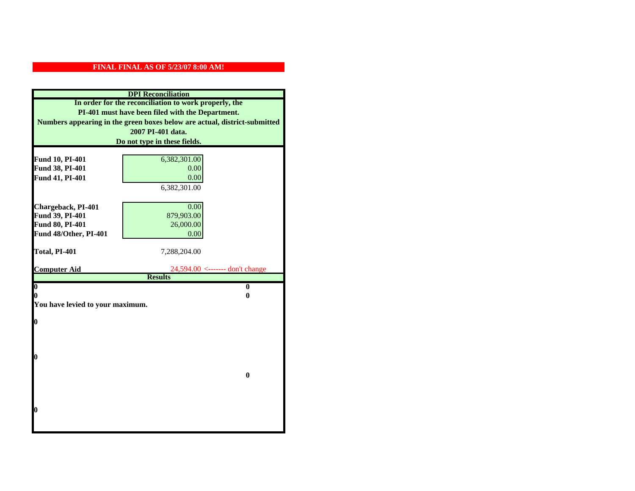|                                  | <b>DPI</b> Reconciliation                                                 |  |  |  |
|----------------------------------|---------------------------------------------------------------------------|--|--|--|
|                                  | In order for the reconciliation to work properly, the                     |  |  |  |
|                                  | PI-401 must have been filed with the Department.                          |  |  |  |
|                                  | Numbers appearing in the green boxes below are actual, district-submitted |  |  |  |
|                                  | 2007 PI-401 data.                                                         |  |  |  |
|                                  | Do not type in these fields.                                              |  |  |  |
|                                  |                                                                           |  |  |  |
| Fund 10, PI-401                  | 6,382,301.00                                                              |  |  |  |
| Fund 38, PI-401                  | 0.00                                                                      |  |  |  |
| Fund 41, PI-401                  | 0.00<br>6,382,301.00                                                      |  |  |  |
|                                  |                                                                           |  |  |  |
| Chargeback, PI-401               | 0.00                                                                      |  |  |  |
| Fund 39, PI-401                  | 879,903.00                                                                |  |  |  |
| Fund 80, PI-401                  | 26,000.00                                                                 |  |  |  |
| Fund 48/Other, PI-401            | 0.00                                                                      |  |  |  |
|                                  |                                                                           |  |  |  |
| Total, PI-401                    | 7,288,204.00                                                              |  |  |  |
|                                  |                                                                           |  |  |  |
| <b>Computer Aid</b>              | 24,594.00 <------- don't change<br><b>Results</b>                         |  |  |  |
| $\overline{\mathbf{0}}$          | $\bf{0}$                                                                  |  |  |  |
| 0                                | 0                                                                         |  |  |  |
| You have levied to your maximum. |                                                                           |  |  |  |
|                                  |                                                                           |  |  |  |
| $\bf{0}$                         |                                                                           |  |  |  |
|                                  |                                                                           |  |  |  |
|                                  |                                                                           |  |  |  |
| l0                               |                                                                           |  |  |  |
|                                  |                                                                           |  |  |  |
|                                  | $\bf{0}$                                                                  |  |  |  |
|                                  |                                                                           |  |  |  |
|                                  |                                                                           |  |  |  |
|                                  |                                                                           |  |  |  |
| $\boldsymbol{0}$                 |                                                                           |  |  |  |
|                                  |                                                                           |  |  |  |
|                                  |                                                                           |  |  |  |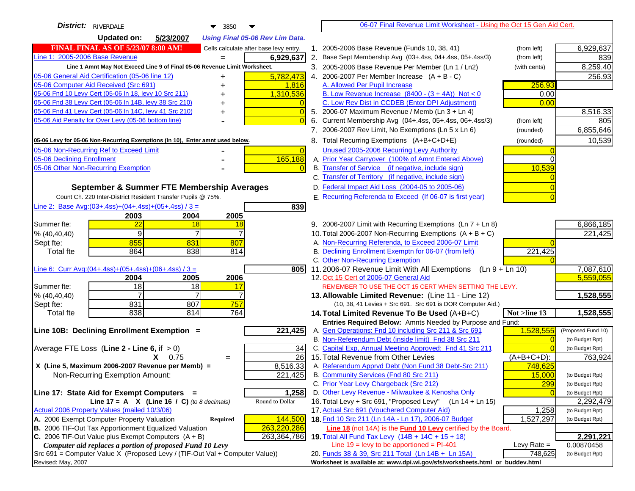| <b>District:</b> RIVERDALE<br>▼<br>3850                                                       |    | 06-07 Final Revenue Limit Worksheet - Using the Oct 15 Gen Aid Cert.                             |               |                              |
|-----------------------------------------------------------------------------------------------|----|--------------------------------------------------------------------------------------------------|---------------|------------------------------|
| <b>Updated on:</b><br>5/23/2007<br><b>Using Final 05-06 Rev Lim Data.</b>                     |    |                                                                                                  |               |                              |
| <b>FINAL FINAL AS OF 5/23/07 8:00 AM!</b><br>Cells calculate after base levy entry.           |    | 1. 2005-2006 Base Revenue (Funds 10, 38, 41)                                                     | (from left)   | 6,929,637                    |
| Line 1: 2005-2006 Base Revenue<br>6,929,637                                                   |    | 2. Base Sept Membership Avg (03+.4ss, 04+.4ss, 05+.4ss/3)                                        | (from left)   | 839                          |
| Line 1 Amnt May Not Exceed Line 9 of Final 05-06 Revenue Limit Worksheet.                     |    | 3. 2005-2006 Base Revenue Per Member (Ln 1 / Ln2)                                                | (with cents)  | 8,259.40                     |
| 5,782,473<br>05-06 General Aid Certification (05-06 line 12)<br>+                             |    | 4. 2006-2007 Per Member Increase $(A + B - C)$                                                   |               | 256.93                       |
| 05-06 Computer Aid Received (Src 691)<br>1,816<br>+                                           |    | A. Allowed Per Pupil Increase                                                                    | 256.93        |                              |
| 05-06 Fnd 10 Levy Cert (05-06 In 18, levy 10 Src 211)<br>1,310,536                            |    | B. Low Revenue Increase $(8400 - (3 + 4A))$ Not < 0                                              | 0.00          |                              |
| 05-06 Fnd 38 Levy Cert (05-06 In 14B, levy 38 Src 210)                                        |    | C. Low Rev Dist in CCDEB (Enter DPI Adjustment)                                                  | 0.00          |                              |
| 05-06 Fnd 41 Levy Cert (05-06 In 14C, levy 41 Src 210)<br>$\overline{0}$<br>+                 |    | 5. 2006-07 Maximum Revenue / Memb (Ln 3 + Ln 4)                                                  |               | 8,516.33                     |
| 05-06 Aid Penalty for Over Levy (05-06 bottom line)                                           | 6. | Current Membership Avg (04+.4ss, 05+.4ss, 06+.4ss/3)                                             | (from left)   | 805                          |
|                                                                                               |    | 7. 2006-2007 Rev Limit, No Exemptions (Ln 5 x Ln 6)                                              | (rounded)     | 6,855,646                    |
| 05-06 Levy for 05-06 Non-Recurring Exemptions (In 10), Enter amnt used below.                 |    | 8. Total Recurring Exemptions (A+B+C+D+E)                                                        | (rounded)     | 10,539                       |
| 05-06 Non-Recurring Ref to Exceed Limit<br>$\overline{0}$                                     |    | Unused 2005-2006 Recurring Levy Authority                                                        |               |                              |
| 05-06 Declining Enrollment<br>165,188                                                         |    | A. Prior Year Carryover (100% of Amnt Entered Above)                                             | ∩             |                              |
| 05-06 Other Non-Recurring Exemption                                                           |    | B. Transfer of Service (if negative, include sign)                                               | 10,539        |                              |
|                                                                                               |    | C. Transfer of Territory (if negative, include sign)                                             |               |                              |
| September & Summer FTE Membership Averages                                                    |    | D. Federal Impact Aid Loss (2004-05 to 2005-06)                                                  |               |                              |
| Count Ch. 220 Inter-District Resident Transfer Pupils @ 75%.                                  |    | E. Recurring Referenda to Exceed (If 06-07 is first year)                                        |               |                              |
| Line 2: Base Avg: $(03+.4ss)+(04+.4ss)+(05+.4ss)/3 =$<br>839                                  |    |                                                                                                  |               |                              |
| 2003<br>2004<br>2005                                                                          |    |                                                                                                  |               |                              |
| 22<br>Summer fte:<br>18<br>18                                                                 |    | 9. 2006-2007 Limit with Recurring Exemptions (Ln 7 + Ln 8)                                       |               | 6,866,185                    |
| 9<br>7<br>% (40, 40, 40)                                                                      |    | 10. Total 2006-2007 Non-Recurring Exemptions $(A + B + C)$                                       |               | 221,425                      |
| 855<br>831<br>807<br>Sept fte:                                                                |    | A. Non-Recurring Referenda, to Exceed 2006-07 Limit                                              |               |                              |
| 864<br>838<br><b>Total fte</b><br>814                                                         |    | B. Declining Enrollment Exemptn for 06-07 (from left)                                            | 221,425       |                              |
|                                                                                               |    | C. Other Non-Recurring Exemption                                                                 |               |                              |
| Line 6: Curr Avg: $(04+.4ss)+(05+.4ss)+(06+.4ss)/3 =$<br>805                                  |    | 11.2006-07 Revenue Limit With All Exemptions (Ln $9 + \overline{\text{Ln }10}$ )                 |               | 7,087,610<br>5,559,055       |
| 2006<br>2004<br>2005<br>18<br>Summer fte:<br>18<br>17                                         |    | 12. Oct 15 Cert of 2006-07 General Aid<br>REMEMBER TO USE THE OCT 15 CERT WHEN SETTING THE LEVY. |               |                              |
| % (40, 40, 40)                                                                                |    | 13. Allowable Limited Revenue: (Line 11 - Line 12)                                               |               | 1,528,555                    |
| 831<br>807<br>757<br>Sept fte:                                                                |    | (10, 38, 41 Levies + Src 691. Src 691 is DOR Computer Aid.)                                      |               |                              |
| 838<br>764<br><b>Total fte</b><br>814                                                         |    | 14. Total Limited Revenue To Be Used (A+B+C)                                                     | Not >line 13  | 1,528,555                    |
|                                                                                               |    | Entries Required Below: Amnts Needed by Purpose and Fund:                                        |               |                              |
| 221,425<br>Line 10B: Declining Enrollment Exemption =                                         |    | A. Gen Operations: Fnd 10 including Src 211 & Src 691                                            | 1,528,555     | (Proposed Fund 10)           |
|                                                                                               |    | B. Non-Referendum Debt (inside limit) Fnd 38 Src 211                                             | $\sqrt{ }$    | (to Budget Rpt)              |
| Average FTE Loss (Line $2 -$ Line 6, if $> 0$ )<br>34                                         |    | C. Capital Exp, Annual Meeting Approved: Fnd 41 Src 211                                          |               | (to Budget Rpt)              |
| $\overline{26}$<br>$X = 0.75$<br>$=$                                                          |    | 15. Total Revenue from Other Levies                                                              | (A+B+C+D):    | 763,924                      |
| X (Line 5, Maximum 2006-2007 Revenue per Memb) =<br>8,516.33                                  |    | A. Referendum Apprvd Debt (Non Fund 38 Debt-Src 211)                                             | 748,625       |                              |
| Non-Recurring Exemption Amount:<br>221,425                                                    |    | B. Community Services (Fnd 80 Src 211)                                                           | 15,000        | (to Budget Rpt)              |
|                                                                                               |    | C. Prior Year Levy Chargeback (Src 212)<br>D. Other Levy Revenue - Milwaukee & Kenosha Only      | <b>299</b>    | (to Budget Rpt)              |
| 1,258<br>Line 17: State Aid for Exempt Computers =<br>Round to Dollar                         |    | 16. Total Levy + Src 691, "Proposed Levy"<br>(Ln 14 + Ln 15)                                     |               | (to Budget Rpt)              |
| Line 17 = A $X$ (Line 16 / C) (to 8 decimals)<br>Actual 2006 Property Values (mailed 10/3/06) |    | 17. Actual Src 691 (Vouchered Computer Aid)                                                      | 1,258         | 2,292,479<br>(to Budget Rpt) |
| A. 2006 Exempt Computer Property Valuation<br>144,500<br>Required                             |    | 18. Fnd 10 Src 211 (Ln 14A - Ln 17), 2006-07 Budget                                              | 1,527,297     | (to Budget Rpt)              |
| B. 2006 TIF-Out Tax Apportionment Equalized Valuation<br>263,220,286                          |    | <b>Line 18</b> (not 14A) is the <b>Fund 10 Levy</b> certified by the Board.                      |               |                              |
| C. 2006 TIF-Out Value plus Exempt Computers $(A + B)$<br>263,364,786                          |    | 19. Total All Fund Tax Levy (14B + 14C + 15 + 18)                                                |               | 2,291,221                    |
| Computer aid replaces a portion of proposed Fund 10 Levy                                      |    | Line $19 = \text{levy}$ to be apportioned = PI-401                                               | Levy Rate $=$ | 0.00870458                   |
| Src 691 = Computer Value X (Proposed Levy / (TIF-Out Val + Computer Value))                   |    | 20. Funds 38 & 39, Src 211 Total (Ln 14B + Ln 15A)                                               | 748,625       | (to Budget Rpt)              |
| Revised: May, 2007                                                                            |    | Worksheet is available at: www.dpi.wi.gov/sfs/worksheets.html or buddev.html                     |               |                              |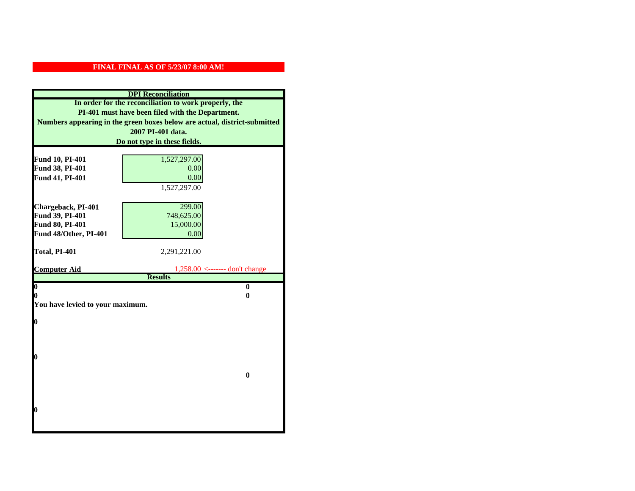| In order for the reconciliation to work properly, the<br>PI-401 must have been filed with the Department.<br>Numbers appearing in the green boxes below are actual, district-submitted<br>2007 PI-401 data.<br>Do not type in these fields.<br>Fund 10, PI-401<br>1,527,297.00<br>Fund 38, PI-401<br>0.00<br>0.00<br>Fund 41, PI-401<br>1,527,297.00<br>Chargeback, PI-401<br>299.00<br>Fund 39, PI-401<br>748,625.00<br>Fund 80, PI-401<br>15,000.00<br>Fund 48/Other, PI-401<br>0.00<br>Total, PI-401<br>2,291,221.00<br>$1,258.00 \leftarrow - \cdots \text{ don't change}$<br><b>Results</b><br>$\overline{\mathbf{0}}$<br>$\mathbf{0}$<br>0<br>0<br>You have levied to your maximum.<br>$\bf{0}$<br>0 |                     | <b>DPI</b> Reconciliation |  |  |  |
|------------------------------------------------------------------------------------------------------------------------------------------------------------------------------------------------------------------------------------------------------------------------------------------------------------------------------------------------------------------------------------------------------------------------------------------------------------------------------------------------------------------------------------------------------------------------------------------------------------------------------------------------------------------------------------------------------------|---------------------|---------------------------|--|--|--|
|                                                                                                                                                                                                                                                                                                                                                                                                                                                                                                                                                                                                                                                                                                            |                     |                           |  |  |  |
|                                                                                                                                                                                                                                                                                                                                                                                                                                                                                                                                                                                                                                                                                                            |                     |                           |  |  |  |
|                                                                                                                                                                                                                                                                                                                                                                                                                                                                                                                                                                                                                                                                                                            |                     |                           |  |  |  |
|                                                                                                                                                                                                                                                                                                                                                                                                                                                                                                                                                                                                                                                                                                            |                     |                           |  |  |  |
|                                                                                                                                                                                                                                                                                                                                                                                                                                                                                                                                                                                                                                                                                                            |                     |                           |  |  |  |
|                                                                                                                                                                                                                                                                                                                                                                                                                                                                                                                                                                                                                                                                                                            |                     |                           |  |  |  |
|                                                                                                                                                                                                                                                                                                                                                                                                                                                                                                                                                                                                                                                                                                            |                     |                           |  |  |  |
|                                                                                                                                                                                                                                                                                                                                                                                                                                                                                                                                                                                                                                                                                                            |                     |                           |  |  |  |
|                                                                                                                                                                                                                                                                                                                                                                                                                                                                                                                                                                                                                                                                                                            |                     |                           |  |  |  |
|                                                                                                                                                                                                                                                                                                                                                                                                                                                                                                                                                                                                                                                                                                            |                     |                           |  |  |  |
|                                                                                                                                                                                                                                                                                                                                                                                                                                                                                                                                                                                                                                                                                                            |                     |                           |  |  |  |
|                                                                                                                                                                                                                                                                                                                                                                                                                                                                                                                                                                                                                                                                                                            |                     |                           |  |  |  |
|                                                                                                                                                                                                                                                                                                                                                                                                                                                                                                                                                                                                                                                                                                            |                     |                           |  |  |  |
|                                                                                                                                                                                                                                                                                                                                                                                                                                                                                                                                                                                                                                                                                                            |                     |                           |  |  |  |
|                                                                                                                                                                                                                                                                                                                                                                                                                                                                                                                                                                                                                                                                                                            |                     |                           |  |  |  |
|                                                                                                                                                                                                                                                                                                                                                                                                                                                                                                                                                                                                                                                                                                            |                     |                           |  |  |  |
|                                                                                                                                                                                                                                                                                                                                                                                                                                                                                                                                                                                                                                                                                                            |                     |                           |  |  |  |
|                                                                                                                                                                                                                                                                                                                                                                                                                                                                                                                                                                                                                                                                                                            | <b>Computer Aid</b> |                           |  |  |  |
|                                                                                                                                                                                                                                                                                                                                                                                                                                                                                                                                                                                                                                                                                                            |                     |                           |  |  |  |
|                                                                                                                                                                                                                                                                                                                                                                                                                                                                                                                                                                                                                                                                                                            |                     |                           |  |  |  |
|                                                                                                                                                                                                                                                                                                                                                                                                                                                                                                                                                                                                                                                                                                            |                     |                           |  |  |  |
|                                                                                                                                                                                                                                                                                                                                                                                                                                                                                                                                                                                                                                                                                                            |                     |                           |  |  |  |
|                                                                                                                                                                                                                                                                                                                                                                                                                                                                                                                                                                                                                                                                                                            |                     |                           |  |  |  |
|                                                                                                                                                                                                                                                                                                                                                                                                                                                                                                                                                                                                                                                                                                            |                     |                           |  |  |  |
|                                                                                                                                                                                                                                                                                                                                                                                                                                                                                                                                                                                                                                                                                                            |                     |                           |  |  |  |
|                                                                                                                                                                                                                                                                                                                                                                                                                                                                                                                                                                                                                                                                                                            |                     |                           |  |  |  |
|                                                                                                                                                                                                                                                                                                                                                                                                                                                                                                                                                                                                                                                                                                            |                     |                           |  |  |  |
|                                                                                                                                                                                                                                                                                                                                                                                                                                                                                                                                                                                                                                                                                                            |                     |                           |  |  |  |
| $\bf{0}$                                                                                                                                                                                                                                                                                                                                                                                                                                                                                                                                                                                                                                                                                                   |                     |                           |  |  |  |
|                                                                                                                                                                                                                                                                                                                                                                                                                                                                                                                                                                                                                                                                                                            |                     |                           |  |  |  |
|                                                                                                                                                                                                                                                                                                                                                                                                                                                                                                                                                                                                                                                                                                            |                     |                           |  |  |  |
|                                                                                                                                                                                                                                                                                                                                                                                                                                                                                                                                                                                                                                                                                                            |                     |                           |  |  |  |
|                                                                                                                                                                                                                                                                                                                                                                                                                                                                                                                                                                                                                                                                                                            |                     |                           |  |  |  |
|                                                                                                                                                                                                                                                                                                                                                                                                                                                                                                                                                                                                                                                                                                            | 0                   |                           |  |  |  |
|                                                                                                                                                                                                                                                                                                                                                                                                                                                                                                                                                                                                                                                                                                            |                     |                           |  |  |  |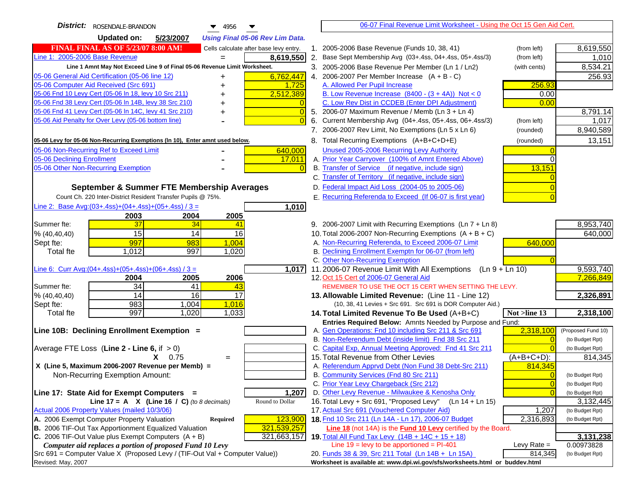| District:   ROSENDALE-BRANDON<br>$\blacktriangledown$ 4956                                                                                   | 06-07 Final Revenue Limit Worksheet - Using the Oct 15 Gen Aid Cert.                                                       |                         |
|----------------------------------------------------------------------------------------------------------------------------------------------|----------------------------------------------------------------------------------------------------------------------------|-------------------------|
| <b>Updated on:</b><br>5/23/2007<br><b>Using Final 05-06 Rev Lim Data.</b>                                                                    |                                                                                                                            |                         |
| <b>FINAL FINAL AS OF 5/23/07 8:00 AM!</b><br>Cells calculate after base levy entry.                                                          | 1. 2005-2006 Base Revenue (Funds 10, 38, 41)<br>(from left)                                                                | 8,619,550               |
| Line 1: 2005-2006 Base Revenue<br>8,619,550<br>$=$                                                                                           | 2. Base Sept Membership Avg (03+.4ss, 04+.4ss, 05+.4ss/3)<br>(from left)                                                   | 1,010                   |
| Line 1 Amnt May Not Exceed Line 9 of Final 05-06 Revenue Limit Worksheet.                                                                    | 3. 2005-2006 Base Revenue Per Member (Ln 1 / Ln2)<br>(with cents)                                                          | 8,534.21                |
| 05-06 General Aid Certification (05-06 line 12)<br>6,762,447                                                                                 | 4. 2006-2007 Per Member Increase $(A + B - C)$                                                                             | 256.93                  |
| 05-06 Computer Aid Received (Src 691)<br>1,725                                                                                               | A. Allowed Per Pupil Increase<br>256.93                                                                                    |                         |
| 05-06 Fnd 10 Levy Cert (05-06 ln 18, levy 10 Src 211)<br>2,512,389                                                                           | B. Low Revenue Increase $(8400 - (3 + 4A))$ Not < 0<br>0.00                                                                |                         |
| 05-06 Fnd 38 Levy Cert (05-06 In 14B, levy 38 Src 210)                                                                                       | C. Low Rev Dist in CCDEB (Enter DPI Adjustment)<br>0.00                                                                    |                         |
| 05-06 Fnd 41 Levy Cert (05-06 In 14C, levy 41 Src 210)<br>$\overline{0}$<br>+                                                                | 5. 2006-07 Maximum Revenue / Memb (Ln 3 + Ln 4)                                                                            | 8,791.14                |
| 05-06 Aid Penalty for Over Levy (05-06 bottom line)                                                                                          | Current Membership Avg (04+.4ss, 05+.4ss, 06+.4ss/3)<br>6.<br>(from left)                                                  | 1,017                   |
|                                                                                                                                              | 7. 2006-2007 Rev Limit, No Exemptions (Ln 5 x Ln 6)<br>(rounded)                                                           | 8,940,589               |
| 05-06 Levy for 05-06 Non-Recurring Exemptions (In 10), Enter amnt used below.                                                                | 8. Total Recurring Exemptions (A+B+C+D+E)<br>(rounded)                                                                     | 13,151                  |
| 05-06 Non-Recurring Ref to Exceed Limit<br>640,000                                                                                           | Unused 2005-2006 Recurring Levy Authority                                                                                  |                         |
| 05-06 Declining Enrollment<br>17,011                                                                                                         | A. Prior Year Carryover (100% of Amnt Entered Above)                                                                       |                         |
| 05-06 Other Non-Recurring Exemption                                                                                                          | B. Transfer of Service (if negative, include sign)<br>13,151                                                               |                         |
|                                                                                                                                              | C. Transfer of Territory (if negative, include sign)                                                                       |                         |
| September & Summer FTE Membership Averages                                                                                                   | D. Federal Impact Aid Loss (2004-05 to 2005-06)                                                                            |                         |
| Count Ch. 220 Inter-District Resident Transfer Pupils @ 75%.                                                                                 | E. Recurring Referenda to Exceed (If 06-07 is first year)                                                                  |                         |
| Line 2: Base Avg: $(03+.4ss)+(04+.4ss)+(05+.4ss)/3 =$<br>1,010                                                                               |                                                                                                                            |                         |
| 2003<br>2004<br>2005                                                                                                                         |                                                                                                                            |                         |
| 37<br>34<br>Summer fte:<br>41                                                                                                                | 9. 2006-2007 Limit with Recurring Exemptions (Ln 7 + Ln 8)                                                                 | 8,953,740               |
| 15<br>14<br>16<br>% (40, 40, 40)                                                                                                             | 10. Total 2006-2007 Non-Recurring Exemptions $(A + B + C)$                                                                 | 640,000                 |
| 997<br>983<br>1,004<br>Sept fte:                                                                                                             | A. Non-Recurring Referenda, to Exceed 2006-07 Limit<br>640,000                                                             |                         |
| <b>Total fte</b><br>1,012<br>997<br>1,020                                                                                                    | B. Declining Enrollment Exemptn for 06-07 (from left)                                                                      |                         |
|                                                                                                                                              | C. Other Non-Recurring Exemption                                                                                           |                         |
| Line 6: Curr Avg: $(04+.4ss)+(05+.4ss)+(06+.4ss)/3=$<br>1,017                                                                                | 11.2006-07 Revenue Limit With All Exemptions (Ln $9 + \overline{\text{Ln }10}$ )                                           | 9,593,740               |
| 2006<br>2004<br>2005<br>34<br>Summer fte:                                                                                                    | 12. Oct 15 Cert of 2006-07 General Aid<br>REMEMBER TO USE THE OCT 15 CERT WHEN SETTING THE LEVY.                           | 7,266,849               |
| 41<br>43<br>14<br>16<br>17<br>% (40, 40, 40)                                                                                                 | 13. Allowable Limited Revenue: (Line 11 - Line 12)                                                                         | 2,326,891               |
| 983<br>1,016<br>1,004<br>Sept fte:                                                                                                           | (10, 38, 41 Levies + Src 691. Src 691 is DOR Computer Aid.)                                                                |                         |
| 997<br>1,020<br>1,033<br><b>Total fte</b>                                                                                                    | Not >line 13<br>14. Total Limited Revenue To Be Used (A+B+C)                                                               | 2,318,100               |
|                                                                                                                                              | Entries Required Below: Amnts Needed by Purpose and Fund:                                                                  |                         |
| Line 10B: Declining Enrollment Exemption =                                                                                                   | A. Gen Operations: Fnd 10 including Src 211 & Src 691<br>2,318,100                                                         | (Proposed Fund 10)      |
|                                                                                                                                              | B. Non-Referendum Debt (inside limit) Fnd 38 Src 211<br>$\Omega$                                                           | (to Budget Rpt)         |
| Average FTE Loss (Line $2 -$ Line 6, if $> 0$ )                                                                                              | C. Capital Exp, Annual Meeting Approved: Fnd 41 Src 211                                                                    | (to Budget Rpt)         |
| $X = 0.75$<br>$=$                                                                                                                            | 15. Total Revenue from Other Levies<br>$(A+B+C+D)$ :                                                                       | 814,345                 |
| X (Line 5, Maximum 2006-2007 Revenue per Memb) =                                                                                             | A. Referendum Apprvd Debt (Non Fund 38 Debt-Src 211)<br>814,345                                                            |                         |
| Non-Recurring Exemption Amount:                                                                                                              | B. Community Services (Fnd 80 Src 211)<br>$\Omega$                                                                         | (to Budget Rpt)         |
|                                                                                                                                              | C. Prior Year Levy Chargeback (Src 212)<br>$\overline{0}$                                                                  | (to Budget Rpt)         |
| 1,207<br>Line 17: State Aid for Exempt Computers =                                                                                           | D. Other Levy Revenue - Milwaukee & Kenosha Only<br>$\Omega$                                                               | (to Budget Rpt)         |
| Round to Dollar<br>Line 17 = A $X$ (Line 16 / C) (to 8 decimals)                                                                             | 16. Total Levy + Src 691, "Proposed Levy"<br>(Ln 14 + Ln 15)                                                               | 3,132,445               |
| Actual 2006 Property Values (mailed 10/3/06)                                                                                                 | 17. Actual Src 691 (Vouchered Computer Aid)<br>1,207                                                                       | (to Budget Rpt)         |
| A. 2006 Exempt Computer Property Valuation<br>123,900<br>Required                                                                            | 18. Fnd 10 Src 211 (Ln 14A - Ln 17), 2006-07 Budget<br>2,316,893                                                           | (to Budget Rpt)         |
| B. 2006 TIF-Out Tax Apportionment Equalized Valuation<br>321,539,257<br>C. 2006 TIF-Out Value plus Exempt Computers $(A + B)$<br>321,663,157 | Line 18 (not 14A) is the Fund 10 Levy certified by the Board.                                                              |                         |
| Computer aid replaces a portion of proposed Fund 10 Levy                                                                                     | 19. Total All Fund Tax Levy $(14B + 14C + 15 + 18)$<br>Line $19 = \text{levy}$ to be apportioned = PI-401<br>Levy Rate $=$ | 3,131,238<br>0.00973828 |
| Src 691 = Computer Value X (Proposed Levy / (TIF-Out Val + Computer Value))                                                                  | 20. Funds 38 & 39, Src 211 Total (Ln 14B + Ln 15A)<br>814,345                                                              | (to Budget Rpt)         |
| Revised: May, 2007                                                                                                                           | Worksheet is available at: www.dpi.wi.gov/sfs/worksheets.html or buddev.html                                               |                         |
|                                                                                                                                              |                                                                                                                            |                         |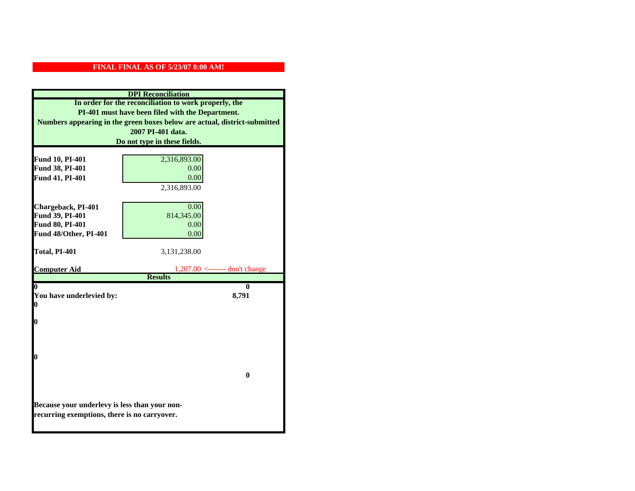| <b>DPI</b> Reconciliation                                                                     |                                                                           |  |  |
|-----------------------------------------------------------------------------------------------|---------------------------------------------------------------------------|--|--|
|                                                                                               | In order for the reconciliation to work properly, the                     |  |  |
|                                                                                               | PI-401 must have been filed with the Department.                          |  |  |
|                                                                                               | Numbers appearing in the green boxes below are actual, district-submitted |  |  |
|                                                                                               | 2007 PI-401 data.                                                         |  |  |
|                                                                                               | Do not type in these fields.                                              |  |  |
|                                                                                               |                                                                           |  |  |
| Fund 10, PI-401                                                                               | 2,316,893.00<br>0.00                                                      |  |  |
| Fund 38, PI-401                                                                               | 0.00                                                                      |  |  |
| Fund 41, PI-401                                                                               |                                                                           |  |  |
|                                                                                               | 2,316,893.00                                                              |  |  |
| Chargeback, PI-401                                                                            | 0.00                                                                      |  |  |
| Fund 39, PI-401                                                                               | 814,345.00                                                                |  |  |
| Fund 80, PI-401                                                                               | 0.00                                                                      |  |  |
| Fund 48/Other, PI-401                                                                         | 0.00                                                                      |  |  |
|                                                                                               |                                                                           |  |  |
| Total, PI-401                                                                                 | 3,131,238.00                                                              |  |  |
|                                                                                               |                                                                           |  |  |
| <b>Computer Aid</b>                                                                           | $1,207.00 \le$ ------- don't change<br><b>Results</b>                     |  |  |
|                                                                                               | 0                                                                         |  |  |
| You have underlevied by:                                                                      | 8,791                                                                     |  |  |
| 0                                                                                             |                                                                           |  |  |
|                                                                                               |                                                                           |  |  |
| 0                                                                                             |                                                                           |  |  |
|                                                                                               |                                                                           |  |  |
|                                                                                               |                                                                           |  |  |
| 0                                                                                             |                                                                           |  |  |
|                                                                                               |                                                                           |  |  |
|                                                                                               | $\bf{0}$                                                                  |  |  |
|                                                                                               |                                                                           |  |  |
|                                                                                               |                                                                           |  |  |
|                                                                                               |                                                                           |  |  |
| Because your underlevy is less than your non-<br>recurring exemptions, there is no carryover. |                                                                           |  |  |
|                                                                                               |                                                                           |  |  |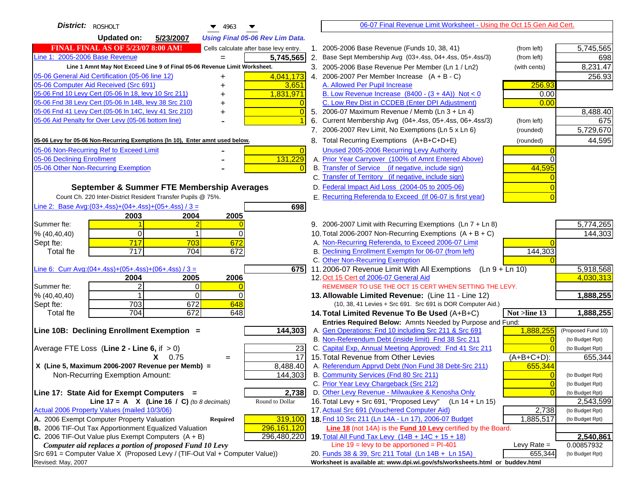| District: ROSHOLT<br>4963                                                           |                | 06-07 Final Revenue Limit Worksheet - Using the Oct 15 Gen Aid Cert.                                            |                |                                    |
|-------------------------------------------------------------------------------------|----------------|-----------------------------------------------------------------------------------------------------------------|----------------|------------------------------------|
| <b>Updated on:</b><br>5/23/2007<br><b>Using Final 05-06 Rev Lim Data.</b>           |                |                                                                                                                 |                |                                    |
| <b>FINAL FINAL AS OF 5/23/07 8:00 AM!</b><br>Cells calculate after base levy entry. |                | 1. 2005-2006 Base Revenue (Funds 10, 38, 41)                                                                    | (from left)    | 5,745,565                          |
| Line 1: 2005-2006 Base Revenue<br>5,745,565<br>$=$                                  |                | 2. Base Sept Membership Avg (03+.4ss, 04+.4ss, 05+.4ss/3)                                                       | (from left)    | 698                                |
| Line 1 Amnt May Not Exceed Line 9 of Final 05-06 Revenue Limit Worksheet.           |                | 3. 2005-2006 Base Revenue Per Member (Ln 1 / Ln2)                                                               | (with cents)   | 8,231.47                           |
| 05-06 General Aid Certification (05-06 line 12)<br>4,041,173<br>+                   |                | 4. 2006-2007 Per Member Increase $(A + B - C)$                                                                  |                | 256.93                             |
| 05-06 Computer Aid Received (Src 691)<br>3,651                                      |                | A. Allowed Per Pupil Increase                                                                                   | 256.93         |                                    |
| 05-06 Fnd 10 Levy Cert (05-06 In 18, levy 10 Src 211)<br>1,831,971                  |                | B. Low Revenue Increase $(8400 - (3 + 4A))$ Not < 0                                                             | 0.00           |                                    |
| 05-06 Fnd 38 Levy Cert (05-06 In 14B, levy 38 Src 210)                              |                | C. Low Rev Dist in CCDEB (Enter DPI Adjustment)                                                                 | 0.00           |                                    |
| 05-06 Fnd 41 Levy Cert (05-06 In 14C, levy 41 Src 210)<br>+                         | 0              | 5. 2006-07 Maximum Revenue / Memb (Ln 3 + Ln 4)                                                                 |                | 8,488.40                           |
| 05-06 Aid Penalty for Over Levy (05-06 bottom line)                                 |                | 6. Current Membership Avg (04+.4ss, 05+.4ss, 06+.4ss/3)                                                         | (from left)    | 675                                |
|                                                                                     |                | 7. 2006-2007 Rev Limit, No Exemptions (Ln 5 x Ln 6)                                                             | (rounded)      | 5,729,670                          |
| 05-06 Levy for 05-06 Non-Recurring Exemptions (In 10), Enter amnt used below.       |                | 8. Total Recurring Exemptions (A+B+C+D+E)                                                                       | (rounded)      | 44,595                             |
| 05-06 Non-Recurring Ref to Exceed Limit                                             | $\overline{0}$ | Unused 2005-2006 Recurring Levy Authority                                                                       |                |                                    |
| 131,229<br>05-06 Declining Enrollment                                               |                | A. Prior Year Carryover (100% of Amnt Entered Above)                                                            |                |                                    |
| 05-06 Other Non-Recurring Exemption                                                 |                | B. Transfer of Service (if negative, include sign)                                                              | 44,595         |                                    |
|                                                                                     |                | C. Transfer of Territory (if negative, include sign)                                                            |                |                                    |
| September & Summer FTE Membership Averages                                          |                | D. Federal Impact Aid Loss (2004-05 to 2005-06)                                                                 |                |                                    |
| Count Ch. 220 Inter-District Resident Transfer Pupils @ 75%.                        |                | E. Recurring Referenda to Exceed (If 06-07 is first year)                                                       |                |                                    |
| Line 2: Base Avg: $(03+.4ss)+(04+.4ss)+(05+.4ss)/3 =$<br>698                        |                |                                                                                                                 |                |                                    |
| 2003<br>2004<br>2005                                                                |                |                                                                                                                 |                |                                    |
| Summer fte:                                                                         |                | 9. 2006-2007 Limit with Recurring Exemptions (Ln 7 + Ln 8)                                                      |                | 5,774,265                          |
| $\Omega$<br>% (40, 40, 40)<br>$\Omega$                                              |                | 10. Total 2006-2007 Non-Recurring Exemptions $(A + B + C)$                                                      |                | 144,303                            |
| 717<br>703<br>672<br>Sept fte:<br>717<br>672<br><b>Total fte</b><br>704             |                | A. Non-Recurring Referenda, to Exceed 2006-07 Limit<br>B. Declining Enrollment Exemptn for 06-07 (from left)    | 144,303        |                                    |
|                                                                                     |                | C. Other Non-Recurring Exemption                                                                                |                |                                    |
| Line 6: Curr Avg: $(04+.4ss)+(05+.4ss)+(06+.4ss)/3=$                                | 6751           | 11.2006-07 Revenue Limit With All Exemptions (Ln 9 + Ln 10)                                                     |                | 5,918,568                          |
| 2006<br>2004<br>2005                                                                |                | 12. Oct 15 Cert of 2006-07 General Aid                                                                          |                | 4,030,313                          |
| 2<br>Summer fte:<br>0                                                               |                | REMEMBER TO USE THE OCT 15 CERT WHEN SETTING THE LEVY.                                                          |                |                                    |
| % (40, 40, 40)<br>$\Omega$<br><sup>0</sup>                                          |                | 13. Allowable Limited Revenue: (Line 11 - Line 12)                                                              |                | 1,888,255                          |
| 703<br>672<br>648<br>Sept fte:                                                      |                | (10, 38, 41 Levies + Src 691. Src 691 is DOR Computer Aid.)                                                     |                |                                    |
| 704<br>672<br>648<br><b>Total fte</b>                                               |                | 14. Total Limited Revenue To Be Used (A+B+C)                                                                    | Not >line 13   | 1,888,255                          |
|                                                                                     |                | Entries Required Below: Amnts Needed by Purpose and Fund:                                                       |                |                                    |
| 144,303<br>Line 10B: Declining Enrollment Exemption =                               |                | A. Gen Operations: Fnd 10 including Src 211 & Src 691                                                           | 1,888,255      | (Proposed Fund 10)                 |
|                                                                                     |                | B. Non-Referendum Debt (inside limit) Fnd 38 Src 211<br>C. Capital Exp, Annual Meeting Approved: Fnd 41 Src 211 |                | (to Budget Rpt)<br>(to Budget Rpt) |
| Average FTE Loss (Line $2 -$ Line 6, if $> 0$ )<br>$X = 0.75$<br>$=$                | 23<br>17       | 15. Total Revenue from Other Levies                                                                             | $(A+B+C+D)$ :  | 655,344                            |
| X (Line 5, Maximum 2006-2007 Revenue per Memb) =<br>8,488.40                        |                | A. Referendum Apprvd Debt (Non Fund 38 Debt-Src 211)                                                            | 655,344        |                                    |
| 144,303<br>Non-Recurring Exemption Amount:                                          |                | B. Community Services (Fnd 80 Src 211)                                                                          |                | (to Budget Rpt)                    |
|                                                                                     |                | C. Prior Year Levy Chargeback (Src 212)                                                                         | $\overline{0}$ | (to Budget Rpt)                    |
| 2,738<br>Line 17: State Aid for Exempt Computers =                                  |                | D. Other Levy Revenue - Milwaukee & Kenosha Only                                                                |                | (to Budget Rpt)                    |
| Round to Dollar<br>Line 17 = A $X$ (Line 16 / C) (to 8 decimals)                    |                | 16. Total Levy + Src 691, "Proposed Levy"<br>(Ln 14 + Ln 15)                                                    |                | 2,543,599                          |
| Actual 2006 Property Values (mailed 10/3/06)                                        |                | 17. Actual Src 691 (Vouchered Computer Aid)                                                                     | 2,738          | (to Budget Rpt)                    |
| A. 2006 Exempt Computer Property Valuation<br>319,100<br>Required                   |                | 18. Fnd 10 Src 211 (Ln 14A - Ln 17), 2006-07 Budget                                                             | 1,885,517      | (to Budget Rpt)                    |
| B. 2006 TIF-Out Tax Apportionment Equalized Valuation<br>296,161,120                |                | <b>Line 18</b> (not 14A) is the <b>Fund 10 Levy</b> certified by the Board.                                     |                |                                    |
| C. 2006 TIF-Out Value plus Exempt Computers $(A + B)$<br>296,480,220                |                | 19. Total All Fund Tax Levy $(14B + 14C + 15 + 18)$                                                             |                | 2,540,861                          |
| Computer aid replaces a portion of proposed Fund 10 Levy                            |                | Line $19 = \text{levy}$ to be apportioned = PI-401                                                              | Levy Rate $=$  | 0.00857932                         |
| Src 691 = Computer Value X (Proposed Levy / (TIF-Out Val + Computer Value))         |                | 20. Funds 38 & 39, Src 211 Total (Ln 14B + Ln 15A)                                                              | 655,344        | (to Budget Rpt)                    |
| Revised: May, 2007                                                                  |                | Worksheet is available at: www.dpi.wi.gov/sfs/worksheets.html or buddev.html                                    |                |                                    |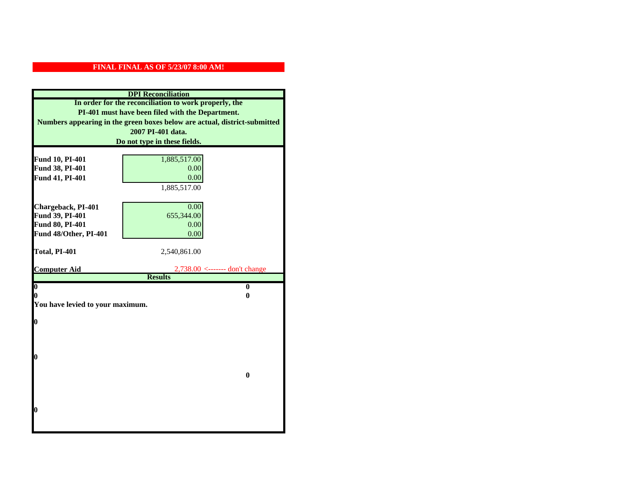|                                  | <b>DPI</b> Reconciliation                                                 |  |  |  |
|----------------------------------|---------------------------------------------------------------------------|--|--|--|
|                                  | In order for the reconciliation to work properly, the                     |  |  |  |
|                                  | PI-401 must have been filed with the Department.                          |  |  |  |
|                                  | Numbers appearing in the green boxes below are actual, district-submitted |  |  |  |
|                                  | 2007 PI-401 data.                                                         |  |  |  |
|                                  | Do not type in these fields.                                              |  |  |  |
|                                  |                                                                           |  |  |  |
| Fund 10, PI-401                  | 1,885,517.00                                                              |  |  |  |
| Fund 38, PI-401                  | 0.00                                                                      |  |  |  |
| Fund 41, PI-401                  | 0.00                                                                      |  |  |  |
|                                  | 1,885,517.00                                                              |  |  |  |
|                                  |                                                                           |  |  |  |
| Chargeback, PI-401               | 0.00                                                                      |  |  |  |
| Fund 39, PI-401                  | 655,344.00                                                                |  |  |  |
| Fund 80, PI-401                  | 0.00                                                                      |  |  |  |
| Fund 48/Other, PI-401            | 0.00                                                                      |  |  |  |
| Total, PI-401                    | 2,540,861.00                                                              |  |  |  |
|                                  |                                                                           |  |  |  |
| <b>Computer Aid</b>              | $2,738.00 \leftarrow \text{---}$ don't change                             |  |  |  |
|                                  | <b>Results</b>                                                            |  |  |  |
| $\boldsymbol{0}$                 |                                                                           |  |  |  |
|                                  | $\mathbf{0}$                                                              |  |  |  |
| 0                                | 0                                                                         |  |  |  |
| You have levied to your maximum. |                                                                           |  |  |  |
|                                  |                                                                           |  |  |  |
| $\bf{0}$                         |                                                                           |  |  |  |
|                                  |                                                                           |  |  |  |
|                                  |                                                                           |  |  |  |
| 0                                |                                                                           |  |  |  |
|                                  |                                                                           |  |  |  |
|                                  | $\bf{0}$                                                                  |  |  |  |
|                                  |                                                                           |  |  |  |
|                                  |                                                                           |  |  |  |
|                                  |                                                                           |  |  |  |
| 0                                |                                                                           |  |  |  |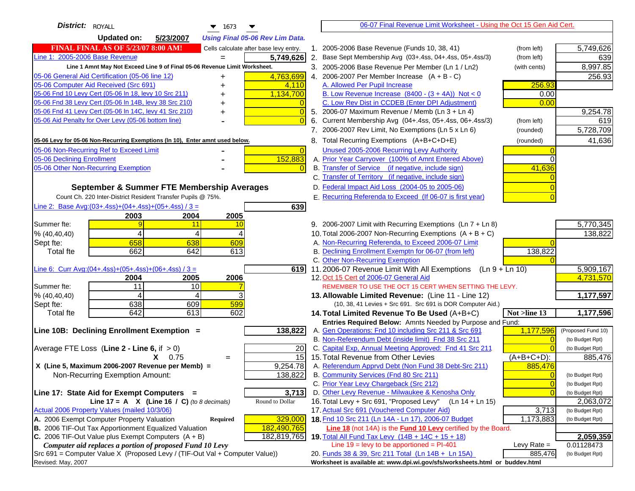| <b>District:</b> ROYALL<br>$\blacktriangledown$ 1673                                |                | 06-07 Final Revenue Limit Worksheet - Using the Oct 15 Gen Aid Cert.                                                            |                                   |
|-------------------------------------------------------------------------------------|----------------|---------------------------------------------------------------------------------------------------------------------------------|-----------------------------------|
| Updated on:<br>5/23/2007<br><b>Using Final 05-06 Rev Lim Data.</b>                  |                |                                                                                                                                 |                                   |
| <b>FINAL FINAL AS OF 5/23/07 8:00 AM!</b><br>Cells calculate after base levy entry. |                | 1. 2005-2006 Base Revenue (Funds 10, 38, 41)<br>(from left)                                                                     | 5,749,626                         |
| Line 1: 2005-2006 Base Revenue<br>5,749,626                                         |                | 2. Base Sept Membership Avg (03+.4ss, 04+.4ss, 05+.4ss/3)<br>(from left)                                                        | 639                               |
| Line 1 Amnt May Not Exceed Line 9 of Final 05-06 Revenue Limit Worksheet.           |                | 3. 2005-2006 Base Revenue Per Member (Ln 1 / Ln2)<br>(with cents)                                                               | 8,997.85                          |
| 4,763,699<br>05-06 General Aid Certification (05-06 line 12)<br>+                   |                | 4. 2006-2007 Per Member Increase $(A + B - C)$                                                                                  | 256.93                            |
| 05-06 Computer Aid Received (Src 691)<br>4,110                                      |                | A. Allowed Per Pupil Increase<br>256.93                                                                                         |                                   |
| 05-06 Fnd 10 Levy Cert (05-06 In 18, levy 10 Src 211)<br>1,134,700                  |                | B. Low Revenue Increase $(8400 - (3 + 4A))$ Not < 0                                                                             | 0.00                              |
| 05-06 Fnd 38 Levy Cert (05-06 In 14B, levy 38 Src 210)                              |                | C. Low Rev Dist in CCDEB (Enter DPI Adjustment)                                                                                 | 0.00                              |
| 05-06 Fnd 41 Levy Cert (05-06 In 14C, levy 41 Src 210)                              | $\overline{0}$ | 5. 2006-07 Maximum Revenue / Memb (Ln 3 + Ln 4)                                                                                 | 9,254.78                          |
| 05-06 Aid Penalty for Over Levy (05-06 bottom line)                                 | $\Omega$       | Current Membership Avg (04+.4ss, 05+.4ss, 06+.4ss/3)<br>6.<br>(from left)                                                       | 619                               |
|                                                                                     |                | 7. 2006-2007 Rev Limit, No Exemptions (Ln 5 x Ln 6)<br>(rounded)                                                                | 5,728,709                         |
| 05-06 Levy for 05-06 Non-Recurring Exemptions (In 10), Enter amnt used below.       |                | 8. Total Recurring Exemptions (A+B+C+D+E)<br>(rounded)                                                                          | 41,636                            |
| 05-06 Non-Recurring Ref to Exceed Limit                                             | $\Omega$       | Unused 2005-2006 Recurring Levy Authority                                                                                       |                                   |
| 152,883<br>05-06 Declining Enrollment                                               |                | A. Prior Year Carryover (100% of Amnt Entered Above)                                                                            | $\Omega$                          |
| 05-06 Other Non-Recurring Exemption                                                 |                | B. Transfer of Service (if negative, include sign)<br>41,636                                                                    |                                   |
|                                                                                     |                | C. Transfer of Territory (if negative, include sign)                                                                            |                                   |
| September & Summer FTE Membership Averages                                          |                | D. Federal Impact Aid Loss (2004-05 to 2005-06)                                                                                 |                                   |
| Count Ch. 220 Inter-District Resident Transfer Pupils @ 75%.                        |                | E. Recurring Referenda to Exceed (If 06-07 is first year)                                                                       |                                   |
| Line 2: Base Avg: (03+.4ss) + (04+.4ss) + (05+.4ss) / 3 =<br>639                    |                |                                                                                                                                 |                                   |
| 2003<br>2004<br>2005                                                                |                |                                                                                                                                 |                                   |
| Summer fte:<br>11<br>10                                                             |                | 9. 2006-2007 Limit with Recurring Exemptions (Ln 7 + Ln 8)                                                                      | 5,770,345                         |
| 4<br>% (40, 40, 40)<br>4<br>4                                                       |                | 10. Total 2006-2007 Non-Recurring Exemptions $(A + B + C)$                                                                      | 138,822                           |
| 658<br>638<br>Sept fte:<br>609                                                      |                | A. Non-Recurring Referenda, to Exceed 2006-07 Limit                                                                             |                                   |
| 642<br>662<br>613<br>Total fte                                                      |                | B. Declining Enrollment Exemptn for 06-07 (from left)<br>138,822                                                                |                                   |
|                                                                                     |                | C. Other Non-Recurring Exemption                                                                                                |                                   |
| Line 6: Curr Avg: $(04+.4ss)+(05+.4ss)+(06+.4ss)/3 =$<br>619                        |                | 11.2006-07 Revenue Limit With All Exemptions<br>$(Ln 9 + Ln 10)$                                                                | 5,909,167                         |
| 2006<br>2004<br>2005                                                                |                | 12. Oct 15 Cert of 2006-07 General Aid                                                                                          | 4,731,570                         |
| 11<br>10<br>Summer fte:                                                             |                | REMEMBER TO USE THE OCT 15 CERT WHEN SETTING THE LEVY.                                                                          |                                   |
| 3<br>% (40, 40, 40)<br>4<br>4                                                       |                | 13. Allowable Limited Revenue: (Line 11 - Line 12)                                                                              | 1,177,597                         |
| 638<br>609<br>599<br>Sept fte:                                                      |                | (10, 38, 41 Levies + Src 691. Src 691 is DOR Computer Aid.)                                                                     |                                   |
| 642<br>613<br>602<br><b>Total fte</b>                                               |                | Not $>$ line 13<br>14. Total Limited Revenue To Be Used $(A+B+C)$                                                               | 1,177,596                         |
| 138,822                                                                             |                | Entries Required Below: Amnts Needed by Purpose and Fund:<br>1,177,596<br>A. Gen Operations: Fnd 10 including Src 211 & Src 691 | (Proposed Fund 10)                |
| Line 10B: Declining Enrollment Exemption =                                          |                | B. Non-Referendum Debt (inside limit) Fnd 38 Src 211                                                                            | $\Omega$<br>(to Budget Rpt)       |
| Average FTE Loss (Line $2 -$ Line 6, if $> 0$ )<br>20                               |                | C. Capital Exp, Annual Meeting Approved: Fnd 41 Src 211                                                                         | (to Budget Rpt)                   |
| 15<br>$X = 0.75$<br>$=$                                                             |                | 15. Total Revenue from Other Levies<br>$(A+B+C+D)$ :                                                                            | 885,476                           |
| X (Line 5, Maximum 2006-2007 Revenue per Memb) =<br>9,254.78                        |                | A. Referendum Apprvd Debt (Non Fund 38 Debt-Src 211)<br>885,476                                                                 |                                   |
| Non-Recurring Exemption Amount:<br>138,822                                          |                | B. Community Services (Fnd 80 Src 211)                                                                                          | (to Budget Rpt)<br>$\Omega$       |
|                                                                                     |                | C. Prior Year Levy Chargeback (Src 212)                                                                                         | $\overline{0}$<br>(to Budget Rpt) |
| 3,713<br>Line 17: State Aid for Exempt Computers =                                  |                | D. Other Levy Revenue - Milwaukee & Kenosha Only                                                                                | (to Budget Rpt)                   |
| Round to Dollar<br>Line 17 = A $X$ (Line 16 / C) (to 8 decimals)                    |                | 16. Total Levy + Src 691, "Proposed Levy"<br>(Ln 14 + Ln 15)                                                                    | 2,063,072                         |
| Actual 2006 Property Values (mailed 10/3/06)                                        |                | 17. Actual Src 691 (Vouchered Computer Aid)<br>3,713                                                                            | (to Budget Rpt)                   |
| A. 2006 Exempt Computer Property Valuation<br>329,000<br><b>Required</b>            |                | 18. Fnd 10 Src 211 (Ln 14A - Ln 17), 2006-07 Budget<br>1,173,883                                                                | (to Budget Rpt)                   |
| B. 2006 TIF-Out Tax Apportionment Equalized Valuation<br>182,490,765                |                | Line 18 (not 14A) is the <b>Fund 10 Levy</b> certified by the Board.                                                            |                                   |
| C. 2006 TIF-Out Value plus Exempt Computers $(A + B)$<br>182,819,765                |                | 19. Total All Fund Tax Levy (14B + 14C + 15 + 18)                                                                               | 2,059,359                         |
| Computer aid replaces a portion of proposed Fund 10 Levy                            |                | Line $19 = \text{levy}$ to be apportioned = PI-401<br>Levy Rate $=$                                                             | 0.01128473                        |
| Src 691 = Computer Value X (Proposed Levy / (TIF-Out Val + Computer Value))         |                | 885,476<br>20. Funds 38 & 39, Src 211 Total (Ln 14B + Ln 15A)                                                                   | (to Budget Rpt)                   |
| Revised: May, 2007                                                                  |                | Worksheet is available at: www.dpi.wi.gov/sfs/worksheets.html or buddev.html                                                    |                                   |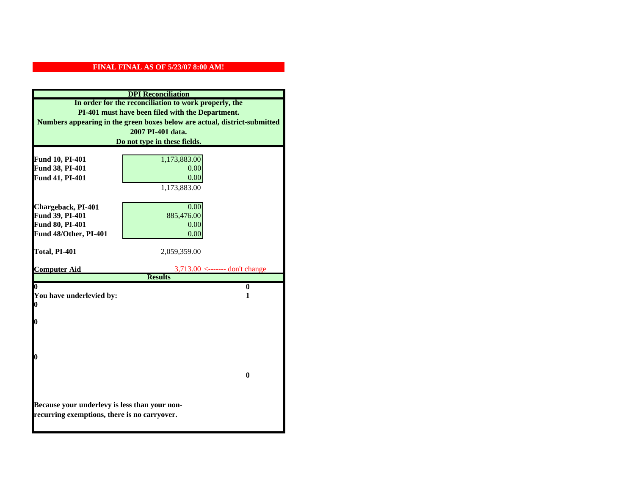| <b>DPI</b> Reconciliation                                                 |                                  |  |  |  |
|---------------------------------------------------------------------------|----------------------------------|--|--|--|
| In order for the reconciliation to work properly, the                     |                                  |  |  |  |
| PI-401 must have been filed with the Department.                          |                                  |  |  |  |
| Numbers appearing in the green boxes below are actual, district-submitted |                                  |  |  |  |
| 2007 PI-401 data.                                                         |                                  |  |  |  |
|                                                                           | Do not type in these fields.     |  |  |  |
| Fund 10, PI-401                                                           | 1,173,883.00                     |  |  |  |
| Fund 38, PI-401                                                           | 0.00                             |  |  |  |
| Fund 41, PI-401                                                           | 0.00                             |  |  |  |
|                                                                           | 1,173,883.00                     |  |  |  |
|                                                                           |                                  |  |  |  |
| Chargeback, PI-401                                                        | 0.00                             |  |  |  |
| Fund 39, PI-401                                                           | 885,476.00                       |  |  |  |
| Fund 80, PI-401                                                           | 0.00                             |  |  |  |
| Fund 48/Other, PI-401                                                     | 0.00                             |  |  |  |
| Total, PI-401                                                             | 2,059,359.00                     |  |  |  |
|                                                                           |                                  |  |  |  |
| <b>Computer Aid</b>                                                       | $3,713.00$ <------- don't change |  |  |  |
|                                                                           | <b>Results</b>                   |  |  |  |
| 0                                                                         | $\bf{0}$<br>1                    |  |  |  |
| You have underlevied by:<br>0                                             |                                  |  |  |  |
|                                                                           |                                  |  |  |  |
| 0                                                                         |                                  |  |  |  |
|                                                                           |                                  |  |  |  |
|                                                                           |                                  |  |  |  |
| 0                                                                         |                                  |  |  |  |
|                                                                           |                                  |  |  |  |
|                                                                           | 0                                |  |  |  |
|                                                                           |                                  |  |  |  |
|                                                                           |                                  |  |  |  |
| Because your underlevy is less than your non-                             |                                  |  |  |  |
| recurring exemptions, there is no carryover.                              |                                  |  |  |  |
|                                                                           |                                  |  |  |  |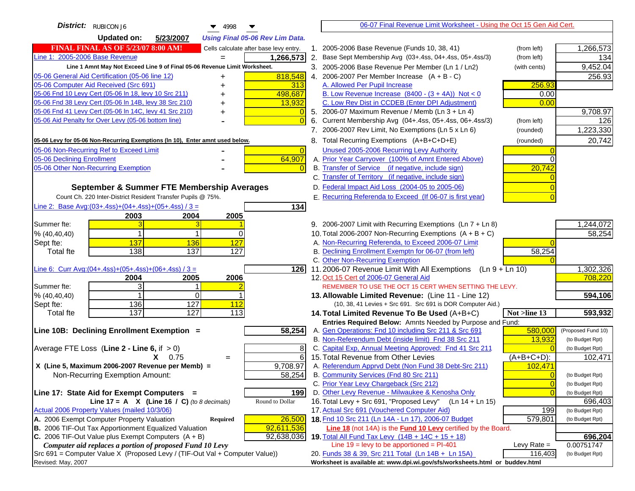| District: RUBICON J6<br>4998                                                                                                               | 06-07 Final Revenue Limit Worksheet - Using the Oct 15 Gen Aid Cert.                                                     |                                   |
|--------------------------------------------------------------------------------------------------------------------------------------------|--------------------------------------------------------------------------------------------------------------------------|-----------------------------------|
| <b>Updated on:</b><br>5/23/2007<br><b>Using Final 05-06 Rev Lim Data.</b>                                                                  |                                                                                                                          |                                   |
| <b>FINAL FINAL AS OF 5/23/07 8:00 AM!</b><br>Cells calculate after base levy entry.                                                        | 1. 2005-2006 Base Revenue (Funds 10, 38, 41)<br>(from left)                                                              | 1,266,573                         |
| Line 1: 2005-2006 Base Revenue<br>1,266,573                                                                                                | 2. Base Sept Membership Avg (03+.4ss, 04+.4ss, 05+.4ss/3)<br>(from left)                                                 | 134                               |
| Line 1 Amnt May Not Exceed Line 9 of Final 05-06 Revenue Limit Worksheet.                                                                  | 3. 2005-2006 Base Revenue Per Member (Ln 1 / Ln2)<br>(with cents)                                                        | 9,452.04                          |
| 818,548<br>05-06 General Aid Certification (05-06 line 12)<br>+                                                                            | 4. 2006-2007 Per Member Increase $(A + B - C)$                                                                           | 256.93                            |
| 05-06 Computer Aid Received (Src 691)<br>313                                                                                               | 256.93<br>A. Allowed Per Pupil Increase                                                                                  |                                   |
| 05-06 Fnd 10 Levy Cert (05-06 In 18, levy 10 Src 211)<br>498,687                                                                           | B. Low Revenue Increase $(8400 - (3 + 4A))$ Not < 0<br>0.00                                                              |                                   |
| 05-06 Fnd 38 Levy Cert (05-06 In 14B, levy 38 Src 210)<br>13,932                                                                           | C. Low Rev Dist in CCDEB (Enter DPI Adjustment)<br>0.00                                                                  |                                   |
| 05-06 Fnd 41 Levy Cert (05-06 In 14C, levy 41 Src 210)                                                                                     | 5. 2006-07 Maximum Revenue / Memb (Ln 3 + Ln 4)                                                                          | 9,708.97                          |
| 05-06 Aid Penalty for Over Levy (05-06 bottom line)                                                                                        | 6. Current Membership Avg (04+.4ss, 05+.4ss, 06+.4ss/3)<br>(from left)                                                   | 126                               |
|                                                                                                                                            | 7. 2006-2007 Rev Limit, No Exemptions (Ln 5 x Ln 6)<br>(rounded)                                                         | 1,223,330                         |
| 05-06 Levy for 05-06 Non-Recurring Exemptions (In 10), Enter amnt used below.                                                              | 8. Total Recurring Exemptions (A+B+C+D+E)<br>(rounded)                                                                   | 20,742                            |
| 05-06 Non-Recurring Ref to Exceed Limit                                                                                                    | Unused 2005-2006 Recurring Levy Authority<br>$\Omega$                                                                    |                                   |
| 64,907<br>05-06 Declining Enrollment                                                                                                       | A. Prior Year Carryover (100% of Amnt Entered Above)                                                                     |                                   |
| 05-06 Other Non-Recurring Exemption                                                                                                        | B. Transfer of Service (if negative, include sign)<br>20,742                                                             |                                   |
|                                                                                                                                            | C. Transfer of Territory (if negative, include sign)                                                                     |                                   |
| September & Summer FTE Membership Averages                                                                                                 | D. Federal Impact Aid Loss (2004-05 to 2005-06)                                                                          |                                   |
| Count Ch. 220 Inter-District Resident Transfer Pupils @ 75%.                                                                               | E. Recurring Referenda to Exceed (If 06-07 is first year)                                                                |                                   |
| Line 2: Base Avg: $(03+.4ss)+(04+.4ss)+(05+.4ss)/3 =$<br>134                                                                               |                                                                                                                          |                                   |
| 2003<br>2004<br>2005                                                                                                                       |                                                                                                                          |                                   |
| Summer fte:                                                                                                                                | 9. 2006-2007 Limit with Recurring Exemptions (Ln 7 + Ln 8)                                                               | 1,244,072                         |
| % (40, 40, 40)<br>$\Omega$                                                                                                                 | 10. Total 2006-2007 Non-Recurring Exemptions (A + B + C)                                                                 | 58,254                            |
| 127<br>Sept fte:<br>137<br>136                                                                                                             | A. Non-Recurring Referenda, to Exceed 2006-07 Limit                                                                      |                                   |
| 138<br>137<br><b>Total fte</b><br>127                                                                                                      | B. Declining Enrollment Exemptn for 06-07 (from left)<br>58,254                                                          |                                   |
|                                                                                                                                            | C. Other Non-Recurring Exemption                                                                                         |                                   |
| Line 6: Curr Avg: $(04+.4ss)+(05+.4ss)+(06+.4ss)/3 =$<br><b>126</b>                                                                        | 11.2006-07 Revenue Limit With All Exemptions $(Ln 9 + Ln 10)$                                                            | 1,302,326                         |
| 2006<br>2005<br>2004                                                                                                                       | 12. Oct 15 Cert of 2006-07 General Aid                                                                                   | 708,220                           |
| 3<br>Summer fte:<br>% (40, 40, 40)<br>0                                                                                                    | REMEMBER TO USE THE OCT 15 CERT WHEN SETTING THE LEVY.                                                                   | 594,106                           |
| 127<br>112<br>136<br>Sept fte:                                                                                                             | 13. Allowable Limited Revenue: (Line 11 - Line 12)<br>(10, 38, 41 Levies + Src 691. Src 691 is DOR Computer Aid.)        |                                   |
| 137<br>127<br>113<br><b>Total fte</b>                                                                                                      | 14. Total Limited Revenue To Be Used (A+B+C)<br>Not >line 13                                                             | 593,932                           |
|                                                                                                                                            | Entries Required Below: Amnts Needed by Purpose and Fund:                                                                |                                   |
| 58,254<br>Line 10B: Declining Enrollment Exemption =                                                                                       | A. Gen Operations: Fnd 10 including Src 211 & Src 691<br>580,000                                                         | (Proposed Fund 10)                |
|                                                                                                                                            | B. Non-Referendum Debt (inside limit) Fnd 38 Src 211<br>13,932                                                           | (to Budget Rpt)                   |
| Average FTE Loss (Line $2 -$ Line 6, if $> 0$ )                                                                                            | C. Capital Exp, Annual Meeting Approved: Fnd 41 Src 211<br>8                                                             | (to Budget Rpt)                   |
| $X = 0.75$<br>$=$                                                                                                                          | 6<br>15. Total Revenue from Other Levies<br>$(A+B+C+D)$ :                                                                | 102,471                           |
| X (Line 5, Maximum 2006-2007 Revenue per Memb) =<br>9,708.97                                                                               | A. Referendum Apprvd Debt (Non Fund 38 Debt-Src 211)<br>102,471                                                          |                                   |
| 58,254<br>Non-Recurring Exemption Amount:                                                                                                  | B. Community Services (Fnd 80 Src 211)                                                                                   | (to Budget Rpt)                   |
|                                                                                                                                            | C. Prior Year Levy Chargeback (Src 212)                                                                                  | $\overline{0}$<br>(to Budget Rpt) |
| 199<br>Line 17: State Aid for Exempt Computers =                                                                                           | D. Other Levy Revenue - Milwaukee & Kenosha Only                                                                         | (to Budget Rpt)                   |
| Line 17 = A $X$ (Line 16 / C) (to 8 decimals)<br>Round to Dollar                                                                           | 16. Total Levy + Src 691, "Proposed Levy"<br>(Ln 14 + Ln 15)                                                             | 696,403                           |
| Actual 2006 Property Values (mailed 10/3/06)                                                                                               | 17. Actual Src 691 (Vouchered Computer Aid)<br>199                                                                       | (to Budget Rpt)                   |
| A. 2006 Exempt Computer Property Valuation<br>26,500<br>Required                                                                           | 18. Fnd 10 Src 211 (Ln 14A - Ln 17), 2006-07 Budget<br>579,801                                                           | (to Budget Rpt)                   |
| B. 2006 TIF-Out Tax Apportionment Equalized Valuation<br>92,611,536<br>C. 2006 TIF-Out Value plus Exempt Computers $(A + B)$<br>92,638,036 | Line 18 (not 14A) is the <b>Fund 10 Levy</b> certified by the Board.                                                     |                                   |
| Computer aid replaces a portion of proposed Fund 10 Levy                                                                                   | 19. Total All Fund Tax Levy (14B + 14C + 15 + 18)<br>Line $19 = \text{levy}$ to be apportioned = PI-401<br>Levy Rate $=$ | 696,204<br>0.00751747             |
| Src 691 = Computer Value X (Proposed Levy / (TIF-Out Val + Computer Value))                                                                | 20. Funds 38 & 39, Src 211 Total (Ln 14B + Ln 15A)<br>116,403                                                            | (to Budget Rpt)                   |
| Revised: May, 2007                                                                                                                         | Worksheet is available at: www.dpi.wi.gov/sfs/worksheets.html or buddev.html                                             |                                   |
|                                                                                                                                            |                                                                                                                          |                                   |